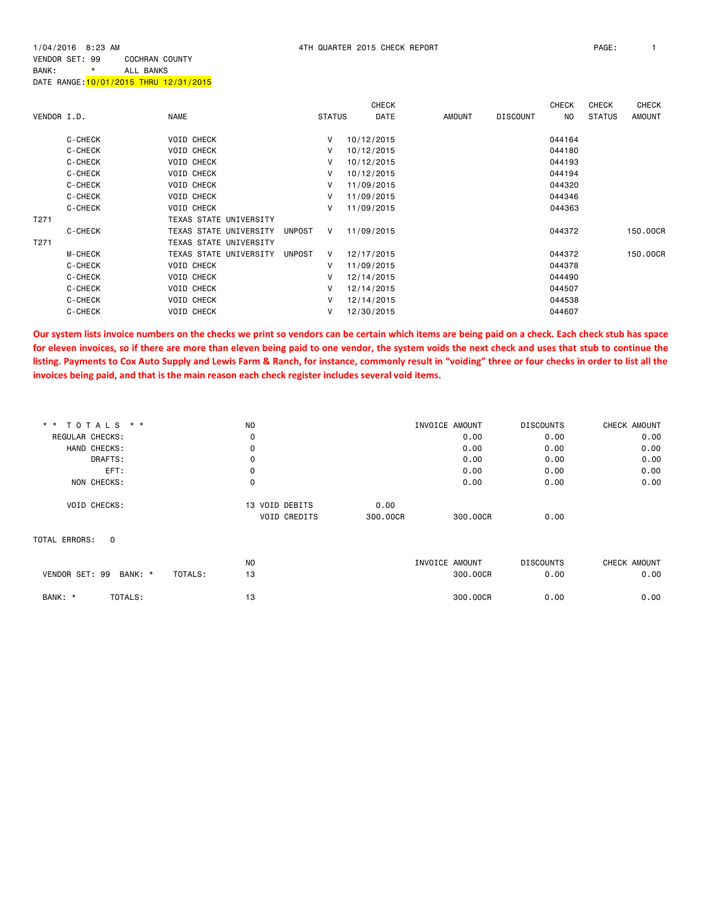1/04/2016 8:23 AM 4TH QUARTER 2015 CHECK REPORT PAGE: 1 VENDOR SET: 99 COCHRAN COUNTY BANK: \* ALL BANKS

|             |                |                               |               |               | <b>CHECK</b> |               |                 | <b>CHECK</b> | <b>CHECK</b>  | CHECK         |
|-------------|----------------|-------------------------------|---------------|---------------|--------------|---------------|-----------------|--------------|---------------|---------------|
| VENDOR I.D. |                | <b>NAME</b>                   |               | <b>STATUS</b> | <b>DATE</b>  | <b>AMOUNT</b> | <b>DISCOUNT</b> | NO.          | <b>STATUS</b> | <b>AMOUNT</b> |
|             | C-CHECK        | <b>VOID CHECK</b>             |               | v             | 10/12/2015   |               |                 | 044164       |               |               |
|             | C-CHECK        | <b>VOID CHECK</b>             |               | V             | 10/12/2015   |               |                 | 044180       |               |               |
|             | C-CHECK        | <b>VOID CHECK</b>             |               | v             | 10/12/2015   |               |                 | 044193       |               |               |
|             | C-CHECK        | <b>VOID CHECK</b>             |               | v             | 10/12/2015   |               |                 | 044194       |               |               |
|             | C-CHECK        | VOID CHECK                    |               | V             | 11/09/2015   |               |                 | 044320       |               |               |
|             | C-CHECK        | <b>VOID CHECK</b>             |               | v             | 11/09/2015   |               |                 | 044346       |               |               |
|             | C-CHECK        | <b>VOID CHECK</b>             |               | v             | 11/09/2015   |               |                 | 044363       |               |               |
| T271        |                | <b>TEXAS STATE UNIVERSITY</b> |               |               |              |               |                 |              |               |               |
|             | C-CHECK        | TEXAS STATE UNIVERSITY        | <b>UNPOST</b> | v.            | 11/09/2015   |               |                 | 044372       |               | 150,00CR      |
| T271        |                | <b>TEXAS STATE UNIVERSITY</b> |               |               |              |               |                 |              |               |               |
|             | <b>M-CHECK</b> | TEXAS STATE UNIVERSITY        | <b>UNPOST</b> | V             | 12/17/2015   |               |                 | 044372       |               | 150,00CR      |
|             | C-CHECK        | <b>VOID CHECK</b>             |               | v             | 11/09/2015   |               |                 | 044378       |               |               |
|             |                |                               |               |               |              |               |                 |              |               |               |

 C-CHECK VOID CHECK V 12/14/2015 044490 C-CHECK VOID CHECK V 12/14/2015 044507 C-CHECK VOID CHECK V 12/14/2015 044538 C-CHECK VOID CHECK V 12/30/2015 044607

**Our system lists invoice numbers on the checks we print so vendors can be certain which items are being paid on a check. Each check stub has space for eleven invoices, so if there are more than eleven being paid to one vendor, the system voids the next check and uses that stub to continue the listing. Payments to Cox Auto Supply and Lewis Farm & Ranch, for instance, commonly result in "voiding" three or four checks in order to list all the invoices being paid, and that is the main reason each check register includes several void items.**

| * * TOTALS * *                       | N <sub>O</sub>      |          | INVOICE AMOUNT | <b>DISCOUNTS</b> | CHECK AMOUNT |
|--------------------------------------|---------------------|----------|----------------|------------------|--------------|
| REGULAR CHECKS:                      | 0                   |          | 0.00           | 0.00             | 0.00         |
| HAND CHECKS:                         | 0                   |          | 0.00           | 0.00             | 0.00         |
| DRAFTS:                              | 0                   |          | 0.00           | 0.00             | 0.00         |
| EFT:                                 | 0                   |          | 0.00           | 0.00             | 0.00         |
| NON CHECKS:                          | 0                   |          | 0.00           | 0.00             | 0.00         |
| <b>VOID CHECKS:</b>                  | 13 VOID DEBITS      | 0.00     |                |                  |              |
|                                      | <b>VOID CREDITS</b> | 300,00CR | 300,00CR       | 0.00             |              |
| TOTAL ERRORS:<br>$\mathbf 0$         |                     |          |                |                  |              |
|                                      | <b>NO</b>           |          | INVOICE AMOUNT | <b>DISCOUNTS</b> | CHECK AMOUNT |
| VENDOR SET: 99<br>BANK: *<br>TOTALS: | 13                  |          | 300,00CR       | 0.00             | 0.00         |
| TOTALS:<br>BANK: *                   | 13                  |          | 300,00CR       | 0.00             | 0.00         |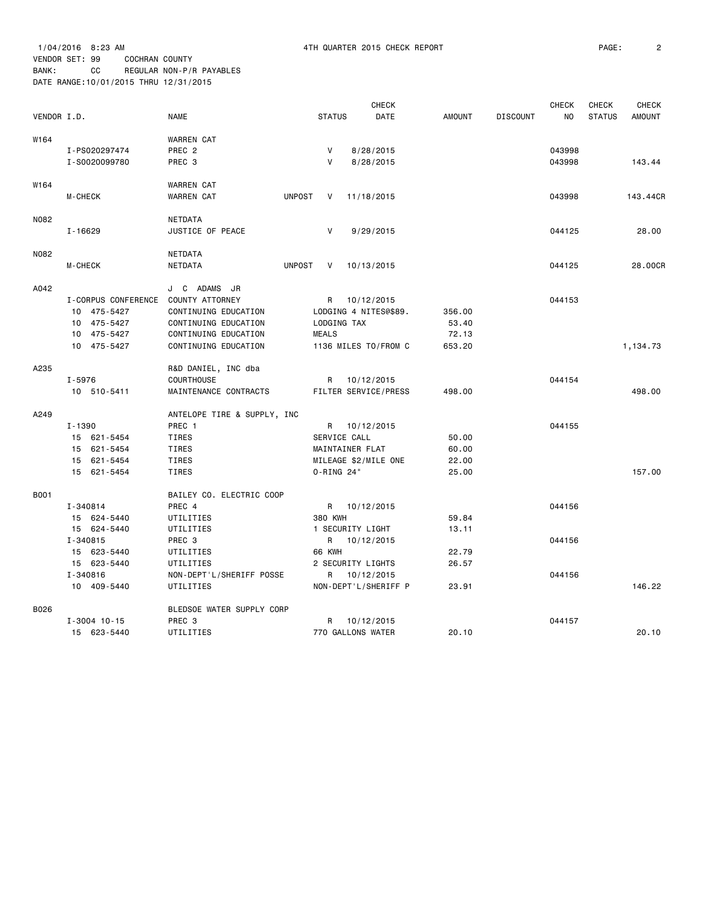|             |                     |                             |               |               | <b>CHECK</b>          |               |                 | <b>CHECK</b> | <b>CHECK</b>  | <b>CHECK</b>  |
|-------------|---------------------|-----------------------------|---------------|---------------|-----------------------|---------------|-----------------|--------------|---------------|---------------|
| VENDOR I.D. |                     | <b>NAME</b>                 |               | <b>STATUS</b> | <b>DATE</b>           | <b>AMOUNT</b> | <b>DISCOUNT</b> | NO           | <b>STATUS</b> | <b>AMOUNT</b> |
| W164        |                     | WARREN CAT                  |               |               |                       |               |                 |              |               |               |
|             | I-PS020297474       | PREC <sub>2</sub>           |               | V             | 8/28/2015             |               |                 | 043998       |               |               |
|             | I-S0020099780       | PREC 3                      |               | $\mathsf{V}$  | 8/28/2015             |               |                 | 043998       |               | 143.44        |
| W164        |                     | <b>WARREN CAT</b>           |               |               |                       |               |                 |              |               |               |
|             | M-CHECK             | <b>WARREN CAT</b>           | <b>UNPOST</b> | V             | 11/18/2015            |               |                 | 043998       |               | 143.44CR      |
| N082        |                     | <b>NETDATA</b>              |               |               |                       |               |                 |              |               |               |
|             | $I - 16629$         | JUSTICE OF PEACE            |               | V             | 9/29/2015             |               |                 | 044125       |               | 28.00         |
| N082        |                     | <b>NETDATA</b>              |               |               |                       |               |                 |              |               |               |
|             | M-CHECK             | <b>NETDATA</b>              | <b>UNPOST</b> | V             | 10/13/2015            |               |                 | 044125       |               | 28.00CR       |
| A042        |                     | J C ADAMS JR                |               |               |                       |               |                 |              |               |               |
|             | I-CORPUS CONFERENCE | COUNTY ATTORNEY             |               |               | R 10/12/2015          |               |                 | 044153       |               |               |
|             | 10 475-5427         | CONTINUING EDUCATION        |               |               | LODGING 4 NITES@\$89. | 356.00        |                 |              |               |               |
|             | 10 475-5427         | CONTINUING EDUCATION        |               |               | LODGING TAX           | 53.40         |                 |              |               |               |
|             | 10 475-5427         | CONTINUING EDUCATION        |               | <b>MEALS</b>  |                       | 72.13         |                 |              |               |               |
|             | 10 475-5427         | CONTINUING EDUCATION        |               |               | 1136 MILES TO/FROM C  | 653.20        |                 |              |               | 1,134.73      |
| A235        |                     | R&D DANIEL, INC dba         |               |               |                       |               |                 |              |               |               |
|             | I-5976              | <b>COURTHOUSE</b>           |               |               | R 10/12/2015          |               |                 | 044154       |               |               |
|             | 10 510-5411         | MAINTENANCE CONTRACTS       |               |               | FILTER SERVICE/PRESS  | 498.00        |                 |              |               | 498.00        |
| A249        |                     | ANTELOPE TIRE & SUPPLY, INC |               |               |                       |               |                 |              |               |               |
|             | $I - 1390$          | PREC 1                      |               |               | R 10/12/2015          |               |                 | 044155       |               |               |
|             | 15 621-5454         | TIRES                       |               |               | SERVICE CALL          | 50.00         |                 |              |               |               |
|             | 15 621-5454         | TIRES                       |               |               | MAINTAINER FLAT       | 60.00         |                 |              |               |               |
|             | 15 621-5454         | TIRES                       |               |               | MILEAGE \$2/MILE ONE  | 22.00         |                 |              |               |               |
|             | 15 621-5454         | TIRES                       |               | 0-RING 24"    |                       | 25.00         |                 |              |               | 157.00        |
| <b>B001</b> |                     | BAILEY CO. ELECTRIC COOP    |               |               |                       |               |                 |              |               |               |
|             | I-340814            | PREC 4                      |               |               | R 10/12/2015          |               |                 | 044156       |               |               |
|             | 15 624-5440         | UTILITIES                   |               | 380 KWH       |                       | 59.84         |                 |              |               |               |
|             | 15 624-5440         | UTILITIES                   |               |               | 1 SECURITY LIGHT      | 13.11         |                 |              |               |               |
|             | I-340815            | PREC 3                      |               |               | R 10/12/2015          |               |                 | 044156       |               |               |
|             | 15 623-5440         | UTILITIES                   |               | <b>66 KWH</b> |                       | 22.79         |                 |              |               |               |
|             | 15 623-5440         | UTILITIES                   |               |               | 2 SECURITY LIGHTS     | 26.57         |                 |              |               |               |
|             | I-340816            | NON-DEPT'L/SHERIFF POSSE    |               |               | R 10/12/2015          |               |                 | 044156       |               |               |
|             | 10 409-5440         | UTILITIES                   |               |               | NON-DEPT'L/SHERIFF P  | 23.91         |                 |              |               | 146.22        |
| B026        |                     | BLEDSOE WATER SUPPLY CORP   |               |               |                       |               |                 |              |               |               |
|             | $I - 3004$ 10-15    | PREC <sub>3</sub>           |               | R             | 10/12/2015            |               |                 | 044157       |               |               |
|             | 15 623-5440         | UTILITIES                   |               |               | 770 GALLONS WATER     | 20.10         |                 |              |               | 20.10         |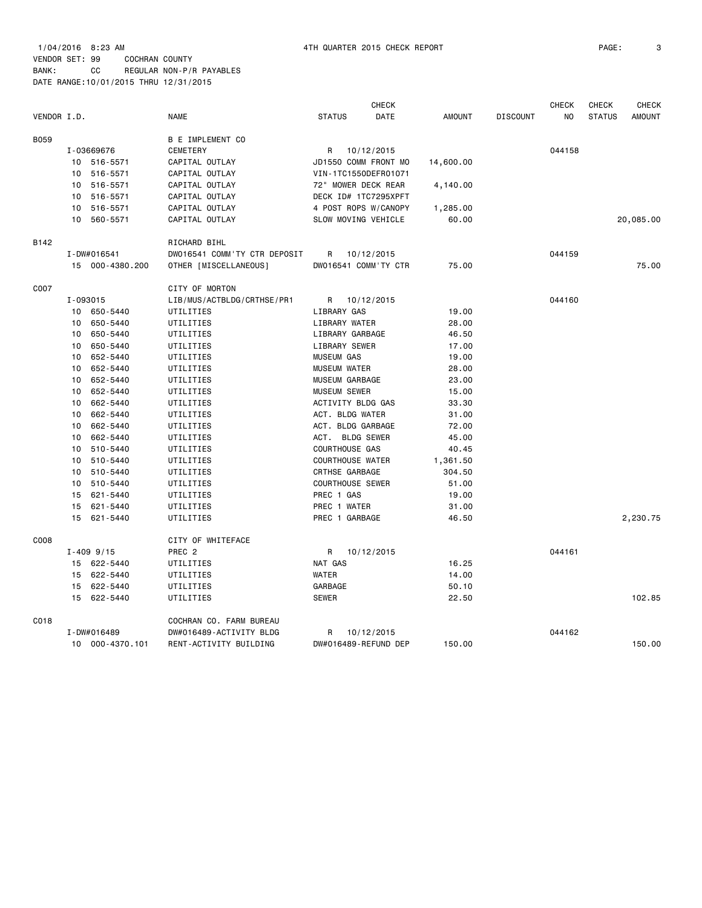| VENDOR I.D. |          |                 | <b>NAME</b>                  | <b>STATUS</b>           | <b>CHECK</b><br><b>DATE</b> | AMOUNT    | <b>DISCOUNT</b> | <b>CHECK</b><br>NO | <b>CHECK</b><br><b>STATUS</b> | <b>CHECK</b><br><b>AMOUNT</b> |
|-------------|----------|-----------------|------------------------------|-------------------------|-----------------------------|-----------|-----------------|--------------------|-------------------------------|-------------------------------|
| B059        |          |                 | <b>B E IMPLEMENT CO</b>      |                         |                             |           |                 |                    |                               |                               |
|             |          | I-03669676      | CEMETERY                     | R                       | 10/12/2015                  |           |                 | 044158             |                               |                               |
|             |          | 10 516-5571     | CAPITAL OUTLAY               | JD1550 COMM FRONT MO    |                             | 14,600.00 |                 |                    |                               |                               |
|             | 10       | 516-5571        | CAPITAL OUTLAY               | VIN-1TC1550DEFR01071    |                             |           |                 |                    |                               |                               |
|             | 10       | 516-5571        | CAPITAL OUTLAY               | 72" MOWER DECK REAR     |                             | 4,140.00  |                 |                    |                               |                               |
|             | 10       | 516-5571        | CAPITAL OUTLAY               | DECK ID# 1TC7295XPFT    |                             |           |                 |                    |                               |                               |
|             | 10       | 516-5571        | CAPITAL OUTLAY               | 4 POST ROPS W/CANOPY    |                             | 1,285.00  |                 |                    |                               |                               |
|             | 10       | 560-5571        | CAPITAL OUTLAY               | SLOW MOVING VEHICLE     |                             | 60.00     |                 |                    |                               | 20,085.00                     |
| B142        |          |                 | RICHARD BIHL                 |                         |                             |           |                 |                    |                               |                               |
|             |          | I-DW#016541     | DW016541 COMM'TY CTR DEPOSIT | R                       | 10/12/2015                  |           |                 | 044159             |                               |                               |
|             |          | 15 000-4380.200 | OTHER [MISCELLANEOUS]        | DW016541 COMM'TY CTR    |                             | 75.00     |                 |                    |                               | 75.00                         |
| C007        |          |                 | CITY OF MORTON               |                         |                             |           |                 |                    |                               |                               |
|             | I-093015 |                 | LIB/MUS/ACTBLDG/CRTHSE/PR1   | R 10/12/2015            |                             |           |                 | 044160             |                               |                               |
|             |          | 10 650-5440     | UTILITIES                    | LIBRARY GAS             |                             | 19.00     |                 |                    |                               |                               |
|             | 10       | 650-5440        | UTILITIES                    | LIBRARY WATER           |                             | 28.00     |                 |                    |                               |                               |
|             | 10       | 650-5440        | UTILITIES                    | LIBRARY GARBAGE         |                             | 46.50     |                 |                    |                               |                               |
|             | 10       | 650-5440        | UTILITIES                    | LIBRARY SEWER           |                             | 17.00     |                 |                    |                               |                               |
|             | 10       | 652-5440        | UTILITIES                    | MUSEUM GAS              |                             | 19.00     |                 |                    |                               |                               |
|             | 10       | 652-5440        | UTILITIES                    | <b>MUSEUM WATER</b>     |                             | 28.00     |                 |                    |                               |                               |
|             | 10       | 652-5440        | UTILITIES                    | MUSEUM GARBAGE          |                             | 23.00     |                 |                    |                               |                               |
|             | 10       | 652-5440        | UTILITIES                    | <b>MUSEUM SEWER</b>     |                             | 15.00     |                 |                    |                               |                               |
|             | 10       | 662-5440        | UTILITIES                    | ACTIVITY BLDG GAS       |                             | 33.30     |                 |                    |                               |                               |
|             | 10       | 662-5440        | UTILITIES                    | ACT. BLDG WATER         |                             | 31.00     |                 |                    |                               |                               |
|             | 10       | 662-5440        | UTILITIES                    | ACT. BLDG GARBAGE       |                             | 72.00     |                 |                    |                               |                               |
|             | 10       | 662-5440        | UTILITIES                    | ACT. BLDG SEWER         |                             | 45.00     |                 |                    |                               |                               |
|             | 10       | 510-5440        | UTILITIES                    | <b>COURTHOUSE GAS</b>   |                             | 40.45     |                 |                    |                               |                               |
|             | 10       | 510-5440        | UTILITIES                    | <b>COURTHOUSE WATER</b> |                             | 1,361.50  |                 |                    |                               |                               |
|             | 10       | 510-5440        | UTILITIES                    | CRTHSE GARBAGE          |                             | 304.50    |                 |                    |                               |                               |
|             | 10       | 510-5440        | UTILITIES                    | <b>COURTHOUSE SEWER</b> |                             | 51.00     |                 |                    |                               |                               |
|             | 15       | 621-5440        | UTILITIES                    | PREC 1 GAS              |                             | 19.00     |                 |                    |                               |                               |
|             | 15       | 621-5440        | UTILITIES                    | PREC 1 WATER            |                             | 31.00     |                 |                    |                               |                               |
|             | 15       | 621-5440        | UTILITIES                    | PREC 1 GARBAGE          |                             | 46.50     |                 |                    |                               | 2,230.75                      |
| C008        |          |                 | CITY OF WHITEFACE            |                         |                             |           |                 |                    |                               |                               |
|             |          | $I - 409$ 9/15  | PREC 2                       | R                       | 10/12/2015                  |           |                 | 044161             |                               |                               |
|             |          | 15 622-5440     | UTILITIES                    | NAT GAS                 |                             | 16.25     |                 |                    |                               |                               |
|             |          | 15 622-5440     | UTILITIES                    | WATER                   |                             | 14.00     |                 |                    |                               |                               |
|             | 15       | 622-5440        | UTILITIES                    | GARBAGE                 |                             | 50.10     |                 |                    |                               |                               |
|             | 15       | 622-5440        | UTILITIES                    | <b>SEWER</b>            |                             | 22.50     |                 |                    |                               | 102.85                        |
| C018        |          |                 | COCHRAN CO. FARM BUREAU      |                         |                             |           |                 |                    |                               |                               |
|             |          | I-DW#016489     | DW#016489-ACTIVITY BLDG      | R                       | 10/12/2015                  |           |                 | 044162             |                               |                               |
|             |          | 10 000-4370.101 | RENT-ACTIVITY BUILDING       | DW#016489-REFUND DEP    |                             | 150.00    |                 |                    |                               | 150.00                        |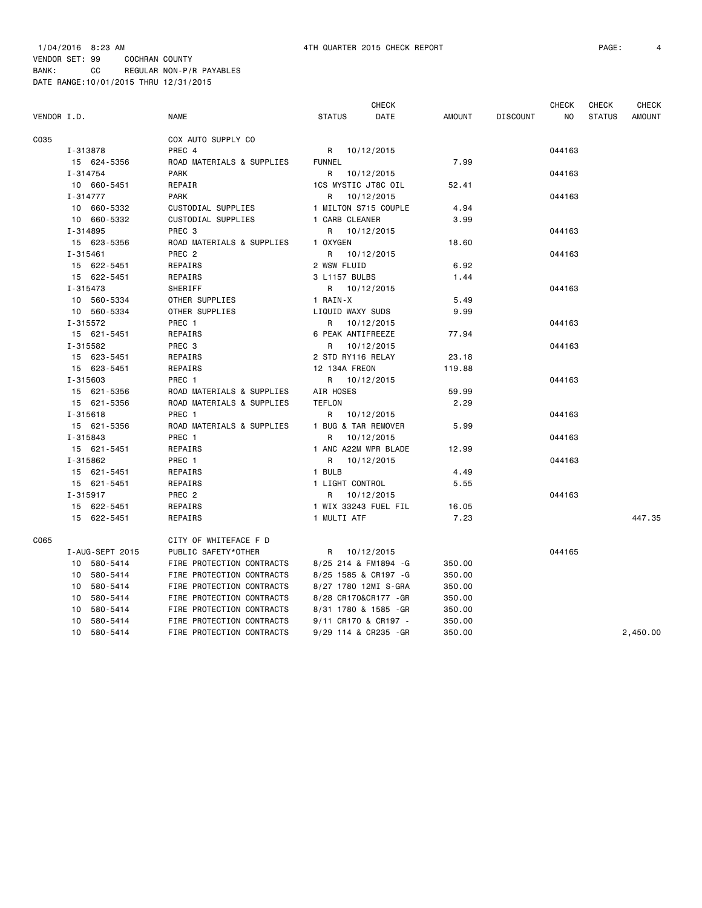|             |                 |                           | CHECK                 |        |                 | <b>CHECK</b> | CHECK         | CHECK         |
|-------------|-----------------|---------------------------|-----------------------|--------|-----------------|--------------|---------------|---------------|
| VENDOR I.D. |                 | NAME                      | DATE<br><b>STATUS</b> | AMOUNT | <b>DISCOUNT</b> | NO.          | <b>STATUS</b> | <b>AMOUNT</b> |
| C035        |                 | COX AUTO SUPPLY CO        |                       |        |                 |              |               |               |
|             | I-313878        | PREC 4                    | R 10/12/2015          |        |                 | 044163       |               |               |
|             | 15 624-5356     | ROAD MATERIALS & SUPPLIES | <b>FUNNEL</b>         | 7.99   |                 |              |               |               |
|             | I-314754        | <b>PARK</b>               | R 10/12/2015          |        |                 | 044163       |               |               |
|             | 10 660-5451     | REPAIR                    | 1CS MYSTIC JT8C OIL   | 52.41  |                 |              |               |               |
|             | I-314777        | <b>PARK</b>               | R 10/12/2015          |        |                 | 044163       |               |               |
|             | 10 660-5332     | CUSTODIAL SUPPLIES        | 1 MILTON S715 COUPLE  | 4.94   |                 |              |               |               |
|             | 10 660-5332     | CUSTODIAL SUPPLIES        | 1 CARB CLEANER        | 3.99   |                 |              |               |               |
|             | I-314895        | PREC <sub>3</sub>         | R 10/12/2015          |        |                 | 044163       |               |               |
|             | 15 623-5356     | ROAD MATERIALS & SUPPLIES | 1 OXYGEN              | 18.60  |                 |              |               |               |
|             | I-315461        | PREC <sub>2</sub>         | 10/12/2015<br>R       |        |                 | 044163       |               |               |
|             | 15 622-5451     | REPAIRS                   | 2 WSW FLUID           | 6.92   |                 |              |               |               |
|             | 15 622-5451     | REPAIRS                   | 3 L1157 BULBS         | 1.44   |                 |              |               |               |
|             | I-315473        | SHERIFF                   | R 10/12/2015          |        |                 | 044163       |               |               |
|             | 10 560-5334     | OTHER SUPPLIES            | 1 RAIN-X              | 5.49   |                 |              |               |               |
|             | 10 560-5334     | OTHER SUPPLIES            | LIQUID WAXY SUDS      | 9.99   |                 |              |               |               |
|             | I-315572        | PREC 1                    | R 10/12/2015          |        |                 | 044163       |               |               |
|             | 15 621-5451     | REPAIRS                   | 6 PEAK ANTIFREEZE     | 77.94  |                 |              |               |               |
|             | I-315582        | PREC 3                    | R 10/12/2015          |        |                 | 044163       |               |               |
|             | 15 623-5451     | REPAIRS                   | 2 STD RY116 RELAY     | 23.18  |                 |              |               |               |
|             | 15 623-5451     | REPAIRS                   | 12 134A FREON         | 119.88 |                 |              |               |               |
|             | I-315603        | PREC 1                    | R 10/12/2015          |        |                 | 044163       |               |               |
|             | 15 621-5356     | ROAD MATERIALS & SUPPLIES | AIR HOSES             | 59.99  |                 |              |               |               |
|             | 15 621-5356     | ROAD MATERIALS & SUPPLIES | <b>TEFLON</b>         | 2.29   |                 |              |               |               |
|             | I-315618        | PREC 1                    | R 10/12/2015          |        |                 | 044163       |               |               |
|             | 15 621-5356     | ROAD MATERIALS & SUPPLIES | 1 BUG & TAR REMOVER   | 5.99   |                 |              |               |               |
|             | I-315843        | PREC 1                    | R<br>10/12/2015       |        |                 | 044163       |               |               |
|             | 15 621-5451     | REPAIRS                   | 1 ANC A22M WPR BLADE  | 12.99  |                 |              |               |               |
|             | I-315862        | PREC 1                    | R 10/12/2015          |        |                 | 044163       |               |               |
|             | 15 621-5451     | REPAIRS                   | 1 BULB                | 4.49   |                 |              |               |               |
|             | 15 621-5451     | REPAIRS                   | 1 LIGHT CONTROL       | 5.55   |                 |              |               |               |
|             | I-315917        | PREC 2                    | R 10/12/2015          |        |                 | 044163       |               |               |
|             | 15 622-5451     | REPAIRS                   | 1 WIX 33243 FUEL FIL  | 16.05  |                 |              |               |               |
|             | 15 622-5451     | REPAIRS                   | 1 MULTI ATF           | 7.23   |                 |              |               | 447.35        |
| C065        |                 | CITY OF WHITEFACE F D     |                       |        |                 |              |               |               |
|             | I-AUG-SEPT 2015 | PUBLIC SAFETY*OTHER       | R 10/12/2015          |        |                 | 044165       |               |               |
|             | 10 580-5414     | FIRE PROTECTION CONTRACTS | 8/25 214 & FM1894 -G  | 350.00 |                 |              |               |               |
|             | 10 580-5414     | FIRE PROTECTION CONTRACTS | 8/25 1585 & CR197 -G  | 350.00 |                 |              |               |               |
|             | 10 580-5414     | FIRE PROTECTION CONTRACTS | 8/27 1780 12MI S-GRA  | 350.00 |                 |              |               |               |
|             | 10 580-5414     | FIRE PROTECTION CONTRACTS | 8/28 CR170&CR177 - GR | 350.00 |                 |              |               |               |
|             | 10<br>580-5414  | FIRE PROTECTION CONTRACTS | 8/31 1780 & 1585 - GR | 350.00 |                 |              |               |               |
|             | 10 580-5414     | FIRE PROTECTION CONTRACTS | 9/11 CR170 & CR197 -  | 350.00 |                 |              |               |               |
|             | 10 580-5414     | FIRE PROTECTION CONTRACTS | 9/29 114 & CR235 - GR | 350.00 |                 |              |               | 2,450.00      |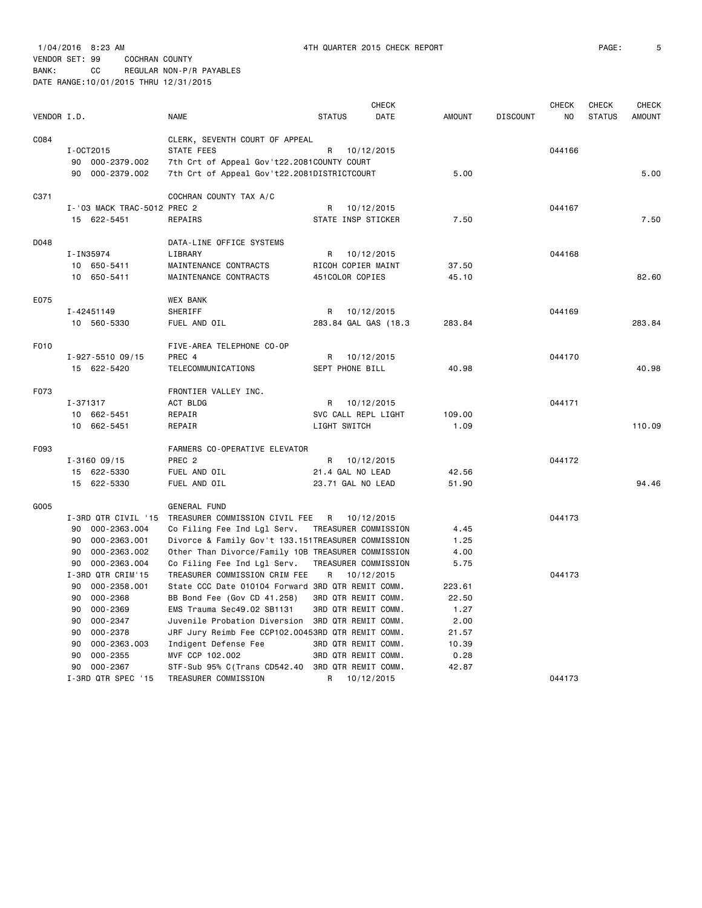|             |                                  |                                                           |               | <b>CHECK</b>                                             |               |                 | <b>CHECK</b> | <b>CHECK</b>  | <b>CHECK</b>  |
|-------------|----------------------------------|-----------------------------------------------------------|---------------|----------------------------------------------------------|---------------|-----------------|--------------|---------------|---------------|
| VENDOR I.D. |                                  | <b>NAME</b>                                               | <b>STATUS</b> | DATE                                                     | <b>AMOUNT</b> | <b>DISCOUNT</b> | NO           | <b>STATUS</b> | <b>AMOUNT</b> |
| C084        |                                  | CLERK, SEVENTH COURT OF APPEAL                            |               |                                                          |               |                 |              |               |               |
|             | I-0CT2015                        | STATE FEES                                                | R             | 10/12/2015                                               |               |                 | 044166       |               |               |
|             | 90 000-2379.002                  | 7th Crt of Appeal Gov't22.2081COUNTY COURT                |               |                                                          |               |                 |              |               |               |
|             | 90 000-2379.002                  | 7th Crt of Appeal Gov't22.2081DISTRICTCOURT               |               |                                                          | 5.00          |                 |              |               | 5.00          |
| C371        |                                  | COCHRAN COUNTY TAX A/C                                    |               |                                                          |               |                 |              |               |               |
|             | I-'03 MACK TRAC-5012 PREC 2      |                                                           | R             | 10/12/2015                                               |               |                 | 044167       |               |               |
|             | 15 622-5451                      | REPAIRS                                                   |               | STATE INSP STICKER                                       | 7.50          |                 |              |               | 7.50          |
| D048        |                                  | DATA-LINE OFFICE SYSTEMS                                  |               |                                                          |               |                 |              |               |               |
|             | I-IN35974                        | LIBRARY                                                   | R             | 10/12/2015                                               |               |                 | 044168       |               |               |
|             | 10 650-5411                      | MAINTENANCE CONTRACTS                                     |               | RICOH COPIER MAINT                                       | 37.50         |                 |              |               |               |
|             | 10 650-5411                      | MAINTENANCE CONTRACTS                                     |               | 451COLOR COPIES                                          | 45.10         |                 |              |               | 82.60         |
| E075        |                                  | <b>WEX BANK</b>                                           |               |                                                          |               |                 |              |               |               |
|             | I-42451149                       | SHERIFF                                                   | R             | 10/12/2015                                               |               |                 | 044169       |               |               |
|             | 10 560-5330                      | FUEL AND OIL                                              |               | 283.84 GAL GAS (18.3                                     | 283.84        |                 |              |               | 283.84        |
| F010        |                                  | FIVE-AREA TELEPHONE CO-OP                                 |               |                                                          |               |                 |              |               |               |
|             | I-927-5510 09/15                 | PREC 4                                                    | R             | 10/12/2015                                               |               |                 | 044170       |               |               |
|             | 15 622-5420                      | TELECOMMUNICATIONS                                        |               | SEPT PHONE BILL                                          | 40.98         |                 |              |               | 40.98         |
| F073        |                                  | FRONTIER VALLEY INC.                                      |               |                                                          |               |                 |              |               |               |
|             | I-371317                         | ACT BLDG                                                  |               | R 10/12/2015                                             |               |                 | 044171       |               |               |
|             | 10 662-5451                      | REPAIR                                                    |               | SVC CALL REPL LIGHT                                      | 109.00        |                 |              |               |               |
|             | 10 662-5451                      | REPAIR                                                    | LIGHT SWITCH  |                                                          | 1.09          |                 |              |               | 110.09        |
| F093        |                                  | FARMERS CO-OPERATIVE ELEVATOR                             |               |                                                          |               |                 |              |               |               |
|             | $I - 316009/15$                  | PREC <sub>2</sub>                                         | R             | 10/12/2015                                               |               |                 | 044172       |               |               |
|             | 15 622-5330                      | FUEL AND OIL                                              |               | 21.4 GAL NO LEAD                                         | 42.56         |                 |              |               |               |
|             | 15 622-5330                      | FUEL AND OIL                                              |               | 23.71 GAL NO LEAD                                        | 51.90         |                 |              |               | 94.46         |
| G005        |                                  | <b>GENERAL FUND</b>                                       |               |                                                          |               |                 |              |               |               |
|             | I-3RD QTR CIVIL '15              | TREASURER COMMISSION CIVIL FEE                            |               | R 10/12/2015                                             |               |                 | 044173       |               |               |
|             | 90<br>000-2363.004               | Co Filing Fee Ind Lgl Serv.                               |               | TREASURER COMMISSION                                     | 4.45          |                 |              |               |               |
|             | 000-2363.001<br>90               | Divorce & Family Gov't 133.151TREASURER COMMISSION        |               |                                                          | 1.25          |                 |              |               |               |
|             | 90<br>000-2363.002               | Other Than Divorce/Family 10B TREASURER COMMISSION        |               |                                                          | 4.00          |                 |              |               |               |
|             | 000-2363.004<br>90               | Co Filing Fee Ind Lgl Serv.                               |               | TREASURER COMMISSION                                     | 5.75          |                 |              |               |               |
|             | I-3RD QTR CRIM'15                | TREASURER COMMISSION CRIM FEE                             |               | R 10/12/2015                                             |               |                 | 044173       |               |               |
|             | 90<br>000-2358.001               | State CCC Date 010104 Forward 3RD QTR REMIT COMM.         |               |                                                          | 223.61        |                 |              |               |               |
|             | 000-2368<br>90<br>000-2369<br>90 | BB Bond Fee (Gov CD 41.258)<br>EMS Trauma Sec49.02 SB1131 |               | <b>3RD QTR REMIT COMM.</b><br><b>3RD QTR REMIT COMM.</b> | 22.50<br>1.27 |                 |              |               |               |
|             | 90<br>000-2347                   | Juvenile Probation Diversion 3RD QTR REMIT COMM.          |               |                                                          | 2.00          |                 |              |               |               |
|             | 000-2378<br>90                   | JRF Jury Reimb Fee CCP102.00453RD QTR REMIT COMM.         |               |                                                          | 21.57         |                 |              |               |               |
|             | 000-2363.003<br>90               | Indigent Defense Fee                                      |               | <b>3RD QTR REMIT COMM.</b>                               | 10.39         |                 |              |               |               |
|             | 90<br>$000 - 2355$               | MVF CCP 102.002                                           |               | <b>3RD QTR REMIT COMM.</b>                               | 0.28          |                 |              |               |               |
|             | 90<br>000-2367                   | STF-Sub 95% C(Trans CD542.40 3RD QTR REMIT COMM.          |               |                                                          | 42.87         |                 |              |               |               |
|             | I-3RD QTR SPEC '15               | TREASURER COMMISSION                                      | R             | 10/12/2015                                               |               |                 | 044173       |               |               |
|             |                                  |                                                           |               |                                                          |               |                 |              |               |               |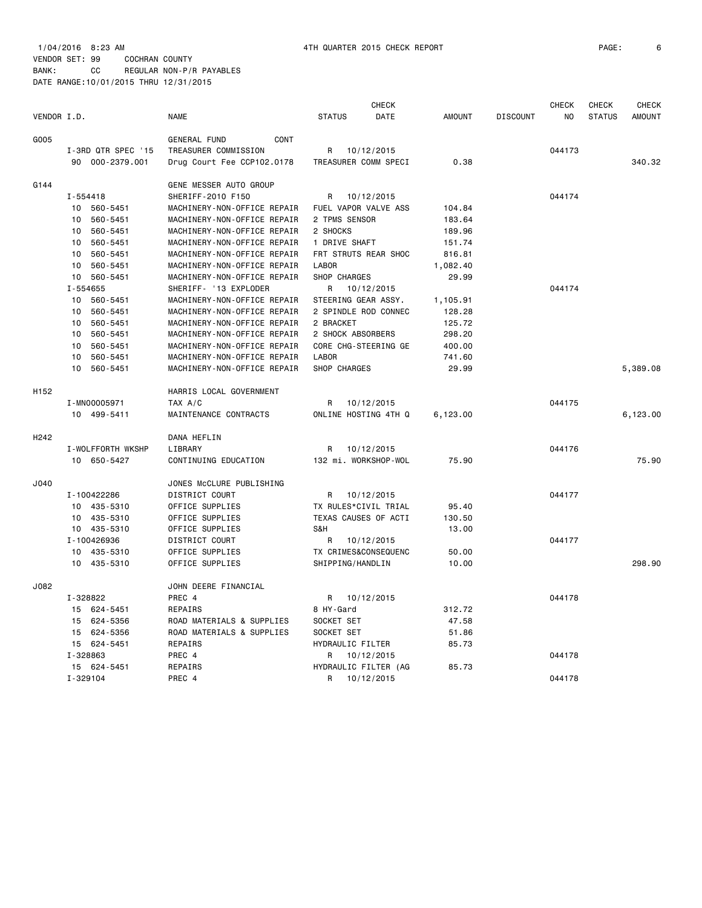|             |                    |                             | <b>CHECK</b>          |               |                 | <b>CHECK</b>   | <b>CHECK</b>  | <b>CHECK</b>  |
|-------------|--------------------|-----------------------------|-----------------------|---------------|-----------------|----------------|---------------|---------------|
| VENDOR I.D. |                    | <b>NAME</b>                 | <b>STATUS</b><br>DATE | <b>AMOUNT</b> | <b>DISCOUNT</b> | N <sub>O</sub> | <b>STATUS</b> | <b>AMOUNT</b> |
| G005        |                    | <b>GENERAL FUND</b><br>CONT |                       |               |                 |                |               |               |
|             | I-3RD QTR SPEC '15 | TREASURER COMMISSION        | R<br>10/12/2015       |               |                 | 044173         |               |               |
|             | 90 000-2379.001    | Drug Court Fee CCP102.0178  | TREASURER COMM SPECI  | 0.38          |                 |                |               | 340.32        |
| G144        |                    | GENE MESSER AUTO GROUP      |                       |               |                 |                |               |               |
|             | $I - 554418$       | SHERIFF-2010 F150           | 10/12/2015<br>R       |               |                 | 044174         |               |               |
|             | 10 560-5451        | MACHINERY-NON-OFFICE REPAIR | FUEL VAPOR VALVE ASS  | 104.84        |                 |                |               |               |
|             | 10<br>560-5451     | MACHINERY-NON-OFFICE REPAIR | 2 TPMS SENSOR         | 183.64        |                 |                |               |               |
|             | 10<br>560-5451     | MACHINERY-NON-OFFICE REPAIR | 2 SHOCKS              | 189.96        |                 |                |               |               |
|             | 560-5451<br>10     | MACHINERY-NON-OFFICE REPAIR | 1 DRIVE SHAFT         | 151.74        |                 |                |               |               |
|             | 10<br>560-5451     | MACHINERY-NON-OFFICE REPAIR | FRT STRUTS REAR SHOC  | 816.81        |                 |                |               |               |
|             | 560-5451<br>10     | MACHINERY-NON-OFFICE REPAIR | <b>LABOR</b>          | 1,082.40      |                 |                |               |               |
|             | 10<br>560-5451     | MACHINERY-NON-OFFICE REPAIR | SHOP CHARGES          | 29.99         |                 |                |               |               |
|             | I-554655           | SHERIFF- '13 EXPLODER       | R<br>10/12/2015       |               |                 | 044174         |               |               |
|             | 10<br>560-5451     | MACHINERY-NON-OFFICE REPAIR | STEERING GEAR ASSY.   | 1,105.91      |                 |                |               |               |
|             | 560-5451<br>10     | MACHINERY-NON-OFFICE REPAIR | 2 SPINDLE ROD CONNEC  | 128.28        |                 |                |               |               |
|             | 10<br>560-5451     | MACHINERY-NON-OFFICE REPAIR | 2 BRACKET             | 125.72        |                 |                |               |               |
|             | 560-5451<br>10     | MACHINERY-NON-OFFICE REPAIR | 2 SHOCK ABSORBERS     | 298.20        |                 |                |               |               |
|             | 10<br>560-5451     | MACHINERY-NON-OFFICE REPAIR | CORE CHG-STEERING GE  | 400.00        |                 |                |               |               |
|             | 560-5451<br>10     | MACHINERY-NON-OFFICE REPAIR | <b>LABOR</b>          | 741.60        |                 |                |               |               |
|             | 10<br>560-5451     | MACHINERY-NON-OFFICE REPAIR | SHOP CHARGES          | 29.99         |                 |                |               | 5,389.08      |
| H152        |                    | HARRIS LOCAL GOVERNMENT     |                       |               |                 |                |               |               |
|             | I-MN00005971       | TAX A/C                     | 10/12/2015<br>R       |               |                 | 044175         |               |               |
|             | 10 499-5411        | MAINTENANCE CONTRACTS       | ONLINE HOSTING 4TH Q  | 6,123.00      |                 |                |               | 6,123.00      |
| H242        |                    | DANA HEFLIN                 |                       |               |                 |                |               |               |
|             | I-WOLFFORTH WKSHP  | LIBRARY                     | 10/12/2015<br>R       |               |                 | 044176         |               |               |
|             | 10 650-5427        | CONTINUING EDUCATION        | 132 mi. WORKSHOP-WOL  | 75.90         |                 |                |               | 75.90         |
| J040        |                    | JONES McCLURE PUBLISHING    |                       |               |                 |                |               |               |
|             | I-100422286        | DISTRICT COURT              | R<br>10/12/2015       |               |                 | 044177         |               |               |
|             | 10<br>435-5310     | OFFICE SUPPLIES             | TX RULES*CIVIL TRIAL  | 95.40         |                 |                |               |               |
|             | 435-5310<br>10     | OFFICE SUPPLIES             | TEXAS CAUSES OF ACTI  | 130.50        |                 |                |               |               |
|             | 10 435-5310        | OFFICE SUPPLIES             | S&H                   | 13.00         |                 |                |               |               |
|             | I-100426936        | DISTRICT COURT              | R<br>10/12/2015       |               |                 | 044177         |               |               |
|             | 435-5310<br>10     | OFFICE SUPPLIES             | TX CRIMES&CONSEQUENC  | 50.00         |                 |                |               |               |
|             | 10 435-5310        | OFFICE SUPPLIES             | SHIPPING/HANDLIN      | 10.00         |                 |                |               | 298.90        |
| J082        |                    | JOHN DEERE FINANCIAL        |                       |               |                 |                |               |               |
|             | I-328822           | PREC 4                      | 10/12/2015<br>R       |               |                 | 044178         |               |               |
|             | 15 624-5451        | REPAIRS                     | 8 HY-Gard             | 312.72        |                 |                |               |               |
|             | 624-5356<br>15     | ROAD MATERIALS & SUPPLIES   | SOCKET SET            | 47.58         |                 |                |               |               |
|             | 15<br>624-5356     | ROAD MATERIALS & SUPPLIES   | SOCKET SET            | 51.86         |                 |                |               |               |
|             | 15 624-5451        | REPAIRS                     | HYDRAULIC FILTER      | 85.73         |                 |                |               |               |
|             | I-328863           | PREC 4                      | R<br>10/12/2015       |               |                 | 044178         |               |               |
|             | 15 624-5451        | REPAIRS                     | HYDRAULIC FILTER (AG  | 85.73         |                 |                |               |               |
|             | I-329104           | PREC 4                      | 10/12/2015<br>R       |               |                 | 044178         |               |               |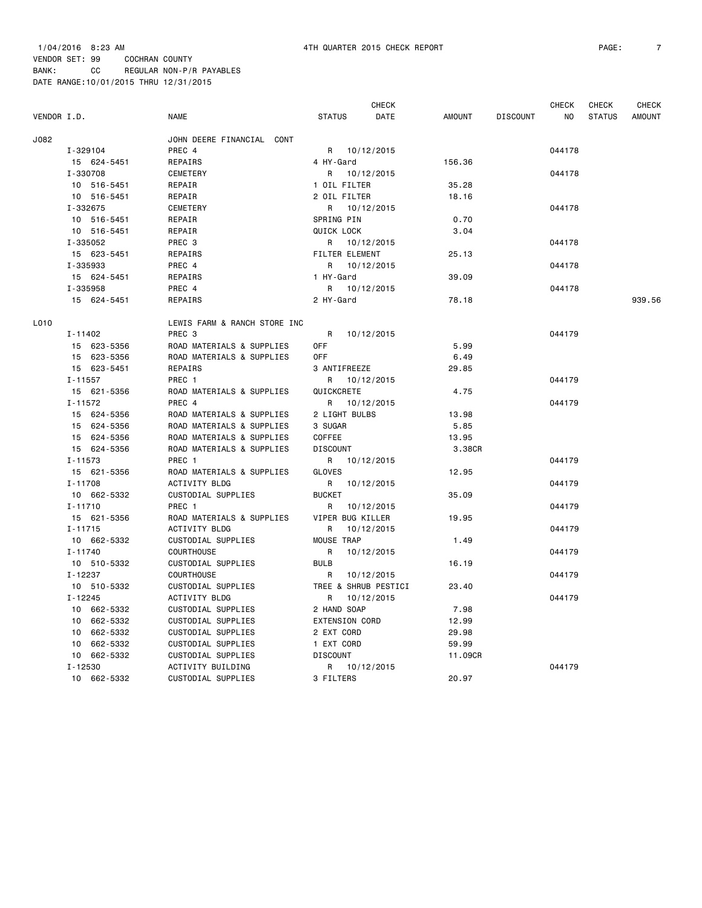| VENDOR I.D. |             | <b>NAME</b>                  | <b>STATUS</b>         | <b>CHECK</b><br>DATE | <b>AMOUNT</b> | <b>DISCOUNT</b> | <b>CHECK</b><br>NO | <b>CHECK</b><br><b>STATUS</b> | <b>CHECK</b><br><b>AMOUNT</b> |
|-------------|-------------|------------------------------|-----------------------|----------------------|---------------|-----------------|--------------------|-------------------------------|-------------------------------|
| J082        |             | JOHN DEERE FINANCIAL CONT    |                       |                      |               |                 |                    |                               |                               |
|             | I-329104    | PREC 4                       | R 10/12/2015          |                      |               |                 | 044178             |                               |                               |
|             | 15 624-5451 | REPAIRS                      | 4 HY-Gard             |                      | 156.36        |                 |                    |                               |                               |
|             | I-330708    | <b>CEMETERY</b>              | R                     | 10/12/2015           |               |                 | 044178             |                               |                               |
|             | 10 516-5451 | REPAIR                       | 1 OIL FILTER          |                      | 35.28         |                 |                    |                               |                               |
|             | 10 516-5451 | REPAIR                       | 2 OIL FILTER          |                      | 18.16         |                 |                    |                               |                               |
|             | I-332675    | CEMETERY                     | R 10/12/2015          |                      |               |                 | 044178             |                               |                               |
|             | 10 516-5451 | REPAIR                       | SPRING PIN            |                      | 0.70          |                 |                    |                               |                               |
|             | 10 516-5451 |                              | <b>QUICK LOCK</b>     |                      | 3.04          |                 |                    |                               |                               |
|             |             | REPAIR                       |                       |                      |               |                 |                    |                               |                               |
|             | I-335052    | PREC 3                       | R 10/12/2015          |                      |               |                 | 044178             |                               |                               |
|             | 15 623-5451 | REPAIRS                      | <b>FILTER ELEMENT</b> |                      | 25.13         |                 |                    |                               |                               |
|             | I-335933    | PREC 4                       | R 10/12/2015          |                      |               |                 | 044178             |                               |                               |
|             | 15 624-5451 | REPAIRS                      | 1 HY-Gard             |                      | 39.09         |                 |                    |                               |                               |
|             | I-335958    | PREC 4                       | R 10/12/2015          |                      |               |                 | 044178             |                               |                               |
|             | 15 624-5451 | REPAIRS                      | 2 HY-Gard             |                      | 78.18         |                 |                    |                               | 939.56                        |
| L010        |             | LEWIS FARM & RANCH STORE INC |                       |                      |               |                 |                    |                               |                               |
|             | I-11402     | PREC <sub>3</sub>            | R                     | 10/12/2015           |               |                 | 044179             |                               |                               |
|             | 15 623-5356 | ROAD MATERIALS & SUPPLIES    | <b>OFF</b>            |                      | 5.99          |                 |                    |                               |                               |
|             | 15 623-5356 | ROAD MATERIALS & SUPPLIES    | 0FF                   |                      | 6.49          |                 |                    |                               |                               |
|             | 15 623-5451 | REPAIRS                      | 3 ANTIFREEZE          |                      | 29.85         |                 |                    |                               |                               |
|             | $I - 11557$ | PREC 1                       | R 10/12/2015          |                      |               |                 | 044179             |                               |                               |
|             | 15 621-5356 | ROAD MATERIALS & SUPPLIES    | QUICKCRETE            |                      | 4.75          |                 |                    |                               |                               |
|             | $I - 11572$ | PREC 4                       | R 10/12/2015          |                      |               |                 | 044179             |                               |                               |
|             | 15 624-5356 | ROAD MATERIALS & SUPPLIES    | 2 LIGHT BULBS         |                      | 13.98         |                 |                    |                               |                               |
|             | 15 624-5356 | ROAD MATERIALS & SUPPLIES    | 3 SUGAR               |                      | 5.85          |                 |                    |                               |                               |
|             | 15 624-5356 | ROAD MATERIALS & SUPPLIES    | COFFEE                |                      | 13.95         |                 |                    |                               |                               |
|             | 15 624-5356 | ROAD MATERIALS & SUPPLIES    | <b>DISCOUNT</b>       |                      | 3.38CR        |                 |                    |                               |                               |
|             | $I - 11573$ | PREC <sub>1</sub>            | R 10/12/2015          |                      |               |                 | 044179             |                               |                               |
|             | 15 621-5356 | ROAD MATERIALS & SUPPLIES    | GLOVES                |                      | 12.95         |                 |                    |                               |                               |
|             | I-11708     | ACTIVITY BLDG                | R 10/12/2015          |                      |               |                 | 044179             |                               |                               |
|             | 10 662-5332 | CUSTODIAL SUPPLIES           | <b>BUCKET</b>         |                      | 35.09         |                 |                    |                               |                               |
|             | $I - 11710$ | PREC <sub>1</sub>            | R 10/12/2015          |                      |               |                 | 044179             |                               |                               |
|             | 15 621-5356 | ROAD MATERIALS & SUPPLIES    | VIPER BUG KILLER      |                      | 19.95         |                 |                    |                               |                               |
|             | $I - 11715$ | ACTIVITY BLDG                | R                     | 10/12/2015           |               |                 | 044179             |                               |                               |
|             | 10 662-5332 | CUSTODIAL SUPPLIES           | MOUSE TRAP            |                      | 1.49          |                 |                    |                               |                               |
|             | $I - 11740$ | <b>COURTHOUSE</b>            | R                     | 10/12/2015           |               |                 | 044179             |                               |                               |
|             | 10 510-5332 | CUSTODIAL SUPPLIES           | <b>BULB</b>           |                      | 16.19         |                 |                    |                               |                               |
|             | $I - 12237$ | <b>COURTHOUSE</b>            | R                     | 10/12/2015           |               |                 | 044179             |                               |                               |
|             | 10 510-5332 | CUSTODIAL SUPPLIES           | TREE & SHRUB PESTICI  |                      | 23,40         |                 |                    |                               |                               |
|             | $I - 12245$ | <b>ACTIVITY BLDG</b>         | R                     | 10/12/2015           |               |                 | 044179             |                               |                               |
|             | 10 662-5332 | CUSTODIAL SUPPLIES           | 2 HAND SOAP           |                      | 7.98          |                 |                    |                               |                               |
|             | 10 662-5332 | CUSTODIAL SUPPLIES           | <b>EXTENSION CORD</b> |                      | 12.99         |                 |                    |                               |                               |
|             | 10 662-5332 | CUSTODIAL SUPPLIES           | 2 EXT CORD            |                      | 29.98         |                 |                    |                               |                               |
|             | 10 662-5332 | CUSTODIAL SUPPLIES           | 1 EXT CORD            |                      | 59.99         |                 |                    |                               |                               |
|             | 10 662-5332 | CUSTODIAL SUPPLIES           | <b>DISCOUNT</b>       |                      | 11,09CR       |                 |                    |                               |                               |
|             | $I - 12530$ | ACTIVITY BUILDING            | R 10/12/2015          |                      |               |                 | 044179             |                               |                               |
|             |             |                              |                       |                      |               |                 |                    |                               |                               |

10 662-5332 CUSTODIAL SUPPLIES 3 FILTERS 20.97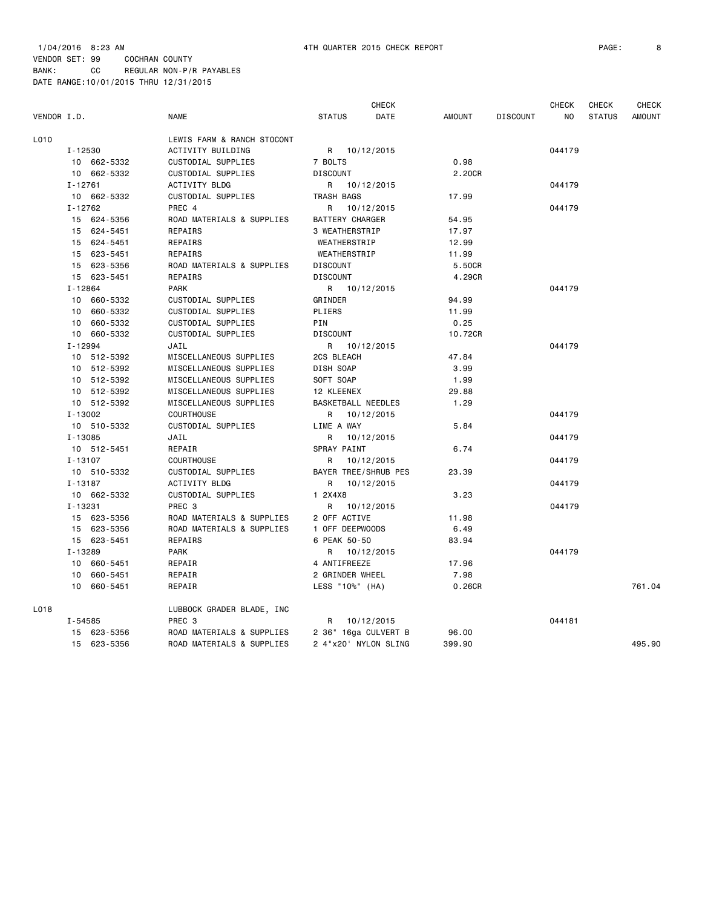|             |             |             | <b>CHECK</b>               |                        |            |               | <b>CHECK</b>    | <b>CHECK</b> | <b>CHECK</b>  |               |
|-------------|-------------|-------------|----------------------------|------------------------|------------|---------------|-----------------|--------------|---------------|---------------|
| VENDOR I.D. |             |             | <b>NAME</b>                | <b>STATUS</b>          | DATE       | <b>AMOUNT</b> | <b>DISCOUNT</b> | NO           | <b>STATUS</b> | <b>AMOUNT</b> |
| L010        |             |             | LEWIS FARM & RANCH STOCONT |                        |            |               |                 |              |               |               |
|             | I-12530     |             | ACTIVITY BUILDING          | R 10/12/2015           |            |               |                 | 044179       |               |               |
|             |             | 10 662-5332 | CUSTODIAL SUPPLIES         | 7 BOLTS                |            | 0.98          |                 |              |               |               |
|             |             | 10 662-5332 | CUSTODIAL SUPPLIES         | <b>DISCOUNT</b>        |            | 2.20CR        |                 |              |               |               |
|             | $I - 12761$ |             | <b>ACTIVITY BLDG</b>       | R 10/12/2015           |            |               |                 | 044179       |               |               |
|             |             | 10 662-5332 | CUSTODIAL SUPPLIES         | TRASH BAGS             |            | 17.99         |                 |              |               |               |
|             | $I - 12762$ |             | PREC 4                     | R 10/12/2015           |            |               |                 | 044179       |               |               |
|             |             | 15 624-5356 | ROAD MATERIALS & SUPPLIES  | <b>BATTERY CHARGER</b> |            | 54.95         |                 |              |               |               |
|             |             | 15 624-5451 | REPAIRS                    | 3 WEATHERSTRIP         |            | 17.97         |                 |              |               |               |
|             |             | 15 624-5451 | REPAIRS                    | WEATHERSTRIP           |            | 12.99         |                 |              |               |               |
|             |             | 15 623-5451 | <b>REPAIRS</b>             | WEATHERSTRIP           |            | 11.99         |                 |              |               |               |
|             |             | 15 623-5356 | ROAD MATERIALS & SUPPLIES  | <b>DISCOUNT</b>        |            | 5.50CR        |                 |              |               |               |
|             |             | 15 623-5451 | REPAIRS                    | <b>DISCOUNT</b>        |            | 4.29CR        |                 |              |               |               |
|             | $I - 12864$ |             | <b>PARK</b>                | R 10/12/2015           |            |               |                 | 044179       |               |               |
|             |             | 10 660-5332 | CUSTODIAL SUPPLIES         | GRINDER                |            | 94.99         |                 |              |               |               |
|             |             | 10 660-5332 | CUSTODIAL SUPPLIES         | PLIERS                 |            | 11.99         |                 |              |               |               |
|             |             | 10 660-5332 | CUSTODIAL SUPPLIES         | PIN                    |            | 0.25          |                 |              |               |               |
|             |             | 10 660-5332 | CUSTODIAL SUPPLIES         | <b>DISCOUNT</b>        |            | 10.72CR       |                 |              |               |               |
|             | $I - 12994$ |             | JAIL                       | R 10/12/2015           |            |               |                 | 044179       |               |               |
|             |             | 10 512-5392 | MISCELLANEOUS SUPPLIES     | 2CS BLEACH             |            | 47.84         |                 |              |               |               |
|             |             | 10 512-5392 | MISCELLANEOUS SUPPLIES     | DISH SOAP              |            | 3.99          |                 |              |               |               |
|             |             | 10 512-5392 | MISCELLANEOUS SUPPLIES     | SOFT SOAP              |            | 1.99          |                 |              |               |               |
|             |             | 10 512-5392 | MISCELLANEOUS SUPPLIES     | 12 KLEENEX             |            | 29.88         |                 |              |               |               |
|             |             | 10 512-5392 | MISCELLANEOUS SUPPLIES     | BASKETBALL NEEDLES     |            | 1.29          |                 |              |               |               |
|             | $I - 13002$ |             | COURTHOUSE                 | R 10/12/2015           |            |               |                 | 044179       |               |               |
|             |             | 10 510-5332 | <b>CUSTODIAL SUPPLIES</b>  | LIME A WAY             |            | 5.84          |                 |              |               |               |
|             | I-13085     |             | JAIL                       | R                      | 10/12/2015 |               |                 | 044179       |               |               |
|             |             | 10 512-5451 | REPAIR                     | SPRAY PAINT            |            | 6.74          |                 |              |               |               |
|             | $I - 13107$ |             | <b>COURTHOUSE</b>          | R                      | 10/12/2015 |               |                 | 044179       |               |               |
|             |             | 10 510-5332 | CUSTODIAL SUPPLIES         | BAYER TREE/SHRUB PES   |            | 23.39         |                 |              |               |               |
|             | I-13187     |             | ACTIVITY BLDG              | R 10/12/2015           |            |               |                 | 044179       |               |               |
|             |             | 10 662-5332 | CUSTODIAL SUPPLIES         | 1 2X4X8                |            | 3.23          |                 |              |               |               |
|             | $I - 13231$ |             | PREC <sub>3</sub>          | R 10/12/2015           |            |               |                 | 044179       |               |               |
|             |             | 15 623-5356 | ROAD MATERIALS & SUPPLIES  | 2 OFF ACTIVE           |            | 11.98         |                 |              |               |               |
|             |             | 15 623-5356 | ROAD MATERIALS & SUPPLIES  | 1 OFF DEEPWOODS        |            | 6.49          |                 |              |               |               |
|             |             | 15 623-5451 | REPAIRS                    | 6 PEAK 50-50           |            | 83.94         |                 |              |               |               |
|             | I-13289     |             | <b>PARK</b>                | R 10/12/2015           |            |               |                 | 044179       |               |               |
|             |             | 10 660-5451 | REPAIR                     | 4 ANTIFREEZE           |            | 17.96         |                 |              |               |               |
|             |             | 10 660-5451 | REPAIR                     | 2 GRINDER WHEEL        |            | 7.98          |                 |              |               |               |
|             |             | 10 660-5451 | REPAIR                     | LESS "10%" (HA)        |            | 0.26CR        |                 |              |               | 761.04        |
| L018        |             |             | LUBBOCK GRADER BLADE, INC  |                        |            |               |                 |              |               |               |
|             | I-54585     |             | PREC 3                     | R                      | 10/12/2015 |               |                 | 044181       |               |               |
|             |             | 15 623-5356 | ROAD MATERIALS & SUPPLIES  | 2 36" 16ga CULVERT B   |            | 96.00         |                 |              |               |               |
|             |             | 15 623-5356 | ROAD MATERIALS & SUPPLIES  | 2 4"x20' NYLON SLING   |            | 399.90        |                 |              |               | 495.90        |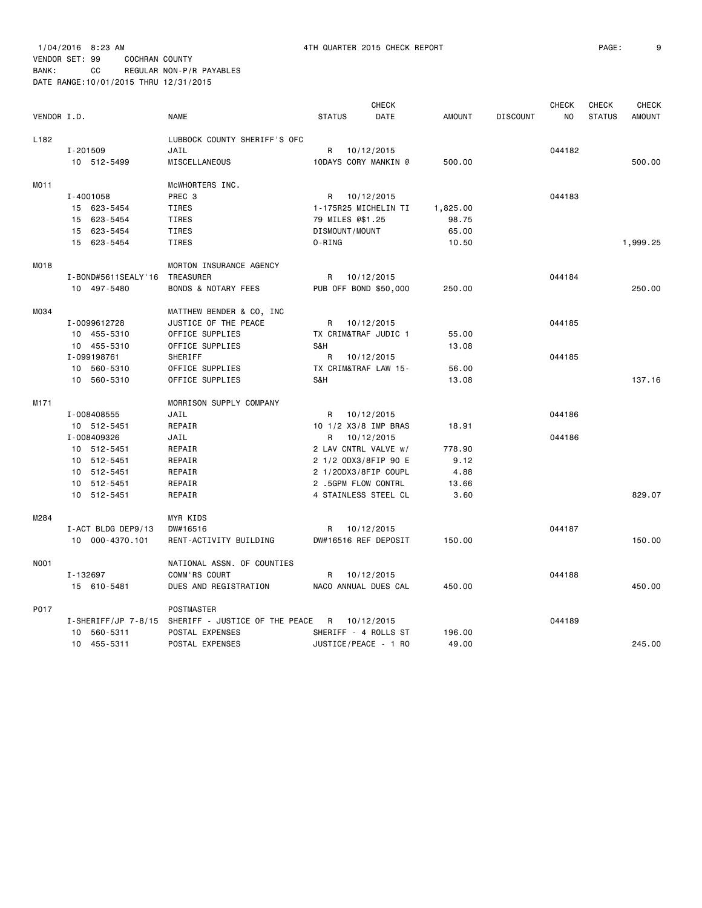| VENDOR I.D.      |                               | <b>NAME</b>                                        | <b>STATUS</b>    | <b>CHECK</b><br>DATE  | AMOUNT   | <b>DISCOUNT</b> | <b>CHECK</b><br>NO | <b>CHECK</b><br><b>STATUS</b> | <b>CHECK</b><br><b>AMOUNT</b> |
|------------------|-------------------------------|----------------------------------------------------|------------------|-----------------------|----------|-----------------|--------------------|-------------------------------|-------------------------------|
| L <sub>182</sub> |                               | LUBBOCK COUNTY SHERIFF'S OFC                       |                  |                       |          |                 |                    |                               |                               |
|                  | I-201509                      | JAIL                                               | R                | 10/12/2015            |          |                 | 044182             |                               |                               |
|                  | 10 512-5499                   | MISCELLANEOUS                                      |                  | 10DAYS CORY MANKIN @  | 500.00   |                 |                    |                               | 500.00                        |
| MO11             |                               | MCWHORTERS INC.                                    |                  |                       |          |                 |                    |                               |                               |
|                  | I-4001058                     | PREC 3                                             |                  | R 10/12/2015          |          |                 | 044183             |                               |                               |
|                  | 15 623-5454                   | TIRES                                              |                  | 1-175R25 MICHELIN TI  | 1,825.00 |                 |                    |                               |                               |
|                  | 15 623-5454                   | TIRES                                              | 79 MILES @\$1.25 |                       | 98.75    |                 |                    |                               |                               |
|                  | 15 623-5454                   | TIRES                                              | DISMOUNT/MOUNT   |                       | 65.00    |                 |                    |                               |                               |
|                  | 15 623-5454                   | TIRES                                              | 0-RING           |                       | 10.50    |                 |                    |                               | 1,999.25                      |
| M018             |                               | MORTON INSURANCE AGENCY                            |                  |                       |          |                 |                    |                               |                               |
|                  | I-BOND#5611SEALY'16 TREASURER |                                                    | R                | 10/12/2015            |          |                 | 044184             |                               |                               |
|                  | 10 497-5480                   | <b>BONDS &amp; NOTARY FEES</b>                     |                  | PUB OFF BOND \$50,000 | 250.00   |                 |                    |                               | 250,00                        |
| M034             |                               | MATTHEW BENDER & CO, INC                           |                  |                       |          |                 |                    |                               |                               |
|                  | I-0099612728                  | JUSTICE OF THE PEACE                               |                  | R 10/12/2015          |          |                 | 044185             |                               |                               |
|                  | 10 455-5310                   | OFFICE SUPPLIES                                    |                  | TX CRIM&TRAF JUDIC 1  | 55.00    |                 |                    |                               |                               |
|                  | 10 455-5310                   | OFFICE SUPPLIES                                    | S&H              |                       | 13.08    |                 |                    |                               |                               |
|                  | I-099198761                   | SHERIFF                                            | R                | 10/12/2015            |          |                 | 044185             |                               |                               |
|                  | 10 560-5310                   | OFFICE SUPPLIES                                    |                  | TX CRIM&TRAF LAW 15-  | 56.00    |                 |                    |                               |                               |
|                  | 10 560-5310                   | OFFICE SUPPLIES                                    | S&H              |                       | 13.08    |                 |                    |                               | 137.16                        |
| M171             |                               | MORRISON SUPPLY COMPANY                            |                  |                       |          |                 |                    |                               |                               |
|                  | I-008408555                   | JAIL                                               |                  | R 10/12/2015          |          |                 | 044186             |                               |                               |
|                  | 10 512-5451                   | REPAIR                                             |                  | 10 1/2 X3/8 IMP BRAS  | 18.91    |                 |                    |                               |                               |
|                  | I-008409326                   | JAIL                                               | R                | 10/12/2015            |          |                 | 044186             |                               |                               |
|                  | 10 512-5451                   | REPAIR                                             |                  | 2 LAV CNTRL VALVE w/  | 778.90   |                 |                    |                               |                               |
|                  | 10 512-5451                   | REPAIR                                             |                  | 2 1/2 ODX3/8FIP 90 E  | 9.12     |                 |                    |                               |                               |
|                  | 10 512-5451                   | REPAIR                                             |                  | 2 1/20DX3/8FIP COUPL  | 4.88     |                 |                    |                               |                               |
|                  | 10 512-5451                   | REPAIR                                             |                  | 2 .5GPM FLOW CONTRL   | 13.66    |                 |                    |                               |                               |
|                  | 10 512-5451                   | REPAIR                                             |                  | 4 STAINLESS STEEL CL  | 3.60     |                 |                    |                               | 829.07                        |
| M284             |                               | MYR KIDS                                           |                  |                       |          |                 |                    |                               |                               |
|                  | I-ACT BLDG DEP9/13            | DW#16516                                           |                  | R 10/12/2015          |          |                 | 044187             |                               |                               |
|                  | 10 000-4370.101               | RENT-ACTIVITY BUILDING                             |                  | DW#16516 REF DEPOSIT  | 150.00   |                 |                    |                               | 150.00                        |
| N001             |                               | NATIONAL ASSN. OF COUNTIES                         |                  |                       |          |                 |                    |                               |                               |
|                  | I-132697                      | COMM'RS COURT                                      | R                | 10/12/2015            |          |                 | 044188             |                               |                               |
|                  | 15 610-5481                   | DUES AND REGISTRATION                              |                  | NACO ANNUAL DUES CAL  | 450.00   |                 |                    |                               | 450.00                        |
| P017             |                               | POSTMASTER                                         |                  |                       |          |                 |                    |                               |                               |
|                  |                               | I-SHERIFF/JP 7-8/15 SHERIFF - JUSTICE OF THE PEACE | R                | 10/12/2015            |          |                 | 044189             |                               |                               |
|                  |                               |                                                    |                  |                       |          |                 |                    |                               |                               |

10 455-5311 POSTAL EXPENSES JUSTICE/PEACE - 1 RO 49.00 245.00

10 560-5311 POSTAL EXPENSES SHERIFF - 4 ROLLS ST 196.00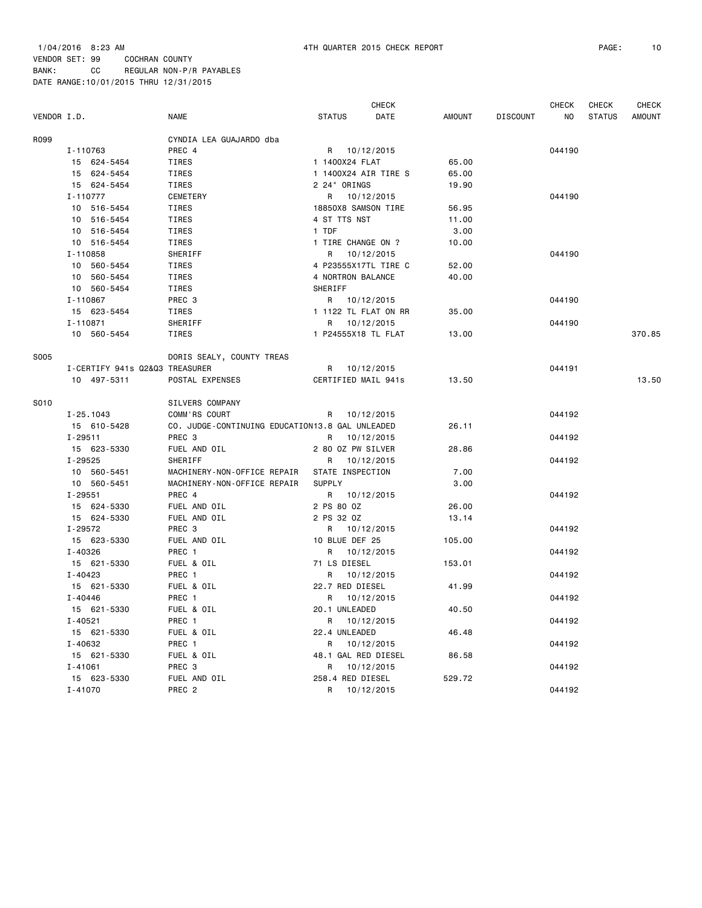|             |                                |                                                 |                      | <b>CHECK</b> |               |                 | <b>CHECK</b>   | <b>CHECK</b>  | <b>CHECK</b>  |
|-------------|--------------------------------|-------------------------------------------------|----------------------|--------------|---------------|-----------------|----------------|---------------|---------------|
| VENDOR I.D. |                                | NAME                                            | <b>STATUS</b>        | DATE         | <b>AMOUNT</b> | <b>DISCOUNT</b> | N <sub>O</sub> | <b>STATUS</b> | <b>AMOUNT</b> |
| R099        |                                | CYNDIA LEA GUAJARDO dba                         |                      |              |               |                 |                |               |               |
|             | I-110763                       | PREC 4                                          | R 10/12/2015         |              |               |                 | 044190         |               |               |
|             | 15 624-5454                    | TIRES                                           | 1 1400X24 FLAT       |              | 65.00         |                 |                |               |               |
|             | 15 624-5454                    | TIRES                                           | 1 1400X24 AIR TIRE S |              | 65.00         |                 |                |               |               |
|             | 15 624-5454                    | TIRES                                           | 2 24" ORINGS         |              | 19.90         |                 |                |               |               |
|             | I-110777                       | CEMETERY                                        | R                    | 10/12/2015   |               |                 | 044190         |               |               |
|             | 10 516-5454                    | TIRES                                           | 18850X8 SAMSON TIRE  |              | 56.95         |                 |                |               |               |
|             | 10 516-5454                    | TIRES                                           | 4 ST TTS NST         |              | 11.00         |                 |                |               |               |
|             | 10 516-5454                    | TIRES                                           | 1 TDF                |              | 3.00          |                 |                |               |               |
|             | 10 516-5454                    | TIRES                                           | 1 TIRE CHANGE ON ?   |              | 10.00         |                 |                |               |               |
|             | I-110858                       | SHERIFF                                         |                      | R 10/12/2015 |               |                 | 044190         |               |               |
|             | 10 560-5454                    | TIRES                                           | 4 P23555X17TL TIRE C |              | 52.00         |                 |                |               |               |
|             | 10 560-5454                    | TIRES                                           | 4 NORTRON BALANCE    |              | 40.00         |                 |                |               |               |
|             | 10 560-5454                    | TIRES                                           | SHERIFF              |              |               |                 |                |               |               |
|             | I-110867                       | PREC 3                                          | R 10/12/2015         |              |               |                 | 044190         |               |               |
|             | 15 623-5454                    | TIRES                                           | 1 1122 TL FLAT ON RR |              | 35.00         |                 |                |               |               |
|             | I-110871                       | SHERIFF                                         | R 10/12/2015         |              |               |                 | 044190         |               |               |
|             | 10 560-5454                    | TIRES                                           | 1 P24555X18 TL FLAT  |              | 13.00         |                 |                |               | 370.85        |
| <b>S005</b> |                                | DORIS SEALY, COUNTY TREAS                       |                      |              |               |                 |                |               |               |
|             | I-CERTIFY 941s Q2&Q3 TREASURER |                                                 | R 10/12/2015         |              |               |                 | 044191         |               |               |
|             | 10 497-5311                    | POSTAL EXPENSES                                 | CERTIFIED MAIL 941s  |              | 13.50         |                 |                |               | 13.50         |
| S010        |                                | SILVERS COMPANY                                 |                      |              |               |                 |                |               |               |
|             | $I - 25.1043$                  | COMM'RS COURT                                   | R 10/12/2015         |              |               |                 | 044192         |               |               |
|             | 15 610-5428                    | CO. JUDGE-CONTINUING EDUCATION13.8 GAL UNLEADED |                      |              | 26.11         |                 |                |               |               |
|             | $I - 29511$                    | PREC <sub>3</sub>                               | R 10/12/2015         |              |               |                 | 044192         |               |               |
|             | 15 623-5330                    | FUEL AND OIL                                    | 2 80 OZ PW SILVER    |              | 28.86         |                 |                |               |               |
|             | I-29525                        | SHERIFF                                         | R 10/12/2015         |              |               |                 | 044192         |               |               |
|             | 10 560-5451                    | MACHINERY-NON-OFFICE REPAIR                     | STATE INSPECTION     |              | 7.00          |                 |                |               |               |
|             | 10 560-5451                    | MACHINERY-NON-OFFICE REPAIR                     | <b>SUPPLY</b>        |              | 3.00          |                 |                |               |               |
|             | I-29551                        | PREC 4                                          | R 10/12/2015         |              |               |                 | 044192         |               |               |
|             | 15 624-5330                    | FUEL AND OIL                                    | 2 PS 80 0Z           |              | 26.00         |                 |                |               |               |
|             | 15 624-5330                    | FUEL AND OIL                                    | 2 PS 32 0Z           |              | 13.14         |                 |                |               |               |
|             | I-29572                        | PREC <sub>3</sub>                               | R 10/12/2015         |              |               |                 | 044192         |               |               |
|             | 15 623-5330                    | FUEL AND OIL                                    | 10 BLUE DEF 25       |              | 105.00        |                 |                |               |               |
|             | I-40326                        | PREC 1                                          | R 10/12/2015         |              |               |                 | 044192         |               |               |
|             | 15 621-5330                    | FUEL & OIL                                      | 71 LS DIESEL         |              | 153.01        |                 |                |               |               |
|             | $I - 40423$                    | PREC 1                                          |                      | R 10/12/2015 |               |                 | 044192         |               |               |
|             | 15 621-5330                    | FUEL & OIL                                      | 22.7 RED DIESEL      |              | 41.99         |                 |                |               |               |
|             | $I - 40446$                    | PREC 1                                          | R 10/12/2015         |              |               |                 | 044192         |               |               |
|             | 15 621-5330                    | FUEL & OIL                                      | 20.1 UNLEADED        |              | 40.50         |                 |                |               |               |
|             | $I - 40521$                    | PREC 1                                          | R 10/12/2015         |              |               |                 | 044192         |               |               |
|             | 15 621-5330                    | FUEL & OIL                                      | 22.4 UNLEADED        |              | 46.48         |                 |                |               |               |
|             | I-40632                        | PREC 1                                          | R 10/12/2015         |              |               |                 | 044192         |               |               |
|             | 15 621-5330                    | FUEL & OIL                                      | 48.1 GAL RED DIESEL  |              | 86.58         |                 |                |               |               |
|             | $I - 41061$                    | PREC <sub>3</sub>                               | R                    | 10/12/2015   |               |                 | 044192         |               |               |
|             | 15 623-5330                    | FUEL AND OIL                                    | 258.4 RED DIESEL     |              | 529.72        |                 |                |               |               |
|             | $I - 41070$                    | PREC <sub>2</sub>                               | R                    | 10/12/2015   |               |                 | 044192         |               |               |
|             |                                |                                                 |                      |              |               |                 |                |               |               |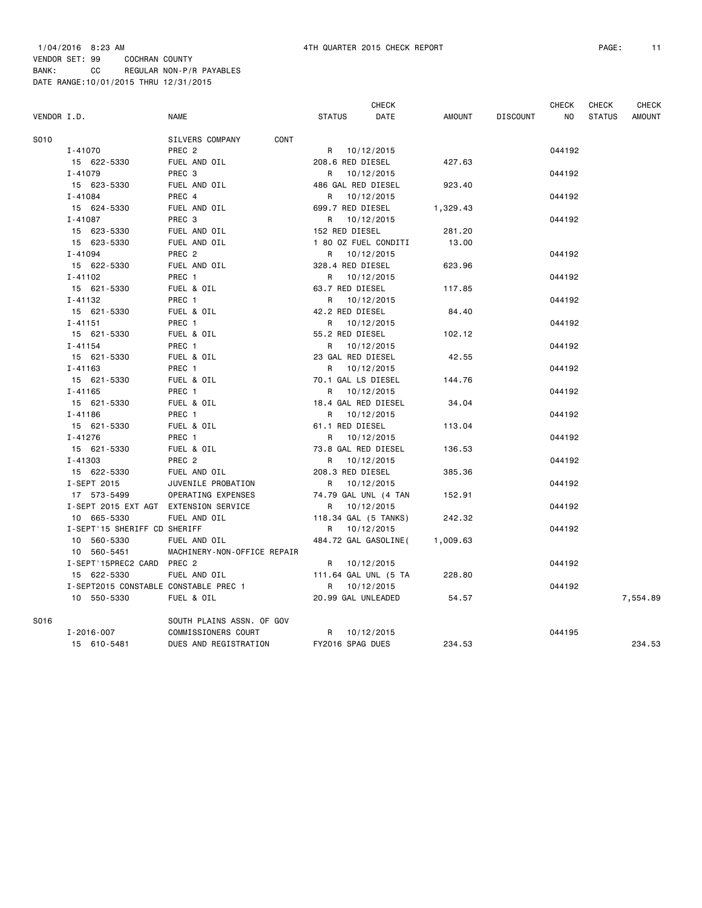|             |                                       |                             |                      | CHECK |          |                 | <b>CHECK</b> | <b>CHECK</b>  | <b>CHECK</b>  |
|-------------|---------------------------------------|-----------------------------|----------------------|-------|----------|-----------------|--------------|---------------|---------------|
| VENDOR I.D. |                                       | NAME                        | <b>STATUS</b>        | DATE  | AMOUNT   | <b>DISCOUNT</b> | NO.          | <b>STATUS</b> | <b>AMOUNT</b> |
| S010        |                                       | CONT<br>SILVERS COMPANY     |                      |       |          |                 |              |               |               |
|             | I-41070                               | PREC 2                      | R 10/12/2015         |       |          |                 | 044192       |               |               |
|             | 15 622-5330                           | FUEL AND OIL                | 208.6 RED DIESEL     |       | 427.63   |                 |              |               |               |
|             | $I - 41079$                           | PREC 3                      | R 10/12/2015         |       |          |                 | 044192       |               |               |
|             | 15 623-5330                           | FUEL AND OIL                | 486 GAL RED DIESEL   |       | 923.40   |                 |              |               |               |
|             | $I - 41084$                           | PREC 4                      | R 10/12/2015         |       |          |                 | 044192       |               |               |
|             | 15 624-5330                           | FUEL AND OIL                | 699.7 RED DIESEL     |       | 1,329.43 |                 |              |               |               |
|             | I-41087                               | PREC 3                      | R 10/12/2015         |       |          |                 | 044192       |               |               |
|             | 15 623-5330                           | FUEL AND OIL                | 152 RED DIESEL       |       | 281.20   |                 |              |               |               |
|             | 15 623-5330                           | FUEL AND OIL                | 1 80 OZ FUEL CONDITI |       | 13.00    |                 |              |               |               |
|             | $I - 41094$                           | PREC <sub>2</sub>           | R 10/12/2015         |       |          |                 | 044192       |               |               |
|             | 15 622-5330                           | FUEL AND OIL                | 328.4 RED DIESEL     |       | 623.96   |                 |              |               |               |
|             | I-41102                               | PREC 1                      | R 10/12/2015         |       |          |                 | 044192       |               |               |
|             | 15 621-5330                           | FUEL & OIL                  | 63.7 RED DIESEL      |       | 117.85   |                 |              |               |               |
|             | I-41132                               | PREC 1                      | R 10/12/2015         |       |          |                 | 044192       |               |               |
|             | 15 621-5330                           | FUEL & OIL                  | 42.2 RED DIESEL      |       | 84.40    |                 |              |               |               |
|             | $I - 41151$                           | PREC 1                      | R 10/12/2015         |       |          |                 | 044192       |               |               |
|             | 15 621-5330                           | FUEL & OIL                  | 55.2 RED DIESEL      |       | 102.12   |                 |              |               |               |
|             | $I - 41154$                           | PREC 1                      | R 10/12/2015         |       |          |                 | 044192       |               |               |
|             | 15 621-5330                           | FUEL & OIL                  | 23 GAL RED DIESEL    |       | 42.55    |                 |              |               |               |
|             | $I - 41163$                           | PREC 1                      | R 10/12/2015         |       |          |                 | 044192       |               |               |
|             | 15 621-5330                           | FUEL & OIL                  | 70.1 GAL LS DIESEL   |       | 144.76   |                 |              |               |               |
|             | $I - 41165$                           | PREC 1                      | R 10/12/2015         |       |          |                 | 044192       |               |               |
|             | 15 621-5330                           | FUEL & OIL                  | 18.4 GAL RED DIESEL  |       | 34.04    |                 |              |               |               |
|             | $I - 41186$                           | PREC 1                      | R 10/12/2015         |       |          |                 | 044192       |               |               |
|             | 15 621-5330                           | FUEL & OIL                  | 61.1 RED DIESEL      |       | 113.04   |                 |              |               |               |
|             | $I - 41276$                           | PREC 1                      | R 10/12/2015         |       |          |                 | 044192       |               |               |
|             | 15 621-5330                           | FUEL & OIL                  | 73.8 GAL RED DIESEL  |       | 136.53   |                 |              |               |               |
|             | $I - 41303$                           | PREC <sub>2</sub>           | R 10/12/2015         |       |          |                 | 044192       |               |               |
|             | 15 622-5330                           | FUEL AND OIL                | 208.3 RED DIESEL     |       | 385.36   |                 |              |               |               |
|             | I-SEPT 2015                           | JUVENILE PROBATION          | R 10/12/2015         |       |          |                 | 044192       |               |               |
|             | 17 573-5499                           | OPERATING EXPENSES          | 74.79 GAL UNL (4 TAN |       | 152.91   |                 |              |               |               |
|             | I-SEPT 2015 EXT AGT EXTENSION SERVICE |                             | R 10/12/2015         |       |          |                 | 044192       |               |               |
|             | 10 665-5330                           | FUEL AND OIL                | 118.34 GAL (5 TANKS) |       | 242.32   |                 |              |               |               |
|             | I-SEPT'15 SHERIFF CD SHERIFF          |                             | R 10/12/2015         |       |          |                 | 044192       |               |               |
|             | 10 560-5330                           | FUEL AND OIL                | 484.72 GAL GASOLINE( |       | 1,009.63 |                 |              |               |               |
|             | 10 560-5451                           | MACHINERY-NON-OFFICE REPAIR |                      |       |          |                 |              |               |               |
|             | I-SEPT'15PREC2 CARD PREC 2            |                             | R 10/12/2015         |       |          |                 | 044192       |               |               |
|             | 15 622-5330                           | FUEL AND OIL                | 111.64 GAL UNL (5 TA |       | 228,80   |                 |              |               |               |
|             | I-SEPT2015 CONSTABLE CONSTABLE PREC 1 |                             | R 10/12/2015         |       |          |                 | 044192       |               |               |
|             | 10 550-5330                           | FUEL & OIL                  | 20.99 GAL UNLEADED   |       | 54.57    |                 |              |               | 7,554.89      |
| S016        |                                       | SOUTH PLAINS ASSN. OF GOV   |                      |       |          |                 |              |               |               |
|             | $I - 2016 - 007$                      | COMMISSIONERS COURT         | R 10/12/2015         |       |          |                 | 044195       |               |               |
|             | 15 610-5481                           | DUES AND REGISTRATION       | FY2016 SPAG DUES     |       | 234.53   |                 |              |               | 234.53        |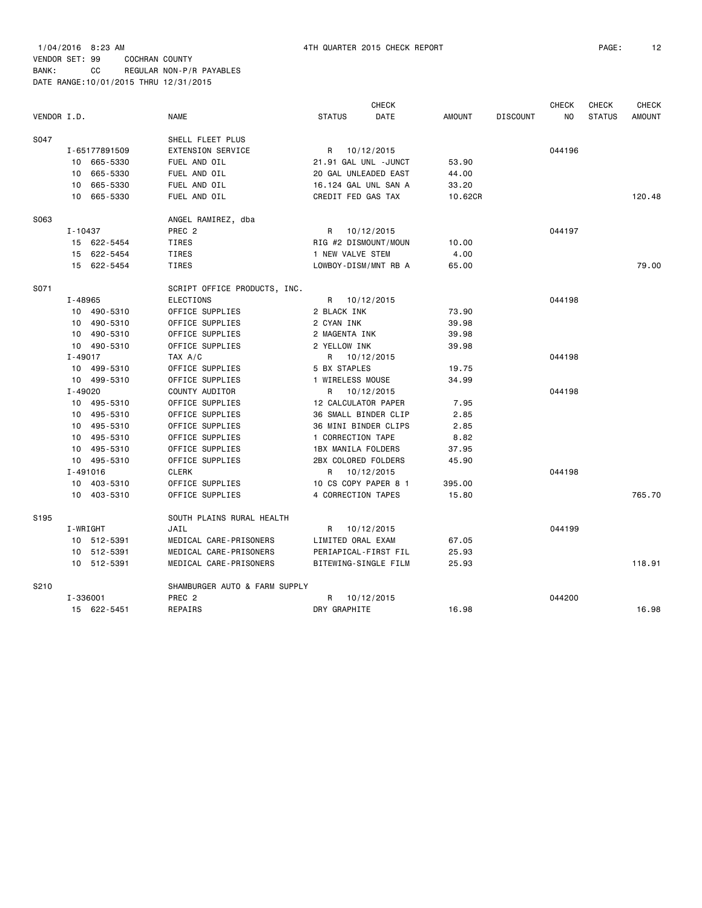| VENDOR I.D.      |                            |                         | <b>NAME</b>                   | <b>STATUS</b>       | <b>CHECK</b><br>DATE | <b>AMOUNT</b>    | <b>DISCOUNT</b> | <b>CHECK</b><br>N <sub>O</sub> | <b>CHECK</b><br><b>STATUS</b> | <b>CHECK</b><br><b>AMOUNT</b> |
|------------------|----------------------------|-------------------------|-------------------------------|---------------------|----------------------|------------------|-----------------|--------------------------------|-------------------------------|-------------------------------|
|                  |                            |                         |                               |                     |                      |                  |                 |                                |                               |                               |
| S047             |                            |                         | SHELL FLEET PLUS              |                     |                      |                  |                 |                                |                               |                               |
|                  |                            | I-65177891509           | <b>EXTENSION SERVICE</b>      | R                   | 10/12/2015           |                  |                 | 044196                         |                               |                               |
|                  |                            | 10 665-5330             | FUEL AND OIL                  |                     | 21.91 GAL UNL -JUNCT | 53.90            |                 |                                |                               |                               |
|                  | 10                         | 665-5330                | FUEL AND OIL                  |                     | 20 GAL UNLEADED EAST | 44.00            |                 |                                |                               |                               |
|                  | 10                         | 665-5330<br>10 665-5330 | FUEL AND OIL<br>FUEL AND OIL  | CREDIT FED GAS TAX  | 16.124 GAL UNL SAN A | 33.20<br>10.62CR |                 |                                |                               | 120.48                        |
| S063             |                            |                         | ANGEL RAMIREZ, dba            |                     |                      |                  |                 |                                |                               |                               |
|                  | I-10437                    |                         | PREC <sub>2</sub>             | R                   | 10/12/2015           |                  |                 | 044197                         |                               |                               |
|                  |                            | 15 622-5454             | TIRES                         |                     | RIG #2 DISMOUNT/MOUN | 10.00            |                 |                                |                               |                               |
|                  |                            | 15 622-5454             | TIRES                         | 1 NEW VALVE STEM    |                      | 4.00             |                 |                                |                               |                               |
|                  |                            | 15 622-5454             | TIRES                         |                     | LOWBOY-DISM/MNT RB A | 65.00            |                 |                                |                               | 79.00                         |
| S071             |                            |                         | SCRIPT OFFICE PRODUCTS, INC.  |                     |                      |                  |                 |                                |                               |                               |
|                  | I-48965                    |                         | <b>ELECTIONS</b>              |                     | R 10/12/2015         |                  |                 | 044198                         |                               |                               |
|                  |                            | 10 490-5310             | OFFICE SUPPLIES               | 2 BLACK INK         |                      | 73.90            |                 |                                |                               |                               |
|                  |                            | 10 490-5310             | OFFICE SUPPLIES               | 2 CYAN INK          |                      | 39.98            |                 |                                |                               |                               |
|                  |                            | 10 490-5310             | OFFICE SUPPLIES               | 2 MAGENTA INK       |                      | 39.98            |                 |                                |                               |                               |
|                  |                            |                         | OFFICE SUPPLIES               | 2 YELLOW INK        |                      | 39.98            |                 |                                |                               |                               |
|                  | 10 490-5310<br>$I - 49017$ | TAX A/C                 |                               | R 10/12/2015        |                      |                  | 044198          |                                |                               |                               |
|                  |                            | 10 499-5310             | OFFICE SUPPLIES               | 5 BX STAPLES        |                      | 19.75            |                 |                                |                               |                               |
|                  |                            | 10 499-5310             | OFFICE SUPPLIES               | 1 WIRELESS MOUSE    |                      | 34.99            |                 |                                |                               |                               |
|                  | $I - 49020$                |                         | COUNTY AUDITOR                |                     | R 10/12/2015         |                  |                 | 044198                         |                               |                               |
|                  |                            | 10 495-5310             | OFFICE SUPPLIES               | 12 CALCULATOR PAPER |                      | 7.95             |                 |                                |                               |                               |
|                  |                            | 10 495-5310             | OFFICE SUPPLIES               |                     | 36 SMALL BINDER CLIP | 2.85             |                 |                                |                               |                               |
|                  |                            | 10 495-5310             | OFFICE SUPPLIES               |                     | 36 MINI BINDER CLIPS | 2.85             |                 |                                |                               |                               |
|                  |                            | 10 495-5310             | OFFICE SUPPLIES               | 1 CORRECTION TAPE   |                      | 8.82             |                 |                                |                               |                               |
|                  |                            | 10 495-5310             | OFFICE SUPPLIES               | 1BX MANILA FOLDERS  |                      | 37.95            |                 |                                |                               |                               |
|                  |                            | 10 495-5310             | OFFICE SUPPLIES               | 2BX COLORED FOLDERS |                      | 45.90            |                 |                                |                               |                               |
|                  |                            | I-491016                | <b>CLERK</b>                  |                     | R 10/12/2015         |                  |                 | 044198                         |                               |                               |
|                  |                            | 10 403-5310             | OFFICE SUPPLIES               |                     | 10 CS COPY PAPER 8 1 | 395.00           |                 |                                |                               |                               |
|                  |                            | 10 403-5310             | OFFICE SUPPLIES               | 4 CORRECTION TAPES  |                      | 15.80            |                 |                                |                               | 765.70                        |
| S <sub>195</sub> |                            |                         | SOUTH PLAINS RURAL HEALTH     |                     |                      |                  |                 |                                |                               |                               |
|                  |                            | I-WRIGHT                | JAIL                          | R                   | 10/12/2015           |                  |                 | 044199                         |                               |                               |
|                  |                            | 10 512-5391             | MEDICAL CARE-PRISONERS        | LIMITED ORAL EXAM   |                      | 67.05            |                 |                                |                               |                               |
|                  |                            | 10 512-5391             | MEDICAL CARE-PRISONERS        |                     | PERIAPICAL-FIRST FIL | 25.93            |                 |                                |                               |                               |
|                  |                            | 10 512-5391             | MEDICAL CARE-PRISONERS        |                     | BITEWING-SINGLE FILM | 25.93            |                 |                                |                               | 118.91                        |
| S210             |                            |                         | SHAMBURGER AUTO & FARM SUPPLY |                     |                      |                  |                 |                                |                               |                               |
|                  |                            | I-336001                | PREC <sub>2</sub>             |                     | R 10/12/2015         |                  |                 | 044200                         |                               |                               |
|                  |                            | 15 622-5451             | <b>REPAIRS</b>                | DRY GRAPHITE        |                      | 16.98            |                 |                                |                               | 16.98                         |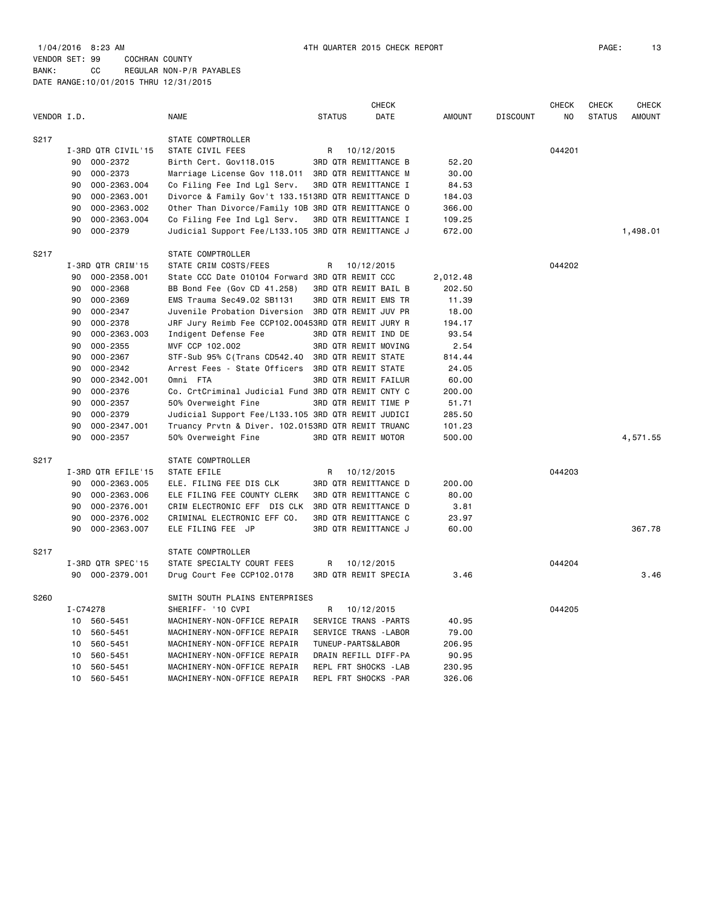1/04/2016 8:23 AM 4TH QUARTER 2015 CHECK REPORT PAGE: 13 VENDOR SET: 99 COCHRAN COUNTY BANK: CC REGULAR NON-P/R PAYABLES DATE RANGE:10/01/2015 THRU 12/31/2015

| VENDOR I.D. |                    | <b>NAME</b>                                        | <b>CHECK</b><br><b>STATUS</b><br>DATE | <b>AMOUNT</b> | <b>DISCOUNT</b> | <b>CHECK</b><br>NO. | <b>CHECK</b><br><b>STATUS</b> | <b>CHECK</b><br><b>AMOUNT</b> |
|-------------|--------------------|----------------------------------------------------|---------------------------------------|---------------|-----------------|---------------------|-------------------------------|-------------------------------|
| S217        |                    | STATE COMPTROLLER                                  |                                       |               |                 |                     |                               |                               |
|             | I-3RD QTR CIVIL'15 | STATE CIVIL FEES                                   | R<br>10/12/2015                       |               |                 | 044201              |                               |                               |
|             | 000-2372<br>90     | Birth Cert. Gov118.015                             | <b>3RD QTR REMITTANCE B</b>           | 52.20         |                 |                     |                               |                               |
|             | 90<br>000-2373     | Marriage License Gov 118.011                       | <b>3RD QTR REMITTANCE M</b>           | 30.00         |                 |                     |                               |                               |
|             | 90<br>000-2363.004 | Co Filing Fee Ind Lgl Serv.                        | 3RD QTR REMITTANCE I                  | 84.53         |                 |                     |                               |                               |
|             | 000-2363.001<br>90 | Divorce & Family Gov't 133.1513RD QTR REMITTANCE D |                                       | 184.03        |                 |                     |                               |                               |
|             | 90<br>000-2363.002 | Other Than Divorce/Family 10B 3RD QTR REMITTANCE O |                                       | 366.00        |                 |                     |                               |                               |
|             | 90<br>000-2363.004 | Co Filing Fee Ind Lgl Serv.                        | 3RD QTR REMITTANCE I                  | 109.25        |                 |                     |                               |                               |
|             | 90<br>000-2379     | Judicial Support Fee/L133.105 3RD QTR REMITTANCE J |                                       | 672.00        |                 |                     |                               | 1,498.01                      |
| S217        |                    | STATE COMPTROLLER                                  |                                       |               |                 |                     |                               |                               |
|             | I-3RD QTR CRIM'15  | STATE CRIM COSTS/FEES                              | 10/12/2015<br>R                       |               |                 | 044202              |                               |                               |
|             | 90<br>000-2358.001 | State CCC Date 010104 Forward 3RD QTR REMIT CCC    |                                       | 2,012.48      |                 |                     |                               |                               |
|             | 90<br>000-2368     | BB Bond Fee (Gov CD 41.258)                        | 3RD QTR REMIT BAIL B                  | 202.50        |                 |                     |                               |                               |
|             | 000-2369<br>90     | EMS Trauma Sec49.02 SB1131                         | <b>3RD QTR REMIT EMS TR</b>           | 11.39         |                 |                     |                               |                               |
|             | 000-2347<br>90     | Juvenile Probation Diversion 3RD QTR REMIT JUV PR  |                                       | 18.00         |                 |                     |                               |                               |
|             | 000-2378<br>90     | JRF Jury Reimb Fee CCP102.00453RD QTR REMIT JURY R |                                       | 194.17        |                 |                     |                               |                               |
|             | 90<br>000-2363.003 | Indigent Defense Fee                               | 3RD QTR REMIT IND DE                  | 93.54         |                 |                     |                               |                               |
|             | 90<br>$000 - 2355$ | MVF CCP 102.002                                    | <b>3RD QTR REMIT MOVING</b>           | 2.54          |                 |                     |                               |                               |
|             | 90<br>$000 - 2367$ | STF-Sub 95% C(Trans CD542.40                       | <b>3RD QTR REMIT STATE</b>            | 814.44        |                 |                     |                               |                               |
|             | 90<br>000-2342     | Arrest Fees - State Officers 3RD QTR REMIT STATE   |                                       | 24.05         |                 |                     |                               |                               |
|             | 90<br>000-2342.001 | Omni FTA                                           | 3RD QTR REMIT FAILUR                  | 60.00         |                 |                     |                               |                               |
|             | 000-2376<br>90     | Co. CrtCriminal Judicial Fund 3RD QTR REMIT CNTY C |                                       | 200.00        |                 |                     |                               |                               |
|             | 90<br>$000 - 2357$ | 50% Overweight Fine                                | 3RD QTR REMIT TIME P                  | 51.71         |                 |                     |                               |                               |
|             | 90<br>000-2379     | Judicial Support Fee/L133.105 3RD QTR REMIT JUDICI |                                       | 285.50        |                 |                     |                               |                               |
|             | 000-2347.001<br>90 | Truancy Prvtn & Diver. 102.0153RD QTR REMIT TRUANC |                                       | 101.23        |                 |                     |                               |                               |
|             | 90<br>$000 - 2357$ | 50% Overweight Fine                                | <b>3RD QTR REMIT MOTOR</b>            | 500.00        |                 |                     |                               | 4,571.55                      |
| S217        |                    | STATE COMPTROLLER                                  |                                       |               |                 |                     |                               |                               |
|             | I-3RD QTR EFILE'15 | STATE EFILE                                        | R<br>10/12/2015                       |               |                 | 044203              |                               |                               |
|             | 000-2363.005<br>90 | ELE. FILING FEE DIS CLK                            | <b>3RD QTR REMITTANCE D</b>           | 200.00        |                 |                     |                               |                               |
|             | 90<br>000-2363.006 | ELE FILING FEE COUNTY CLERK                        | <b>3RD QTR REMITTANCE C</b>           | 80.00         |                 |                     |                               |                               |
|             | 90<br>000-2376.001 | CRIM ELECTRONIC EFF DIS CLK                        | <b>3RD QTR REMITTANCE D</b>           | 3.81          |                 |                     |                               |                               |
|             | 000-2376.002<br>90 | CRIMINAL ELECTRONIC EFF CO.                        | <b>3RD QTR REMITTANCE C</b>           | 23.97         |                 |                     |                               |                               |
|             | 90<br>000-2363.007 | ELE FILING FEE JP                                  | <b>3RD QTR REMITTANCE J</b>           | 60.00         |                 |                     |                               | 367.78                        |
| S217        |                    | STATE COMPTROLLER                                  |                                       |               |                 |                     |                               |                               |
|             | I-3RD QTR SPEC'15  | STATE SPECIALTY COURT FEES                         | R<br>10/12/2015                       |               |                 | 044204              |                               |                               |
|             | 90 000-2379.001    | Drug Court Fee CCP102.0178                         | <b>3RD QTR REMIT SPECIA</b>           | 3.46          |                 |                     |                               | 3.46                          |
| S260        |                    | SMITH SOUTH PLAINS ENTERPRISES                     |                                       |               |                 |                     |                               |                               |
|             | I-C74278           | SHERIFF- '10 CVPI                                  | R<br>10/12/2015                       |               |                 | 044205              |                               |                               |
|             | 10 560-5451        | MACHINERY-NON-OFFICE REPAIR                        | SERVICE TRANS - PARTS                 | 40.95         |                 |                     |                               |                               |
|             | 10<br>560-5451     | MACHINERY-NON-OFFICE REPAIR                        | SERVICE TRANS - LABOR                 | 79.00         |                 |                     |                               |                               |
|             | 560-5451<br>10     | MACHINERY-NON-OFFICE REPAIR                        | TUNEUP-PARTS&LABOR                    | 206.95        |                 |                     |                               |                               |
|             | 560-5451<br>10     | MACHINERY-NON-OFFICE REPAIR                        | DRAIN REFILL DIFF-PA                  | 90.95         |                 |                     |                               |                               |
|             | 10<br>560-5451     | MACHINERY-NON-OFFICE REPAIR                        | REPL FRT SHOCKS - LAB                 | 230.95        |                 |                     |                               |                               |

10 560-5451 MACHINERY-NON-OFFICE REPAIR REPL FRT SHOCKS -PAR 326.06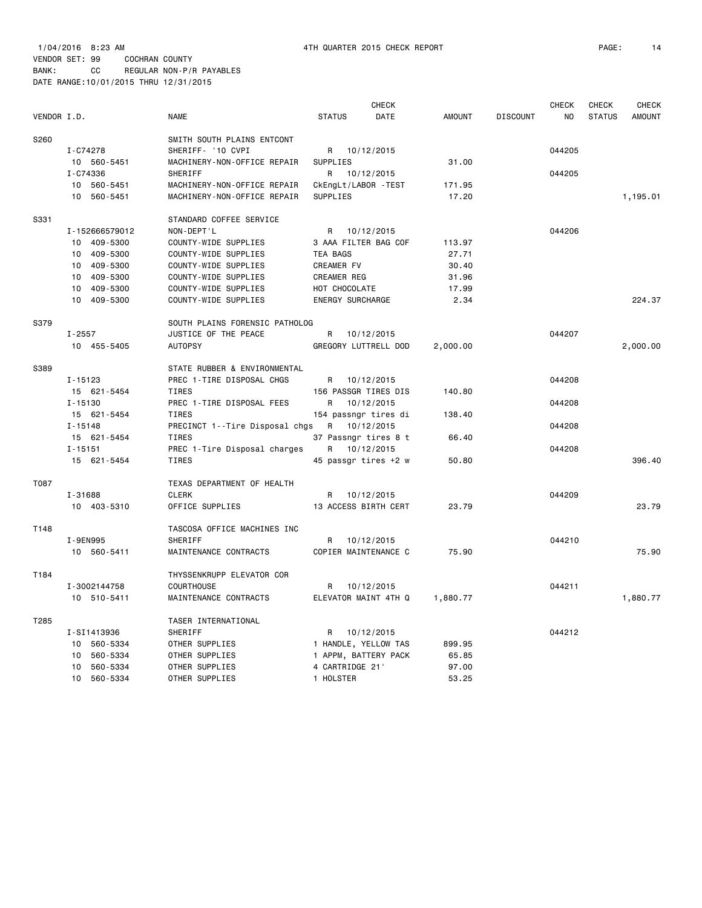| VENDOR I.D. |                | <b>NAME</b>                    | <b>STATUS</b>           | <b>CHECK</b><br>DATE | <b>AMOUNT</b> | <b>DISCOUNT</b> | <b>CHECK</b><br>N <sub>0</sub> | <b>CHECK</b><br><b>STATUS</b> | <b>CHECK</b><br><b>AMOUNT</b> |
|-------------|----------------|--------------------------------|-------------------------|----------------------|---------------|-----------------|--------------------------------|-------------------------------|-------------------------------|
| S260        |                | SMITH SOUTH PLAINS ENTCONT     |                         |                      |               |                 |                                |                               |                               |
|             | I-C74278       | SHERIFF- '10 CVPI              |                         | R 10/12/2015         |               |                 | 044205                         |                               |                               |
|             | 10 560-5451    | MACHINERY-NON-OFFICE REPAIR    | <b>SUPPLIES</b>         |                      | 31.00         |                 |                                |                               |                               |
|             | I-C74336       | <b>SHERIFF</b>                 | R.                      | 10/12/2015           |               |                 | 044205                         |                               |                               |
|             | 10 560-5451    | MACHINERY-NON-OFFICE REPAIR    | CkEngLt/LABOR - TEST    |                      | 171.95        |                 |                                |                               |                               |
|             | 10 560-5451    | MACHINERY-NON-OFFICE REPAIR    | SUPPLIES                |                      | 17.20         |                 |                                |                               | 1,195.01                      |
| S331        |                | STANDARD COFFEE SERVICE        |                         |                      |               |                 |                                |                               |                               |
|             | I-152666579012 | NON-DEPT'L                     | R                       | 10/12/2015           |               |                 | 044206                         |                               |                               |
|             | 10 409-5300    | COUNTY-WIDE SUPPLIES           |                         | 3 AAA FILTER BAG COF | 113.97        |                 |                                |                               |                               |
|             | 10 409-5300    | COUNTY-WIDE SUPPLIES           | <b>TEA BAGS</b>         |                      | 27.71         |                 |                                |                               |                               |
|             | 10 409-5300    | COUNTY-WIDE SUPPLIES           | CREAMER FV              |                      | 30.40         |                 |                                |                               |                               |
|             | 10 409-5300    | COUNTY-WIDE SUPPLIES           | <b>CREAMER REG</b>      |                      | 31.96         |                 |                                |                               |                               |
|             | 409-5300<br>10 | COUNTY-WIDE SUPPLIES           | HOT CHOCOLATE           |                      | 17.99         |                 |                                |                               |                               |
|             | 10 409-5300    | COUNTY-WIDE SUPPLIES           | <b>ENERGY SURCHARGE</b> |                      | 2.34          |                 |                                |                               | 224.37                        |
| S379        |                | SOUTH PLAINS FORENSIC PATHOLOG |                         |                      |               |                 |                                |                               |                               |
|             | $I - 2557$     | JUSTICE OF THE PEACE           | R                       | 10/12/2015           |               |                 | 044207                         |                               |                               |
|             | 10 455-5405    | <b>AUTOPSY</b>                 |                         | GREGORY LUTTRELL DOD | 2,000.00      |                 |                                |                               | 2,000.00                      |
| S389        |                | STATE RUBBER & ENVIRONMENTAL   |                         |                      |               |                 |                                |                               |                               |
|             | $I - 15123$    | PREC 1-TIRE DISPOSAL CHGS      | R                       | 10/12/2015           |               |                 | 044208                         |                               |                               |
|             | 15 621-5454    | TIRES                          |                         | 156 PASSGR TIRES DIS | 140.80        |                 |                                |                               |                               |
|             | I-15130        | PREC 1-TIRE DISPOSAL FEES      | R                       | 10/12/2015           |               |                 | 044208                         |                               |                               |
|             | 15 621-5454    | TIRES                          |                         | 154 passngr tires di | 138.40        |                 |                                |                               |                               |
|             | $I - 15148$    | PRECINCT 1--Tire Disposal chgs | R                       | 10/12/2015           |               |                 | 044208                         |                               |                               |
|             | 15 621-5454    | <b>TIRES</b>                   |                         | 37 Passngr tires 8 t | 66.40         |                 |                                |                               |                               |
|             | $I - 15151$    | PREC 1-Tire Disposal charges   | R                       | 10/12/2015           |               |                 | 044208                         |                               |                               |
|             | 15 621-5454    | <b>TIRES</b>                   |                         | 45 passgr tires +2 w | 50.80         |                 |                                |                               | 396.40                        |
| T087        |                | TEXAS DEPARTMENT OF HEALTH     |                         |                      |               |                 |                                |                               |                               |
|             | I-31688        | <b>CLERK</b>                   | R                       | 10/12/2015           |               |                 | 044209                         |                               |                               |
|             | 10 403-5310    | OFFICE SUPPLIES                |                         | 13 ACCESS BIRTH CERT | 23.79         |                 |                                |                               | 23.79                         |
| T148        |                | TASCOSA OFFICE MACHINES INC    |                         |                      |               |                 |                                |                               |                               |
|             | I-9EN995       | SHERIFF                        | R                       | 10/12/2015           |               |                 | 044210                         |                               |                               |
|             | 10 560-5411    | MAINTENANCE CONTRACTS          |                         | COPIER MAINTENANCE C | 75.90         |                 |                                |                               | 75.90                         |
| T184        |                | THYSSENKRUPP ELEVATOR COR      |                         |                      |               |                 |                                |                               |                               |
|             | I-3002144758   | <b>COURTHOUSE</b>              | R                       | 10/12/2015           |               |                 | 044211                         |                               |                               |
|             | 10 510-5411    | MAINTENANCE CONTRACTS          |                         | ELEVATOR MAINT 4TH Q | 1,880.77      |                 |                                |                               | 1,880.77                      |
| T285        |                | TASER INTERNATIONAL            |                         |                      |               |                 |                                |                               |                               |
|             | I-SI1413936    | SHERIFF                        | R                       | 10/12/2015           |               |                 | 044212                         |                               |                               |
|             | 10 560-5334    | OTHER SUPPLIES                 |                         | 1 HANDLE, YELLOW TAS | 899.95        |                 |                                |                               |                               |

 10 560-5334 OTHER SUPPLIES 1 APPM, BATTERY PACK 65.85 10 560-5334 OTHER SUPPLIES 4 CARTRIDGE 21' 97.00 10 560-5334 OTHER SUPPLIES 1 HOLSTER 53.25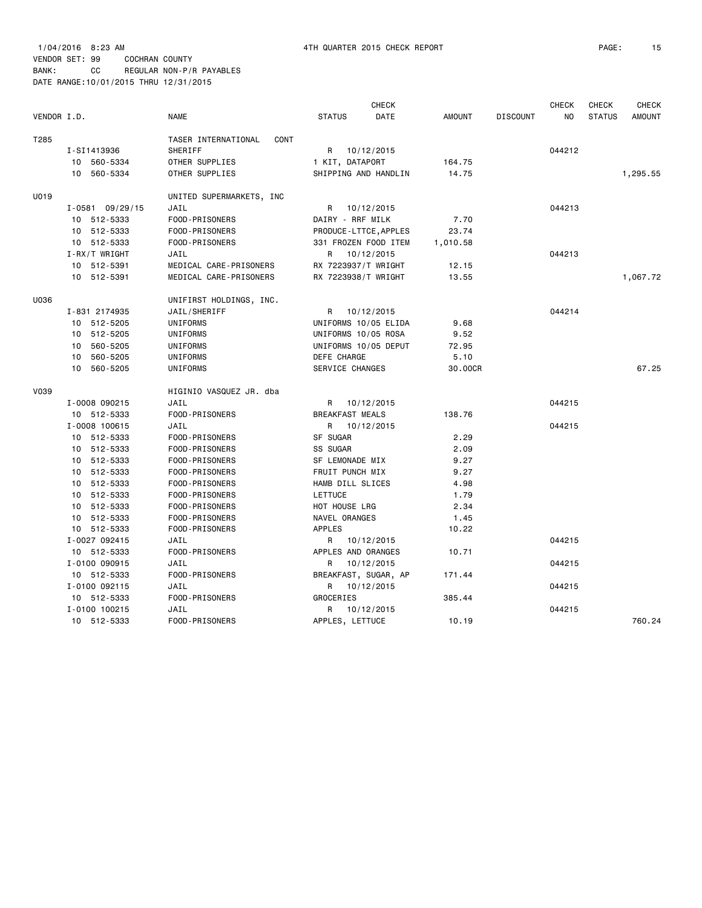|             |                    |                             |                        | <b>CHECK</b> |               |                 | <b>CHECK</b> |               | <b>CHECK</b>  |
|-------------|--------------------|-----------------------------|------------------------|--------------|---------------|-----------------|--------------|---------------|---------------|
| VENDOR I.D. |                    | <b>NAME</b>                 | <b>STATUS</b>          | DATE         | <b>AMOUNT</b> | <b>DISCOUNT</b> | NO.          | <b>STATUS</b> | <b>AMOUNT</b> |
| T285        |                    | TASER INTERNATIONAL<br>CONT |                        |              |               |                 |              |               |               |
|             | I-SI1413936        | SHERIFF                     | R 10/12/2015           |              |               |                 | 044212       |               |               |
|             | 10 560-5334        | OTHER SUPPLIES              | 1 KIT, DATAPORT        |              | 164.75        |                 |              |               |               |
|             | 10 560-5334        | OTHER SUPPLIES              | SHIPPING AND HANDLIN   |              | 14.75         |                 |              |               | 1,295.55      |
| U019        |                    | UNITED SUPERMARKETS, INC    |                        |              |               |                 |              |               |               |
|             | $I - 058109/29/15$ | JAIL                        | R 10/12/2015           |              |               |                 | 044213       |               |               |
|             | 10 512-5333        | FOOD-PRISONERS              | DAIRY - RRF MILK       |              | 7.70          |                 |              |               |               |
|             | 10 512-5333        | FOOD-PRISONERS              | PRODUCE-LTTCE, APPLES  |              | 23.74         |                 |              |               |               |
|             | 10 512-5333        | FOOD-PRISONERS              | 331 FROZEN FOOD ITEM   |              | 1,010.58      |                 |              |               |               |
|             | $I-RX/T$ WRIGHT    | JAIL                        | R 10/12/2015           |              |               |                 | 044213       |               |               |
|             | 10 512-5391        | MEDICAL CARE-PRISONERS      | RX 7223937/T WRIGHT    |              | 12.15         |                 |              |               |               |
|             | 10 512-5391        | MEDICAL CARE-PRISONERS      | RX 7223938/T WRIGHT    |              | 13.55         |                 |              |               | 1,067.72      |
| U036        |                    | UNIFIRST HOLDINGS, INC.     |                        |              |               |                 |              |               |               |
|             | I-831 2174935      | JAIL/SHERIFF                | R 10/12/2015           |              |               |                 | 044214       |               |               |
|             | 10 512-5205        | UNIFORMS                    | UNIFORMS 10/05 ELIDA   |              | 9.68          |                 |              |               |               |
|             | 10 512-5205        | UNIFORMS                    | UNIFORMS 10/05 ROSA    |              | 9.52          |                 |              |               |               |
|             | 10 560-5205        | UNIFORMS                    | UNIFORMS 10/05 DEPUT   |              | 72.95         |                 |              |               |               |
|             | 10 560-5205        | UNIFORMS                    | DEFE CHARGE            |              | 5.10          |                 |              |               |               |
|             | 10 560-5205        | UNIFORMS                    | SERVICE CHANGES        |              | 30.00CR       |                 |              |               | 67.25         |
| <b>V039</b> |                    | HIGINIO VASQUEZ JR. dba     |                        |              |               |                 |              |               |               |
|             | I-0008 090215      | JAIL                        | R 10/12/2015           |              |               |                 | 044215       |               |               |
|             | 10 512-5333        | FOOD-PRISONERS              | <b>BREAKFAST MEALS</b> |              | 138.76        |                 |              |               |               |
|             | I-0008 100615      | JAIL                        | R 10/12/2015           |              |               |                 | 044215       |               |               |
|             | 10 512-5333        | FOOD-PRISONERS              | SF SUGAR               |              | 2.29          |                 |              |               |               |
|             | 10 512-5333        | FOOD-PRISONERS              | SS SUGAR               |              | 2.09          |                 |              |               |               |
|             | 10 512-5333        | FOOD-PRISONERS              | SF LEMONADE MIX        |              | 9.27          |                 |              |               |               |
|             | 10 512-5333        | FOOD-PRISONERS              | FRUIT PUNCH MIX        |              | 9.27          |                 |              |               |               |
|             | 10 512-5333        | FOOD-PRISONERS              | HAMB DILL SLICES       |              | 4.98          |                 |              |               |               |
|             | 10 512-5333        | FOOD-PRISONERS              | LETTUCE                |              | 1.79          |                 |              |               |               |
|             | 10 512-5333        | FOOD-PRISONERS              | HOT HOUSE LRG          |              | 2.34          |                 |              |               |               |
|             | 10 512-5333        | FOOD-PRISONERS              | NAVEL ORANGES          |              | 1.45          |                 |              |               |               |
|             | 10 512-5333        | FOOD-PRISONERS              | <b>APPLES</b>          |              | 10.22         |                 |              |               |               |
|             | I-0027 092415      | JAIL                        | R 10/12/2015           |              |               |                 | 044215       |               |               |
|             | 10 512-5333        | FOOD-PRISONERS              | APPLES AND ORANGES     |              | 10.71         |                 |              |               |               |
|             | I-0100 090915      | JAIL                        | R                      | 10/12/2015   |               |                 | 044215       |               |               |
|             | 10 512-5333        | FOOD-PRISONERS              | BREAKFAST, SUGAR, AP   |              | 171.44        |                 |              |               |               |
|             | I-0100 092115      | JAIL                        | R 10/12/2015           |              |               |                 | 044215       |               |               |
|             | 10 512-5333        | FOOD-PRISONERS              | GROCERIES              |              | 385.44        |                 |              |               |               |
|             | I-0100 100215      | JAIL                        | R 10/12/2015           |              |               |                 | 044215       |               |               |
|             | 10 512-5333        | FOOD-PRISONERS              | APPLES, LETTUCE        |              | 10.19         |                 |              |               | 760.24        |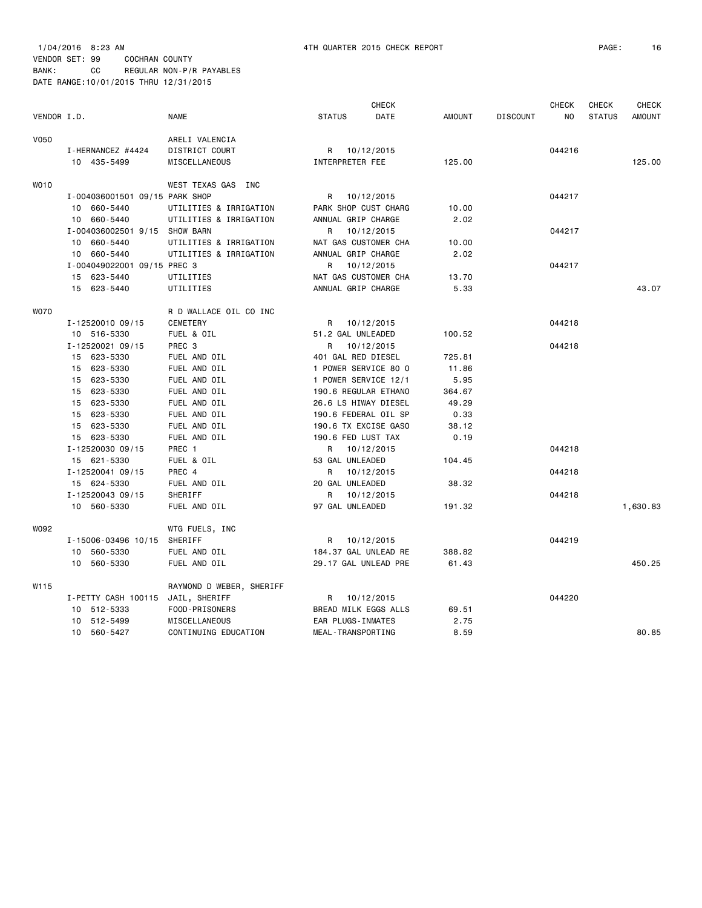1/04/2016 8:23 AM 4TH QUARTER 2015 CHECK REPORT PAGE: 16 VENDOR SET: 99 COCHRAN COUNTY BANK: CC REGULAR NON-P/R PAYABLES DATE RANGE:10/01/2015 THRU 12/31/2015

|             |                                | <b>CHECK</b>             |                      |            |               |                 | <b>CHECK</b>   | <b>CHECK</b>  | <b>CHECK</b>  |
|-------------|--------------------------------|--------------------------|----------------------|------------|---------------|-----------------|----------------|---------------|---------------|
| VENDOR I.D. |                                | <b>NAME</b>              | <b>STATUS</b>        | DATE       | <b>AMOUNT</b> | <b>DISCOUNT</b> | N <sub>O</sub> | <b>STATUS</b> | <b>AMOUNT</b> |
| <b>V050</b> |                                | ARELI VALENCIA           |                      |            |               |                 |                |               |               |
|             | I-HERNANCEZ #4424              | DISTRICT COURT           | R 10/12/2015         |            |               |                 | 044216         |               |               |
|             | 10 435-5499                    | MISCELLANEOUS            | INTERPRETER FEE      |            | 125.00        |                 |                |               | 125.00        |
| <b>WO10</b> |                                | WEST TEXAS GAS INC       |                      |            |               |                 |                |               |               |
|             | I-004036001501 09/15 PARK SHOP |                          | R 10/12/2015         |            |               |                 | 044217         |               |               |
|             | 10 660-5440                    | UTILITIES & IRRIGATION   | PARK SHOP CUST CHARG |            | 10.00         |                 |                |               |               |
|             | 10 660-5440                    | UTILITIES & IRRIGATION   | ANNUAL GRIP CHARGE   |            | 2.02          |                 |                |               |               |
|             | I-004036002501 9/15 SHOW BARN  |                          | R                    | 10/12/2015 |               |                 | 044217         |               |               |
|             | 10 660-5440                    | UTILITIES & IRRIGATION   | NAT GAS CUSTOMER CHA |            | 10.00         |                 |                |               |               |
|             | 10 660-5440                    | UTILITIES & IRRIGATION   | ANNUAL GRIP CHARGE   |            | 2.02          |                 |                |               |               |
|             | I-004049022001 09/15 PREC 3    |                          | R 10/12/2015         |            |               |                 | 044217         |               |               |
|             | 15 623-5440                    | UTILITIES                | NAT GAS CUSTOMER CHA |            | 13.70         |                 |                |               |               |
|             | 15 623-5440                    | UTILITIES                | ANNUAL GRIP CHARGE   |            | 5.33          |                 |                |               | 43.07         |
| <b>WO70</b> |                                | R D WALLACE OIL CO INC   |                      |            |               |                 |                |               |               |
|             | I-12520010 09/15               | <b>CEMETERY</b>          | R 10/12/2015         |            |               |                 | 044218         |               |               |
|             | 10 516-5330                    | FUEL & OIL               | 51.2 GAL UNLEADED    |            | 100.52        |                 |                |               |               |
|             | I-12520021 09/15               | PREC <sub>3</sub>        | R                    | 10/12/2015 |               |                 | 044218         |               |               |
|             | 15 623-5330                    | FUEL AND OIL             | 401 GAL RED DIESEL   |            | 725.81        |                 |                |               |               |
|             | 15 623-5330                    | FUEL AND OIL             | 1 POWER SERVICE 80 0 |            | 11.86         |                 |                |               |               |
|             | 15 623-5330                    | FUEL AND OIL             | 1 POWER SERVICE 12/1 |            | 5.95          |                 |                |               |               |
|             | 15 623-5330                    | FUEL AND OIL             | 190.6 REGULAR ETHANO |            | 364.67        |                 |                |               |               |
|             | 15 623-5330                    | FUEL AND OIL             | 26.6 LS HIWAY DIESEL |            | 49.29         |                 |                |               |               |
|             | 15 623-5330                    | FUEL AND OIL             | 190.6 FEDERAL OIL SP |            | 0.33          |                 |                |               |               |
|             | 15 623-5330                    | FUEL AND OIL             | 190.6 TX EXCISE GASO |            | 38.12         |                 |                |               |               |
|             | 15 623-5330                    | FUEL AND OIL             | 190.6 FED LUST TAX   |            | 0.19          |                 |                |               |               |
|             | I-12520030 09/15               | PREC 1                   | R 10/12/2015         |            |               |                 | 044218         |               |               |
|             | 15 621-5330                    | FUEL & OIL               | 53 GAL UNLEADED      |            | 104.45        |                 |                |               |               |
|             | I-12520041 09/15               | PREC 4                   | R                    | 10/12/2015 |               |                 | 044218         |               |               |
|             | 15 624-5330                    | FUEL AND OIL             | 20 GAL UNLEADED      |            | 38.32         |                 |                |               |               |
|             | I-12520043 09/15               | SHERIFF                  | R 10/12/2015         |            |               |                 | 044218         |               |               |
|             | 10 560-5330                    | FUEL AND OIL             | 97 GAL UNLEADED      |            | 191.32        |                 |                |               | 1,630.83      |
| W092        |                                | WTG FUELS, INC           |                      |            |               |                 |                |               |               |
|             | I-15006-03496 10/15            | SHERIFF                  | R 10/12/2015         |            |               |                 | 044219         |               |               |
|             | 10 560-5330                    | FUEL AND OIL             | 184.37 GAL UNLEAD RE |            | 388.82        |                 |                |               |               |
|             | 10 560-5330                    | FUEL AND OIL             | 29.17 GAL UNLEAD PRE |            | 61.43         |                 |                |               | 450.25        |
| W115        |                                | RAYMOND D WEBER, SHERIFF |                      |            |               |                 |                |               |               |
|             | I-PETTY CASH 100115            | JAIL, SHERIFF            | R 10/12/2015         |            |               |                 | 044220         |               |               |
|             | 10 512-5333                    | FOOD-PRISONERS           | BREAD MILK EGGS ALLS |            | 69.51         |                 |                |               |               |
|             | 10 512-5499                    | MISCELLANEOUS            | EAR PLUGS-INMATES    |            | 2.75          |                 |                |               |               |
|             | 10 560-5427                    | CONTINUING EDUCATION     | MEAL-TRANSPORTING    |            | 8.59          |                 |                |               | 80.85         |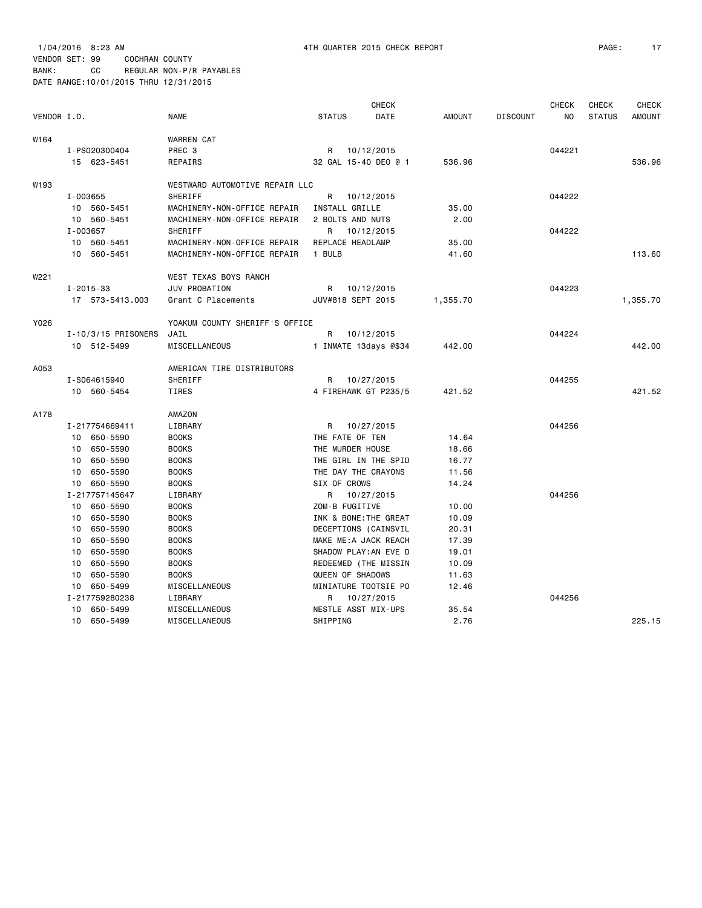|             |                         |                                |                   | <b>CHECK</b>          |               |                 | <b>CHECK</b>   | <b>CHECK</b>  | <b>CHECK</b>  |
|-------------|-------------------------|--------------------------------|-------------------|-----------------------|---------------|-----------------|----------------|---------------|---------------|
| VENDOR I.D. |                         | <b>NAME</b>                    | <b>STATUS</b>     | DATE                  | <b>AMOUNT</b> | <b>DISCOUNT</b> | N <sub>O</sub> | <b>STATUS</b> | <b>AMOUNT</b> |
| W164        |                         | <b>WARREN CAT</b>              |                   |                       |               |                 |                |               |               |
|             | I-PS020300404           | PREC 3                         |                   | R 10/12/2015          |               |                 | 044221         |               |               |
|             | 15 623-5451             | REPAIRS                        |                   | 32 GAL 15-40 DEO @ 1  | 536.96        |                 |                |               | 536.96        |
| W193        |                         | WESTWARD AUTOMOTIVE REPAIR LLC |                   |                       |               |                 |                |               |               |
|             | I-003655                | SHERIFF                        | R                 | 10/12/2015            |               |                 | 044222         |               |               |
|             | 10 560-5451             | MACHINERY-NON-OFFICE REPAIR    | INSTALL GRILLE    |                       | 35.00         |                 |                |               |               |
|             | 10 560-5451             | MACHINERY-NON-OFFICE REPAIR    | 2 BOLTS AND NUTS  |                       | 2.00          |                 |                |               |               |
|             | I-003657                | SHERIFF                        |                   | R 10/12/2015          |               |                 | 044222         |               |               |
|             | 10 560-5451             | MACHINERY-NON-OFFICE REPAIR    | REPLACE HEADLAMP  |                       | 35.00         |                 |                |               |               |
|             | 10 560-5451             | MACHINERY-NON-OFFICE REPAIR    | 1 BULB            |                       | 41.60         |                 |                |               | 113.60        |
| W221        |                         | WEST TEXAS BOYS RANCH          |                   |                       |               |                 |                |               |               |
|             | $I - 2015 - 33$         | JUV PROBATION                  |                   | R 10/12/2015          |               |                 | 044223         |               |               |
|             | 17 573-5413.003         | Grant C Placements             | JUV#818 SEPT 2015 |                       | 1,355.70      |                 |                |               | 1,355.70      |
| Y026        |                         | YOAKUM COUNTY SHERIFF'S OFFICE |                   |                       |               |                 |                |               |               |
|             | $I - 10/3/15$ PRISONERS | JAIL                           | R                 | 10/12/2015            |               |                 | 044224         |               |               |
|             | 10 512-5499             | MISCELLANEOUS                  |                   | 1 INMATE 13days @\$34 | 442.00        |                 |                |               | 442.00        |
| A053        |                         | AMERICAN TIRE DISTRIBUTORS     |                   |                       |               |                 |                |               |               |
|             | I-S064615940            | SHERIFF                        |                   | R 10/27/2015          |               |                 | 044255         |               |               |
|             | 10 560-5454             | <b>TIRES</b>                   |                   | 4 FIREHAWK GT P235/5  | 421.52        |                 |                |               | 421.52        |
| A178        |                         | AMAZON                         |                   |                       |               |                 |                |               |               |
|             | I-217754669411          | LIBRARY                        |                   | R 10/27/2015          |               |                 | 044256         |               |               |
|             | 10 650-5590             | <b>BOOKS</b>                   | THE FATE OF TEN   |                       | 14.64         |                 |                |               |               |
|             | 10 650-5590             | <b>BOOKS</b>                   | THE MURDER HOUSE  |                       | 18.66         |                 |                |               |               |
|             | 10 650-5590             | <b>BOOKS</b>                   |                   | THE GIRL IN THE SPID  | 16.77         |                 |                |               |               |
|             | 650-5590<br>10          | <b>BOOKS</b>                   |                   | THE DAY THE CRAYONS   | 11.56         |                 |                |               |               |
|             | 10 650-5590             | <b>BOOKS</b>                   | SIX OF CROWS      |                       | 14.24         |                 |                |               |               |
|             | I-217757145647          | LIBRARY                        |                   | R 10/27/2015          |               |                 | 044256         |               |               |
|             | 10 650-5590             | <b>BOOKS</b>                   | ZOM-B FUGITIVE    |                       | 10.00         |                 |                |               |               |
|             | 10 650-5590             | <b>BOOKS</b>                   |                   | INK & BONE: THE GREAT | 10.09         |                 |                |               |               |
|             | 10 650-5590             | <b>BOOKS</b>                   |                   | DECEPTIONS (CAINSVIL  | 20.31         |                 |                |               |               |
|             | 10 650-5590             | <b>BOOKS</b>                   |                   | MAKE ME: A JACK REACH | 17.39         |                 |                |               |               |
|             | 650-5590<br>10          | <b>BOOKS</b>                   |                   | SHADOW PLAY: AN EVE D | 19.01         |                 |                |               |               |
|             | 650-5590<br>10          | <b>BOOKS</b>                   |                   | REDEEMED (THE MISSIN  | 10.09         |                 |                |               |               |
|             | 650-5590<br>10          | <b>BOOKS</b>                   | QUEEN OF SHADOWS  |                       | 11.63         |                 |                |               |               |
|             | 10 650-5499             | MISCELLANEOUS                  |                   | MINIATURE TOOTSIE PO  | 12.46         |                 |                |               |               |
|             | I-217759280238          | LIBRARY                        | R                 | 10/27/2015            |               |                 | 044256         |               |               |
|             | 10<br>650-5499          | MISCELLANEOUS                  |                   | NESTLE ASST MIX-UPS   | 35.54         |                 |                |               |               |
|             | 10 650-5499             | MISCELLANEOUS                  | SHIPPING          |                       | 2.76          |                 |                |               | 225.15        |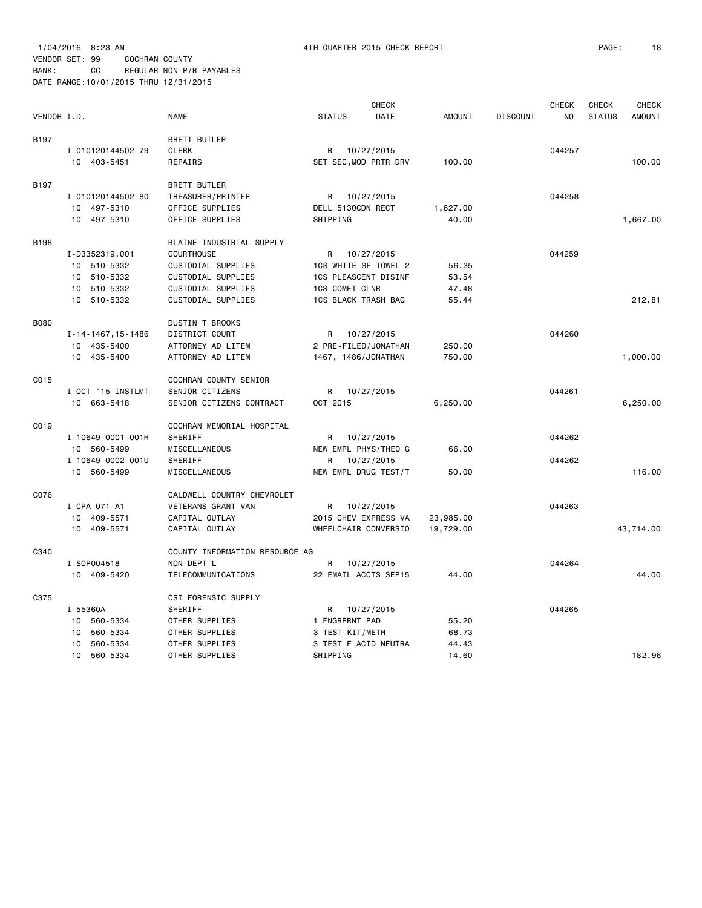|             |                    |                                |                             | <b>CHECK</b> |               |                 | <b>CHECK</b> | <b>CHECK</b>  | <b>CHECK</b>  |
|-------------|--------------------|--------------------------------|-----------------------------|--------------|---------------|-----------------|--------------|---------------|---------------|
| VENDOR I.D. |                    | <b>NAME</b>                    | <b>STATUS</b>               | DATE         | <b>AMOUNT</b> | <b>DISCOUNT</b> | NO.          | <b>STATUS</b> | <b>AMOUNT</b> |
| B197        |                    | <b>BRETT BUTLER</b>            |                             |              |               |                 |              |               |               |
|             | I-010120144502-79  | <b>CLERK</b>                   | R                           | 10/27/2015   |               |                 | 044257       |               |               |
|             | 10 403-5451        | REPAIRS                        | SET SEC, MOD PRTR DRV       |              | 100.00        |                 |              |               | 100.00        |
| B197        |                    | <b>BRETT BUTLER</b>            |                             |              |               |                 |              |               |               |
|             | I-010120144502-80  | TREASURER/PRINTER              | R 10/27/2015                |              |               |                 | 044258       |               |               |
|             | 10 497-5310        | OFFICE SUPPLIES                | DELL 5130CDN RECT           |              | 1,627.00      |                 |              |               |               |
|             | 10 497-5310        | OFFICE SUPPLIES                | SHIPPING                    |              | 40.00         |                 |              |               | 1,667.00      |
| <b>B198</b> |                    | BLAINE INDUSTRIAL SUPPLY       |                             |              |               |                 |              |               |               |
|             | I-D3352319.001     | <b>COURTHOUSE</b>              | R                           | 10/27/2015   |               |                 | 044259       |               |               |
|             | 10 510-5332        | CUSTODIAL SUPPLIES             | 1CS WHITE SF TOWEL 2        |              | 56.35         |                 |              |               |               |
|             | 510-5332<br>10     | CUSTODIAL SUPPLIES             | <b>1CS PLEASCENT DISINF</b> |              | 53.54         |                 |              |               |               |
|             | 510-5332<br>10     | CUSTODIAL SUPPLIES             | <b>1CS COMET CLNR</b>       |              | 47.48         |                 |              |               |               |
|             | 10 510-5332        | CUSTODIAL SUPPLIES             | <b>1CS BLACK TRASH BAG</b>  |              | 55.44         |                 |              |               | 212.81        |
| <b>B080</b> |                    | DUSTIN T BROOKS                |                             |              |               |                 |              |               |               |
|             | I-14-1467, 15-1486 | DISTRICT COURT                 | R                           | 10/27/2015   |               |                 | 044260       |               |               |
|             | 10 435-5400        | ATTORNEY AD LITEM              | 2 PRE-FILED/JONATHAN        |              | 250.00        |                 |              |               |               |
|             | 10 435-5400        | ATTORNEY AD LITEM              | 1467, 1486/JONATHAN         |              | 750.00        |                 |              |               | 1,000.00      |
| C015        |                    | COCHRAN COUNTY SENIOR          |                             |              |               |                 |              |               |               |
|             | I-OCT '15 INSTLMT  | SENIOR CITIZENS                | R                           | 10/27/2015   |               |                 | 044261       |               |               |
|             | 10 663-5418        | SENIOR CITIZENS CONTRACT       | OCT 2015                    |              | 6,250.00      |                 |              |               | 6,250.00      |
| C019        |                    | COCHRAN MEMORIAL HOSPITAL      |                             |              |               |                 |              |               |               |
|             | I-10649-0001-001H  | SHERIFF                        | R                           | 10/27/2015   |               |                 | 044262       |               |               |
|             | 10 560-5499        | MISCELLANEOUS                  | NEW EMPL PHYS/THEO G        |              | 66.00         |                 |              |               |               |
|             | I-10649-0002-001U  | SHERIFF                        | R                           | 10/27/2015   |               |                 | 044262       |               |               |
|             | 10 560-5499        | MISCELLANEOUS                  | NEW EMPL DRUG TEST/T        |              | 50.00         |                 |              |               | 116,00        |
| C076        |                    | CALDWELL COUNTRY CHEVROLET     |                             |              |               |                 |              |               |               |
|             | I-CPA 071-A1       | VETERANS GRANT VAN             | R                           | 10/27/2015   |               |                 | 044263       |               |               |
|             | 10 409-5571        | CAPITAL OUTLAY                 | 2015 CHEV EXPRESS VA        |              | 23,985.00     |                 |              |               |               |
|             | 10 409-5571        | CAPITAL OUTLAY                 | WHEELCHAIR CONVERSIO        |              | 19,729.00     |                 |              |               | 43,714.00     |
| C340        |                    | COUNTY INFORMATION RESOURCE AG |                             |              |               |                 |              |               |               |
|             | I-S0P004518        | NON-DEPT'L                     | R                           | 10/27/2015   |               |                 | 044264       |               |               |
|             | 10 409-5420        | TELECOMMUNICATIONS             | 22 EMAIL ACCTS SEP15        |              | 44.00         |                 |              |               | 44.00         |
| C375        |                    | CSI FORENSIC SUPPLY            |                             |              |               |                 |              |               |               |
|             | I-55360A           | SHERIFF                        | R                           | 10/27/2015   |               |                 | 044265       |               |               |
|             | 10 560-5334        | OTHER SUPPLIES                 | 1 FNGRPRNT PAD              |              | 55.20         |                 |              |               |               |
|             | 10<br>560-5334     | OTHER SUPPLIES                 | 3 TEST KIT/METH             |              | 68.73         |                 |              |               |               |
|             | 560-5334<br>10     | OTHER SUPPLIES                 | 3 TEST F ACID NEUTRA        |              | 44.43         |                 |              |               |               |
|             | 10<br>560-5334     | OTHER SUPPLIES                 | SHIPPING                    |              | 14.60         |                 |              |               | 182.96        |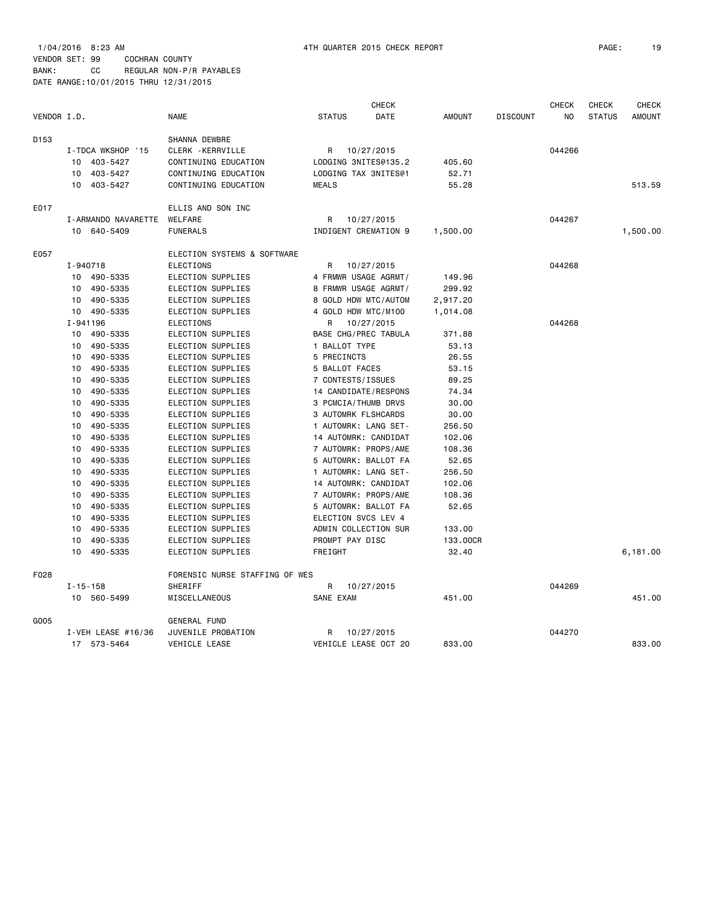|             |                             | <b>NAME</b>                    |                                        | <b>CHECK</b>         |               |                 | <b>CHECK</b> | <b>CHECK</b>  | <b>CHECK</b><br><b>AMOUNT</b> |
|-------------|-----------------------------|--------------------------------|----------------------------------------|----------------------|---------------|-----------------|--------------|---------------|-------------------------------|
| VENDOR I.D. |                             |                                | <b>STATUS</b>                          | DATE                 | <b>AMOUNT</b> | <b>DISCOUNT</b> | NO           | <b>STATUS</b> |                               |
| D153        |                             | SHANNA DEWBRE                  |                                        |                      |               |                 |              |               |                               |
|             | I-TDCA WKSHOP '15           | CLERK - KERRVILLE              | R                                      | 10/27/2015           |               |                 | 044266       |               |                               |
|             | 403-5427<br>10              | CONTINUING EDUCATION           |                                        | LODGING 3NITES@135.2 | 405.60        |                 |              |               |                               |
|             | 403-5427<br>10              | CONTINUING EDUCATION           |                                        | LODGING TAX 3NITES@1 | 52.71         |                 |              |               |                               |
|             | 10<br>403-5427              | CONTINUING EDUCATION           | <b>MEALS</b>                           |                      | 55.28         |                 |              |               | 513.59                        |
| E017        |                             | ELLIS AND SON INC              |                                        |                      |               |                 |              |               |                               |
|             | I-ARMANDO NAVARETTE         | WELFARE                        | R                                      | 10/27/2015           |               |                 | 044267       |               |                               |
|             | 10 640-5409                 | <b>FUNERALS</b>                |                                        | INDIGENT CREMATION 9 | 1,500.00      |                 |              |               | 1,500.00                      |
| E057        |                             | ELECTION SYSTEMS & SOFTWARE    |                                        |                      |               |                 |              |               |                               |
|             | I-940718                    | ELECTIONS                      | R                                      | 10/27/2015           |               |                 | 044268       |               |                               |
|             | 490-5335<br>10              | ELECTION SUPPLIES              |                                        | 4 FRMWR USAGE AGRMT/ | 149.96        |                 |              |               |                               |
|             | 490-5335<br>10              | ELECTION SUPPLIES              |                                        | 8 FRMWR USAGE AGRMT/ | 299.92        |                 |              |               |                               |
|             | 490-5335<br>10              | ELECTION SUPPLIES              |                                        | 8 GOLD HDW MTC/AUTOM | 2,917.20      |                 |              |               |                               |
|             | 490-5335<br>10              | ELECTION SUPPLIES              |                                        |                      | 1,014.08      |                 |              |               |                               |
|             | I-941196                    | ELECTIONS                      | 4 GOLD HDW MTC/M100<br>10/27/2015<br>R |                      |               |                 | 044268       |               |                               |
|             | 490-5335<br>10              | ELECTION SUPPLIES              |                                        | BASE CHG/PREC TABULA | 371.88        |                 |              |               |                               |
|             | 10<br>490-5335              | ELECTION SUPPLIES              | 1 BALLOT TYPE                          |                      | 53.13         |                 |              |               |                               |
|             | 490-5335<br>10              | ELECTION SUPPLIES              | 5 PRECINCTS                            |                      | 26.55         |                 |              |               |                               |
|             | 10<br>490-5335              | ELECTION SUPPLIES              | 5 BALLOT FACES                         |                      | 53.15         |                 |              |               |                               |
|             | 490-5335<br>10              | ELECTION SUPPLIES              | 7 CONTESTS/ISSUES                      |                      | 89.25         |                 |              |               |                               |
|             | 490-5335<br>10              | ELECTION SUPPLIES              |                                        | 14 CANDIDATE/RESPONS | 74.34         |                 |              |               |                               |
|             | 490-5335<br>10              | ELECTION SUPPLIES              |                                        | 3 PCMCIA/THUMB DRVS  | 30.00         |                 |              |               |                               |
|             | 490-5335<br>10              | ELECTION SUPPLIES              |                                        | 3 AUTOMRK FLSHCARDS  | 30.00         |                 |              |               |                               |
|             | 10<br>490-5335              | ELECTION SUPPLIES              |                                        | 1 AUTOMRK: LANG SET- | 256.50        |                 |              |               |                               |
|             | 10<br>490-5335              | ELECTION SUPPLIES              |                                        | 14 AUTOMRK: CANDIDAT | 102.06        |                 |              |               |                               |
|             | 490-5335<br>10              | ELECTION SUPPLIES              |                                        | 7 AUTOMRK: PROPS/AME | 108.36        |                 |              |               |                               |
|             | 490-5335<br>10              | ELECTION SUPPLIES              |                                        | 5 AUTOMRK: BALLOT FA | 52.65         |                 |              |               |                               |
|             | 490-5335<br>10              | ELECTION SUPPLIES              |                                        | 1 AUTOMRK: LANG SET- | 256.50        |                 |              |               |                               |
|             | 490-5335<br>10              | ELECTION SUPPLIES              |                                        | 14 AUTOMRK: CANDIDAT | 102.06        |                 |              |               |                               |
|             | 490-5335<br>10              | ELECTION SUPPLIES              |                                        | 7 AUTOMRK: PROPS/AME | 108.36        |                 |              |               |                               |
|             | 490-5335<br>10              | ELECTION SUPPLIES              |                                        | 5 AUTOMRK: BALLOT FA | 52.65         |                 |              |               |                               |
|             | 490-5335<br>10              | ELECTION SUPPLIES              |                                        | ELECTION SVCS LEV 4  |               |                 |              |               |                               |
|             | 490-5335<br>10              | ELECTION SUPPLIES              |                                        | ADMIN COLLECTION SUR | 133.00        |                 |              |               |                               |
|             | 490-5335<br>10              | ELECTION SUPPLIES              | PROMPT PAY DISC                        |                      | 133.00CR      |                 |              |               |                               |
|             | 490-5335<br>10              | ELECTION SUPPLIES              | FREIGHT                                |                      | 32.40         |                 |              |               | 6,181.00                      |
| F028        |                             | FORENSIC NURSE STAFFING OF WES |                                        |                      |               |                 |              |               |                               |
|             | $I - 15 - 158$              | SHERIFF                        | R                                      | 10/27/2015           |               |                 | 044269       |               |                               |
|             | 10 <sup>1</sup><br>560-5499 | MISCELLANEOUS                  | SANE EXAM                              |                      | 451.00        |                 |              |               | 451.00                        |
| G005        |                             | GENERAL FUND                   |                                        |                      |               |                 |              |               |                               |
|             | I-VEH LEASE $#16/36$        | JUVENILE PROBATION             | R                                      | 10/27/2015           |               |                 | 044270       |               |                               |
|             | 17 573-5464                 | VEHICLE LEASE                  |                                        | VEHICLE LEASE OCT 20 | 833.00        |                 |              |               | 833.00                        |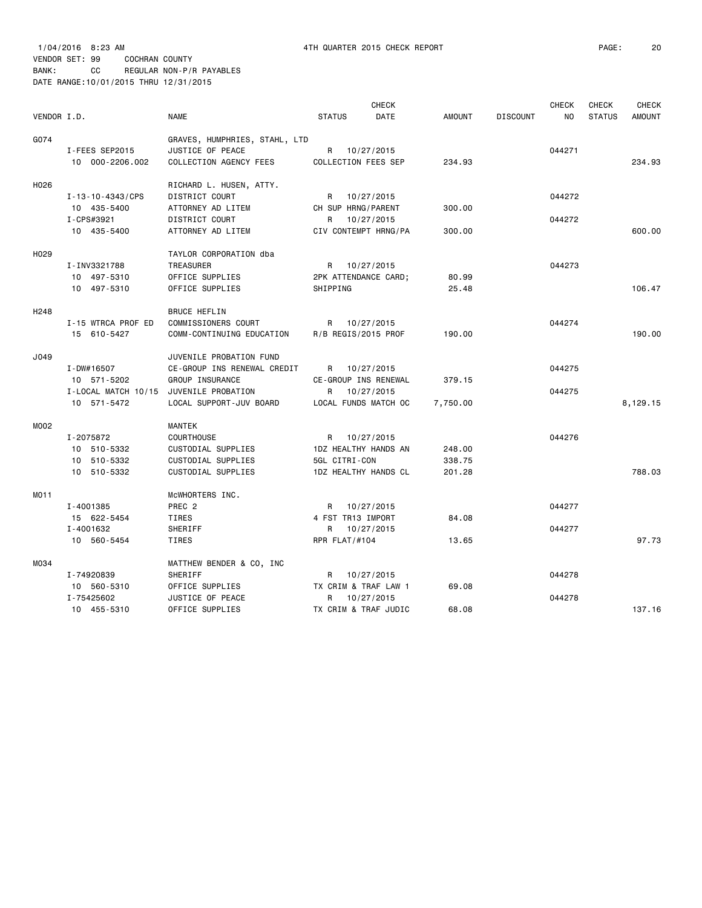1/04/2016 8:23 AM 4TH QUARTER 2015 CHECK REPORT PAGE: 20 VENDOR SET: 99 COCHRAN COUNTY

BANK: CC REGULAR NON-P/R PAYABLES DATE RANGE:10/01/2015 THRU 12/31/2015

| VENDOR I.D.      |                                   | <b>NAME</b>                                       | <b>STATUS</b>                              | <b>CHECK</b><br><b>DATE</b> | <b>AMOUNT</b> | <b>DISCOUNT</b> | <b>CHECK</b><br>NO. | <b>CHECK</b><br><b>STATUS</b> | <b>CHECK</b><br><b>AMOUNT</b> |
|------------------|-----------------------------------|---------------------------------------------------|--------------------------------------------|-----------------------------|---------------|-----------------|---------------------|-------------------------------|-------------------------------|
|                  |                                   |                                                   |                                            |                             |               |                 |                     |                               |                               |
| G074             |                                   | GRAVES, HUMPHRIES, STAHL, LTD<br>JUSTICE OF PEACE |                                            |                             |               |                 | 044271              |                               |                               |
|                  | I-FEES SEP2015<br>10 000-2206.002 |                                                   | R 10/27/2015<br><b>COLLECTION FEES SEP</b> |                             | 234.93        |                 |                     |                               | 234.93                        |
|                  |                                   | COLLECTION AGENCY FEES                            |                                            |                             |               |                 |                     |                               |                               |
| H026             |                                   | RICHARD L. HUSEN, ATTY.                           |                                            |                             |               |                 |                     |                               |                               |
|                  | I-13-10-4343/CPS                  | DISTRICT COURT                                    | R 10/27/2015                               |                             |               |                 | 044272              |                               |                               |
|                  | 10 435-5400                       | ATTORNEY AD LITEM                                 | CH SUP HRNG/PARENT                         |                             | 300.00        |                 |                     |                               |                               |
|                  | I-CPS#3921                        | DISTRICT COURT                                    | R 10/27/2015                               |                             |               |                 | 044272              |                               |                               |
|                  | 10 435-5400                       | ATTORNEY AD LITEM                                 | CIV CONTEMPT HRNG/PA                       |                             | 300.00        |                 |                     |                               | 600.00                        |
| H <sub>029</sub> |                                   | TAYLOR CORPORATION dba                            |                                            |                             |               |                 |                     |                               |                               |
|                  | I-INV3321788                      | TREASURER                                         | R 10/27/2015                               |                             |               |                 | 044273              |                               |                               |
|                  | 10 497-5310                       | OFFICE SUPPLIES                                   | 2PK ATTENDANCE CARD;                       |                             | 80.99         |                 |                     |                               |                               |
|                  | 10 497-5310                       | OFFICE SUPPLIES                                   | SHIPPING                                   |                             | 25.48         |                 |                     |                               | 106.47                        |
| H <sub>248</sub> |                                   | <b>BRUCE HEFLIN</b>                               |                                            |                             |               |                 |                     |                               |                               |
|                  | I-15 WTRCA PROF ED                | COMMISSIONERS COURT                               | R 10/27/2015                               |                             |               |                 | 044274              |                               |                               |
|                  | 15 610-5427                       | COMM-CONTINUING EDUCATION                         | R/B REGIS/2015 PROF                        |                             | 190.00        |                 |                     |                               | 190.00                        |
|                  |                                   |                                                   |                                            |                             |               |                 |                     |                               |                               |
| J049             |                                   | JUVENILE PROBATION FUND                           |                                            |                             |               |                 |                     |                               |                               |
|                  | $I - DW#16507$                    | CE-GROUP INS RENEWAL CREDIT                       | R 10/27/2015                               |                             |               |                 | 044275              |                               |                               |
|                  | 10 571-5202                       | GROUP INSURANCE                                   | CE-GROUP INS RENEWAL                       |                             | 379.15        |                 |                     |                               |                               |
|                  | I-LOCAL MATCH 10/15               | JUVENILE PROBATION                                | R                                          | 10/27/2015                  |               |                 | 044275              |                               |                               |
|                  | 10 571-5472                       | LOCAL SUPPORT-JUV BOARD                           | LOCAL FUNDS MATCH OC                       |                             | 7,750.00      |                 |                     |                               | 8,129.15                      |
| M002             |                                   | MANTEK                                            |                                            |                             |               |                 |                     |                               |                               |
|                  | I-2075872                         | <b>COURTHOUSE</b>                                 | R 10/27/2015                               |                             |               |                 | 044276              |                               |                               |
|                  | 10 510-5332                       | CUSTODIAL SUPPLIES                                | 1DZ HEALTHY HANDS AN                       |                             | 248.00        |                 |                     |                               |                               |
|                  | 10 510-5332                       | CUSTODIAL SUPPLIES                                | 5GL CITRI-CON                              |                             | 338.75        |                 |                     |                               |                               |
|                  | 10 510-5332                       | CUSTODIAL SUPPLIES                                | 1DZ HEALTHY HANDS CL                       |                             | 201.28        |                 |                     |                               | 788.03                        |
| M011             |                                   | MCWHORTERS INC.                                   |                                            |                             |               |                 |                     |                               |                               |
|                  | I-4001385                         | PREC <sub>2</sub>                                 | R 10/27/2015                               |                             |               |                 | 044277              |                               |                               |
|                  | 15 622-5454                       | TIRES                                             | 4 FST TR13 IMPORT                          |                             | 84.08         |                 |                     |                               |                               |
|                  | I-4001632                         | SHERIFF                                           | R 10/27/2015                               |                             |               |                 | 044277              |                               |                               |
|                  | 10 560-5454                       | TIRES                                             | RPR FLAT/#104                              |                             | 13.65         |                 |                     |                               | 97.73                         |
| M034             |                                   | MATTHEW BENDER & CO, INC                          |                                            |                             |               |                 |                     |                               |                               |
|                  | I-74920839                        | SHERIFF                                           | R 10/27/2015                               |                             |               |                 | 044278              |                               |                               |
|                  | 10 560-5310                       | OFFICE SUPPLIES                                   | TX CRIM & TRAF LAW 1                       |                             | 69.08         |                 |                     |                               |                               |
|                  | I-75425602                        | JUSTICE OF PEACE                                  | R 10/27/2015                               |                             |               |                 | 044278              |                               |                               |
|                  | 10 455-5310                       | OFFICE SUPPLIES                                   | TX CRIM & TRAF JUDIC                       |                             | 68.08         |                 |                     |                               | 137.16                        |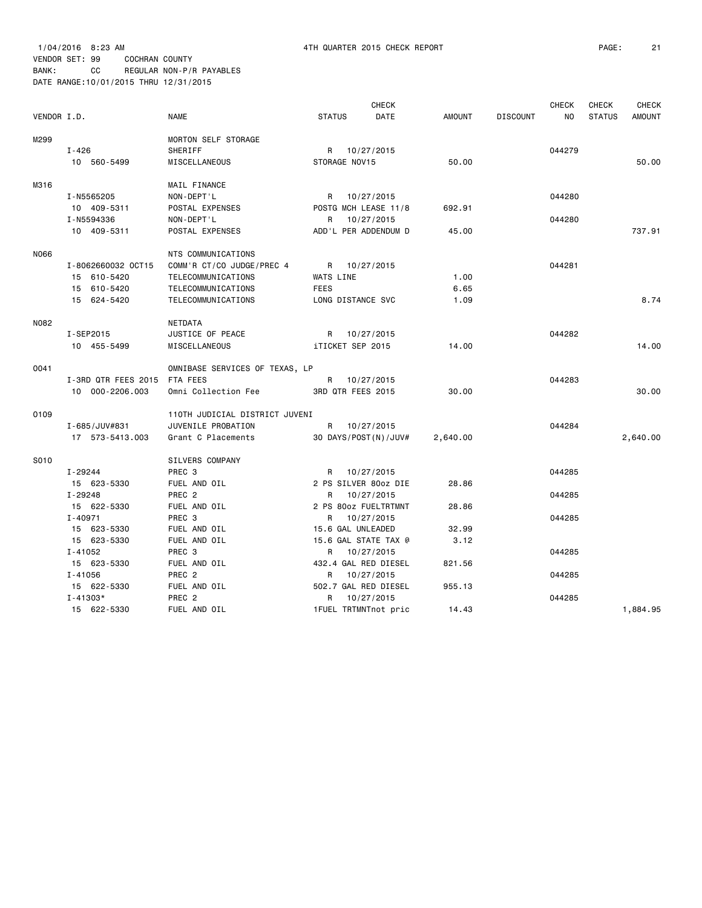|             |                              |                                |                   | <b>CHECK</b>         |               |                 | <b>CHECK</b> | CHECK         | <b>CHECK</b>  |
|-------------|------------------------------|--------------------------------|-------------------|----------------------|---------------|-----------------|--------------|---------------|---------------|
| VENDOR I.D. |                              | <b>NAME</b>                    | <b>STATUS</b>     | DATE                 | <b>AMOUNT</b> | <b>DISCOUNT</b> | NO           | <b>STATUS</b> | <b>AMOUNT</b> |
| M299        |                              | MORTON SELF STORAGE            |                   |                      |               |                 |              |               |               |
|             | $I - 426$                    | SHERIFF                        |                   | R 10/27/2015         |               |                 | 044279       |               |               |
|             | 10 560-5499                  | MISCELLANEOUS                  | STORAGE NOV15     |                      | 50.00         |                 |              |               | 50.00         |
|             |                              |                                |                   |                      |               |                 |              |               |               |
| M316        |                              | MAIL FINANCE                   |                   |                      |               |                 |              |               |               |
|             | I-N5565205                   | NON-DEPT'L                     |                   | R 10/27/2015         |               |                 | 044280       |               |               |
|             | 10 409-5311                  | POSTAL EXPENSES                |                   | POSTG MCH LEASE 11/8 | 692.91        |                 |              |               |               |
|             | I-N5594336                   | NON-DEPT'L                     |                   | R 10/27/2015         |               |                 | 044280       |               |               |
|             | 10 409-5311                  | POSTAL EXPENSES                |                   | ADD'L PER ADDENDUM D | 45.00         |                 |              |               | 737.91        |
| N066        |                              | NTS COMMUNICATIONS             |                   |                      |               |                 |              |               |               |
|             | I-8062660032 0CT15           | COMM'R CT/CO JUDGE/PREC 4      |                   | R 10/27/2015         |               |                 | 044281       |               |               |
|             | 15 610-5420                  | TELECOMMUNICATIONS             | WATS LINE         |                      | 1.00          |                 |              |               |               |
|             | 15 610-5420                  | TELECOMMUNICATIONS             | <b>FEES</b>       |                      | 6.65          |                 |              |               |               |
|             | 15 624-5420                  | TELECOMMUNICATIONS             | LONG DISTANCE SVC |                      | 1.09          |                 |              |               | 8.74          |
|             |                              |                                |                   |                      |               |                 |              |               |               |
| N082        |                              | NETDATA                        |                   |                      |               |                 |              |               |               |
|             | I-SEP2015                    | JUSTICE OF PEACE               |                   | R 10/27/2015         |               |                 | 044282       |               |               |
|             | 10 455-5499                  | MISCELLANEOUS                  | iTICKET SEP 2015  |                      | 14.00         |                 |              |               | 14.00         |
| 0041        |                              | OMNIBASE SERVICES OF TEXAS, LP |                   |                      |               |                 |              |               |               |
|             | I-3RD QTR FEES 2015 FTA FEES |                                |                   | R 10/27/2015         |               |                 | 044283       |               |               |
|             | 10 000-2206.003              | Omni Collection Fee            | 3RD QTR FEES 2015 |                      | 30.00         |                 |              |               | 30.00         |
|             |                              |                                |                   |                      |               |                 |              |               |               |
| 0109        |                              | 110TH JUDICIAL DISTRICT JUVENI |                   |                      |               |                 |              |               |               |
|             | I-685/JUV#831                | JUVENILE PROBATION             |                   | R 10/27/2015         |               |                 | 044284       |               |               |
|             | 17 573-5413.003              | Grant C Placements             |                   | 30 DAYS/POST(N)/JUV# | 2,640.00      |                 |              |               | 2,640.00      |
| S010        |                              | SILVERS COMPANY                |                   |                      |               |                 |              |               |               |
|             | I-29244                      | PREC 3                         |                   | R 10/27/2015         |               |                 | 044285       |               |               |
|             | 15 623-5330                  | FUEL AND OIL                   |                   | 2 PS SILVER 80oz DIE | 28.86         |                 |              |               |               |
|             | I-29248                      | PREC <sub>2</sub>              |                   | R 10/27/2015         |               |                 | 044285       |               |               |
|             | 15 622-5330                  | FUEL AND OIL                   |                   | 2 PS 80oz FUELTRTMNT | 28.86         |                 |              |               |               |
|             | $I - 40971$                  | PREC 3                         | R                 | 10/27/2015           |               |                 | 044285       |               |               |
|             | 15 623-5330                  | FUEL AND OIL                   | 15.6 GAL UNLEADED |                      | 32.99         |                 |              |               |               |
|             | 15 623-5330                  | FUEL AND OIL                   |                   | 15.6 GAL STATE TAX @ | 3.12          |                 |              |               |               |
|             | $I - 41052$                  | PREC 3                         | R                 | 10/27/2015           |               |                 | 044285       |               |               |
|             | 15 623-5330                  | FUEL AND OIL                   |                   | 432.4 GAL RED DIESEL | 821.56        |                 |              |               |               |
|             | $I - 41056$                  | PREC 2                         | R                 | 10/27/2015           |               |                 | 044285       |               |               |
|             | 15 622-5330                  | FUEL AND OIL                   |                   | 502.7 GAL RED DIESEL | 955.13        |                 |              |               |               |
|             | $I - 41303*$                 | PREC <sub>2</sub>              | R                 | 10/27/2015           |               |                 | 044285       |               |               |
|             | 15 622-5330                  | FUEL AND OIL                   |                   | 1FUEL TRTMNTnot pric | 14.43         |                 |              |               | 1,884.95      |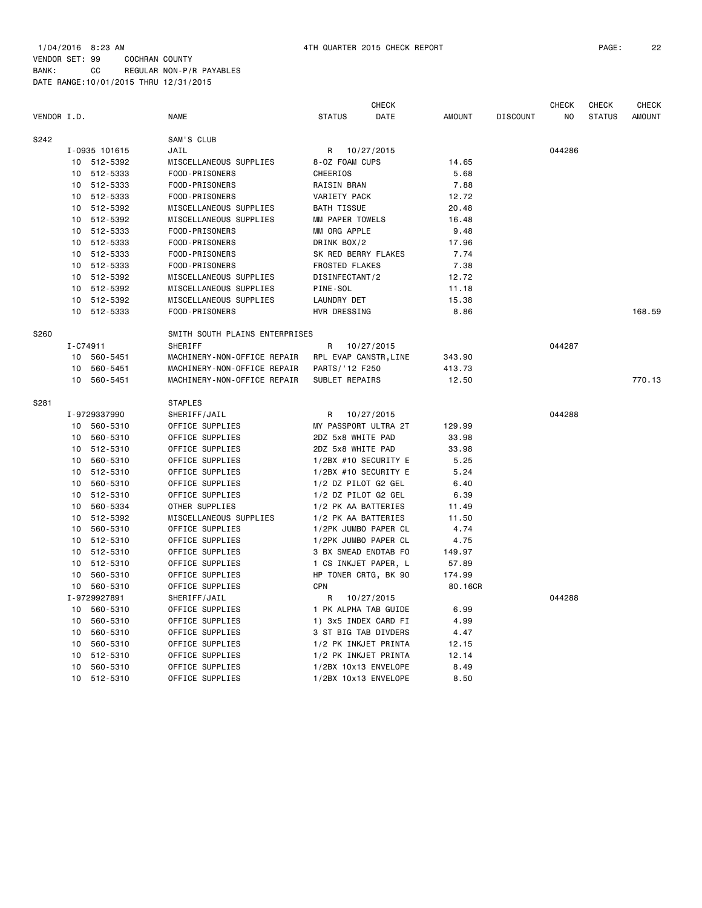1/04/2016 8:23 AM 4TH QUARTER 2015 CHECK REPORT PAGE: 22

|             |          |               |                                |                       | <b>CHECK</b> |               |                 | <b>CHECK</b> | CHECK         | <b>CHECK</b>  |
|-------------|----------|---------------|--------------------------------|-----------------------|--------------|---------------|-----------------|--------------|---------------|---------------|
| VENDOR I.D. |          |               | <b>NAME</b>                    | <b>STATUS</b>         | DATE         | <b>AMOUNT</b> | <b>DISCOUNT</b> | NO           | <b>STATUS</b> | <b>AMOUNT</b> |
| S242        |          |               | SAM'S CLUB                     |                       |              |               |                 |              |               |               |
|             |          | I-0935 101615 | JAIL                           | R                     | 10/27/2015   |               |                 | 044286       |               |               |
|             |          | 10 512-5392   | MISCELLANEOUS SUPPLIES         | 8-OZ FOAM CUPS        |              | 14.65         |                 |              |               |               |
|             | 10       | 512-5333      | FOOD-PRISONERS                 | CHEERIOS              |              | 5.68          |                 |              |               |               |
|             | 10       | 512-5333      | FOOD-PRISONERS                 | RAISIN BRAN           |              | 7.88          |                 |              |               |               |
|             | 10       | 512-5333      | FOOD-PRISONERS                 | VARIETY PACK          |              | 12.72         |                 |              |               |               |
|             | 10       | 512-5392      | MISCELLANEOUS SUPPLIES         | <b>BATH TISSUE</b>    |              | 20.48         |                 |              |               |               |
|             | 10       | 512-5392      | MISCELLANEOUS SUPPLIES         | MM PAPER TOWELS       |              | 16.48         |                 |              |               |               |
|             | 10       | 512-5333      | FOOD-PRISONERS                 | MM ORG APPLE          |              | 9.48          |                 |              |               |               |
|             |          | 10 512-5333   | FOOD-PRISONERS                 | DRINK BOX/2           |              | 17.96         |                 |              |               |               |
|             | 10       | 512-5333      | FOOD-PRISONERS                 | SK RED BERRY FLAKES   |              | 7.74          |                 |              |               |               |
|             | 10       | 512-5333      | FOOD-PRISONERS                 | <b>FROSTED FLAKES</b> |              | 7.38          |                 |              |               |               |
|             | 10       | 512-5392      | MISCELLANEOUS SUPPLIES         | DISINFECTANT/2        |              | 12.72         |                 |              |               |               |
|             | 10       | 512-5392      | MISCELLANEOUS SUPPLIES         | PINE-SOL              |              | 11.18         |                 |              |               |               |
|             | 10       | 512-5392      | MISCELLANEOUS SUPPLIES         | LAUNDRY DET           |              | 15.38         |                 |              |               |               |
|             |          | 10 512-5333   | FOOD-PRISONERS                 | HVR DRESSING          |              | 8.86          |                 |              |               | 168.59        |
| S260        |          |               | SMITH SOUTH PLAINS ENTERPRISES |                       |              |               |                 |              |               |               |
|             | I-C74911 |               | <b>SHERIFF</b>                 | R                     | 10/27/2015   |               |                 | 044287       |               |               |
|             | 10       | 560-5451      | MACHINERY-NON-OFFICE REPAIR    | RPL EVAP CANSTR, LINE |              | 343.90        |                 |              |               |               |
|             | 10       | 560-5451      | MACHINERY-NON-OFFICE REPAIR    | PARTS/ '12 F250       |              | 413.73        |                 |              |               |               |
|             | 10       | 560-5451      | MACHINERY-NON-OFFICE REPAIR    | SUBLET REPAIRS        |              | 12.50         |                 |              |               | 770.13        |
| S281        |          |               | <b>STAPLES</b>                 |                       |              |               |                 |              |               |               |
|             |          | I-9729337990  | SHERIFF/JAIL                   | R                     | 10/27/2015   |               |                 | 044288       |               |               |
|             | 10       | 560-5310      | OFFICE SUPPLIES                | MY PASSPORT ULTRA 2T  |              | 129.99        |                 |              |               |               |
|             | 10       | 560-5310      | OFFICE SUPPLIES                | 2DZ 5x8 WHITE PAD     |              | 33.98         |                 |              |               |               |
|             | 10       | 512-5310      | OFFICE SUPPLIES                | 2DZ 5x8 WHITE PAD     |              | 33.98         |                 |              |               |               |
|             | 10       | 560-5310      | OFFICE SUPPLIES                | 1/2BX #10 SECURITY E  |              | 5.25          |                 |              |               |               |
|             | 10       | 512-5310      | OFFICE SUPPLIES                | 1/2BX #10 SECURITY E  |              | 5.24          |                 |              |               |               |
|             | 10       | 560-5310      | OFFICE SUPPLIES                | 1/2 DZ PILOT G2 GEL   |              | 6.40          |                 |              |               |               |
|             | 10       | 512-5310      | OFFICE SUPPLIES                | 1/2 DZ PILOT G2 GEL   |              | 6.39          |                 |              |               |               |
|             | 10       | 560-5334      | OTHER SUPPLIES                 | 1/2 PK AA BATTERIES   |              | 11.49         |                 |              |               |               |
|             | 10       | 512-5392      | MISCELLANEOUS SUPPLIES         | 1/2 PK AA BATTERIES   |              | 11.50         |                 |              |               |               |
|             | 10       | 560-5310      | OFFICE SUPPLIES                | 1/2PK JUMBO PAPER CL  |              | 4.74          |                 |              |               |               |
|             | 10       | 512-5310      | OFFICE SUPPLIES                | 1/2PK JUMBO PAPER CL  |              | 4.75          |                 |              |               |               |
|             | 10       | 512-5310      | OFFICE SUPPLIES                | 3 BX SMEAD ENDTAB FO  |              | 149.97        |                 |              |               |               |
|             | 10       | 512-5310      | OFFICE SUPPLIES                | 1 CS INKJET PAPER, L  |              | 57.89         |                 |              |               |               |
|             | 10       | 560-5310      | OFFICE SUPPLIES                | HP TONER CRTG, BK 90  |              | 174.99        |                 |              |               |               |
|             |          | 10 560-5310   | OFFICE SUPPLIES                | <b>CPN</b>            |              | 80.16CR       |                 |              |               |               |
|             |          | I-9729927891  | SHERIFF/JAIL                   | R                     | 10/27/2015   |               |                 | 044288       |               |               |
|             | 10       | 560-5310      | OFFICE SUPPLIES                | 1 PK ALPHA TAB GUIDE  |              | 6.99          |                 |              |               |               |
|             | 10       | 560-5310      | OFFICE SUPPLIES                | 1) 3x5 INDEX CARD FI  |              | 4.99          |                 |              |               |               |
|             | 10       | 560-5310      | OFFICE SUPPLIES                | 3 ST BIG TAB DIVDERS  |              | 4.47          |                 |              |               |               |
|             | 10       | 560-5310      | OFFICE SUPPLIES                | 1/2 PK INKJET PRINTA  |              | 12.15         |                 |              |               |               |
|             | 10       | 512-5310      | OFFICE SUPPLIES                | 1/2 PK INKJET PRINTA  |              | 12.14         |                 |              |               |               |
|             | 10       | 560-5310      | OFFICE SUPPLIES                | 1/2BX 10x13 ENVELOPE  |              | 8.49          |                 |              |               |               |
|             | 10       | 512-5310      | OFFICE SUPPLIES                | 1/2BX 10x13 ENVELOPE  |              | 8.50          |                 |              |               |               |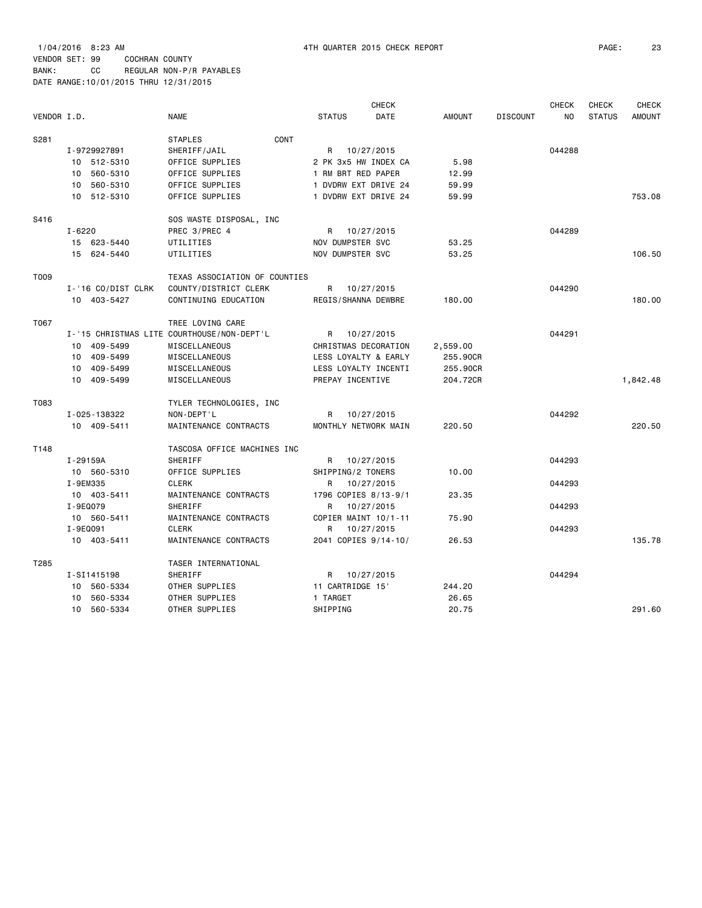|             |          |                    |                                            |                   | CHECK                |               |                 | <b>CHECK</b> | <b>CHECK</b>  | <b>CHECK</b>  |
|-------------|----------|--------------------|--------------------------------------------|-------------------|----------------------|---------------|-----------------|--------------|---------------|---------------|
| VENDOR I.D. |          |                    | <b>NAME</b>                                | <b>STATUS</b>     | DATE                 | <b>AMOUNT</b> | <b>DISCOUNT</b> | NO           | <b>STATUS</b> | <b>AMOUNT</b> |
| S281        |          |                    | CONT<br><b>STAPLES</b>                     |                   |                      |               |                 |              |               |               |
|             |          | I-9729927891       | SHERIFF/JAIL                               |                   | R 10/27/2015         |               |                 | 044288       |               |               |
|             |          | 10 512-5310        | OFFICE SUPPLIES                            |                   | 2 PK 3x5 HW INDEX CA | 5.98          |                 |              |               |               |
|             |          | 10 560-5310        | OFFICE SUPPLIES                            |                   | 1 RM BRT RED PAPER   | 12.99         |                 |              |               |               |
|             |          | 10 560-5310        | OFFICE SUPPLIES                            |                   | 1 DVDRW EXT DRIVE 24 | 59.99         |                 |              |               |               |
|             |          | 10 512-5310        | OFFICE SUPPLIES                            |                   | 1 DVDRW EXT DRIVE 24 | 59.99         |                 |              |               | 753.08        |
| S416        |          |                    | SOS WASTE DISPOSAL, INC                    |                   |                      |               |                 |              |               |               |
|             | I-6220   |                    | PREC 3/PREC 4                              |                   | R 10/27/2015         |               |                 | 044289       |               |               |
|             |          | 15 623-5440        | UTILITIES                                  | NOV DUMPSTER SVC  |                      | 53.25         |                 |              |               |               |
|             |          | 15 624-5440        | UTILITIES                                  | NOV DUMPSTER SVC  |                      | 53.25         |                 |              |               | 106.50        |
| T009        |          |                    | TEXAS ASSOCIATION OF COUNTIES              |                   |                      |               |                 |              |               |               |
|             |          | I-'16 CO/DIST CLRK | COUNTY/DISTRICT CLERK                      |                   | R 10/27/2015         |               |                 | 044290       |               |               |
|             |          | 10 403-5427        | CONTINUING EDUCATION                       |                   | REGIS/SHANNA DEWBRE  | 180.00        |                 |              |               | 180.00        |
| T067        |          |                    | TREE LOVING CARE                           |                   |                      |               |                 |              |               |               |
|             |          |                    | I-'15 CHRISTMAS LITE COURTHOUSE/NON-DEPT'L |                   | R 10/27/2015         |               |                 | 044291       |               |               |
|             |          | 10 409-5499        | MISCELLANEOUS                              |                   | CHRISTMAS DECORATION | 2,559.00      |                 |              |               |               |
|             |          | 10 409-5499        | MISCELLANEOUS                              |                   | LESS LOYALTY & EARLY | 255.90CR      |                 |              |               |               |
|             |          | 10 409-5499        | MISCELLANEOUS                              |                   | LESS LOYALTY INCENTI | 255.90CR      |                 |              |               |               |
|             |          | 10 409-5499        | MISCELLANEOUS                              | PREPAY INCENTIVE  |                      | 204.72CR      |                 |              |               | 1,842.48      |
| T083        |          |                    | TYLER TECHNOLOGIES, INC                    |                   |                      |               |                 |              |               |               |
|             |          | I-025-138322       | NON-DEPT'L                                 | R                 | 10/27/2015           |               |                 | 044292       |               |               |
|             |          | 10 409-5411        | MAINTENANCE CONTRACTS                      |                   | MONTHLY NETWORK MAIN | 220.50        |                 |              |               | 220.50        |
| T148        |          |                    | TASCOSA OFFICE MACHINES INC                |                   |                      |               |                 |              |               |               |
|             | I-29159A |                    | <b>SHERIFF</b>                             |                   | R 10/27/2015         |               |                 | 044293       |               |               |
|             |          | 10 560-5310        | OFFICE SUPPLIES                            | SHIPPING/2 TONERS |                      | 10.00         |                 |              |               |               |
|             | I-9EM335 |                    | <b>CLERK</b>                               | R                 | 10/27/2015           |               |                 | 044293       |               |               |
|             |          | 10 403-5411        | MAINTENANCE CONTRACTS                      |                   | 1796 COPIES 8/13-9/1 | 23.35         |                 |              |               |               |
|             | I-9E0079 |                    | SHERIFF                                    | R                 | 10/27/2015           |               |                 | 044293       |               |               |
|             |          | 10 560-5411        | MAINTENANCE CONTRACTS                      |                   | COPIER MAINT 10/1-11 | 75.90         |                 |              |               |               |
|             | I-9E0091 |                    | <b>CLERK</b>                               | R                 | 10/27/2015           |               |                 | 044293       |               |               |
|             |          | 10 403-5411        | MAINTENANCE CONTRACTS                      |                   | 2041 COPIES 9/14-10/ | 26.53         |                 |              |               | 135.78        |
| T285        |          |                    | TASER INTERNATIONAL                        |                   |                      |               |                 |              |               |               |
|             |          | I-SI1415198        | SHERIFF                                    | R                 | 10/27/2015           |               |                 | 044294       |               |               |
|             | 10       | 560-5334           | OTHER SUPPLIES                             | 11 CARTRIDGE 15   |                      | 244.20        |                 |              |               |               |
|             | 10       | 560-5334           | OTHER SUPPLIES                             | 1 TARGET          |                      | 26.65         |                 |              |               |               |
|             |          | 10 560-5334        | OTHER SUPPLIES                             | SHIPPING          |                      | 20.75         |                 |              |               | 291.60        |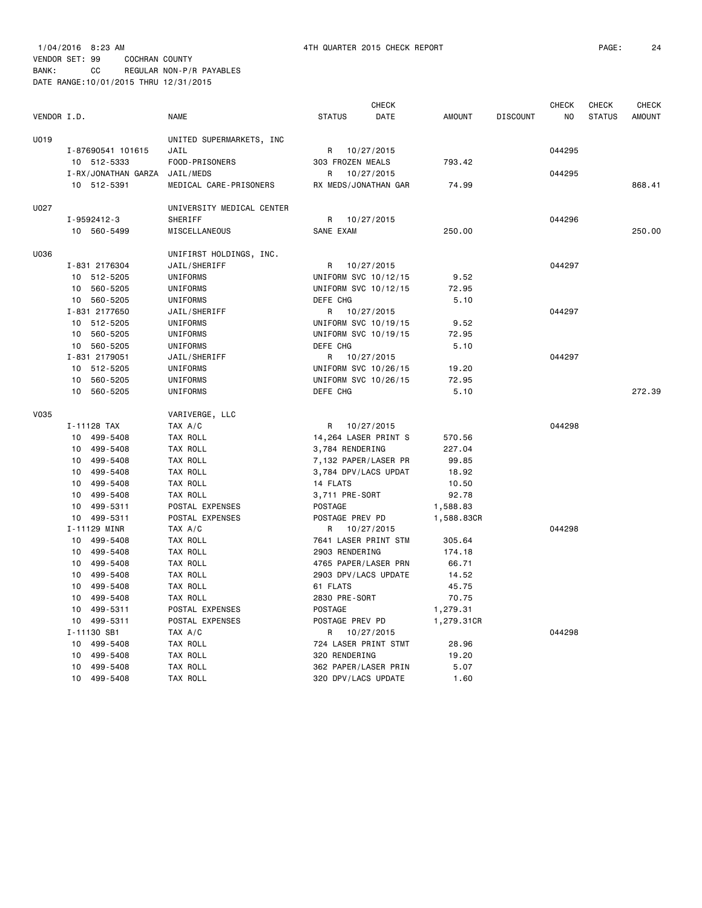| VENDOR I.D. |                     | <b>NAME</b>               | <b>STATUS</b>       | <b>CHECK</b><br><b>DATE</b> | <b>AMOUNT</b> | <b>DISCOUNT</b> | <b>CHECK</b><br>NO | <b>CHECK</b><br><b>STATUS</b> | <b>CHECK</b><br><b>AMOUNT</b> |
|-------------|---------------------|---------------------------|---------------------|-----------------------------|---------------|-----------------|--------------------|-------------------------------|-------------------------------|
|             |                     |                           |                     |                             |               |                 |                    |                               |                               |
| U019        |                     | UNITED SUPERMARKETS, INC  |                     |                             |               |                 |                    |                               |                               |
|             | I-87690541 101615   | JAIL                      |                     | R 10/27/2015                |               |                 | 044295             |                               |                               |
|             | 10 512-5333         | FOOD-PRISONERS            | 303 FROZEN MEALS    |                             | 793.42        |                 |                    |                               |                               |
|             | I-RX/JONATHAN GARZA | JAIL/MEDS                 | R                   | 10/27/2015                  |               |                 | 044295             |                               |                               |
|             | 10 512-5391         | MEDICAL CARE-PRISONERS    |                     | RX MEDS/JONATHAN GAR        | 74.99         |                 |                    |                               | 868.41                        |
| U027        |                     | UNIVERSITY MEDICAL CENTER |                     |                             |               |                 |                    |                               |                               |
|             | I-9592412-3         | SHERIFF                   | R                   | 10/27/2015                  |               |                 | 044296             |                               |                               |
|             | 10 560-5499         | MISCELLANEOUS             | SANE EXAM           |                             | 250.00        |                 |                    |                               | 250,00                        |
| U036        |                     | UNIFIRST HOLDINGS, INC.   |                     |                             |               |                 |                    |                               |                               |
|             | I-831 2176304       | JAIL/SHERIFF              | R                   | 10/27/2015                  |               |                 | 044297             |                               |                               |
|             | 10 512-5205         | UNIFORMS                  |                     | UNIFORM SVC 10/12/15        | 9.52          |                 |                    |                               |                               |
|             | 10 560-5205         | UNIFORMS                  |                     | UNIFORM SVC 10/12/15        | 72.95         |                 |                    |                               |                               |
|             | 10 560-5205         | UNIFORMS                  | DEFE CHG            |                             | 5.10          |                 |                    |                               |                               |
|             | I-831 2177650       | JAIL/SHERIFF              | R                   | 10/27/2015                  |               |                 | 044297             |                               |                               |
|             | 10 512-5205         | UNIFORMS                  |                     | UNIFORM SVC 10/19/15        | 9.52          |                 |                    |                               |                               |
|             | 10 560-5205         | UNIFORMS                  |                     | UNIFORM SVC 10/19/15        | 72.95         |                 |                    |                               |                               |
|             | 10 560-5205         | UNIFORMS                  | DEFE CHG            |                             | 5.10          |                 |                    |                               |                               |
|             | I-831 2179051       | JAIL/SHERIFF              | R                   | 10/27/2015                  |               |                 | 044297             |                               |                               |
|             | 10 512-5205         | UNIFORMS                  |                     | UNIFORM SVC 10/26/15        | 19.20         |                 |                    |                               |                               |
|             | 10<br>560-5205      | UNIFORMS                  |                     | UNIFORM SVC 10/26/15        | 72.95         |                 |                    |                               |                               |
|             | 10 560-5205         | <b>UNIFORMS</b>           | DEFE CHG            |                             | 5.10          |                 |                    |                               | 272.39                        |
| <b>V035</b> |                     | VARIVERGE, LLC            |                     |                             |               |                 |                    |                               |                               |
|             | I-11128 TAX         | TAX A/C                   | R                   | 10/27/2015                  |               |                 | 044298             |                               |                               |
|             | 10 499-5408         | TAX ROLL                  |                     | 14,264 LASER PRINT S        | 570.56        |                 |                    |                               |                               |
|             | 10 499-5408         | TAX ROLL                  | 3,784 RENDERING     |                             | 227.04        |                 |                    |                               |                               |
|             | 10 499-5408         | TAX ROLL                  |                     | 7,132 PAPER/LASER PR        | 99.85         |                 |                    |                               |                               |
|             | 10 499-5408         | TAX ROLL                  |                     | 3,784 DPV/LACS UPDAT        | 18.92         |                 |                    |                               |                               |
|             | 10 499-5408         | TAX ROLL                  | 14 FLATS            |                             | 10.50         |                 |                    |                               |                               |
|             | 10 499-5408         | TAX ROLL                  | 3,711 PRE-SORT      |                             | 92.78         |                 |                    |                               |                               |
|             | 10 499-5311         | POSTAL EXPENSES           | POSTAGE             |                             | 1,588.83      |                 |                    |                               |                               |
|             | 10 499-5311         | POSTAL EXPENSES           | POSTAGE PREV PD     |                             | 1,588.83CR    |                 |                    |                               |                               |
|             | I-11129 MINR        | TAX A/C                   |                     | R 10/27/2015                |               |                 | 044298             |                               |                               |
|             | 499-5408<br>10      | TAX ROLL                  |                     | 7641 LASER PRINT STM        | 305.64        |                 |                    |                               |                               |
|             | 10 499-5408         | TAX ROLL                  | 2903 RENDERING      |                             | 174.18        |                 |                    |                               |                               |
|             | 10 499-5408         | TAX ROLL                  |                     | 4765 PAPER/LASER PRN        | 66.71         |                 |                    |                               |                               |
|             | 10<br>499-5408      | TAX ROLL                  |                     | 2903 DPV/LACS UPDATE        | 14.52         |                 |                    |                               |                               |
|             | 10 499-5408         | TAX ROLL                  | 61 FLATS            |                             | 45.75         |                 |                    |                               |                               |
|             | 10<br>499-5408      | TAX ROLL                  | 2830 PRE-SORT       |                             | 70.75         |                 |                    |                               |                               |
|             | 10<br>499-5311      | POSTAL EXPENSES           | POSTAGE             |                             | 1,279.31      |                 |                    |                               |                               |
|             | 10 499-5311         | POSTAL EXPENSES           | POSTAGE PREV PD     |                             | 1,279.31CR    |                 |                    |                               |                               |
|             | I-11130 SB1         | TAX A/C                   | R                   | 10/27/2015                  |               |                 | 044298             |                               |                               |
|             | 10<br>499-5408      | TAX ROLL                  |                     | 724 LASER PRINT STMT        | 28.96         |                 |                    |                               |                               |
|             | 499-5408<br>10      | TAX ROLL                  | 320 RENDERING       |                             | 19.20         |                 |                    |                               |                               |
|             | 10<br>499-5408      | TAX ROLL                  |                     | 362 PAPER/LASER PRIN        | 5.07          |                 |                    |                               |                               |
|             | 10<br>499-5408      | TAX ROLL                  | 320 DPV/LACS UPDATE |                             | 1.60          |                 |                    |                               |                               |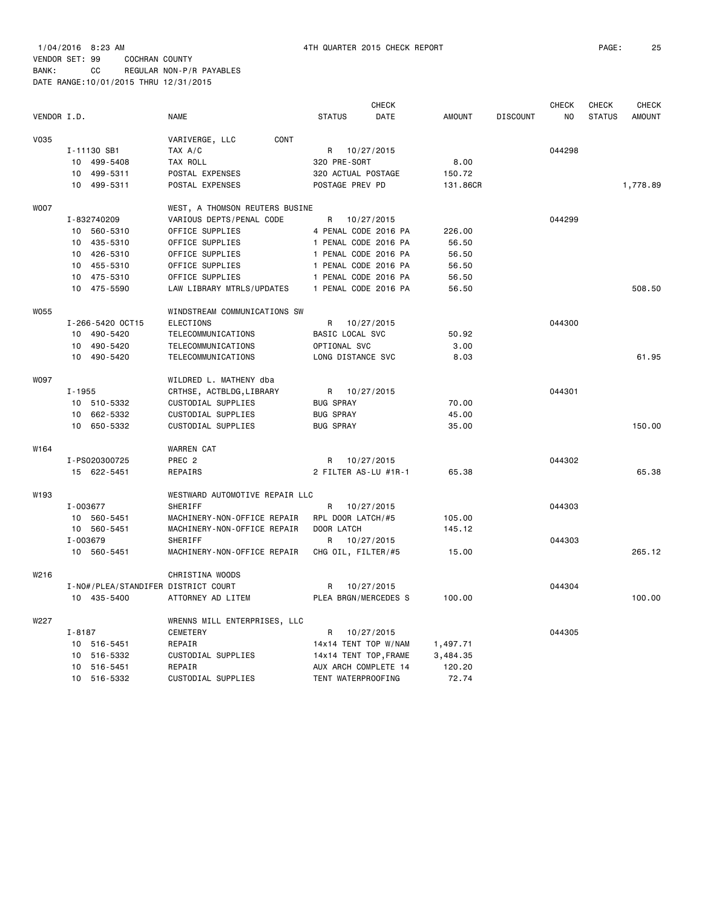|             |                             |                                     |                       | <b>CHECK</b> |          |                 | <b>CHECK</b> | CHECK         | <b>CHECK</b>  |
|-------------|-----------------------------|-------------------------------------|-----------------------|--------------|----------|-----------------|--------------|---------------|---------------|
| VENDOR I.D. |                             | <b>NAME</b>                         | <b>STATUS</b>         | DATE         | AMOUNT   | <b>DISCOUNT</b> | NO           | <b>STATUS</b> | <b>AMOUNT</b> |
| <b>V035</b> |                             | VARIVERGE, LLC<br>CONT              |                       |              |          |                 |              |               |               |
|             | I-11130 SB1                 | TAX A/C                             | R 10/27/2015          |              |          |                 | 044298       |               |               |
|             | 10 499-5408                 | TAX ROLL                            | 320 PRE-SORT          |              | 8.00     |                 |              |               |               |
|             | 10<br>499-5311              | POSTAL EXPENSES                     | 320 ACTUAL POSTAGE    |              | 150.72   |                 |              |               |               |
|             | 499-5311<br>10              | POSTAL EXPENSES                     | POSTAGE PREV PD       |              | 131.86CR |                 |              |               | 1,778.89      |
|             |                             |                                     |                       |              |          |                 |              |               |               |
| <b>WOO7</b> |                             | WEST, A THOMSON REUTERS BUSINE      |                       |              |          |                 |              |               |               |
|             | I-832740209                 | VARIOUS DEPTS/PENAL CODE            | R                     | 10/27/2015   |          |                 | 044299       |               |               |
|             | 10 560-5310                 | OFFICE SUPPLIES                     | 4 PENAL CODE 2016 PA  |              | 226.00   |                 |              |               |               |
|             | 10 435-5310                 | OFFICE SUPPLIES                     | 1 PENAL CODE 2016 PA  |              | 56.50    |                 |              |               |               |
|             | 10 426-5310                 | OFFICE SUPPLIES                     | 1 PENAL CODE 2016 PA  |              | 56.50    |                 |              |               |               |
|             | 10 455-5310                 | OFFICE SUPPLIES                     | 1 PENAL CODE 2016 PA  |              | 56.50    |                 |              |               |               |
|             | 10 475-5310                 | OFFICE SUPPLIES                     | 1 PENAL CODE 2016 PA  |              | 56.50    |                 |              |               |               |
|             | 10 475-5590                 | LAW LIBRARY MTRLS/UPDATES           | 1 PENAL CODE 2016 PA  |              | 56.50    |                 |              |               | 508.50        |
| <b>W055</b> |                             | WINDSTREAM COMMUNICATIONS SW        |                       |              |          |                 |              |               |               |
|             | I-266-5420 OCT15            | <b>ELECTIONS</b>                    | R                     | 10/27/2015   |          |                 | 044300       |               |               |
|             | 10 490-5420                 | TELECOMMUNICATIONS                  | BASIC LOCAL SVC       |              | 50.92    |                 |              |               |               |
|             | 10<br>490-5420              | TELECOMMUNICATIONS                  | OPTIONAL SVC          |              | 3.00     |                 |              |               |               |
|             | 10<br>490-5420              | TELECOMMUNICATIONS                  | LONG DISTANCE SVC     |              | 8.03     |                 |              |               | 61.95         |
|             |                             |                                     |                       |              |          |                 |              |               |               |
| <b>W097</b> |                             | WILDRED L. MATHENY dba              |                       |              |          |                 |              |               |               |
|             | $I - 1955$                  | CRTHSE, ACTBLDG, LIBRARY            | R                     | 10/27/2015   |          |                 | 044301       |               |               |
|             | 10 510-5332                 | CUSTODIAL SUPPLIES                  | <b>BUG SPRAY</b>      |              | 70.00    |                 |              |               |               |
|             | 10 662-5332                 | CUSTODIAL SUPPLIES                  | <b>BUG SPRAY</b>      |              | 45.00    |                 |              |               |               |
|             | 10 650-5332                 | CUSTODIAL SUPPLIES                  | <b>BUG SPRAY</b>      |              | 35.00    |                 |              |               | 150.00        |
| W164        |                             | <b>WARREN CAT</b>                   |                       |              |          |                 |              |               |               |
|             | I-PS020300725               | PREC <sub>2</sub>                   | R                     | 10/27/2015   |          |                 | 044302       |               |               |
|             | 15 622-5451                 | REPAIRS                             | 2 FILTER AS-LU #1R-1  |              | 65.38    |                 |              |               | 65.38         |
| W193        |                             | WESTWARD AUTOMOTIVE REPAIR LLC      |                       |              |          |                 |              |               |               |
|             | I-003677                    | SHERIFF                             | R                     | 10/27/2015   |          |                 | 044303       |               |               |
|             | 10<br>560-5451              | MACHINERY-NON-OFFICE REPAIR         | RPL DOOR LATCH/#5     |              | 105.00   |                 |              |               |               |
|             | 10<br>560-5451              | MACHINERY-NON-OFFICE REPAIR         | DOOR LATCH            |              | 145.12   |                 |              |               |               |
|             | I-003679                    | SHERIFF                             | R                     | 10/27/2015   |          |                 | 044303       |               |               |
|             | 10 560-5451                 | MACHINERY-NON-OFFICE REPAIR         | CHG OIL, FILTER/#5    |              | 15.00    |                 |              |               | 265.12        |
|             |                             |                                     |                       |              |          |                 |              |               |               |
| W216        |                             | CHRISTINA WOODS                     |                       |              |          |                 |              |               |               |
|             |                             | I-NO#/PLEA/STANDIFER DISTRICT COURT | R                     | 10/27/2015   |          |                 | 044304       |               |               |
|             | 10 435-5400                 | ATTORNEY AD LITEM                   | PLEA BRGN/MERCEDES S  |              | 100.00   |                 |              |               | 100.00        |
| W227        |                             | WRENNS MILL ENTERPRISES, LLC        |                       |              |          |                 |              |               |               |
|             | $I - 8187$                  | <b>CEMETERY</b>                     | R                     | 10/27/2015   |          |                 | 044305       |               |               |
|             | 10 516-5451                 | REPAIR                              | 14x14 TENT TOP W/NAM  |              | 1,497.71 |                 |              |               |               |
|             | 10<br>516-5332              | CUSTODIAL SUPPLIES                  | 14x14 TENT TOP, FRAME |              | 3,484.35 |                 |              |               |               |
|             | 10 516-5451                 | REPAIR                              | AUX ARCH COMPLETE 14  |              | 120.20   |                 |              |               |               |
|             | 10 <sup>1</sup><br>516-5332 | CUSTODIAL SUPPLIES                  | TENT WATERPROOFING    |              | 72.74    |                 |              |               |               |
|             |                             |                                     |                       |              |          |                 |              |               |               |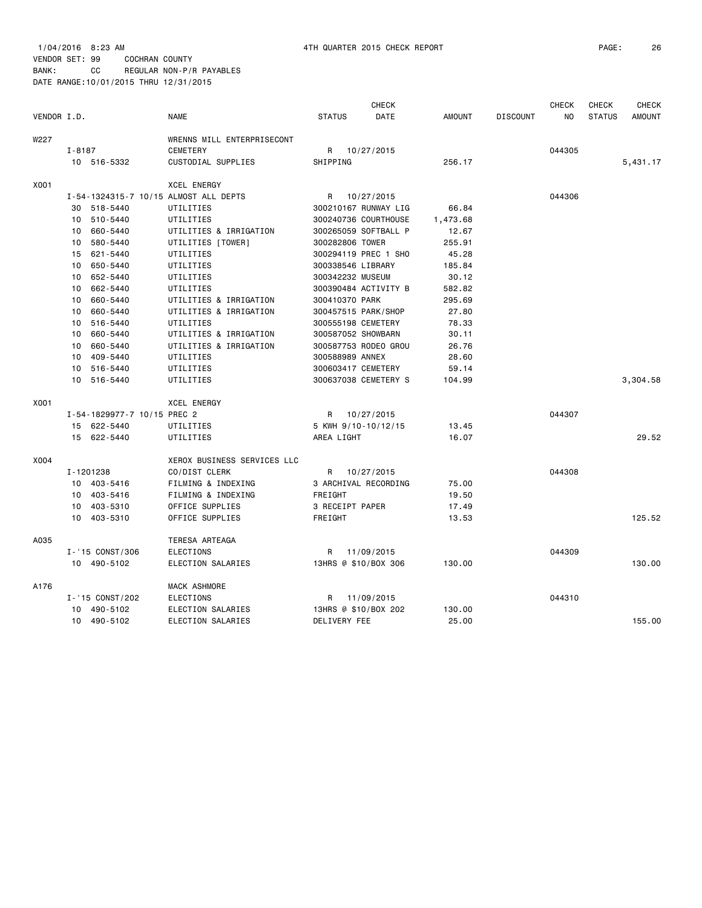|             |                                       |                             |                      | <b>CHECK</b> |               |                 | <b>CHECK</b>   | <b>CHECK</b>  | <b>CHECK</b>  |
|-------------|---------------------------------------|-----------------------------|----------------------|--------------|---------------|-----------------|----------------|---------------|---------------|
| VENDOR I.D. |                                       | <b>NAME</b>                 | <b>STATUS</b>        | DATE         | <b>AMOUNT</b> | <b>DISCOUNT</b> | N <sub>O</sub> | <b>STATUS</b> | <b>AMOUNT</b> |
| W227        |                                       | WRENNS MILL ENTERPRISECONT  |                      |              |               |                 |                |               |               |
|             | $I - 8187$                            | <b>CEMETERY</b>             | R                    | 10/27/2015   |               |                 | 044305         |               |               |
|             | 10 516-5332                           | CUSTODIAL SUPPLIES          | SHIPPING             |              | 256.17        |                 |                |               | 5,431.17      |
| X001        |                                       | <b>XCEL ENERGY</b>          |                      |              |               |                 |                |               |               |
|             | I-54-1324315-7 10/15 ALMOST ALL DEPTS |                             | R                    | 10/27/2015   |               |                 | 044306         |               |               |
|             | 30 518-5440                           | UTILITIES                   | 300210167 RUNWAY LIG |              | 66.84         |                 |                |               |               |
|             | 10 510-5440                           | UTILITIES                   | 300240736 COURTHOUSE |              | 1,473.68      |                 |                |               |               |
|             | 660-5440<br>10                        | UTILITIES & IRRIGATION      | 300265059 SOFTBALL P |              | 12.67         |                 |                |               |               |
|             | 580-5440<br>10                        | UTILITIES [TOWER]           | 300282806 TOWER      |              | 255.91        |                 |                |               |               |
|             | 15<br>621-5440                        | UTILITIES                   | 300294119 PREC 1 SHO |              | 45.28         |                 |                |               |               |
|             | 10 650-5440                           | UTILITIES                   | 300338546 LIBRARY    |              | 185.84        |                 |                |               |               |
|             | 652-5440<br>10                        | UTILITIES                   | 300342232 MUSEUM     |              | 30.12         |                 |                |               |               |
|             | 662-5440<br>10                        | UTILITIES                   | 300390484 ACTIVITY B |              | 582.82        |                 |                |               |               |
|             | 660-5440<br>10                        | UTILITIES & IRRIGATION      | 300410370 PARK       |              | 295.69        |                 |                |               |               |
|             | 660-5440<br>10                        | UTILITIES & IRRIGATION      | 300457515 PARK/SHOP  |              | 27.80         |                 |                |               |               |
|             | 516-5440<br>10                        | UTILITIES                   | 300555198 CEMETERY   |              | 78.33         |                 |                |               |               |
|             | 660-5440<br>10                        | UTILITIES & IRRIGATION      | 300587052 SHOWBARN   |              | 30.11         |                 |                |               |               |
|             | 660-5440<br>10                        | UTILITIES & IRRIGATION      | 300587753 RODEO GROU |              | 26.76         |                 |                |               |               |
|             | 409-5440<br>10                        | UTILITIES                   | 300588989 ANNEX      |              | 28.60         |                 |                |               |               |
|             | 516-5440<br>10                        | UTILITIES                   | 300603417 CEMETERY   |              | 59.14         |                 |                |               |               |
|             | 10 516-5440                           | UTILITIES                   | 300637038 CEMETERY S |              | 104.99        |                 |                |               | 3,304.58      |
| X001        |                                       | <b>XCEL ENERGY</b>          |                      |              |               |                 |                |               |               |
|             | I-54-1829977-7 10/15 PREC 2           |                             | R                    | 10/27/2015   |               |                 | 044307         |               |               |
|             | 15 622-5440                           | UTILITIES                   | 5 KWH 9/10-10/12/15  |              | 13.45         |                 |                |               |               |
|             | 15 622-5440                           | UTILITIES                   | AREA LIGHT           |              | 16.07         |                 |                |               | 29.52         |
| X004        |                                       | XEROX BUSINESS SERVICES LLC |                      |              |               |                 |                |               |               |
|             | I-1201238                             | CO/DIST CLERK               | R                    | 10/27/2015   |               |                 | 044308         |               |               |
|             | 10 403-5416                           | FILMING & INDEXING          | 3 ARCHIVAL RECORDING |              | 75.00         |                 |                |               |               |
|             | 10 403-5416                           | FILMING & INDEXING          | FREIGHT              |              | 19.50         |                 |                |               |               |
|             | 10 403-5310                           | OFFICE SUPPLIES             | 3 RECEIPT PAPER      |              | 17.49         |                 |                |               |               |
|             | 10 403-5310                           | OFFICE SUPPLIES             | FREIGHT              |              | 13.53         |                 |                |               | 125.52        |
| A035        |                                       | TERESA ARTEAGA              |                      |              |               |                 |                |               |               |
|             | I-'15 CONST/306                       | <b>ELECTIONS</b>            | R                    | 11/09/2015   |               |                 | 044309         |               |               |
|             | 10 490-5102                           | ELECTION SALARIES           | 13HRS @ \$10/BOX 306 |              | 130.00        |                 |                |               | 130.00        |
| A176        |                                       | MACK ASHMORE                |                      |              |               |                 |                |               |               |
|             | I-'15 CONST/202                       | <b>ELECTIONS</b>            | R                    | 11/09/2015   |               |                 | 044310         |               |               |
|             | 490-5102<br>10                        | ELECTION SALARIES           | 13HRS @ \$10/BOX 202 |              | 130.00        |                 |                |               |               |
|             | 10 490-5102                           | ELECTION SALARIES           | DELIVERY FEE         |              | 25.00         |                 |                |               | 155.00        |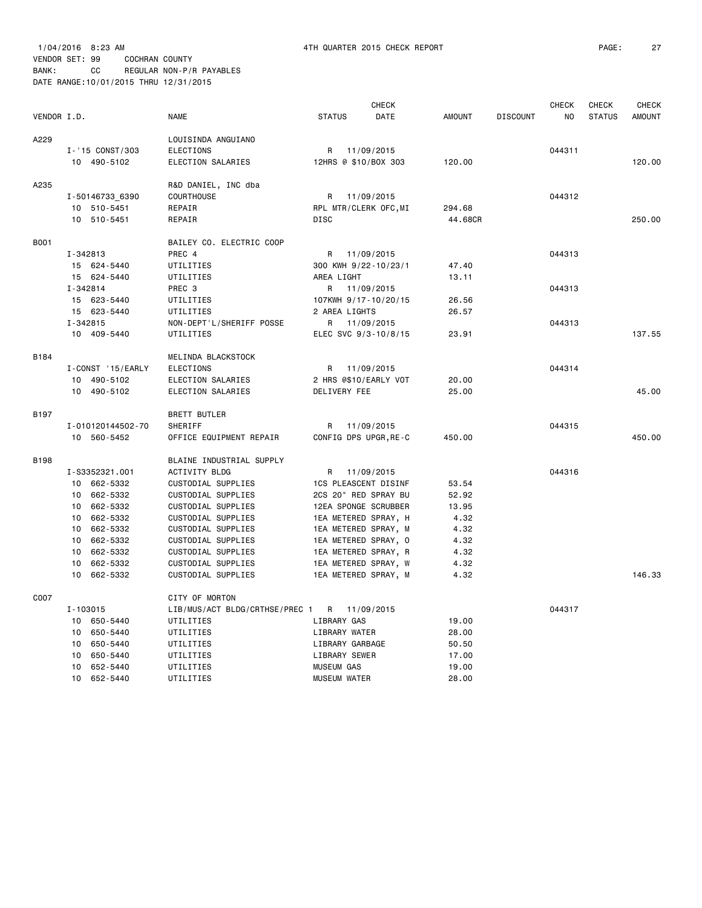|             |                   |                                |                       | <b>CHECK</b>         |               |                 | <b>CHECK</b> | CHECK         | CHECK  |
|-------------|-------------------|--------------------------------|-----------------------|----------------------|---------------|-----------------|--------------|---------------|--------|
| VENDOR I.D. |                   | <b>NAME</b>                    | <b>STATUS</b>         | DATE                 | <b>AMOUNT</b> | <b>DISCOUNT</b> | NO.          | <b>STATUS</b> | AMOUNT |
| A229        |                   | LOUISINDA ANGUIANO             |                       |                      |               |                 |              |               |        |
|             | I-'15 CONST/303   | <b>ELECTIONS</b>               | R                     | 11/09/2015           |               |                 | 044311       |               |        |
|             | 10 490-5102       | ELECTION SALARIES              | 12HRS @ \$10/BOX 303  |                      | 120.00        |                 |              |               | 120.00 |
| A235        |                   | R&D DANIEL, INC dba            |                       |                      |               |                 |              |               |        |
|             | I-50146733_6390   | <b>COURTHOUSE</b>              | R                     | 11/09/2015           |               |                 | 044312       |               |        |
|             | 10 510-5451       | REPAIR                         | RPL MTR/CLERK OFC, MI |                      | 294.68        |                 |              |               |        |
|             | 10 510-5451       | REPAIR                         | <b>DISC</b>           |                      | 44.68CR       |                 |              |               | 250.00 |
| <b>B001</b> |                   | BAILEY CO. ELECTRIC COOP       |                       |                      |               |                 |              |               |        |
|             | I-342813          | PREC 4                         | R 11/09/2015          |                      |               |                 | 044313       |               |        |
|             | 15 624-5440       | UTILITIES                      | 300 KWH 9/22-10/23/1  |                      | 47.40         |                 |              |               |        |
|             | 15 624-5440       | UTILITIES                      | AREA LIGHT            |                      | 13.11         |                 |              |               |        |
|             | I-342814          | PREC <sub>3</sub>              | R                     | 11/09/2015           |               |                 | 044313       |               |        |
|             | 15 623-5440       | UTILITIES                      | 107KWH 9/17-10/20/15  |                      | 26.56         |                 |              |               |        |
|             | 15 623-5440       | UTILITIES                      | 2 AREA LIGHTS         |                      | 26.57         |                 |              |               |        |
|             | I-342815          | NON-DEPT'L/SHERIFF POSSE       | R 11/09/2015          |                      |               |                 | 044313       |               |        |
|             | 10 409-5440       | UTILITIES                      |                       | ELEC SVC 9/3-10/8/15 | 23.91         |                 |              |               | 137.55 |
| B184        |                   | MELINDA BLACKSTOCK             |                       |                      |               |                 |              |               |        |
|             | I-CONST '15/EARLY | <b>ELECTIONS</b>               | R                     | 11/09/2015           |               |                 | 044314       |               |        |
|             | 10 490-5102       | ELECTION SALARIES              | 2 HRS @\$10/EARLY VOT |                      | 20.00         |                 |              |               |        |
|             | 10 490-5102       | ELECTION SALARIES              | DELIVERY FEE          |                      | 25.00         |                 |              |               | 45.00  |
| B197        |                   | <b>BRETT BUTLER</b>            |                       |                      |               |                 |              |               |        |
|             | I-010120144502-70 | SHERIFF                        | R                     | 11/09/2015           |               |                 | 044315       |               |        |
|             | 10 560-5452       | OFFICE EQUIPMENT REPAIR        | CONFIG DPS UPGR, RE-C |                      | 450.00        |                 |              |               | 450.00 |
| <b>B198</b> |                   | BLAINE INDUSTRIAL SUPPLY       |                       |                      |               |                 |              |               |        |
|             | I-S3352321.001    | ACTIVITY BLDG                  | R                     | 11/09/2015           |               |                 | 044316       |               |        |
|             | 10 662-5332       | CUSTODIAL SUPPLIES             | 1CS PLEASCENT DISINF  |                      | 53.54         |                 |              |               |        |
|             | 10 662-5332       | CUSTODIAL SUPPLIES             | 2CS 20" RED SPRAY BU  |                      | 52.92         |                 |              |               |        |
|             | 10 662-5332       | CUSTODIAL SUPPLIES             | 12EA SPONGE SCRUBBER  |                      | 13.95         |                 |              |               |        |
|             | 10 662-5332       | CUSTODIAL SUPPLIES             | 1EA METERED SPRAY, H  |                      | 4.32          |                 |              |               |        |
|             | 10 662-5332       | CUSTODIAL SUPPLIES             | 1EA METERED SPRAY, M  |                      | 4.32          |                 |              |               |        |
|             | 10 662-5332       | CUSTODIAL SUPPLIES             | 1EA METERED SPRAY, 0  |                      | 4.32          |                 |              |               |        |
|             | 10 662-5332       | CUSTODIAL SUPPLIES             | 1EA METERED SPRAY, R  |                      | 4.32          |                 |              |               |        |
|             | 10 662-5332       | CUSTODIAL SUPPLIES             | 1EA METERED SPRAY, W  |                      | 4.32          |                 |              |               |        |
|             | 10<br>662-5332    | CUSTODIAL SUPPLIES             |                       | 1EA METERED SPRAY, M | 4.32          |                 |              |               | 146.33 |
| C007        |                   | CITY OF MORTON                 |                       |                      |               |                 |              |               |        |
|             | I-103015          | LIB/MUS/ACT BLDG/CRTHSE/PREC 1 | R                     | 11/09/2015           |               |                 | 044317       |               |        |
|             | 10 650-5440       | UTILITIES                      | LIBRARY GAS           |                      | 19.00         |                 |              |               |        |
|             | 10 650-5440       | UTILITIES                      | LIBRARY WATER         |                      | 28.00         |                 |              |               |        |
|             | 10 650-5440       | UTILITIES                      | LIBRARY GARBAGE       |                      | 50.50         |                 |              |               |        |
|             | 650-5440<br>10    | UTILITIES                      | LIBRARY SEWER         |                      | 17.00         |                 |              |               |        |
|             | 10 652-5440       | UTILITIES                      | <b>MUSEUM GAS</b>     |                      | 19.00         |                 |              |               |        |
|             | 652-5440<br>10    | UTILITIES                      | <b>MUSEUM WATER</b>   |                      | 28.00         |                 |              |               |        |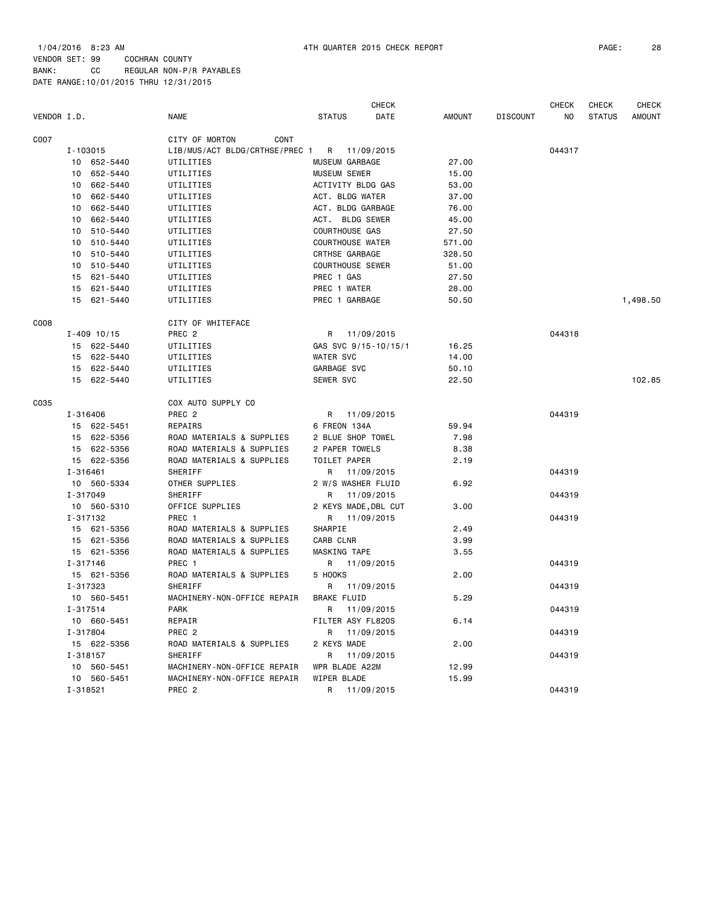|             |              |                 |                                             |                         | CHECK        |               |                 | <b>CHECK</b> | CHECK         | <b>CHECK</b>  |
|-------------|--------------|-----------------|---------------------------------------------|-------------------------|--------------|---------------|-----------------|--------------|---------------|---------------|
| VENDOR I.D. |              |                 | <b>NAME</b>                                 | <b>STATUS</b>           | DATE         | <b>AMOUNT</b> | <b>DISCOUNT</b> | NO.          | <b>STATUS</b> | <b>AMOUNT</b> |
| C007        |              |                 | CITY OF MORTON<br>CONT                      |                         |              |               |                 |              |               |               |
|             | I-103015     |                 | LIB/MUS/ACT BLDG/CRTHSE/PREC 1              | R 11/09/2015            |              |               |                 | 044317       |               |               |
|             |              | 10 652-5440     | UTILITIES                                   | MUSEUM GARBAGE          |              | 27.00         |                 |              |               |               |
|             | 10           | 652-5440        | UTILITIES                                   | <b>MUSEUM SEWER</b>     |              | 15.00         |                 |              |               |               |
|             | 10           | 662-5440        | UTILITIES                                   | ACTIVITY BLDG GAS       |              | 53.00         |                 |              |               |               |
|             | 10           | 662-5440        | UTILITIES                                   | ACT. BLDG WATER         |              | 37.00         |                 |              |               |               |
|             | 10           | 662-5440        | UTILITIES                                   | ACT. BLDG GARBAGE       |              | 76.00         |                 |              |               |               |
|             |              | 10 662-5440     | UTILITIES                                   | ACT. BLDG SEWER         |              | 45.00         |                 |              |               |               |
|             | 10           | 510-5440        | UTILITIES                                   | <b>COURTHOUSE GAS</b>   |              | 27.50         |                 |              |               |               |
|             | 10           | 510-5440        | UTILITIES                                   | <b>COURTHOUSE WATER</b> |              | 571.00        |                 |              |               |               |
|             | 10           | 510-5440        | UTILITIES                                   | CRTHSE GARBAGE          |              | 328.50        |                 |              |               |               |
|             |              | 10 510-5440     | UTILITIES                                   | <b>COURTHOUSE SEWER</b> |              | 51.00         |                 |              |               |               |
|             |              | 15 621-5440     | UTILITIES                                   | PREC 1 GAS              |              | 27.50         |                 |              |               |               |
|             | 15           | 621-5440        | UTILITIES                                   | PREC 1 WATER            |              | 28.00         |                 |              |               |               |
|             | 15           | 621-5440        | UTILITIES                                   | PREC 1 GARBAGE          |              | 50.50         |                 |              |               | 1,498.50      |
|             |              |                 |                                             |                         |              |               |                 |              |               |               |
| C008        |              |                 | CITY OF WHITEFACE                           |                         |              |               |                 |              |               |               |
|             |              | $I - 409$ 10/15 | PREC <sub>2</sub>                           | R 11/09/2015            |              |               |                 | 044318       |               |               |
|             |              | 15 622-5440     | UTILITIES                                   | GAS SVC 9/15-10/15/1    |              | 16.25         |                 |              |               |               |
|             | 15           | 622-5440        | UTILITIES                                   | <b>WATER SVC</b>        |              | 14.00         |                 |              |               |               |
|             | 15           | 622-5440        | UTILITIES                                   | GARBAGE SVC             |              | 50.10         |                 |              |               |               |
|             | 15           | 622-5440        | UTILITIES                                   | SEWER SVC               |              | 22.50         |                 |              |               | 102.85        |
| C035        |              |                 | COX AUTO SUPPLY CO                          |                         |              |               |                 |              |               |               |
|             | I-316406     |                 | PREC <sub>2</sub>                           |                         | R 11/09/2015 |               |                 | 044319       |               |               |
|             |              | 15 622-5451     | <b>REPAIRS</b>                              | 6 FREON 134A            |              | 59.94         |                 |              |               |               |
|             |              | 15 622-5356     | ROAD MATERIALS & SUPPLIES                   | 2 BLUE SHOP TOWEL       |              | 7.98          |                 |              |               |               |
|             |              | 15 622-5356     | ROAD MATERIALS & SUPPLIES                   | 2 PAPER TOWELS          |              | 8.38          |                 |              |               |               |
|             |              | 15 622-5356     | ROAD MATERIALS & SUPPLIES                   | TOILET PAPER            |              | 2.19          |                 |              |               |               |
|             | I-316461     |                 | SHERIFF                                     | R                       | 11/09/2015   |               |                 | 044319       |               |               |
|             |              | 10 560-5334     | OTHER SUPPLIES                              | 2 W/S WASHER FLUID      |              | 6.92          |                 |              |               |               |
|             | I-317049     |                 | SHERIFF                                     | R                       | 11/09/2015   |               |                 | 044319       |               |               |
|             |              | 10 560-5310     | OFFICE SUPPLIES                             | 2 KEYS MADE, DBL CUT    |              | 3.00          |                 |              |               |               |
|             | I-317132     |                 | PREC 1                                      | R                       | 11/09/2015   |               |                 | 044319       |               |               |
|             |              | 15 621-5356     | ROAD MATERIALS & SUPPLIES                   | SHARPIE                 |              | 2.49          |                 |              |               |               |
|             |              | 15 621-5356     | ROAD MATERIALS & SUPPLIES                   | CARB CLNR               |              | 3.99          |                 |              |               |               |
|             |              | 15 621-5356     | ROAD MATERIALS & SUPPLIES                   | MASKING TAPE            |              | 3.55          |                 |              |               |               |
|             | $I - 317146$ |                 | PREC 1                                      | R                       |              |               |                 | 044319       |               |               |
|             |              | 15 621-5356     |                                             | 5 HOOKS                 | 11/09/2015   | 2.00          |                 |              |               |               |
|             |              |                 | ROAD MATERIALS & SUPPLIES<br><b>SHERIFF</b> |                         |              |               |                 |              |               |               |
|             | I-317323     |                 |                                             | R                       | 11/09/2015   |               |                 | 044319       |               |               |
|             |              | 10 560-5451     | MACHINERY-NON-OFFICE REPAIR                 | <b>BRAKE FLUID</b>      |              | 5.29          |                 |              |               |               |
|             | I-317514     |                 | <b>PARK</b>                                 | R                       | 11/09/2015   |               |                 | 044319       |               |               |
|             |              | 10 660-5451     | REPAIR                                      | FILTER ASY FL820S       |              | 6.14          |                 |              |               |               |
|             | I-317804     |                 | PREC <sub>2</sub>                           | R                       | 11/09/2015   |               |                 | 044319       |               |               |
|             |              | 15 622-5356     | ROAD MATERIALS & SUPPLIES                   | 2 KEYS MADE             |              | 2.00          |                 |              |               |               |
|             | I-318157     |                 | SHERIFF                                     | R                       | 11/09/2015   |               |                 | 044319       |               |               |
|             | 10           | 560-5451        | MACHINERY-NON-OFFICE REPAIR                 | WPR BLADE A22M          |              | 12.99         |                 |              |               |               |
|             |              | 10 560-5451     | MACHINERY-NON-OFFICE REPAIR                 | WIPER BLADE             |              | 15.99         |                 |              |               |               |
|             | I-318521     |                 | PREC <sub>2</sub>                           | R                       | 11/09/2015   |               |                 | 044319       |               |               |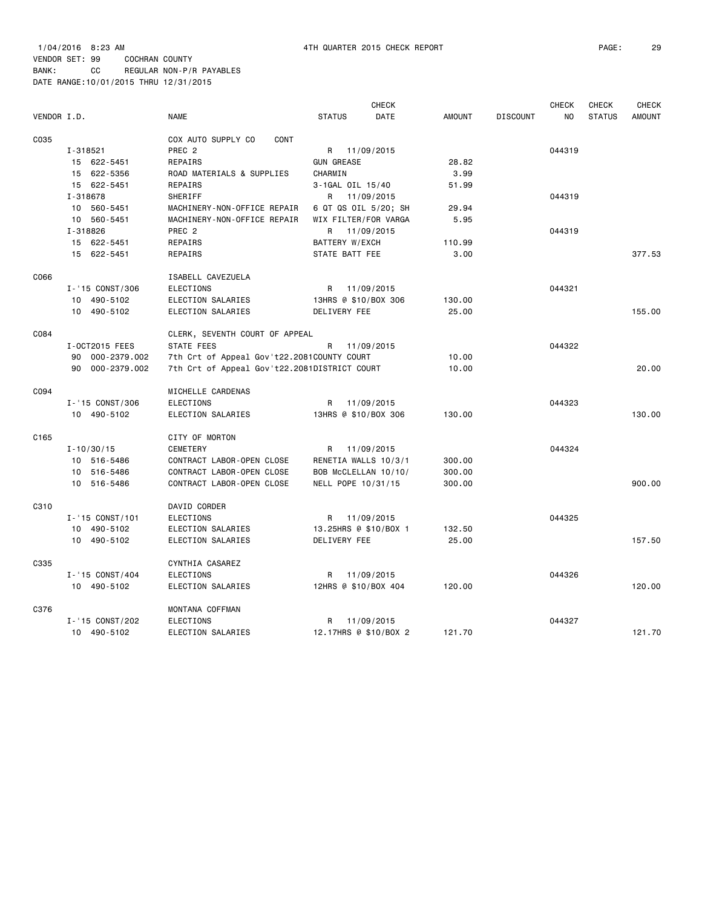|             |                 |                                              |                       | <b>CHECK</b>         |               |                 | <b>CHECK</b> | <b>CHECK</b>  | <b>CHECK</b>  |
|-------------|-----------------|----------------------------------------------|-----------------------|----------------------|---------------|-----------------|--------------|---------------|---------------|
| VENDOR I.D. |                 | <b>NAME</b>                                  | <b>STATUS</b>         | DATE                 | <b>AMOUNT</b> | <b>DISCOUNT</b> | NO           | <b>STATUS</b> | <b>AMOUNT</b> |
| C035        |                 | COX AUTO SUPPLY CO<br>CONT                   |                       |                      |               |                 |              |               |               |
|             | I-318521        | PREC <sub>2</sub>                            |                       | R 11/09/2015         |               |                 | 044319       |               |               |
|             | 15 622-5451     | REPAIRS                                      | <b>GUN GREASE</b>     |                      | 28.82         |                 |              |               |               |
|             | 15 622-5356     | ROAD MATERIALS & SUPPLIES                    | CHARMIN               |                      | 3.99          |                 |              |               |               |
|             | 15 622-5451     | REPAIRS                                      | 3-1GAL OIL 15/40      |                      | 51.99         |                 |              |               |               |
|             | I-318678        | SHERIFF                                      |                       | R 11/09/2015         |               |                 | 044319       |               |               |
|             | 10 560-5451     | MACHINERY-NON-OFFICE REPAIR                  |                       | 6 QT QS OIL 5/20; SH | 29.94         |                 |              |               |               |
|             | 10 560-5451     | MACHINERY-NON-OFFICE REPAIR                  |                       | WIX FILTER/FOR VARGA | 5.95          |                 |              |               |               |
|             | I-318826        | PREC <sub>2</sub>                            | R                     | 11/09/2015           |               |                 | 044319       |               |               |
|             | 15 622-5451     | REPAIRS                                      | BATTERY W/EXCH        |                      | 110.99        |                 |              |               |               |
|             | 15 622-5451     | REPAIRS                                      | STATE BATT FEE        |                      | 3.00          |                 |              |               | 377.53        |
| C066        |                 | ISABELL CAVEZUELA                            |                       |                      |               |                 |              |               |               |
|             | I-'15 CONST/306 | <b>ELECTIONS</b>                             | R 11/09/2015          |                      |               |                 | 044321       |               |               |
|             | 10 490-5102     | ELECTION SALARIES                            | 13HRS @ \$10/BOX 306  |                      | 130.00        |                 |              |               |               |
|             | 10 490-5102     | ELECTION SALARIES                            | DELIVERY FEE          |                      | 25.00         |                 |              |               | 155.00        |
| C084        |                 | CLERK, SEVENTH COURT OF APPEAL               |                       |                      |               |                 |              |               |               |
|             | I-0CT2015 FEES  | STATE FEES                                   | R                     | 11/09/2015           |               |                 | 044322       |               |               |
|             | 90 000-2379.002 | 7th Crt of Appeal Gov't22.2081COUNTY COURT   |                       |                      | 10.00         |                 |              |               |               |
|             | 90 000-2379.002 | 7th Crt of Appeal Gov't22.2081DISTRICT COURT |                       |                      | 10.00         |                 |              |               | 20,00         |
| C094        |                 | MICHELLE CARDENAS                            |                       |                      |               |                 |              |               |               |
|             | I-'15 CONST/306 | <b>ELECTIONS</b>                             | R                     | 11/09/2015           |               |                 | 044323       |               |               |
|             | 10 490-5102     | ELECTION SALARIES                            | 13HRS @ \$10/BOX 306  |                      | 130.00        |                 |              |               | 130.00        |
| C165        |                 | CITY OF MORTON                               |                       |                      |               |                 |              |               |               |
|             | $I - 10/30/15$  | <b>CEMETERY</b>                              | R                     | 11/09/2015           |               |                 | 044324       |               |               |
|             | 10 516-5486     | CONTRACT LABOR-OPEN CLOSE                    | RENETIA WALLS 10/3/1  |                      | 300.00        |                 |              |               |               |
|             | 10 516-5486     | CONTRACT LABOR-OPEN CLOSE                    |                       | BOB McCLELLAN 10/10/ | 300.00        |                 |              |               |               |
|             | 10 516-5486     | CONTRACT LABOR-OPEN CLOSE                    | NELL POPE 10/31/15    |                      | 300.00        |                 |              |               | 900.00        |
| C310        |                 | DAVID CORDER                                 |                       |                      |               |                 |              |               |               |
|             | I-'15 CONST/101 | <b>ELECTIONS</b>                             | R                     | 11/09/2015           |               |                 | 044325       |               |               |
|             | 10 490-5102     | ELECTION SALARIES                            | 13.25HRS @ \$10/BOX 1 |                      | 132.50        |                 |              |               |               |
|             | 10 490-5102     | ELECTION SALARIES                            | DELIVERY FEE          |                      | 25.00         |                 |              |               | 157.50        |
| C335        |                 | CYNTHIA CASAREZ                              |                       |                      |               |                 |              |               |               |
|             | I-'15 CONST/404 | <b>ELECTIONS</b>                             | R                     | 11/09/2015           |               |                 | 044326       |               |               |
|             | 10 490-5102     | ELECTION SALARIES                            | 12HRS @ \$10/BOX 404  |                      | 120.00        |                 |              |               | 120,00        |
| C376        |                 | MONTANA COFFMAN                              |                       |                      |               |                 |              |               |               |
|             | I-'15 CONST/202 | <b>ELECTIONS</b>                             | R                     | 11/09/2015           |               |                 | 044327       |               |               |

10 490-5102 ELECTION SALARIES 12.17HRS @ \$10/BOX 2 121.70 121.70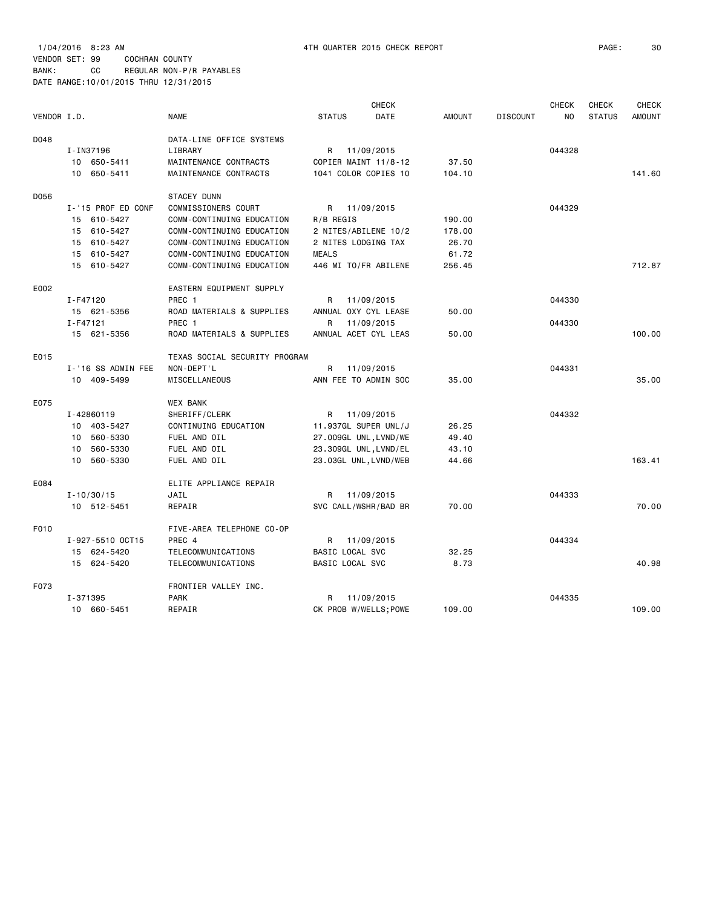|             |                    |                               |                       | <b>CHECK</b> |               |                 | <b>CHECK</b> | <b>CHECK</b>  | <b>CHECK</b>  |
|-------------|--------------------|-------------------------------|-----------------------|--------------|---------------|-----------------|--------------|---------------|---------------|
| VENDOR I.D. |                    | <b>NAME</b>                   | <b>STATUS</b>         | DATE         | <b>AMOUNT</b> | <b>DISCOUNT</b> | NO           | <b>STATUS</b> | <b>AMOUNT</b> |
| D048        |                    | DATA-LINE OFFICE SYSTEMS      |                       |              |               |                 |              |               |               |
|             | I-IN37196          | LIBRARY                       | R                     | 11/09/2015   |               |                 | 044328       |               |               |
|             | 10 650-5411        | MAINTENANCE CONTRACTS         | COPIER MAINT 11/8-12  |              | 37.50         |                 |              |               |               |
|             | 10 650-5411        | MAINTENANCE CONTRACTS         | 1041 COLOR COPIES 10  |              | 104.10        |                 |              |               | 141.60        |
|             |                    |                               |                       |              |               |                 |              |               |               |
| D056        |                    | STACEY DUNN                   |                       |              |               |                 |              |               |               |
|             | I-'15 PROF ED CONF | COMMISSIONERS COURT           | R                     | 11/09/2015   |               |                 | 044329       |               |               |
|             | 15 610-5427        | COMM-CONTINUING EDUCATION     | R/B REGIS             |              | 190.00        |                 |              |               |               |
|             | 15 610-5427        | COMM-CONTINUING EDUCATION     | 2 NITES/ABILENE 10/2  |              | 178.00        |                 |              |               |               |
|             | 15 610-5427        | COMM-CONTINUING EDUCATION     | 2 NITES LODGING TAX   |              | 26.70         |                 |              |               |               |
|             | 15 610-5427        | COMM-CONTINUING EDUCATION     | <b>MEALS</b>          |              | 61.72         |                 |              |               |               |
|             | 15 610-5427        | COMM-CONTINUING EDUCATION     | 446 MI TO/FR ABILENE  |              | 256.45        |                 |              |               | 712.87        |
| E002        |                    | EASTERN EQUIPMENT SUPPLY      |                       |              |               |                 |              |               |               |
|             | I-F47120           | PREC 1                        | R                     | 11/09/2015   |               |                 | 044330       |               |               |
|             | 15 621-5356        | ROAD MATERIALS & SUPPLIES     | ANNUAL OXY CYL LEASE  |              | 50.00         |                 |              |               |               |
|             | I-F47121           | PREC 1                        | R                     | 11/09/2015   |               |                 | 044330       |               |               |
|             | 15 621-5356        | ROAD MATERIALS & SUPPLIES     | ANNUAL ACET CYL LEAS  |              | 50.00         |                 |              |               | 100.00        |
| E015        |                    | TEXAS SOCIAL SECURITY PROGRAM |                       |              |               |                 |              |               |               |
|             | I-'16 SS ADMIN FEE | NON-DEPT'L                    | R                     | 11/09/2015   |               |                 | 044331       |               |               |
|             | 10 409-5499        | MISCELLANEOUS                 | ANN FEE TO ADMIN SOC  |              | 35.00         |                 |              |               | 35,00         |
|             |                    |                               |                       |              |               |                 |              |               |               |
| E075        |                    | <b>WEX BANK</b>               |                       |              |               |                 |              |               |               |
|             | I-42860119         | SHERIFF/CLERK                 | R                     | 11/09/2015   |               |                 | 044332       |               |               |
|             | 10 403-5427        | CONTINUING EDUCATION          | 11.937GL SUPER UNL/J  |              | 26.25         |                 |              |               |               |
|             | 10 560-5330        | FUEL AND OIL                  | 27.009GL UNL, LVND/WE |              | 49.40         |                 |              |               |               |
|             | 560-5330<br>10     | FUEL AND OIL                  | 23.309GL UNL, LVND/EL |              | 43.10         |                 |              |               |               |
|             | 560-5330<br>10     | FUEL AND OIL                  | 23.03GL UNL, LVND/WEB |              | 44.66         |                 |              |               | 163.41        |
| E084        |                    | ELITE APPLIANCE REPAIR        |                       |              |               |                 |              |               |               |
|             | $I - 10/30/15$     | JAIL                          | R 11/09/2015          |              |               |                 | 044333       |               |               |
|             | 10 512-5451        | REPAIR                        | SVC CALL/WSHR/BAD BR  |              | 70.00         |                 |              |               | 70.00         |
| F010        |                    | FIVE-AREA TELEPHONE CO-OP     |                       |              |               |                 |              |               |               |
|             | I-927-5510 OCT15   | PREC 4                        | R                     | 11/09/2015   |               |                 | 044334       |               |               |
|             | 15 624-5420        | TELECOMMUNICATIONS            | BASIC LOCAL SVC       |              | 32.25         |                 |              |               |               |
|             | 15 624-5420        | TELECOMMUNICATIONS            | BASIC LOCAL SVC       |              | 8.73          |                 |              |               | 40.98         |
| F073        |                    | FRONTIER VALLEY INC.          |                       |              |               |                 |              |               |               |
|             | I-371395           | <b>PARK</b>                   | R                     | 11/09/2015   |               |                 | 044335       |               |               |
|             | 10 660-5451        | REPAIR                        | CK PROB W/WELLS; POWE |              | 109.00        |                 |              |               | 109.00        |
|             |                    |                               |                       |              |               |                 |              |               |               |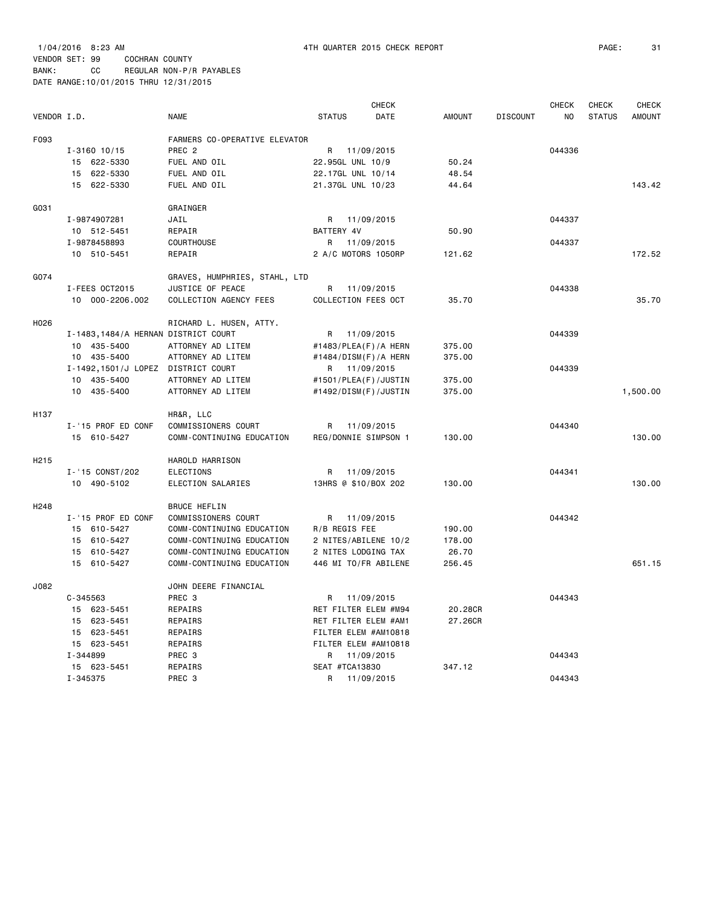|                   |                                     |                               |                      | CHECK      |               |                 | <b>CHECK</b> | CHECK         | <b>CHECK</b>  |
|-------------------|-------------------------------------|-------------------------------|----------------------|------------|---------------|-----------------|--------------|---------------|---------------|
| VENDOR I.D.       |                                     | <b>NAME</b>                   | <b>STATUS</b>        | DATE       | <b>AMOUNT</b> | <b>DISCOUNT</b> | NO.          | <b>STATUS</b> | <b>AMOUNT</b> |
| F093              |                                     | FARMERS CO-OPERATIVE ELEVATOR |                      |            |               |                 |              |               |               |
|                   | $I - 3160$ 10/15                    | PREC <sub>2</sub>             | R 11/09/2015         |            |               |                 | 044336       |               |               |
|                   | 15 622-5330                         | FUEL AND OIL                  | 22.95GL UNL 10/9     |            | 50.24         |                 |              |               |               |
|                   | 622-5330<br>15                      | FUEL AND OIL                  | 22.17GL UNL 10/14    |            | 48.54         |                 |              |               |               |
|                   | 15 622-5330                         | FUEL AND OIL                  | 21.37GL UNL 10/23    |            | 44.64         |                 |              |               | 143.42        |
|                   |                                     |                               |                      |            |               |                 |              |               |               |
| G031              |                                     | GRAINGER                      |                      |            |               |                 |              |               |               |
|                   | I-9874907281                        | JAIL                          | R                    | 11/09/2015 |               |                 | 044337       |               |               |
|                   | 10 512-5451                         | REPAIR                        | BATTERY 4V           |            | 50.90         |                 |              |               |               |
|                   | I-9878458893                        | <b>COURTHOUSE</b>             | R                    | 11/09/2015 |               |                 | 044337       |               |               |
|                   | 10 510-5451                         | REPAIR                        | 2 A/C MOTORS 1050RP  |            | 121.62        |                 |              |               | 172.52        |
| G074              |                                     | GRAVES, HUMPHRIES, STAHL, LTD |                      |            |               |                 |              |               |               |
|                   | I-FEES OCT2015                      | JUSTICE OF PEACE              | R                    | 11/09/2015 |               |                 | 044338       |               |               |
|                   | 10 000-2206.002                     | COLLECTION AGENCY FEES        | COLLECTION FEES OCT  |            | 35.70         |                 |              |               | 35.70         |
|                   |                                     |                               |                      |            |               |                 |              |               |               |
| H026              |                                     | RICHARD L. HUSEN, ATTY.       |                      |            |               |                 |              |               |               |
|                   | I-1483,1484/A HERNAN DISTRICT COURT |                               | R                    | 11/09/2015 |               |                 | 044339       |               |               |
|                   | 10 435-5400                         | ATTORNEY AD LITEM             | #1483/PLEA(F)/A HERN |            | 375.00        |                 |              |               |               |
|                   | 10 435-5400                         | ATTORNEY AD LITEM             | #1484/DISM(F)/A HERN |            | 375.00        |                 |              |               |               |
|                   | I-1492,1501/J LOPEZ DISTRICT COURT  |                               | R 11/09/2015         |            |               |                 | 044339       |               |               |
|                   | 10 435-5400                         | ATTORNEY AD LITEM             | #1501/PLEA(F)/JUSTIN |            | 375.00        |                 |              |               |               |
|                   | 10 435-5400                         | ATTORNEY AD LITEM             | #1492/DISM(F)/JUSTIN |            | 375.00        |                 |              |               | 1,500.00      |
| H137              |                                     | HR&R, LLC                     |                      |            |               |                 |              |               |               |
|                   | I-'15 PROF ED CONF                  | COMMISSIONERS COURT           | R                    | 11/09/2015 |               |                 | 044340       |               |               |
|                   | 15 610-5427                         | COMM-CONTINUING EDUCATION     | REG/DONNIE SIMPSON 1 |            | 130.00        |                 |              |               | 130.00        |
|                   |                                     |                               |                      |            |               |                 |              |               |               |
| H <sub>2</sub> 15 |                                     | HAROLD HARRISON               |                      |            |               |                 |              |               |               |
|                   | I-'15 CONST/202                     | <b>ELECTIONS</b>              | R                    | 11/09/2015 |               |                 | 044341       |               |               |
|                   | 10 490-5102                         | ELECTION SALARIES             | 13HRS @ \$10/BOX 202 |            | 130.00        |                 |              |               | 130.00        |
| H <sub>248</sub>  |                                     | <b>BRUCE HEFLIN</b>           |                      |            |               |                 |              |               |               |
|                   | I-'15 PROF ED CONF                  | COMMISSIONERS COURT           | R                    | 11/09/2015 |               |                 | 044342       |               |               |
|                   | 15 610-5427                         | COMM-CONTINUING EDUCATION     | R/B REGIS FEE        |            | 190.00        |                 |              |               |               |
|                   | 15 610-5427                         | COMM-CONTINUING EDUCATION     | 2 NITES/ABILENE 10/2 |            | 178.00        |                 |              |               |               |
|                   | 15 610-5427                         | COMM-CONTINUING EDUCATION     | 2 NITES LODGING TAX  |            | 26.70         |                 |              |               |               |
|                   | 15 610-5427                         | COMM-CONTINUING EDUCATION     | 446 MI TO/FR ABILENE |            | 256.45        |                 |              |               | 651.15        |
|                   |                                     |                               |                      |            |               |                 |              |               |               |
| J082              |                                     | JOHN DEERE FINANCIAL          |                      |            |               |                 |              |               |               |
|                   | $C - 345563$                        | PREC 3                        | R 11/09/2015         |            |               |                 | 044343       |               |               |
|                   | 15 623-5451                         | REPAIRS                       | RET FILTER ELEM #M94 |            | 20.28CR       |                 |              |               |               |
|                   | 15 623-5451                         | REPAIRS                       | RET FILTER ELEM #AM1 |            | 27.26CR       |                 |              |               |               |
|                   | 15 623-5451                         | REPAIRS                       | FILTER ELEM #AM10818 |            |               |                 |              |               |               |
|                   | 15 623-5451                         | REPAIRS                       | FILTER ELEM #AM10818 |            |               |                 |              |               |               |
|                   | I-344899                            | PREC 3                        | R.                   | 11/09/2015 |               |                 | 044343       |               |               |
|                   | 15 623-5451                         | REPAIRS                       | SEAT #TCA13830       |            | 347.12        |                 |              |               |               |
|                   | I-345375                            | PREC 3                        | R                    | 11/09/2015 |               |                 | 044343       |               |               |
|                   |                                     |                               |                      |            |               |                 |              |               |               |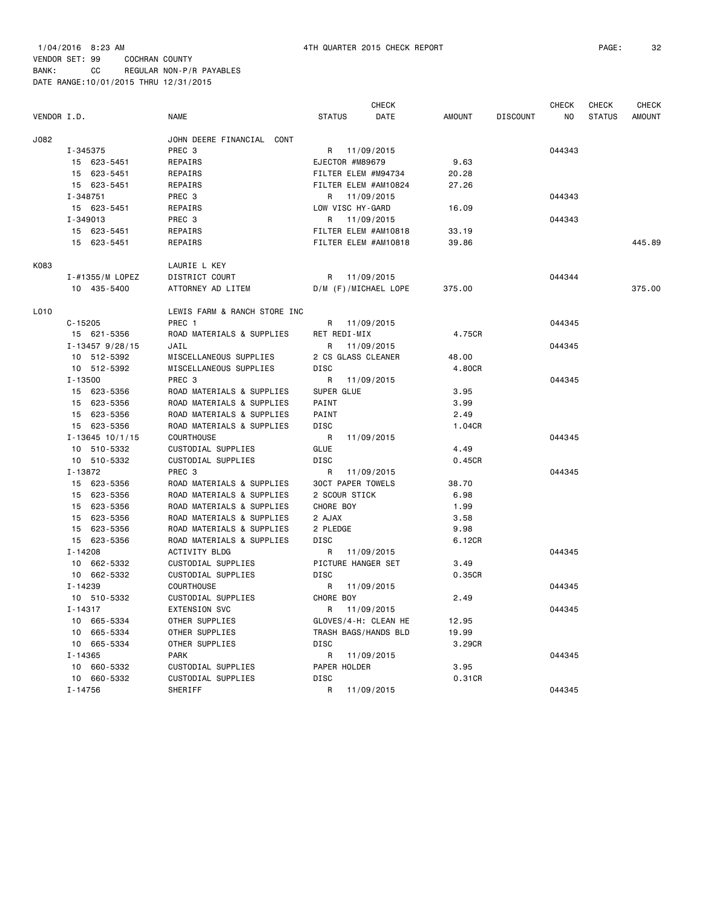| VENDOR I.D. |                       | <b>NAME</b>                  | <b>STATUS</b>            | <b>CHECK</b><br>DATE | <b>AMOUNT</b> | <b>DISCOUNT</b> | <b>CHECK</b><br>NO | <b>CHECK</b><br><b>STATUS</b> | <b>CHECK</b><br><b>AMOUNT</b> |
|-------------|-----------------------|------------------------------|--------------------------|----------------------|---------------|-----------------|--------------------|-------------------------------|-------------------------------|
| J082        |                       | JOHN DEERE FINANCIAL CONT    |                          |                      |               |                 |                    |                               |                               |
|             | I-345375              | PREC 3                       | R 11/09/2015             |                      |               |                 | 044343             |                               |                               |
|             | 15 623-5451           | REPAIRS                      | EJECTOR #M89679          |                      | 9.63          |                 |                    |                               |                               |
|             | 15 623-5451           | REPAIRS                      | FILTER ELEM #M94734      |                      | 20.28         |                 |                    |                               |                               |
|             | 15 623-5451           | REPAIRS                      | FILTER ELEM #AM10824     |                      | 27.26         |                 |                    |                               |                               |
|             | I-348751              | PREC 3                       | R 11/09/2015             |                      |               |                 | 044343             |                               |                               |
|             | 15 623-5451           | REPAIRS                      | LOW VISC HY-GARD         |                      | 16.09         |                 |                    |                               |                               |
|             | I-349013              | PREC 3                       | R 11/09/2015             |                      |               |                 | 044343             |                               |                               |
|             | 15 623-5451           | REPAIRS                      | FILTER ELEM #AM10818     |                      | 33.19         |                 |                    |                               |                               |
|             | 15 623-5451           | REPAIRS                      | FILTER ELEM #AM10818     |                      | 39.86         |                 |                    |                               | 445.89                        |
| K083        |                       | LAURIE L KEY                 |                          |                      |               |                 |                    |                               |                               |
|             | I-#1355/M LOPEZ       | DISTRICT COURT               | R 11/09/2015             |                      |               |                 | 044344             |                               |                               |
|             | 10 435-5400           | ATTORNEY AD LITEM            | D/M (F)/MICHAEL LOPE     |                      | 375.00        |                 |                    |                               | 375.00                        |
| L010        |                       | LEWIS FARM & RANCH STORE INC |                          |                      |               |                 |                    |                               |                               |
|             | $C - 15205$           | PREC 1                       | R 11/09/2015             |                      |               |                 | 044345             |                               |                               |
|             | 15 621-5356           | ROAD MATERIALS & SUPPLIES    | RET REDI-MIX             |                      | 4.75CR        |                 |                    |                               |                               |
|             | $I - 13457$ 9/28/15   | JAIL                         | R                        | 11/09/2015           |               |                 | 044345             |                               |                               |
|             | 10 512-5392           | MISCELLANEOUS SUPPLIES       | 2 CS GLASS CLEANER       |                      | 48.00         |                 |                    |                               |                               |
|             | 10 512-5392           | MISCELLANEOUS SUPPLIES       | DISC                     |                      | 4.80CR        |                 |                    |                               |                               |
|             | I-13500               | PREC 3                       | R                        | 11/09/2015           |               |                 | 044345             |                               |                               |
|             | 15 623-5356           | ROAD MATERIALS & SUPPLIES    | SUPER GLUE               |                      | 3.95          |                 |                    |                               |                               |
|             | 15 623-5356           | ROAD MATERIALS & SUPPLIES    | PAINT                    |                      | 3.99          |                 |                    |                               |                               |
|             | 15 623-5356           | ROAD MATERIALS & SUPPLIES    | PAINT                    |                      | 2.49          |                 |                    |                               |                               |
|             | 15 623-5356           | ROAD MATERIALS & SUPPLIES    | DISC                     |                      | 1.04CR        |                 |                    |                               |                               |
|             | $I - 13645$ $10/1/15$ | COURTHOUSE                   | R                        | 11/09/2015           |               |                 | 044345             |                               |                               |
|             | 10 510-5332           | CUSTODIAL SUPPLIES           | <b>GLUE</b>              |                      | 4.49          |                 |                    |                               |                               |
|             | 10 510-5332           | CUSTODIAL SUPPLIES           | DISC                     |                      | 0.45CR        |                 |                    |                               |                               |
|             | I-13872               | PREC 3                       | R                        | 11/09/2015           |               |                 | 044345             |                               |                               |
|             | 15 623-5356           | ROAD MATERIALS & SUPPLIES    | <b>30CT PAPER TOWELS</b> |                      | 38.70         |                 |                    |                               |                               |
|             | 15 623-5356           | ROAD MATERIALS & SUPPLIES    | 2 SCOUR STICK            |                      | 6.98          |                 |                    |                               |                               |
|             | 15 623-5356           | ROAD MATERIALS & SUPPLIES    | CHORE BOY                |                      | 1.99          |                 |                    |                               |                               |
|             | 15 623-5356           | ROAD MATERIALS & SUPPLIES    | 2 AJAX                   |                      | 3.58          |                 |                    |                               |                               |
|             | 15 623-5356           | ROAD MATERIALS & SUPPLIES    | 2 PLEDGE                 |                      | 9.98          |                 |                    |                               |                               |
|             | 15 623-5356           | ROAD MATERIALS & SUPPLIES    | DISC                     |                      | 6.12CR        |                 |                    |                               |                               |
|             | $I - 14208$           | ACTIVITY BLDG                | R                        | 11/09/2015           |               |                 | 044345             |                               |                               |
|             | 10 662-5332           | CUSTODIAL SUPPLIES           | PICTURE HANGER SET       |                      | 3.49          |                 |                    |                               |                               |
|             | 10 662-5332           | CUSTODIAL SUPPLIES           | DISC                     |                      | 0.35CR        |                 |                    |                               |                               |
|             | I-14239               | <b>COURTHOUSE</b>            | R                        | 11/09/2015           |               |                 | 044345             |                               |                               |
|             | 10 510-5332           | CUSTODIAL SUPPLIES           | CHORE BOY                |                      | 2.49          |                 |                    |                               |                               |
|             | I-14317               | EXTENSION SVC                | R 11/09/2015             |                      |               |                 | 044345             |                               |                               |
|             | 10 665-5334           | OTHER SUPPLIES               | GLOVES/4-H: CLEAN HE     |                      | 12.95         |                 |                    |                               |                               |
|             | 10 665-5334           | OTHER SUPPLIES               | TRASH BAGS/HANDS BLD     |                      | 19.99         |                 |                    |                               |                               |
|             | 10 665-5334           | OTHER SUPPLIES               | DISC                     |                      | 3.29CR        |                 |                    |                               |                               |
|             | I-14365               | <b>PARK</b>                  | R 11/09/2015             |                      |               |                 | 044345             |                               |                               |
|             | 10 660-5332           | CUSTODIAL SUPPLIES           | PAPER HOLDER             |                      | 3.95          |                 |                    |                               |                               |
|             | 10 660-5332           | CUSTODIAL SUPPLIES           | DISC                     |                      | 0.31CR        |                 |                    |                               |                               |
|             | $I - 14756$           | SHERIFF                      | R                        | 11/09/2015           |               |                 | 044345             |                               |                               |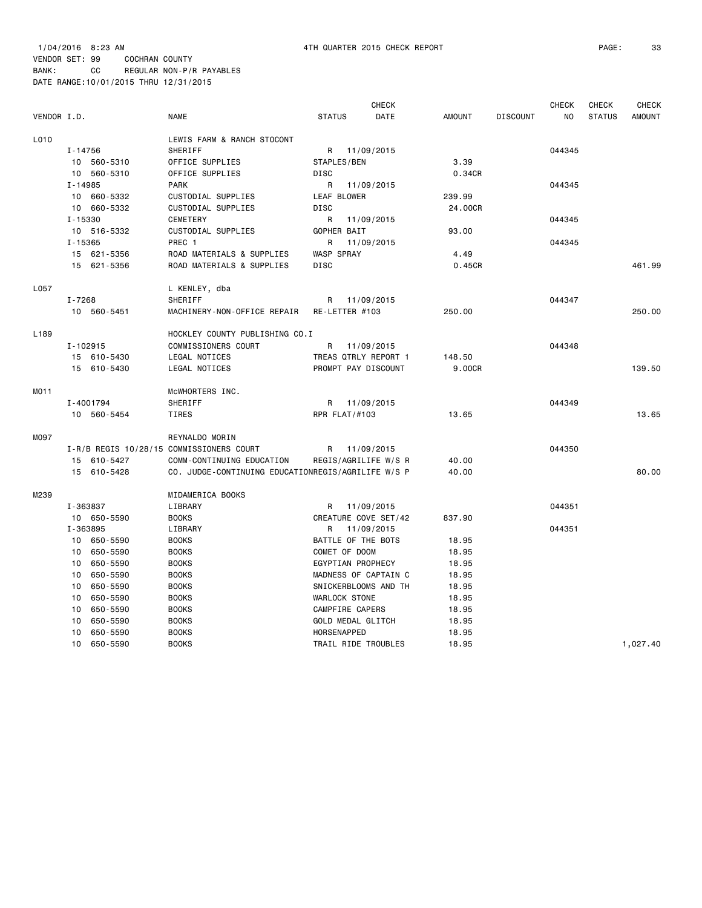| VENDOR I.D.      |             |             | <b>NAME</b>                                        | <b>STATUS</b>        | <b>CHECK</b><br>DATE | <b>AMOUNT</b> | <b>DISCOUNT</b> | <b>CHECK</b><br>NO. | <b>CHECK</b><br><b>STATUS</b> | <b>CHECK</b><br><b>AMOUNT</b> |
|------------------|-------------|-------------|----------------------------------------------------|----------------------|----------------------|---------------|-----------------|---------------------|-------------------------------|-------------------------------|
| L010             |             |             | LEWIS FARM & RANCH STOCONT                         |                      |                      |               |                 |                     |                               |                               |
|                  | I-14756     |             | SHERIFF                                            | R                    | 11/09/2015           |               |                 | 044345              |                               |                               |
|                  |             | 10 560-5310 | OFFICE SUPPLIES                                    | STAPLES/BEN          |                      | 3.39          |                 |                     |                               |                               |
|                  |             | 10 560-5310 | OFFICE SUPPLIES                                    | <b>DISC</b>          |                      | 0.34CR        |                 |                     |                               |                               |
|                  | $I - 14985$ |             | <b>PARK</b>                                        | R                    | 11/09/2015           |               |                 | 044345              |                               |                               |
|                  |             | 10 660-5332 | CUSTODIAL SUPPLIES                                 | LEAF BLOWER          |                      | 239.99        |                 |                     |                               |                               |
|                  |             | 10 660-5332 | CUSTODIAL SUPPLIES                                 | <b>DISC</b>          |                      | 24.00CR       |                 |                     |                               |                               |
|                  | $I - 15330$ |             | CEMETERY                                           | R                    | 11/09/2015           |               |                 | 044345              |                               |                               |
|                  |             | 10 516-5332 | <b>CUSTODIAL SUPPLIES</b>                          | GOPHER BAIT          |                      | 93.00         |                 |                     |                               |                               |
|                  | $I - 15365$ |             | PREC <sub>1</sub>                                  | R                    | 11/09/2015           |               |                 | 044345              |                               |                               |
|                  |             | 15 621-5356 | ROAD MATERIALS & SUPPLIES                          | WASP SPRAY           |                      | 4.49          |                 |                     |                               |                               |
|                  |             | 15 621-5356 | ROAD MATERIALS & SUPPLIES                          | <b>DISC</b>          |                      | 0.45CR        |                 |                     |                               | 461.99                        |
| L057             |             |             | L KENLEY, dba                                      |                      |                      |               |                 |                     |                               |                               |
|                  | $I - 7268$  |             | SHERIFF                                            | R                    | 11/09/2015           |               |                 | 044347              |                               |                               |
|                  |             | 10 560-5451 | MACHINERY-NON-OFFICE REPAIR                        | RE-LETTER #103       |                      | 250.00        |                 |                     |                               | 250.00                        |
| L <sub>189</sub> |             |             | HOCKLEY COUNTY PUBLISHING CO.I                     |                      |                      |               |                 |                     |                               |                               |
|                  | I-102915    |             | COMMISSIONERS COURT                                | R                    | 11/09/2015           |               |                 | 044348              |                               |                               |
|                  |             | 15 610-5430 | LEGAL NOTICES                                      |                      | TREAS QTRLY REPORT 1 | 148.50        |                 |                     |                               |                               |
|                  |             | 15 610-5430 | LEGAL NOTICES                                      |                      | PROMPT PAY DISCOUNT  | 9.00CR        |                 |                     |                               | 139.50                        |
| MO11             |             |             | MCWHORTERS INC.                                    |                      |                      |               |                 |                     |                               |                               |
|                  |             | I-4001794   | SHERIFF                                            | R                    | 11/09/2015           |               |                 | 044349              |                               |                               |
|                  |             | 10 560-5454 | TIRES                                              | <b>RPR FLAT/#103</b> |                      | 13.65         |                 |                     |                               | 13.65                         |
| M097             |             |             | REYNALDO MORIN                                     |                      |                      |               |                 |                     |                               |                               |
|                  |             |             | I-R/B REGIS 10/28/15 COMMISSIONERS COURT           | R                    | 11/09/2015           |               |                 | 044350              |                               |                               |
|                  | 15          | 610-5427    | COMM-CONTINUING EDUCATION                          |                      | REGIS/AGRILIFE W/S R | 40.00         |                 |                     |                               |                               |
|                  |             | 15 610-5428 | CO. JUDGE-CONTINUING EDUCATIONREGIS/AGRILIFE W/S P |                      |                      | 40.00         |                 |                     |                               | 80,00                         |
| M239             |             |             | MIDAMERICA BOOKS                                   |                      |                      |               |                 |                     |                               |                               |
|                  | I-363837    |             | LIBRARY                                            | R                    | 11/09/2015           |               |                 | 044351              |                               |                               |
|                  |             | 10 650-5590 | <b>BOOKS</b>                                       |                      | CREATURE COVE SET/42 | 837.90        |                 |                     |                               |                               |
|                  | I-363895    |             | LIBRARY                                            | R                    | 11/09/2015           |               |                 | 044351              |                               |                               |
|                  | 10          | 650-5590    | <b>BOOKS</b>                                       |                      | BATTLE OF THE BOTS   | 18.95         |                 |                     |                               |                               |
|                  | 10          | 650-5590    | <b>BOOKS</b>                                       | COMET OF DOOM        |                      | 18.95         |                 |                     |                               |                               |
|                  | 10          | 650-5590    | <b>BOOKS</b>                                       |                      | EGYPTIAN PROPHECY    | 18.95         |                 |                     |                               |                               |
|                  | 10          | 650-5590    | <b>BOOKS</b>                                       |                      | MADNESS OF CAPTAIN C | 18.95         |                 |                     |                               |                               |
|                  | 10          | 650-5590    | <b>BOOKS</b>                                       |                      | SNICKERBLOOMS AND TH | 18.95         |                 |                     |                               |                               |
|                  | 10          | 650-5590    | <b>BOOKS</b>                                       | <b>WARLOCK STONE</b> |                      | 18.95         |                 |                     |                               |                               |
|                  | 10          | 650-5590    | <b>BOOKS</b>                                       | CAMPFIRE CAPERS      |                      | 18.95         |                 |                     |                               |                               |
|                  | 10          | 650-5590    | <b>BOOKS</b>                                       |                      | GOLD MEDAL GLITCH    | 18.95         |                 |                     |                               |                               |
|                  | 10<br>10    | 650-5590    | <b>BOOKS</b><br><b>BOOKS</b>                       | HORSENAPPED          |                      | 18.95         |                 |                     |                               |                               |
|                  |             | 650-5590    |                                                    |                      | TRAIL RIDE TROUBLES  | 18.95         |                 |                     |                               | 1,027.40                      |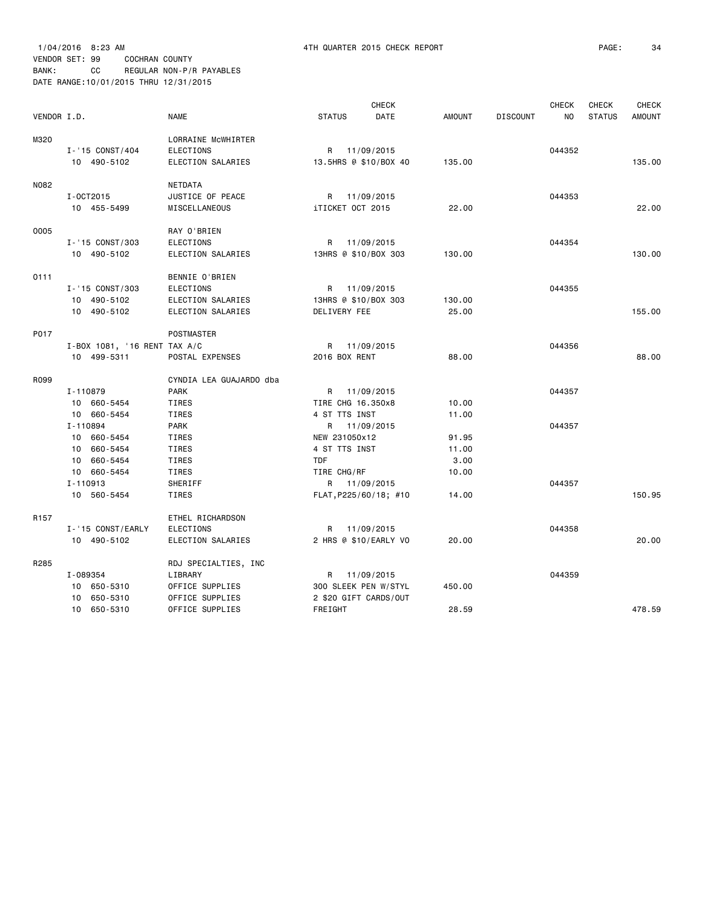1/04/2016 8:23 AM 4TH QUARTER 2015 CHECK REPORT PAGE: 34 VENDOR SET: 99 COCHRAN COUNTY BANK: CC REGULAR NON-P/R PAYABLES DATE RANGE:10/01/2015 THRU 12/31/2015

| VENDOR I.D.      |                              | <b>NAME</b>             | <b>STATUS</b>         | <b>CHECK</b><br>DATE | <b>AMOUNT</b> | <b>DISCOUNT</b> | <b>CHECK</b><br>NO | <b>CHECK</b><br><b>STATUS</b> | <b>CHECK</b><br><b>AMOUNT</b> |
|------------------|------------------------------|-------------------------|-----------------------|----------------------|---------------|-----------------|--------------------|-------------------------------|-------------------------------|
|                  |                              |                         |                       |                      |               |                 |                    |                               |                               |
| M320             |                              | LORRAINE MCWHIRTER      |                       |                      |               |                 |                    |                               |                               |
|                  | I-'15 CONST/404              | ELECTIONS               | R 11/09/2015          |                      |               |                 | 044352             |                               |                               |
|                  | 10 490-5102                  | ELECTION SALARIES       | 13.5HRS @ \$10/BOX 40 |                      | 135.00        |                 |                    |                               | 135,00                        |
| N082             |                              | NETDATA                 |                       |                      |               |                 |                    |                               |                               |
|                  | I-0CT2015                    | JUSTICE OF PEACE        | R 11/09/2015          |                      |               |                 | 044353             |                               |                               |
|                  | 10 455-5499                  | MISCELLANEOUS           | iTICKET OCT 2015      |                      | 22.00         |                 |                    |                               | 22.00                         |
|                  |                              |                         |                       |                      |               |                 |                    |                               |                               |
| 0005             |                              | RAY O'BRIEN             |                       |                      |               |                 |                    |                               |                               |
|                  | I-'15 CONST/303              | <b>ELECTIONS</b>        | R 11/09/2015          |                      |               |                 | 044354             |                               |                               |
|                  | 10 490-5102                  | ELECTION SALARIES       | 13HRS @ \$10/BOX 303  |                      | 130.00        |                 |                    |                               | 130.00                        |
| 0111             |                              | BENNIE O'BRIEN          |                       |                      |               |                 |                    |                               |                               |
|                  | I-'15 CONST/303              | <b>ELECTIONS</b>        | R 11/09/2015          |                      |               |                 | 044355             |                               |                               |
|                  | 10 490-5102                  | ELECTION SALARIES       | 13HRS @ \$10/BOX 303  |                      | 130.00        |                 |                    |                               |                               |
|                  | 10 490-5102                  | ELECTION SALARIES       | DELIVERY FEE          |                      | 25.00         |                 |                    |                               | 155,00                        |
|                  |                              |                         |                       |                      |               |                 |                    |                               |                               |
| P017             |                              | POSTMASTER              |                       |                      |               |                 |                    |                               |                               |
|                  | I-BOX 1081, '16 RENT TAX A/C |                         | R 11/09/2015          |                      |               |                 | 044356             |                               |                               |
|                  | 10 499-5311                  | POSTAL EXPENSES         | 2016 BOX RENT         |                      | 88.00         |                 |                    |                               | 88,00                         |
| R099             |                              | CYNDIA LEA GUAJARDO dba |                       |                      |               |                 |                    |                               |                               |
|                  | I-110879                     | <b>PARK</b>             | R 11/09/2015          |                      |               |                 | 044357             |                               |                               |
|                  | 10 660-5454                  | <b>TIRES</b>            | TIRE CHG 16.350x8     |                      | 10.00         |                 |                    |                               |                               |
|                  | 10 660-5454                  | <b>TIRES</b>            | 4 ST TTS INST         |                      | 11.00         |                 |                    |                               |                               |
|                  | I-110894                     | <b>PARK</b>             | R 11/09/2015          |                      |               |                 | 044357             |                               |                               |
|                  | 10 660-5454                  | <b>TIRES</b>            | NEW 231050x12         |                      | 91.95         |                 |                    |                               |                               |
|                  | 10 660-5454                  | <b>TIRES</b>            | 4 ST TTS INST         |                      | 11.00         |                 |                    |                               |                               |
|                  | 10 660-5454                  | <b>TIRES</b>            | <b>TDF</b>            |                      | 3.00          |                 |                    |                               |                               |
|                  | 10 660-5454                  | <b>TIRES</b>            | TIRE CHG/RF           |                      | 10.00         |                 |                    |                               |                               |
|                  | I-110913                     | SHERIFF                 | R 11/09/2015          |                      |               |                 | 044357             |                               |                               |
|                  | 10 560-5454                  | <b>TIRES</b>            | FLAT, P225/60/18; #10 |                      | 14.00         |                 |                    |                               | 150.95                        |
| R <sub>157</sub> |                              | ETHEL RICHARDSON        |                       |                      |               |                 |                    |                               |                               |
|                  | I-'15 CONST/EARLY            | <b>ELECTIONS</b>        | R                     | 11/09/2015           |               |                 | 044358             |                               |                               |
|                  | 10 490-5102                  | ELECTION SALARIES       | 2 HRS @ \$10/EARLY VO |                      | 20.00         |                 |                    |                               | 20.00                         |
| R285             |                              | RDJ SPECIALTIES, INC    |                       |                      |               |                 |                    |                               |                               |
|                  | I-089354                     | LIBRARY                 | R 11/09/2015          |                      |               |                 | 044359             |                               |                               |
|                  | 10 650-5310                  | OFFICE SUPPLIES         | 300 SLEEK PEN W/STYL  |                      | 450.00        |                 |                    |                               |                               |
|                  | 650-5310<br>10               | OFFICE SUPPLIES         | 2 \$20 GIFT CARDS/OUT |                      |               |                 |                    |                               |                               |
|                  | 10 650-5310                  | OFFICE SUPPLIES         | FREIGHT               |                      | 28.59         |                 |                    |                               | 478.59                        |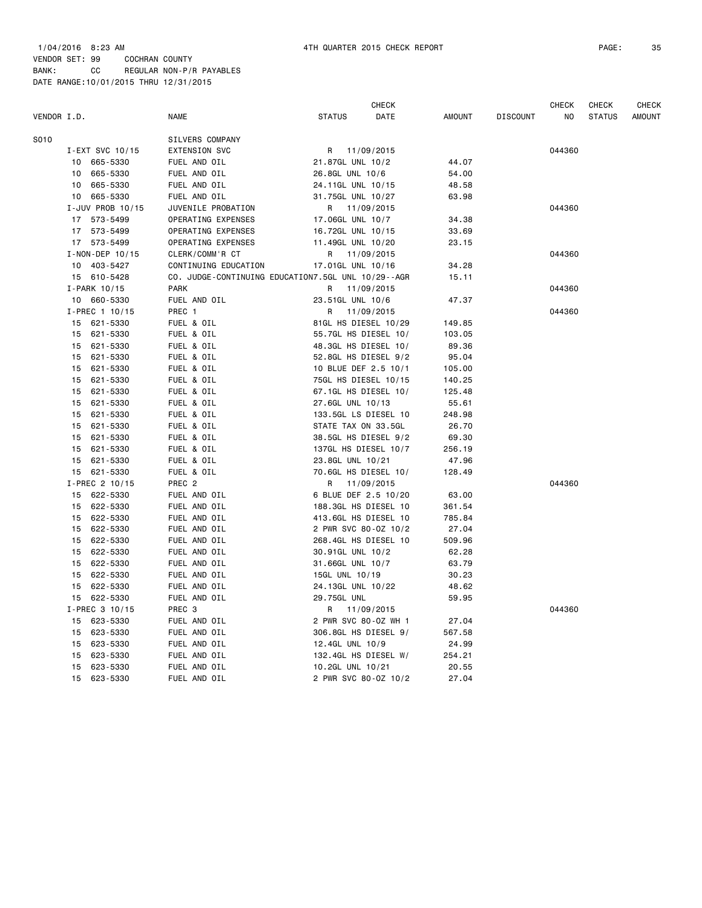|             |                       |                      | CHECK                                              |        |                 | CHECK  | <b>CHECK</b>  | CHECK         |
|-------------|-----------------------|----------------------|----------------------------------------------------|--------|-----------------|--------|---------------|---------------|
| VENDOR I.D. |                       | <b>NAME</b>          | <b>STATUS</b><br>DATE                              | AMOUNT | <b>DISCOUNT</b> | NO     | <b>STATUS</b> | <b>AMOUNT</b> |
| S010        |                       | SILVERS COMPANY      |                                                    |        |                 |        |               |               |
|             | I-EXT SVC 10/15       | <b>EXTENSION SVC</b> | R<br>11/09/2015                                    |        |                 | 044360 |               |               |
|             | 10 665-5330           | FUEL AND OIL         | 21.87GL UNL 10/2                                   | 44.07  |                 |        |               |               |
|             | 665-5330<br>10        | FUEL AND OIL         | 26.8GL UNL 10/6                                    | 54.00  |                 |        |               |               |
|             | 10 665-5330           | FUEL AND OIL         | 24.11GL UNL 10/15                                  | 48.58  |                 |        |               |               |
|             | 10 665-5330           | FUEL AND OIL         | 31.75GL UNL 10/27                                  | 63.98  |                 |        |               |               |
|             | I-JUV PROB 10/15      | JUVENILE PROBATION   | R 11/09/2015                                       |        |                 | 044360 |               |               |
|             | 17 573-5499           | OPERATING EXPENSES   | 17.06GL UNL 10/7                                   | 34.38  |                 |        |               |               |
|             | 17 573-5499           | OPERATING EXPENSES   | 16.72GL UNL 10/15                                  | 33.69  |                 |        |               |               |
|             | 17 573-5499           | OPERATING EXPENSES   | 11.49GL UNL 10/20                                  | 23.15  |                 |        |               |               |
|             | $I - NON - DEP 10/15$ | CLERK/COMM'R CT      | R<br>11/09/2015                                    |        |                 | 044360 |               |               |
|             | 10 403-5427           | CONTINUING EDUCATION | 17.01GL UNL 10/16                                  | 34.28  |                 |        |               |               |
|             | 15 610-5428           |                      | CO. JUDGE-CONTINUING EDUCATION7.5GL UNL 10/29--AGR | 15.11  |                 |        |               |               |
|             | I-PARK 10/15          | <b>PARK</b>          | 11/09/2015<br>R.                                   |        |                 | 044360 |               |               |
|             | 10 660-5330           | FUEL AND OIL         | 23.51GL UNL 10/6                                   | 47.37  |                 |        |               |               |
|             | I-PREC 1 10/15        | PREC 1               | 11/09/2015<br>R                                    |        |                 | 044360 |               |               |
|             | 15<br>621-5330        | FUEL & OIL           | 81GL HS DIESEL 10/29                               | 149.85 |                 |        |               |               |
|             | 15<br>621-5330        | FUEL & OIL           | 55.7GL HS DIESEL 10/                               | 103.05 |                 |        |               |               |
|             | 621-5330<br>15        | FUEL & OIL           | 48.3GL HS DIESEL 10/                               | 89.36  |                 |        |               |               |
|             | 621-5330<br>15        | FUEL & OIL           | 52.8GL HS DIESEL 9/2                               | 95.04  |                 |        |               |               |
|             | 621-5330<br>15        | FUEL & OIL           | 10 BLUE DEF 2.5 10/1                               | 105.00 |                 |        |               |               |
|             | 621-5330<br>15        | FUEL & OIL           | 75GL HS DIESEL 10/15                               | 140.25 |                 |        |               |               |
|             | 621-5330<br>15        | FUEL & OIL           | 67.1GL HS DIESEL 10/                               | 125.48 |                 |        |               |               |
|             | 621-5330<br>15        | FUEL & OIL           | 27.6GL UNL 10/13                                   | 55.61  |                 |        |               |               |
|             | 621-5330<br>15        | FUEL & OIL           | 133.5GL LS DIESEL 10                               | 248.98 |                 |        |               |               |
|             | 621-5330<br>15        | FUEL & OIL           | STATE TAX ON 33.5GL                                | 26.70  |                 |        |               |               |
|             | 621-5330<br>15        | FUEL & OIL           | 38.5GL HS DIESEL 9/2                               | 69.30  |                 |        |               |               |
|             | 15 621-5330           | FUEL & OIL           | 137GL HS DIESEL 10/7                               | 256.19 |                 |        |               |               |
|             | 15<br>621-5330        | FUEL & OIL           | 23.8GL UNL 10/21                                   | 47.96  |                 |        |               |               |
|             | 15 621-5330           | FUEL & OIL           | 70.6GL HS DIESEL 10/                               | 128.49 |                 |        |               |               |
|             | I-PREC 2 10/15        | PREC <sub>2</sub>    | R<br>11/09/2015                                    |        |                 | 044360 |               |               |
|             | 622-5330<br>15        | FUEL AND OIL         | 6 BLUE DEF 2.5 10/20                               | 63.00  |                 |        |               |               |
|             | 622-5330<br>15        | FUEL AND OIL         | 188.3GL HS DIESEL 10                               | 361.54 |                 |        |               |               |
|             | 622-5330<br>15        | FUEL AND OIL         | 413.6GL HS DIESEL 10                               | 785.84 |                 |        |               |               |
|             | 622-5330<br>15        | FUEL AND OIL         | 2 PWR SVC 80-0Z 10/2                               | 27.04  |                 |        |               |               |
|             | 622-5330<br>15        | FUEL AND OIL         | 268.4GL HS DIESEL 10                               | 509.96 |                 |        |               |               |
|             | 622-5330<br>15        | FUEL AND OIL         | 30.91GL UNL 10/2                                   | 62.28  |                 |        |               |               |
|             | 622-5330<br>15        | FUEL AND OIL         | 31.66GL UNL 10/7                                   | 63.79  |                 |        |               |               |
|             | 622-5330<br>15        | FUEL AND OIL         | 15GL UNL 10/19                                     | 30.23  |                 |        |               |               |
|             | 622-5330<br>15        | FUEL AND OIL         | 24.13GL UNL 10/22                                  | 48.62  |                 |        |               |               |
|             | 622-5330<br>15        | FUEL AND OIL         | 29.75GL UNL                                        | 59.95  |                 |        |               |               |
|             | I-PREC 3 10/15        | PREC 3               | 11/09/2015<br>R                                    |        |                 | 044360 |               |               |
|             | 15<br>623-5330        | FUEL AND OIL         | 2 PWR SVC 80-0Z WH 1                               | 27.04  |                 |        |               |               |
|             | 623-5330<br>15        | FUEL AND OIL         | 306.8GL HS DIESEL 9/                               | 567.58 |                 |        |               |               |
|             | 15<br>623-5330        | FUEL AND OIL         | 12.4GL UNL 10/9                                    | 24.99  |                 |        |               |               |
|             | 15<br>623-5330        | FUEL AND OIL         | 132.4GL HS DIESEL W/                               | 254.21 |                 |        |               |               |
|             | 623-5330<br>15        | FUEL AND OIL         | 10.2GL UNL 10/21                                   | 20.55  |                 |        |               |               |
|             | 15<br>623-5330        | FUEL AND OIL         | 2 PWR SVC 80-0Z 10/2                               | 27.04  |                 |        |               |               |
|             |                       |                      |                                                    |        |                 |        |               |               |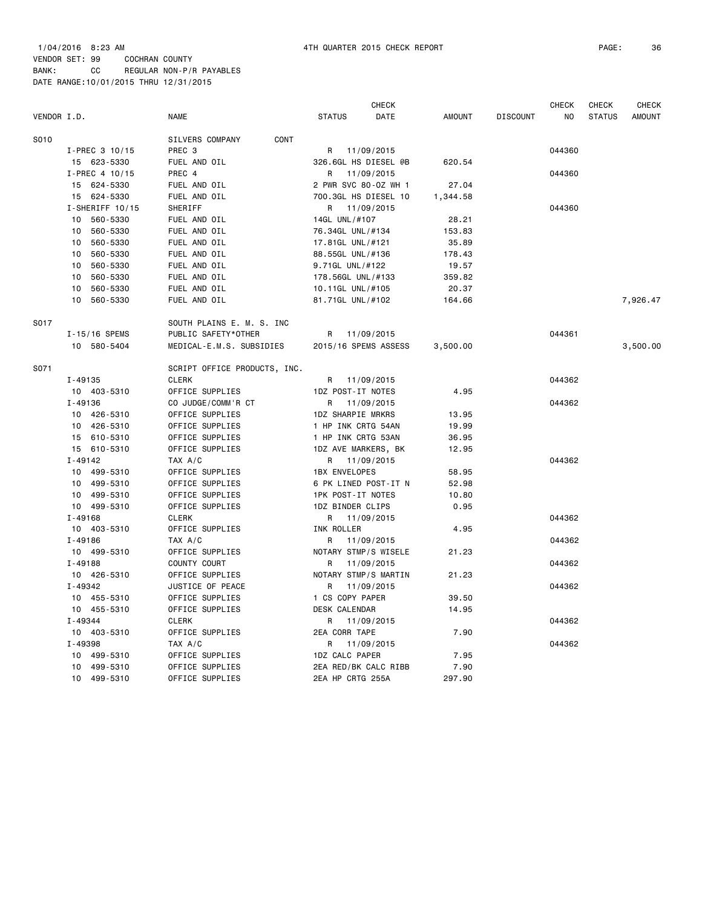| VENDOR I.D. |                            | <b>NAME</b>                                  | <b>CHECK</b><br><b>STATUS</b><br>DATE   | <b>AMOUNT</b>  | <b>DISCOUNT</b> | <b>CHECK</b><br>NO | CHECK<br><b>STATUS</b> | CHECK<br><b>AMOUNT</b> |
|-------------|----------------------------|----------------------------------------------|-----------------------------------------|----------------|-----------------|--------------------|------------------------|------------------------|
| S010        |                            | CONT<br>SILVERS COMPANY                      |                                         |                |                 |                    |                        |                        |
|             | I-PREC 3 10/15             | PREC <sub>3</sub>                            | R 11/09/2015                            |                |                 | 044360             |                        |                        |
|             | 15 623-5330                | FUEL AND OIL                                 | 326.6GL HS DIESEL @B                    | 620.54         |                 |                    |                        |                        |
|             | I-PREC 4 10/15             | PREC 4                                       | R<br>11/09/2015                         |                |                 | 044360             |                        |                        |
|             | 15 624-5330                | FUEL AND OIL                                 | 2 PWR SVC 80-0Z WH 1                    | 27.04          |                 |                    |                        |                        |
|             | 15 624-5330                | FUEL AND OIL                                 | 700.3GL HS DIESEL 10                    | 1,344.58       |                 |                    |                        |                        |
|             | I-SHERIFF 10/15            | SHERIFF                                      | R 11/09/2015                            |                |                 | 044360             |                        |                        |
|             | 560-5330<br>10             | FUEL AND OIL                                 | 14GL UNL/#107                           | 28.21          |                 |                    |                        |                        |
|             | 10<br>560-5330             | FUEL AND OIL                                 | 76.34GL UNL/#134                        | 153.83         |                 |                    |                        |                        |
|             | 560-5330<br>10             | FUEL AND OIL                                 | 17.81GL UNL/#121                        | 35.89          |                 |                    |                        |                        |
|             | 560-5330<br>10             | FUEL AND OIL                                 | 88.55GL UNL/#136                        | 178.43         |                 |                    |                        |                        |
|             | 560-5330<br>10             | FUEL AND OIL                                 | 9.71GL UNL/#122                         | 19.57          |                 |                    |                        |                        |
|             | 560-5330<br>10             | FUEL AND OIL                                 | 178.56GL UNL/#133                       | 359.82         |                 |                    |                        |                        |
|             | 10<br>560-5330             | FUEL AND OIL                                 | 10.11GL UNL/#105                        | 20.37          |                 |                    |                        |                        |
|             | 560-5330<br>10             | FUEL AND OIL                                 | 81.71GL UNL/#102                        | 164.66         |                 |                    |                        | 7,926.47               |
|             |                            |                                              |                                         |                |                 |                    |                        |                        |
| S017        |                            | SOUTH PLAINS E. M. S. INC                    |                                         |                |                 |                    |                        |                        |
|             | I-15/16 SPEMS              | PUBLIC SAFETY*OTHER                          | R 11/09/2015                            |                |                 | 044361             |                        |                        |
|             | 10 580-5404                | MEDICAL-E.M.S. SUBSIDIES                     | 2015/16 SPEMS ASSESS                    | 3,500.00       |                 |                    |                        | 3,500.00               |
| S071        |                            |                                              |                                         |                |                 |                    |                        |                        |
|             | $I - 49135$                | SCRIPT OFFICE PRODUCTS, INC.<br><b>CLERK</b> |                                         |                |                 | 044362             |                        |                        |
|             |                            |                                              | 11/09/2015<br>R                         |                |                 |                    |                        |                        |
|             | 10 403-5310<br>$I - 49136$ | OFFICE SUPPLIES                              | 1DZ POST-IT NOTES                       | 4.95           |                 |                    |                        |                        |
|             |                            | CO JUDGE/COMM'R CT                           | 11/09/2015<br>R                         |                |                 | 044362             |                        |                        |
|             | 10 426-5310<br>10 426-5310 | OFFICE SUPPLIES                              | 1DZ SHARPIE MRKRS<br>1 HP INK CRTG 54AN | 13.95          |                 |                    |                        |                        |
|             | 15 610-5310                | OFFICE SUPPLIES<br>OFFICE SUPPLIES           | 1 HP INK CRTG 53AN                      | 19.99          |                 |                    |                        |                        |
|             | 15 610-5310                |                                              |                                         | 36.95<br>12.95 |                 |                    |                        |                        |
|             | $I - 49142$                | OFFICE SUPPLIES<br>TAX A/C                   | 1DZ AVE MARKERS, BK                     |                |                 | 044362             |                        |                        |
|             | 10 499-5310                | OFFICE SUPPLIES                              | 11/09/2015<br>R<br><b>1BX ENVELOPES</b> | 58.95          |                 |                    |                        |                        |
|             | 10 499-5310                | OFFICE SUPPLIES                              | 6 PK LINED POST-IT N                    | 52.98          |                 |                    |                        |                        |
|             | 10 499-5310                | OFFICE SUPPLIES                              | 1PK POST-IT NOTES                       | 10.80          |                 |                    |                        |                        |
|             | 10 499-5310                | OFFICE SUPPLIES                              | 1DZ BINDER CLIPS                        | 0.95           |                 |                    |                        |                        |
|             | $I - 49168$                | <b>CLERK</b>                                 | 11/09/2015<br>R                         |                |                 | 044362             |                        |                        |
|             | 10 403-5310                | OFFICE SUPPLIES                              | INK ROLLER                              | 4.95           |                 |                    |                        |                        |
|             | I-49186                    | TAX A/C                                      | 11/09/2015<br>R                         |                |                 | 044362             |                        |                        |
|             | 10 499-5310                | OFFICE SUPPLIES                              | NOTARY STMP/S WISELE                    | 21.23          |                 |                    |                        |                        |
|             | $I - 49188$                | COUNTY COURT                                 | 11/09/2015<br>R                         |                |                 | 044362             |                        |                        |
|             | 10 426-5310                | OFFICE SUPPLIES                              | NOTARY STMP/S MARTIN                    | 21.23          |                 |                    |                        |                        |
|             | I-49342                    | JUSTICE OF PEACE                             | 11/09/2015<br>R                         |                |                 | 044362             |                        |                        |
|             | 10 455-5310                | OFFICE SUPPLIES                              | 1 CS COPY PAPER                         | 39.50          |                 |                    |                        |                        |
|             | 10 455-5310                | OFFICE SUPPLIES                              | DESK CALENDAR                           | 14.95          |                 |                    |                        |                        |
|             | I-49344                    | <b>CLERK</b>                                 | R<br>11/09/2015                         |                |                 | 044362             |                        |                        |
|             | 10 403-5310                | OFFICE SUPPLIES                              | <b>2EA CORR TAPE</b>                    | 7.90           |                 |                    |                        |                        |
|             | I-49398                    | TAX A/C                                      | R<br>11/09/2015                         |                |                 | 044362             |                        |                        |
|             | 10 499-5310                | OFFICE SUPPLIES                              | 1DZ CALC PAPER                          | 7.95           |                 |                    |                        |                        |
|             | 10 499-5310                | OFFICE SUPPLIES                              | 2EA RED/BK CALC RIBB                    | 7.90           |                 |                    |                        |                        |
|             | 10 499-5310                | OFFICE SUPPLIES                              | 2EA HP CRTG 255A                        | 297.90         |                 |                    |                        |                        |
|             |                            |                                              |                                         |                |                 |                    |                        |                        |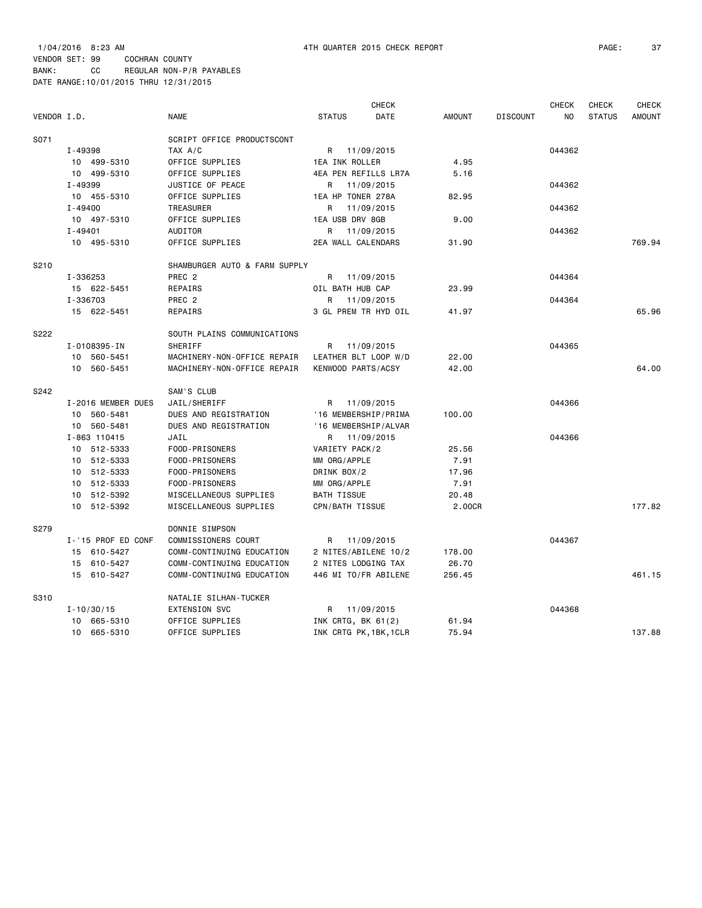| VENDOR I.D. |                    | <b>NAME</b>                   | <b>STATUS</b>        | <b>CHECK</b><br><b>DATE</b> | <b>AMOUNT</b> | <b>DISCOUNT</b> | <b>CHECK</b><br>NO. | <b>CHECK</b><br><b>STATUS</b> | <b>CHECK</b><br><b>AMOUNT</b> |
|-------------|--------------------|-------------------------------|----------------------|-----------------------------|---------------|-----------------|---------------------|-------------------------------|-------------------------------|
| S071        |                    | SCRIPT OFFICE PRODUCTSCONT    |                      |                             |               |                 |                     |                               |                               |
|             | I-49398            | TAX A/C                       | R 11/09/2015         |                             |               |                 | 044362              |                               |                               |
|             | 10 499-5310        | OFFICE SUPPLIES               | 1EA INK ROLLER       |                             | 4.95          |                 |                     |                               |                               |
|             | 10 499-5310        | OFFICE SUPPLIES               | 4EA PEN REFILLS LR7A |                             | 5.16          |                 |                     |                               |                               |
|             | I-49399            | JUSTICE OF PEACE              | R 11/09/2015         |                             |               |                 | 044362              |                               |                               |
|             | 10 455-5310        | OFFICE SUPPLIES               | 1EA HP TONER 278A    |                             | 82.95         |                 |                     |                               |                               |
|             | I-49400            | TREASURER                     | R 11/09/2015         |                             |               |                 | 044362              |                               |                               |
|             | 10 497-5310        | OFFICE SUPPLIES               | 1EA USB DRV 8GB      |                             | 9.00          |                 |                     |                               |                               |
|             | $I - 49401$        | AUDITOR                       | R                    | 11/09/2015                  |               |                 | 044362              |                               |                               |
|             | 10 495-5310        | OFFICE SUPPLIES               | 2EA WALL CALENDARS   |                             | 31.90         |                 |                     |                               | 769.94                        |
| S210        |                    | SHAMBURGER AUTO & FARM SUPPLY |                      |                             |               |                 |                     |                               |                               |
|             | I-336253           | PREC <sub>2</sub>             | R 11/09/2015         |                             |               |                 | 044364              |                               |                               |
|             | 15 622-5451        | REPAIRS                       | OIL BATH HUB CAP     |                             | 23.99         |                 |                     |                               |                               |
|             | I-336703           | PREC 2                        | R                    | 11/09/2015                  |               |                 | 044364              |                               |                               |
|             | 15 622-5451        | REPAIRS                       | 3 GL PREM TR HYD OIL |                             | 41.97         |                 |                     |                               | 65.96                         |
| S222        |                    | SOUTH PLAINS COMMUNICATIONS   |                      |                             |               |                 |                     |                               |                               |
|             | I-0108395-IN       | SHERIFF                       | R                    | 11/09/2015                  |               |                 | 044365              |                               |                               |
|             | 10 560-5451        | MACHINERY-NON-OFFICE REPAIR   | LEATHER BLT LOOP W/D |                             | 22.00         |                 |                     |                               |                               |
|             | 10 560-5451        | MACHINERY-NON-OFFICE REPAIR   | KENWOOD PARTS/ACSY   |                             | 42.00         |                 |                     |                               | 64.00                         |
| S242        |                    | SAM'S CLUB                    |                      |                             |               |                 |                     |                               |                               |
|             | I-2016 MEMBER DUES | JAIL/SHERIFF                  | R 11/09/2015         |                             |               |                 | 044366              |                               |                               |
|             | 10 560-5481        | DUES AND REGISTRATION         | '16 MEMBERSHIP/PRIMA |                             | 100.00        |                 |                     |                               |                               |
|             | 10 560-5481        | DUES AND REGISTRATION         | '16 MEMBERSHIP/ALVAR |                             |               |                 |                     |                               |                               |
|             | I-863 110415       | JAIL                          | R 11/09/2015         |                             |               |                 | 044366              |                               |                               |
|             | 10 512-5333        | FOOD-PRISONERS                | VARIETY PACK/2       |                             | 25.56         |                 |                     |                               |                               |
|             | 10 512-5333        | FOOD-PRISONERS                | MM ORG/APPLE         |                             | 7.91          |                 |                     |                               |                               |
|             | 10 512-5333        | FOOD-PRISONERS                | DRINK BOX/2          |                             | 17.96         |                 |                     |                               |                               |
|             | 10 512-5333        | FOOD-PRISONERS                | MM ORG/APPLE         |                             | 7.91          |                 |                     |                               |                               |
|             | 10 512-5392        | MISCELLANEOUS SUPPLIES        | <b>BATH TISSUE</b>   |                             | 20.48         |                 |                     |                               |                               |
|             | 10 512-5392        | MISCELLANEOUS SUPPLIES        | CPN/BATH TISSUE      |                             | 2.00CR        |                 |                     |                               | 177.82                        |
| S279        |                    | DONNIE SIMPSON                |                      |                             |               |                 |                     |                               |                               |
|             | I-'15 PROF ED CONF | COMMISSIONERS COURT           | R                    | 11/09/2015                  |               |                 | 044367              |                               |                               |
|             | 15 610-5427        | COMM-CONTINUING EDUCATION     | 2 NITES/ABILENE 10/2 |                             | 178.00        |                 |                     |                               |                               |
|             | 15 610-5427        | COMM-CONTINUING EDUCATION     | 2 NITES LODGING TAX  |                             | 26.70         |                 |                     |                               |                               |
|             | 15 610-5427        | COMM-CONTINUING EDUCATION     | 446 MI TO/FR ABILENE |                             | 256.45        |                 |                     |                               | 461.15                        |
| S310        |                    | NATALIE SILHAN-TUCKER         |                      |                             |               |                 |                     |                               |                               |
|             | $I - 10/30/15$     | <b>EXTENSION SVC</b>          | R 11/09/2015         |                             |               |                 | 044368              |                               |                               |
|             | 10 665-5310        | OFFICE SUPPLIES               | INK CRTG, BK 61(2)   |                             | 61.94         |                 |                     |                               |                               |

10 665-5310 OFFICE SUPPLIES INK CRTG PK,1BK,1CLR 75.94 137.88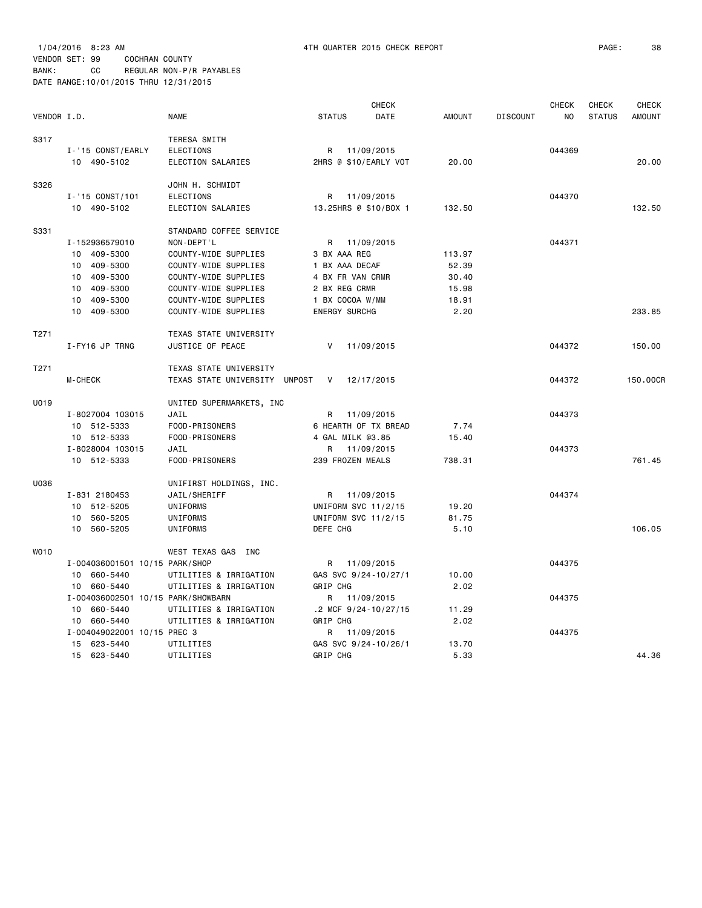|                  |                                    |                               |                          | <b>CHECK</b> |               |                 | <b>CHECK</b>   | <b>CHECK</b>  | <b>CHECK</b>  |
|------------------|------------------------------------|-------------------------------|--------------------------|--------------|---------------|-----------------|----------------|---------------|---------------|
| VENDOR I.D.      |                                    | <b>NAME</b>                   | <b>STATUS</b>            | DATE         | <b>AMOUNT</b> | <b>DISCOUNT</b> | N <sub>O</sub> | <b>STATUS</b> | <b>AMOUNT</b> |
| S317             |                                    | TERESA SMITH                  |                          |              |               |                 |                |               |               |
|                  | I-'15 CONST/EARLY                  | ELECTIONS                     | R                        | 11/09/2015   |               |                 | 044369         |               |               |
|                  | 10 490-5102                        | ELECTION SALARIES             | 2HRS @ \$10/EARLY VOT    |              | 20.00         |                 |                |               | 20.00         |
| S326             |                                    | JOHN H. SCHMIDT               |                          |              |               |                 |                |               |               |
|                  | I-'15 CONST/101                    | <b>ELECTIONS</b>              | R                        | 11/09/2015   |               |                 | 044370         |               |               |
|                  | 10 490-5102                        | <b>ELECTION SALARIES</b>      | 13.25HRS @ \$10/BOX 1    |              | 132.50        |                 |                |               | 132.50        |
| S331             |                                    | STANDARD COFFEE SERVICE       |                          |              |               |                 |                |               |               |
|                  | I-152936579010                     | NON-DEPT'L                    | R 11/09/2015             |              |               |                 | 044371         |               |               |
|                  | 10 409-5300                        | COUNTY-WIDE SUPPLIES          | 3 BX AAA REG             |              | 113.97        |                 |                |               |               |
|                  | 10 409-5300                        | COUNTY-WIDE SUPPLIES          | 1 BX AAA DECAF           |              | 52.39         |                 |                |               |               |
|                  | 10 409-5300                        | COUNTY-WIDE SUPPLIES          | 4 BX FR VAN CRMR         |              | 30.40         |                 |                |               |               |
|                  | 10 409-5300                        | COUNTY-WIDE SUPPLIES          | 2 BX REG CRMR            |              | 15.98         |                 |                |               |               |
|                  | 10 409-5300                        | COUNTY-WIDE SUPPLIES          | 1 BX COCOA W/MM          |              | 18.91         |                 |                |               |               |
|                  | 10 409-5300                        | COUNTY-WIDE SUPPLIES          | <b>ENERGY SURCHG</b>     |              | 2.20          |                 |                |               | 233.85        |
| T <sub>271</sub> |                                    | <b>TEXAS STATE UNIVERSITY</b> |                          |              |               |                 |                |               |               |
|                  | I-FY16 JP TRNG                     | JUSTICE OF PEACE              | V                        | 11/09/2015   |               |                 | 044372         |               | 150.00        |
| T <sub>271</sub> |                                    | TEXAS STATE UNIVERSITY        |                          |              |               |                 |                |               |               |
|                  | M-CHECK                            | TEXAS STATE UNIVERSITY UNPOST | $\mathsf{V}$             | 12/17/2015   |               |                 | 044372         |               | 150.00CR      |
| U019             |                                    | UNITED SUPERMARKETS, INC      |                          |              |               |                 |                |               |               |
|                  | I-8027004 103015                   | JAIL                          | R                        | 11/09/2015   |               |                 | 044373         |               |               |
|                  | 10 512-5333                        | FOOD-PRISONERS                | 6 HEARTH OF TX BREAD     |              | 7.74          |                 |                |               |               |
|                  | 10 512-5333                        | FOOD-PRISONERS                | 4 GAL MILK @3.85         |              | 15.40         |                 |                |               |               |
|                  | I-8028004 103015                   | JAIL                          | R                        | 11/09/2015   |               |                 | 044373         |               |               |
|                  | 10 512-5333                        | FOOD-PRISONERS                | 239 FROZEN MEALS         |              | 738.31        |                 |                |               | 761.45        |
| U036             |                                    | UNIFIRST HOLDINGS, INC.       |                          |              |               |                 |                |               |               |
|                  | I-831 2180453                      | JAIL/SHERIFF                  | R                        | 11/09/2015   |               |                 | 044374         |               |               |
|                  | 10 512-5205                        | UNIFORMS                      | UNIFORM SVC 11/2/15      |              | 19.20         |                 |                |               |               |
|                  | 10 560-5205                        | UNIFORMS                      | UNIFORM SVC 11/2/15      |              | 81.75         |                 |                |               |               |
|                  | 10 560-5205                        | UNIFORMS                      | DEFE CHG                 |              | 5.10          |                 |                |               | 106.05        |
| W010             |                                    | WEST TEXAS GAS INC            |                          |              |               |                 |                |               |               |
|                  | I-004036001501 10/15 PARK/SHOP     |                               | R                        | 11/09/2015   |               |                 | 044375         |               |               |
|                  | 10 660-5440                        | UTILITIES & IRRIGATION        | GAS SVC 9/24-10/27/1     |              | 10.00         |                 |                |               |               |
|                  | 10 660-5440                        | UTILITIES & IRRIGATION        | GRIP CHG                 |              | 2.02          |                 |                |               |               |
|                  | I-004036002501 10/15 PARK/SHOWBARN |                               | R                        | 11/09/2015   |               |                 | 044375         |               |               |
|                  | 10 660-5440                        | UTILITIES & IRRIGATION        | .2 MCF $9/24 - 10/27/15$ |              | 11.29         |                 |                |               |               |
|                  | 660-5440<br>10                     | UTILITIES & IRRIGATION        | GRIP CHG                 |              | 2.02          |                 |                |               |               |
|                  | I-004049022001 10/15 PREC 3        |                               | R                        | 11/09/2015   |               |                 | 044375         |               |               |
|                  | 15 623-5440                        | UTILITIES                     | GAS SVC 9/24-10/26/1     |              | 13.70         |                 |                |               |               |
|                  | 15 623-5440                        | UTILITIES                     | GRIP CHG                 |              | 5.33          |                 |                |               | 44.36         |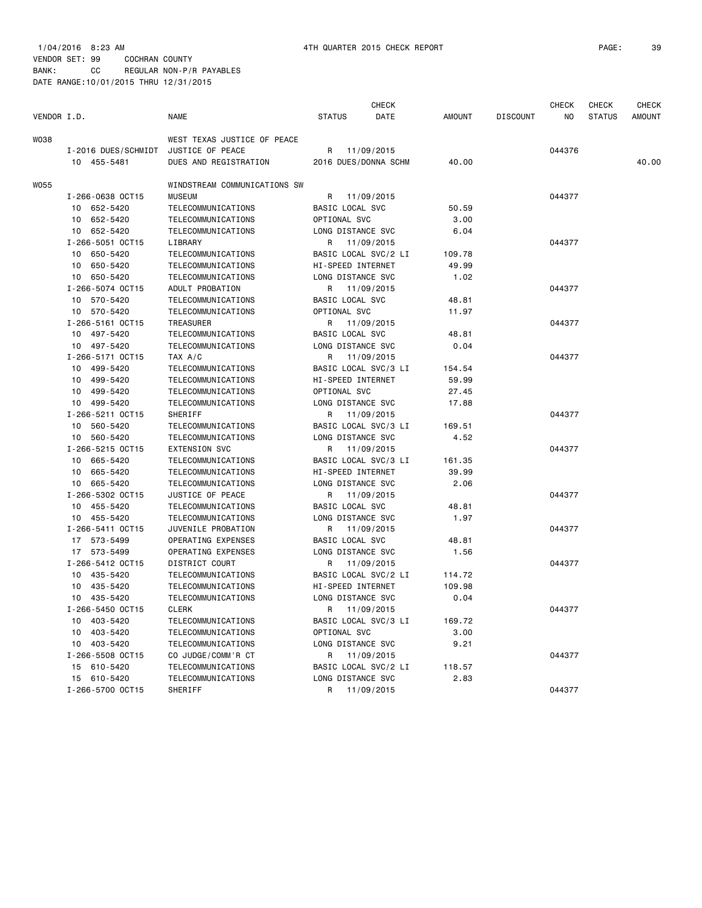|             |                     |                              |                      | <b>CHECK</b> |               |                 | <b>CHECK</b> | <b>CHECK</b>  | <b>CHECK</b>  |
|-------------|---------------------|------------------------------|----------------------|--------------|---------------|-----------------|--------------|---------------|---------------|
| VENDOR I.D. |                     | <b>NAME</b>                  | <b>STATUS</b>        | DATE         | <b>AMOUNT</b> | <b>DISCOUNT</b> | NO           | <b>STATUS</b> | <b>AMOUNT</b> |
| WO38        |                     | WEST TEXAS JUSTICE OF PEACE  |                      |              |               |                 |              |               |               |
|             | I-2016 DUES/SCHMIDT | JUSTICE OF PEACE             | R                    | 11/09/2015   |               |                 | 044376       |               |               |
|             | 10 455-5481         | DUES AND REGISTRATION        | 2016 DUES/DONNA SCHM |              | 40.00         |                 |              |               | 40.00         |
| W055        |                     | WINDSTREAM COMMUNICATIONS SW |                      |              |               |                 |              |               |               |
|             | I-266-0638 OCT15    | <b>MUSEUM</b>                | R                    | 11/09/2015   |               |                 | 044377       |               |               |
|             | 10 652-5420         | TELECOMMUNICATIONS           | BASIC LOCAL SVC      |              | 50.59         |                 |              |               |               |
|             | 10 652-5420         | TELECOMMUNICATIONS           | OPTIONAL SVC         |              | 3.00          |                 |              |               |               |
|             | 10 652-5420         | TELECOMMUNICATIONS           | LONG DISTANCE SVC    |              | 6.04          |                 |              |               |               |
|             | I-266-5051 OCT15    | LIBRARY                      | R                    | 11/09/2015   |               |                 | 044377       |               |               |
|             | 10 650-5420         | TELECOMMUNICATIONS           | BASIC LOCAL SVC/2 LI |              | 109.78        |                 |              |               |               |
|             | 10 650-5420         | TELECOMMUNICATIONS           | HI-SPEED INTERNET    |              | 49.99         |                 |              |               |               |
|             | 10 650-5420         | TELECOMMUNICATIONS           | LONG DISTANCE SVC    |              | 1.02          |                 |              |               |               |
|             | I-266-5074 OCT15    | ADULT PROBATION              | R                    | 11/09/2015   |               |                 | 044377       |               |               |
|             | 10 570-5420         | TELECOMMUNICATIONS           | BASIC LOCAL SVC      |              | 48.81         |                 |              |               |               |
|             | 10 570-5420         | TELECOMMUNICATIONS           | OPTIONAL SVC         |              | 11.97         |                 |              |               |               |
|             | I-266-5161 OCT15    | <b>TREASURER</b>             | R                    | 11/09/2015   |               |                 | 044377       |               |               |
|             | 10 497-5420         | TELECOMMUNICATIONS           | BASIC LOCAL SVC      |              | 48.81         |                 |              |               |               |
|             | 10 497-5420         | TELECOMMUNICATIONS           | LONG DISTANCE SVC    |              | 0.04          |                 |              |               |               |
|             | I-266-5171 OCT15    | TAX A/C                      | R                    | 11/09/2015   |               |                 | 044377       |               |               |
|             | 10 499-5420         | TELECOMMUNICATIONS           | BASIC LOCAL SVC/3 LI |              | 154.54        |                 |              |               |               |
|             | 499-5420<br>10      | TELECOMMUNICATIONS           | HI-SPEED INTERNET    |              | 59.99         |                 |              |               |               |
|             | 499-5420<br>10      | TELECOMMUNICATIONS           | OPTIONAL SVC         |              | 27.45         |                 |              |               |               |
|             | 10 499-5420         | TELECOMMUNICATIONS           | LONG DISTANCE SVC    |              | 17.88         |                 |              |               |               |
|             | I-266-5211 OCT15    | <b>SHERIFF</b>               | R                    | 11/09/2015   |               |                 | 044377       |               |               |
|             | 10 560-5420         | TELECOMMUNICATIONS           | BASIC LOCAL SVC/3 LI |              | 169.51        |                 |              |               |               |
|             | 10 560-5420         | TELECOMMUNICATIONS           | LONG DISTANCE SVC    |              | 4.52          |                 |              |               |               |
|             | I-266-5215 OCT15    | <b>EXTENSION SVC</b>         | R                    | 11/09/2015   |               |                 | 044377       |               |               |
|             | 10 665-5420         | TELECOMMUNICATIONS           | BASIC LOCAL SVC/3 LI |              | 161.35        |                 |              |               |               |
|             | 665-5420<br>10      | TELECOMMUNICATIONS           | HI-SPEED INTERNET    |              | 39.99         |                 |              |               |               |
|             | 10 665-5420         | TELECOMMUNICATIONS           | LONG DISTANCE SVC    |              | 2.06          |                 |              |               |               |
|             | I-266-5302 OCT15    | JUSTICE OF PEACE             | R                    | 11/09/2015   |               |                 | 044377       |               |               |
|             | 10 455-5420         | TELECOMMUNICATIONS           | BASIC LOCAL SVC      |              | 48.81         |                 |              |               |               |
|             | 10 455-5420         | TELECOMMUNICATIONS           | LONG DISTANCE SVC    |              | 1.97          |                 |              |               |               |
|             | I-266-5411 OCT15    | JUVENILE PROBATION           | R                    | 11/09/2015   |               |                 | 044377       |               |               |
|             | 17 573-5499         | OPERATING EXPENSES           | BASIC LOCAL SVC      |              | 48.81         |                 |              |               |               |
|             | 17 573-5499         | OPERATING EXPENSES           | LONG DISTANCE SVC    |              | 1.56          |                 |              |               |               |
|             | I-266-5412 OCT15    | DISTRICT COURT               | R                    | 11/09/2015   |               |                 | 044377       |               |               |
|             | 10 435-5420         | TELECOMMUNICATIONS           | BASIC LOCAL SVC/2 LI |              | 114.72        |                 |              |               |               |
|             | 10 435-5420         | TELECOMMUNICATIONS           | HI-SPEED INTERNET    |              | 109.98        |                 |              |               |               |
|             | 10 435-5420         | TELECOMMUNICATIONS           | LONG DISTANCE SVC    |              | 0.04          |                 |              |               |               |
|             | I-266-5450 OCT15    | <b>CLERK</b>                 | R                    | 11/09/2015   |               |                 | 044377       |               |               |
|             | 10 403-5420         | TELECOMMUNICATIONS           | BASIC LOCAL SVC/3 LI |              | 169.72        |                 |              |               |               |
|             | 10 403-5420         | TELECOMMUNICATIONS           | OPTIONAL SVC         |              | 3.00          |                 |              |               |               |
|             | 10 403-5420         | TELECOMMUNICATIONS           | LONG DISTANCE SVC    |              | 9.21          |                 |              |               |               |
|             | I-266-5508 OCT15    | CO JUDGE/COMM'R CT           | R                    | 11/09/2015   |               |                 | 044377       |               |               |
|             | 15 610-5420         | TELECOMMUNICATIONS           | BASIC LOCAL SVC/2 LI |              | 118.57        |                 |              |               |               |
|             | 15 610-5420         | TELECOMMUNICATIONS           | LONG DISTANCE SVC    |              | 2.83          |                 |              |               |               |
|             | I-266-5700 OCT15    | SHERIFF                      | R                    | 11/09/2015   |               |                 | 044377       |               |               |
|             |                     |                              |                      |              |               |                 |              |               |               |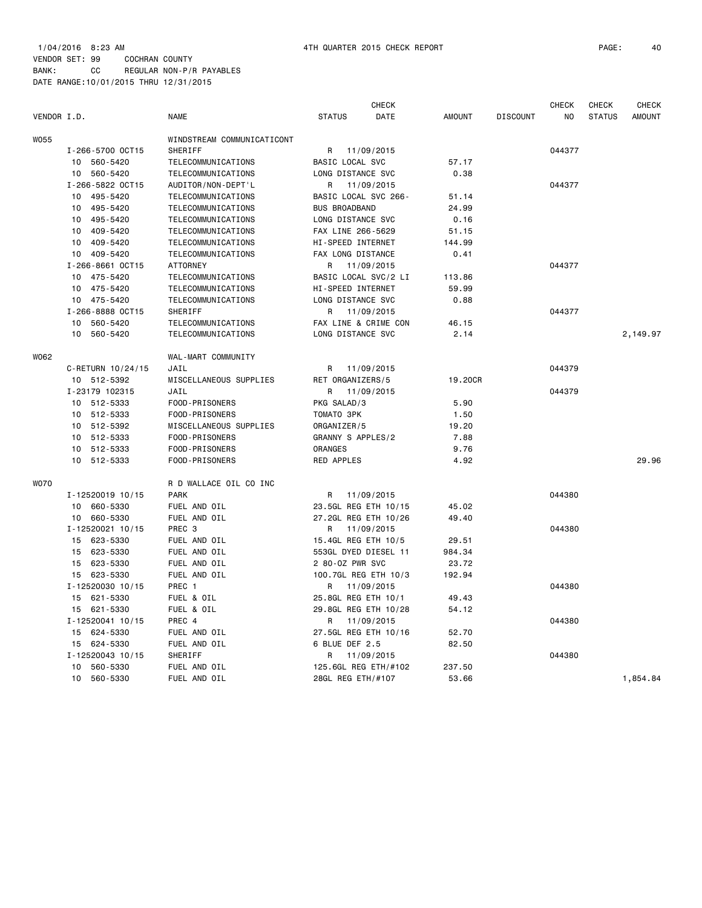| VENDOR I.D. |                   | <b>NAME</b>                | <b>STATUS</b>          | <b>CHECK</b><br>DATE | <b>AMOUNT</b> | <b>DISCOUNT</b> | <b>CHECK</b><br>NO | CHECK<br><b>STATUS</b> | <b>CHECK</b><br><b>AMOUNT</b> |
|-------------|-------------------|----------------------------|------------------------|----------------------|---------------|-----------------|--------------------|------------------------|-------------------------------|
| <b>W055</b> |                   | WINDSTREAM COMMUNICATICONT |                        |                      |               |                 |                    |                        |                               |
|             | I-266-5700 OCT15  | <b>SHERIFF</b>             | R                      | 11/09/2015           |               |                 | 044377             |                        |                               |
|             | 10 560-5420       | TELECOMMUNICATIONS         | <b>BASIC LOCAL SVC</b> |                      | 57.17         |                 |                    |                        |                               |
|             | 560-5420<br>10    | TELECOMMUNICATIONS         | LONG DISTANCE SVC      |                      | 0.38          |                 |                    |                        |                               |
|             | I-266-5822 OCT15  | AUDITOR/NON-DEPT'L         | R                      | 11/09/2015           |               |                 | 044377             |                        |                               |
|             | 495-5420<br>10    | TELECOMMUNICATIONS         | BASIC LOCAL SVC 266-   |                      | 51.14         |                 |                    |                        |                               |
|             | 495-5420<br>10    | TELECOMMUNICATIONS         | <b>BUS BROADBAND</b>   |                      | 24.99         |                 |                    |                        |                               |
|             | 495-5420<br>10    | TELECOMMUNICATIONS         | LONG DISTANCE SVC      |                      | 0.16          |                 |                    |                        |                               |
|             | 409-5420<br>10    | TELECOMMUNICATIONS         | FAX LINE 266-5629      |                      | 51.15         |                 |                    |                        |                               |
|             | 409-5420<br>10    | TELECOMMUNICATIONS         | HI-SPEED INTERNET      |                      | 144.99        |                 |                    |                        |                               |
|             | 10 409-5420       | TELECOMMUNICATIONS         | FAX LONG DISTANCE      |                      | 0.41          |                 |                    |                        |                               |
|             | I-266-8661 OCT15  | <b>ATTORNEY</b>            | R                      | 11/09/2015           |               |                 | 044377             |                        |                               |
|             | 475-5420<br>10    | TELECOMMUNICATIONS         | BASIC LOCAL SVC/2 LI   |                      | 113.86        |                 |                    |                        |                               |
|             | 475-5420<br>10    | TELECOMMUNICATIONS         | HI-SPEED INTERNET      |                      | 59.99         |                 |                    |                        |                               |
|             | 475-5420<br>10    | TELECOMMUNICATIONS         | LONG DISTANCE SVC      |                      | 0.88          |                 |                    |                        |                               |
|             | I-266-8888 OCT15  | SHERIFF                    | R                      | 11/09/2015           |               |                 | 044377             |                        |                               |
|             | 10<br>560-5420    | TELECOMMUNICATIONS         | FAX LINE & CRIME CON   |                      | 46.15         |                 |                    |                        |                               |
|             | 10<br>560-5420    | TELECOMMUNICATIONS         | LONG DISTANCE SVC      |                      | 2.14          |                 |                    |                        | 2,149.97                      |
| W062        |                   | WAL-MART COMMUNITY         |                        |                      |               |                 |                    |                        |                               |
|             | C-RETURN 10/24/15 | JAIL                       | R                      | 11/09/2015           |               |                 | 044379             |                        |                               |
|             | 10 512-5392       | MISCELLANEOUS SUPPLIES     | RET ORGANIZERS/5       |                      | 19,20CR       |                 |                    |                        |                               |
|             | I-23179 102315    | JAIL                       | R 11/09/2015           |                      |               |                 | 044379             |                        |                               |
|             | 10 512-5333       | FOOD-PRISONERS             | PKG SALAD/3            |                      | 5.90          |                 |                    |                        |                               |
|             | 10<br>512-5333    | FOOD-PRISONERS             | TOMATO 3PK             |                      | 1.50          |                 |                    |                        |                               |
|             | 512-5392<br>10    | MISCELLANEOUS SUPPLIES     | ORGANIZER/5            |                      | 19.20         |                 |                    |                        |                               |
|             | 512-5333<br>10    | FOOD-PRISONERS             | GRANNY S APPLES/2      |                      | 7.88          |                 |                    |                        |                               |
|             | 512-5333<br>10    | FOOD-PRISONERS             | <b>ORANGES</b>         |                      | 9.76          |                 |                    |                        |                               |
|             | 10<br>512-5333    | FOOD-PRISONERS             | RED APPLES             |                      | 4.92          |                 |                    |                        | 29.96                         |
| <b>WO70</b> |                   | R D WALLACE OIL CO INC     |                        |                      |               |                 |                    |                        |                               |
|             | I-12520019 10/15  | <b>PARK</b>                | R                      | 11/09/2015           |               |                 | 044380             |                        |                               |
|             | 660-5330<br>10    | FUEL AND OIL               | 23.5GL REG ETH 10/15   |                      | 45.02         |                 |                    |                        |                               |
|             | 10 660-5330       | FUEL AND OIL               | 27.2GL REG ETH 10/26   |                      | 49.40         |                 |                    |                        |                               |
|             | I-12520021 10/15  | PREC <sub>3</sub>          | R                      | 11/09/2015           |               |                 | 044380             |                        |                               |
|             | 623-5330<br>15    | FUEL AND OIL               | 15.4GL REG ETH 10/5    |                      | 29.51         |                 |                    |                        |                               |
|             | 623-5330<br>15    | FUEL AND OIL               | 553GL DYED DIESEL 11   |                      | 984.34        |                 |                    |                        |                               |
|             | 623-5330<br>15    | FUEL AND OIL               | 2 80-0Z PWR SVC        |                      | 23.72         |                 |                    |                        |                               |
|             | 15 623-5330       | FUEL AND OIL               | 100.7GL REG ETH 10/3   |                      | 192.94        |                 |                    |                        |                               |
|             | I-12520030 10/15  | PREC 1                     | R                      | 11/09/2015           |               |                 | 044380             |                        |                               |
|             | 15 621-5330       | FUEL & OIL                 | 25.8GL REG ETH 10/1    |                      | 49.43         |                 |                    |                        |                               |
|             | 15 621-5330       | FUEL & OIL                 | 29.8GL REG ETH 10/28   |                      | 54.12         |                 |                    |                        |                               |
|             | I-12520041 10/15  | PREC 4                     | R                      | 11/09/2015           |               |                 | 044380             |                        |                               |
|             | 15 624-5330       | FUEL AND OIL               | 27.5GL REG ETH 10/16   |                      | 52.70         |                 |                    |                        |                               |
|             | 15 624-5330       | FUEL AND OIL               | 6 BLUE DEF 2.5         |                      | 82.50         |                 |                    |                        |                               |
|             | I-12520043 10/15  | SHERIFF                    | R                      | 11/09/2015           |               |                 | 044380             |                        |                               |
|             | 10<br>560-5330    | FUEL AND OIL               | 125.6GL REG ETH/#102   |                      | 237.50        |                 |                    |                        |                               |
|             | 560-5330<br>10    | FUEL AND OIL               | 28GL REG ETH/#107      |                      | 53.66         |                 |                    |                        | 1,854.84                      |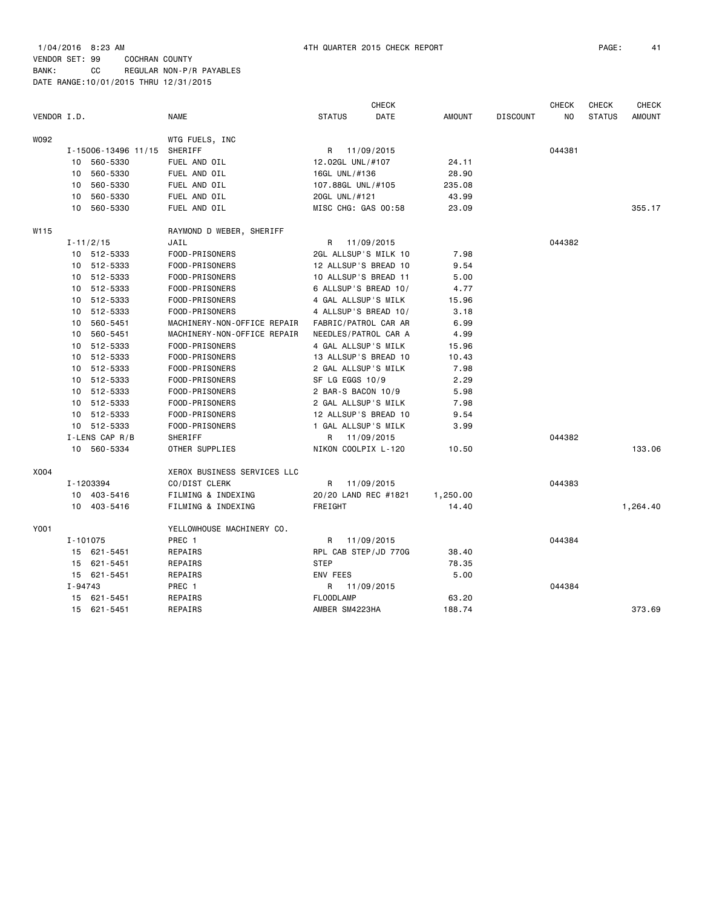| VENDOR I.D. |                 |                     | <b>NAME</b>                        | <b>STATUS</b>        | <b>CHECK</b><br>DATE | <b>AMOUNT</b> | <b>DISCOUNT</b> | <b>CHECK</b><br>NO. | <b>CHECK</b><br><b>STATUS</b> | <b>CHECK</b><br><b>AMOUNT</b> |
|-------------|-----------------|---------------------|------------------------------------|----------------------|----------------------|---------------|-----------------|---------------------|-------------------------------|-------------------------------|
| W092        |                 |                     | WTG FUELS, INC                     |                      |                      |               |                 |                     |                               |                               |
|             |                 | I-15006-13496 11/15 | SHERIFF                            | R 11/09/2015         |                      |               |                 | 044381              |                               |                               |
|             | 10              | 560-5330            | FUEL AND OIL                       | 12.02GL UNL/#107     |                      | 24.11         |                 |                     |                               |                               |
|             | 10              | 560-5330            | FUEL AND OIL                       | 16GL UNL/#136        |                      | 28.90         |                 |                     |                               |                               |
|             | 10              | 560-5330            | FUEL AND OIL                       | 107.88GL UNL/#105    |                      | 235.08        |                 |                     |                               |                               |
|             | 10              | 560-5330            | FUEL AND OIL                       | 20GL UNL/#121        |                      | 43.99         |                 |                     |                               |                               |
|             | 10              | 560-5330            | FUEL AND OIL                       | MISC CHG: GAS 00:58  |                      | 23.09         |                 |                     |                               | 355.17                        |
|             |                 |                     |                                    |                      |                      |               |                 |                     |                               |                               |
| W115        |                 |                     | RAYMOND D WEBER, SHERIFF           |                      |                      |               |                 |                     |                               |                               |
|             |                 | $I - 11/2/15$       | JAIL                               | R                    | 11/09/2015           |               |                 | 044382              |                               |                               |
|             |                 | 10 512-5333         | FOOD-PRISONERS                     | 2GL ALLSUP'S MILK 10 |                      | 7.98          |                 |                     |                               |                               |
|             |                 | 10 512-5333         | FOOD-PRISONERS                     | 12 ALLSUP'S BREAD 10 |                      | 9.54          |                 |                     |                               |                               |
|             |                 | 10 512-5333         | FOOD-PRISONERS                     | 10 ALLSUP'S BREAD 11 |                      | 5.00          |                 |                     |                               |                               |
|             | 10              | 512-5333            | FOOD-PRISONERS                     | 6 ALLSUP'S BREAD 10/ |                      | 4.77          |                 |                     |                               |                               |
|             | 10              | 512-5333            | FOOD-PRISONERS                     | 4 GAL ALLSUP'S MILK  |                      | 15.96         |                 |                     |                               |                               |
|             | 10              | 512-5333            | FOOD-PRISONERS                     | 4 ALLSUP'S BREAD 10/ |                      | 3.18          |                 |                     |                               |                               |
|             | 10              | 560-5451            | MACHINERY-NON-OFFICE REPAIR        | FABRIC/PATROL CAR AR |                      | 6.99          |                 |                     |                               |                               |
|             | 10              | 560-5451            | MACHINERY-NON-OFFICE REPAIR        | NEEDLES/PATROL CAR A |                      | 4.99          |                 |                     |                               |                               |
|             | 10              | 512-5333            | FOOD-PRISONERS                     | 4 GAL ALLSUP'S MILK  |                      | 15.96         |                 |                     |                               |                               |
|             |                 | 10 512-5333         | FOOD-PRISONERS                     | 13 ALLSUP'S BREAD 10 |                      | 10.43         |                 |                     |                               |                               |
|             | 10              | 512-5333            | FOOD-PRISONERS                     | 2 GAL ALLSUP'S MILK  |                      | 7.98          |                 |                     |                               |                               |
|             |                 | 10 512-5333         | FOOD-PRISONERS                     | SF LG EGGS 10/9      |                      | 2.29          |                 |                     |                               |                               |
|             |                 | 10 512-5333         | FOOD-PRISONERS                     | 2 BAR-S BACON 10/9   |                      | 5.98          |                 |                     |                               |                               |
|             |                 | 10 512-5333         | FOOD-PRISONERS                     | 2 GAL ALLSUP'S MILK  |                      | 7.98          |                 |                     |                               |                               |
|             | 10              | 512-5333            | FOOD-PRISONERS                     | 12 ALLSUP'S BREAD 10 |                      | 9.54          |                 |                     |                               |                               |
|             |                 | 10 512-5333         | FOOD-PRISONERS                     | 1 GAL ALLSUP'S MILK  |                      | 3.99          |                 |                     |                               |                               |
|             |                 | I-LENS CAP R/B      | SHERIFF                            | R                    | 11/09/2015           |               |                 | 044382              |                               |                               |
|             | 10 <sup>1</sup> | 560-5334            | OTHER SUPPLIES                     | NIKON COOLPIX L-120  |                      | 10.50         |                 |                     |                               | 133.06                        |
| X004        |                 |                     | <b>XEROX BUSINESS SERVICES LLC</b> |                      |                      |               |                 |                     |                               |                               |
|             |                 | I-1203394           | CO/DIST CLERK                      | R                    |                      |               |                 | 044383              |                               |                               |
|             |                 |                     |                                    |                      | 11/09/2015           |               |                 |                     |                               |                               |
|             |                 | 10 403-5416         | FILMING & INDEXING                 | 20/20 LAND REC #1821 |                      | 1,250.00      |                 |                     |                               |                               |
|             |                 | 10 403-5416         | FILMING & INDEXING                 | FREIGHT              |                      | 14.40         |                 |                     |                               | 1,264.40                      |
| Y001        |                 |                     | YELLOWHOUSE MACHINERY CO.          |                      |                      |               |                 |                     |                               |                               |
|             | I-101075        |                     | PREC 1                             | R                    | 11/09/2015           |               |                 | 044384              |                               |                               |
|             |                 | 15 621-5451         | REPAIRS                            | RPL CAB STEP/JD 770G |                      | 38.40         |                 |                     |                               |                               |
|             | 15              | 621-5451            | REPAIRS                            | <b>STEP</b>          |                      | 78.35         |                 |                     |                               |                               |
|             |                 | 15 621-5451         | REPAIRS                            | <b>ENV FEES</b>      |                      | 5.00          |                 |                     |                               |                               |
|             | I-94743         |                     | PREC 1                             | R                    | 11/09/2015           |               |                 | 044384              |                               |                               |
|             | 15              | 621-5451            | REPAIRS                            | <b>FLOODLAMP</b>     |                      | 63.20         |                 |                     |                               |                               |
|             |                 | 15 621-5451         | REPAIRS                            | AMBER SM4223HA       |                      | 188.74        |                 |                     |                               | 373.69                        |
|             |                 |                     |                                    |                      |                      |               |                 |                     |                               |                               |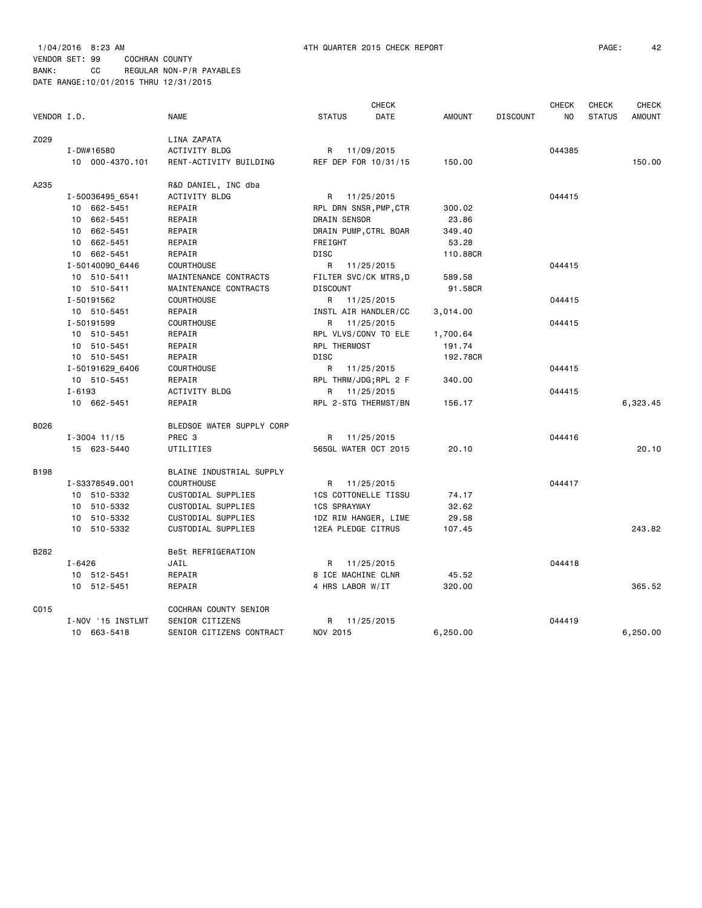1/04/2016 8:23 AM 4TH QUARTER 2015 CHECK REPORT PAGE: 42 VENDOR SET: 99 COCHRAN COUNTY BANK: CC REGULAR NON-P/R PAYABLES DATE RANGE:10/01/2015 THRU 12/31/2015

|             |                   |                           |                             | CHECK      |               |                 | <b>CHECK</b>   | <b>CHECK</b>  | <b>CHECK</b>  |
|-------------|-------------------|---------------------------|-----------------------------|------------|---------------|-----------------|----------------|---------------|---------------|
| VENDOR I.D. |                   | NAME                      | <b>STATUS</b>               | DATE       | <b>AMOUNT</b> | <b>DISCOUNT</b> | N <sub>0</sub> | <b>STATUS</b> | <b>AMOUNT</b> |
| Z029        |                   | LINA ZAPATA               |                             |            |               |                 |                |               |               |
|             | I-DW#16580        | ACTIVITY BLDG             | 11/09/2015<br>R             |            |               |                 | 044385         |               |               |
|             | 10 000-4370.101   | RENT-ACTIVITY BUILDING    | REF DEP FOR 10/31/15        |            | 150.00        |                 |                |               | 150.00        |
| A235        |                   | R&D DANIEL, INC dba       |                             |            |               |                 |                |               |               |
|             | I-50036495 6541   | ACTIVITY BLDG             | R 11/25/2015                |            |               |                 | 044415         |               |               |
|             | 10 662-5451       | REPAIR                    | RPL DRN SNSR, PMP, CTR      |            | 300.02        |                 |                |               |               |
|             | 10 662-5451       | REPAIR                    | DRAIN SENSOR                |            | 23.86         |                 |                |               |               |
|             | 10 662-5451       | REPAIR                    | DRAIN PUMP, CTRL BOAR       |            | 349.40        |                 |                |               |               |
|             | 10 662-5451       | REPAIR                    | FREIGHT                     |            | 53.28         |                 |                |               |               |
|             | 10 662-5451       | REPAIR                    | <b>DISC</b>                 |            | 110.88CR      |                 |                |               |               |
|             | I-50140090 6446   | <b>COURTHOUSE</b>         | R<br>11/25/2015             |            |               |                 | 044415         |               |               |
|             | 10 510-5411       | MAINTENANCE CONTRACTS     | FILTER SVC/CK MTRS, D       |            | 589.58        |                 |                |               |               |
|             | 10 510-5411       | MAINTENANCE CONTRACTS     | <b>DISCOUNT</b>             |            | 91.58CR       |                 |                |               |               |
|             | I-50191562        | <b>COURTHOUSE</b>         | R 11/25/2015                |            |               |                 | 044415         |               |               |
|             | 10 510-5451       | REPAIR                    | INSTL AIR HANDLER/CC        |            | 3,014.00      |                 |                |               |               |
|             | I-50191599        | COURTHOUSE                | R 11/25/2015                |            |               |                 | 044415         |               |               |
|             | 10 510-5451       | REPAIR                    | RPL VLVS/CONV TO ELE        |            | 1,700.64      |                 |                |               |               |
|             | 10 510-5451       | REPAIR                    | RPL THERMOST                |            | 191.74        |                 |                |               |               |
|             | 10 510-5451       | REPAIR                    | <b>DISC</b>                 |            | 192.78CR      |                 |                |               |               |
|             | I-50191629 6406   | <b>COURTHOUSE</b>         | 11/25/2015<br>R             |            |               |                 | 044415         |               |               |
|             | 10 510-5451       | REPAIR                    | RPL THRM/JDG; RPL 2 F       |            | 340.00        |                 |                |               |               |
|             | $I - 6193$        | ACTIVITY BLDG             | 11/25/2015<br>R             |            |               |                 | 044415         |               |               |
|             | 10 662-5451       | REPAIR                    | RPL 2-STG THERMST/BN        |            | 156.17        |                 |                |               | 6,323.45      |
|             |                   |                           |                             |            |               |                 |                |               |               |
| B026        |                   | BLEDSOE WATER SUPPLY CORP |                             |            |               |                 |                |               |               |
|             | $I - 3004$ 11/15  | PREC 3                    | 11/25/2015<br>R             |            |               |                 | 044416         |               |               |
|             | 15 623-5440       | UTILITIES                 | 565GL WATER OCT 2015        |            | 20.10         |                 |                |               | 20.10         |
| <b>B198</b> |                   | BLAINE INDUSTRIAL SUPPLY  |                             |            |               |                 |                |               |               |
|             | I-S3378549.001    | <b>COURTHOUSE</b>         | R 11/25/2015                |            |               |                 | 044417         |               |               |
|             | 10 510-5332       | CUSTODIAL SUPPLIES        | <b>1CS COTTONELLE TISSU</b> |            | 74.17         |                 |                |               |               |
|             | 10 510-5332       | CUSTODIAL SUPPLIES        | <b>1CS SPRAYWAY</b>         |            | 32.62         |                 |                |               |               |
|             | 10 510-5332       | CUSTODIAL SUPPLIES        | 1DZ RIM HANGER, LIME        |            | 29.58         |                 |                |               |               |
|             | 10 510-5332       | CUSTODIAL SUPPLIES        | 12EA PLEDGE CITRUS          |            | 107.45        |                 |                |               | 243.82        |
| B282        |                   | BeSt REFRIGERATION        |                             |            |               |                 |                |               |               |
|             | $I - 6426$        | JAIL                      | 11/25/2015<br>R             |            |               |                 | 044418         |               |               |
|             | 10 512-5451       | REPAIR                    | 8 ICE MACHINE CLNR          |            | 45.52         |                 |                |               |               |
|             | 10 512-5451       | REPAIR                    | 4 HRS LABOR W/IT            |            | 320.00        |                 |                |               | 365.52        |
| C015        |                   | COCHRAN COUNTY SENIOR     |                             |            |               |                 |                |               |               |
|             | I-NOV '15 INSTLMT | SENIOR CITIZENS           | R                           | 11/25/2015 |               |                 | 044419         |               |               |
|             | 10 663-5418       | SENIOR CITIZENS CONTRACT  | NOV 2015                    |            | 6,250.00      |                 |                |               | 6,250.00      |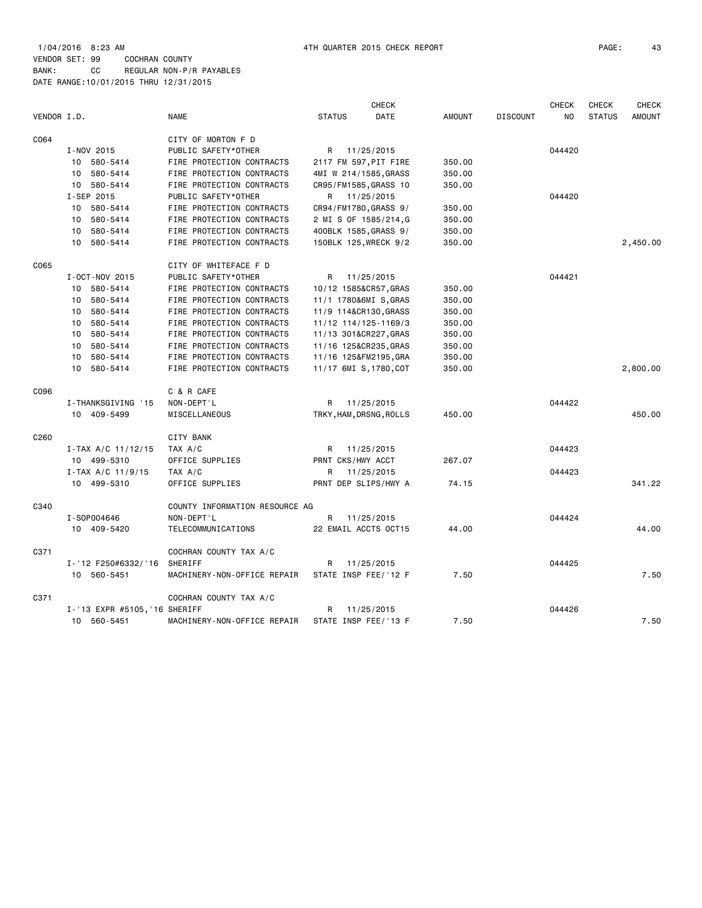1/04/2016 8:23 AM 4TH QUARTER 2015 CHECK REPORT PAGE: 43 VENDOR SET: 99 COCHRAN COUNTY BANK: CC REGULAR NON-P/R PAYABLES DATE RANGE:10/01/2015 THRU 12/31/2015

| <b>CHECK</b> |                               |                                |                         |            |               |                 | <b>CHECK</b> | <b>CHECK</b>  | <b>CHECK</b>  |
|--------------|-------------------------------|--------------------------------|-------------------------|------------|---------------|-----------------|--------------|---------------|---------------|
| VENDOR I.D.  |                               | <b>NAME</b>                    | <b>STATUS</b>           | DATE       | <b>AMOUNT</b> | <b>DISCOUNT</b> | NO           | <b>STATUS</b> | <b>AMOUNT</b> |
| C064         |                               | CITY OF MORTON F D             |                         |            |               |                 |              |               |               |
|              | I-NOV 2015                    | PUBLIC SAFETY*OTHER            | R 11/25/2015            |            |               |                 | 044420       |               |               |
|              | 10 580-5414                   | FIRE PROTECTION CONTRACTS      | 2117 FM 597, PIT FIRE   |            | 350.00        |                 |              |               |               |
|              | 580-5414<br>10                | FIRE PROTECTION CONTRACTS      | 4MI W 214/1585, GRASS   |            | 350.00        |                 |              |               |               |
|              | 580-5414<br>10                | FIRE PROTECTION CONTRACTS      | CR95/FM1585, GRASS 10   |            | 350.00        |                 |              |               |               |
|              | I-SEP 2015                    | PUBLIC SAFETY*OTHER            | R                       | 11/25/2015 |               |                 | 044420       |               |               |
|              | 580-5414<br>10                | FIRE PROTECTION CONTRACTS      | CR94/FM1780, GRASS 9/   |            | 350.00        |                 |              |               |               |
|              | 580-5414<br>10                | FIRE PROTECTION CONTRACTS      | 2 MI S OF 1585/214,G    |            | 350.00        |                 |              |               |               |
|              | 580-5414<br>10                | FIRE PROTECTION CONTRACTS      | 400BLK 1585, GRASS 9/   |            | 350.00        |                 |              |               |               |
|              | 580-5414<br>10                | FIRE PROTECTION CONTRACTS      | 150BLK 125, WRECK 9/2   |            | 350.00        |                 |              |               | 2,450.00      |
| C065         |                               | CITY OF WHITEFACE F D          |                         |            |               |                 |              |               |               |
|              | I-OCT-NOV 2015                | PUBLIC SAFETY*OTHER            | R                       | 11/25/2015 |               |                 | 044421       |               |               |
|              | 580-5414<br>10                | FIRE PROTECTION CONTRACTS      | 10/12 1585&CR57, GRAS   |            | 350.00        |                 |              |               |               |
|              | 580-5414<br>10                | FIRE PROTECTION CONTRACTS      | 11/1 1780&6MI S, GRAS   |            | 350.00        |                 |              |               |               |
|              | 580-5414<br>10                | FIRE PROTECTION CONTRACTS      | 11/9 114&CR130, GRASS   |            | 350.00        |                 |              |               |               |
|              | 580-5414<br>10                | FIRE PROTECTION CONTRACTS      | 11/12 114/125-1169/3    |            | 350.00        |                 |              |               |               |
|              | 580-5414<br>10                | FIRE PROTECTION CONTRACTS      | 11/13 301&CR227, GRAS   |            | 350.00        |                 |              |               |               |
|              | 580-5414<br>10                | FIRE PROTECTION CONTRACTS      | 11/16 125&CR235, GRAS   |            | 350.00        |                 |              |               |               |
|              | 580-5414<br>10                | FIRE PROTECTION CONTRACTS      | 11/16 125&FM2195, GRA   |            | 350.00        |                 |              |               |               |
|              | 580-5414<br>10                | FIRE PROTECTION CONTRACTS      | 11/17 6MI S, 1780, COT  |            | 350.00        |                 |              |               | 2,800.00      |
| C096         |                               | C & R CAFE                     |                         |            |               |                 |              |               |               |
|              | I-THANKSGIVING '15            | NON-DEPT'L                     | R                       | 11/25/2015 |               |                 | 044422       |               |               |
|              | 10 409-5499                   | MISCELLANEOUS                  | TRKY, HAM, DRSNG, ROLLS |            | 450.00        |                 |              |               | 450.00        |
| C260         |                               | CITY BANK                      |                         |            |               |                 |              |               |               |
|              | $I-TAX A/C 11/12/15$          | TAX A/C                        | R 11/25/2015            |            |               |                 | 044423       |               |               |
|              | 10 499-5310                   | OFFICE SUPPLIES                | PRNT CKS/HWY ACCT       |            | 267.07        |                 |              |               |               |
|              | $I - TAX A/C 11/9/15$         | TAX A/C                        | R                       | 11/25/2015 |               |                 | 044423       |               |               |
|              | 10 499-5310                   | OFFICE SUPPLIES                | PRNT DEP SLIPS/HWY A    |            | 74.15         |                 |              |               | 341.22        |
| C340         |                               | COUNTY INFORMATION RESOURCE AG |                         |            |               |                 |              |               |               |
|              | I-S0P004646                   | NON-DEPT'L                     | R                       | 11/25/2015 |               |                 | 044424       |               |               |
|              | 10 409-5420                   | TELECOMMUNICATIONS             | 22 EMAIL ACCTS OCT15    |            | 44.00         |                 |              |               | 44.00         |
| C371         |                               | COCHRAN COUNTY TAX A/C         |                         |            |               |                 |              |               |               |
|              | I-'12 F250#6332/'16           | SHERIFF                        | R                       | 11/25/2015 |               |                 | 044425       |               |               |
|              | 10 560-5451                   | MACHINERY-NON-OFFICE REPAIR    | STATE INSP FEE/'12 F    |            | 7.50          |                 |              |               | 7.50          |
| C371         |                               | COCHRAN COUNTY TAX A/C         |                         |            |               |                 |              |               |               |
|              | I-'13 EXPR #5105, '16 SHERIFF |                                | R                       | 11/25/2015 |               |                 | 044426       |               |               |
|              | 560-5451<br>10                | MACHINERY-NON-OFFICE REPAIR    | STATE INSP FEE/'13 F    |            | 7.50          |                 |              |               | 7.50          |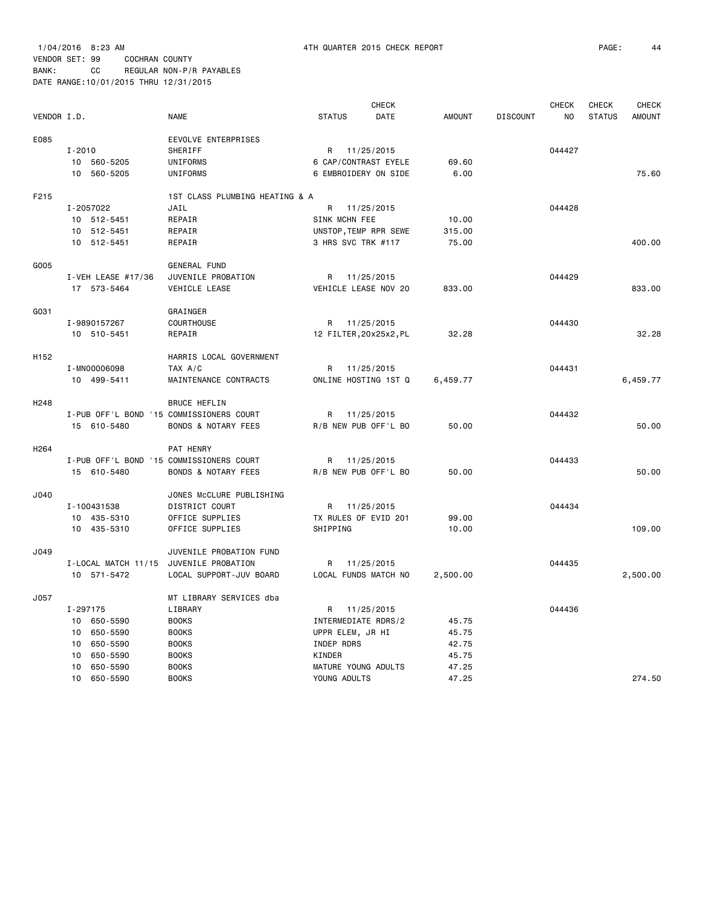|                  |                                          |                                |                        | <b>CHECK</b> |               |                 | <b>CHECK</b>   | CHECK         | CHECK         |
|------------------|------------------------------------------|--------------------------------|------------------------|--------------|---------------|-----------------|----------------|---------------|---------------|
| VENDOR I.D.      |                                          | <b>NAME</b>                    | <b>STATUS</b>          | <b>DATE</b>  | <b>AMOUNT</b> | <b>DISCOUNT</b> | N <sub>O</sub> | <b>STATUS</b> | <b>AMOUNT</b> |
| E085             |                                          | EEVOLVE ENTERPRISES            |                        |              |               |                 |                |               |               |
|                  | $I - 2010$                               | <b>SHERIFF</b>                 | R 11/25/2015           |              |               |                 | 044427         |               |               |
|                  | 10 560-5205                              | UNIFORMS                       | 6 CAP/CONTRAST EYELE   |              | 69.60         |                 |                |               |               |
|                  | 10 560-5205                              | UNIFORMS                       | 6 EMBROIDERY ON SIDE   |              | 6.00          |                 |                |               | 75.60         |
| F215             |                                          | 1ST CLASS PLUMBING HEATING & A |                        |              |               |                 |                |               |               |
|                  | I-2057022                                | JAIL                           | R 11/25/2015           |              |               |                 | 044428         |               |               |
|                  | 10 512-5451                              | REPAIR                         | SINK MCHN FEE          |              | 10.00         |                 |                |               |               |
|                  | 10 512-5451                              | REPAIR                         | UNSTOP, TEMP RPR SEWE  |              | 315.00        |                 |                |               |               |
|                  | 10 512-5451                              | REPAIR                         | 3 HRS SVC TRK #117     |              | 75.00         |                 |                |               | 400.00        |
| G005             |                                          | <b>GENERAL FUND</b>            |                        |              |               |                 |                |               |               |
|                  | I-VEH LEASE #17/36                       | JUVENILE PROBATION             | R                      | 11/25/2015   |               |                 | 044429         |               |               |
|                  | 17 573-5464                              | VEHICLE LEASE                  | VEHICLE LEASE NOV 20   |              | 833.00        |                 |                |               | 833.00        |
| G031             |                                          | GRAINGER                       |                        |              |               |                 |                |               |               |
|                  | I-9890157267                             | COURTHOUSE                     | R                      | 11/25/2015   |               |                 | 044430         |               |               |
|                  | 10 510-5451                              | REPAIR                         | 12 FILTER, 20x25x2, PL |              | 32.28         |                 |                |               | 32.28         |
|                  |                                          |                                |                        |              |               |                 |                |               |               |
| H152             |                                          | HARRIS LOCAL GOVERNMENT        |                        |              |               |                 |                |               |               |
|                  | I-MN00006098                             | TAX A/C                        | R                      | 11/25/2015   |               |                 | 044431         |               |               |
|                  | 10 499-5411                              | MAINTENANCE CONTRACTS          | ONLINE HOSTING 1ST Q   |              | 6,459.77      |                 |                |               | 6,459.77      |
| H <sub>248</sub> |                                          | <b>BRUCE HEFLIN</b>            |                        |              |               |                 |                |               |               |
|                  | I-PUB OFF'L BOND '15 COMMISSIONERS COURT |                                | R 11/25/2015           |              |               |                 | 044432         |               |               |
|                  | 15 610-5480                              | <b>BONDS &amp; NOTARY FEES</b> | R/B NEW PUB OFF'L BO   |              | 50.00         |                 |                |               | 50.00         |
| H <sub>264</sub> |                                          | PAT HENRY                      |                        |              |               |                 |                |               |               |
|                  | I-PUB OFF'L BOND '15 COMMISSIONERS COURT |                                | R 11/25/2015           |              |               |                 | 044433         |               |               |
|                  | 15 610-5480                              | <b>BONDS &amp; NOTARY FEES</b> | R/B NEW PUB OFF'L BO   |              | 50.00         |                 |                |               | 50.00         |
| J040             |                                          | JONES McCLURE PUBLISHING       |                        |              |               |                 |                |               |               |
|                  | I-100431538                              | DISTRICT COURT                 | R 11/25/2015           |              |               |                 | 044434         |               |               |
|                  | 10 435-5310                              | OFFICE SUPPLIES                | TX RULES OF EVID 201   |              | 99.00         |                 |                |               |               |
|                  | 10 435-5310                              | OFFICE SUPPLIES                | SHIPPING               |              | 10.00         |                 |                |               | 109.00        |
|                  |                                          |                                |                        |              |               |                 |                |               |               |
| J049             |                                          | JUVENILE PROBATION FUND        |                        |              |               |                 |                |               |               |
|                  | I-LOCAL MATCH 11/15                      | JUVENILE PROBATION             | R                      | 11/25/2015   |               |                 | 044435         |               |               |
|                  | 10 571-5472                              | LOCAL SUPPORT-JUV BOARD        | LOCAL FUNDS MATCH NO   |              | 2,500.00      |                 |                |               | 2,500.00      |
| J057             |                                          | MT LIBRARY SERVICES dba        |                        |              |               |                 |                |               |               |
|                  | I-297175                                 | LIBRARY                        | R                      | 11/25/2015   |               |                 | 044436         |               |               |
|                  | 10 650-5590                              | <b>BOOKS</b>                   | INTERMEDIATE RDRS/2    |              | 45.75         |                 |                |               |               |
|                  | 650-5590<br>10                           | <b>BOOKS</b>                   | UPPR ELEM, JR HI       |              | 45.75         |                 |                |               |               |
|                  | 650-5590<br>10                           | <b>BOOKS</b>                   | INDEP RDRS             |              | 42.75         |                 |                |               |               |
|                  | 650-5590<br>10                           | <b>BOOKS</b>                   | KINDER                 |              | 45.75         |                 |                |               |               |
|                  | 650-5590<br>10                           | <b>BOOKS</b>                   | MATURE YOUNG ADULTS    |              | 47.25         |                 |                |               |               |
|                  | 10<br>650-5590                           | <b>BOOKS</b>                   | YOUNG ADULTS           |              | 47.25         |                 |                |               | 274.50        |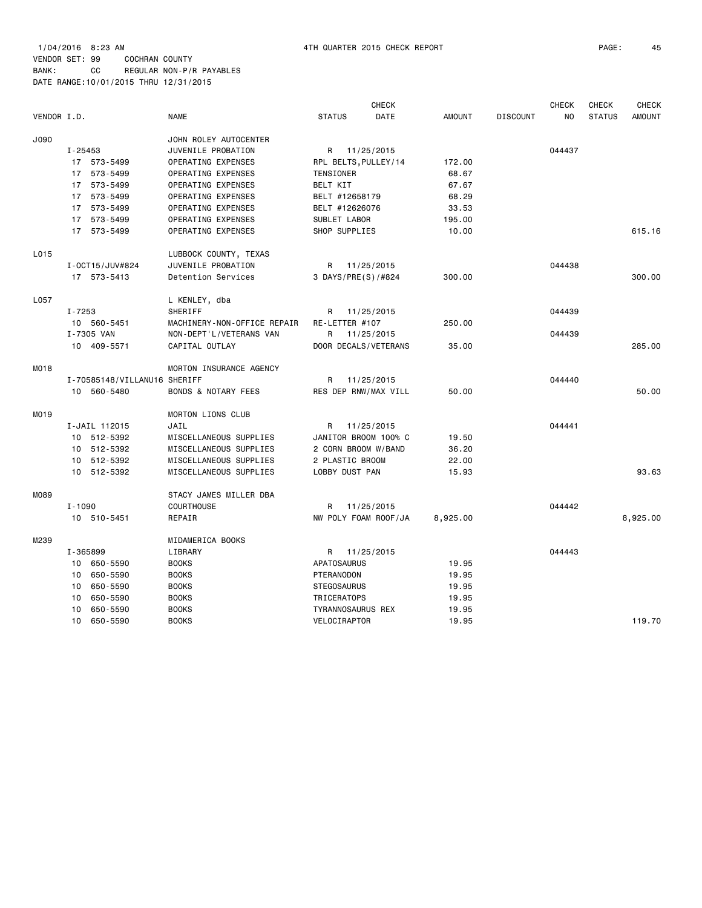1/04/2016 8:23 AM 4TH QUARTER 2015 CHECK REPORT PAGE: 45 VENDOR SET: 99 COCHRAN COUNTY BANK: CC REGULAR NON-P/R PAYABLES DATE RANGE:10/01/2015 THRU 12/31/2015

|             |                 |                              |                                | CHECK              |  |                          |               | <b>CHECK</b>    | <b>CHECK</b> |               |               |
|-------------|-----------------|------------------------------|--------------------------------|--------------------|--|--------------------------|---------------|-----------------|--------------|---------------|---------------|
| VENDOR I.D. |                 |                              | <b>NAME</b>                    | <b>STATUS</b>      |  | DATE                     | <b>AMOUNT</b> | <b>DISCOUNT</b> | NO.          | <b>STATUS</b> | <b>AMOUNT</b> |
| J090        |                 |                              | JOHN ROLEY AUTOCENTER          |                    |  |                          |               |                 |              |               |               |
|             | $I - 25453$     |                              | JUVENILE PROBATION             |                    |  | R 11/25/2015             |               |                 | 044437       |               |               |
|             |                 | 17 573-5499                  | OPERATING EXPENSES             |                    |  | RPL BELTS, PULLEY/14     | 172.00        |                 |              |               |               |
|             |                 | 17 573-5499                  | OPERATING EXPENSES             | TENSIONER          |  |                          | 68.67         |                 |              |               |               |
|             |                 | 17 573-5499                  | OPERATING EXPENSES             | BELT KIT           |  |                          | 67.67         |                 |              |               |               |
|             |                 | 17 573-5499                  | OPERATING EXPENSES             | BELT #12658179     |  |                          | 68.29         |                 |              |               |               |
|             |                 | 17 573-5499                  | OPERATING EXPENSES             | BELT #12626076     |  |                          | 33.53         |                 |              |               |               |
|             |                 | 17 573-5499                  | OPERATING EXPENSES             | SUBLET LABOR       |  |                          | 195.00        |                 |              |               |               |
|             |                 | 17 573-5499                  | OPERATING EXPENSES             | SHOP SUPPLIES      |  |                          | 10.00         |                 |              |               | 615.16        |
| L015        |                 |                              | LUBBOCK COUNTY, TEXAS          |                    |  |                          |               |                 |              |               |               |
|             |                 | I-0CT15/JUV#824              | JUVENILE PROBATION             | R                  |  | 11/25/2015               |               |                 | 044438       |               |               |
|             |                 | 17 573-5413                  | Detention Services             |                    |  | 3 DAYS/PRE(S)/#824       | 300.00        |                 |              |               | 300,00        |
| L057        |                 |                              | L KENLEY, dba                  |                    |  |                          |               |                 |              |               |               |
|             | $I - 7253$      |                              | SHERIFF                        | R                  |  | 11/25/2015               |               |                 | 044439       |               |               |
|             |                 | 10 560-5451                  | MACHINERY-NON-OFFICE REPAIR    | RE-LETTER #107     |  |                          | 250.00        |                 |              |               |               |
|             |                 | I-7305 VAN                   | NON-DEPT'L/VETERANS VAN        | R                  |  | 11/25/2015               |               |                 | 044439       |               |               |
|             |                 | 10 409-5571                  | CAPITAL OUTLAY                 |                    |  | DOOR DECALS/VETERANS     | 35.00         |                 |              |               | 285.00        |
| M018        |                 |                              | MORTON INSURANCE AGENCY        |                    |  |                          |               |                 |              |               |               |
|             |                 | I-70585148/VILLANU16 SHERIFF |                                | R                  |  | 11/25/2015               |               |                 | 044440       |               |               |
|             |                 | 10 560-5480                  | <b>BONDS &amp; NOTARY FEES</b> |                    |  | RES DEP RNW/MAX VILL     | 50.00         |                 |              |               | 50.00         |
| M019        |                 |                              | MORTON LIONS CLUB              |                    |  |                          |               |                 |              |               |               |
|             |                 | I-JAIL 112015                | JAIL                           | R                  |  | 11/25/2015               |               |                 | 044441       |               |               |
|             |                 | 10 512-5392                  | MISCELLANEOUS SUPPLIES         |                    |  | JANITOR BROOM 100% C     | 19.50         |                 |              |               |               |
|             |                 | 10 512-5392                  | MISCELLANEOUS SUPPLIES         |                    |  | 2 CORN BROOM W/BAND      | 36.20         |                 |              |               |               |
|             |                 | 10 512-5392                  | MISCELLANEOUS SUPPLIES         | 2 PLASTIC BROOM    |  |                          | 22.00         |                 |              |               |               |
|             |                 | 10 512-5392                  | MISCELLANEOUS SUPPLIES         | LOBBY DUST PAN     |  |                          | 15.93         |                 |              |               | 93.63         |
| M089        |                 |                              | STACY JAMES MILLER DBA         |                    |  |                          |               |                 |              |               |               |
|             | $I - 1090$      |                              | <b>COURTHOUSE</b>              | R                  |  | 11/25/2015               |               |                 | 044442       |               |               |
|             |                 | 10 510-5451                  | REPAIR                         |                    |  | NW POLY FOAM ROOF/JA     | 8,925.00      |                 |              |               | 8,925.00      |
| M239        |                 |                              | MIDAMERICA BOOKS               |                    |  |                          |               |                 |              |               |               |
|             | I-365899        |                              | LIBRARY                        | R                  |  | 11/25/2015               |               |                 | 044443       |               |               |
|             | 10              | 650-5590                     | <b>BOOKS</b>                   | APATOSAURUS        |  |                          | 19.95         |                 |              |               |               |
|             | 10              | 650-5590                     | <b>BOOKS</b>                   | PTERANODON         |  |                          | 19.95         |                 |              |               |               |
|             | 10              | 650-5590                     | <b>BOOKS</b>                   | <b>STEGOSAURUS</b> |  |                          | 19.95         |                 |              |               |               |
|             | 10 <sup>1</sup> | 650-5590                     | <b>BOOKS</b>                   | TRICERATOPS        |  |                          | 19.95         |                 |              |               |               |
|             | 10              | 650-5590                     | <b>BOOKS</b>                   |                    |  | <b>TYRANNOSAURUS REX</b> | 19.95         |                 |              |               |               |
|             | 10              | 650-5590                     | <b>BOOKS</b>                   | VELOCIRAPTOR       |  |                          | 19.95         |                 |              |               | 119.70        |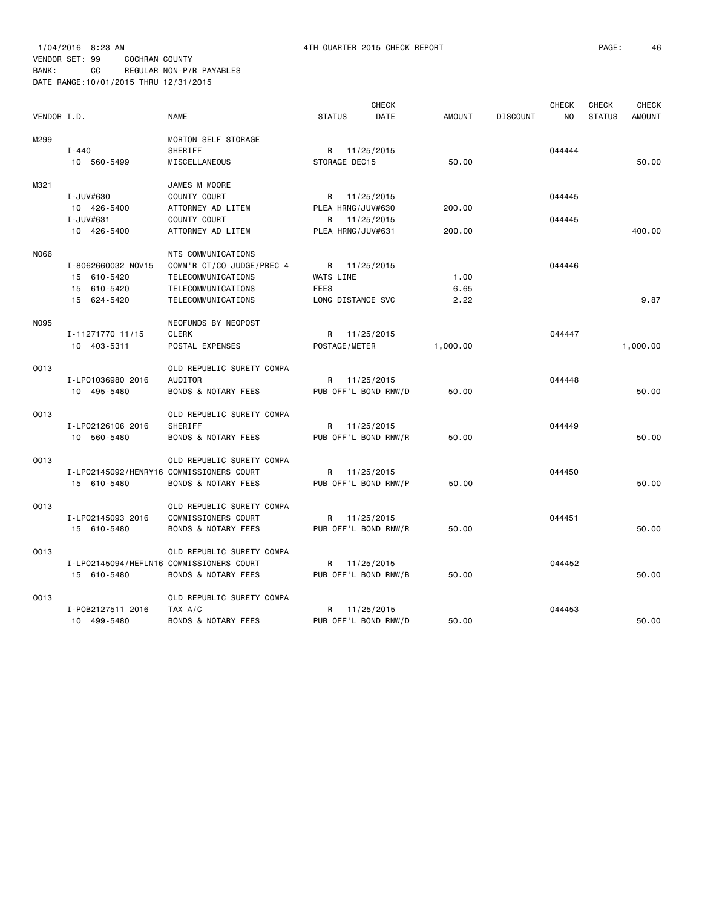1/04/2016 8:23 AM 4TH QUARTER 2015 CHECK REPORT PAGE: 46 VENDOR SET: 99 COCHRAN COUNTY BANK: CC REGULAR NON-P/R PAYABLES

DATE RANGE:10/01/2015 THRU 12/31/2015

| VENDOR I.D. |                                          | <b>NAME</b>                                     | <b>STATUS</b>                 | <b>CHECK</b><br>DATE | <b>AMOUNT</b> | <b>DISCOUNT</b> | <b>CHECK</b><br>NO. | <b>CHECK</b><br><b>STATUS</b> | <b>CHECK</b><br><b>AMOUNT</b> |
|-------------|------------------------------------------|-------------------------------------------------|-------------------------------|----------------------|---------------|-----------------|---------------------|-------------------------------|-------------------------------|
| M299        | $I - 440$<br>10 560-5499                 | MORTON SELF STORAGE<br>SHERIFF<br>MISCELLANEOUS | R 11/25/2015<br>STORAGE DEC15 |                      | 50.00         |                 | 044444              |                               | 50.00                         |
| M321        |                                          | JAMES M MOORE                                   |                               |                      |               |                 |                     |                               |                               |
|             | I-JUV#630                                | COUNTY COURT                                    | R 11/25/2015                  |                      |               |                 | 044445              |                               |                               |
|             | 10 426-5400                              | ATTORNEY AD LITEM                               | PLEA HRNG/JUV#630             |                      | 200.00        |                 |                     |                               |                               |
|             | I-JUV#631                                | COUNTY COURT                                    | R 11/25/2015                  |                      |               |                 | 044445              |                               |                               |
|             | 10 426-5400                              | ATTORNEY AD LITEM                               | PLEA HRNG/JUV#631             |                      | 200.00        |                 |                     |                               | 400.00                        |
| N066        |                                          | NTS COMMUNICATIONS                              |                               |                      |               |                 |                     |                               |                               |
|             | I-8062660032 NOV15                       | COMM'R CT/CO JUDGE/PREC 4                       | R 11/25/2015                  |                      |               |                 | 044446              |                               |                               |
|             | 15 610-5420                              | TELECOMMUNICATIONS                              | WATS LINE                     |                      | 1.00          |                 |                     |                               |                               |
|             | 15 610-5420                              | TELECOMMUNICATIONS                              | <b>FEES</b>                   |                      | 6.65          |                 |                     |                               |                               |
|             | 15 624-5420                              | TELECOMMUNICATIONS                              | LONG DISTANCE SVC             |                      | 2.22          |                 |                     |                               | 9.87                          |
| N095        |                                          | NEOFUNDS BY NEOPOST                             |                               |                      |               |                 |                     |                               |                               |
|             | I-11271770 11/15                         | <b>CLERK</b>                                    | R 11/25/2015                  |                      |               |                 | 044447              |                               |                               |
|             | 10 403-5311                              | POSTAL EXPENSES                                 | POSTAGE/METER                 |                      | 1,000.00      |                 |                     |                               | 1,000.00                      |
| 0013        |                                          | OLD REPUBLIC SURETY COMPA                       |                               |                      |               |                 |                     |                               |                               |
|             | I-LP01036980 2016                        | AUDITOR                                         | R 11/25/2015                  |                      |               |                 | 044448              |                               |                               |
|             | 10 495-5480                              | <b>BONDS &amp; NOTARY FEES</b>                  |                               | PUB OFF'L BOND RNW/D | 50.00         |                 |                     |                               | 50.00                         |
| 0013        |                                          | OLD REPUBLIC SURETY COMPA                       |                               |                      |               |                 |                     |                               |                               |
|             | I-LP02126106 2016                        | SHERIFF                                         | R 11/25/2015                  |                      |               |                 | 044449              |                               |                               |
|             | 10 560-5480                              | <b>BONDS &amp; NOTARY FEES</b>                  | PUB OFF'L BOND RNW/R          |                      | 50.00         |                 |                     |                               | 50,00                         |
| 0013        |                                          | OLD REPUBLIC SURETY COMPA                       |                               |                      |               |                 |                     |                               |                               |
|             | I-LP02145092/HENRY16 COMMISSIONERS COURT |                                                 | R 11/25/2015                  |                      |               |                 | 044450              |                               |                               |
|             | 15 610-5480                              | <b>BONDS &amp; NOTARY FEES</b>                  | PUB OFF'L BOND RNW/P          |                      | 50.00         |                 |                     |                               | 50.00                         |
| 0013        |                                          | OLD REPUBLIC SURETY COMPA                       |                               |                      |               |                 |                     |                               |                               |
|             | I-LP02145093 2016                        | COMMISSIONERS COURT                             | R 11/25/2015                  |                      |               |                 | 044451              |                               |                               |
|             | 15 610-5480                              | <b>BONDS &amp; NOTARY FEES</b>                  | PUB OFF'L BOND RNW/R          |                      | 50.00         |                 |                     |                               | 50.00                         |
| 0013        |                                          | OLD REPUBLIC SURETY COMPA                       |                               |                      |               |                 |                     |                               |                               |
|             | I-LP02145094/HEFLN16 COMMISSIONERS COURT |                                                 | R 11/25/2015                  |                      |               |                 | 044452              |                               |                               |
|             | 15 610-5480                              | <b>BONDS &amp; NOTARY FEES</b>                  | PUB OFF'L BOND RNW/B          |                      | 50.00         |                 |                     |                               | 50.00                         |
| 0013        |                                          | OLD REPUBLIC SURETY COMPA                       |                               |                      |               |                 |                     |                               |                               |
|             | I-P0B2127511 2016                        | TAX A/C                                         | R 11/25/2015                  |                      |               |                 | 044453              |                               |                               |
|             | 10 499-5480                              | BONDS & NOTARY FEES                             | PUB OFF'L BOND RNW/D          |                      | 50.00         |                 |                     |                               | 50.00                         |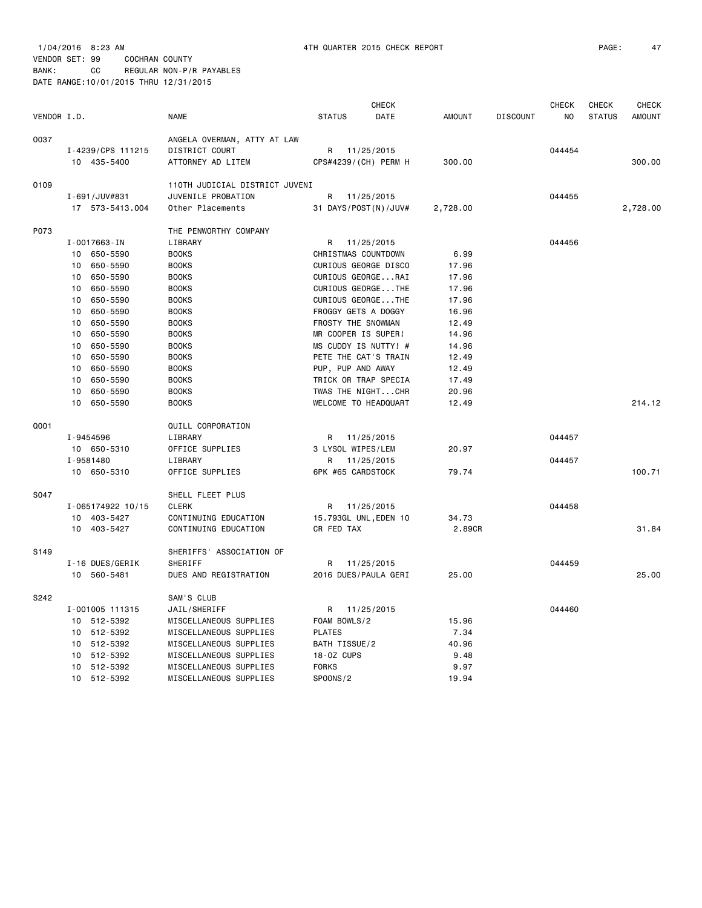|             |                   |                                | <b>CHECK</b>          |               |                 | <b>CHECK</b> | CHECK         | <b>CHECK</b>  |
|-------------|-------------------|--------------------------------|-----------------------|---------------|-----------------|--------------|---------------|---------------|
| VENDOR I.D. |                   | <b>NAME</b>                    | <b>STATUS</b><br>DATE | <b>AMOUNT</b> | <b>DISCOUNT</b> | NO           | <b>STATUS</b> | <b>AMOUNT</b> |
| 0037        |                   | ANGELA OVERMAN, ATTY AT LAW    |                       |               |                 |              |               |               |
|             | I-4239/CPS 111215 | DISTRICT COURT                 | R 11/25/2015          |               |                 | 044454       |               |               |
|             | 10 435-5400       | ATTORNEY AD LITEM              | CPS#4239/(CH) PERM H  | 300.00        |                 |              |               | 300,00        |
|             |                   |                                |                       |               |                 |              |               |               |
| 0109        |                   | 110TH JUDICIAL DISTRICT JUVENI |                       |               |                 |              |               |               |
|             | I-691/JUV#831     | JUVENILE PROBATION             | R 11/25/2015          |               |                 | 044455       |               |               |
|             | 17 573-5413.004   | Other Placements               | 31 DAYS/POST(N)/JUV#  | 2,728.00      |                 |              |               | 2,728.00      |
| P073        |                   | THE PENWORTHY COMPANY          |                       |               |                 |              |               |               |
|             | I-0017663-IN      | LIBRARY                        | R<br>11/25/2015       |               |                 | 044456       |               |               |
|             | 650-5590<br>10    | <b>BOOKS</b>                   | CHRISTMAS COUNTDOWN   | 6.99          |                 |              |               |               |
|             | 650-5590<br>10    | <b>BOOKS</b>                   | CURIOUS GEORGE DISCO  | 17.96         |                 |              |               |               |
|             | 650-5590<br>10    | <b>BOOKS</b>                   | CURIOUS GEORGERAI     | 17.96         |                 |              |               |               |
|             | 650-5590<br>10    | <b>BOOKS</b>                   | CURIOUS GEORGETHE     | 17.96         |                 |              |               |               |
|             | 650-5590<br>10    | <b>BOOKS</b>                   | CURIOUS GEORGETHE     | 17.96         |                 |              |               |               |
|             | 650-5590<br>10    | <b>BOOKS</b>                   | FROGGY GETS A DOGGY   | 16.96         |                 |              |               |               |
|             | 10<br>650-5590    | <b>BOOKS</b>                   | FROSTY THE SNOWMAN    | 12.49         |                 |              |               |               |
|             | 650-5590<br>10    | <b>BOOKS</b>                   | MR COOPER IS SUPER!   | 14.96         |                 |              |               |               |
|             | 650-5590<br>10    | <b>BOOKS</b>                   | MS CUDDY IS NUTTY! #  | 14.96         |                 |              |               |               |
|             | 650-5590<br>10    | <b>BOOKS</b>                   | PETE THE CAT'S TRAIN  | 12.49         |                 |              |               |               |
|             | 10<br>650-5590    | <b>BOOKS</b>                   | PUP, PUP AND AWAY     | 12.49         |                 |              |               |               |
|             | 10                |                                | TRICK OR TRAP SPECIA  |               |                 |              |               |               |
|             | 650-5590          | <b>BOOKS</b>                   |                       | 17.49         |                 |              |               |               |
|             | 650-5590<br>10    | <b>BOOKS</b>                   | TWAS THE NIGHTCHR     | 20.96         |                 |              |               | 214.12        |
|             | 10<br>650-5590    | <b>BOOKS</b>                   | WELCOME TO HEADQUART  | 12.49         |                 |              |               |               |
| Q001        |                   | QUILL CORPORATION              |                       |               |                 |              |               |               |
|             | I-9454596         | LIBRARY                        | R 11/25/2015          |               |                 | 044457       |               |               |
|             | 10 650-5310       | OFFICE SUPPLIES                | 3 LYSOL WIPES/LEM     | 20.97         |                 |              |               |               |
|             | I-9581480         | LIBRARY                        | 11/25/2015<br>R       |               |                 | 044457       |               |               |
|             | 10 650-5310       | OFFICE SUPPLIES                | 6PK #65 CARDSTOCK     | 79.74         |                 |              |               | 100.71        |
| S047        |                   | SHELL FLEET PLUS               |                       |               |                 |              |               |               |
|             | I-065174922 10/15 | <b>CLERK</b>                   | R<br>11/25/2015       |               |                 | 044458       |               |               |
|             | 10 403-5427       | CONTINUING EDUCATION           | 15.793GL UNL, EDEN 10 | 34.73         |                 |              |               |               |
|             | 10 403-5427       | CONTINUING EDUCATION           | CR FED TAX            | 2.89CR        |                 |              |               | 31.84         |
|             |                   |                                |                       |               |                 |              |               |               |
| S149        |                   | SHERIFFS' ASSOCIATION OF       |                       |               |                 |              |               |               |
|             | I-16 DUES/GERIK   | <b>SHERIFF</b>                 | 11/25/2015<br>R       |               |                 | 044459       |               |               |
|             | 10 560-5481       | DUES AND REGISTRATION          | 2016 DUES/PAULA GERI  | 25.00         |                 |              |               | 25,00         |
| S242        |                   | SAM'S CLUB                     |                       |               |                 |              |               |               |
|             | I-001005 111315   | JAIL/SHERIFF                   | R 11/25/2015          |               |                 | 044460       |               |               |
|             | 10 512-5392       | MISCELLANEOUS SUPPLIES         | FOAM BOWLS/2          | 15.96         |                 |              |               |               |
|             | 10 512-5392       | MISCELLANEOUS SUPPLIES         | <b>PLATES</b>         | 7.34          |                 |              |               |               |
|             | 10 512-5392       | MISCELLANEOUS SUPPLIES         | BATH TISSUE/2         | 40.96         |                 |              |               |               |
|             | 10 512-5392       | MISCELLANEOUS SUPPLIES         | 18-0Z CUPS            | 9.48          |                 |              |               |               |
|             | 10 512-5392       | MISCELLANEOUS SUPPLIES         | <b>FORKS</b>          | 9.97          |                 |              |               |               |
|             | 10<br>512-5392    | MISCELLANEOUS SUPPLIES         | <b>SPOONS/2</b>       | 19.94         |                 |              |               |               |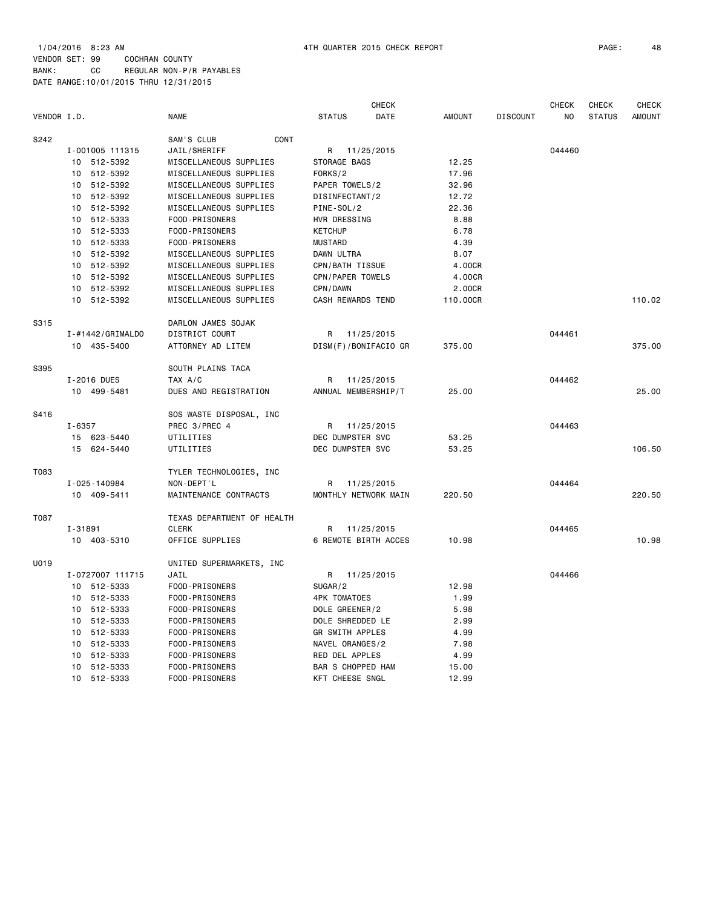| VENDOR I.D.     |                  | <b>NAME</b>                | <b>STATUS</b>            | <b>CHECK</b><br>DATE | <b>AMOUNT</b> | <b>DISCOUNT</b> | <b>CHECK</b><br>NO | <b>CHECK</b><br><b>STATUS</b> | <b>CHECK</b><br><b>AMOUNT</b> |
|-----------------|------------------|----------------------------|--------------------------|----------------------|---------------|-----------------|--------------------|-------------------------------|-------------------------------|
|                 |                  |                            |                          |                      |               |                 |                    |                               |                               |
| S242            |                  | CONT<br>SAM'S CLUB         |                          |                      |               |                 |                    |                               |                               |
|                 | I-001005 111315  | JAIL/SHERIFF               | R                        | 11/25/2015           |               |                 | 044460             |                               |                               |
|                 | 10 512-5392      | MISCELLANEOUS SUPPLIES     | STORAGE BAGS             |                      | 12.25         |                 |                    |                               |                               |
| 10              | 512-5392         | MISCELLANEOUS SUPPLIES     | FORKS/2                  |                      | 17.96         |                 |                    |                               |                               |
|                 | 10 512-5392      | MISCELLANEOUS SUPPLIES     | PAPER TOWELS/2           |                      | 32.96         |                 |                    |                               |                               |
| 10              | 512-5392         | MISCELLANEOUS SUPPLIES     | DISINFECTANT/2           |                      | 12.72         |                 |                    |                               |                               |
|                 | 10 512-5392      | MISCELLANEOUS SUPPLIES     | PINE-SOL/2               |                      | 22.36         |                 |                    |                               |                               |
| 10              | 512-5333         | FOOD-PRISONERS             | HVR DRESSING             |                      | 8.88          |                 |                    |                               |                               |
|                 | 10 512-5333      | FOOD-PRISONERS             | <b>KETCHUP</b>           |                      | 6.78          |                 |                    |                               |                               |
|                 | 10 512-5333      | FOOD-PRISONERS             | <b>MUSTARD</b>           |                      | 4.39          |                 |                    |                               |                               |
|                 | 10 512-5392      | MISCELLANEOUS SUPPLIES     | DAWN ULTRA               |                      | 8.07          |                 |                    |                               |                               |
|                 | 10 512-5392      | MISCELLANEOUS SUPPLIES     | CPN/BATH TISSUE          |                      | 4.00CR        |                 |                    |                               |                               |
| 10              | 512-5392         | MISCELLANEOUS SUPPLIES     | CPN/PAPER TOWELS         |                      | 4.00CR        |                 |                    |                               |                               |
|                 | 10 512-5392      | MISCELLANEOUS SUPPLIES     | CPN/DAWN                 |                      | 2.00CR        |                 |                    |                               |                               |
|                 | 10 512-5392      | MISCELLANEOUS SUPPLIES     | CASH REWARDS TEND        |                      | 110.00CR      |                 |                    |                               | 110.02                        |
| S315            |                  | DARLON JAMES SOJAK         |                          |                      |               |                 |                    |                               |                               |
|                 | I-#1442/GRIMALDO | DISTRICT COURT             | R                        | 11/25/2015           |               |                 | 044461             |                               |                               |
|                 | 10 435-5400      | ATTORNEY AD LITEM          | DISM(F)/BONIFACIO GR     |                      | 375.00        |                 |                    |                               | 375.00                        |
| S395            |                  | SOUTH PLAINS TACA          |                          |                      |               |                 |                    |                               |                               |
| I-2016 DUES     |                  | TAX A/C                    | R                        | 11/25/2015           |               |                 | 044462             |                               |                               |
|                 | 10 499-5481      | DUES AND REGISTRATION      | ANNUAL MEMBERSHIP/T      |                      | 25.00         |                 |                    |                               | 25.00                         |
| S416            |                  | SOS WASTE DISPOSAL, INC    |                          |                      |               |                 |                    |                               |                               |
| $I - 6357$      |                  | PREC 3/PREC 4              | R 11/25/2015             |                      |               |                 | 044463             |                               |                               |
|                 | 15 623-5440      | UTILITIES                  | DEC DUMPSTER SVC         |                      | 53.25         |                 |                    |                               |                               |
| 15              | 624-5440         | UTILITIES                  | DEC DUMPSTER SVC         |                      | 53.25         |                 |                    |                               | 106.50                        |
|                 |                  |                            |                          |                      |               |                 |                    |                               |                               |
| T083            |                  | TYLER TECHNOLOGIES, INC    |                          |                      |               |                 |                    |                               |                               |
| I-025-140984    |                  | NON-DEPT'L                 | R                        | 11/25/2015           |               |                 | 044464             |                               |                               |
|                 | 10 409-5411      | MAINTENANCE CONTRACTS      | MONTHLY NETWORK MAIN     |                      | 220.50        |                 |                    |                               | 220.50                        |
| T087            |                  | TEXAS DEPARTMENT OF HEALTH |                          |                      |               |                 |                    |                               |                               |
| I-31891         |                  | <b>CLERK</b>               | R                        | 11/25/2015           |               |                 | 044465             |                               |                               |
|                 | 10 403-5310      | OFFICE SUPPLIES            | 6 REMOTE BIRTH ACCES     |                      | 10.98         |                 |                    |                               | 10.98                         |
| U019            |                  | UNITED SUPERMARKETS, INC   |                          |                      |               |                 |                    |                               |                               |
|                 | I-0727007 111715 | JAIL                       | R 11/25/2015             |                      |               |                 | 044466             |                               |                               |
|                 | 10 512-5333      | FOOD-PRISONERS             | SUGAR/2                  |                      | 12.98         |                 |                    |                               |                               |
| 10              | 512-5333         | FOOD-PRISONERS             | <b>4PK TOMATOES</b>      |                      | 1.99          |                 |                    |                               |                               |
|                 | 10 512-5333      | FOOD-PRISONERS             | DOLE GREENER/2           |                      | 5.98          |                 |                    |                               |                               |
|                 | 10 512-5333      | FOOD-PRISONERS             | DOLE SHREDDED LE         |                      | 2.99          |                 |                    |                               |                               |
|                 | 10 512-5333      | FOOD-PRISONERS             | <b>GR SMITH APPLES</b>   |                      | 4.99          |                 |                    |                               |                               |
|                 | 10 512-5333      | FOOD-PRISONERS             | NAVEL ORANGES/2          |                      | 7.98          |                 |                    |                               |                               |
| 10 <sup>1</sup> | 512-5333         | FOOD-PRISONERS             | RED DEL APPLES           |                      | 4.99          |                 |                    |                               |                               |
| 10              | 512-5333         | FOOD-PRISONERS             | <b>BAR S CHOPPED HAM</b> |                      | 15.00         |                 |                    |                               |                               |
| 10 <sup>1</sup> | 512-5333         | FOOD-PRISONERS             | KFT CHEESE SNGL          |                      | 12.99         |                 |                    |                               |                               |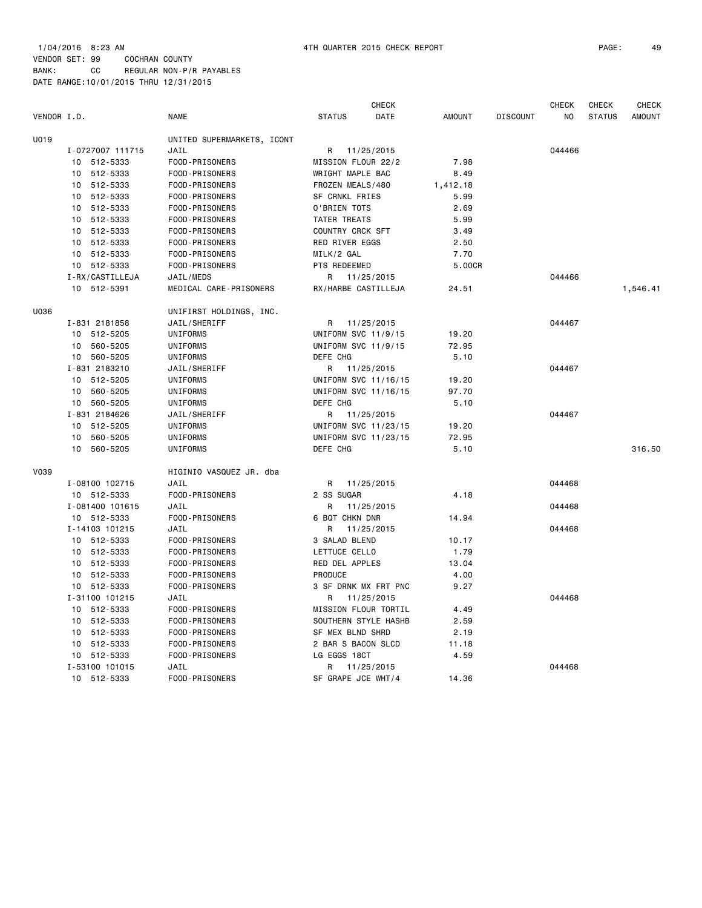|             |                  |                            |                         | <b>CHECK</b>         |               |                 | <b>CHECK</b>   | <b>CHECK</b>  | <b>CHECK</b>  |
|-------------|------------------|----------------------------|-------------------------|----------------------|---------------|-----------------|----------------|---------------|---------------|
| VENDOR I.D. |                  | <b>NAME</b>                | <b>STATUS</b>           | DATE                 | <b>AMOUNT</b> | <b>DISCOUNT</b> | N <sub>0</sub> | <b>STATUS</b> | <b>AMOUNT</b> |
| U019        |                  | UNITED SUPERMARKETS, ICONT |                         |                      |               |                 |                |               |               |
|             | I-0727007 111715 | JAIL                       | R                       | 11/25/2015           |               |                 | 044466         |               |               |
|             | 10 512-5333      | FOOD-PRISONERS             | MISSION FLOUR 22/2      |                      | 7.98          |                 |                |               |               |
|             | 10 512-5333      | FOOD-PRISONERS             | WRIGHT MAPLE BAC        |                      | 8.49          |                 |                |               |               |
|             | 10 512-5333      | FOOD-PRISONERS             | FROZEN MEALS/480        |                      | 1,412.18      |                 |                |               |               |
|             | 10 512-5333      | FOOD-PRISONERS             | SF CRNKL FRIES          |                      | 5.99          |                 |                |               |               |
|             | 10 512-5333      | FOOD-PRISONERS             | O'BRIEN TOTS            |                      | 2.69          |                 |                |               |               |
|             | 10 512-5333      | FOOD-PRISONERS             | TATER TREATS            |                      | 5.99          |                 |                |               |               |
|             | 10 512-5333      | FOOD-PRISONERS             | COUNTRY CRCK SFT        |                      | 3.49          |                 |                |               |               |
|             | 10 512-5333      | FOOD-PRISONERS             | <b>RED RIVER EGGS</b>   |                      | 2.50          |                 |                |               |               |
|             | 10 512-5333      | FOOD-PRISONERS             | MILK/2 GAL              |                      | 7.70          |                 |                |               |               |
|             | 10 512-5333      | FOOD-PRISONERS             | PTS REDEEMED            |                      | 5.00CR        |                 |                |               |               |
|             | I-RX/CASTILLEJA  | JAIL/MEDS                  | R 11/25/2015            |                      |               |                 | 044466         |               |               |
|             | 10 512-5391      | MEDICAL CARE-PRISONERS     | RX/HARBE CASTILLEJA     |                      | 24.51         |                 |                |               | 1,546.41      |
| U036        |                  | UNIFIRST HOLDINGS, INC.    |                         |                      |               |                 |                |               |               |
|             | I-831 2181858    | JAIL/SHERIFF               |                         | R 11/25/2015         |               |                 | 044467         |               |               |
|             | 10 512-5205      | UNIFORMS                   | UNIFORM SVC 11/9/15     |                      | 19.20         |                 |                |               |               |
|             | 10 560-5205      | UNIFORMS                   | UNIFORM SVC 11/9/15     |                      | 72.95         |                 |                |               |               |
|             | 10 560-5205      | UNIFORMS                   | DEFE CHG                |                      | 5.10          |                 |                |               |               |
|             | I-831 2183210    | JAIL/SHERIFF               | R                       | 11/25/2015           |               |                 | 044467         |               |               |
|             | 10 512-5205      | UNIFORMS                   | UNIFORM SVC 11/16/15    |                      | 19.20         |                 |                |               |               |
|             | 10 560-5205      | UNIFORMS                   | UNIFORM SVC 11/16/15    |                      | 97.70         |                 |                |               |               |
|             | 10 560-5205      | UNIFORMS                   | DEFE CHG                |                      | 5.10          |                 |                |               |               |
|             | I-831 2184626    | JAIL/SHERIFF               | R                       | 11/25/2015           |               |                 | 044467         |               |               |
|             | 10 512-5205      | UNIFORMS                   | UNIFORM SVC 11/23/15    |                      | 19.20         |                 |                |               |               |
|             | 560-5205<br>10   | UNIFORMS                   | UNIFORM SVC 11/23/15    |                      | 72.95         |                 |                |               |               |
|             | 10<br>560-5205   | UNIFORMS                   | DEFE CHG                |                      | 5.10          |                 |                |               | 316.50        |
| V039        |                  | HIGINIO VASQUEZ JR. dba    |                         |                      |               |                 |                |               |               |
|             | I-08100 102715   | JAIL                       | R                       | 11/25/2015           |               |                 | 044468         |               |               |
|             | 10 512-5333      | FOOD-PRISONERS             | 2 SS SUGAR              |                      | 4.18          |                 |                |               |               |
|             | I-081400 101615  | JAIL                       | R                       | 11/25/2015           |               |                 | 044468         |               |               |
|             | 10 512-5333      | FOOD-PRISONERS             | 6 BQT CHKN DNR          |                      | 14.94         |                 |                |               |               |
|             | I-14103 101215   | JAIL                       | R                       | 11/25/2015           |               |                 | 044468         |               |               |
|             | 10 512-5333      | FOOD-PRISONERS             | 3 SALAD BLEND           |                      | 10.17         |                 |                |               |               |
|             | 10 512-5333      | FOOD-PRISONERS             | LETTUCE CELLO           |                      | 1.79          |                 |                |               |               |
|             | 10 512-5333      | FOOD-PRISONERS             | RED DEL APPLES          |                      | 13.04         |                 |                |               |               |
|             | 10 512-5333      | FOOD-PRISONERS             | PRODUCE                 |                      | 4.00          |                 |                |               |               |
|             | 10 512-5333      | FOOD-PRISONERS             |                         | 3 SF DRNK MX FRT PNC | 9.27          |                 |                |               |               |
|             | I-31100 101215   | JAIL                       |                         | R 11/25/2015         |               |                 | 044468         |               |               |
|             | 10 512-5333      | FOOD-PRISONERS             | MISSION FLOUR TORTIL    |                      | 4.49          |                 |                |               |               |
|             | 10 512-5333      | FOOD-PRISONERS             |                         | SOUTHERN STYLE HASHB | 2.59          |                 |                |               |               |
|             | 10 512-5333      | FOOD-PRISONERS             | <b>SF MEX BLND SHRD</b> |                      | 2.19          |                 |                |               |               |
|             | 10 512-5333      | FOOD-PRISONERS             | 2 BAR S BACON SLCD      |                      | 11.18         |                 |                |               |               |
|             | 10 512-5333      | FOOD-PRISONERS             | LG EGGS 18CT            |                      | 4.59          |                 |                |               |               |
|             | I-53100 101015   | JAIL                       | R 11/25/2015            |                      |               |                 | 044468         |               |               |

10 512-5333 FOOD-PRISONERS SF GRAPE JCE WHT/4 14.36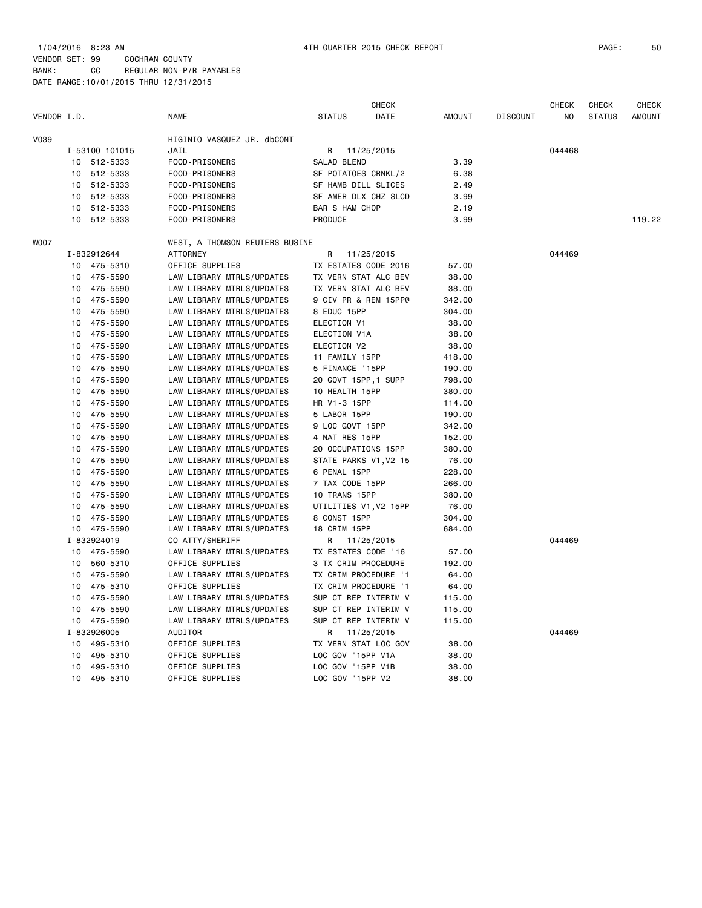| VENDOR I.D. |    |                            | <b>NAME</b>                          | <b>STATUS</b>              | <b>CHECK</b><br>DATE | <b>AMOUNT</b> | <b>DISCOUNT</b> | <b>CHECK</b><br>NO | <b>CHECK</b><br><b>STATUS</b> | CHECK<br><b>AMOUNT</b> |
|-------------|----|----------------------------|--------------------------------------|----------------------------|----------------------|---------------|-----------------|--------------------|-------------------------------|------------------------|
| V039        |    |                            |                                      |                            |                      |               |                 |                    |                               |                        |
|             |    | I-53100 101015             | HIGINIO VASQUEZ JR. dbCONT<br>JAIL   | R 11/25/2015               |                      |               |                 | 044468             |                               |                        |
|             | 10 | 512-5333                   | FOOD-PRISONERS                       | SALAD BLEND                |                      | 3.39          |                 |                    |                               |                        |
|             | 10 | 512-5333                   | FOOD-PRISONERS                       | SF POTATOES CRNKL/2        |                      | 6.38          |                 |                    |                               |                        |
|             | 10 | 512-5333                   | FOOD-PRISONERS                       | SF HAMB DILL SLICES        |                      | 2.49          |                 |                    |                               |                        |
|             |    | 512-5333                   | FOOD-PRISONERS                       | SF AMER DLX CHZ SLCD       |                      |               |                 |                    |                               |                        |
|             | 10 |                            |                                      |                            |                      | 3.99          |                 |                    |                               |                        |
|             | 10 | 512-5333                   | FOOD-PRISONERS                       | <b>BAR S HAM CHOP</b>      |                      | 2.19          |                 |                    |                               | 119.22                 |
|             | 10 | 512-5333                   | FOOD-PRISONERS                       | PRODUCE                    |                      | 3.99          |                 |                    |                               |                        |
| WO07        |    |                            | WEST, A THOMSON REUTERS BUSINE       |                            |                      |               |                 |                    |                               |                        |
|             |    | I-832912644                | <b>ATTORNEY</b>                      | R                          | 11/25/2015           |               |                 | 044469             |                               |                        |
|             |    | 10 475-5310                | OFFICE SUPPLIES                      | TX ESTATES CODE 2016       |                      | 57.00         |                 |                    |                               |                        |
|             | 10 | 475-5590                   | LAW LIBRARY MTRLS/UPDATES            | TX VERN STAT ALC BEV       |                      | 38.00         |                 |                    |                               |                        |
|             | 10 | 475-5590                   | LAW LIBRARY MTRLS/UPDATES            | TX VERN STAT ALC BEV       |                      | 38.00         |                 |                    |                               |                        |
|             | 10 | 475-5590                   | LAW LIBRARY MTRLS/UPDATES            | 9 CIV PR & REM 15PP@       |                      | 342.00        |                 |                    |                               |                        |
|             | 10 | 475-5590                   | LAW LIBRARY MTRLS/UPDATES            | 8 EDUC 15PP                |                      | 304.00        |                 |                    |                               |                        |
|             | 10 | 475-5590                   | LAW LIBRARY MTRLS/UPDATES            | ELECTION V1                |                      | 38.00         |                 |                    |                               |                        |
|             | 10 | 475-5590                   | LAW LIBRARY MTRLS/UPDATES            | ELECTION V1A               |                      | 38.00         |                 |                    |                               |                        |
|             | 10 | 475-5590                   | LAW LIBRARY MTRLS/UPDATES            | ELECTION V2                |                      | 38.00         |                 |                    |                               |                        |
|             | 10 | 475-5590                   | LAW LIBRARY MTRLS/UPDATES            | 11 FAMILY 15PP             |                      | 418.00        |                 |                    |                               |                        |
|             | 10 | 475-5590                   | LAW LIBRARY MTRLS/UPDATES            | 5 FINANCE '15PP            |                      | 190.00        |                 |                    |                               |                        |
|             | 10 | 475-5590                   | LAW LIBRARY MTRLS/UPDATES            | 20 GOVT 15PP, 1 SUPP       |                      | 798.00        |                 |                    |                               |                        |
|             | 10 | 475-5590                   | LAW LIBRARY MTRLS/UPDATES            | 10 HEALTH 15PP             |                      | 380.00        |                 |                    |                               |                        |
|             | 10 | 475-5590                   | LAW LIBRARY MTRLS/UPDATES            | HR V1-3 15PP               |                      | 114.00        |                 |                    |                               |                        |
|             | 10 | 475-5590                   | LAW LIBRARY MTRLS/UPDATES            | 5 LABOR 15PP               |                      | 190.00        |                 |                    |                               |                        |
|             | 10 | 475-5590                   | LAW LIBRARY MTRLS/UPDATES            | 9 LOC GOVT 15PP            |                      | 342.00        |                 |                    |                               |                        |
|             |    | 10 475-5590                | LAW LIBRARY MTRLS/UPDATES            | 4 NAT RES 15PP             |                      | 152.00        |                 |                    |                               |                        |
|             |    | 10 475-5590                | LAW LIBRARY MTRLS/UPDATES            | 20 OCCUPATIONS 15PP        |                      | 380.00        |                 |                    |                               |                        |
|             | 10 | 475-5590                   | LAW LIBRARY MTRLS/UPDATES            | STATE PARKS V1, V2 15      |                      | 76.00         |                 |                    |                               |                        |
|             |    | 10 475-5590                | LAW LIBRARY MTRLS/UPDATES            | 6 PENAL 15PP               |                      | 228.00        |                 |                    |                               |                        |
|             |    | 10 475-5590                | LAW LIBRARY MTRLS/UPDATES            | 7 TAX CODE 15PP            |                      | 266.00        |                 |                    |                               |                        |
|             |    | 10 475-5590                | LAW LIBRARY MTRLS/UPDATES            | 10 TRANS 15PP              |                      | 380.00        |                 |                    |                               |                        |
|             |    | 10 475-5590                | LAW LIBRARY MTRLS/UPDATES            | UTILITIES V1, V2 15PP      |                      | 76.00         |                 |                    |                               |                        |
|             |    | 10 475-5590                | LAW LIBRARY MTRLS/UPDATES            | 8 CONST 15PP               |                      | 304.00        |                 |                    |                               |                        |
|             |    | 10 475-5590                | LAW LIBRARY MTRLS/UPDATES            | 18 CRIM 15PP               |                      | 684.00        |                 |                    |                               |                        |
|             |    | I-832924019                | CO ATTY/SHERIFF                      | R                          | 11/25/2015           |               |                 | 044469             |                               |                        |
|             |    | 10 475-5590                | LAW LIBRARY MTRLS/UPDATES            | TX ESTATES CODE '16        |                      | 57.00         |                 |                    |                               |                        |
|             |    | 10 560-5310                | OFFICE SUPPLIES                      | <b>3 TX CRIM PROCEDURE</b> |                      | 192.00        |                 |                    |                               |                        |
|             |    | 10 475-5590                | LAW LIBRARY MTRLS/UPDATES            | TX CRIM PROCEDURE '1       |                      | 64.00         |                 |                    |                               |                        |
|             |    | 10 475-5310                | OFFICE SUPPLIES                      | TX CRIM PROCEDURE '1       |                      | 64.00         |                 |                    |                               |                        |
|             |    | 10 475-5590                | LAW LIBRARY MTRLS/UPDATES            | SUP CT REP INTERIM V       |                      | 115.00        |                 |                    |                               |                        |
|             |    |                            |                                      | SUP CT REP INTERIM V       |                      | 115.00        |                 |                    |                               |                        |
|             |    | 10 475-5590                | LAW LIBRARY MTRLS/UPDATES            |                            | SUP CT REP INTERIM V | 115.00        |                 |                    |                               |                        |
|             |    | 10 475-5590<br>I-832926005 | LAW LIBRARY MTRLS/UPDATES<br>AUDITOR | R                          |                      |               |                 | 044469             |                               |                        |
|             |    |                            |                                      |                            | 11/25/2015           |               |                 |                    |                               |                        |
|             | 10 | 495-5310                   | OFFICE SUPPLIES                      | TX VERN STAT LOC GOV       |                      | 38.00         |                 |                    |                               |                        |
|             | 10 | 495-5310                   | OFFICE SUPPLIES                      | LOC GOV '15PP V1A          |                      | 38.00         |                 |                    |                               |                        |
|             | 10 | 495-5310                   | OFFICE SUPPLIES                      | LOC GOV '15PP V1B          |                      | 38.00         |                 |                    |                               |                        |

10 495-5310 OFFICE SUPPLIES LOC GOV '15PP V2 38.00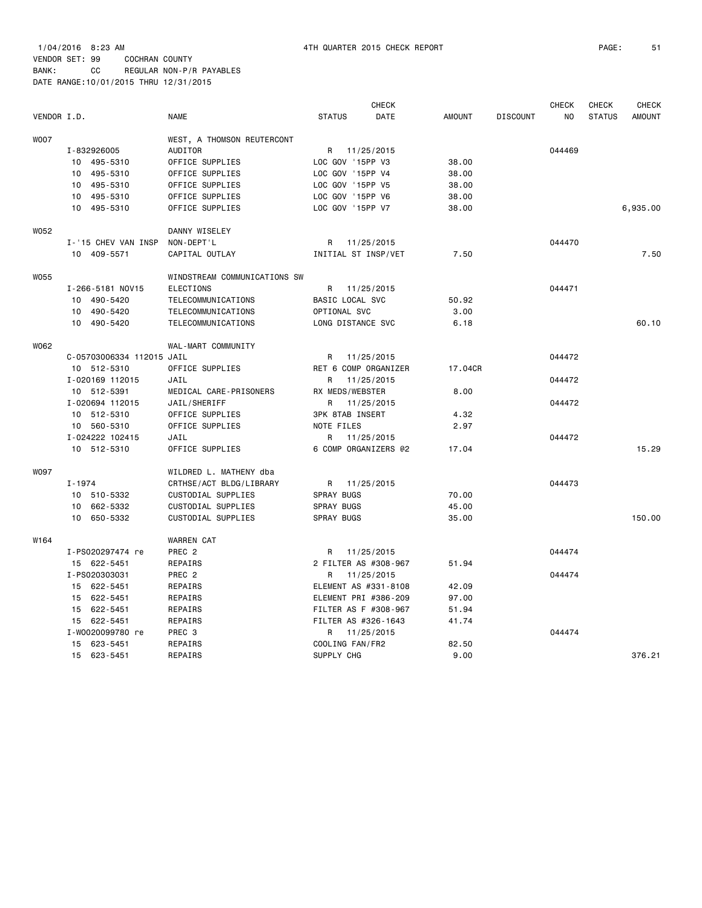1/04/2016 8:23 AM 4TH QUARTER 2015 CHECK REPORT PAGE: 51 VENDOR SET: 99 COCHRAN COUNTY

BANK: CC REGULAR NON-P/R PAYABLES DATE RANGE:10/01/2015 THRU 12/31/2015

|             |                           |                              |                        | <b>CHECK</b> |               |                 | <b>CHECK</b> | <b>CHECK</b>  | <b>CHECK</b>  |
|-------------|---------------------------|------------------------------|------------------------|--------------|---------------|-----------------|--------------|---------------|---------------|
| VENDOR I.D. |                           | <b>NAME</b>                  | <b>STATUS</b>          | <b>DATE</b>  | <b>AMOUNT</b> | <b>DISCOUNT</b> | NO.          | <b>STATUS</b> | <b>AMOUNT</b> |
| <b>WOO7</b> |                           | WEST, A THOMSON REUTERCONT   |                        |              |               |                 |              |               |               |
|             | I-832926005               | AUDITOR                      | R 11/25/2015           |              |               |                 | 044469       |               |               |
|             | 10 495-5310               | OFFICE SUPPLIES              | LOC GOV '15PP V3       |              | 38.00         |                 |              |               |               |
|             | 10 495-5310               | OFFICE SUPPLIES              | LOC GOV '15PP V4       |              | 38.00         |                 |              |               |               |
|             | 10 495-5310               | OFFICE SUPPLIES              | LOC GOV '15PP V5       |              | 38,00         |                 |              |               |               |
|             | 10 495-5310               | OFFICE SUPPLIES              | LOC GOV '15PP V6       |              | 38.00         |                 |              |               |               |
|             | 10 495-5310               | OFFICE SUPPLIES              | LOC GOV '15PP V7       |              | 38.00         |                 |              |               | 6,935.00      |
| W052        |                           | DANNY WISELEY                |                        |              |               |                 |              |               |               |
|             | I-'15 CHEV VAN INSP       | NON-DEPT'L                   | R 11/25/2015           |              |               |                 | 044470       |               |               |
|             | 10 409-5571               | CAPITAL OUTLAY               | INITIAL ST INSP/VET    |              | 7.50          |                 |              |               | 7.50          |
| <b>W055</b> |                           | WINDSTREAM COMMUNICATIONS SW |                        |              |               |                 |              |               |               |
|             | I-266-5181 NOV15          | <b>ELECTIONS</b>             | R 11/25/2015           |              |               |                 | 044471       |               |               |
|             | 10 490-5420               | TELECOMMUNICATIONS           | BASIC LOCAL SVC        |              | 50.92         |                 |              |               |               |
|             | 10 490-5420               | TELECOMMUNICATIONS           | OPTIONAL SVC           |              | 3,00          |                 |              |               |               |
|             | 10 490-5420               | TELECOMMUNICATIONS           | LONG DISTANCE SVC      |              | 6.18          |                 |              |               | 60.10         |
| W062        |                           | WAL-MART COMMUNITY           |                        |              |               |                 |              |               |               |
|             | C-05703006334 112015 JAIL |                              | R 11/25/2015           |              |               |                 | 044472       |               |               |
|             | 10 512-5310               | OFFICE SUPPLIES              | RET 6 COMP ORGANIZER   |              | 17.04CR       |                 |              |               |               |
|             | I-020169 112015           | JAIL                         | R                      | 11/25/2015   |               |                 | 044472       |               |               |
|             | 10 512-5391               | MEDICAL CARE-PRISONERS       | RX MEDS/WEBSTER        |              | 8,00          |                 |              |               |               |
|             | I-020694 112015           | JAIL/SHERIFF                 | R                      | 11/25/2015   |               |                 | 044472       |               |               |
|             | 10 512-5310               | OFFICE SUPPLIES              | <b>3PK 8TAB INSERT</b> |              | 4.32          |                 |              |               |               |
|             | 10 560-5310               | OFFICE SUPPLIES              | NOTE FILES             |              | 2.97          |                 |              |               |               |
|             | I-024222 102415           | JAIL                         | R                      | 11/25/2015   |               |                 | 044472       |               |               |
|             | 10 512-5310               | OFFICE SUPPLIES              | 6 COMP ORGANIZERS @2   |              | 17.04         |                 |              |               | 15.29         |
| <b>W097</b> |                           | WILDRED L. MATHENY dba       |                        |              |               |                 |              |               |               |
|             | $I - 1974$                | CRTHSE/ACT BLDG/LIBRARY      | R                      | 11/25/2015   |               |                 | 044473       |               |               |
|             | 10 510-5332               | CUSTODIAL SUPPLIES           | SPRAY BUGS             |              | 70.00         |                 |              |               |               |
|             | 10 662-5332               | CUSTODIAL SUPPLIES           | SPRAY BUGS             |              | 45.00         |                 |              |               |               |
|             | 10 650-5332               | CUSTODIAL SUPPLIES           | <b>SPRAY BUGS</b>      |              | 35.00         |                 |              |               | 150.00        |
| W164        |                           | <b>WARREN CAT</b>            |                        |              |               |                 |              |               |               |
|             | I-PS020297474 re          | PREC 2                       | R                      | 11/25/2015   |               |                 | 044474       |               |               |
|             | 15 622-5451               | REPAIRS                      | 2 FILTER AS #308-967   |              | 51.94         |                 |              |               |               |
|             | I-PS020303031             | PREC 2                       | R 11/25/2015           |              |               |                 | 044474       |               |               |
|             | 15 622-5451               | REPAIRS                      | ELEMENT AS #331-8108   |              | 42.09         |                 |              |               |               |
|             | 15 622-5451               | REPAIRS                      | ELEMENT PRI #386-209   |              | 97.00         |                 |              |               |               |
|             | 15 622-5451               | REPAIRS                      | FILTER AS F #308-967   |              | 51.94         |                 |              |               |               |
|             | 15 622-5451               | REPAIRS                      | FILTER AS #326-1643    |              | 41.74         |                 |              |               |               |
|             | I-W0020099780 re          | PREC 3                       | R                      | 11/25/2015   |               |                 | 044474       |               |               |
|             | 15 623-5451               | REPAIRS                      | COOLING FAN/FR2        |              | 82.50         |                 |              |               |               |
|             | 15 623-5451               | REPAIRS                      | SUPPLY CHG             |              | 9.00          |                 |              |               | 376.21        |
|             |                           |                              |                        |              |               |                 |              |               |               |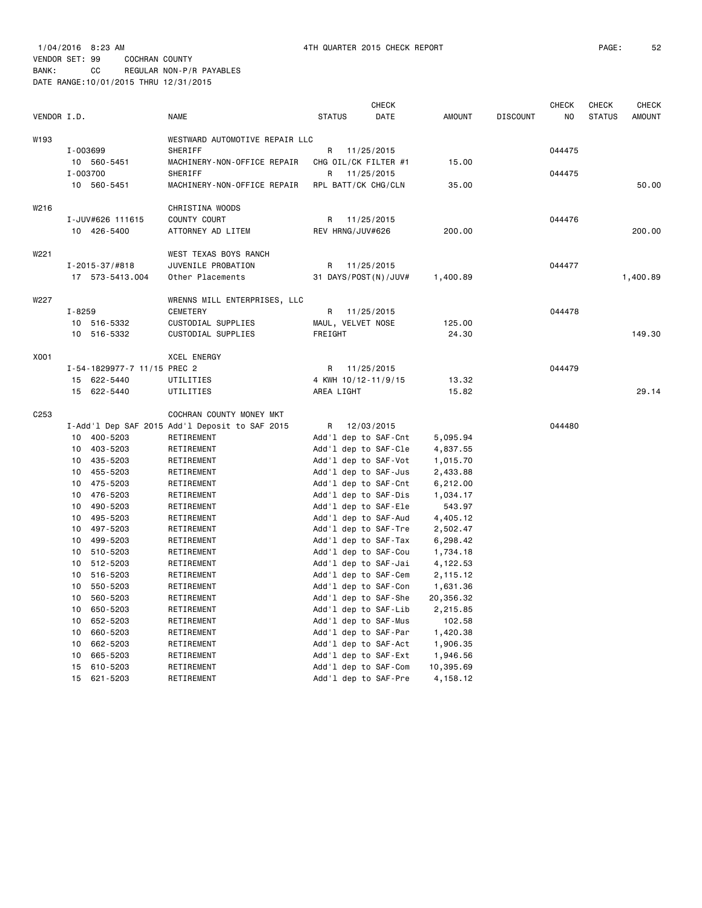| VENDOR I.D.      |                |                             | <b>NAME</b>                                    | <b>STATUS</b> |                  | CHECK<br>DATE                                | <b>AMOUNT</b>        | <b>DISCOUNT</b> | <b>CHECK</b><br>NO | CHECK<br><b>STATUS</b> | CHECK<br><b>AMOUNT</b> |
|------------------|----------------|-----------------------------|------------------------------------------------|---------------|------------------|----------------------------------------------|----------------------|-----------------|--------------------|------------------------|------------------------|
|                  |                |                             |                                                |               |                  |                                              |                      |                 |                    |                        |                        |
| W193             |                |                             | WESTWARD AUTOMOTIVE REPAIR LLC                 |               |                  |                                              |                      |                 |                    |                        |                        |
|                  | I-003699<br>10 | 560-5451                    | SHERIFF<br>MACHINERY-NON-OFFICE REPAIR         | R             |                  | 11/25/2015<br>CHG OIL/CK FILTER #1           | 15.00                |                 | 044475             |                        |                        |
|                  | I-003700       |                             | SHERIFF                                        | R             |                  | 11/25/2015                                   |                      |                 | 044475             |                        |                        |
|                  |                | 10 560-5451                 | MACHINERY-NON-OFFICE REPAIR                    |               |                  | RPL BATT/CK CHG/CLN                          | 35.00                |                 |                    |                        | 50.00                  |
|                  |                |                             |                                                |               |                  |                                              |                      |                 |                    |                        |                        |
| W216             |                |                             | CHRISTINA WOODS                                |               |                  |                                              |                      |                 |                    |                        |                        |
|                  |                | I-JUV#626 111615            | COUNTY COURT                                   | R             |                  | 11/25/2015                                   |                      |                 | 044476             |                        |                        |
|                  |                | 10 426-5400                 | ATTORNEY AD LITEM                              |               | REV HRNG/JUV#626 |                                              | 200.00               |                 |                    |                        | 200.00                 |
| W221             |                |                             | WEST TEXAS BOYS RANCH                          |               |                  |                                              |                      |                 |                    |                        |                        |
|                  |                | $I - 2015 - 37 / #818$      | JUVENILE PROBATION                             | R             |                  | 11/25/2015                                   |                      |                 | 044477             |                        |                        |
|                  |                | 17 573-5413.004             | Other Placements                               |               |                  | 31 DAYS/POST(N)/JUV#                         | 1,400.89             |                 |                    |                        | 1,400.89               |
|                  |                |                             |                                                |               |                  |                                              |                      |                 |                    |                        |                        |
| W227             |                |                             | WRENNS MILL ENTERPRISES, LLC                   |               |                  |                                              |                      |                 |                    |                        |                        |
|                  | $I - 8259$     |                             | CEMETERY                                       | R             |                  | 11/25/2015                                   |                      |                 | 044478             |                        |                        |
|                  | 10             | 516-5332                    | CUSTODIAL SUPPLIES                             |               |                  | MAUL, VELVET NOSE                            | 125.00               |                 |                    |                        |                        |
|                  | 10             | 516-5332                    | CUSTODIAL SUPPLIES                             | FREIGHT       |                  |                                              | 24.30                |                 |                    |                        | 149.30                 |
| X001             |                |                             | XCEL ENERGY                                    |               |                  |                                              |                      |                 |                    |                        |                        |
|                  |                | I-54-1829977-7 11/15 PREC 2 |                                                | R             |                  | 11/25/2015                                   |                      |                 | 044479             |                        |                        |
|                  | 15             | 622-5440                    | UTILITIES                                      |               |                  | 4 KWH 10/12-11/9/15                          | 13.32                |                 |                    |                        |                        |
|                  | 15             | 622-5440                    | UTILITIES                                      | AREA LIGHT    |                  |                                              | 15.82                |                 |                    |                        | 29.14                  |
|                  |                |                             |                                                |               |                  |                                              |                      |                 |                    |                        |                        |
| C <sub>253</sub> |                |                             | COCHRAN COUNTY MONEY MKT                       |               |                  |                                              |                      |                 |                    |                        |                        |
|                  |                |                             | I-Add'l Dep SAF 2015 Add'l Deposit to SAF 2015 | R             |                  | 12/03/2015                                   |                      |                 | 044480             |                        |                        |
|                  | 10             | 400-5203                    | RETIREMENT                                     |               |                  | Add'l dep to SAF-Cnt                         | 5,095.94             |                 |                    |                        |                        |
|                  | 10<br>10       | 403-5203<br>435-5203        | RETIREMENT                                     |               |                  | Add'l dep to SAF-Cle<br>Add'1 dep to SAF-Vot | 4,837.55<br>1,015.70 |                 |                    |                        |                        |
|                  | 10             | 455-5203                    | RETIREMENT<br>RETIREMENT                       |               |                  | Add'1 dep to SAF-Jus                         | 2,433.88             |                 |                    |                        |                        |
|                  | 10             | 475-5203                    | RETIREMENT                                     |               |                  | Add'l dep to SAF-Cnt                         | 6,212.00             |                 |                    |                        |                        |
|                  | 10             | 476-5203                    | RETIREMENT                                     |               |                  | Add'l dep to SAF-Dis                         | 1,034.17             |                 |                    |                        |                        |
|                  | 10             | 490-5203                    | RETIREMENT                                     |               |                  | Add'l dep to SAF-Ele                         | 543.97               |                 |                    |                        |                        |
|                  | 10             | 495-5203                    | RETIREMENT                                     |               |                  | Add'l dep to SAF-Aud                         | 4,405.12             |                 |                    |                        |                        |
|                  | 10             | 497-5203                    | RETIREMENT                                     |               |                  | Add'1 dep to SAF-Tre                         | 2,502.47             |                 |                    |                        |                        |
|                  | 10             | 499-5203                    | RETIREMENT                                     |               |                  | Add'1 dep to SAF-Tax                         | 6,298.42             |                 |                    |                        |                        |
|                  | 10             | 510-5203                    | RETIREMENT                                     |               |                  | Add'1 dep to SAF-Cou                         | 1,734.18             |                 |                    |                        |                        |
|                  | 10             | 512-5203                    | RETIREMENT                                     |               |                  | Add'l dep to SAF-Jai                         | 4,122.53             |                 |                    |                        |                        |
|                  | 10             | 516-5203                    | RETIREMENT                                     |               |                  | Add'1 dep to SAF-Cem                         | 2,115.12             |                 |                    |                        |                        |
|                  | 10             | 550-5203                    | RETIREMENT                                     |               |                  | Add'1 dep to SAF-Con                         | 1,631.36             |                 |                    |                        |                        |
|                  | 10             | 560-5203                    | RETIREMENT                                     |               |                  | Add'1 dep to SAF-She                         | 20,356.32            |                 |                    |                        |                        |
|                  | 10<br>10       | 650-5203<br>652-5203        | RETIREMENT                                     |               |                  | Add'l dep to SAF-Lib<br>Add'1 dep to SAF-Mus | 2,215.85<br>102.58   |                 |                    |                        |                        |
|                  | 10             | 660-5203                    | RETIREMENT<br>RETIREMENT                       |               |                  | Add'l dep to SAF-Par                         | 1,420.38             |                 |                    |                        |                        |
|                  | 10             | 662-5203                    | RETIREMENT                                     |               |                  | Add'l dep to SAF-Act                         | 1,906.35             |                 |                    |                        |                        |
|                  | 10             | 665-5203                    | RETIREMENT                                     |               |                  | Add'l dep to SAF-Ext                         | 1,946.56             |                 |                    |                        |                        |
|                  | 15             | 610-5203                    | RETIREMENT                                     |               |                  | Add'1 dep to SAF-Com                         | 10,395.69            |                 |                    |                        |                        |
|                  | 15             | 621-5203                    | RETIREMENT                                     |               |                  | Add'l dep to SAF-Pre                         | 4,158.12             |                 |                    |                        |                        |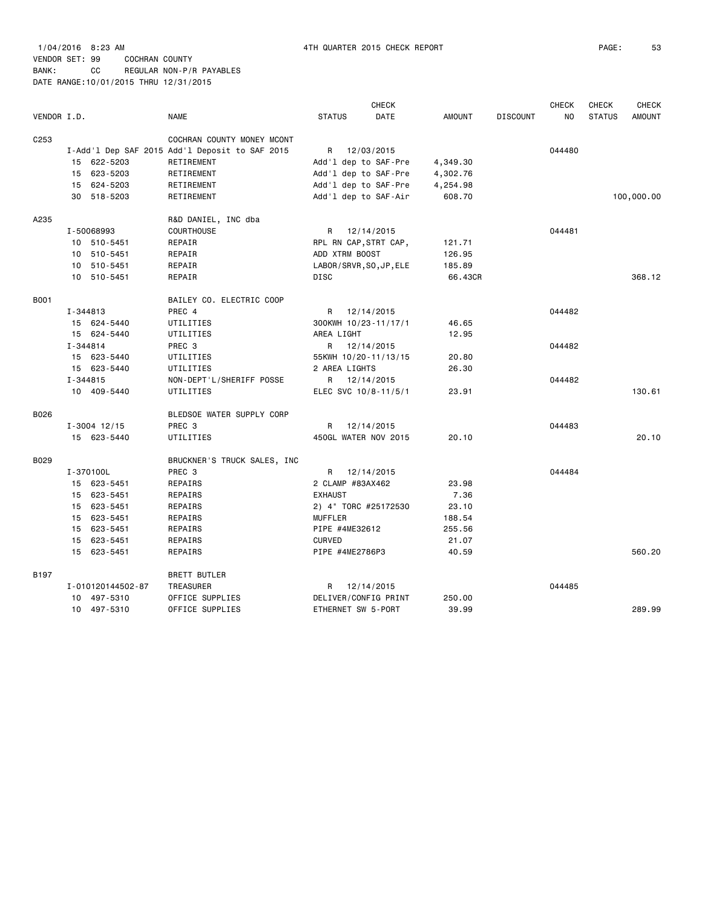|                  |                   |                                                |                  | <b>CHECK</b>            |          |                 | <b>CHECK</b> | <b>CHECK</b>  | <b>CHECK</b>  |
|------------------|-------------------|------------------------------------------------|------------------|-------------------------|----------|-----------------|--------------|---------------|---------------|
| VENDOR I.D.      |                   | <b>NAME</b>                                    | <b>STATUS</b>    | DATE                    | AMOUNT   | <b>DISCOUNT</b> | NO           | <b>STATUS</b> | <b>AMOUNT</b> |
| C <sub>253</sub> |                   | COCHRAN COUNTY MONEY MCONT                     |                  |                         |          |                 |              |               |               |
|                  |                   | I-Add'l Dep SAF 2015 Add'l Deposit to SAF 2015 |                  | R 12/03/2015            |          |                 | 044480       |               |               |
|                  | 15 622-5203       | RETIREMENT                                     |                  | Add'l dep to SAF-Pre    | 4,349.30 |                 |              |               |               |
|                  | 15 623-5203       | RETIREMENT                                     |                  | Add'l dep to SAF-Pre    | 4,302.76 |                 |              |               |               |
|                  | 15 624-5203       | RETIREMENT                                     |                  | Add'l dep to SAF-Pre    | 4,254.98 |                 |              |               |               |
|                  | 30 518-5203       | RETIREMENT                                     |                  | Add'l dep to SAF-Air    | 608.70   |                 |              |               | 100,000.00    |
| A235             |                   | R&D DANIEL, INC dba                            |                  |                         |          |                 |              |               |               |
|                  | I-50068993        | <b>COURTHOUSE</b>                              | R                | 12/14/2015              |          |                 | 044481       |               |               |
|                  | 10 510-5451       | REPAIR                                         |                  | RPL RN CAP, STRT CAP,   | 121.71   |                 |              |               |               |
|                  | 10 510-5451       | REPAIR                                         | ADD XTRM BOOST   |                         | 126.95   |                 |              |               |               |
|                  | 10 510-5451       | REPAIR                                         |                  | LABOR/SRVR, SO, JP, ELE | 185.89   |                 |              |               |               |
|                  | 10 510-5451       | REPAIR                                         | DISC             |                         | 66.43CR  |                 |              |               | 368.12        |
| B001             |                   | BAILEY CO. ELECTRIC COOP                       |                  |                         |          |                 |              |               |               |
|                  | I-344813          | PREC 4                                         | R                | 12/14/2015              |          |                 | 044482       |               |               |
|                  | 15 624-5440       | UTILITIES                                      |                  | 300KWH 10/23-11/17/1    | 46.65    |                 |              |               |               |
|                  | 15 624-5440       | UTILITIES                                      | AREA LIGHT       |                         | 12.95    |                 |              |               |               |
|                  | I-344814          | PREC 3                                         |                  | R 12/14/2015            |          |                 | 044482       |               |               |
|                  | 15 623-5440       | UTILITIES                                      |                  | 55KWH 10/20-11/13/15    | 20.80    |                 |              |               |               |
|                  | 15 623-5440       | UTILITIES                                      | 2 AREA LIGHTS    |                         | 26.30    |                 |              |               |               |
|                  | I-344815          | NON-DEPT'L/SHERIFF POSSE                       |                  | R 12/14/2015            |          |                 | 044482       |               |               |
|                  | 10 409-5440       | UTILITIES                                      |                  | ELEC SVC 10/8-11/5/1    | 23.91    |                 |              |               | 130.61        |
| B026             |                   | BLEDSOE WATER SUPPLY CORP                      |                  |                         |          |                 |              |               |               |
|                  | $I - 3004$ 12/15  | PREC 3                                         | R                | 12/14/2015              |          |                 | 044483       |               |               |
|                  | 15 623-5440       | UTILITIES                                      |                  | 450GL WATER NOV 2015    | 20.10    |                 |              |               | 20.10         |
| B029             |                   | BRUCKNER'S TRUCK SALES, INC.                   |                  |                         |          |                 |              |               |               |
|                  | I-370100L         | PREC 3                                         |                  | R 12/14/2015            |          |                 | 044484       |               |               |
|                  | 15 623-5451       | REPAIRS                                        | 2 CLAMP #83AX462 |                         | 23.98    |                 |              |               |               |
|                  | 15 623-5451       | REPAIRS                                        | <b>EXHAUST</b>   |                         | 7.36     |                 |              |               |               |
|                  | 15 623-5451       | REPAIRS                                        |                  | 2) 4" TORC #25172530    | 23.10    |                 |              |               |               |
|                  | 15 623-5451       | REPAIRS                                        | <b>MUFFLER</b>   |                         | 188.54   |                 |              |               |               |
|                  | 15 623-5451       | REPAIRS                                        | PIPE #4ME32612   |                         | 255.56   |                 |              |               |               |
|                  | 15 623-5451       | REPAIRS                                        | <b>CURVED</b>    |                         | 21.07    |                 |              |               |               |
|                  | 15 623-5451       | REPAIRS                                        | PIPE #4ME2786P3  |                         | 40.59    |                 |              |               | 560.20        |
| B197             |                   | <b>BRETT BUTLER</b>                            |                  |                         |          |                 |              |               |               |
|                  | I-010120144502-87 | TREASURER                                      | R                | 12/14/2015              |          |                 | 044485       |               |               |
|                  | 10 497-5310       | OFFICE SUPPLIES                                |                  | DELIVER/CONFIG PRINT    | 250.00   |                 |              |               |               |
|                  | 10 497-5310       | OFFICE SUPPLIES                                |                  | ETHERNET SW 5-PORT      | 39.99    |                 |              |               | 289.99        |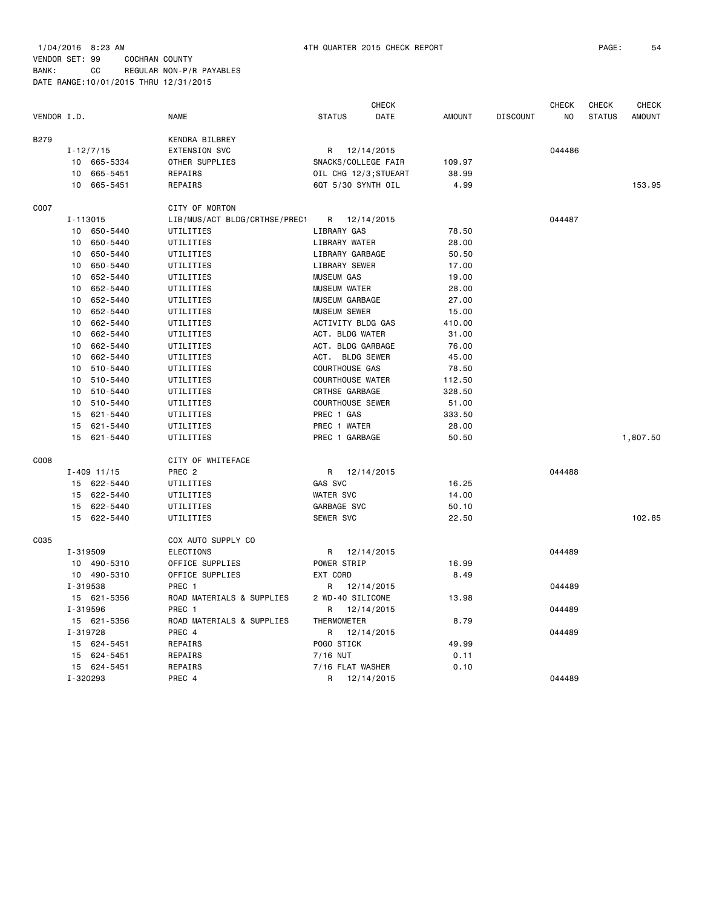VENDOR SET: 99 COCHRAN COUNTY BANK: CC REGULAR NON-P/R PAYABLES

DATE RANGE:10/01/2015 THRU 12/31/2015

|             |                             |                               |                         | <b>CHECK</b>          |               |                 | <b>CHECK</b>   | <b>CHECK</b>  | <b>CHECK</b>  |
|-------------|-----------------------------|-------------------------------|-------------------------|-----------------------|---------------|-----------------|----------------|---------------|---------------|
| VENDOR I.D. |                             | <b>NAME</b>                   | <b>STATUS</b>           | DATE                  | <b>AMOUNT</b> | <b>DISCOUNT</b> | N <sub>O</sub> | <b>STATUS</b> | <b>AMOUNT</b> |
| <b>B279</b> |                             | KENDRA BILBREY                |                         |                       |               |                 |                |               |               |
|             | $I - 12/7/15$               | <b>EXTENSION SVC</b>          | R                       | 12/14/2015            |               |                 | 044486         |               |               |
|             | 10 665-5334                 | OTHER SUPPLIES                | SNACKS/COLLEGE FAIR     |                       | 109.97        |                 |                |               |               |
|             | 665-5451<br>10              | REPAIRS                       |                         | OIL CHG 12/3; STUEART | 38.99         |                 |                |               |               |
|             | 10<br>665-5451              | REPAIRS                       | 6QT 5/30 SYNTH OIL      |                       | 4.99          |                 |                |               | 153.95        |
| C007        |                             | CITY OF MORTON                |                         |                       |               |                 |                |               |               |
|             | I-113015                    | LIB/MUS/ACT BLDG/CRTHSE/PREC1 | R                       | 12/14/2015            |               |                 | 044487         |               |               |
|             | 650-5440<br>10              | UTILITIES                     | LIBRARY GAS             |                       | 78.50         |                 |                |               |               |
|             | 650-5440<br>10              | UTILITIES                     | LIBRARY WATER           |                       | 28.00         |                 |                |               |               |
|             | 650-5440<br>10              | UTILITIES                     | LIBRARY GARBAGE         |                       | 50.50         |                 |                |               |               |
|             | 650-5440<br>10              | UTILITIES                     | LIBRARY SEWER           |                       | 17.00         |                 |                |               |               |
|             | 652-5440<br>10              | UTILITIES                     | <b>MUSEUM GAS</b>       |                       | 19.00         |                 |                |               |               |
|             | 10 <sup>1</sup><br>652-5440 | UTILITIES                     | <b>MUSEUM WATER</b>     |                       | 28.00         |                 |                |               |               |
|             | 652-5440<br>10              | UTILITIES                     | MUSEUM GARBAGE          |                       | 27.00         |                 |                |               |               |
|             | 10<br>652-5440              | UTILITIES                     | <b>MUSEUM SEWER</b>     |                       | 15.00         |                 |                |               |               |
|             | 662-5440<br>10              | UTILITIES                     | ACTIVITY BLDG GAS       |                       | 410.00        |                 |                |               |               |
|             | 662-5440<br>10              | UTILITIES                     | ACT. BLDG WATER         |                       | 31.00         |                 |                |               |               |
|             | 662-5440<br>10              | UTILITIES                     | ACT. BLDG GARBAGE       |                       | 76.00         |                 |                |               |               |
|             | 662-5440<br>10              | UTILITIES                     | ACT. BLDG SEWER         |                       | 45.00         |                 |                |               |               |
|             | 10<br>510-5440              | UTILITIES                     | <b>COURTHOUSE GAS</b>   |                       | 78.50         |                 |                |               |               |
|             | 10<br>510-5440              | UTILITIES                     | <b>COURTHOUSE WATER</b> |                       | 112.50        |                 |                |               |               |
|             | 510-5440<br>10              | UTILITIES                     | <b>CRTHSE GARBAGE</b>   |                       | 328.50        |                 |                |               |               |
|             | 10<br>510-5440              | UTILITIES                     | <b>COURTHOUSE SEWER</b> |                       | 51.00         |                 |                |               |               |
|             | 621-5440<br>15              | UTILITIES                     | PREC 1 GAS              |                       | 333.50        |                 |                |               |               |
|             | 621-5440<br>15              | UTILITIES                     | PREC 1 WATER            |                       | 28.00         |                 |                |               |               |
|             | 621-5440<br>15              | UTILITIES                     | PREC 1 GARBAGE          |                       | 50.50         |                 |                |               | 1,807.50      |
| C008        |                             | CITY OF WHITEFACE             |                         |                       |               |                 |                |               |               |
|             | $I - 409$ 11/15             | PREC <sub>2</sub>             | R                       | 12/14/2015            |               |                 | 044488         |               |               |
|             | 15 622-5440                 | UTILITIES                     | GAS SVC                 |                       | 16.25         |                 |                |               |               |
|             | 15<br>622-5440              | UTILITIES                     | <b>WATER SVC</b>        |                       | 14.00         |                 |                |               |               |
|             | 15 622-5440                 | UTILITIES                     | GARBAGE SVC             |                       | 50.10         |                 |                |               |               |
|             | 15 622-5440                 | UTILITIES                     | SEWER SVC               |                       | 22.50         |                 |                |               | 102.85        |
| C035        |                             | COX AUTO SUPPLY CO            |                         |                       |               |                 |                |               |               |
|             | I-319509                    | <b>ELECTIONS</b>              | R                       | 12/14/2015            |               |                 | 044489         |               |               |
|             | 10 490-5310                 | OFFICE SUPPLIES               | POWER STRIP             |                       | 16.99         |                 |                |               |               |
|             | 10 490-5310                 | OFFICE SUPPLIES               | EXT CORD                |                       | 8.49          |                 |                |               |               |
|             | I-319538                    | PREC 1                        | R                       | 12/14/2015            |               |                 | 044489         |               |               |
|             | 15 621-5356                 | ROAD MATERIALS & SUPPLIES     | 2 WD-40 SILICONE        |                       | 13.98         |                 |                |               |               |
|             | I-319596                    | PREC 1                        | R                       | 12/14/2015            |               |                 | 044489         |               |               |
|             | 15 621-5356                 | ROAD MATERIALS & SUPPLIES     | THERMOMETER             |                       | 8.79          |                 |                |               |               |
|             | I-319728                    | PREC 4                        | R                       | 12/14/2015            |               |                 | 044489         |               |               |
|             | 15<br>624-5451              | REPAIRS                       | POGO STICK              |                       | 49.99         |                 |                |               |               |
|             | 15<br>624-5451              | REPAIRS                       | $7/16$ NUT              |                       | 0.11          |                 |                |               |               |
|             | 15 624-5451                 | REPAIRS                       | 7/16 FLAT WASHER        |                       | 0.10          |                 |                |               |               |
|             | I-320293                    | PREC 4                        | R                       | 12/14/2015            |               |                 | 044489         |               |               |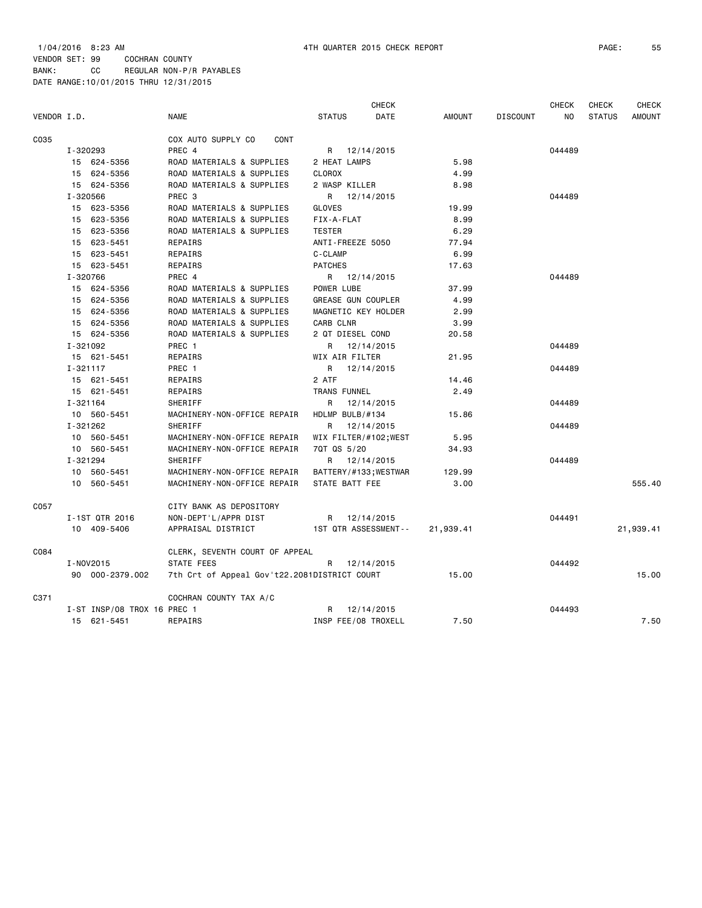|             |          |                             |                                              |                 | CHECK                 |               |                 | <b>CHECK</b> | CHECK         | <b>CHECK</b>  |
|-------------|----------|-----------------------------|----------------------------------------------|-----------------|-----------------------|---------------|-----------------|--------------|---------------|---------------|
| VENDOR I.D. |          |                             | <b>NAME</b>                                  | <b>STATUS</b>   | DATE                  | <b>AMOUNT</b> | <b>DISCOUNT</b> | NO.          | <b>STATUS</b> | <b>AMOUNT</b> |
| C035        |          |                             | COX AUTO SUPPLY CO<br>CONT                   |                 |                       |               |                 |              |               |               |
|             | I-320293 |                             | PREC 4                                       |                 | R 12/14/2015          |               |                 | 044489       |               |               |
|             |          | 15 624-5356                 | ROAD MATERIALS & SUPPLIES                    | 2 HEAT LAMPS    |                       | 5.98          |                 |              |               |               |
|             |          | 15 624-5356                 | ROAD MATERIALS & SUPPLIES                    | <b>CLOROX</b>   |                       | 4.99          |                 |              |               |               |
|             |          | 15 624-5356                 | ROAD MATERIALS & SUPPLIES                    | 2 WASP KILLER   |                       | 8.98          |                 |              |               |               |
|             | I-320566 |                             | PREC <sub>3</sub>                            |                 | R 12/14/2015          |               |                 | 044489       |               |               |
|             |          | 15 623-5356                 | ROAD MATERIALS & SUPPLIES                    | GLOVES          |                       | 19.99         |                 |              |               |               |
|             |          | 15 623-5356                 | ROAD MATERIALS & SUPPLIES                    | FIX-A-FLAT      |                       | 8.99          |                 |              |               |               |
|             |          | 15 623-5356                 | ROAD MATERIALS & SUPPLIES                    | <b>TESTER</b>   |                       | 6.29          |                 |              |               |               |
|             |          | 15 623-5451                 | REPAIRS                                      |                 | ANTI-FREEZE 5050      | 77.94         |                 |              |               |               |
|             |          | 15 623-5451                 | REPAIRS                                      | C-CLAMP         |                       | 6.99          |                 |              |               |               |
|             |          | 15 623-5451                 | REPAIRS                                      | <b>PATCHES</b>  |                       | 17.63         |                 |              |               |               |
|             | I-320766 |                             | PREC 4                                       |                 | R 12/14/2015          |               |                 | 044489       |               |               |
|             |          | 15 624-5356                 | ROAD MATERIALS & SUPPLIES                    | POWER LUBE      |                       | 37.99         |                 |              |               |               |
|             |          | 15 624-5356                 | ROAD MATERIALS & SUPPLIES                    |                 | GREASE GUN COUPLER    | 4.99          |                 |              |               |               |
|             |          | 15 624-5356                 | ROAD MATERIALS & SUPPLIES                    |                 | MAGNETIC KEY HOLDER   | 2.99          |                 |              |               |               |
|             |          | 15 624-5356                 | ROAD MATERIALS & SUPPLIES                    | CARB CLNR       |                       | 3.99          |                 |              |               |               |
|             |          | 15 624-5356                 | ROAD MATERIALS & SUPPLIES                    |                 | 2 QT DIESEL COND      | 20.58         |                 |              |               |               |
|             | I-321092 |                             | PREC 1                                       |                 | R 12/14/2015          |               |                 | 044489       |               |               |
|             |          | 15 621-5451                 | REPAIRS                                      | WIX AIR FILTER  |                       | 21.95         |                 |              |               |               |
|             | I-321117 |                             | PREC 1                                       |                 | R 12/14/2015          |               |                 | 044489       |               |               |
|             |          | 15 621-5451                 | REPAIRS                                      | 2 ATF           |                       | 14.46         |                 |              |               |               |
|             |          | 15 621-5451                 | REPAIRS                                      | TRANS FUNNEL    |                       | 2.49          |                 |              |               |               |
|             | I-321164 |                             | SHERIFF                                      | R               | 12/14/2015            |               |                 | 044489       |               |               |
|             |          | 10 560-5451                 | MACHINERY-NON-OFFICE REPAIR                  | HDLMP BULB/#134 |                       | 15.86         |                 |              |               |               |
|             | I-321262 |                             | SHERIFF                                      | R               | 12/14/2015            |               |                 | 044489       |               |               |
|             |          | 10 560-5451                 | MACHINERY-NON-OFFICE REPAIR                  |                 | WIX FILTER/#102;WEST  | 5.95          |                 |              |               |               |
|             |          | 10 560-5451                 | MACHINERY-NON-OFFICE REPAIR                  | 70T QS 5/20     |                       | 34.93         |                 |              |               |               |
|             | I-321294 |                             | SHERIFF                                      |                 | R 12/14/2015          |               |                 | 044489       |               |               |
|             |          | 10 560-5451                 | MACHINERY-NON-OFFICE REPAIR                  |                 | BATTERY/#133; WESTWAR | 129.99        |                 |              |               |               |
|             |          | 10 560-5451                 | MACHINERY-NON-OFFICE REPAIR                  | STATE BATT FEE  |                       | 3.00          |                 |              |               | 555.40        |
| C057        |          |                             | CITY BANK AS DEPOSITORY                      |                 |                       |               |                 |              |               |               |
|             |          | I-1ST QTR 2016              | NON-DEPT'L/APPR DIST                         |                 | R 12/14/2015          |               |                 | 044491       |               |               |
|             |          | 10 409-5406                 | APPRAISAL DISTRICT                           |                 | 1ST QTR ASSESSMENT--  | 21,939.41     |                 |              |               | 21,939.41     |
| C084        |          |                             | CLERK, SEVENTH COURT OF APPEAL               |                 |                       |               |                 |              |               |               |
|             |          | I-NOV2015                   | STATE FEES                                   | R               | 12/14/2015            |               |                 | 044492       |               |               |
|             |          | 90 000-2379.002             | 7th Crt of Appeal Gov't22.2081DISTRICT COURT |                 |                       | 15.00         |                 |              |               | 15.00         |
| C371        |          |                             | COCHRAN COUNTY TAX A/C                       |                 |                       |               |                 |              |               |               |
|             |          | I-ST INSP/08 TROX 16 PREC 1 |                                              |                 | R 12/14/2015          |               |                 | 044493       |               |               |
|             |          | 15 621-5451                 | <b>REPAIRS</b>                               |                 | INSP FEE/08 TROXELL   | 7.50          |                 |              |               | 7.50          |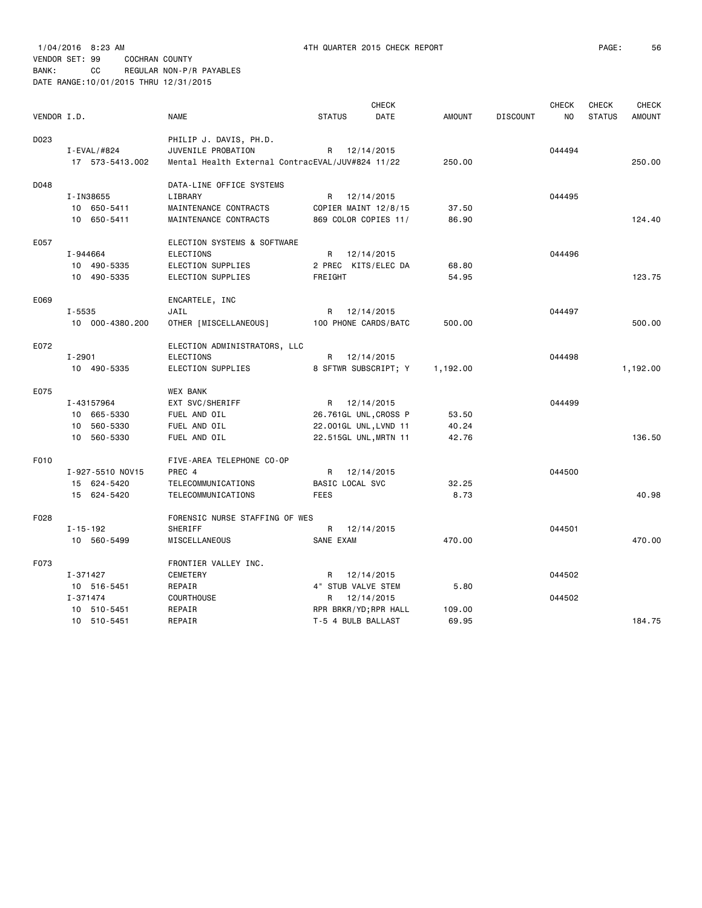|             |                  |                                                  |                    | CHECK                 |               |                 | <b>CHECK</b>   | <b>CHECK</b>  | <b>CHECK</b>  |
|-------------|------------------|--------------------------------------------------|--------------------|-----------------------|---------------|-----------------|----------------|---------------|---------------|
| VENDOR I.D. |                  | <b>NAME</b>                                      | <b>STATUS</b>      | <b>DATE</b>           | <b>AMOUNT</b> | <b>DISCOUNT</b> | N <sub>O</sub> | <b>STATUS</b> | <b>AMOUNT</b> |
| D023        |                  | PHILIP J. DAVIS, PH.D.                           |                    |                       |               |                 |                |               |               |
|             | I-EVAL/#824      | JUVENILE PROBATION                               |                    | R 12/14/2015          |               |                 | 044494         |               |               |
|             | 17 573-5413.002  | Mental Health External ContracEVAL/JUV#824 11/22 |                    |                       | 250.00        |                 |                |               | 250,00        |
| D048        |                  | DATA-LINE OFFICE SYSTEMS                         |                    |                       |               |                 |                |               |               |
|             | I-IN38655        | LIBRARY                                          |                    | R 12/14/2015          |               |                 | 044495         |               |               |
|             | 10 650-5411      | MAINTENANCE CONTRACTS                            |                    | COPIER MAINT 12/8/15  | 37.50         |                 |                |               |               |
|             | 10 650-5411      | MAINTENANCE CONTRACTS                            |                    | 869 COLOR COPIES 11/  | 86.90         |                 |                |               | 124,40        |
|             |                  |                                                  |                    |                       |               |                 |                |               |               |
| E057        |                  | ELECTION SYSTEMS & SOFTWARE                      |                    |                       |               |                 |                |               |               |
|             | I-944664         | <b>ELECTIONS</b>                                 |                    | R 12/14/2015          |               |                 | 044496         |               |               |
|             | 10 490-5335      | ELECTION SUPPLIES                                |                    | 2 PREC KITS/ELEC DA   | 68.80         |                 |                |               |               |
|             | 10 490-5335      | ELECTION SUPPLIES                                | FREIGHT            |                       | 54.95         |                 |                |               | 123.75        |
| E069        |                  | ENCARTELE, INC                                   |                    |                       |               |                 |                |               |               |
|             | $I - 5535$       | JAIL                                             |                    | R 12/14/2015          |               |                 | 044497         |               |               |
|             | 10 000-4380.200  | OTHER [MISCELLANEOUS]                            |                    | 100 PHONE CARDS/BATC  | 500.00        |                 |                |               | 500.00        |
| E072        |                  | ELECTION ADMINISTRATORS, LLC                     |                    |                       |               |                 |                |               |               |
|             | $I - 2901$       | <b>ELECTIONS</b>                                 | R                  | 12/14/2015            |               |                 | 044498         |               |               |
|             | 10 490-5335      | ELECTION SUPPLIES                                |                    | 8 SFTWR SUBSCRIPT; Y  | 1,192.00      |                 |                |               | 1,192.00      |
| E075        |                  | <b>WEX BANK</b>                                  |                    |                       |               |                 |                |               |               |
|             | I-43157964       | EXT SVC/SHERIFF                                  |                    | R 12/14/2015          |               |                 | 044499         |               |               |
|             | 10 665-5330      | FUEL AND OIL                                     |                    | 26.761GL UNL, CROSS P | 53.50         |                 |                |               |               |
|             | 10 560-5330      | FUEL AND OIL                                     |                    | 22.001GL UNL, LVND 11 | 40.24         |                 |                |               |               |
|             | 10 560-5330      | FUEL AND OIL                                     |                    | 22.515GL UNL, MRTN 11 | 42.76         |                 |                |               | 136.50        |
| F010        |                  | FIVE-AREA TELEPHONE CO-OP                        |                    |                       |               |                 |                |               |               |
|             | I-927-5510 NOV15 | PREC 4                                           | R                  | 12/14/2015            |               |                 | 044500         |               |               |
|             | 15 624-5420      | TELECOMMUNICATIONS                               | BASIC LOCAL SVC    |                       | 32.25         |                 |                |               |               |
|             | 15 624-5420      | TELECOMMUNICATIONS                               | <b>FEES</b>        |                       | 8.73          |                 |                |               | 40.98         |
|             |                  |                                                  |                    |                       |               |                 |                |               |               |
| F028        |                  | FORENSIC NURSE STAFFING OF WES                   |                    |                       |               |                 |                |               |               |
|             | $I - 15 - 192$   | SHERIFF                                          | R                  | 12/14/2015            |               |                 | 044501         |               |               |
|             | 10 560-5499      | MISCELLANEOUS                                    | SANE EXAM          |                       | 470.00        |                 |                |               | 470.00        |
| F073        |                  | FRONTIER VALLEY INC.                             |                    |                       |               |                 |                |               |               |
|             | I-371427         | CEMETERY                                         |                    | R 12/14/2015          |               |                 | 044502         |               |               |
|             | 10 516-5451      | REPAIR                                           | 4" STUB VALVE STEM |                       | 5.80          |                 |                |               |               |
|             | I-371474         | <b>COURTHOUSE</b>                                |                    | R 12/14/2015          |               |                 | 044502         |               |               |
|             | 10 510-5451      | REPAIR                                           |                    | RPR BRKR/YD; RPR HALL | 109.00        |                 |                |               |               |
|             | 10 510-5451      | REPAIR                                           | T-5 4 BULB BALLAST |                       | 69.95         |                 |                |               | 184.75        |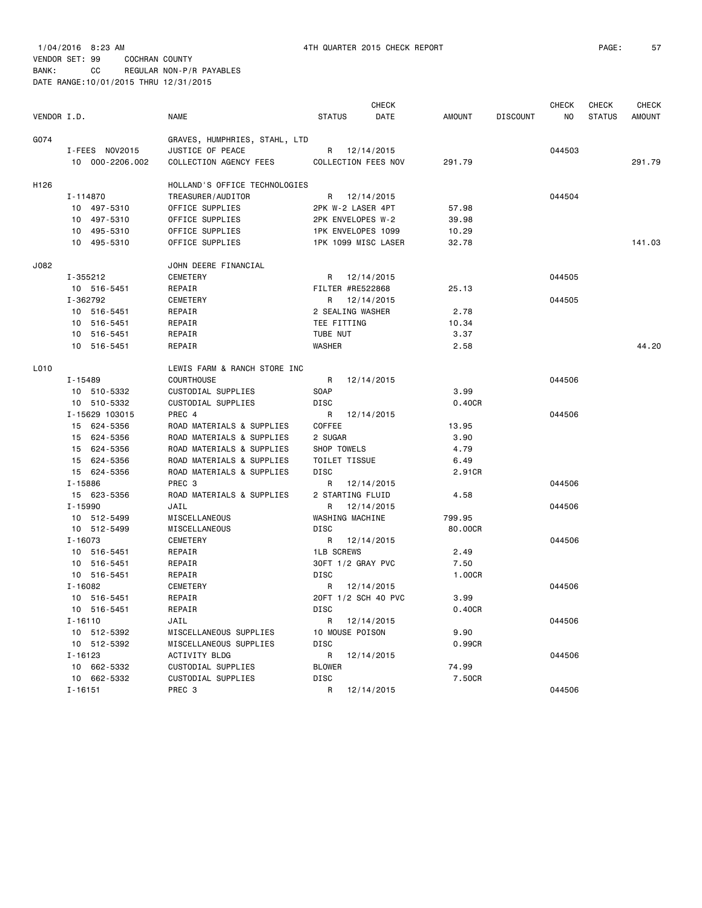|             |                 |                               |                     | <b>CHECK</b> |         |                 | <b>CHECK</b> | <b>CHECK</b>  | <b>CHECK</b>  |
|-------------|-----------------|-------------------------------|---------------------|--------------|---------|-----------------|--------------|---------------|---------------|
| VENDOR I.D. |                 | <b>NAME</b>                   | <b>STATUS</b>       | DATE         | AMOUNT  | <b>DISCOUNT</b> | ΝO           | <b>STATUS</b> | <b>AMOUNT</b> |
| G074        |                 | GRAVES, HUMPHRIES, STAHL, LTD |                     |              |         |                 |              |               |               |
|             | I-FEES NOV2015  | JUSTICE OF PEACE              | R 12/14/2015        |              |         |                 | 044503       |               |               |
|             | 10 000-2206.002 | COLLECTION AGENCY FEES        | COLLECTION FEES NOV |              | 291.79  |                 |              |               | 291.79        |
| H126        |                 | HOLLAND'S OFFICE TECHNOLOGIES |                     |              |         |                 |              |               |               |
|             | I-114870        | TREASURER/AUDITOR             | R 12/14/2015        |              |         |                 | 044504       |               |               |
|             | 10 497-5310     | OFFICE SUPPLIES               | 2PK W-2 LASER 4PT   |              | 57.98   |                 |              |               |               |
|             | 10 497-5310     | OFFICE SUPPLIES               | 2PK ENVELOPES W-2   |              | 39.98   |                 |              |               |               |
|             | 10 495-5310     | OFFICE SUPPLIES               | 1PK ENVELOPES 1099  |              | 10.29   |                 |              |               |               |
|             | 10 495-5310     | OFFICE SUPPLIES               | 1PK 1099 MISC LASER |              | 32.78   |                 |              |               | 141.03        |
| J082        |                 | JOHN DEERE FINANCIAL          |                     |              |         |                 |              |               |               |
|             | I-355212        | CEMETERY                      | R 12/14/2015        |              |         |                 | 044505       |               |               |
|             | 10 516-5451     | REPAIR                        | FILTER #RE522868    |              | 25.13   |                 |              |               |               |
|             | I-362792        | CEMETERY                      | R 12/14/2015        |              |         |                 | 044505       |               |               |
|             | 10 516-5451     | REPAIR                        | 2 SEALING WASHER    |              | 2.78    |                 |              |               |               |
|             | 10 516-5451     | REPAIR                        | TEE FITTING         |              | 10.34   |                 |              |               |               |
|             | 10 516-5451     | REPAIR                        | TUBE NUT            |              | 3.37    |                 |              |               |               |
|             | 10 516-5451     | REPAIR                        | WASHER              |              | 2.58    |                 |              |               | 44.20         |
| L010        |                 | LEWIS FARM & RANCH STORE INC  |                     |              |         |                 |              |               |               |
|             | I-15489         | <b>COURTHOUSE</b>             | R                   | 12/14/2015   |         |                 | 044506       |               |               |
|             | 10 510-5332     | CUSTODIAL SUPPLIES            | SOAP                |              | 3.99    |                 |              |               |               |
|             | 10 510-5332     | CUSTODIAL SUPPLIES            | <b>DISC</b>         |              | 0.40CR  |                 |              |               |               |
|             | I-15629 103015  | PREC 4                        | R 12/14/2015        |              |         |                 | 044506       |               |               |
|             | 15 624-5356     | ROAD MATERIALS & SUPPLIES     | COFFEE              |              | 13.95   |                 |              |               |               |
|             | 15 624-5356     | ROAD MATERIALS & SUPPLIES     | 2 SUGAR             |              | 3.90    |                 |              |               |               |
|             | 15 624-5356     | ROAD MATERIALS & SUPPLIES     | SHOP TOWELS         |              | 4.79    |                 |              |               |               |
|             | 15 624-5356     | ROAD MATERIALS & SUPPLIES     | TOILET TISSUE       |              | 6.49    |                 |              |               |               |
|             | 15 624-5356     | ROAD MATERIALS & SUPPLIES     | <b>DISC</b>         |              | 2.91CR  |                 |              |               |               |
|             | I-15886         | PREC 3                        | R 12/14/2015        |              |         |                 | 044506       |               |               |
|             | 15 623-5356     | ROAD MATERIALS & SUPPLIES     | 2 STARTING FLUID    |              | 4.58    |                 |              |               |               |
|             | I-15990         | JAIL                          | R                   | 12/14/2015   |         |                 | 044506       |               |               |
|             | 10 512-5499     | MISCELLANEOUS                 | WASHING MACHINE     |              | 799.95  |                 |              |               |               |
|             | 10 512-5499     | MISCELLANEOUS                 | DISC                |              | 80.00CR |                 |              |               |               |
|             | $I - 16073$     | CEMETERY                      | R 12/14/2015        |              |         |                 | 044506       |               |               |
|             | 10 516-5451     | REPAIR                        | <b>1LB SCREWS</b>   |              | 2.49    |                 |              |               |               |
|             | 10 516-5451     | REPAIR                        | 30FT 1/2 GRAY PVC   |              | 7.50    |                 |              |               |               |
|             | 10 516-5451     | REPAIR                        | DISC                |              | 1.00CR  |                 |              |               |               |
|             | I-16082         | CEMETERY                      | R                   | 12/14/2015   |         |                 | 044506       |               |               |
|             | 10 516-5451     | REPAIR                        | 20FT 1/2 SCH 40 PVC |              | 3.99    |                 |              |               |               |
|             | 10 516-5451     | REPAIR                        | DISC                |              | 0.40CR  |                 |              |               |               |
|             | I-16110         | JAIL                          | R 12/14/2015        |              |         |                 | 044506       |               |               |
|             | 10 512-5392     | MISCELLANEOUS SUPPLIES        | 10 MOUSE POISON     |              | 9.90    |                 |              |               |               |
|             | 10 512-5392     | MISCELLANEOUS SUPPLIES        | <b>DISC</b>         |              | 0.99CR  |                 |              |               |               |
|             | I-16123         | <b>ACTIVITY BLDG</b>          | R 12/14/2015        |              |         |                 | 044506       |               |               |
|             | 10 662-5332     | CUSTODIAL SUPPLIES            | <b>BLOWER</b>       |              | 74.99   |                 |              |               |               |
|             | 10 662-5332     | CUSTODIAL SUPPLIES            | DISC                |              | 7.50CR  |                 |              |               |               |
|             | $I - 16151$     | PREC 3                        | R 12/14/2015        |              |         |                 | 044506       |               |               |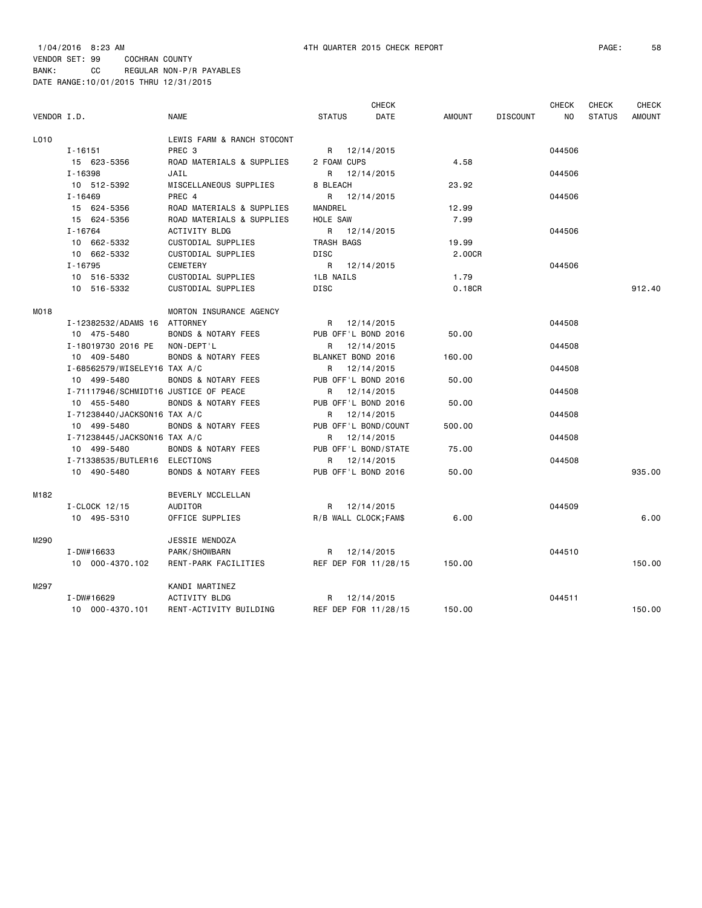1/04/2016 8:23 AM 4TH QUARTER 2015 CHECK REPORT PAGE: 58 VENDOR SET: 99 COCHRAN COUNTY BANK: CC REGULAR NON-P/R PAYABLES DATE RANGE:10/01/2015 THRU 12/31/2015

|             |                                       |                                |                       | <b>CHECK</b>         |               |                 | <b>CHECK</b> | CHECK         | <b>CHECK</b>  |
|-------------|---------------------------------------|--------------------------------|-----------------------|----------------------|---------------|-----------------|--------------|---------------|---------------|
| VENDOR I.D. |                                       | <b>NAME</b>                    | <b>STATUS</b>         | DATE                 | <b>AMOUNT</b> | <b>DISCOUNT</b> | NO           | <b>STATUS</b> | <b>AMOUNT</b> |
| L010        |                                       | LEWIS FARM & RANCH STOCONT     |                       |                      |               |                 |              |               |               |
|             | I-16151                               | PREC <sub>3</sub>              | R 12/14/2015          |                      |               |                 | 044506       |               |               |
|             | 15 623-5356                           | ROAD MATERIALS & SUPPLIES      | 2 FOAM CUPS           |                      | 4.58          |                 |              |               |               |
|             | $I - 16398$                           | JAIL                           | R 12/14/2015          |                      |               |                 | 044506       |               |               |
|             | 10 512-5392                           | MISCELLANEOUS SUPPLIES         | 8 BLEACH              |                      | 23.92         |                 |              |               |               |
|             | $I - 16469$                           | PREC 4                         | R                     | 12/14/2015           |               |                 | 044506       |               |               |
|             | 15 624-5356                           | ROAD MATERIALS & SUPPLIES      | MANDREL               |                      | 12.99         |                 |              |               |               |
|             | 15 624-5356                           | ROAD MATERIALS & SUPPLIES      | HOLE SAW              |                      | 7.99          |                 |              |               |               |
|             | $I - 16764$                           | <b>ACTIVITY BLDG</b>           | R 12/14/2015          |                      |               |                 | 044506       |               |               |
|             | 10 662-5332                           | CUSTODIAL SUPPLIES             | TRASH BAGS            |                      | 19.99         |                 |              |               |               |
|             | 10 662-5332                           | <b>CUSTODIAL SUPPLIES</b>      | <b>DISC</b>           |                      | 2.00CR        |                 |              |               |               |
|             | $I - 16795$                           | CEMETERY                       | R 12/14/2015          |                      |               |                 | 044506       |               |               |
|             | 10 516-5332                           | CUSTODIAL SUPPLIES             | <b>1LB NAILS</b>      |                      | 1.79          |                 |              |               |               |
|             | 10 516-5332                           | CUSTODIAL SUPPLIES             | <b>DISC</b>           |                      | 0.18CR        |                 |              |               | 912.40        |
| M018        |                                       | MORTON INSURANCE AGENCY        |                       |                      |               |                 |              |               |               |
|             | I-12382532/ADAMS 16 ATTORNEY          |                                | R 12/14/2015          |                      |               |                 | 044508       |               |               |
|             | 10 475-5480                           | <b>BONDS &amp; NOTARY FEES</b> | PUB OFF'L BOND 2016   |                      | 50.00         |                 |              |               |               |
|             | I-18019730 2016 PE                    | NON-DEPT'L                     | R 12/14/2015          |                      |               |                 | 044508       |               |               |
|             | 10 409-5480                           | <b>BONDS &amp; NOTARY FEES</b> | BLANKET BOND 2016     |                      | 160.00        |                 |              |               |               |
|             | I-68562579/WISELEY16 TAX A/C          |                                | R 12/14/2015          |                      |               |                 | 044508       |               |               |
|             | 10 499-5480                           | <b>BONDS &amp; NOTARY FEES</b> | PUB OFF'L BOND 2016   |                      | 50.00         |                 |              |               |               |
|             | I-71117946/SCHMIDT16 JUSTICE OF PEACE |                                | R 12/14/2015          |                      |               |                 | 044508       |               |               |
|             | 10 455-5480                           | <b>BONDS &amp; NOTARY FEES</b> | PUB OFF'L BOND 2016   |                      | 50.00         |                 |              |               |               |
|             | I-71238440/JACKSON16 TAX A/C          |                                | R 12/14/2015          |                      |               |                 | 044508       |               |               |
|             | 10 499-5480                           | <b>BONDS &amp; NOTARY FEES</b> | PUB OFF'L BOND/COUNT  |                      | 500.00        |                 |              |               |               |
|             | I-71238445/JACKSON16 TAX A/C          |                                | R 12/14/2015          |                      |               |                 | 044508       |               |               |
|             | 10 499-5480                           | <b>BONDS &amp; NOTARY FEES</b> | PUB OFF'L BOND/STATE  |                      | 75.00         |                 |              |               |               |
|             | I-71338535/BUTLER16 ELECTIONS         |                                | R                     | 12/14/2015           |               |                 | 044508       |               |               |
|             | 10 490-5480                           | <b>BONDS &amp; NOTARY FEES</b> | PUB OFF'L BOND 2016   |                      | 50.00         |                 |              |               | 935.00        |
| M182        |                                       | BEVERLY MCCLELLAN              |                       |                      |               |                 |              |               |               |
|             | I-CLOCK 12/15                         | AUDITOR                        | R 12/14/2015          |                      |               |                 | 044509       |               |               |
|             | 10 495-5310                           | OFFICE SUPPLIES                | R/B WALL CLOCK; FAM\$ |                      | 6.00          |                 |              |               | 6.00          |
| M290        |                                       | JESSIE MENDOZA                 |                       |                      |               |                 |              |               |               |
|             | I-DW#16633                            | PARK/SHOWBARN                  | R 12/14/2015          |                      |               |                 | 044510       |               |               |
|             | 10 000-4370.102                       | RENT-PARK FACILITIES           |                       | REF DEP FOR 11/28/15 | 150.00        |                 |              |               | 150.00        |
| M297        |                                       | KANDI MARTINEZ                 |                       |                      |               |                 |              |               |               |
|             | I-DW#16629                            | ACTIVITY BLDG                  | R 12/14/2015          |                      |               |                 | 044511       |               |               |
|             | 10 000-4370.101                       | RENT-ACTIVITY BUILDING         | REF DEP FOR 11/28/15  |                      | 150.00        |                 |              |               | 150.00        |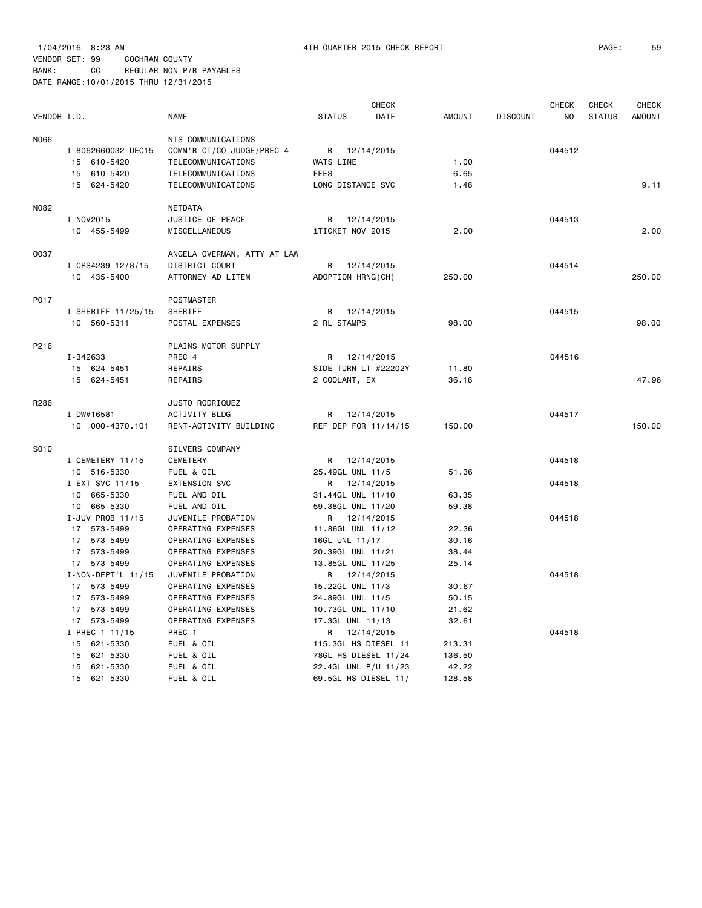| N066<br>NTS COMMUNICATIONS<br>I-8062660032 DEC15<br>COMM'R CT/CO JUDGE/PREC 4<br>R<br>12/14/2015<br>044512<br>TELECOMMUNICATIONS<br>WATS LINE<br>1.00<br>15 610-5420<br>6.65<br>15 610-5420<br>TELECOMMUNICATIONS<br><b>FEES</b><br>15 624-5420<br>TELECOMMUNICATIONS<br>LONG DISTANCE SVC<br>9.11<br>1.46<br>N082<br>NETDATA<br>I-NOV2015<br>JUSTICE OF PEACE<br>12/14/2015<br>044513<br>R<br>iTICKET NOV 2015<br>2.00<br>2.00<br>10 455-5499<br>MISCELLANEOUS<br>0037<br>ANGELA OVERMAN, ATTY AT LAW<br>DISTRICT COURT<br>044514<br>I-CPS4239 12/8/15<br>R<br>12/14/2015<br>10 435-5400<br>ATTORNEY AD LITEM<br>ADOPTION HRNG(CH)<br>250.00<br>250.00<br>P017<br>POSTMASTER<br>SHERIFF<br>12/14/2015<br>044515<br>I-SHERIFF 11/25/15<br>R<br>2 RL STAMPS<br>98.00<br>98.00<br>10 560-5311<br>POSTAL EXPENSES<br>P216<br>PLAINS MOTOR SUPPLY<br>I-342633<br>PREC 4<br>12/14/2015<br>044516<br>R<br>SIDE TURN LT #22202Y<br>11.80<br>15 624-5451<br>REPAIRS<br>15 624-5451<br>47.96<br>REPAIRS<br>2 COOLANT, EX<br>36.16<br>R286<br>JUSTO RODRIQUEZ<br>$I - DW#16581$<br>ACTIVITY BLDG<br>12/14/2015<br>044517<br>R<br>150.00<br>10 000-4370.101<br>RENT-ACTIVITY BUILDING<br>REF DEP FOR 11/14/15<br>150.00<br>S010<br>SILVERS COMPANY<br>I-CEMETERY 11/15<br><b>CEMETERY</b><br>R 12/14/2015<br>044518<br>10 516-5330<br>FUEL & OIL<br>25.49GL UNL 11/5<br>51.36<br>I-EXT SVC 11/15<br><b>EXTENSION SVC</b><br>R 12/14/2015<br>044518<br>10 665-5330<br>FUEL AND OIL<br>63.35<br>31.44GL UNL 11/10<br>665-5330<br>FUEL AND OIL<br>59.38GL UNL 11/20<br>59.38<br>10<br>I-JUV PROB 11/15<br>JUVENILE PROBATION<br>R 12/14/2015<br>044518<br>17 573-5499<br>OPERATING EXPENSES<br>11.86GL UNL 11/12<br>22.36<br>17 573-5499<br>OPERATING EXPENSES<br>16GL UNL 11/17<br>30.16<br>17 573-5499<br>OPERATING EXPENSES<br>20.39GL UNL 11/21<br>38.44<br>OPERATING EXPENSES<br>17 573-5499<br>13.85GL UNL 11/25<br>25.14<br>I-NON-DEPT'L 11/15<br>044518<br>JUVENILE PROBATION<br>R<br>12/14/2015<br>17 573-5499<br>OPERATING EXPENSES<br>15.22GL UNL 11/3<br>30.67<br>17 573-5499<br>OPERATING EXPENSES<br>24.89GL UNL 11/5<br>50.15<br>17 573-5499<br>OPERATING EXPENSES<br>10.73GL UNL 11/10<br>21.62<br>17 573-5499<br>OPERATING EXPENSES<br>17.3GL UNL 11/13<br>32.61<br>I-PREC 1 11/15<br>PREC 1<br>12/14/2015<br>044518<br>R<br>15 621-5330<br>FUEL & OIL<br>115.3GL HS DIESEL 11<br>213.31<br>15 621-5330<br>FUEL & OIL<br>78GL HS DIESEL 11/24<br>136.50<br>15 621-5330<br>FUEL & OIL<br>22.4GL UNL P/U 11/23<br>42.22 | VENDOR I.D. |             | <b>NAME</b> | <b>STATUS</b> | CHECK<br>DATE | <b>AMOUNT</b> | <b>DISCOUNT</b> | <b>CHECK</b><br>N <sub>O</sub> | <b>CHECK</b><br><b>STATUS</b> | <b>CHECK</b><br><b>AMOUNT</b> |
|--------------------------------------------------------------------------------------------------------------------------------------------------------------------------------------------------------------------------------------------------------------------------------------------------------------------------------------------------------------------------------------------------------------------------------------------------------------------------------------------------------------------------------------------------------------------------------------------------------------------------------------------------------------------------------------------------------------------------------------------------------------------------------------------------------------------------------------------------------------------------------------------------------------------------------------------------------------------------------------------------------------------------------------------------------------------------------------------------------------------------------------------------------------------------------------------------------------------------------------------------------------------------------------------------------------------------------------------------------------------------------------------------------------------------------------------------------------------------------------------------------------------------------------------------------------------------------------------------------------------------------------------------------------------------------------------------------------------------------------------------------------------------------------------------------------------------------------------------------------------------------------------------------------------------------------------------------------------------------------------------------------------------------------------------------------------------------------------------------------------------------------------------------------------------------------------------------------------------------------------------------------------------------------------------------------------------------------------------------------------------------------------------------------------------------------------------------------------------------------------------------------------------|-------------|-------------|-------------|---------------|---------------|---------------|-----------------|--------------------------------|-------------------------------|-------------------------------|
|                                                                                                                                                                                                                                                                                                                                                                                                                                                                                                                                                                                                                                                                                                                                                                                                                                                                                                                                                                                                                                                                                                                                                                                                                                                                                                                                                                                                                                                                                                                                                                                                                                                                                                                                                                                                                                                                                                                                                                                                                                                                                                                                                                                                                                                                                                                                                                                                                                                                                                                          |             |             |             |               |               |               |                 |                                |                               |                               |
|                                                                                                                                                                                                                                                                                                                                                                                                                                                                                                                                                                                                                                                                                                                                                                                                                                                                                                                                                                                                                                                                                                                                                                                                                                                                                                                                                                                                                                                                                                                                                                                                                                                                                                                                                                                                                                                                                                                                                                                                                                                                                                                                                                                                                                                                                                                                                                                                                                                                                                                          |             |             |             |               |               |               |                 |                                |                               |                               |
|                                                                                                                                                                                                                                                                                                                                                                                                                                                                                                                                                                                                                                                                                                                                                                                                                                                                                                                                                                                                                                                                                                                                                                                                                                                                                                                                                                                                                                                                                                                                                                                                                                                                                                                                                                                                                                                                                                                                                                                                                                                                                                                                                                                                                                                                                                                                                                                                                                                                                                                          |             |             |             |               |               |               |                 |                                |                               |                               |
|                                                                                                                                                                                                                                                                                                                                                                                                                                                                                                                                                                                                                                                                                                                                                                                                                                                                                                                                                                                                                                                                                                                                                                                                                                                                                                                                                                                                                                                                                                                                                                                                                                                                                                                                                                                                                                                                                                                                                                                                                                                                                                                                                                                                                                                                                                                                                                                                                                                                                                                          |             |             |             |               |               |               |                 |                                |                               |                               |
|                                                                                                                                                                                                                                                                                                                                                                                                                                                                                                                                                                                                                                                                                                                                                                                                                                                                                                                                                                                                                                                                                                                                                                                                                                                                                                                                                                                                                                                                                                                                                                                                                                                                                                                                                                                                                                                                                                                                                                                                                                                                                                                                                                                                                                                                                                                                                                                                                                                                                                                          |             |             |             |               |               |               |                 |                                |                               |                               |
|                                                                                                                                                                                                                                                                                                                                                                                                                                                                                                                                                                                                                                                                                                                                                                                                                                                                                                                                                                                                                                                                                                                                                                                                                                                                                                                                                                                                                                                                                                                                                                                                                                                                                                                                                                                                                                                                                                                                                                                                                                                                                                                                                                                                                                                                                                                                                                                                                                                                                                                          |             |             |             |               |               |               |                 |                                |                               |                               |
|                                                                                                                                                                                                                                                                                                                                                                                                                                                                                                                                                                                                                                                                                                                                                                                                                                                                                                                                                                                                                                                                                                                                                                                                                                                                                                                                                                                                                                                                                                                                                                                                                                                                                                                                                                                                                                                                                                                                                                                                                                                                                                                                                                                                                                                                                                                                                                                                                                                                                                                          |             |             |             |               |               |               |                 |                                |                               |                               |
|                                                                                                                                                                                                                                                                                                                                                                                                                                                                                                                                                                                                                                                                                                                                                                                                                                                                                                                                                                                                                                                                                                                                                                                                                                                                                                                                                                                                                                                                                                                                                                                                                                                                                                                                                                                                                                                                                                                                                                                                                                                                                                                                                                                                                                                                                                                                                                                                                                                                                                                          |             |             |             |               |               |               |                 |                                |                               |                               |
|                                                                                                                                                                                                                                                                                                                                                                                                                                                                                                                                                                                                                                                                                                                                                                                                                                                                                                                                                                                                                                                                                                                                                                                                                                                                                                                                                                                                                                                                                                                                                                                                                                                                                                                                                                                                                                                                                                                                                                                                                                                                                                                                                                                                                                                                                                                                                                                                                                                                                                                          |             |             |             |               |               |               |                 |                                |                               |                               |
|                                                                                                                                                                                                                                                                                                                                                                                                                                                                                                                                                                                                                                                                                                                                                                                                                                                                                                                                                                                                                                                                                                                                                                                                                                                                                                                                                                                                                                                                                                                                                                                                                                                                                                                                                                                                                                                                                                                                                                                                                                                                                                                                                                                                                                                                                                                                                                                                                                                                                                                          |             |             |             |               |               |               |                 |                                |                               |                               |
|                                                                                                                                                                                                                                                                                                                                                                                                                                                                                                                                                                                                                                                                                                                                                                                                                                                                                                                                                                                                                                                                                                                                                                                                                                                                                                                                                                                                                                                                                                                                                                                                                                                                                                                                                                                                                                                                                                                                                                                                                                                                                                                                                                                                                                                                                                                                                                                                                                                                                                                          |             |             |             |               |               |               |                 |                                |                               |                               |
|                                                                                                                                                                                                                                                                                                                                                                                                                                                                                                                                                                                                                                                                                                                                                                                                                                                                                                                                                                                                                                                                                                                                                                                                                                                                                                                                                                                                                                                                                                                                                                                                                                                                                                                                                                                                                                                                                                                                                                                                                                                                                                                                                                                                                                                                                                                                                                                                                                                                                                                          |             |             |             |               |               |               |                 |                                |                               |                               |
|                                                                                                                                                                                                                                                                                                                                                                                                                                                                                                                                                                                                                                                                                                                                                                                                                                                                                                                                                                                                                                                                                                                                                                                                                                                                                                                                                                                                                                                                                                                                                                                                                                                                                                                                                                                                                                                                                                                                                                                                                                                                                                                                                                                                                                                                                                                                                                                                                                                                                                                          |             |             |             |               |               |               |                 |                                |                               |                               |
|                                                                                                                                                                                                                                                                                                                                                                                                                                                                                                                                                                                                                                                                                                                                                                                                                                                                                                                                                                                                                                                                                                                                                                                                                                                                                                                                                                                                                                                                                                                                                                                                                                                                                                                                                                                                                                                                                                                                                                                                                                                                                                                                                                                                                                                                                                                                                                                                                                                                                                                          |             |             |             |               |               |               |                 |                                |                               |                               |
|                                                                                                                                                                                                                                                                                                                                                                                                                                                                                                                                                                                                                                                                                                                                                                                                                                                                                                                                                                                                                                                                                                                                                                                                                                                                                                                                                                                                                                                                                                                                                                                                                                                                                                                                                                                                                                                                                                                                                                                                                                                                                                                                                                                                                                                                                                                                                                                                                                                                                                                          |             |             |             |               |               |               |                 |                                |                               |                               |
|                                                                                                                                                                                                                                                                                                                                                                                                                                                                                                                                                                                                                                                                                                                                                                                                                                                                                                                                                                                                                                                                                                                                                                                                                                                                                                                                                                                                                                                                                                                                                                                                                                                                                                                                                                                                                                                                                                                                                                                                                                                                                                                                                                                                                                                                                                                                                                                                                                                                                                                          |             |             |             |               |               |               |                 |                                |                               |                               |
|                                                                                                                                                                                                                                                                                                                                                                                                                                                                                                                                                                                                                                                                                                                                                                                                                                                                                                                                                                                                                                                                                                                                                                                                                                                                                                                                                                                                                                                                                                                                                                                                                                                                                                                                                                                                                                                                                                                                                                                                                                                                                                                                                                                                                                                                                                                                                                                                                                                                                                                          |             |             |             |               |               |               |                 |                                |                               |                               |
|                                                                                                                                                                                                                                                                                                                                                                                                                                                                                                                                                                                                                                                                                                                                                                                                                                                                                                                                                                                                                                                                                                                                                                                                                                                                                                                                                                                                                                                                                                                                                                                                                                                                                                                                                                                                                                                                                                                                                                                                                                                                                                                                                                                                                                                                                                                                                                                                                                                                                                                          |             |             |             |               |               |               |                 |                                |                               |                               |
|                                                                                                                                                                                                                                                                                                                                                                                                                                                                                                                                                                                                                                                                                                                                                                                                                                                                                                                                                                                                                                                                                                                                                                                                                                                                                                                                                                                                                                                                                                                                                                                                                                                                                                                                                                                                                                                                                                                                                                                                                                                                                                                                                                                                                                                                                                                                                                                                                                                                                                                          |             |             |             |               |               |               |                 |                                |                               |                               |
|                                                                                                                                                                                                                                                                                                                                                                                                                                                                                                                                                                                                                                                                                                                                                                                                                                                                                                                                                                                                                                                                                                                                                                                                                                                                                                                                                                                                                                                                                                                                                                                                                                                                                                                                                                                                                                                                                                                                                                                                                                                                                                                                                                                                                                                                                                                                                                                                                                                                                                                          |             |             |             |               |               |               |                 |                                |                               |                               |
|                                                                                                                                                                                                                                                                                                                                                                                                                                                                                                                                                                                                                                                                                                                                                                                                                                                                                                                                                                                                                                                                                                                                                                                                                                                                                                                                                                                                                                                                                                                                                                                                                                                                                                                                                                                                                                                                                                                                                                                                                                                                                                                                                                                                                                                                                                                                                                                                                                                                                                                          |             |             |             |               |               |               |                 |                                |                               |                               |
|                                                                                                                                                                                                                                                                                                                                                                                                                                                                                                                                                                                                                                                                                                                                                                                                                                                                                                                                                                                                                                                                                                                                                                                                                                                                                                                                                                                                                                                                                                                                                                                                                                                                                                                                                                                                                                                                                                                                                                                                                                                                                                                                                                                                                                                                                                                                                                                                                                                                                                                          |             |             |             |               |               |               |                 |                                |                               |                               |
|                                                                                                                                                                                                                                                                                                                                                                                                                                                                                                                                                                                                                                                                                                                                                                                                                                                                                                                                                                                                                                                                                                                                                                                                                                                                                                                                                                                                                                                                                                                                                                                                                                                                                                                                                                                                                                                                                                                                                                                                                                                                                                                                                                                                                                                                                                                                                                                                                                                                                                                          |             |             |             |               |               |               |                 |                                |                               |                               |
|                                                                                                                                                                                                                                                                                                                                                                                                                                                                                                                                                                                                                                                                                                                                                                                                                                                                                                                                                                                                                                                                                                                                                                                                                                                                                                                                                                                                                                                                                                                                                                                                                                                                                                                                                                                                                                                                                                                                                                                                                                                                                                                                                                                                                                                                                                                                                                                                                                                                                                                          |             |             |             |               |               |               |                 |                                |                               |                               |
|                                                                                                                                                                                                                                                                                                                                                                                                                                                                                                                                                                                                                                                                                                                                                                                                                                                                                                                                                                                                                                                                                                                                                                                                                                                                                                                                                                                                                                                                                                                                                                                                                                                                                                                                                                                                                                                                                                                                                                                                                                                                                                                                                                                                                                                                                                                                                                                                                                                                                                                          |             |             |             |               |               |               |                 |                                |                               |                               |
|                                                                                                                                                                                                                                                                                                                                                                                                                                                                                                                                                                                                                                                                                                                                                                                                                                                                                                                                                                                                                                                                                                                                                                                                                                                                                                                                                                                                                                                                                                                                                                                                                                                                                                                                                                                                                                                                                                                                                                                                                                                                                                                                                                                                                                                                                                                                                                                                                                                                                                                          |             |             |             |               |               |               |                 |                                |                               |                               |
|                                                                                                                                                                                                                                                                                                                                                                                                                                                                                                                                                                                                                                                                                                                                                                                                                                                                                                                                                                                                                                                                                                                                                                                                                                                                                                                                                                                                                                                                                                                                                                                                                                                                                                                                                                                                                                                                                                                                                                                                                                                                                                                                                                                                                                                                                                                                                                                                                                                                                                                          |             |             |             |               |               |               |                 |                                |                               |                               |
|                                                                                                                                                                                                                                                                                                                                                                                                                                                                                                                                                                                                                                                                                                                                                                                                                                                                                                                                                                                                                                                                                                                                                                                                                                                                                                                                                                                                                                                                                                                                                                                                                                                                                                                                                                                                                                                                                                                                                                                                                                                                                                                                                                                                                                                                                                                                                                                                                                                                                                                          |             |             |             |               |               |               |                 |                                |                               |                               |
|                                                                                                                                                                                                                                                                                                                                                                                                                                                                                                                                                                                                                                                                                                                                                                                                                                                                                                                                                                                                                                                                                                                                                                                                                                                                                                                                                                                                                                                                                                                                                                                                                                                                                                                                                                                                                                                                                                                                                                                                                                                                                                                                                                                                                                                                                                                                                                                                                                                                                                                          |             |             |             |               |               |               |                 |                                |                               |                               |
|                                                                                                                                                                                                                                                                                                                                                                                                                                                                                                                                                                                                                                                                                                                                                                                                                                                                                                                                                                                                                                                                                                                                                                                                                                                                                                                                                                                                                                                                                                                                                                                                                                                                                                                                                                                                                                                                                                                                                                                                                                                                                                                                                                                                                                                                                                                                                                                                                                                                                                                          |             |             |             |               |               |               |                 |                                |                               |                               |
|                                                                                                                                                                                                                                                                                                                                                                                                                                                                                                                                                                                                                                                                                                                                                                                                                                                                                                                                                                                                                                                                                                                                                                                                                                                                                                                                                                                                                                                                                                                                                                                                                                                                                                                                                                                                                                                                                                                                                                                                                                                                                                                                                                                                                                                                                                                                                                                                                                                                                                                          |             |             |             |               |               |               |                 |                                |                               |                               |
|                                                                                                                                                                                                                                                                                                                                                                                                                                                                                                                                                                                                                                                                                                                                                                                                                                                                                                                                                                                                                                                                                                                                                                                                                                                                                                                                                                                                                                                                                                                                                                                                                                                                                                                                                                                                                                                                                                                                                                                                                                                                                                                                                                                                                                                                                                                                                                                                                                                                                                                          |             |             |             |               |               |               |                 |                                |                               |                               |
|                                                                                                                                                                                                                                                                                                                                                                                                                                                                                                                                                                                                                                                                                                                                                                                                                                                                                                                                                                                                                                                                                                                                                                                                                                                                                                                                                                                                                                                                                                                                                                                                                                                                                                                                                                                                                                                                                                                                                                                                                                                                                                                                                                                                                                                                                                                                                                                                                                                                                                                          |             |             |             |               |               |               |                 |                                |                               |                               |
|                                                                                                                                                                                                                                                                                                                                                                                                                                                                                                                                                                                                                                                                                                                                                                                                                                                                                                                                                                                                                                                                                                                                                                                                                                                                                                                                                                                                                                                                                                                                                                                                                                                                                                                                                                                                                                                                                                                                                                                                                                                                                                                                                                                                                                                                                                                                                                                                                                                                                                                          |             |             |             |               |               |               |                 |                                |                               |                               |
|                                                                                                                                                                                                                                                                                                                                                                                                                                                                                                                                                                                                                                                                                                                                                                                                                                                                                                                                                                                                                                                                                                                                                                                                                                                                                                                                                                                                                                                                                                                                                                                                                                                                                                                                                                                                                                                                                                                                                                                                                                                                                                                                                                                                                                                                                                                                                                                                                                                                                                                          |             |             |             |               |               |               |                 |                                |                               |                               |
|                                                                                                                                                                                                                                                                                                                                                                                                                                                                                                                                                                                                                                                                                                                                                                                                                                                                                                                                                                                                                                                                                                                                                                                                                                                                                                                                                                                                                                                                                                                                                                                                                                                                                                                                                                                                                                                                                                                                                                                                                                                                                                                                                                                                                                                                                                                                                                                                                                                                                                                          |             |             |             |               |               |               |                 |                                |                               |                               |
|                                                                                                                                                                                                                                                                                                                                                                                                                                                                                                                                                                                                                                                                                                                                                                                                                                                                                                                                                                                                                                                                                                                                                                                                                                                                                                                                                                                                                                                                                                                                                                                                                                                                                                                                                                                                                                                                                                                                                                                                                                                                                                                                                                                                                                                                                                                                                                                                                                                                                                                          |             |             |             |               |               |               |                 |                                |                               |                               |
|                                                                                                                                                                                                                                                                                                                                                                                                                                                                                                                                                                                                                                                                                                                                                                                                                                                                                                                                                                                                                                                                                                                                                                                                                                                                                                                                                                                                                                                                                                                                                                                                                                                                                                                                                                                                                                                                                                                                                                                                                                                                                                                                                                                                                                                                                                                                                                                                                                                                                                                          |             |             |             |               |               |               |                 |                                |                               |                               |
|                                                                                                                                                                                                                                                                                                                                                                                                                                                                                                                                                                                                                                                                                                                                                                                                                                                                                                                                                                                                                                                                                                                                                                                                                                                                                                                                                                                                                                                                                                                                                                                                                                                                                                                                                                                                                                                                                                                                                                                                                                                                                                                                                                                                                                                                                                                                                                                                                                                                                                                          |             |             |             |               |               |               |                 |                                |                               |                               |
|                                                                                                                                                                                                                                                                                                                                                                                                                                                                                                                                                                                                                                                                                                                                                                                                                                                                                                                                                                                                                                                                                                                                                                                                                                                                                                                                                                                                                                                                                                                                                                                                                                                                                                                                                                                                                                                                                                                                                                                                                                                                                                                                                                                                                                                                                                                                                                                                                                                                                                                          |             |             |             |               |               |               |                 |                                |                               |                               |
| 69.5GL HS DIESEL 11/                                                                                                                                                                                                                                                                                                                                                                                                                                                                                                                                                                                                                                                                                                                                                                                                                                                                                                                                                                                                                                                                                                                                                                                                                                                                                                                                                                                                                                                                                                                                                                                                                                                                                                                                                                                                                                                                                                                                                                                                                                                                                                                                                                                                                                                                                                                                                                                                                                                                                                     |             | 15 621-5330 | FUEL & OIL  |               |               | 128.58        |                 |                                |                               |                               |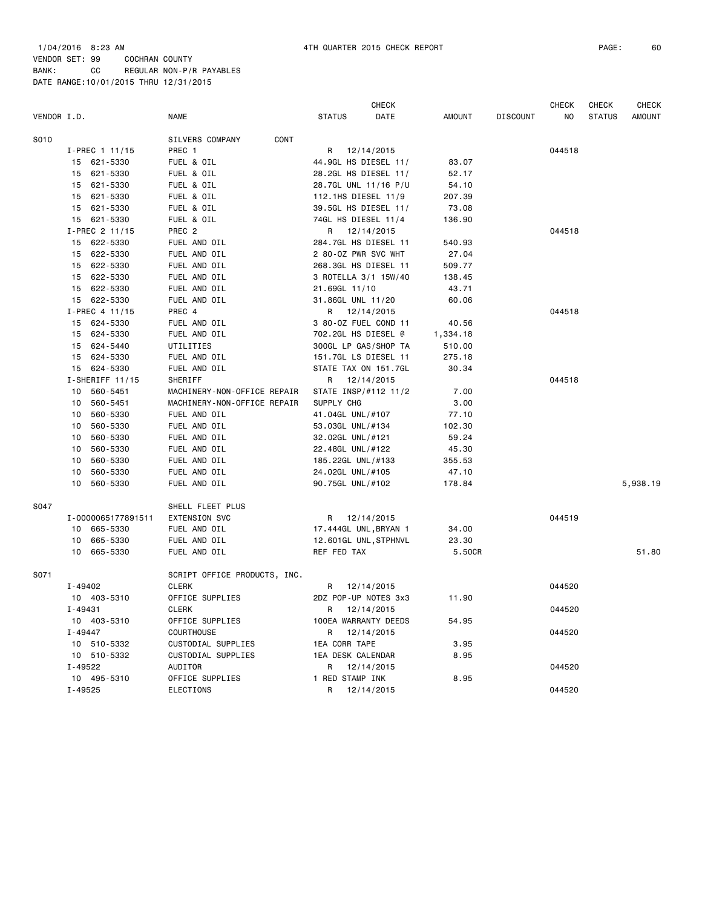|             |                    |                              | <b>CHECK</b>          |               |                 | <b>CHECK</b>   | <b>CHECK</b>  | <b>CHECK</b>  |
|-------------|--------------------|------------------------------|-----------------------|---------------|-----------------|----------------|---------------|---------------|
| VENDOR I.D. |                    | <b>NAME</b>                  | <b>STATUS</b><br>DATE | <b>AMOUNT</b> | <b>DISCOUNT</b> | N <sub>O</sub> | <b>STATUS</b> | <b>AMOUNT</b> |
| S010        |                    | CONT<br>SILVERS COMPANY      |                       |               |                 |                |               |               |
|             | I-PREC 1 11/15     | PREC 1                       | R 12/14/2015          |               |                 | 044518         |               |               |
|             | 15 621-5330        | FUEL & OIL                   | 44.9GL HS DIESEL 11/  | 83.07         |                 |                |               |               |
|             | 15 621-5330        | FUEL & OIL                   | 28.2GL HS DIESEL 11/  | 52.17         |                 |                |               |               |
|             | 15 621-5330        | FUEL & OIL                   | 28.7GL UNL 11/16 P/U  | 54.10         |                 |                |               |               |
|             | 15 621-5330        | FUEL & OIL                   | 112.1HS DIESEL 11/9   | 207.39        |                 |                |               |               |
|             | 15 621-5330        | FUEL & OIL                   | 39.5GL HS DIESEL 11/  | 73.08         |                 |                |               |               |
|             | 15 621-5330        | FUEL & OIL                   | 74GL HS DIESEL 11/4   | 136.90        |                 |                |               |               |
|             | I-PREC 2 11/15     | PREC <sub>2</sub>            | 12/14/2015<br>R       |               |                 | 044518         |               |               |
|             | 15 622-5330        | FUEL AND OIL                 | 284.7GL HS DIESEL 11  | 540.93        |                 |                |               |               |
|             | 15 622-5330        | FUEL AND OIL                 | 2 80-0Z PWR SVC WHT   | 27.04         |                 |                |               |               |
|             | 15 622-5330        | FUEL AND OIL                 | 268.3GL HS DIESEL 11  | 509.77        |                 |                |               |               |
|             | 15 622-5330        | FUEL AND OIL                 | 3 ROTELLA 3/1 15W/40  | 138.45        |                 |                |               |               |
|             | 15 622-5330        | FUEL AND OIL                 | 21.69GL 11/10         | 43.71         |                 |                |               |               |
|             | 15 622-5330        | FUEL AND OIL                 | 31.86GL UNL 11/20     | 60.06         |                 |                |               |               |
|             | I-PREC 4 11/15     | PREC 4                       | R 12/14/2015          |               |                 | 044518         |               |               |
|             | 15 624-5330        | FUEL AND OIL                 | 3 80-0Z FUEL COND 11  | 40.56         |                 |                |               |               |
|             | 15<br>624-5330     | FUEL AND OIL                 | 702.2GL HS DIESEL @   | 1,334.18      |                 |                |               |               |
|             | 15 624-5440        | UTILITIES                    | 300GL LP GAS/SHOP TA  | 510.00        |                 |                |               |               |
|             | 15 624-5330        | FUEL AND OIL                 | 151.7GL LS DIESEL 11  | 275.18        |                 |                |               |               |
|             | 15 624-5330        | FUEL AND OIL                 | STATE TAX ON 151.7GL  | 30.34         |                 |                |               |               |
|             | $I-SHERIFF 11/15$  | SHERIFF                      | 12/14/2015<br>R       |               |                 | 044518         |               |               |
|             | 560-5451<br>10     | MACHINERY-NON-OFFICE REPAIR  | STATE INSP/#112 11/2  | 7.00          |                 |                |               |               |
|             | 10<br>560-5451     | MACHINERY-NON-OFFICE REPAIR  | SUPPLY CHG            | 3.00          |                 |                |               |               |
|             | 560-5330<br>10     | FUEL AND OIL                 | 41.04GL UNL/#107      | 77.10         |                 |                |               |               |
|             | 10<br>560-5330     | FUEL AND OIL                 | 53.03GL UNL/#134      | 102.30        |                 |                |               |               |
|             | 560-5330<br>10     | FUEL AND OIL                 | 32.02GL UNL/#121      | 59.24         |                 |                |               |               |
|             | 560-5330<br>10     | FUEL AND OIL                 | 22.48GL UNL/#122      | 45.30         |                 |                |               |               |
|             | 560-5330<br>10     | FUEL AND OIL                 | 185.22GL UNL/#133     | 355.53        |                 |                |               |               |
|             | 10<br>560-5330     | FUEL AND OIL                 | 24.02GL UNL/#105      | 47.10         |                 |                |               |               |
|             | 10<br>560-5330     | FUEL AND OIL                 | 90.75GL UNL/#102      | 178.84        |                 |                |               | 5,938.19      |
| S047        |                    | SHELL FLEET PLUS             |                       |               |                 |                |               |               |
|             | I-0000065177891511 | <b>EXTENSION SVC</b>         | R<br>12/14/2015       |               |                 | 044519         |               |               |
|             | 10<br>665-5330     | FUEL AND OIL                 | 17.444GL UNL, BRYAN 1 | 34.00         |                 |                |               |               |
|             | 665-5330<br>10     | FUEL AND OIL                 | 12.601GL UNL, STPHNVL | 23.30         |                 |                |               |               |
|             | 10 665-5330        | FUEL AND OIL                 | REF FED TAX           | 5.50CR        |                 |                |               | 51.80         |
| S071        |                    | SCRIPT OFFICE PRODUCTS, INC. |                       |               |                 |                |               |               |
|             | I-49402            | <b>CLERK</b>                 | 12/14/2015<br>R.      |               |                 | 044520         |               |               |
|             | 10 403-5310        | OFFICE SUPPLIES              | 2DZ POP-UP NOTES 3x3  | 11.90         |                 |                |               |               |
|             | $I - 49431$        | <b>CLERK</b>                 | 12/14/2015<br>R.      |               |                 | 044520         |               |               |
|             | 10 403-5310        | OFFICE SUPPLIES              | 100EA WARRANTY DEEDS  | 54.95         |                 |                |               |               |
|             | $I - 49447$        | <b>COURTHOUSE</b>            | R<br>12/14/2015       |               |                 | 044520         |               |               |
|             | 10 510-5332        | CUSTODIAL SUPPLIES           | 1EA CORR TAPE         | 3.95          |                 |                |               |               |
|             | 10 510-5332        | CUSTODIAL SUPPLIES           | 1EA DESK CALENDAR     | 8.95          |                 |                |               |               |
|             | I-49522            | AUDITOR                      | R<br>12/14/2015       |               |                 | 044520         |               |               |
|             | 10 495-5310        | OFFICE SUPPLIES              | 1 RED STAMP INK       | 8.95          |                 |                |               |               |
|             | $I - 49525$        | ELECTIONS                    | R<br>12/14/2015       |               |                 | 044520         |               |               |
|             |                    |                              |                       |               |                 |                |               |               |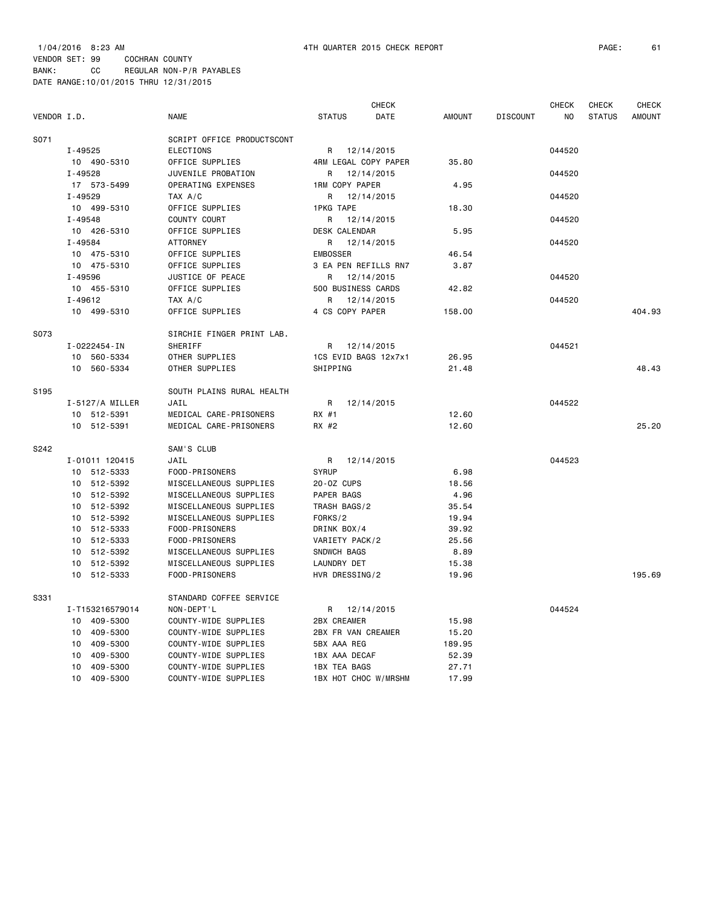1/04/2016 8:23 AM 4TH QUARTER 2015 CHECK REPORT PAGE: 61 VENDOR SET: 99 COCHRAN COUNTY BANK: CC REGULAR NON-P/R PAYABLES

DATE RANGE:10/01/2015 THRU 12/31/2015

|             |                 |                            |                      | <b>CHECK</b>         |               |                 | <b>CHECK</b> | <b>CHECK</b>  | <b>CHECK</b>  |
|-------------|-----------------|----------------------------|----------------------|----------------------|---------------|-----------------|--------------|---------------|---------------|
| VENDOR I.D. |                 | <b>NAME</b>                | <b>STATUS</b>        | DATE                 | <b>AMOUNT</b> | <b>DISCOUNT</b> | NO           | <b>STATUS</b> | <b>AMOUNT</b> |
| S071        |                 | SCRIPT OFFICE PRODUCTSCONT |                      |                      |               |                 |              |               |               |
|             | $I - 49525$     | <b>ELECTIONS</b>           |                      | R 12/14/2015         |               |                 | 044520       |               |               |
|             | 10 490-5310     | OFFICE SUPPLIES            |                      | 4RM LEGAL COPY PAPER | 35.80         |                 |              |               |               |
|             | $I - 49528$     | JUVENILE PROBATION         | R                    | 12/14/2015           |               |                 | 044520       |               |               |
|             | 17 573-5499     | OPERATING EXPENSES         | 1RM COPY PAPER       |                      | 4.95          |                 |              |               |               |
|             | $I - 49529$     | TAX A/C                    | R                    | 12/14/2015           |               |                 | 044520       |               |               |
|             | 10 499-5310     | OFFICE SUPPLIES            | <b>1PKG TAPE</b>     |                      | 18.30         |                 |              |               |               |
|             | $I - 49548$     | COUNTY COURT               | R                    | 12/14/2015           |               |                 | 044520       |               |               |
|             | 10 426-5310     | OFFICE SUPPLIES            | <b>DESK CALENDAR</b> |                      | 5.95          |                 |              |               |               |
|             | I-49584         | <b>ATTORNEY</b>            | R                    | 12/14/2015           |               |                 | 044520       |               |               |
|             | 10 475-5310     | OFFICE SUPPLIES            | <b>EMBOSSER</b>      |                      | 46.54         |                 |              |               |               |
|             | 10 475-5310     | OFFICE SUPPLIES            |                      | 3 EA PEN REFILLS RN7 | 3.87          |                 |              |               |               |
|             | I-49596         | JUSTICE OF PEACE           | R                    | 12/14/2015           |               |                 | 044520       |               |               |
|             | 10 455-5310     | OFFICE SUPPLIES            | 500 BUSINESS CARDS   |                      | 42.82         |                 |              |               |               |
|             | $I - 49612$     | TAX A/C                    | R                    | 12/14/2015           |               |                 | 044520       |               |               |
|             | 10 499-5310     | OFFICE SUPPLIES            | 4 CS COPY PAPER      |                      | 158.00        |                 |              |               | 404.93        |
| S073        |                 | SIRCHIE FINGER PRINT LAB.  |                      |                      |               |                 |              |               |               |
|             | I-0222454-IN    | SHERIFF                    | R                    | 12/14/2015           |               |                 | 044521       |               |               |
|             | 10 560-5334     | OTHER SUPPLIES             |                      | 1CS EVID BAGS 12x7x1 | 26.95         |                 |              |               |               |
|             | 10 560-5334     | OTHER SUPPLIES             | SHIPPING             |                      | 21.48         |                 |              |               | 48.43         |
| S195        |                 | SOUTH PLAINS RURAL HEALTH  |                      |                      |               |                 |              |               |               |
|             | I-5127/A MILLER | JAIL                       | R                    | 12/14/2015           |               |                 | 044522       |               |               |
|             | 10 512-5391     | MEDICAL CARE-PRISONERS     | RX #1                |                      | 12.60         |                 |              |               |               |
|             | 10 512-5391     | MEDICAL CARE-PRISONERS     | RX #2                |                      | 12.60         |                 |              |               | 25.20         |
| S242        |                 | SAM'S CLUB                 |                      |                      |               |                 |              |               |               |
|             | I-01011 120415  | JAIL                       | R                    | 12/14/2015           |               |                 | 044523       |               |               |
|             | 10 512-5333     | FOOD-PRISONERS             | <b>SYRUP</b>         |                      | 6.98          |                 |              |               |               |
|             | 10 512-5392     | MISCELLANEOUS SUPPLIES     | 20-0Z CUPS           |                      | 18.56         |                 |              |               |               |
|             | 10 512-5392     | MISCELLANEOUS SUPPLIES     | PAPER BAGS           |                      | 4.96          |                 |              |               |               |
|             | 10 512-5392     | MISCELLANEOUS SUPPLIES     | TRASH BAGS/2         |                      | 35.54         |                 |              |               |               |
|             | 10 512-5392     | MISCELLANEOUS SUPPLIES     | FORKS/2              |                      | 19.94         |                 |              |               |               |
|             | 10 512-5333     | FOOD-PRISONERS             | DRINK BOX/4          |                      | 39.92         |                 |              |               |               |
|             | 10 512-5333     | FOOD-PRISONERS             | VARIETY PACK/2       |                      | 25.56         |                 |              |               |               |
|             | 10 512-5392     | MISCELLANEOUS SUPPLIES     | SNDWCH BAGS          |                      | 8.89          |                 |              |               |               |
|             | 10 512-5392     | MISCELLANEOUS SUPPLIES     | LAUNDRY DET          |                      | 15.38         |                 |              |               |               |
|             | 10 512-5333     | FOOD-PRISONERS             | HVR DRESSING/2       |                      | 19.96         |                 |              |               | 195.69        |
| S331        |                 | STANDARD COFFEE SERVICE    |                      |                      |               |                 |              |               |               |
|             | I-T153216579014 | NON-DEPT'L                 | R                    | 12/14/2015           |               |                 | 044524       |               |               |
|             | 10 409-5300     | COUNTY-WIDE SUPPLIES       | <b>2BX CREAMER</b>   |                      | 15.98         |                 |              |               |               |
|             | 409-5300<br>10  | COUNTY-WIDE SUPPLIES       | 2BX FR VAN CREAMER   |                      | 15.20         |                 |              |               |               |
|             | 409-5300<br>10  | COUNTY-WIDE SUPPLIES       | 5BX AAA REG          |                      | 189.95        |                 |              |               |               |
|             | 409-5300<br>10  | COUNTY-WIDE SUPPLIES       | 1BX AAA DECAF        |                      | 52.39         |                 |              |               |               |
|             | 10<br>409-5300  | COUNTY-WIDE SUPPLIES       | 1BX TEA BAGS         |                      | 27.71         |                 |              |               |               |

10 409-5300 COUNTY-WIDE SUPPLIES 1BX HOT CHOC W/MRSHM 17.99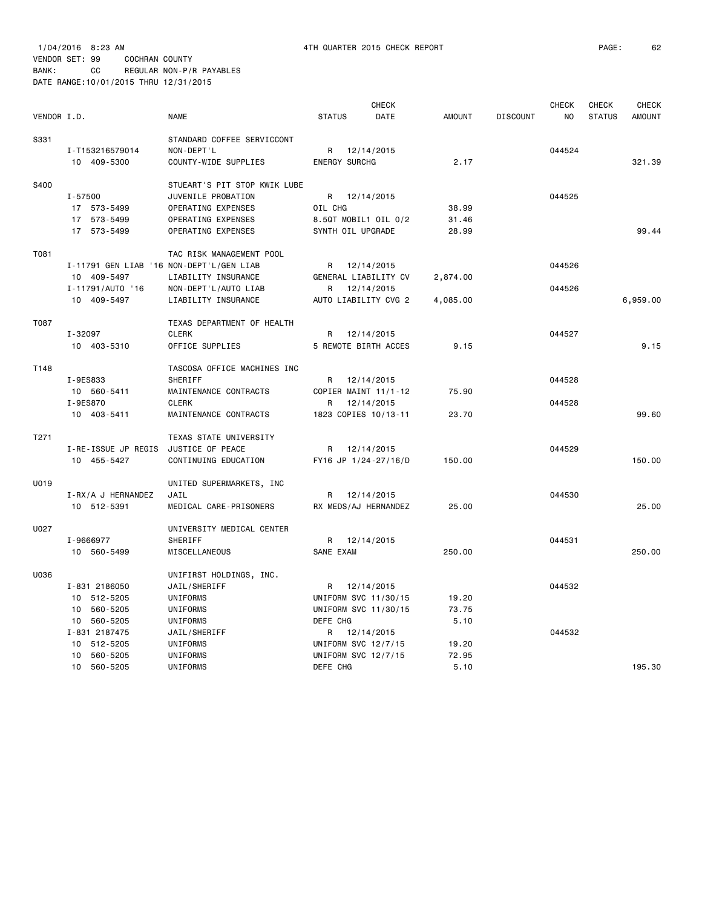|                  |                                          |                              |                            | CHECK      |               |                 | <b>CHECK</b> | <b>CHECK</b>  | <b>CHECK</b>  |
|------------------|------------------------------------------|------------------------------|----------------------------|------------|---------------|-----------------|--------------|---------------|---------------|
| VENDOR I.D.      |                                          | <b>NAME</b>                  | <b>STATUS</b>              | DATE       | <b>AMOUNT</b> | <b>DISCOUNT</b> | NO           | <b>STATUS</b> | <b>AMOUNT</b> |
| S331             |                                          | STANDARD COFFEE SERVICCONT   |                            |            |               |                 |              |               |               |
|                  | I-T153216579014                          | NON-DEPT'L                   | R 12/14/2015               |            |               |                 | 044524       |               |               |
|                  | 10 409-5300                              | COUNTY-WIDE SUPPLIES         | <b>ENERGY SURCHG</b>       |            | 2.17          |                 |              |               | 321.39        |
|                  |                                          |                              |                            |            |               |                 |              |               |               |
| S400             |                                          | STUEART'S PIT STOP KWIK LUBE |                            |            |               |                 |              |               |               |
|                  | I-57500                                  | JUVENILE PROBATION           | R 12/14/2015               |            |               |                 | 044525       |               |               |
|                  | 17 573-5499                              | OPERATING EXPENSES           | OIL CHG                    |            | 38.99         |                 |              |               |               |
|                  | 17 573-5499                              | OPERATING EXPENSES           | 8.50T MOBIL1 OIL 0/2       |            | 31.46         |                 |              |               |               |
|                  | 17 573-5499                              | OPERATING EXPENSES           | SYNTH OIL UPGRADE          |            | 28.99         |                 |              |               | 99.44         |
| T081             |                                          | TAC RISK MANAGEMENT POOL     |                            |            |               |                 |              |               |               |
|                  |                                          |                              |                            |            |               |                 |              |               |               |
|                  | I-11791 GEN LIAB '16 NON-DEPT'L/GEN LIAB |                              | R 12/14/2015               |            |               |                 | 044526       |               |               |
|                  | 10 409-5497                              | LIABILITY INSURANCE          | GENERAL LIABILITY CV       |            | 2,874.00      |                 |              |               |               |
|                  | I-11791/AUTO '16                         | NON-DEPT'L/AUTO LIAB         | R                          | 12/14/2015 |               |                 | 044526       |               |               |
|                  | 10 409-5497                              | LIABILITY INSURANCE          | AUTO LIABILITY CVG 2       |            | 4,085.00      |                 |              |               | 6,959.00      |
| T087             |                                          | TEXAS DEPARTMENT OF HEALTH   |                            |            |               |                 |              |               |               |
|                  | I-32097                                  | CLERK                        | R 12/14/2015               |            |               |                 | 044527       |               |               |
|                  | 10 403-5310                              | OFFICE SUPPLIES              | 5 REMOTE BIRTH ACCES       |            | 9.15          |                 |              |               | 9.15          |
|                  |                                          |                              |                            |            |               |                 |              |               |               |
| T148             |                                          | TASCOSA OFFICE MACHINES INC  |                            |            |               |                 |              |               |               |
|                  | I-9ES833                                 | <b>SHERIFF</b>               | R 12/14/2015               |            |               |                 | 044528       |               |               |
|                  | 10 560-5411                              | MAINTENANCE CONTRACTS        | COPIER MAINT 11/1-12       |            | 75.90         |                 |              |               |               |
|                  | I-9ES870                                 | <b>CLERK</b>                 | R                          | 12/14/2015 |               |                 | 044528       |               |               |
|                  | 10 403-5411                              | MAINTENANCE CONTRACTS        | 1823 COPIES 10/13-11       |            | 23.70         |                 |              |               | 99.60         |
| T <sub>271</sub> |                                          | TEXAS STATE UNIVERSITY       |                            |            |               |                 |              |               |               |
|                  | I-RE-ISSUE JP REGIS                      | JUSTICE OF PEACE             | R 12/14/2015               |            |               |                 | 044529       |               |               |
|                  | 10 455-5427                              | CONTINUING EDUCATION         | FY16 JP 1/24-27/16/D       |            | 150.00        |                 |              |               | 150.00        |
|                  |                                          |                              |                            |            |               |                 |              |               |               |
| U019             |                                          | UNITED SUPERMARKETS, INC     |                            |            |               |                 |              |               |               |
|                  | I-RX/A J HERNANDEZ                       | JAIL                         | R 12/14/2015               |            |               |                 | 044530       |               |               |
|                  | 10 512-5391                              | MEDICAL CARE-PRISONERS       | RX MEDS/AJ HERNANDEZ       |            | 25.00         |                 |              |               | 25,00         |
| U027             |                                          | UNIVERSITY MEDICAL CENTER    |                            |            |               |                 |              |               |               |
|                  | I-9666977                                | SHERIFF                      | R 12/14/2015               |            |               |                 | 044531       |               |               |
|                  | 10 560-5499                              | MISCELLANEOUS                | SANE EXAM                  |            | 250.00        |                 |              |               | 250.00        |
| U036             |                                          |                              |                            |            |               |                 |              |               |               |
|                  |                                          | UNIFIRST HOLDINGS, INC.      |                            |            |               |                 |              |               |               |
|                  | I-831 2186050                            | JAIL/SHERIFF                 | R 12/14/2015               |            |               |                 | 044532       |               |               |
|                  | 10 512-5205                              | UNIFORMS                     | UNIFORM SVC 11/30/15       |            | 19.20         |                 |              |               |               |
|                  | 10 560-5205                              | UNIFORMS                     | UNIFORM SVC 11/30/15       |            | 73.75         |                 |              |               |               |
|                  | 10 560-5205                              | UNIFORMS                     | DEFE CHG                   |            | 5.10          |                 |              |               |               |
|                  | I-831 2187475                            | JAIL/SHERIFF                 | R                          | 12/14/2015 |               |                 | 044532       |               |               |
|                  | 10 512-5205                              | UNIFORMS                     | UNIFORM SVC 12/7/15        |            | 19.20         |                 |              |               |               |
|                  | 10 560-5205                              | UNIFORMS                     | <b>UNIFORM SVC 12/7/15</b> |            | 72.95         |                 |              |               |               |
|                  | 10 560-5205                              | UNIFORMS                     | DEFE CHG                   |            | 5.10          |                 |              |               | 195.30        |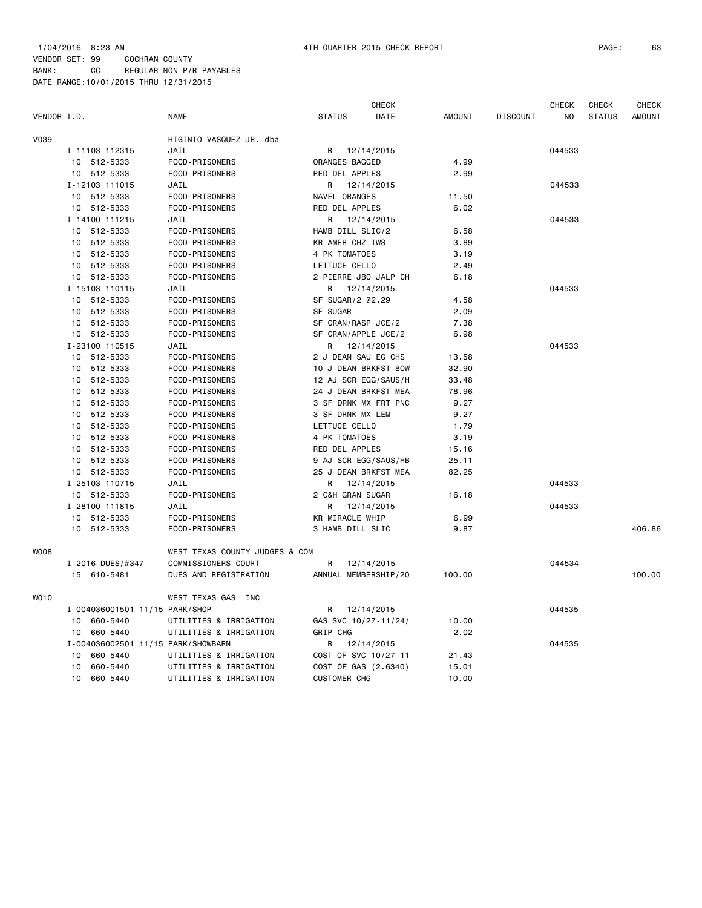|             |    |                                    |                                |                     | <b>CHECK</b>         |               |                 | <b>CHECK</b>   | <b>CHECK</b>  | <b>CHECK</b>  |
|-------------|----|------------------------------------|--------------------------------|---------------------|----------------------|---------------|-----------------|----------------|---------------|---------------|
| VENDOR I.D. |    |                                    | <b>NAME</b>                    | <b>STATUS</b>       | DATE                 | <b>AMOUNT</b> | <b>DISCOUNT</b> | N <sub>O</sub> | <b>STATUS</b> | <b>AMOUNT</b> |
| V039        |    |                                    | HIGINIO VASQUEZ JR. dba        |                     |                      |               |                 |                |               |               |
|             |    | I-11103 112315                     | JAIL                           | R                   | 12/14/2015           |               |                 | 044533         |               |               |
|             |    | 10 512-5333                        | FOOD-PRISONERS                 | ORANGES BAGGED      |                      | 4.99          |                 |                |               |               |
|             |    | 10 512-5333                        | FOOD-PRISONERS                 | RED DEL APPLES      |                      | 2.99          |                 |                |               |               |
|             |    | I-12103 111015                     | JAIL                           | R                   | 12/14/2015           |               |                 | 044533         |               |               |
|             |    | 10 512-5333                        | FOOD-PRISONERS                 | NAVEL ORANGES       |                      | 11.50         |                 |                |               |               |
|             |    | 10 512-5333                        | FOOD-PRISONERS                 | RED DEL APPLES      |                      | 6.02          |                 |                |               |               |
|             |    | I-14100 111215                     | JAIL                           | R                   | 12/14/2015           |               |                 | 044533         |               |               |
|             |    | 10 512-5333                        | FOOD-PRISONERS                 | HAMB DILL SLIC/2    |                      | 6.58          |                 |                |               |               |
|             |    | 10 512-5333                        | FOOD-PRISONERS                 | KR AMER CHZ IWS     |                      | 3.89          |                 |                |               |               |
|             |    | 10 512-5333                        | FOOD-PRISONERS                 | 4 PK TOMATOES       |                      | 3.19          |                 |                |               |               |
|             |    | 10 512-5333                        | FOOD-PRISONERS                 | LETTUCE CELLO       |                      | 2.49          |                 |                |               |               |
|             |    | 10 512-5333                        | FOOD-PRISONERS                 |                     | 2 PIERRE JBO JALP CH | 6.18          |                 |                |               |               |
|             |    | I-15103 110115                     | JAIL                           | R                   | 12/14/2015           |               |                 | 044533         |               |               |
|             |    | 10 512-5333                        | FOOD-PRISONERS                 | SF SUGAR/2 @2.29    |                      | 4.58          |                 |                |               |               |
|             | 10 | 512-5333                           | FOOD-PRISONERS                 | SF SUGAR            |                      | 2.09          |                 |                |               |               |
|             | 10 | 512-5333                           | FOOD-PRISONERS                 | SF CRAN/RASP JCE/2  |                      | 7.38          |                 |                |               |               |
|             |    | 10 512-5333                        | FOOD-PRISONERS                 | SF CRAN/APPLE JCE/2 |                      | 6.98          |                 |                |               |               |
|             |    | I-23100 110515                     | JAIL                           | R.                  | 12/14/2015           |               |                 | 044533         |               |               |
|             |    | 10 512-5333                        | FOOD-PRISONERS                 | 2 J DEAN SAU EG CHS |                      | 13.58         |                 |                |               |               |
|             |    | 10 512-5333                        | FOOD-PRISONERS                 |                     | 10 J DEAN BRKFST BOW | 32.90         |                 |                |               |               |
|             | 10 | 512-5333                           | FOOD-PRISONERS                 |                     | 12 AJ SCR EGG/SAUS/H | 33.48         |                 |                |               |               |
|             | 10 | 512-5333                           | FOOD-PRISONERS                 |                     | 24 J DEAN BRKFST MEA | 78.96         |                 |                |               |               |
|             | 10 | 512-5333                           | FOOD-PRISONERS                 |                     | 3 SF DRNK MX FRT PNC | 9.27          |                 |                |               |               |
|             |    | 10 512-5333                        | FOOD-PRISONERS                 | 3 SF DRNK MX LEM    |                      | 9.27          |                 |                |               |               |
|             | 10 | 512-5333                           | FOOD-PRISONERS                 | LETTUCE CELLO       |                      | 1.79          |                 |                |               |               |
|             |    | 10 512-5333                        | FOOD-PRISONERS                 | 4 PK TOMATOES       |                      | 3.19          |                 |                |               |               |
|             |    | 10 512-5333                        | FOOD-PRISONERS                 | RED DEL APPLES      |                      | 15.16         |                 |                |               |               |
|             |    | 10 512-5333                        | FOOD-PRISONERS                 |                     | 9 AJ SCR EGG/SAUS/HB | 25.11         |                 |                |               |               |
|             |    | 10 512-5333                        | FOOD-PRISONERS                 |                     | 25 J DEAN BRKFST MEA | 82.25         |                 |                |               |               |
|             |    | I-25103 110715                     | JAIL                           | R                   | 12/14/2015           |               |                 | 044533         |               |               |
|             |    | 10 512-5333                        | FOOD-PRISONERS                 | 2 C&H GRAN SUGAR    |                      | 16.18         |                 |                |               |               |
|             |    | I-28100 111815                     | JAIL                           | R                   | 12/14/2015           |               |                 | 044533         |               |               |
|             | 10 | 512-5333                           | FOOD-PRISONERS                 | KR MIRACLE WHIP     |                      | 6.99          |                 |                |               |               |
|             |    | 10 512-5333                        | FOOD-PRISONERS                 | 3 HAMB DILL SLIC    |                      | 9.87          |                 |                |               | 406.86        |
| <b>WOO8</b> |    |                                    | WEST TEXAS COUNTY JUDGES & COM |                     |                      |               |                 |                |               |               |
|             |    | I-2016 DUES/#347                   | COMMISSIONERS COURT            | R                   | 12/14/2015           |               |                 | 044534         |               |               |
|             |    | 15 610-5481                        | DUES AND REGISTRATION          |                     | ANNUAL MEMBERSHIP/20 | 100.00        |                 |                |               | 100.00        |
| <b>WO10</b> |    |                                    | WEST TEXAS GAS INC             |                     |                      |               |                 |                |               |               |
|             |    | I-004036001501 11/15 PARK/SHOP     |                                | R                   | 12/14/2015           |               |                 | 044535         |               |               |
|             |    | 10 660-5440                        | UTILITIES & IRRIGATION         |                     | GAS SVC 10/27-11/24/ | 10.00         |                 |                |               |               |
|             | 10 | 660-5440                           | UTILITIES & IRRIGATION         | GRIP CHG            |                      | 2.02          |                 |                |               |               |
|             |    | I-004036002501 11/15 PARK/SHOWBARN |                                | R                   | 12/14/2015           |               |                 | 044535         |               |               |
|             | 10 | 660-5440                           | UTILITIES & IRRIGATION         |                     | COST OF SVC 10/27-11 | 21.43         |                 |                |               |               |
|             | 10 | 660-5440                           | UTILITIES & IRRIGATION         |                     | COST OF GAS (2.6340) | 15.01         |                 |                |               |               |
|             | 10 | 660-5440                           | UTILITIES & IRRIGATION         | <b>CUSTOMER CHG</b> |                      | 10.00         |                 |                |               |               |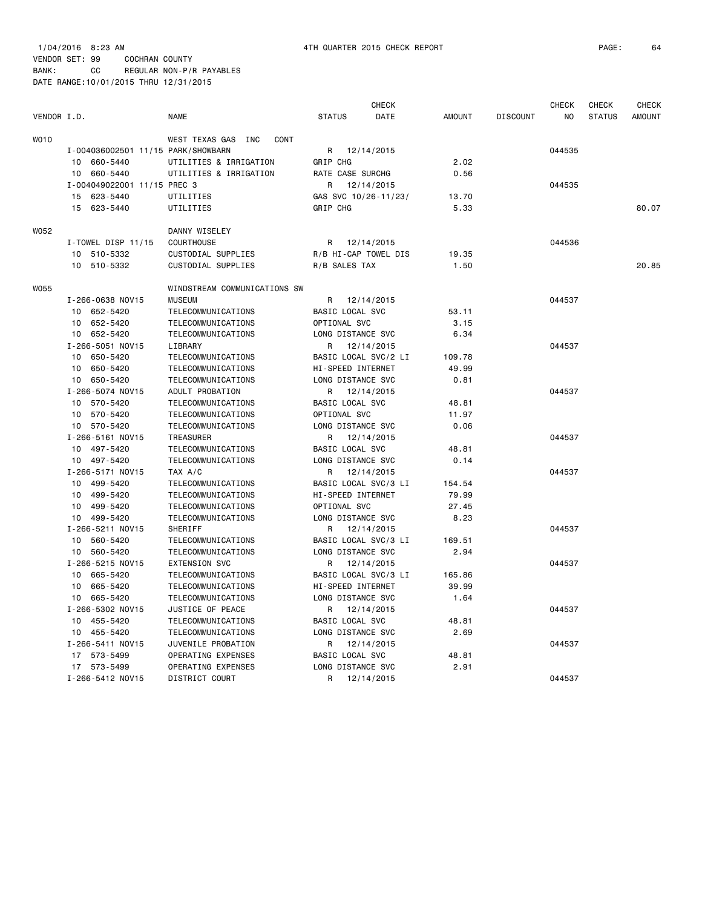|             |                                    |                              |                      | <b>CHECK</b> |               |                 | <b>CHECK</b>   | <b>CHECK</b>  | <b>CHECK</b>  |
|-------------|------------------------------------|------------------------------|----------------------|--------------|---------------|-----------------|----------------|---------------|---------------|
| VENDOR I.D. |                                    | <b>NAME</b>                  | <b>STATUS</b>        | DATE         | <b>AMOUNT</b> | <b>DISCOUNT</b> | N <sub>O</sub> | <b>STATUS</b> | <b>AMOUNT</b> |
| <b>WO10</b> |                                    | WEST TEXAS GAS INC<br>CONT   |                      |              |               |                 |                |               |               |
|             | I-004036002501 11/15 PARK/SHOWBARN |                              | R                    | 12/14/2015   |               |                 | 044535         |               |               |
|             | 10 660-5440                        | UTILITIES & IRRIGATION       | GRIP CHG             |              | 2.02          |                 |                |               |               |
|             | 660-5440<br>10                     | UTILITIES & IRRIGATION       | RATE CASE SURCHG     |              | 0.56          |                 |                |               |               |
|             | I-004049022001 11/15 PREC 3        |                              | R                    | 12/14/2015   |               |                 | 044535         |               |               |
|             | 15 623-5440                        | UTILITIES                    | GAS SVC 10/26-11/23/ |              | 13.70         |                 |                |               |               |
|             | 15 623-5440                        | UTILITIES                    | GRIP CHG             |              | 5.33          |                 |                |               | 80.07         |
| W052        |                                    | DANNY WISELEY                |                      |              |               |                 |                |               |               |
|             | $I$ -TOWEL DISP 11/15              | <b>COURTHOUSE</b>            | R                    | 12/14/2015   |               |                 | 044536         |               |               |
|             | 10 510-5332                        | CUSTODIAL SUPPLIES           | R/B HI-CAP TOWEL DIS |              | 19.35         |                 |                |               |               |
|             | 10 510-5332                        | CUSTODIAL SUPPLIES           | R/B SALES TAX        |              | 1.50          |                 |                |               | 20,85         |
| W055        |                                    | WINDSTREAM COMMUNICATIONS SW |                      |              |               |                 |                |               |               |
|             | I-266-0638 NOV15                   | <b>MUSEUM</b>                | R                    | 12/14/2015   |               |                 | 044537         |               |               |
|             | 10 652-5420                        | TELECOMMUNICATIONS           | BASIC LOCAL SVC      |              | 53.11         |                 |                |               |               |
|             | 10 652-5420                        | TELECOMMUNICATIONS           | OPTIONAL SVC         |              | 3.15          |                 |                |               |               |
|             | 10 652-5420                        | TELECOMMUNICATIONS           | LONG DISTANCE SVC    |              | 6.34          |                 |                |               |               |
|             | I-266-5051 NOV15                   | LIBRARY                      | R                    | 12/14/2015   |               |                 | 044537         |               |               |
|             | 10 650-5420                        | TELECOMMUNICATIONS           | BASIC LOCAL SVC/2 LI |              | 109.78        |                 |                |               |               |
|             | 10 650-5420                        | TELECOMMUNICATIONS           | HI-SPEED INTERNET    |              | 49.99         |                 |                |               |               |
|             | 10 650-5420                        | TELECOMMUNICATIONS           | LONG DISTANCE SVC    |              | 0.81          |                 |                |               |               |
|             | I-266-5074 NOV15                   | ADULT PROBATION              | R                    | 12/14/2015   |               |                 | 044537         |               |               |
|             | 10 570-5420                        | TELECOMMUNICATIONS           | BASIC LOCAL SVC      |              | 48.81         |                 |                |               |               |
|             | 10 570-5420                        | TELECOMMUNICATIONS           | OPTIONAL SVC         |              | 11.97         |                 |                |               |               |
|             | 10 570-5420                        | TELECOMMUNICATIONS           | LONG DISTANCE SVC    |              | 0.06          |                 |                |               |               |
|             | I-266-5161 NOV15                   | TREASURER                    | R                    | 12/14/2015   |               |                 | 044537         |               |               |
|             | 10 497-5420                        | TELECOMMUNICATIONS           | BASIC LOCAL SVC      |              | 48.81         |                 |                |               |               |
|             | 10 497-5420                        | TELECOMMUNICATIONS           | LONG DISTANCE SVC    |              | 0.14          |                 |                |               |               |
|             | I-266-5171 NOV15                   | TAX A/C                      | R                    | 12/14/2015   |               |                 | 044537         |               |               |
|             | 10 499-5420                        | TELECOMMUNICATIONS           | BASIC LOCAL SVC/3 LI |              | 154.54        |                 |                |               |               |
|             | 10 499-5420                        | TELECOMMUNICATIONS           | HI-SPEED INTERNET    |              | 79.99         |                 |                |               |               |
|             | 10 499-5420                        | TELECOMMUNICATIONS           | OPTIONAL SVC         |              | 27.45         |                 |                |               |               |
|             | 10 499-5420                        | TELECOMMUNICATIONS           | LONG DISTANCE SVC    |              | 8.23          |                 |                |               |               |
|             | I-266-5211 NOV15                   | SHERIFF                      | R                    | 12/14/2015   |               |                 | 044537         |               |               |
|             | 10 560-5420                        | TELECOMMUNICATIONS           | BASIC LOCAL SVC/3 LI |              | 169.51        |                 |                |               |               |
|             | 10 560-5420                        | TELECOMMUNICATIONS           | LONG DISTANCE SVC    |              | 2.94          |                 |                |               |               |
|             | I-266-5215 NOV15                   | <b>EXTENSION SVC</b>         | R                    | 12/14/2015   |               |                 | 044537         |               |               |
|             | 10 665-5420                        | TELECOMMUNICATIONS           | BASIC LOCAL SVC/3 LI |              | 165.86        |                 |                |               |               |
|             | 10 665-5420                        | TELECOMMUNICATIONS           | HI-SPEED INTERNET    |              | 39.99         |                 |                |               |               |
|             | 10 665-5420                        | TELECOMMUNICATIONS           | LONG DISTANCE SVC    |              | 1.64          |                 |                |               |               |
|             | I-266-5302 NOV15                   | JUSTICE OF PEACE             | R                    | 12/14/2015   |               |                 | 044537         |               |               |
|             | 10 455-5420                        | TELECOMMUNICATIONS           | BASIC LOCAL SVC      |              | 48.81         |                 |                |               |               |
|             | 10 455-5420                        | TELECOMMUNICATIONS           | LONG DISTANCE SVC    |              | 2.69          |                 |                |               |               |
|             | I-266-5411 NOV15                   | JUVENILE PROBATION           | R                    | 12/14/2015   |               |                 | 044537         |               |               |
|             | 17 573-5499                        | OPERATING EXPENSES           | BASIC LOCAL SVC      |              | 48.81         |                 |                |               |               |
|             | 17 573-5499                        | OPERATING EXPENSES           | LONG DISTANCE SVC    |              | 2.91          |                 |                |               |               |

I-266-5412 NOV15 DISTRICT COURT R 12/14/2015 044537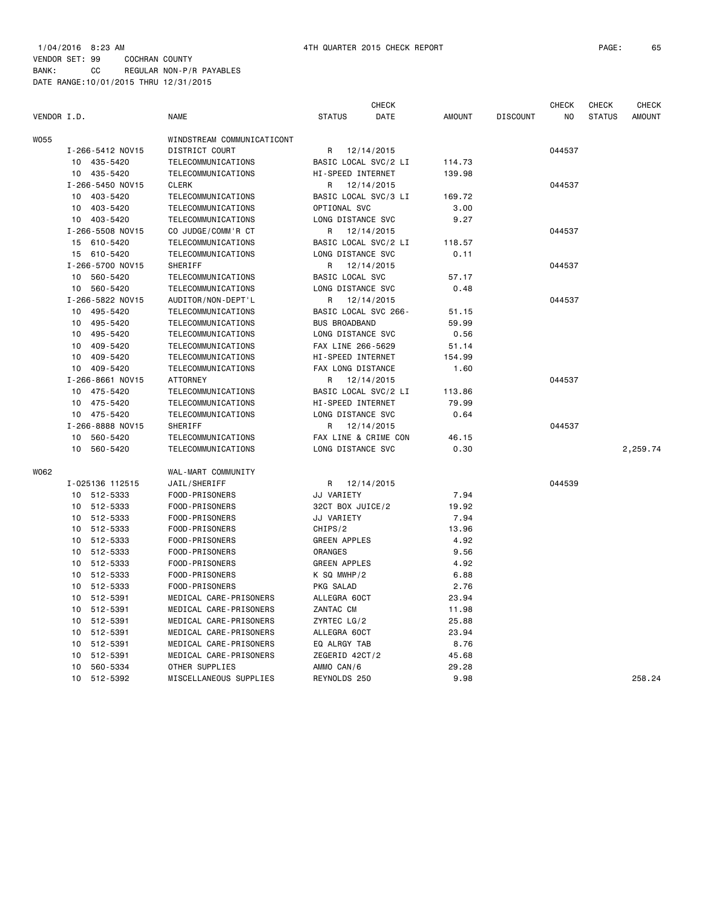| VENDOR I.D. |    |                  | <b>NAME</b>                | <b>STATUS</b>        | <b>CHECK</b><br>DATE | <b>AMOUNT</b> | <b>DISCOUNT</b> | <b>CHECK</b><br>NO | CHECK<br><b>STATUS</b> | <b>CHECK</b><br><b>AMOUNT</b> |
|-------------|----|------------------|----------------------------|----------------------|----------------------|---------------|-----------------|--------------------|------------------------|-------------------------------|
|             |    |                  |                            |                      |                      |               |                 |                    |                        |                               |
| <b>W055</b> |    |                  | WINDSTREAM COMMUNICATICONT |                      |                      |               |                 |                    |                        |                               |
|             |    | I-266-5412 NOV15 | <b>DISTRICT COURT</b>      | R                    | 12/14/2015           |               |                 | 044537             |                        |                               |
|             | 10 | 435-5420         | TELECOMMUNICATIONS         | BASIC LOCAL SVC/2 LI |                      | 114.73        |                 |                    |                        |                               |
|             | 10 | 435-5420         | TELECOMMUNICATIONS         | HI-SPEED INTERNET    |                      | 139.98        |                 |                    |                        |                               |
|             |    | I-266-5450 NOV15 | <b>CLERK</b>               | R                    | 12/14/2015           |               |                 | 044537             |                        |                               |
|             | 10 | 403-5420         | TELECOMMUNICATIONS         | BASIC LOCAL SVC/3 LI |                      | 169.72        |                 |                    |                        |                               |
|             | 10 | 403-5420         | TELECOMMUNICATIONS         | OPTIONAL SVC         |                      | 3.00          |                 |                    |                        |                               |
|             | 10 | 403-5420         | TELECOMMUNICATIONS         | LONG DISTANCE SVC    |                      | 9.27          |                 |                    |                        |                               |
|             |    | I-266-5508 NOV15 | CO JUDGE/COMM'R CT         | R                    | 12/14/2015           |               |                 | 044537             |                        |                               |
|             |    | 15 610-5420      | TELECOMMUNICATIONS         | BASIC LOCAL SVC/2 LI |                      | 118.57        |                 |                    |                        |                               |
|             |    | 15 610-5420      | TELECOMMUNICATIONS         | LONG DISTANCE SVC    |                      | 0.11          |                 |                    |                        |                               |
|             |    | I-266-5700 NOV15 | SHERIFF                    | R                    | 12/14/2015           |               |                 | 044537             |                        |                               |
|             | 10 | 560-5420         | TELECOMMUNICATIONS         | BASIC LOCAL SVC      |                      | 57.17         |                 |                    |                        |                               |
|             | 10 | 560-5420         | TELECOMMUNICATIONS         | LONG DISTANCE SVC    |                      | 0.48          |                 |                    |                        |                               |
|             |    | I-266-5822 NOV15 | AUDITOR/NON-DEPT'L         | R                    | 12/14/2015           |               |                 | 044537             |                        |                               |
|             | 10 | 495-5420         | TELECOMMUNICATIONS         | BASIC LOCAL SVC 266- |                      | 51.15         |                 |                    |                        |                               |
|             | 10 | 495-5420         | TELECOMMUNICATIONS         | <b>BUS BROADBAND</b> |                      | 59.99         |                 |                    |                        |                               |
|             | 10 | 495-5420         | TELECOMMUNICATIONS         | LONG DISTANCE SVC    |                      | 0.56          |                 |                    |                        |                               |
|             | 10 | 409-5420         | TELECOMMUNICATIONS         | FAX LINE 266-5629    |                      | 51.14         |                 |                    |                        |                               |
|             | 10 | 409-5420         | TELECOMMUNICATIONS         | HI-SPEED INTERNET    |                      | 154.99        |                 |                    |                        |                               |
|             | 10 | 409-5420         | TELECOMMUNICATIONS         | FAX LONG DISTANCE    |                      | 1.60          |                 |                    |                        |                               |
|             |    | I-266-8661 NOV15 | <b>ATTORNEY</b>            | R                    | 12/14/2015           |               |                 | 044537             |                        |                               |
|             | 10 | 475-5420         | TELECOMMUNICATIONS         | BASIC LOCAL SVC/2 LI |                      | 113.86        |                 |                    |                        |                               |
|             | 10 | 475-5420         | TELECOMMUNICATIONS         | HI-SPEED INTERNET    |                      | 79.99         |                 |                    |                        |                               |
|             | 10 | 475-5420         | TELECOMMUNICATIONS         | LONG DISTANCE SVC    |                      | 0.64          |                 |                    |                        |                               |
|             |    | I-266-8888 NOV15 | SHERIFF                    | R                    | 12/14/2015           |               |                 | 044537             |                        |                               |
|             | 10 | 560-5420         | TELECOMMUNICATIONS         | FAX LINE & CRIME CON |                      | 46.15         |                 |                    |                        |                               |
|             | 10 | 560-5420         | TELECOMMUNICATIONS         | LONG DISTANCE SVC    |                      | 0.30          |                 |                    |                        | 2,259.74                      |
| W062        |    |                  | WAL-MART COMMUNITY         |                      |                      |               |                 |                    |                        |                               |
|             |    | I-025136 112515  | JAIL/SHERIFF               | R                    | 12/14/2015           |               |                 | 044539             |                        |                               |
|             | 10 | 512-5333         | FOOD-PRISONERS             | JJ VARIETY           |                      | 7.94          |                 |                    |                        |                               |
|             | 10 | 512-5333         | FOOD-PRISONERS             | 32CT BOX JUICE/2     |                      | 19.92         |                 |                    |                        |                               |
|             | 10 | 512-5333         | FOOD-PRISONERS             | JJ VARIETY           |                      | 7.94          |                 |                    |                        |                               |
|             | 10 | 512-5333         | FOOD-PRISONERS             | CHIPS/2              |                      | 13.96         |                 |                    |                        |                               |
|             | 10 | 512-5333         | FOOD-PRISONERS             | <b>GREEN APPLES</b>  |                      | 4.92          |                 |                    |                        |                               |
|             | 10 | 512-5333         | FOOD-PRISONERS             | <b>ORANGES</b>       |                      | 9.56          |                 |                    |                        |                               |
|             | 10 | 512-5333         | FOOD-PRISONERS             | <b>GREEN APPLES</b>  |                      | 4.92          |                 |                    |                        |                               |
|             | 10 | 512-5333         | FOOD-PRISONERS             | $K$ SQ MWHP/2        |                      | 6.88          |                 |                    |                        |                               |
|             | 10 | 512-5333         | FOOD-PRISONERS             | PKG SALAD            |                      | 2.76          |                 |                    |                        |                               |
|             | 10 | 512-5391         | MEDICAL CARE-PRISONERS     | ALLEGRA 60CT         |                      | 23.94         |                 |                    |                        |                               |
|             | 10 | 512-5391         | MEDICAL CARE-PRISONERS     | ZANTAC CM            |                      | 11.98         |                 |                    |                        |                               |
|             | 10 | 512-5391         | MEDICAL CARE-PRISONERS     | ZYRTEC LG/2          |                      | 25.88         |                 |                    |                        |                               |
|             | 10 | 512-5391         | MEDICAL CARE-PRISONERS     | ALLEGRA 60CT         |                      | 23.94         |                 |                    |                        |                               |
|             | 10 | 512-5391         | MEDICAL CARE-PRISONERS     | EQ ALRGY TAB         |                      | 8.76          |                 |                    |                        |                               |
|             | 10 | 512-5391         | MEDICAL CARE-PRISONERS     | ZEGERID 42CT/2       |                      | 45.68         |                 |                    |                        |                               |
|             | 10 | 560-5334         | OTHER SUPPLIES             | AMMO CAN/6           |                      | 29.28         |                 |                    |                        |                               |
|             | 10 | 512-5392         | MISCELLANEOUS SUPPLIES     | REYNOLDS 250         |                      | 9.98          |                 |                    |                        | 258.24                        |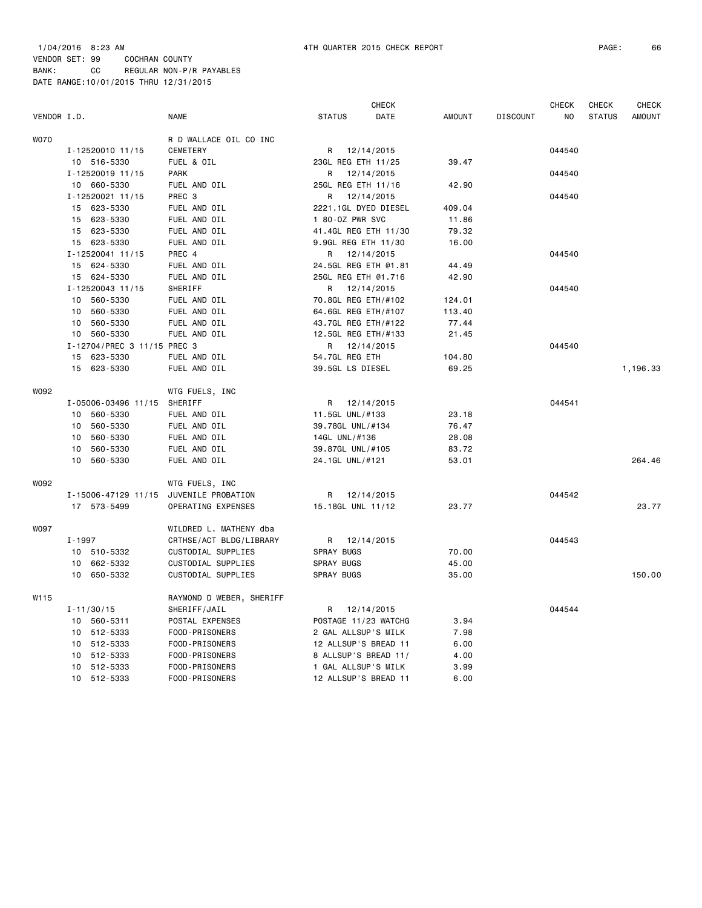| VENDOR I.D. |                             | <b>NAME</b>              | <b>STATUS</b>                           | <b>CHECK</b><br>DATE | <b>AMOUNT</b> | <b>DISCOUNT</b> | <b>CHECK</b><br>N <sub>O</sub> | <b>CHECK</b><br><b>STATUS</b> | CHECK<br><b>AMOUNT</b> |
|-------------|-----------------------------|--------------------------|-----------------------------------------|----------------------|---------------|-----------------|--------------------------------|-------------------------------|------------------------|
|             |                             |                          |                                         |                      |               |                 |                                |                               |                        |
| <b>WO70</b> |                             | R D WALLACE OIL CO INC   |                                         |                      |               |                 |                                |                               |                        |
|             | I-12520010 11/15            | CEMETERY                 | R                                       | 12/14/2015           |               |                 | 044540                         |                               |                        |
|             | 10 516-5330                 | FUEL & OIL               | 23GL REG ETH 11/25                      |                      | 39.47         |                 |                                |                               |                        |
|             | I-12520019 11/15            | <b>PARK</b>              | R                                       | 12/14/2015           |               |                 | 044540                         |                               |                        |
|             | 10 660-5330                 | FUEL AND OIL             | 25GL REG ETH 11/16                      |                      | 42.90         |                 |                                |                               |                        |
|             | I-12520021 11/15            | PREC 3                   | R                                       | 12/14/2015           |               |                 | 044540                         |                               |                        |
|             | 15 623-5330<br>15 623-5330  | FUEL AND OIL             | 2221.1GL DYED DIESEL<br>1 80-0Z PWR SVC |                      | 409.04        |                 |                                |                               |                        |
|             |                             | FUEL AND OIL             |                                         |                      | 11.86         |                 |                                |                               |                        |
|             | 15 623-5330                 | FUEL AND OIL             | 41.4GL REG ETH 11/30                    |                      | 79.32         |                 |                                |                               |                        |
|             | 15 623-5330                 | FUEL AND OIL             | 9.9GL REG ETH 11/30                     |                      | 16.00         |                 |                                |                               |                        |
|             | I-12520041 11/15            | PREC 4                   | R                                       | 12/14/2015           |               |                 | 044540                         |                               |                        |
|             | 15 624-5330                 | FUEL AND OIL             | 24.5GL REG ETH @1.81                    |                      | 44.49         |                 |                                |                               |                        |
|             | 15 624-5330                 | FUEL AND OIL             | 25GL REG ETH @1.716                     |                      | 42.90         |                 |                                |                               |                        |
|             | I-12520043 11/15            | SHERIFF                  | R                                       | 12/14/2015           |               |                 | 044540                         |                               |                        |
|             | 10<br>560-5330              | FUEL AND OIL             | 70.8GL REG ETH/#102                     |                      | 124.01        |                 |                                |                               |                        |
|             | 10<br>560-5330              | FUEL AND OIL             | 64.6GL REG ETH/#107                     |                      | 113.40        |                 |                                |                               |                        |
|             | 10<br>560-5330              | FUEL AND OIL             | 43.7GL REG ETH/#122                     |                      | 77.44         |                 |                                |                               |                        |
|             | 560-5330<br>10              | FUEL AND OIL             | 12.5GL REG ETH/#133                     |                      | 21.45         |                 |                                |                               |                        |
|             | I-12704/PREC 3 11/15 PREC 3 |                          | R                                       | 12/14/2015           |               |                 | 044540                         |                               |                        |
|             | 623-5330<br>15              | FUEL AND OIL             | 54.7GL REG ETH                          |                      | 104.80        |                 |                                |                               |                        |
|             | 15 623-5330                 | FUEL AND OIL             | 39.5GL LS DIESEL                        |                      | 69.25         |                 |                                |                               | 1,196.33               |
| W092        |                             |                          |                                         |                      |               |                 |                                |                               |                        |
|             |                             | WTG FUELS, INC           |                                         | 12/14/2015           |               |                 | 044541                         |                               |                        |
|             | I-05006-03496 11/15         | SHERIFF<br>FUEL AND OIL  | R<br>11.5GL UNL/#133                    |                      | 23.18         |                 |                                |                               |                        |
|             | 10 560-5330                 |                          |                                         |                      |               |                 |                                |                               |                        |
|             | 560-5330<br>10<br>10        | FUEL AND OIL             | 39.78GL UNL/#134                        |                      | 76.47         |                 |                                |                               |                        |
|             | 560-5330                    | FUEL AND OIL             | 14GL UNL/#136                           |                      | 28.08         |                 |                                |                               |                        |
|             | 10<br>560-5330              | FUEL AND OIL             | 39.87GL UNL/#105                        |                      | 83.72         |                 |                                |                               |                        |
|             | 10<br>560-5330              | FUEL AND OIL             | 24.1GL UNL/#121                         |                      | 53.01         |                 |                                |                               | 264.46                 |
| W092        |                             | WTG FUELS, INC           |                                         |                      |               |                 |                                |                               |                        |
|             | I-15006-47129 11/15         | JUVENILE PROBATION       | R                                       | 12/14/2015           |               |                 | 044542                         |                               |                        |
|             | 17 573-5499                 | OPERATING EXPENSES       | 15.18GL UNL 11/12                       |                      | 23.77         |                 |                                |                               | 23.77                  |
| <b>W097</b> |                             | WILDRED L. MATHENY dba   |                                         |                      |               |                 |                                |                               |                        |
|             | $I - 1997$                  | CRTHSE/ACT BLDG/LIBRARY  | R                                       | 12/14/2015           |               |                 | 044543                         |                               |                        |
|             | 10 510-5332                 | CUSTODIAL SUPPLIES       | SPRAY BUGS                              |                      | 70.00         |                 |                                |                               |                        |
|             | 662-5332<br>10              | CUSTODIAL SUPPLIES       | SPRAY BUGS                              |                      | 45.00         |                 |                                |                               |                        |
|             | 10<br>650-5332              | CUSTODIAL SUPPLIES       | SPRAY BUGS                              |                      | 35.00         |                 |                                |                               | 150.00                 |
| W115        |                             | RAYMOND D WEBER, SHERIFF |                                         |                      |               |                 |                                |                               |                        |
|             | $I - 11/30/15$              | SHERIFF/JAIL             | R                                       | 12/14/2015           |               |                 | 044544                         |                               |                        |
|             | 10 560-5311                 | POSTAL EXPENSES          | POSTAGE 11/23 WATCHG                    |                      | 3.94          |                 |                                |                               |                        |
|             | 10<br>512-5333              | FOOD-PRISONERS           | 2 GAL ALLSUP'S MILK                     |                      | 7.98          |                 |                                |                               |                        |
|             | 10<br>512-5333              | FOOD-PRISONERS           | 12 ALLSUP'S BREAD 11                    |                      | 6.00          |                 |                                |                               |                        |
|             | 512-5333<br>10              | FOOD-PRISONERS           | 8 ALLSUP'S BREAD 11/                    |                      | 4.00          |                 |                                |                               |                        |
|             | 512-5333<br>10              | FOOD-PRISONERS           | 1 GAL ALLSUP'S MILK                     |                      | 3.99          |                 |                                |                               |                        |
|             | 512-5333<br>10              | FOOD-PRISONERS           | 12 ALLSUP'S BREAD 11                    |                      | 6.00          |                 |                                |                               |                        |
|             |                             |                          |                                         |                      |               |                 |                                |                               |                        |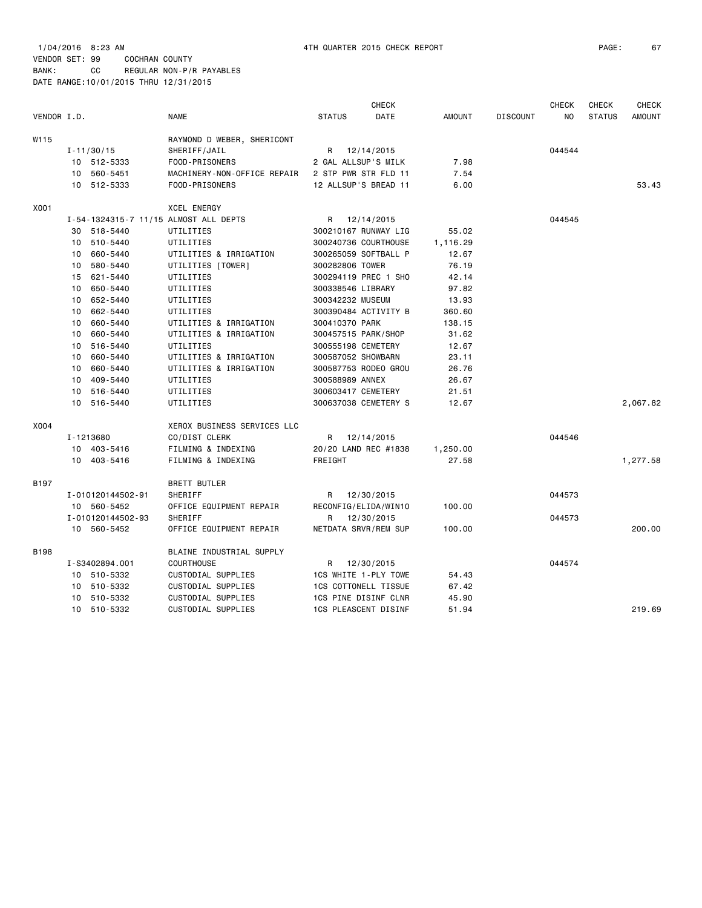|             |    |                   |                                       |                             | <b>CHECK</b> |               |                 | <b>CHECK</b>   | <b>CHECK</b>  | <b>CHECK</b>  |
|-------------|----|-------------------|---------------------------------------|-----------------------------|--------------|---------------|-----------------|----------------|---------------|---------------|
| VENDOR I.D. |    |                   | <b>NAME</b>                           | <b>STATUS</b>               | DATE         | <b>AMOUNT</b> | <b>DISCOUNT</b> | N <sub>O</sub> | <b>STATUS</b> | <b>AMOUNT</b> |
| W115        |    |                   | RAYMOND D WEBER, SHERICONT            |                             |              |               |                 |                |               |               |
|             |    | $I - 11/30/15$    | SHERIFF/JAIL                          | R                           | 12/14/2015   |               |                 | 044544         |               |               |
|             |    | 10 512-5333       | FOOD-PRISONERS                        | 2 GAL ALLSUP'S MILK         |              | 7.98          |                 |                |               |               |
|             | 10 | 560-5451          | MACHINERY-NON-OFFICE REPAIR           | 2 STP PWR STR FLD 11        |              | 7.54          |                 |                |               |               |
|             |    | 10 512-5333       | FOOD-PRISONERS                        | 12 ALLSUP'S BREAD 11        |              | 6.00          |                 |                |               | 53.43         |
| X001        |    |                   | <b>XCEL ENERGY</b>                    |                             |              |               |                 |                |               |               |
|             |    |                   | I-54-1324315-7 11/15 ALMOST ALL DEPTS | R                           | 12/14/2015   |               |                 | 044545         |               |               |
|             |    | 30 518-5440       | UTILITIES                             | 300210167 RUNWAY LIG        |              | 55.02         |                 |                |               |               |
|             |    | 10 510-5440       | UTILITIES                             | 300240736 COURTHOUSE        |              | 1,116.29      |                 |                |               |               |
|             | 10 | 660-5440          | UTILITIES & IRRIGATION                | 300265059 SOFTBALL P        |              | 12.67         |                 |                |               |               |
|             | 10 | 580-5440          | UTILITIES [TOWER]                     | 300282806 TOWER             |              | 76.19         |                 |                |               |               |
|             |    | 15 621-5440       | UTILITIES                             | 300294119 PREC 1 SHO        |              | 42.14         |                 |                |               |               |
|             |    | 10 650-5440       | UTILITIES                             | 300338546 LIBRARY           |              | 97.82         |                 |                |               |               |
|             | 10 | 652-5440          | UTILITIES                             | 300342232 MUSEUM            |              | 13.93         |                 |                |               |               |
|             |    | 10 662-5440       | UTILITIES                             | 300390484 ACTIVITY B        |              | 360.60        |                 |                |               |               |
|             |    | 10 660-5440       | UTILITIES & IRRIGATION                | 300410370 PARK              |              | 138.15        |                 |                |               |               |
|             | 10 | 660-5440          | UTILITIES & IRRIGATION                | 300457515 PARK/SHOP         |              | 31.62         |                 |                |               |               |
|             | 10 | 516-5440          | UTILITIES                             | 300555198 CEMETERY          |              | 12.67         |                 |                |               |               |
|             | 10 | 660-5440          | UTILITIES & IRRIGATION                | 300587052 SHOWBARN          |              | 23.11         |                 |                |               |               |
|             | 10 | 660-5440          | UTILITIES & IRRIGATION                | 300587753 RODEO GROU        |              | 26.76         |                 |                |               |               |
|             | 10 | 409-5440          | UTILITIES                             | 300588989 ANNEX             |              | 26.67         |                 |                |               |               |
|             |    | 10 516-5440       | UTILITIES                             | 300603417 CEMETERY          |              | 21.51         |                 |                |               |               |
|             |    | 10 516-5440       | UTILITIES                             | 300637038 CEMETERY S        |              | 12.67         |                 |                |               | 2,067.82      |
| X004        |    |                   | XEROX BUSINESS SERVICES LLC           |                             |              |               |                 |                |               |               |
|             |    | I-1213680         | CO/DIST CLERK                         | R                           | 12/14/2015   |               |                 | 044546         |               |               |
|             |    | 10 403-5416       | FILMING & INDEXING                    | 20/20 LAND REC #1838        |              | 1,250.00      |                 |                |               |               |
|             |    | 10 403-5416       | FILMING & INDEXING                    | FREIGHT                     |              | 27.58         |                 |                |               | 1,277.58      |
| B197        |    |                   | <b>BRETT BUTLER</b>                   |                             |              |               |                 |                |               |               |
|             |    | I-010120144502-91 | SHERIFF                               | R                           | 12/30/2015   |               |                 | 044573         |               |               |
|             |    | 10 560-5452       | OFFICE EQUIPMENT REPAIR               | RECONFIG/ELIDA/WIN10        |              | 100.00        |                 |                |               |               |
|             |    | I-010120144502-93 | SHERIFF                               | R                           | 12/30/2015   |               |                 | 044573         |               |               |
|             |    | 10 560-5452       | OFFICE EQUIPMENT REPAIR               | NETDATA SRVR/REM SUP        |              | 100.00        |                 |                |               | 200.00        |
| <b>B198</b> |    |                   | BLAINE INDUSTRIAL SUPPLY              |                             |              |               |                 |                |               |               |
|             |    | I-S3402894.001    | <b>COURTHOUSE</b>                     | R                           | 12/30/2015   |               |                 | 044574         |               |               |
|             |    | 10 510-5332       | CUSTODIAL SUPPLIES                    | 1CS WHITE 1-PLY TOWE        |              | 54.43         |                 |                |               |               |
|             | 10 | 510-5332          | CUSTODIAL SUPPLIES                    | <b>1CS COTTONELL TISSUE</b> |              | 67.42         |                 |                |               |               |
|             |    | 10 510-5332       | CUSTODIAL SUPPLIES                    | 1CS PINE DISINF CLNR        |              | 45.90         |                 |                |               |               |
|             |    | 10 510-5332       | CUSTODIAL SUPPLIES                    | <b>1CS PLEASCENT DISINF</b> |              | 51.94         |                 |                |               | 219.69        |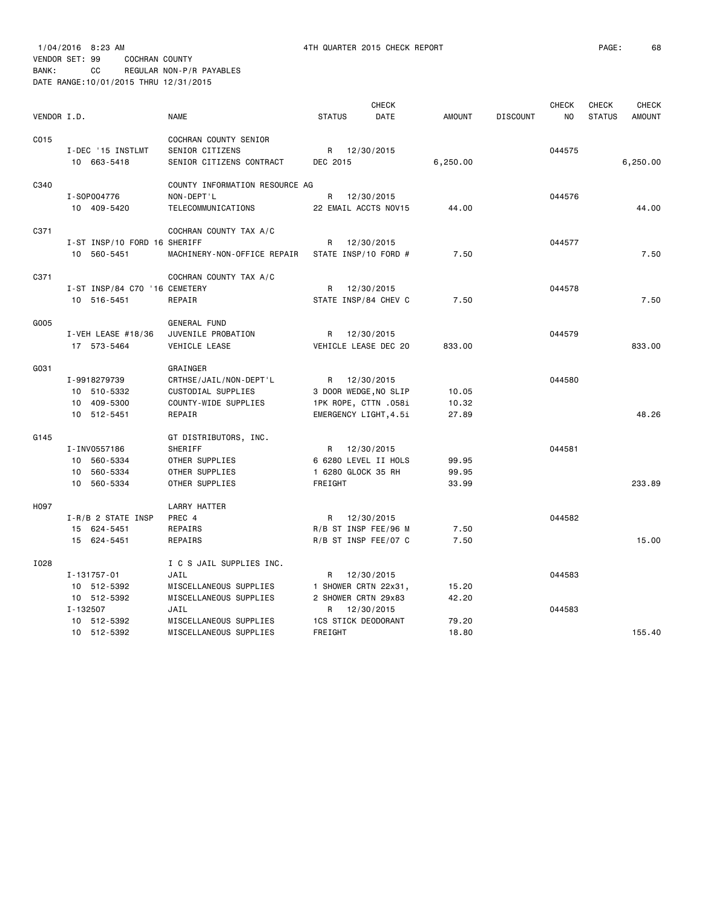| VENDOR I.D. |                                  | <b>NAME</b>                                 | <b>STATUS</b>                        | CHECK<br>DATE | <b>AMOUNT</b> | <b>DISCOUNT</b> | <b>CHECK</b><br>NO | <b>CHECK</b><br><b>STATUS</b> | CHECK<br><b>AMOUNT</b> |
|-------------|----------------------------------|---------------------------------------------|--------------------------------------|---------------|---------------|-----------------|--------------------|-------------------------------|------------------------|
| C015        |                                  | COCHRAN COUNTY SENIOR                       |                                      |               |               |                 |                    |                               |                        |
|             | I-DEC '15 INSTLMT<br>10 663-5418 | SENIOR CITIZENS<br>SENIOR CITIZENS CONTRACT | R 12/30/2015<br>DEC 2015             |               | 6,250.00      |                 | 044575             |                               | 6,250.00               |
|             |                                  |                                             |                                      |               |               |                 |                    |                               |                        |
| C340        | I-S0P004776                      | COUNTY INFORMATION RESOURCE AG              |                                      |               |               |                 |                    |                               |                        |
|             | 10 409-5420                      | NON-DEPT'L<br>TELECOMMUNICATIONS            | R 12/30/2015<br>22 EMAIL ACCTS NOV15 |               | 44.00         |                 | 044576             |                               | 44.00                  |
|             |                                  |                                             |                                      |               |               |                 |                    |                               |                        |
| C371        | I-ST INSP/10 FORD 16 SHERIFF     | COCHRAN COUNTY TAX A/C                      | R                                    | 12/30/2015    |               |                 | 044577             |                               |                        |
|             | 10 560-5451                      | MACHINERY-NON-OFFICE REPAIR                 | STATE INSP/10 FORD #                 |               | 7.50          |                 |                    |                               | 7.50                   |
|             |                                  |                                             |                                      |               |               |                 |                    |                               |                        |
| C371        | I-ST INSP/84 C70 '16 CEMETERY    | COCHRAN COUNTY TAX A/C                      | R                                    | 12/30/2015    |               |                 | 044578             |                               |                        |
|             | 10 516-5451                      | REPAIR                                      | STATE INSP/84 CHEV C                 |               | 7.50          |                 |                    |                               | 7.50                   |
|             |                                  |                                             |                                      |               |               |                 |                    |                               |                        |
| G005        |                                  | GENERAL FUND                                |                                      |               |               |                 |                    |                               |                        |
|             | I-VEH LEASE #18/36               | JUVENILE PROBATION                          | R 12/30/2015                         |               |               |                 | 044579             |                               |                        |
|             | 17 573-5464                      | VEHICLE LEASE                               | VEHICLE LEASE DEC 20                 |               | 833.00        |                 |                    |                               | 833,00                 |
| G031        |                                  | GRAINGER                                    |                                      |               |               |                 |                    |                               |                        |
|             | I-9918279739                     | CRTHSE/JAIL/NON-DEPT'L                      | R                                    | 12/30/2015    |               |                 | 044580             |                               |                        |
|             | 10 510-5332                      | CUSTODIAL SUPPLIES                          | 3 DOOR WEDGE, NO SLIP                |               | 10.05         |                 |                    |                               |                        |
|             | 10 409-5300                      | COUNTY-WIDE SUPPLIES                        | 1PK ROPE, CTTN .058i                 |               | 10.32         |                 |                    |                               |                        |
|             | 10 512-5451                      | REPAIR                                      | EMERGENCY LIGHT, 4.5i                |               | 27.89         |                 |                    |                               | 48.26                  |
| G145        |                                  | GT DISTRIBUTORS, INC.                       |                                      |               |               |                 |                    |                               |                        |
|             | I-INV0557186                     | SHERIFF                                     | R                                    | 12/30/2015    |               |                 | 044581             |                               |                        |
|             | 10 560-5334                      | OTHER SUPPLIES                              | 6 6280 LEVEL II HOLS                 |               | 99.95         |                 |                    |                               |                        |
|             | 10 560-5334                      | OTHER SUPPLIES                              | 1 6280 GLOCK 35 RH                   |               | 99.95         |                 |                    |                               |                        |
|             | 10 560-5334                      | OTHER SUPPLIES                              | FREIGHT                              |               | 33.99         |                 |                    |                               | 233.89                 |
| H097        |                                  | LARRY HATTER                                |                                      |               |               |                 |                    |                               |                        |
|             | I-R/B 2 STATE INSP               | PREC 4                                      | R                                    | 12/30/2015    |               |                 | 044582             |                               |                        |
|             | 15 624-5451                      | REPAIRS                                     | R/B ST INSP FEE/96 M                 |               | 7.50          |                 |                    |                               |                        |
|             | 15 624-5451                      | REPAIRS                                     | R/B ST INSP FEE/07 C                 |               | 7.50          |                 |                    |                               | 15.00                  |
| I028        |                                  | I C S JAIL SUPPLIES INC.                    |                                      |               |               |                 |                    |                               |                        |
|             | $I - 131757 - 01$                | JAIL                                        | R                                    | 12/30/2015    |               |                 | 044583             |                               |                        |
|             | 10 512-5392                      | MISCELLANEOUS SUPPLIES                      | 1 SHOWER CRTN 22x31,                 |               | 15.20         |                 |                    |                               |                        |
|             | 10 512-5392                      | MISCELLANEOUS SUPPLIES                      | 2 SHOWER CRTN 29x83                  |               | 42.20         |                 |                    |                               |                        |
|             | I-132507                         | JAIL                                        | R 12/30/2015                         |               |               |                 | 044583             |                               |                        |
|             | 10 512-5392                      | MISCELLANEOUS SUPPLIES                      | <b>1CS STICK DEODORANT</b>           |               | 79.20         |                 |                    |                               |                        |
|             | 10 512-5392                      | MISCELLANEOUS SUPPLIES                      | FREIGHT                              |               | 18.80         |                 |                    |                               | 155.40                 |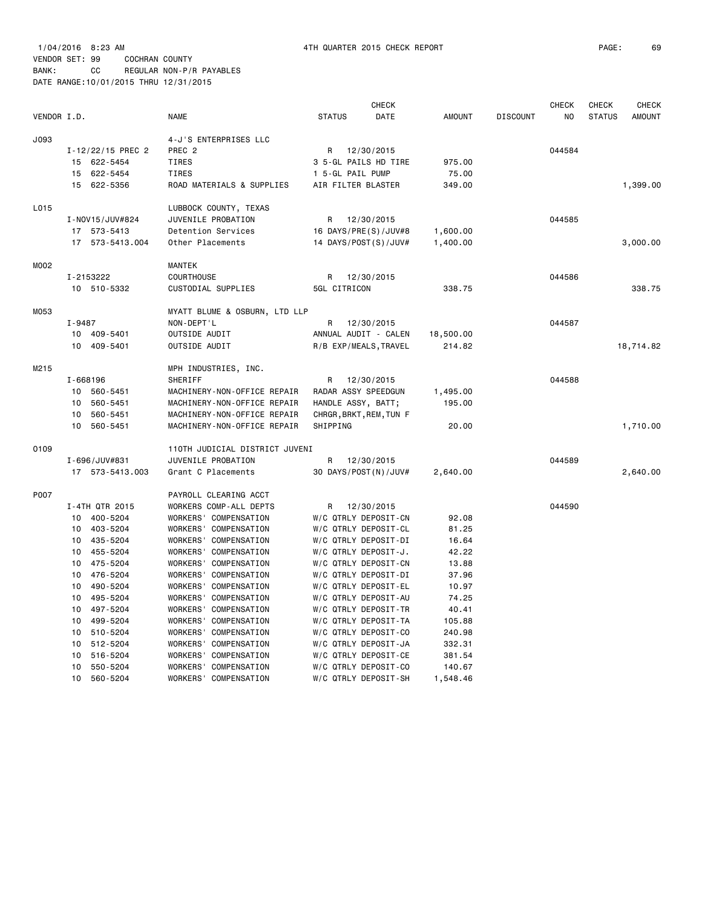|             |                   |                                |                     | <b>CHECK</b>            |               |                 | <b>CHECK</b>   | <b>CHECK</b>  | <b>CHECK</b>  |
|-------------|-------------------|--------------------------------|---------------------|-------------------------|---------------|-----------------|----------------|---------------|---------------|
| VENDOR I.D. |                   | <b>NAME</b>                    | <b>STATUS</b>       | DATE                    | <b>AMOUNT</b> | <b>DISCOUNT</b> | N <sub>O</sub> | <b>STATUS</b> | <b>AMOUNT</b> |
| J093        |                   | 4-J'S ENTERPRISES LLC          |                     |                         |               |                 |                |               |               |
|             | I-12/22/15 PREC 2 | PREC <sub>2</sub>              | R                   | 12/30/2015              |               |                 | 044584         |               |               |
|             | 15 622-5454       | TIRES                          |                     | 3 5-GL PAILS HD TIRE    | 975.00        |                 |                |               |               |
|             | 622-5454<br>15    | <b>TIRES</b>                   | 1 5-GL PAIL PUMP    |                         | 75.00         |                 |                |               |               |
|             | 622-5356<br>15    | ROAD MATERIALS & SUPPLIES      | AIR FILTER BLASTER  |                         | 349.00        |                 |                |               | 1,399.00      |
| L015        |                   | LUBBOCK COUNTY, TEXAS          |                     |                         |               |                 |                |               |               |
|             | I-NOV15/JUV#824   | JUVENILE PROBATION             | R                   | 12/30/2015              |               |                 | 044585         |               |               |
|             | 17 573-5413       | Detention Services             |                     | 16 DAYS/PRE(S)/JUV#8    | 1,600.00      |                 |                |               |               |
|             | 17 573-5413.004   | Other Placements               |                     | 14 DAYS/POST(S)/JUV#    | 1,400.00      |                 |                |               | 3,000.00      |
| M002        |                   | <b>MANTEK</b>                  |                     |                         |               |                 |                |               |               |
|             | I-2153222         | <b>COURTHOUSE</b>              | R                   | 12/30/2015              |               |                 | 044586         |               |               |
|             | 10 510-5332       | CUSTODIAL SUPPLIES             | 5GL CITRICON        |                         | 338.75        |                 |                |               | 338.75        |
| M053        |                   | MYATT BLUME & OSBURN, LTD LLP  |                     |                         |               |                 |                |               |               |
|             | I-9487            | NON-DEPT'L                     | R                   | 12/30/2015              |               |                 | 044587         |               |               |
|             | 10 409-5401       | OUTSIDE AUDIT                  |                     | ANNUAL AUDIT - CALEN    | 18,500.00     |                 |                |               |               |
|             | 409-5401<br>10    | OUTSIDE AUDIT                  |                     | R/B EXP/MEALS, TRAVEL   | 214.82        |                 |                |               | 18,714.82     |
| M215        |                   | MPH INDUSTRIES, INC.           |                     |                         |               |                 |                |               |               |
|             | I-668196          | SHERIFF                        | R                   | 12/30/2015              |               |                 | 044588         |               |               |
|             | 10 560-5451       | MACHINERY-NON-OFFICE REPAIR    | RADAR ASSY SPEEDGUN |                         | 1,495.00      |                 |                |               |               |
|             | 10<br>560-5451    | MACHINERY-NON-OFFICE REPAIR    | HANDLE ASSY, BATT;  |                         | 195.00        |                 |                |               |               |
|             | 10<br>560-5451    | MACHINERY-NON-OFFICE REPAIR    |                     | CHRGR, BRKT, REM, TUN F |               |                 |                |               |               |
|             | 560-5451<br>10    | MACHINERY-NON-OFFICE REPAIR    | SHIPPING            |                         | 20.00         |                 |                |               | 1,710.00      |
| 0109        |                   | 110TH JUDICIAL DISTRICT JUVENI |                     |                         |               |                 |                |               |               |
|             | I-696/JUV#831     | JUVENILE PROBATION             | R                   | 12/30/2015              |               |                 | 044589         |               |               |
|             | 17 573-5413.003   | Grant C Placements             |                     | 30 DAYS/POST(N)/JUV#    | 2,640.00      |                 |                |               | 2,640.00      |
| P007        |                   | PAYROLL CLEARING ACCT          |                     |                         |               |                 |                |               |               |
|             | I-4TH QTR 2015    | WORKERS COMP-ALL DEPTS         | R                   | 12/30/2015              |               |                 | 044590         |               |               |
|             | 10<br>400-5204    | WORKERS' COMPENSATION          |                     | W/C QTRLY DEPOSIT-CN    | 92.08         |                 |                |               |               |
|             | 10<br>403-5204    | WORKERS' COMPENSATION          |                     | W/C QTRLY DEPOSIT-CL    | 81.25         |                 |                |               |               |
|             | 435-5204<br>10    | WORKERS' COMPENSATION          |                     | W/C QTRLY DEPOSIT-DI    | 16.64         |                 |                |               |               |
|             | 455-5204<br>10    | WORKERS' COMPENSATION          |                     | W/C QTRLY DEPOSIT-J.    | 42.22         |                 |                |               |               |
|             | 475-5204<br>10    | WORKERS' COMPENSATION          |                     | W/C QTRLY DEPOSIT-CN    | 13.88         |                 |                |               |               |
|             | 10<br>476-5204    | WORKERS' COMPENSATION          |                     | W/C QTRLY DEPOSIT-DI    | 37.96         |                 |                |               |               |
|             | 10<br>490-5204    | WORKERS' COMPENSATION          |                     | W/C QTRLY DEPOSIT-EL    | 10.97         |                 |                |               |               |
|             | 495-5204<br>10    | WORKERS' COMPENSATION          |                     | W/C QTRLY DEPOSIT-AU    | 74.25         |                 |                |               |               |
|             | 10<br>497-5204    | WORKERS' COMPENSATION          |                     | W/C QTRLY DEPOSIT-TR    | 40.41         |                 |                |               |               |
|             | 10<br>499-5204    | WORKERS' COMPENSATION          |                     | W/C QTRLY DEPOSIT-TA    | 105.88        |                 |                |               |               |
|             | 510-5204<br>10    | WORKERS' COMPENSATION          |                     | W/C QTRLY DEPOSIT-CO    | 240.98        |                 |                |               |               |
|             | 512-5204<br>10    | WORKERS' COMPENSATION          |                     | W/C QTRLY DEPOSIT-JA    | 332.31        |                 |                |               |               |
|             | 516-5204<br>10    | WORKERS' COMPENSATION          |                     | W/C QTRLY DEPOSIT-CE    | 381.54        |                 |                |               |               |
|             | 10<br>550-5204    | WORKERS' COMPENSATION          |                     | W/C QTRLY DEPOSIT-CO    | 140.67        |                 |                |               |               |
|             | 10<br>560-5204    | WORKERS' COMPENSATION          |                     | W/C QTRLY DEPOSIT-SH    | 1,548.46      |                 |                |               |               |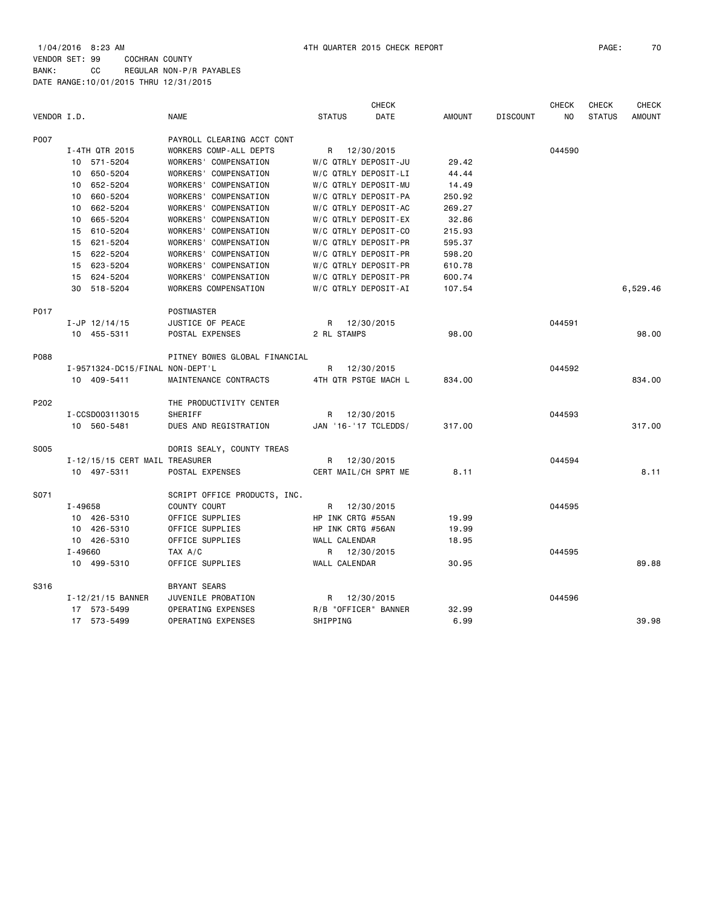1/04/2016 8:23 AM 4TH QUARTER 2015 CHECK REPORT PAGE: 70 VENDOR SET: 99 COCHRAN COUNTY BANK: CC REGULAR NON-P/R PAYABLES DATE RANGE:10/01/2015 THRU 12/31/2015

|             |                                 |                               |                   | <b>CHECK</b>         |               |                 | <b>CHECK</b> | <b>CHECK</b>  | <b>CHECK</b>  |
|-------------|---------------------------------|-------------------------------|-------------------|----------------------|---------------|-----------------|--------------|---------------|---------------|
| VENDOR I.D. |                                 | <b>NAME</b>                   | <b>STATUS</b>     | DATE                 | <b>AMOUNT</b> | <b>DISCOUNT</b> | NO           | <b>STATUS</b> | <b>AMOUNT</b> |
| P007        |                                 | PAYROLL CLEARING ACCT CONT    |                   |                      |               |                 |              |               |               |
|             | I-4TH QTR 2015                  | WORKERS COMP-ALL DEPTS        |                   | R 12/30/2015         |               |                 | 044590       |               |               |
|             | 571-5204<br>10                  | WORKERS' COMPENSATION         |                   | W/C QTRLY DEPOSIT-JU | 29.42         |                 |              |               |               |
|             | 650-5204<br>10                  | WORKERS' COMPENSATION         |                   | W/C QTRLY DEPOSIT-LI | 44.44         |                 |              |               |               |
|             | 652-5204<br>10                  | WORKERS' COMPENSATION         |                   | W/C QTRLY DEPOSIT-MU | 14.49         |                 |              |               |               |
|             | 660-5204<br>10                  | WORKERS' COMPENSATION         |                   | W/C QTRLY DEPOSIT-PA | 250.92        |                 |              |               |               |
|             | 662-5204<br>10                  | WORKERS' COMPENSATION         |                   | W/C QTRLY DEPOSIT-AC | 269.27        |                 |              |               |               |
|             | 665-5204<br>10                  | WORKERS' COMPENSATION         |                   | W/C QTRLY DEPOSIT-EX | 32.86         |                 |              |               |               |
|             | 610-5204<br>15                  | WORKERS' COMPENSATION         |                   | W/C QTRLY DEPOSIT-CO | 215.93        |                 |              |               |               |
|             | 15<br>621-5204                  | WORKERS' COMPENSATION         |                   | W/C QTRLY DEPOSIT-PR | 595.37        |                 |              |               |               |
|             | 15<br>622-5204                  | WORKERS' COMPENSATION         |                   | W/C QTRLY DEPOSIT-PR | 598.20        |                 |              |               |               |
|             | 15 623-5204                     | WORKERS' COMPENSATION         |                   | W/C QTRLY DEPOSIT-PR | 610.78        |                 |              |               |               |
|             | 15<br>624-5204                  | WORKERS' COMPENSATION         |                   | W/C QTRLY DEPOSIT-PR | 600.74        |                 |              |               |               |
|             | 30<br>518-5204                  | WORKERS COMPENSATION          |                   | W/C QTRLY DEPOSIT-AI | 107.54        |                 |              |               | 6,529.46      |
| P017        |                                 | POSTMASTER                    |                   |                      |               |                 |              |               |               |
|             | $I-JP$ 12/14/15                 | JUSTICE OF PEACE              |                   | R 12/30/2015         |               |                 | 044591       |               |               |
|             | 10 455-5311                     | POSTAL EXPENSES               | 2 RL STAMPS       |                      | 98.00         |                 |              |               | 98.00         |
| P088        |                                 | PITNEY BOWES GLOBAL FINANCIAL |                   |                      |               |                 |              |               |               |
|             | I-9571324-DC15/FINAL NON-DEPT'L |                               | R                 | 12/30/2015           |               |                 | 044592       |               |               |
|             | 10 409-5411                     | MAINTENANCE CONTRACTS         |                   | 4TH QTR PSTGE MACH L | 834.00        |                 |              |               | 834.00        |
| P202        |                                 | THE PRODUCTIVITY CENTER       |                   |                      |               |                 |              |               |               |
|             | I-CCSD003113015                 | SHERIFF                       |                   | R 12/30/2015         |               |                 | 044593       |               |               |
|             | 10 560-5481                     | DUES AND REGISTRATION         |                   | JAN '16-'17 TCLEDDS/ | 317.00        |                 |              |               | 317.00        |
| S005        |                                 | DORIS SEALY, COUNTY TREAS     |                   |                      |               |                 |              |               |               |
|             | I-12/15/15 CERT MAIL TREASURER  |                               | R                 | 12/30/2015           |               |                 | 044594       |               |               |
|             | 10 497-5311                     | POSTAL EXPENSES               |                   | CERT MAIL/CH SPRT ME | 8.11          |                 |              |               | 8.11          |
| S071        |                                 | SCRIPT OFFICE PRODUCTS, INC.  |                   |                      |               |                 |              |               |               |
|             | I-49658                         | COUNTY COURT                  | R                 | 12/30/2015           |               |                 | 044595       |               |               |
|             | 10 426-5310                     | OFFICE SUPPLIES               | HP INK CRTG #55AN |                      | 19.99         |                 |              |               |               |
|             | 10 426-5310                     | OFFICE SUPPLIES               | HP INK CRTG #56AN |                      | 19.99         |                 |              |               |               |
|             | 10 426-5310                     | OFFICE SUPPLIES               | WALL CALENDAR     |                      | 18.95         |                 |              |               |               |
|             | $I - 49660$                     | TAX A/C                       |                   | R 12/30/2015         |               |                 | 044595       |               |               |
|             | 10 499-5310                     | OFFICE SUPPLIES               | WALL CALENDAR     |                      | 30.95         |                 |              |               | 89.88         |
| S316        |                                 | BRYANT SEARS                  |                   |                      |               |                 |              |               |               |
|             | I-12/21/15 BANNER               | JUVENILE PROBATION            |                   | R 12/30/2015         |               |                 | 044596       |               |               |
|             | 17 573-5499                     | OPERATING EXPENSES            |                   | R/B "OFFICER" BANNER | 32.99         |                 |              |               |               |
|             | 17 573-5499                     | OPERATING EXPENSES            | SHIPPING          |                      | 6.99          |                 |              |               | 39.98         |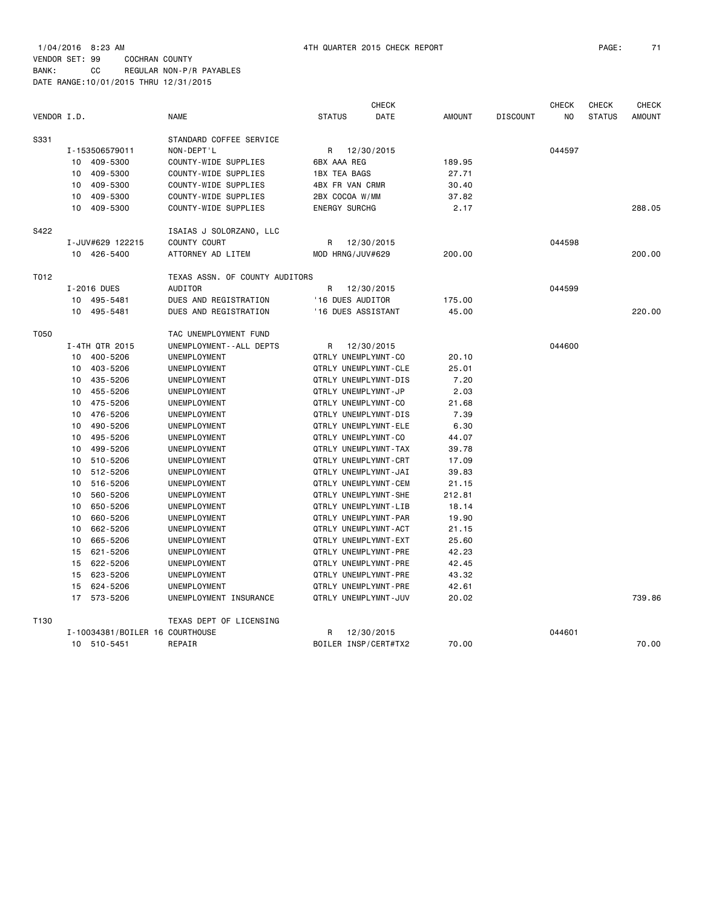1/04/2016 8:23 AM 4TH QUARTER 2015 CHECK REPORT PAGE: 71 VENDOR SET: 99 COCHRAN COUNTY BANK: CC REGULAR NON-P/R PAYABLES

DATE RANGE:10/01/2015 THRU 12/31/2015

|             |                                 |                                |                        | <b>CHECK</b>         |               |                 | <b>CHECK</b> | <b>CHECK</b>  | <b>CHECK</b>  |
|-------------|---------------------------------|--------------------------------|------------------------|----------------------|---------------|-----------------|--------------|---------------|---------------|
| VENDOR I.D. |                                 | <b>NAME</b>                    | <b>STATUS</b>          | DATE                 | <b>AMOUNT</b> | <b>DISCOUNT</b> | NO           | <b>STATUS</b> | <b>AMOUNT</b> |
| S331        |                                 | STANDARD COFFEE SERVICE        |                        |                      |               |                 |              |               |               |
|             | I-153506579011                  | NON-DEPT'L                     | R                      | 12/30/2015           |               |                 | 044597       |               |               |
|             | 409-5300<br>10                  | COUNTY-WIDE SUPPLIES           | 6BX AAA REG            |                      | 189.95        |                 |              |               |               |
|             | 409-5300<br>10                  | COUNTY-WIDE SUPPLIES           | <b>1BX TEA BAGS</b>    |                      | 27.71         |                 |              |               |               |
|             | 409-5300<br>10                  | COUNTY-WIDE SUPPLIES           | <b>4BX FR VAN CRMR</b> |                      | 30.40         |                 |              |               |               |
|             | 10<br>409-5300                  | COUNTY-WIDE SUPPLIES           | 2BX COCOA W/MM         |                      | 37.82         |                 |              |               |               |
|             | 409-5300<br>10                  | COUNTY-WIDE SUPPLIES           | <b>ENERGY SURCHG</b>   |                      | 2.17          |                 |              |               | 288.05        |
| S422        |                                 | ISAIAS J SOLORZANO, LLC        |                        |                      |               |                 |              |               |               |
|             | I-JUV#629 122215                | <b>COUNTY COURT</b>            | R                      | 12/30/2015           |               |                 | 044598       |               |               |
|             | 10 426-5400                     | ATTORNEY AD LITEM              | MOD HRNG/JUV#629       |                      | 200.00        |                 |              |               | 200.00        |
| T012        |                                 | TEXAS ASSN. OF COUNTY AUDITORS |                        |                      |               |                 |              |               |               |
|             | I-2016 DUES                     | <b>AUDITOR</b>                 | R                      | 12/30/2015           |               |                 | 044599       |               |               |
|             | 10 495-5481                     | DUES AND REGISTRATION          | '16 DUES AUDITOR       |                      | 175.00        |                 |              |               |               |
|             | 495-5481<br>10                  | DUES AND REGISTRATION          | '16 DUES ASSISTANT     |                      | 45.00         |                 |              |               | 220,00        |
| T050        |                                 | TAC UNEMPLOYMENT FUND          |                        |                      |               |                 |              |               |               |
|             | I-4TH QTR 2015                  | UNEMPLOYMENT--ALL DEPTS        | R                      | 12/30/2015           |               |                 | 044600       |               |               |
|             | 10 400-5206                     | UNEMPLOYMENT                   | QTRLY UNEMPLYMNT-CO    |                      | 20.10         |                 |              |               |               |
|             | 403-5206<br>10                  | UNEMPLOYMENT                   |                        | QTRLY UNEMPLYMNT-CLE | 25.01         |                 |              |               |               |
|             | 10 435-5206                     | UNEMPLOYMENT                   |                        | QTRLY UNEMPLYMNT-DIS | 7.20          |                 |              |               |               |
|             | 455-5206<br>10                  | UNEMPLOYMENT                   | QTRLY UNEMPLYMNT-JP    |                      | 2.03          |                 |              |               |               |
|             | 10 475-5206                     | UNEMPLOYMENT                   | QTRLY UNEMPLYMNT-CO    |                      | 21.68         |                 |              |               |               |
|             | 476-5206<br>10                  | UNEMPLOYMENT                   |                        | QTRLY UNEMPLYMNT-DIS | 7.39          |                 |              |               |               |
|             | 10<br>490-5206                  | UNEMPLOYMENT                   |                        | QTRLY UNEMPLYMNT-ELE | 6.30          |                 |              |               |               |
|             | 495-5206<br>10                  | UNEMPLOYMENT                   | QTRLY UNEMPLYMNT-CO    |                      | 44.07         |                 |              |               |               |
|             | 499-5206<br>10                  | UNEMPLOYMENT                   |                        | QTRLY UNEMPLYMNT-TAX | 39.78         |                 |              |               |               |
|             | 510-5206<br>10                  | UNEMPLOYMENT                   |                        | QTRLY UNEMPLYMNT-CRT | 17.09         |                 |              |               |               |
|             | 512-5206<br>10                  | UNEMPLOYMENT                   |                        | QTRLY UNEMPLYMNT-JAI | 39.83         |                 |              |               |               |
|             | 516-5206<br>10                  | UNEMPLOYMENT                   |                        | QTRLY UNEMPLYMNT-CEM | 21.15         |                 |              |               |               |
|             | 560-5206<br>10                  | UNEMPLOYMENT                   |                        | QTRLY UNEMPLYMNT-SHE | 212.81        |                 |              |               |               |
|             | 650-5206<br>10                  | UNEMPLOYMENT                   |                        | QTRLY UNEMPLYMNT-LIB | 18.14         |                 |              |               |               |
|             | 660-5206<br>10                  | UNEMPLOYMENT                   |                        | QTRLY UNEMPLYMNT-PAR | 19.90         |                 |              |               |               |
|             | 662-5206<br>10                  | UNEMPLOYMENT                   |                        | QTRLY UNEMPLYMNT-ACT | 21.15         |                 |              |               |               |
|             | 10<br>665-5206                  | UNEMPLOYMENT                   |                        | QTRLY UNEMPLYMNT-EXT | 25.60         |                 |              |               |               |
|             | 621-5206<br>15                  | UNEMPLOYMENT                   |                        | QTRLY UNEMPLYMNT-PRE | 42.23         |                 |              |               |               |
|             | 15<br>622-5206                  | UNEMPLOYMENT                   |                        | QTRLY UNEMPLYMNT-PRE | 42.45         |                 |              |               |               |
|             | 15<br>623-5206                  | UNEMPLOYMENT                   |                        | QTRLY UNEMPLYMNT-PRE | 43.32         |                 |              |               |               |
|             | 15<br>624-5206                  | UNEMPLOYMENT                   |                        | QTRLY UNEMPLYMNT-PRE | 42.61         |                 |              |               |               |
|             | 17<br>573-5206                  | UNEMPLOYMENT INSURANCE         |                        | QTRLY UNEMPLYMNT-JUV | 20.02         |                 |              |               | 739.86        |
| T130        |                                 | TEXAS DEPT OF LICENSING        |                        |                      |               |                 |              |               |               |
|             | I-10034381/BOILER 16 COURTHOUSE |                                | R                      | 12/30/2015           |               |                 | 044601       |               |               |
|             | 10 510-5451                     | REPAIR                         |                        | BOILER INSP/CERT#TX2 | 70.00         |                 |              |               | 70.00         |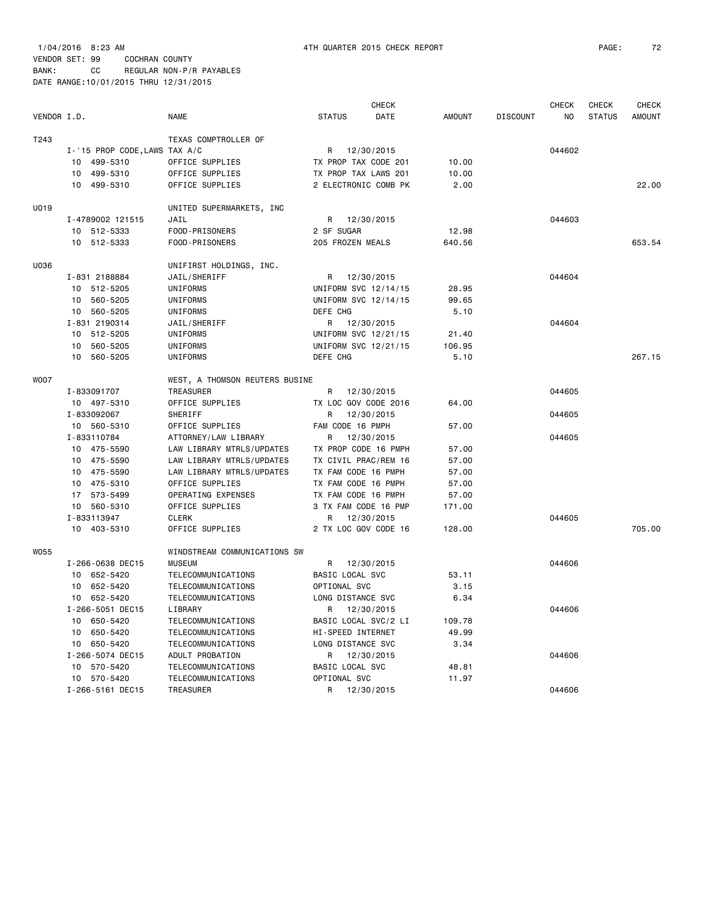DATE RANGE:10/01/2015 THRU 12/31/2015

|             |                               |                                |                        | <b>CHECK</b> |               |                 | <b>CHECK</b>   | <b>CHECK</b>  | <b>CHECK</b>  |
|-------------|-------------------------------|--------------------------------|------------------------|--------------|---------------|-----------------|----------------|---------------|---------------|
| VENDOR I.D. |                               | <b>NAME</b>                    | <b>STATUS</b>          | DATE         | <b>AMOUNT</b> | <b>DISCOUNT</b> | N <sub>O</sub> | <b>STATUS</b> | <b>AMOUNT</b> |
| T243        |                               | TEXAS COMPTROLLER OF           |                        |              |               |                 |                |               |               |
|             | I-'15 PROP CODE, LAWS TAX A/C |                                | R                      | 12/30/2015   |               |                 | 044602         |               |               |
|             | 499-5310<br>10                | OFFICE SUPPLIES                | TX PROP TAX CODE 201   |              | 10.00         |                 |                |               |               |
|             | 10<br>499-5310                | OFFICE SUPPLIES                | TX PROP TAX LAWS 201   |              | 10.00         |                 |                |               |               |
|             | 499-5310<br>10                | OFFICE SUPPLIES                | 2 ELECTRONIC COMB PK   |              | 2.00          |                 |                |               | 22.00         |
| U019        |                               | UNITED SUPERMARKETS, INC       |                        |              |               |                 |                |               |               |
|             | I-4789002 121515              | JAIL                           | R                      | 12/30/2015   |               |                 | 044603         |               |               |
|             | 10 512-5333                   | FOOD-PRISONERS                 | 2 SF SUGAR             |              | 12.98         |                 |                |               |               |
|             | 10 512-5333                   | FOOD-PRISONERS                 | 205 FROZEN MEALS       |              | 640.56        |                 |                |               | 653.54        |
| U036        |                               | UNIFIRST HOLDINGS, INC.        |                        |              |               |                 |                |               |               |
|             | I-831 2188884                 | JAIL/SHERIFF                   | R                      | 12/30/2015   |               |                 | 044604         |               |               |
|             | 512-5205<br>10                | UNIFORMS                       | UNIFORM SVC 12/14/15   |              | 28.95         |                 |                |               |               |
|             | 560-5205<br>10                | UNIFORMS                       | UNIFORM SVC 12/14/15   |              | 99.65         |                 |                |               |               |
|             | 10 560-5205                   | UNIFORMS                       | DEFE CHG               |              | 5.10          |                 |                |               |               |
|             | I-831 2190314                 | JAIL/SHERIFF                   | R                      | 12/30/2015   |               |                 | 044604         |               |               |
|             | 10 512-5205                   | UNIFORMS                       | UNIFORM SVC 12/21/15   |              | 21.40         |                 |                |               |               |
|             | 10 560-5205                   | UNIFORMS                       | UNIFORM SVC 12/21/15   |              | 106.95        |                 |                |               |               |
|             | 10 560-5205                   | UNIFORMS                       | DEFE CHG               |              | 5.10          |                 |                |               | 267.15        |
| <b>WOO7</b> |                               | WEST, A THOMSON REUTERS BUSINE |                        |              |               |                 |                |               |               |
|             | I-833091707                   | TREASURER                      | R                      | 12/30/2015   |               |                 | 044605         |               |               |
|             | 10 497-5310                   | OFFICE SUPPLIES                | TX LOC GOV CODE 2016   |              | 64.00         |                 |                |               |               |
|             | I-833092067                   | SHERIFF                        | R                      | 12/30/2015   |               |                 | 044605         |               |               |
|             | 10 560-5310                   | OFFICE SUPPLIES                | FAM CODE 16 PMPH       |              | 57.00         |                 |                |               |               |
|             | I-833110784                   | ATTORNEY/LAW LIBRARY           | R                      | 12/30/2015   |               |                 | 044605         |               |               |
|             | 10 475-5590                   | LAW LIBRARY MTRLS/UPDATES      | TX PROP CODE 16 PMPH   |              | 57.00         |                 |                |               |               |
|             | 10 475-5590                   | LAW LIBRARY MTRLS/UPDATES      | TX CIVIL PRAC/REM 16   |              | 57.00         |                 |                |               |               |
|             | 10<br>475-5590                | LAW LIBRARY MTRLS/UPDATES      | TX FAM CODE 16 PMPH    |              | 57.00         |                 |                |               |               |
|             | 10 475-5310                   | OFFICE SUPPLIES                | TX FAM CODE 16 PMPH    |              | 57.00         |                 |                |               |               |
|             | 17 573-5499                   | OPERATING EXPENSES             | TX FAM CODE 16 PMPH    |              | 57.00         |                 |                |               |               |
|             | 10 560-5310                   | OFFICE SUPPLIES                | 3 TX FAM CODE 16 PMP   |              | 171.00        |                 |                |               |               |
|             | I-833113947                   | <b>CLERK</b>                   | R                      | 12/30/2015   |               |                 | 044605         |               |               |
|             | 10 403-5310                   | OFFICE SUPPLIES                | 2 TX LOC GOV CODE 16   |              | 128.00        |                 |                |               | 705.00        |
| <b>W055</b> |                               | WINDSTREAM COMMUNICATIONS SW   |                        |              |               |                 |                |               |               |
|             | I-266-0638 DEC15              | <b>MUSEUM</b>                  | R                      | 12/30/2015   |               |                 | 044606         |               |               |
|             | 10<br>652-5420                | TELECOMMUNICATIONS             | <b>BASIC LOCAL SVC</b> |              | 53.11         |                 |                |               |               |
|             | 10 652-5420                   | TELECOMMUNICATIONS             | OPTIONAL SVC           |              | 3.15          |                 |                |               |               |
|             | 10 652-5420                   | TELECOMMUNICATIONS             | LONG DISTANCE SVC      |              | 6.34          |                 |                |               |               |
|             | I-266-5051 DEC15              | LIBRARY                        | R                      | 12/30/2015   |               |                 | 044606         |               |               |
|             | 10<br>650-5420                | TELECOMMUNICATIONS             | BASIC LOCAL SVC/2 LI   |              | 109.78        |                 |                |               |               |
|             | 650-5420<br>10                | TELECOMMUNICATIONS             | HI-SPEED INTERNET      |              | 49.99         |                 |                |               |               |
|             | 10 650-5420                   | TELECOMMUNICATIONS             | LONG DISTANCE SVC      |              | 3.34          |                 |                |               |               |
|             | I-266-5074 DEC15              | ADULT PROBATION                | R                      | 12/30/2015   |               |                 | 044606         |               |               |
|             | 10 570-5420                   | TELECOMMUNICATIONS             | BASIC LOCAL SVC        |              | 48.81         |                 |                |               |               |
|             | 10 570-5420                   | TELECOMMUNICATIONS             | OPTIONAL SVC           |              | 11.97         |                 |                |               |               |
|             | I-266-5161 DEC15              | TREASURER                      | R                      | 12/30/2015   |               |                 | 044606         |               |               |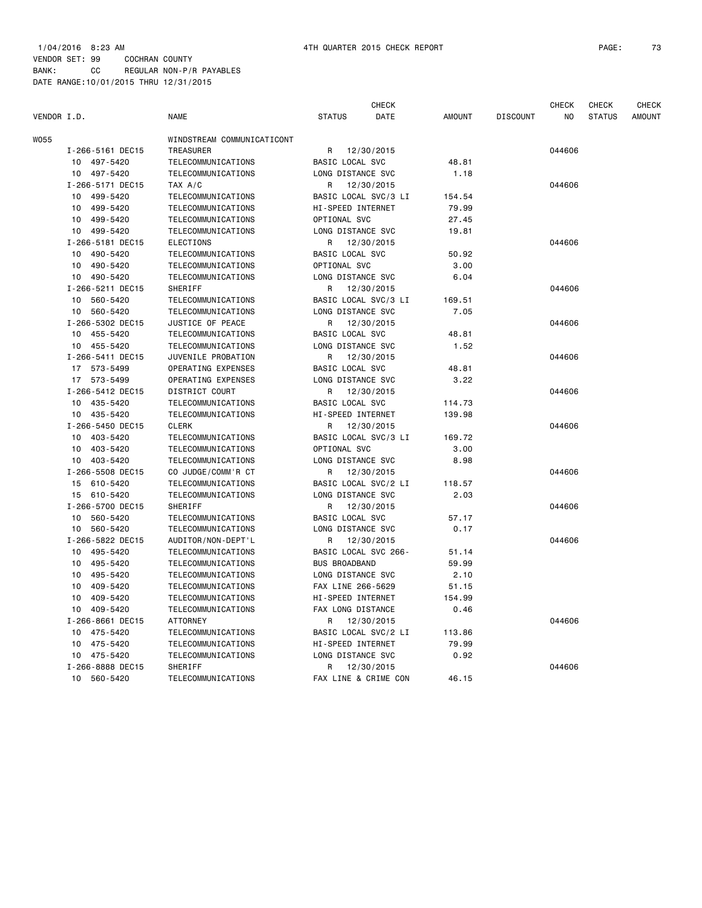VENDOR SET: 99 COCHRAN COUNTY BANK: CC REGULAR NON-P/R PAYABLES DATE RANGE:10/01/2015 THRU 12/31/2015

|             |                             |                            |                      | CHECK      |               |                 | CHECK  | CHECK         | CHECK         |
|-------------|-----------------------------|----------------------------|----------------------|------------|---------------|-----------------|--------|---------------|---------------|
| VENDOR I.D. |                             | <b>NAME</b>                | <b>STATUS</b>        | DATE       | <b>AMOUNT</b> | <b>DISCOUNT</b> | NO.    | <b>STATUS</b> | <b>AMOUNT</b> |
| W055        |                             | WINDSTREAM COMMUNICATICONT |                      |            |               |                 |        |               |               |
|             | I-266-5161 DEC15            | TREASURER                  | R                    | 12/30/2015 |               |                 | 044606 |               |               |
|             | 10 497-5420                 | TELECOMMUNICATIONS         | BASIC LOCAL SVC      |            | 48.81         |                 |        |               |               |
|             | 497-5420<br>10              | TELECOMMUNICATIONS         | LONG DISTANCE SVC    |            | 1.18          |                 |        |               |               |
|             | I-266-5171 DEC15            | TAX A/C                    | R                    | 12/30/2015 |               |                 | 044606 |               |               |
|             | 10 499-5420                 | TELECOMMUNICATIONS         | BASIC LOCAL SVC/3 LI |            | 154.54        |                 |        |               |               |
|             | 10 499-5420                 | TELECOMMUNICATIONS         | HI-SPEED INTERNET    |            | 79.99         |                 |        |               |               |
|             | 10<br>499-5420              | TELECOMMUNICATIONS         | OPTIONAL SVC         |            | 27.45         |                 |        |               |               |
|             | 10 499-5420                 | TELECOMMUNICATIONS         | LONG DISTANCE SVC    |            | 19.81         |                 |        |               |               |
|             | I-266-5181 DEC15            | ELECTIONS                  | R                    | 12/30/2015 |               |                 | 044606 |               |               |
|             | 10 490-5420                 | TELECOMMUNICATIONS         | BASIC LOCAL SVC      |            | 50.92         |                 |        |               |               |
|             | 490-5420<br>10              | TELECOMMUNICATIONS         | OPTIONAL SVC         |            | 3.00          |                 |        |               |               |
|             | 10 490-5420                 | TELECOMMUNICATIONS         | LONG DISTANCE SVC    |            | 6.04          |                 |        |               |               |
|             | I-266-5211 DEC15            | <b>SHERIFF</b>             | R                    | 12/30/2015 |               |                 | 044606 |               |               |
|             | 10 560-5420                 | TELECOMMUNICATIONS         | BASIC LOCAL SVC/3 LI |            | 169.51        |                 |        |               |               |
|             | 10 560-5420                 | TELECOMMUNICATIONS         | LONG DISTANCE SVC    |            | 7.05          |                 |        |               |               |
|             | I-266-5302 DEC15            | JUSTICE OF PEACE           | R                    | 12/30/2015 |               |                 | 044606 |               |               |
|             | 10 455-5420                 | TELECOMMUNICATIONS         | BASIC LOCAL SVC      |            | 48.81         |                 |        |               |               |
|             | 10 455-5420                 | TELECOMMUNICATIONS         | LONG DISTANCE SVC    |            | 1.52          |                 |        |               |               |
|             | I-266-5411 DEC15            | JUVENILE PROBATION         | R                    | 12/30/2015 |               |                 | 044606 |               |               |
|             | 17 573-5499                 | OPERATING EXPENSES         | BASIC LOCAL SVC      |            | 48.81         |                 |        |               |               |
|             | 17 573-5499                 | OPERATING EXPENSES         | LONG DISTANCE SVC    |            | 3.22          |                 |        |               |               |
|             | I-266-5412 DEC15            | <b>DISTRICT COURT</b>      | R                    | 12/30/2015 |               |                 | 044606 |               |               |
|             | 10 435-5420                 | TELECOMMUNICATIONS         | BASIC LOCAL SVC      |            | 114.73        |                 |        |               |               |
|             | 435-5420<br>10              | TELECOMMUNICATIONS         | HI-SPEED INTERNET    |            | 139.98        |                 |        |               |               |
|             | I-266-5450 DEC15            | <b>CLERK</b>               | R                    | 12/30/2015 |               |                 | 044606 |               |               |
|             | 10 403-5420                 | TELECOMMUNICATIONS         | BASIC LOCAL SVC/3 LI |            | 169.72        |                 |        |               |               |
|             | 10 403-5420                 | TELECOMMUNICATIONS         | OPTIONAL SVC         |            | 3.00          |                 |        |               |               |
|             | 10 403-5420                 | TELECOMMUNICATIONS         | LONG DISTANCE SVC    |            | 8.98          |                 |        |               |               |
|             | I-266-5508 DEC15            | CO JUDGE/COMM'R CT         | R                    | 12/30/2015 |               |                 | 044606 |               |               |
|             | 15 610-5420                 | TELECOMMUNICATIONS         | BASIC LOCAL SVC/2 LI |            | 118.57        |                 |        |               |               |
|             | 15 610-5420                 | TELECOMMUNICATIONS         | LONG DISTANCE SVC    |            | 2.03          |                 |        |               |               |
|             | I-266-5700 DEC15            | SHERIFF                    | R.                   | 12/30/2015 |               |                 | 044606 |               |               |
|             | 10 <sup>1</sup><br>560-5420 | TELECOMMUNICATIONS         | BASIC LOCAL SVC      |            | 57.17         |                 |        |               |               |
|             | 10 560-5420                 | TELECOMMUNICATIONS         | LONG DISTANCE SVC    |            | 0.17          |                 |        |               |               |
|             | I-266-5822 DEC15            | AUDITOR/NON-DEPT'L         | R                    | 12/30/2015 |               |                 | 044606 |               |               |
|             | 495-5420<br>10              | TELECOMMUNICATIONS         | BASIC LOCAL SVC 266- |            | 51.14         |                 |        |               |               |
|             | 495-5420<br>10              | TELECOMMUNICATIONS         | <b>BUS BROADBAND</b> |            | 59.99         |                 |        |               |               |
|             | 10 495-5420                 | TELECOMMUNICATIONS         | LONG DISTANCE SVC    |            | 2.10          |                 |        |               |               |
|             | 409-5420<br>10              | TELECOMMUNICATIONS         | FAX LINE 266-5629    |            | 51.15         |                 |        |               |               |
|             | 409-5420<br>10              | TELECOMMUNICATIONS         | HI-SPEED INTERNET    |            | 154.99        |                 |        |               |               |
|             | 10 409-5420                 | TELECOMMUNICATIONS         | FAX LONG DISTANCE    |            | 0.46          |                 |        |               |               |
|             | I-266-8661 DEC15            | <b>ATTORNEY</b>            | R                    | 12/30/2015 |               |                 | 044606 |               |               |
|             | 10 475-5420                 | TELECOMMUNICATIONS         | BASIC LOCAL SVC/2 LI |            | 113.86        |                 |        |               |               |
|             | 475-5420<br>10              | TELECOMMUNICATIONS         | HI-SPEED INTERNET    |            | 79.99         |                 |        |               |               |
|             | 10 475-5420                 | TELECOMMUNICATIONS         | LONG DISTANCE SVC    |            | 0.92          |                 |        |               |               |
|             | I-266-8888 DEC15            | SHERIFF                    | R                    | 12/30/2015 |               |                 | 044606 |               |               |
|             | 10 560-5420                 | TELECOMMUNICATIONS         | FAX LINE & CRIME CON |            | 46.15         |                 |        |               |               |
|             |                             |                            |                      |            |               |                 |        |               |               |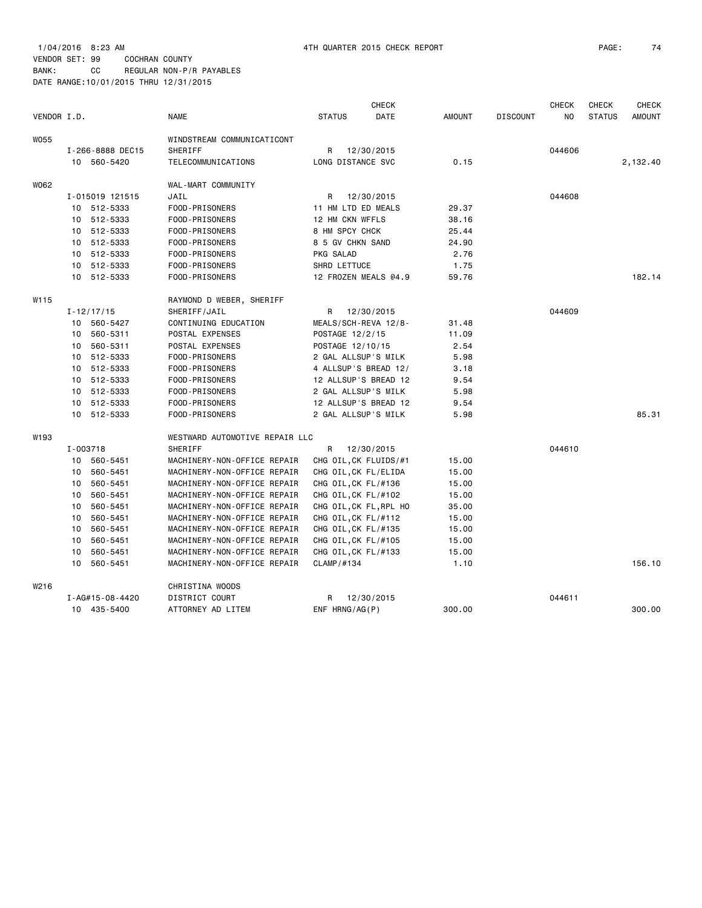#### VENDOR SET: 99 COCHRAN COUNTY BANK: CC REGULAR NON-P/R PAYABLES DATE RANGE:10/01/2015 THRU 12/31/2015

|                  |    |                  |                                |                      | <b>CHECK</b>          |               |                 | <b>CHECK</b> | <b>CHECK</b>  | <b>CHECK</b>  |
|------------------|----|------------------|--------------------------------|----------------------|-----------------------|---------------|-----------------|--------------|---------------|---------------|
| VENDOR I.D.      |    |                  | <b>NAME</b>                    | <b>STATUS</b>        | DATE                  | <b>AMOUNT</b> | <b>DISCOUNT</b> | NO           | <b>STATUS</b> | <b>AMOUNT</b> |
| W055             |    |                  | WINDSTREAM COMMUNICATICONT     |                      |                       |               |                 |              |               |               |
|                  |    | I-266-8888 DEC15 | SHERIFF                        | R                    | 12/30/2015            |               |                 | 044606       |               |               |
|                  |    | 10 560-5420      | TELECOMMUNICATIONS             | LONG DISTANCE SVC    |                       | 0.15          |                 |              |               | 2,132.40      |
| W062             |    |                  | WAL-MART COMMUNITY             |                      |                       |               |                 |              |               |               |
|                  |    | I-015019 121515  | JAIL                           | R                    | 12/30/2015            |               |                 | 044608       |               |               |
|                  |    | 10 512-5333      | FOOD-PRISONERS                 | 11 HM LTD ED MEALS   |                       | 29.37         |                 |              |               |               |
|                  |    | 10 512-5333      | FOOD-PRISONERS                 | 12 HM CKN WFFLS      |                       | 38.16         |                 |              |               |               |
|                  |    | 10 512-5333      | FOOD-PRISONERS                 | 8 HM SPCY CHCK       |                       | 25.44         |                 |              |               |               |
|                  |    | 10 512-5333      | FOOD-PRISONERS                 | 8 5 GV CHKN SAND     |                       | 24.90         |                 |              |               |               |
|                  |    | 10 512-5333      | FOOD-PRISONERS                 | PKG SALAD            |                       | 2.76          |                 |              |               |               |
|                  |    | 10 512-5333      | FOOD-PRISONERS                 | SHRD LETTUCE         |                       | 1.75          |                 |              |               |               |
|                  |    | 10 512-5333      | FOOD-PRISONERS                 |                      | 12 FROZEN MEALS @4.9  | 59.76         |                 |              |               | 182.14        |
| W115             |    |                  | RAYMOND D WEBER, SHERIFF       |                      |                       |               |                 |              |               |               |
|                  |    | $I - 12/17/15$   | SHERIFF/JAIL                   | R                    | 12/30/2015            |               |                 | 044609       |               |               |
|                  |    | 10 560-5427      | CONTINUING EDUCATION           |                      | MEALS/SCH-REVA 12/8-  | 31.48         |                 |              |               |               |
|                  |    | 10 560-5311      | POSTAL EXPENSES                | POSTAGE 12/2/15      |                       | 11.09         |                 |              |               |               |
|                  |    | 10 560-5311      | POSTAL EXPENSES                | POSTAGE 12/10/15     |                       | 2.54          |                 |              |               |               |
|                  |    | 10 512-5333      | FOOD-PRISONERS                 | 2 GAL ALLSUP'S MILK  |                       | 5.98          |                 |              |               |               |
|                  |    | 10 512-5333      | FOOD-PRISONERS                 |                      | 4 ALLSUP'S BREAD 12/  | 3.18          |                 |              |               |               |
|                  |    | 10 512-5333      | FOOD-PRISONERS                 |                      | 12 ALLSUP'S BREAD 12  | 9.54          |                 |              |               |               |
|                  |    | 10 512-5333      | FOOD-PRISONERS                 | 2 GAL ALLSUP'S MILK  |                       | 5.98          |                 |              |               |               |
|                  |    | 10 512-5333      | FOOD-PRISONERS                 |                      | 12 ALLSUP'S BREAD 12  | 9.54          |                 |              |               |               |
|                  |    | 10 512-5333      | FOOD-PRISONERS                 | 2 GAL ALLSUP'S MILK  |                       | 5.98          |                 |              |               | 85.31         |
| W193             |    |                  | WESTWARD AUTOMOTIVE REPAIR LLC |                      |                       |               |                 |              |               |               |
|                  |    | I-003718         | SHERIFF                        | R                    | 12/30/2015            |               |                 | 044610       |               |               |
|                  |    | 10 560-5451      | MACHINERY-NON-OFFICE REPAIR    |                      | CHG OIL, CK FLUIDS/#1 | 15.00         |                 |              |               |               |
|                  | 10 | 560-5451         | MACHINERY-NON-OFFICE REPAIR    | CHG OIL, CK FL/ELIDA |                       | 15.00         |                 |              |               |               |
|                  |    | 10 560-5451      | MACHINERY-NON-OFFICE REPAIR    | CHG OIL, CK FL/#136  |                       | 15.00         |                 |              |               |               |
|                  | 10 | 560-5451         | MACHINERY-NON-OFFICE REPAIR    | CHG OIL, CK FL/#102  |                       | 15.00         |                 |              |               |               |
|                  | 10 | 560-5451         | MACHINERY-NON-OFFICE REPAIR    |                      | CHG OIL,CK FL,RPL HO  | 35.00         |                 |              |               |               |
|                  |    | 10 560-5451      | MACHINERY-NON-OFFICE REPAIR    | CHG OIL, CK FL/#112  |                       | 15.00         |                 |              |               |               |
|                  | 10 | 560-5451         | MACHINERY-NON-OFFICE REPAIR    | CHG OIL, CK FL/#135  |                       | 15.00         |                 |              |               |               |
|                  | 10 | 560-5451         | MACHINERY-NON-OFFICE REPAIR    | CHG OIL, CK FL/#105  |                       | 15.00         |                 |              |               |               |
|                  |    | 10 560-5451      | MACHINERY-NON-OFFICE REPAIR    | CHG OIL, CK FL/#133  |                       | 15.00         |                 |              |               |               |
|                  | 10 | 560-5451         | MACHINERY-NON-OFFICE REPAIR    | CLAMP/#134           |                       | 1.10          |                 |              |               | 156.10        |
| W <sub>216</sub> |    |                  | CHRISTINA WOODS                |                      |                       |               |                 |              |               |               |
|                  |    | I-AG#15-08-4420  | DISTRICT COURT                 | R                    | 12/30/2015            |               |                 | 044611       |               |               |
|                  |    | 10 435-5400      | ATTORNEY AD LITEM              | ENF HRNG/AG(P)       |                       | 300.00        |                 |              |               | 300.00        |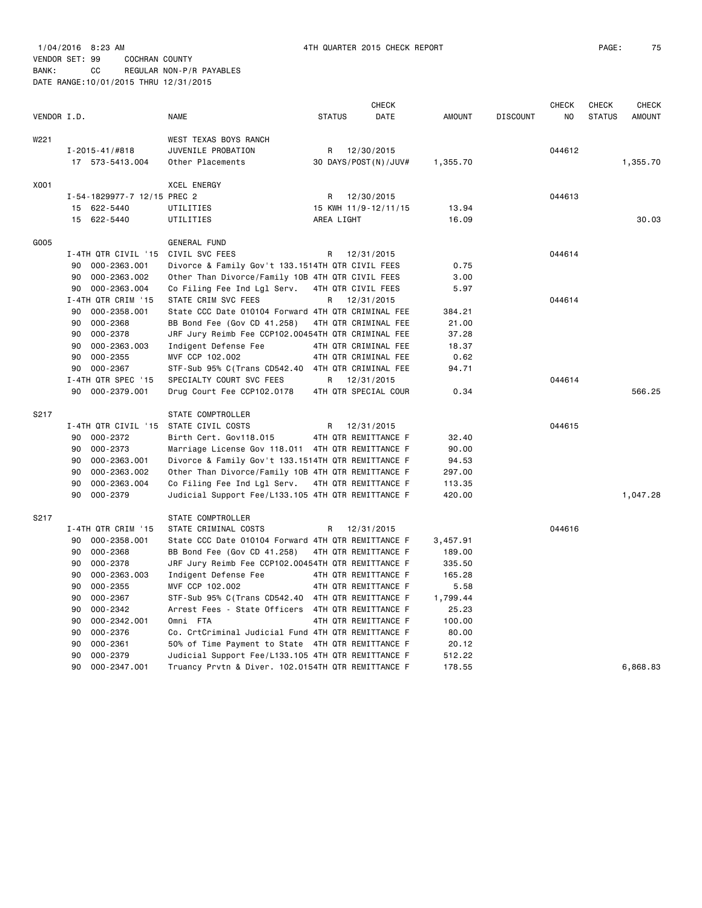| VENDOR I.D. |                                    | <b>NAME</b>                                        | <b>STATUS</b>        | <b>CHECK</b><br>DATE | <b>AMOUNT</b> | <b>DISCOUNT</b> | <b>CHECK</b><br>NO. | <b>CHECK</b><br><b>STATUS</b> | <b>CHECK</b><br><b>AMOUNT</b> |
|-------------|------------------------------------|----------------------------------------------------|----------------------|----------------------|---------------|-----------------|---------------------|-------------------------------|-------------------------------|
| W221        |                                    | WEST TEXAS BOYS RANCH                              |                      |                      |               |                 |                     |                               |                               |
|             | $I - 2015 - 41 / #818$             | JUVENILE PROBATION                                 | R                    | 12/30/2015           |               |                 | 044612              |                               |                               |
|             | 17 573-5413.004                    | Other Placements                                   | 30 DAYS/POST(N)/JUV# |                      | 1,355.70      |                 |                     |                               | 1,355.70                      |
| X001        |                                    | XCEL ENERGY                                        |                      |                      |               |                 |                     |                               |                               |
|             | I-54-1829977-7 12/15 PREC 2        |                                                    | R                    | 12/30/2015           |               |                 | 044613              |                               |                               |
|             | 15 622-5440                        | UTILITIES                                          | 15 KWH 11/9-12/11/15 |                      | 13.94         |                 |                     |                               |                               |
|             | 15 622-5440                        | UTILITIES                                          | AREA LIGHT           |                      | 16.09         |                 |                     |                               | 30.03                         |
| G005        |                                    | GENERAL FUND                                       |                      |                      |               |                 |                     |                               |                               |
|             | I-4TH QTR CIVIL '15 CIVIL SVC FEES |                                                    | R                    | 12/31/2015           |               |                 | 044614              |                               |                               |
|             | 90<br>000-2363.001                 | Divorce & Family Gov't 133.1514TH QTR CIVIL FEES   |                      |                      | 0.75          |                 |                     |                               |                               |
|             | 90<br>000-2363.002                 | Other Than Divorce/Family 10B 4TH QTR CIVIL FEES   |                      |                      | 3.00          |                 |                     |                               |                               |
|             | 000-2363.004<br>90                 | Co Filing Fee Ind Lgl Serv.                        | 4TH QTR CIVIL FEES   |                      | 5.97          |                 |                     |                               |                               |
|             | I-4TH QTR CRIM '15                 | STATE CRIM SVC FEES                                | R                    | 12/31/2015           |               |                 | 044614              |                               |                               |
|             | 000-2358.001<br>90                 | State CCC Date 010104 Forward 4TH QTR CRIMINAL FEE |                      |                      | 384.21        |                 |                     |                               |                               |
|             | 000-2368<br>90                     | BB Bond Fee (Gov CD 41.258)                        |                      | 4TH QTR CRIMINAL FEE | 21.00         |                 |                     |                               |                               |
|             | 90<br>000-2378                     | JRF Jury Reimb Fee CCP102.00454TH QTR CRIMINAL FEE |                      |                      | 37.28         |                 |                     |                               |                               |
|             | 90<br>000-2363.003                 | Indigent Defense Fee                               |                      | 4TH QTR CRIMINAL FEE | 18.37         |                 |                     |                               |                               |
|             | 90<br>000-2355                     | MVF CCP 102.002                                    |                      | 4TH QTR CRIMINAL FEE | 0.62          |                 |                     |                               |                               |
|             | 000-2367<br>90                     | STF-Sub 95% C(Trans CD542.40 4TH QTR CRIMINAL FEE  |                      |                      | 94.71         |                 |                     |                               |                               |
|             | I-4TH QTR SPEC '15                 | SPECIALTY COURT SVC FEES                           | R                    | 12/31/2015           |               |                 | 044614              |                               |                               |
|             | 000-2379.001<br>90                 | Drug Court Fee CCP102.0178                         | 4TH QTR SPECIAL COUR |                      | 0.34          |                 |                     |                               | 566.25                        |
| S217        |                                    | STATE COMPTROLLER                                  |                      |                      |               |                 |                     |                               |                               |
|             | I-4TH QTR CIVIL '15                | STATE CIVIL COSTS                                  | R                    | 12/31/2015           |               |                 | 044615              |                               |                               |
|             | 000-2372<br>90                     | Birth Cert. Gov118.015                             | 4TH QTR REMITTANCE F |                      | 32.40         |                 |                     |                               |                               |
|             | 000-2373<br>90                     | Marriage License Gov 118.011 4TH QTR REMITTANCE F  |                      |                      | 90.00         |                 |                     |                               |                               |
|             | 90<br>000-2363.001                 | Divorce & Family Gov't 133.1514TH QTR REMITTANCE F |                      |                      | 94.53         |                 |                     |                               |                               |
|             | 90<br>000-2363.002                 | Other Than Divorce/Family 10B 4TH QTR REMITTANCE F |                      |                      | 297.00        |                 |                     |                               |                               |
|             | 90<br>000-2363.004                 | Co Filing Fee Ind Lgl Serv.                        | 4TH QTR REMITTANCE F |                      | 113.35        |                 |                     |                               |                               |
|             | 90<br>000-2379                     | Judicial Support Fee/L133.105 4TH QTR REMITTANCE F |                      |                      | 420.00        |                 |                     |                               | 1,047.28                      |
| S217        |                                    | STATE COMPTROLLER                                  |                      |                      |               |                 |                     |                               |                               |
|             | I-4TH QTR CRIM '15                 | STATE CRIMINAL COSTS                               | R                    | 12/31/2015           |               |                 | 044616              |                               |                               |
|             | 000-2358.001<br>90                 | State CCC Date 010104 Forward 4TH QTR REMITTANCE F |                      |                      | 3,457.91      |                 |                     |                               |                               |
|             | 90<br>000-2368                     | BB Bond Fee (Gov CD 41.258)                        |                      | 4TH QTR REMITTANCE F | 189.00        |                 |                     |                               |                               |
|             | 90<br>000-2378                     | JRF Jury Reimb Fee CCP102.00454TH QTR REMITTANCE F |                      |                      | 335.50        |                 |                     |                               |                               |
|             | 000-2363.003<br>90                 | Indigent Defense Fee                               | 4TH QTR REMITTANCE F |                      | 165.28        |                 |                     |                               |                               |
|             | $000 - 2355$<br>90                 | MVF CCP 102.002                                    | 4TH QTR REMITTANCE F |                      | 5.58          |                 |                     |                               |                               |
|             | 000-2367<br>90                     | STF-Sub 95% C(Trans CD542.40 4TH QTR REMITTANCE F  |                      |                      | 1,799.44      |                 |                     |                               |                               |
|             | 90<br>000-2342                     | Arrest Fees - State Officers 4TH QTR REMITTANCE F  |                      |                      | 25.23         |                 |                     |                               |                               |
|             | 90<br>000-2342.001                 | Omni FTA                                           |                      | 4TH QTR REMITTANCE F | 100.00        |                 |                     |                               |                               |
|             | 90<br>000-2376                     | Co. CrtCriminal Judicial Fund 4TH QTR REMITTANCE F |                      |                      | 80.00         |                 |                     |                               |                               |
|             | 90<br>000-2361                     | 50% of Time Payment to State 4TH QTR REMITTANCE F  |                      |                      | 20.12         |                 |                     |                               |                               |
|             | 90<br>000-2379                     | Judicial Support Fee/L133.105 4TH QTR REMITTANCE F |                      |                      | 512.22        |                 |                     |                               |                               |
|             | 90<br>000-2347.001                 | Truancy Prvtn & Diver. 102.0154TH QTR REMITTANCE F |                      |                      | 178.55        |                 |                     |                               | 6.868.83                      |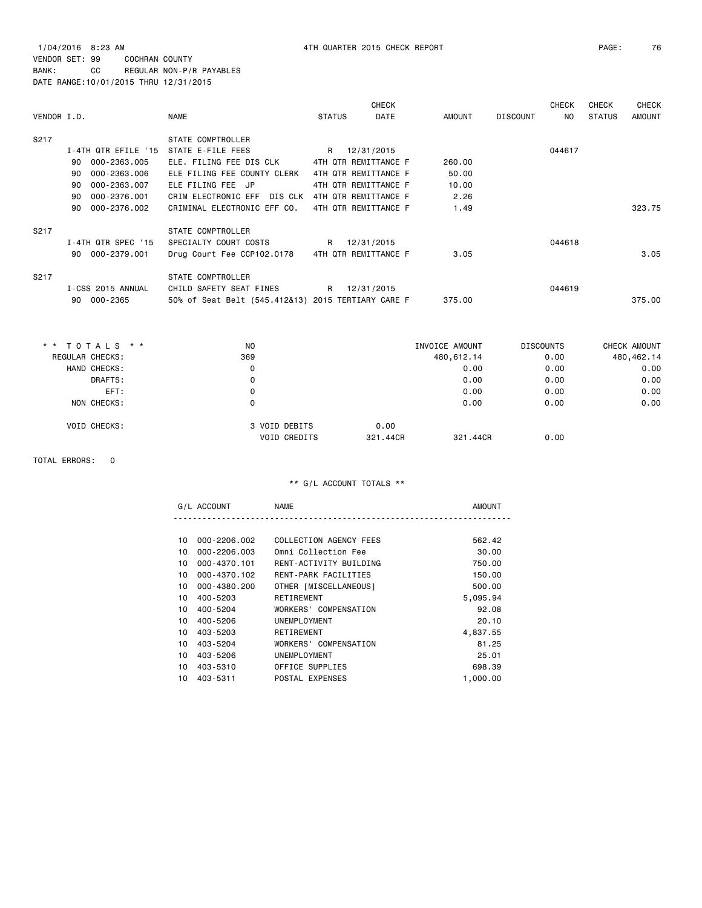1/04/2016 8:23 AM 4TH QUARTER 2015 CHECK REPORT PAGE: 76 VENDOR SET: 99 COCHRAN COUNTY BANK: CC REGULAR NON-P/R PAYABLES DATE RANGE:10/01/2015 THRU 12/31/2015

| VENDOR I.D. |    |                     | NAME                                               | <b>STATUS</b> | <b>CHECK</b><br><b>DATE</b> | AMOUNT | <b>DISCOUNT</b> | <b>CHECK</b><br>NO. | CHECK<br><b>STATUS</b> | <b>CHECK</b><br><b>AMOUNT</b> |
|-------------|----|---------------------|----------------------------------------------------|---------------|-----------------------------|--------|-----------------|---------------------|------------------------|-------------------------------|
| S217        |    |                     | STATE COMPTROLLER                                  |               |                             |        |                 |                     |                        |                               |
|             |    | I-4TH QTR EFILE '15 | STATE E-FILE FEES                                  | R             | 12/31/2015                  |        |                 | 044617              |                        |                               |
|             | 90 | 000-2363.005        | ELE. FILING FEE DIS CLK                            |               | 4TH QTR REMITTANCE F        | 260.00 |                 |                     |                        |                               |
|             | 90 | 000-2363.006        | ELE FILING FEE COUNTY CLERK                        |               | 4TH QTR REMITTANCE F        | 50.00  |                 |                     |                        |                               |
|             | 90 | 000-2363.007        | ELE FILING FEE JP                                  |               | 4TH QTR REMITTANCE F        | 10.00  |                 |                     |                        |                               |
|             | 90 | 000-2376.001        | CRIM ELECTRONIC EFF DIS CLK                        |               | 4TH QTR REMITTANCE F        | 2.26   |                 |                     |                        |                               |
|             | 90 | 000-2376.002        | CRIMINAL ELECTRONIC EFF CO.                        |               | 4TH QTR REMITTANCE F        | 1.49   |                 |                     |                        | 323.75                        |
| S217        |    |                     | STATE COMPTROLLER                                  |               |                             |        |                 |                     |                        |                               |
|             |    | I-4TH QTR SPEC '15  | SPECIALTY COURT COSTS                              | R             | 12/31/2015                  |        |                 | 044618              |                        |                               |
|             | 90 | 000-2379.001        | Drug Court Fee CCP102.0178                         |               | 4TH QTR REMITTANCE F        | 3.05   |                 |                     |                        | 3.05                          |
| S217        |    |                     | STATE COMPTROLLER                                  |               |                             |        |                 |                     |                        |                               |
|             |    | I-CSS 2015 ANNUAL   | CHILD SAFETY SEAT FINES                            | R             | 12/31/2015                  |        |                 | 044619              |                        |                               |
|             | 90 | 000-2365            | 50% of Seat Belt (545.412&13) 2015 TERTIARY CARE F |               |                             | 375.00 |                 |                     |                        | 375.00                        |

| $*$ * TOTALS $*$ *  | N <sub>O</sub>      | INVOICE AMOUNT |            | <b>DISCOUNTS</b> | CHECK AMOUNT |
|---------------------|---------------------|----------------|------------|------------------|--------------|
| REGULAR CHECKS:     | 369                 |                | 480,612.14 | 0.00             | 480,462.14   |
| HAND CHECKS:        | 0                   |                | 0.00       | 0.00             | 0.00         |
| DRAFTS:             | 0                   |                | 0.00       | 0.00             | 0.00         |
| EFT:                | 0                   |                | 0.00       | 0.00             | 0.00         |
| NON CHECKS:         | 0                   |                | 0.00       | 0.00             | 0.00         |
| <b>VOID CHECKS:</b> | 3 VOID DEBITS       | 0.00           |            |                  |              |
|                     | <b>VOID CREDITS</b> | 321,44CR       | 321,44CR   | 0.00             |              |

TOTAL ERRORS: 0

|  | NΔ<br>⊣w∎ |  |
|--|-----------|--|
|  |           |  |

| 10 | 000-2206.002 | COLLECTION AGENCY FEES | 562.42   |
|----|--------------|------------------------|----------|
| 10 | 000-2206.003 | Omni Collection Fee    | 30.00    |
| 10 | 000-4370.101 | RENT-ACTIVITY BUILDING | 750.00   |
| 10 | 000-4370.102 | RENT-PARK FACILITIES   | 150.00   |
| 10 | 000-4380.200 | OTHER [MISCELLANEOUS]  | 500.00   |
| 10 | 400-5203     | RETIREMENT             | 5,095.94 |
|    | 10 400-5204  | WORKERS' COMPENSATION  | 92.08    |
| 10 | 400-5206     | UNEMPLOYMENT           | 20.10    |
| 10 | 403-5203     | RETIREMENT             | 4.837.55 |
| 10 | 403-5204     | WORKERS' COMPENSATION  | 81.25    |
| 10 | 403-5206     | UNEMPLOYMENT           | 25.01    |
| 10 | 403-5310     | OFFICE SUPPLIES        | 698.39   |
| 10 | 403-5311     | POSTAL EXPENSES        | 1,000,00 |
|    |              |                        |          |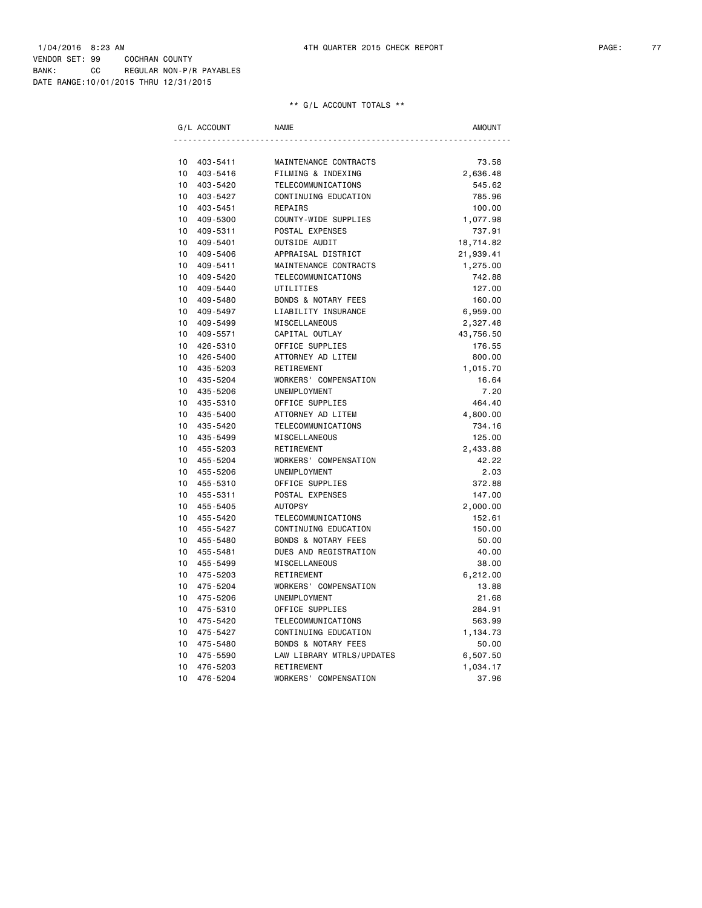| G/L ACCOUNT    | <b>NAME</b>                    | AMOUNT    |
|----------------|--------------------------------|-----------|
|                |                                |           |
| 10<br>403-5411 | MAINTENANCE CONTRACTS          | 73.58     |
| 10<br>403-5416 | FILMING & INDEXING             | 2,636.48  |
| 10<br>403-5420 | TELECOMMUNICATIONS             | 545.62    |
| 10<br>403-5427 | CONTINUING EDUCATION           | 785.96    |
| 10<br>403-5451 | <b>REPAIRS</b>                 | 100.00    |
| 10<br>409-5300 | COUNTY-WIDE SUPPLIES           | 1,077.98  |
| 10<br>409-5311 | POSTAL EXPENSES                | 737.91    |
| 10<br>409-5401 | OUTSIDE AUDIT                  | 18,714.82 |
| 10<br>409-5406 | APPRAISAL DISTRICT             | 21,939.41 |
| 10<br>409-5411 | MAINTENANCE CONTRACTS          | 1,275.00  |
| 10<br>409-5420 | TELECOMMUNICATIONS             | 742.88    |
| 10<br>409-5440 | UTILITIES                      | 127.00    |
| 10<br>409-5480 | <b>BONDS &amp; NOTARY FEES</b> | 160.00    |
| 10<br>409-5497 | LIABILITY INSURANCE            | 6,959.00  |
| 10<br>409-5499 | <b>MISCELLANEOUS</b>           | 2,327.48  |
| 10<br>409-5571 | CAPITAL OUTLAY                 | 43,756.50 |
| 10<br>426-5310 | OFFICE SUPPLIES                | 176.55    |
| 10<br>426-5400 | ATTORNEY AD LITEM              | 800.00    |
| 10<br>435-5203 | RETIREMENT                     | 1,015.70  |
| 10<br>435-5204 | WORKERS' COMPENSATION          | 16.64     |
| 10<br>435-5206 | UNEMPLOYMENT                   | 7.20      |
| 10<br>435-5310 | OFFICE SUPPLIES                | 464.40    |
| 10<br>435-5400 | ATTORNEY AD LITEM              | 4,800.00  |
| 10<br>435-5420 | TELECOMMUNICATIONS             | 734.16    |
| 10<br>435-5499 | MISCELLANEOUS                  | 125.00    |
| 10<br>455-5203 | RETIREMENT                     | 2,433.88  |
| 10<br>455-5204 | WORKERS' COMPENSATION          | 42.22     |
| 10<br>455-5206 | UNEMPLOYMENT                   | 2.03      |
| 10<br>455-5310 | OFFICE SUPPLIES                | 372.88    |
| 10<br>455-5311 | POSTAL EXPENSES                | 147.00    |
| 10<br>455-5405 | <b>AUTOPSY</b>                 | 2,000.00  |
| 10<br>455-5420 | TELECOMMUNICATIONS             | 152.61    |
| 10<br>455-5427 | CONTINUING EDUCATION           | 150.00    |
| 455-5480<br>10 | <b>BONDS &amp; NOTARY FEES</b> | 50.00     |
| 10<br>455-5481 | DUES AND REGISTRATION          | 40.00     |
| 10<br>455-5499 | MISCELLANEOUS                  | 38.00     |
| 10<br>475-5203 | RETIREMENT                     | 6,212.00  |
| 10<br>475-5204 | WORKERS' COMPENSATION          | 13.88     |
| 475-5206<br>10 | UNEMPLOYMENT                   | 21.68     |
| 10<br>475-5310 | OFFICE SUPPLIES                | 284.91    |
| 10<br>475-5420 | TELECOMMUNICATIONS             | 563.99    |
| 10<br>475-5427 | CONTINUING EDUCATION           | 1,134.73  |
| 10<br>475-5480 | <b>BONDS &amp; NOTARY FEES</b> | 50.00     |
| 10<br>475-5590 | LAW LIBRARY MTRLS/UPDATES      | 6,507.50  |
| 476-5203<br>10 | RETIREMENT                     | 1,034.17  |
| 10<br>476-5204 | WORKERS' COMPENSATION          | 37.96     |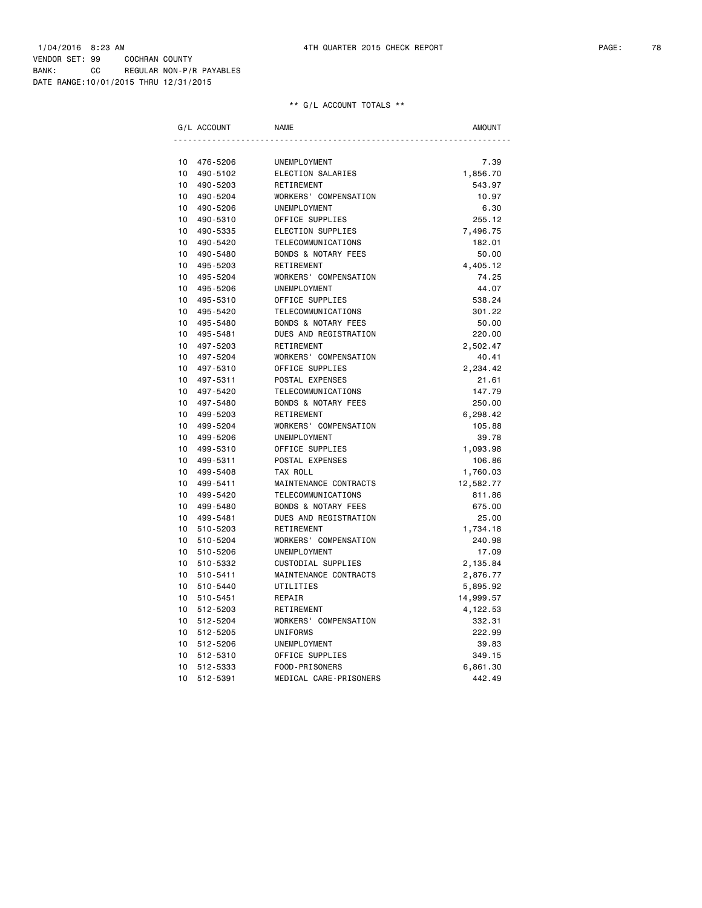| G/L ACCOUNT    | <b>NAME</b>                    | AMOUNT    |
|----------------|--------------------------------|-----------|
|                |                                |           |
| 10<br>476-5206 | UNEMPLOYMENT                   | 7.39      |
| 10<br>490-5102 | ELECTION SALARIES              | 1,856.70  |
| 10<br>490-5203 | RETIREMENT                     | 543.97    |
| 10<br>490-5204 | WORKERS' COMPENSATION          | 10.97     |
| 10<br>490-5206 | <b>UNEMPLOYMENT</b>            | 6.30      |
| 10<br>490-5310 | OFFICE SUPPLIES                | 255.12    |
| 10<br>490-5335 | ELECTION SUPPLIES              | 7,496.75  |
| 10<br>490-5420 | TELECOMMUNICATIONS             | 182.01    |
| 10<br>490-5480 | <b>BONDS &amp; NOTARY FEES</b> | 50.00     |
| 10<br>495-5203 | RETIREMENT                     | 4,405.12  |
| 10<br>495-5204 | WORKERS' COMPENSATION          | 74.25     |
| 10<br>495-5206 | UNEMPLOYMENT                   | 44.07     |
| 10<br>495-5310 | OFFICE SUPPLIES                | 538.24    |
| 10<br>495-5420 | TELECOMMUNICATIONS             | 301.22    |
| 10<br>495-5480 | <b>BONDS &amp; NOTARY FEES</b> | 50.00     |
| 10<br>495-5481 | DUES AND REGISTRATION          | 220.00    |
| 10<br>497-5203 | RETIREMENT                     | 2,502.47  |
| 10<br>497-5204 | WORKERS' COMPENSATION          | 40.41     |
| 10<br>497-5310 | OFFICE SUPPLIES                | 2,234.42  |
| 10<br>497-5311 | POSTAL EXPENSES                | 21.61     |
| 10<br>497-5420 | TELECOMMUNICATIONS             | 147.79    |
| 10<br>497-5480 | BONDS & NOTARY FEES            | 250.00    |
| 10<br>499-5203 | RETIREMENT                     | 6,298.42  |
| 10<br>499-5204 | WORKERS' COMPENSATION          | 105.88    |
| 10<br>499-5206 | UNEMPLOYMENT                   | 39.78     |
| 10<br>499-5310 | OFFICE SUPPLIES                | 1,093.98  |
| 10<br>499-5311 | POSTAL EXPENSES                | 106.86    |
| 10<br>499-5408 | TAX ROLL                       | 1,760.03  |
| 10<br>499-5411 | MAINTENANCE CONTRACTS          | 12,582.77 |
| 10<br>499-5420 | TELECOMMUNICATIONS             | 811.86    |
| 10<br>499-5480 | <b>BONDS &amp; NOTARY FEES</b> | 675.00    |
| 10<br>499-5481 | DUES AND REGISTRATION          | 25.00     |
| 10<br>510-5203 | RETIREMENT                     | 1,734.18  |
| 10<br>510-5204 | WORKERS' COMPENSATION          | 240.98    |
| 10<br>510-5206 | UNEMPLOYMENT                   | 17.09     |
| 10<br>510-5332 | CUSTODIAL SUPPLIES             | 2,135.84  |
| 10<br>510-5411 | MAINTENANCE CONTRACTS          | 2,876.77  |
| 10<br>510-5440 | UTILITIES                      | 5,895.92  |
| 10<br>510-5451 | REPAIR                         | 14,999.57 |
| 10<br>512-5203 | RETIREMENT                     | 4,122.53  |
| 10<br>512-5204 | WORKERS' COMPENSATION          | 332.31    |
| 10<br>512-5205 | UNIFORMS                       | 222.99    |
| 10<br>512-5206 | UNEMPLOYMENT                   | 39.83     |
| 10<br>512-5310 | OFFICE SUPPLIES                | 349.15    |
| 512-5333<br>10 | FOOD-PRISONERS                 | 6,861.30  |
| 10<br>512-5391 | MEDICAL CARE-PRISONERS         | 442.49    |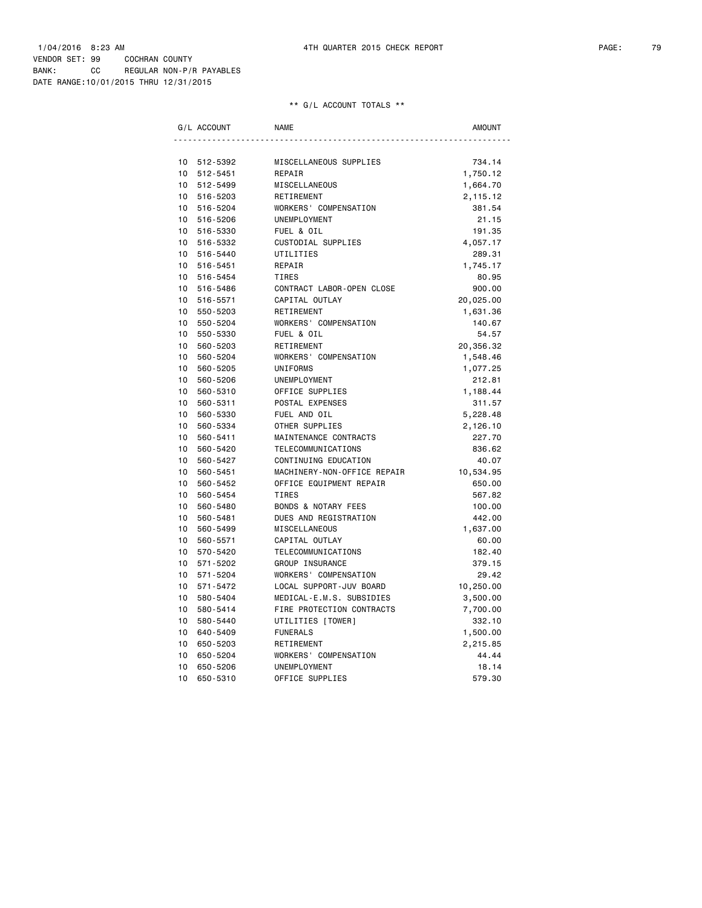| G/L ACCOUNT    | <b>NAME</b>                    | <b>AMOUNT</b> |
|----------------|--------------------------------|---------------|
|                |                                |               |
| 512-5392<br>10 | MISCELLANEOUS SUPPLIES         | 734.14        |
| 10<br>512-5451 | REPAIR                         | 1,750.12      |
| 10 512-5499    | MISCELLANEOUS                  | 1,664.70      |
| 10<br>516-5203 | RETIREMENT                     | 2,115.12      |
| 10<br>516-5204 | WORKERS' COMPENSATION          | 381.54        |
| 10<br>516-5206 | UNEMPLOYMENT                   | 21.15         |
| 10<br>516-5330 | FUEL & OIL                     | 191.35        |
| 10<br>516-5332 | CUSTODIAL SUPPLIES             | 4,057.17      |
| 10<br>516-5440 | UTILITIES                      | 289.31        |
| 10<br>516-5451 | REPAIR                         | 1,745.17      |
| 516-5454<br>10 | TIRES                          | 80.95         |
| 10<br>516-5486 | CONTRACT LABOR-OPEN CLOSE      | 900.00        |
| 10<br>516-5571 | CAPITAL OUTLAY                 | 20,025.00     |
| 10<br>550-5203 | RETIREMENT                     | 1,631.36      |
| 10<br>550-5204 | WORKERS' COMPENSATION          | 140.67        |
| 10<br>550-5330 | FUEL & OIL                     | 54.57         |
| 10<br>560-5203 | RETIREMENT                     | 20,356.32     |
| 10<br>560-5204 | WORKERS' COMPENSATION          | 1,548.46      |
| 10<br>560-5205 | UNIFORMS                       | 1,077.25      |
| 10<br>560-5206 | UNEMPLOYMENT                   | 212.81        |
| 10<br>560-5310 | OFFICE SUPPLIES                | 1,188.44      |
| 10<br>560-5311 | POSTAL EXPENSES                | 311.57        |
| 10<br>560-5330 | FUEL AND OIL                   | 5,228.48      |
| 10<br>560-5334 | OTHER SUPPLIES                 | 2,126.10      |
| 10<br>560-5411 | MAINTENANCE CONTRACTS          | 227.70        |
| 10<br>560-5420 | TELECOMMUNICATIONS             | 836.62        |
| 10<br>560-5427 | CONTINUING EDUCATION           | 40.07         |
| 10<br>560-5451 | MACHINERY-NON-OFFICE REPAIR    | 10,534.95     |
| 10<br>560-5452 | OFFICE EQUIPMENT REPAIR        | 650.00        |
| 10<br>560-5454 | <b>TIRES</b>                   | 567.82        |
| 10<br>560-5480 | <b>BONDS &amp; NOTARY FEES</b> | 100.00        |
| 10<br>560-5481 | DUES AND REGISTRATION          | 442.00        |
| 10<br>560-5499 | MISCELLANEOUS                  | 1,637.00      |
| 10<br>560-5571 | CAPITAL OUTLAY                 | 60.00         |
| 10<br>570-5420 | TELECOMMUNICATIONS             | 182.40        |
| 571-5202<br>10 | GROUP INSURANCE                | 379.15        |
| 10<br>571-5204 | WORKERS' COMPENSATION          | 29.42         |
| 10<br>571-5472 | LOCAL SUPPORT-JUV BOARD        | 10,250.00     |
| 10<br>580-5404 | MEDICAL-E.M.S. SUBSIDIES       | 3,500.00      |
| 10<br>580-5414 | FIRE PROTECTION CONTRACTS      | 7,700.00      |
| 580-5440<br>10 | UTILITIES [TOWER]              | 332.10        |
| 10<br>640-5409 | <b>FUNERALS</b>                | 1,500.00      |
| 10<br>650-5203 | RETIREMENT                     | 2,215.85      |
| 10<br>650-5204 | WORKERS' COMPENSATION          | 44.44         |
| 10<br>650-5206 | UNEMPLOYMENT                   | 18.14         |
| 10<br>650-5310 | OFFICE SUPPLIES                | 579.30        |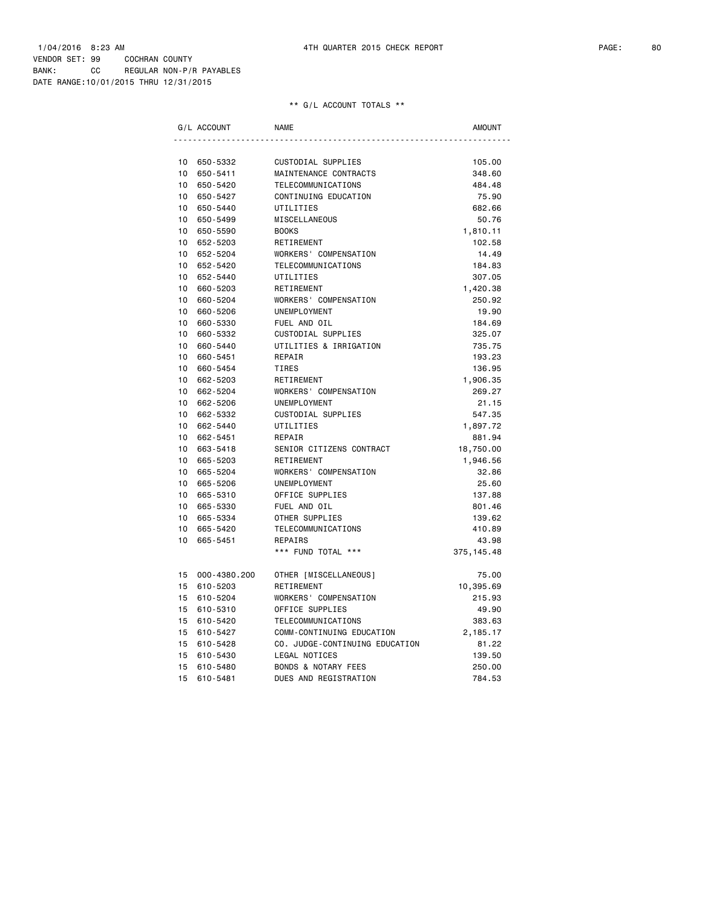| G/L ACCOUNT        | <b>NAME</b>                    | AMOUNT     |
|--------------------|--------------------------------|------------|
|                    |                                |            |
| 10<br>650-5332     | CUSTODIAL SUPPLIES             | 105.00     |
| 650-5411<br>10     | MAINTENANCE CONTRACTS          | 348.60     |
| 10<br>650-5420     | TELECOMMUNICATIONS             | 484.48     |
| 10<br>650-5427     | CONTINUING EDUCATION           | 75.90      |
| 10<br>650-5440     | UTILITIES                      | 682.66     |
| 10<br>650-5499     | MISCELLANEOUS                  | 50.76      |
| 10<br>650-5590     | <b>BOOKS</b>                   | 1,810.11   |
| 10<br>652-5203     | RETIREMENT                     | 102.58     |
| 652-5204<br>10     | WORKERS' COMPENSATION          | 14.49      |
| 10<br>652-5420     | TELECOMMUNICATIONS             | 184.83     |
| 10<br>652-5440     | UTILITIES                      | 307.05     |
| 10<br>660-5203     | RETIREMENT                     | 1,420.38   |
| 10<br>660-5204     | WORKERS' COMPENSATION          | 250.92     |
| 10<br>660-5206     | UNEMPLOYMENT                   | 19.90      |
| 10<br>660-5330     | FUEL AND OIL                   | 184.69     |
| 10<br>660-5332     | CUSTODIAL SUPPLIES             | 325.07     |
| 10<br>660-5440     | UTILITIES & IRRIGATION         | 735.75     |
| 10<br>660-5451     | REPAIR                         | 193.23     |
| 10<br>660-5454     | TIRES                          | 136.95     |
| 10<br>662-5203     | RETIREMENT                     | 1,906.35   |
| 10<br>662-5204     | WORKERS' COMPENSATION          | 269.27     |
| 10<br>662-5206     | <b>UNEMPLOYMENT</b>            | 21.15      |
| 10<br>662-5332     | CUSTODIAL SUPPLIES             | 547.35     |
| 10<br>662-5440     | UTILITIES                      | 1,897.72   |
| 10<br>662-5451     | REPAIR                         | 881.94     |
| 10<br>663-5418     | SENIOR CITIZENS CONTRACT       | 18,750.00  |
| 10<br>665-5203     | RETIREMENT                     | 1,946.56   |
| 10<br>665-5204     | WORKERS' COMPENSATION          | 32.86      |
| 10<br>665-5206     | UNEMPLOYMENT                   | 25.60      |
| 10<br>665-5310     | OFFICE SUPPLIES                | 137.88     |
| 10<br>665-5330     | FUEL AND OIL                   | 801.46     |
| 10<br>665-5334     | OTHER SUPPLIES                 | 139.62     |
| 10<br>665-5420     | TELECOMMUNICATIONS             | 410.89     |
| 10<br>665-5451     | REPAIRS                        | 43.98      |
|                    | *** FUND TOTAL ***             | 375,145.48 |
| 000-4380.200<br>15 | OTHER [MISCELLANEOUS]          | 75.00      |
| 15<br>610-5203     | RETIREMENT                     | 10,395.69  |
| 610-5204<br>15     | WORKERS' COMPENSATION          | 215.93     |
| 15<br>610-5310     | OFFICE SUPPLIES                | 49.90      |
| 610-5420<br>15     | TELECOMMUNICATIONS             | 383.63     |
| 15<br>610-5427     | COMM-CONTINUING EDUCATION      | 2,185.17   |
| 15<br>610-5428     | CO. JUDGE-CONTINUING EDUCATION | 81.22      |
| 15<br>610-5430     | LEGAL NOTICES                  | 139.50     |
| 15<br>610-5480     | <b>BONDS &amp; NOTARY FEES</b> | 250.00     |
| 15<br>610-5481     | DUES AND REGISTRATION          | 784.53     |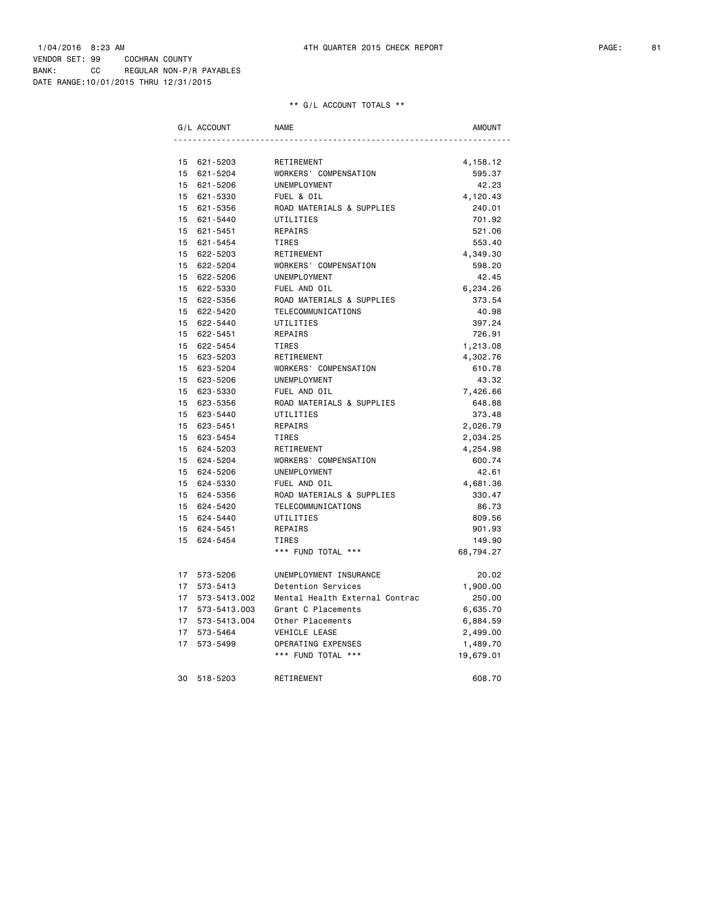|          | G/L ACCOUNT          | <b>NAME</b>                               | AMOUNT             |
|----------|----------------------|-------------------------------------------|--------------------|
|          |                      |                                           |                    |
| 15       | 621-5203             | RETIREMENT                                | 4,158.12           |
| 15       | 621-5204             | WORKERS' COMPENSATION                     | 595.37             |
| 15       | 621-5206             | UNEMPLOYMENT                              | 42.23              |
| 15       | 621-5330             | FUEL & OIL                                | 4,120.43           |
|          | 15 621-5356          | ROAD MATERIALS & SUPPLIES                 | 240.01             |
|          | 15 621-5440          | UTILITIES                                 | 701.92             |
|          | 15 621-5451          | REPAIRS                                   | 521.06             |
|          | 15 621-5454          | <b>TIRES</b>                              | 553.40             |
| 15       | 622-5203             | RETIREMENT                                | 4,349.30           |
| 15       | 622-5204             | WORKERS' COMPENSATION                     | 598.20             |
|          | 15 622-5206          | UNEMPLOYMENT                              | 42.45              |
| 15       | 622-5330             | FUEL AND OIL                              | 6,234.26           |
|          | 15 622-5356          | ROAD MATERIALS & SUPPLIES                 | 373.54             |
| 15       | 622-5420             | TELECOMMUNICATIONS                        | 40.98              |
|          | 15 622-5440          | UTILITIES                                 | 397.24             |
| 15       | 622-5451             | REPAIRS                                   | 726.91             |
|          | 15 622-5454          | <b>TIRES</b>                              | 1,213.08           |
|          | 15 623-5203          | RETIREMENT                                | 4,302.76           |
|          | 15 623-5204          | WORKERS' COMPENSATION                     | 610.78             |
| 15       | 623-5206             | UNEMPLOYMENT                              | 43.32              |
| 15<br>15 | 623-5330<br>623-5356 | FUEL AND OIL<br>ROAD MATERIALS & SUPPLIES | 7,426.66<br>648.88 |
| 15       | 623-5440             | UTILITIES                                 | 373.48             |
| 15       | 623-5451             | REPAIRS                                   | 2,026.79           |
|          | 15 623-5454          | <b>TIRES</b>                              | 2,034.25           |
| 15       | 624-5203             | RETIREMENT                                |                    |
| 15       | 624-5204             | WORKERS' COMPENSATION                     | 4,254.98<br>600.74 |
| 15       | 624-5206             | UNEMPLOYMENT                              | 42.61              |
| 15       | 624-5330             | FUEL AND OIL                              | 4,681.36           |
|          | 15 624-5356          | ROAD MATERIALS & SUPPLIES                 | 330.47             |
|          | 15 624-5420          | TELECOMMUNICATIONS                        | 86.73              |
|          | 15 624-5440          | UTILITIES                                 | 809.56             |
| 15       | 624-5451             | REPAIRS                                   | 901.93             |
| 15       | 624-5454             | <b>TIRES</b>                              | 149.90             |
|          |                      | *** FUND TOTAL ***                        | 68,794.27          |
|          |                      |                                           |                    |
|          | 17 573-5206          | UNEMPLOYMENT INSURANCE                    | 20.02              |
| 17       | 573-5413             | Detention Services                        | 1,900.00           |
| 17       | 573-5413.002         | Mental Health External Contrac            | 250.00             |
| 17       | 573-5413.003         | Grant C Placements                        | 6,635.70           |
| 17       | 573-5413.004         | Other Placements                          | 6,884.59           |
| 17       | 573-5464             | VEHICLE LEASE                             | 2,499.00           |
| 17       | 573-5499             | OPERATING EXPENSES                        | 1,489.70           |
|          |                      | *** FUND TOTAL ***                        | 19,679.01          |
| 30       | 518-5203             | RETIREMENT                                | 608.70             |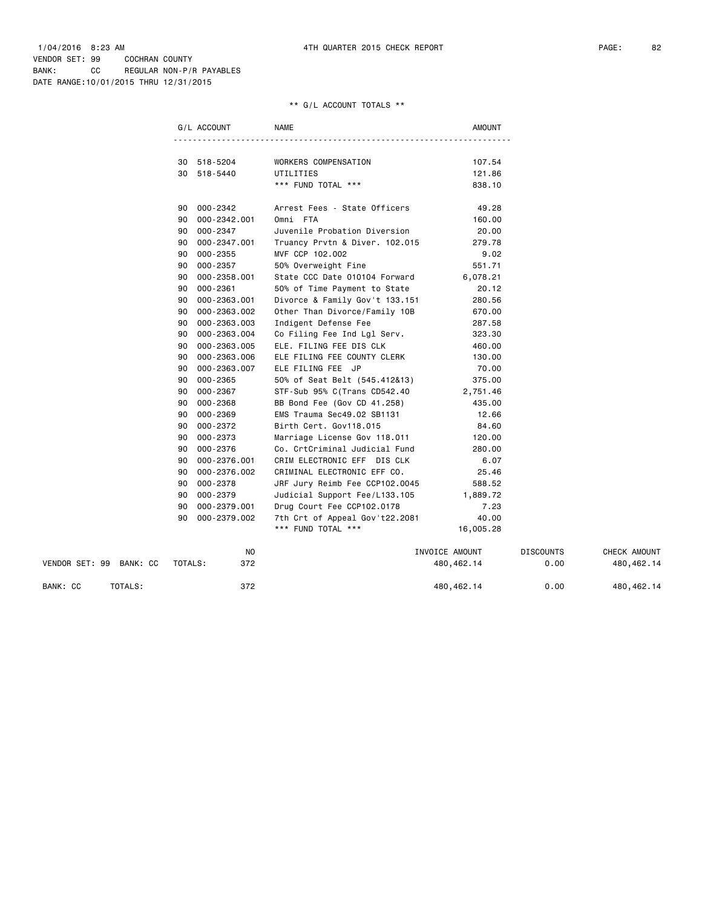|                         | G/L ACCOUNT        | <b>NAME</b>                     | <b>AMOUNT</b>    |                  |              |
|-------------------------|--------------------|---------------------------------|------------------|------------------|--------------|
|                         |                    |                                 |                  |                  |              |
|                         | 30 518-5204        | WORKERS COMPENSATION            | 107.54           |                  |              |
|                         | 30 518-5440        | UTILITIES<br>*** FUND TOTAL *** | 121.86<br>838.10 |                  |              |
|                         |                    |                                 |                  |                  |              |
|                         | 90 000-2342        | Arrest Fees - State Officers    | 49.28            |                  |              |
|                         | 000-2342.001<br>90 | Omni FTA                        | 160.00           |                  |              |
|                         | 000-2347<br>90     | Juvenile Probation Diversion    | 20.00            |                  |              |
|                         | 000-2347.001<br>90 | Truancy Prvtn & Diver. 102.015  | 279.78           |                  |              |
|                         | 000-2355<br>90     | MVF CCP 102.002                 | 9.02             |                  |              |
|                         | 90<br>000-2357     | 50% Overweight Fine             | 551.71           |                  |              |
|                         | 000-2358.001<br>90 | State CCC Date 010104 Forward   | 6,078.21         |                  |              |
|                         | 000-2361<br>90     | 50% of Time Payment to State    | 20.12            |                  |              |
|                         | 90<br>000-2363.001 | Divorce & Family Gov't 133.151  | 280.56           |                  |              |
|                         | 90<br>000-2363.002 | Other Than Divorce/Family 10B   | 670.00           |                  |              |
|                         | 000-2363.003<br>90 | Indigent Defense Fee            | 287.58           |                  |              |
|                         | 90<br>000-2363.004 | Co Filing Fee Ind Lgl Serv.     | 323.30           |                  |              |
|                         | 000-2363.005<br>90 | ELE. FILING FEE DIS CLK         | 460.00           |                  |              |
|                         | 000-2363.006<br>90 | ELE FILING FEE COUNTY CLERK     | 130.00           |                  |              |
|                         | 000-2363.007<br>90 | ELE FILING FEE JP               | 70.00            |                  |              |
|                         | 000-2365<br>90     | 50% of Seat Belt (545.412&13)   | 375.00           |                  |              |
|                         | 000-2367<br>90     | STF-Sub 95% C(Trans CD542.40    | 2,751.46         |                  |              |
|                         | 90<br>000-2368     | BB Bond Fee (Gov CD 41.258)     | 435.00           |                  |              |
|                         | 000-2369<br>90     | EMS Trauma Sec49.02 SB1131      | 12.66            |                  |              |
|                         | 000-2372<br>90     | Birth Cert. Gov118.015          | 84.60            |                  |              |
|                         | 90<br>000-2373     | Marriage License Gov 118.011    | 120.00           |                  |              |
|                         | 90<br>000-2376     | Co. CrtCriminal Judicial Fund   | 280.00           |                  |              |
|                         | 90<br>000-2376.001 | CRIM ELECTRONIC EFF DIS CLK     | 6.07             |                  |              |
|                         | 000-2376.002<br>90 | CRIMINAL ELECTRONIC EFF CO.     | 25.46            |                  |              |
|                         | 000-2378<br>90     | JRF Jury Reimb Fee CCP102.0045  | 588.52           |                  |              |
|                         | 000-2379<br>90     | Judicial Support Fee/L133.105   | 1,889.72         |                  |              |
|                         | 000-2379.001<br>90 | Drug Court Fee CCP102.0178      | 7.23             |                  |              |
|                         | 000-2379.002<br>90 | 7th Crt of Appeal Gov't22.2081  | 40.00            |                  |              |
|                         |                    | *** FUND TOTAL ***              | 16,005.28        |                  |              |
|                         | NO.                |                                 | INVOICE AMOUNT   | <b>DISCOUNTS</b> | CHECK AMOUNT |
| VENDOR SET: 99 BANK: CC | 372<br>TOTALS:     |                                 | 480, 462.14      | 0.00             | 480,462.14   |
| BANK: CC<br>TOTALS:     | 372                |                                 | 480,462.14       | 0.00             | 480,462.14   |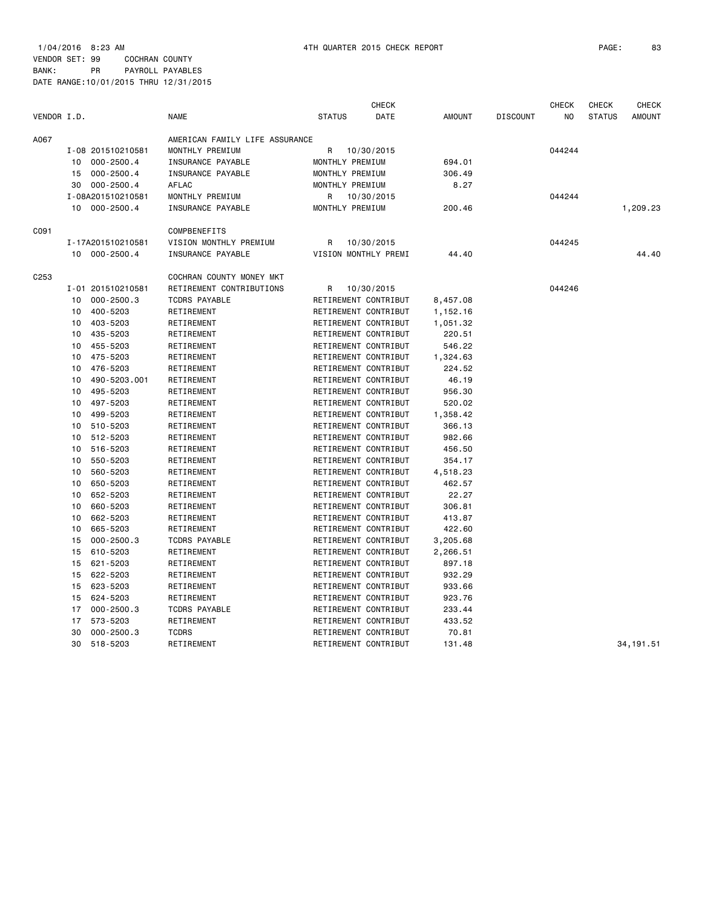1/04/2016 8:23 AM 4TH QUARTER 2015 CHECK REPORT PAGE: 83 VENDOR SET: 99 COCHRAN COUNTY

|                  |    |                   |                                |                      | <b>CHECK</b> |               |                 | <b>CHECK</b> | CHECK         | <b>CHECK</b>  |
|------------------|----|-------------------|--------------------------------|----------------------|--------------|---------------|-----------------|--------------|---------------|---------------|
| VENDOR I.D.      |    |                   | <b>NAME</b>                    | <b>STATUS</b>        | DATE         | <b>AMOUNT</b> | <b>DISCOUNT</b> | NO           | <b>STATUS</b> | <b>AMOUNT</b> |
| A067             |    |                   | AMERICAN FAMILY LIFE ASSURANCE |                      |              |               |                 |              |               |               |
|                  |    | I-08 201510210581 | MONTHLY PREMIUM                | R                    | 10/30/2015   |               |                 | 044244       |               |               |
|                  | 10 | $000 - 2500.4$    | INSURANCE PAYABLE              | MONTHLY PREMIUM      |              | 694.01        |                 |              |               |               |
|                  | 15 | $000 - 2500.4$    | INSURANCE PAYABLE              | MONTHLY PREMIUM      |              | 306.49        |                 |              |               |               |
|                  | 30 | $000 - 2500.4$    | AFLAC                          | MONTHLY PREMIUM      |              | 8.27          |                 |              |               |               |
|                  |    | I-08A201510210581 | MONTHLY PREMIUM                | R                    | 10/30/2015   |               |                 | 044244       |               |               |
|                  | 10 | $000 - 2500.4$    | INSURANCE PAYABLE              | MONTHLY PREMIUM      |              | 200.46        |                 |              |               | 1,209.23      |
| C091             |    |                   | COMPBENEFITS                   |                      |              |               |                 |              |               |               |
|                  |    | I-17A201510210581 | VISION MONTHLY PREMIUM         | R                    | 10/30/2015   |               |                 | 044245       |               |               |
|                  | 10 | 000-2500.4        | INSURANCE PAYABLE              | VISION MONTHLY PREMI |              | 44.40         |                 |              |               | 44.40         |
| C <sub>253</sub> |    |                   | COCHRAN COUNTY MONEY MKT       |                      |              |               |                 |              |               |               |
|                  |    | I-01 201510210581 | RETIREMENT CONTRIBUTIONS       | R                    | 10/30/2015   |               |                 | 044246       |               |               |
|                  | 10 | $000 - 2500.3$    | <b>TCDRS PAYABLE</b>           | RETIREMENT CONTRIBUT |              | 8,457.08      |                 |              |               |               |
|                  | 10 | 400-5203          | RETIREMENT                     | RETIREMENT CONTRIBUT |              | 1,152.16      |                 |              |               |               |
|                  | 10 | 403-5203          | RETIREMENT                     | RETIREMENT CONTRIBUT |              | 1,051.32      |                 |              |               |               |
|                  | 10 | 435-5203          | RETIREMENT                     | RETIREMENT CONTRIBUT |              | 220.51        |                 |              |               |               |
|                  | 10 | 455-5203          | RETIREMENT                     | RETIREMENT CONTRIBUT |              | 546.22        |                 |              |               |               |
|                  | 10 | 475-5203          | RETIREMENT                     | RETIREMENT CONTRIBUT |              | 1,324.63      |                 |              |               |               |
|                  | 10 | 476-5203          | RETIREMENT                     | RETIREMENT CONTRIBUT |              | 224.52        |                 |              |               |               |
|                  | 10 | 490-5203.001      | RETIREMENT                     | RETIREMENT CONTRIBUT |              | 46.19         |                 |              |               |               |
|                  | 10 | 495-5203          | RETIREMENT                     | RETIREMENT CONTRIBUT |              | 956.30        |                 |              |               |               |
|                  | 10 | 497-5203          | RETIREMENT                     | RETIREMENT CONTRIBUT |              | 520.02        |                 |              |               |               |
|                  | 10 | 499-5203          | RETIREMENT                     | RETIREMENT CONTRIBUT |              | 1,358.42      |                 |              |               |               |
|                  | 10 | 510-5203          | RETIREMENT                     | RETIREMENT CONTRIBUT |              | 366.13        |                 |              |               |               |
|                  | 10 | 512-5203          | RETIREMENT                     | RETIREMENT CONTRIBUT |              | 982.66        |                 |              |               |               |
|                  | 10 | 516-5203          | RETIREMENT                     | RETIREMENT CONTRIBUT |              | 456.50        |                 |              |               |               |
|                  | 10 | 550-5203          | RETIREMENT                     | RETIREMENT CONTRIBUT |              | 354.17        |                 |              |               |               |
|                  | 10 | 560-5203          | RETIREMENT                     | RETIREMENT CONTRIBUT |              | 4,518.23      |                 |              |               |               |
|                  | 10 | 650-5203          | RETIREMENT                     | RETIREMENT CONTRIBUT |              | 462.57        |                 |              |               |               |
|                  | 10 | 652-5203          | RETIREMENT                     | RETIREMENT CONTRIBUT |              | 22.27         |                 |              |               |               |
|                  | 10 | 660-5203          | RETIREMENT                     | RETIREMENT CONTRIBUT |              | 306.81        |                 |              |               |               |
|                  | 10 | 662-5203          | RETIREMENT                     | RETIREMENT CONTRIBUT |              | 413.87        |                 |              |               |               |
|                  | 10 | 665-5203          | RETIREMENT                     | RETIREMENT CONTRIBUT |              | 422.60        |                 |              |               |               |
|                  | 15 | $000 - 2500.3$    | <b>TCDRS PAYABLE</b>           | RETIREMENT CONTRIBUT |              | 3,205.68      |                 |              |               |               |
|                  | 15 | 610-5203          | RETIREMENT                     | RETIREMENT CONTRIBUT |              | 2,266.51      |                 |              |               |               |
|                  | 15 | 621-5203          | RETIREMENT                     | RETIREMENT CONTRIBUT |              | 897.18        |                 |              |               |               |
|                  | 15 | 622-5203          | RETIREMENT                     | RETIREMENT CONTRIBUT |              | 932.29        |                 |              |               |               |
|                  | 15 | 623-5203          | RETIREMENT                     | RETIREMENT CONTRIBUT |              | 933.66        |                 |              |               |               |
|                  | 15 | 624-5203          | RETIREMENT                     | RETIREMENT CONTRIBUT |              | 923.76        |                 |              |               |               |
|                  | 17 | $000 - 2500.3$    | TCDRS PAYABLE                  | RETIREMENT CONTRIBUT |              | 233.44        |                 |              |               |               |
|                  | 17 | 573-5203          | RETIREMENT                     | RETIREMENT CONTRIBUT |              | 433.52        |                 |              |               |               |
|                  | 30 | $000 - 2500.3$    | <b>TCDRS</b>                   | RETIREMENT CONTRIBUT |              | 70.81         |                 |              |               |               |
|                  | 30 | 518-5203          | RETIREMENT                     | RETIREMENT CONTRIBUT |              | 131.48        |                 |              |               | 34, 191.51    |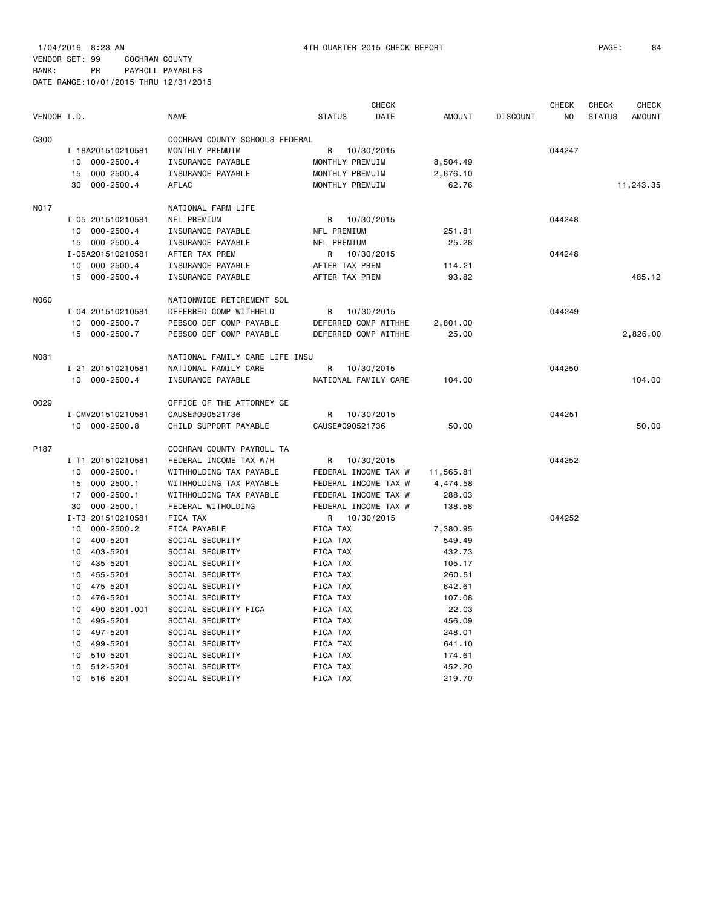1/04/2016 8:23 AM 4TH QUARTER 2015 CHECK REPORT PAGE: 84 VENDOR SET: 99 COCHRAN COUNTY

|             |                             |                                |                      | <b>CHECK</b> |               |                 | <b>CHECK</b> | <b>CHECK</b>  | <b>CHECK</b>  |
|-------------|-----------------------------|--------------------------------|----------------------|--------------|---------------|-----------------|--------------|---------------|---------------|
| VENDOR I.D. |                             | <b>NAME</b>                    | <b>STATUS</b>        | DATE         | <b>AMOUNT</b> | <b>DISCOUNT</b> | NO           | <b>STATUS</b> | <b>AMOUNT</b> |
| C300        |                             | COCHRAN COUNTY SCHOOLS FEDERAL |                      |              |               |                 |              |               |               |
|             | I-18A201510210581           | MONTHLY PREMUIM                | 10/30/2015<br>R      |              |               |                 | 044247       |               |               |
|             | $000 - 2500.4$<br>10        | INSURANCE PAYABLE              | MONTHLY PREMUIM      |              | 8,504.49      |                 |              |               |               |
|             | $000 - 2500.4$<br>15        | INSURANCE PAYABLE              | MONTHLY PREMUIM      |              | 2,676.10      |                 |              |               |               |
|             | $000 - 2500.4$<br>30        | AFLAC                          | MONTHLY PREMUIM      |              | 62.76         |                 |              |               | 11,243.35     |
|             |                             |                                |                      |              |               |                 |              |               |               |
| N017        |                             | NATIONAL FARM LIFE             |                      |              |               |                 |              |               |               |
|             | I-05 201510210581           | NFL PREMIUM                    | 10/30/2015<br>R      |              |               |                 | 044248       |               |               |
|             | 10<br>$000 - 2500.4$        | INSURANCE PAYABLE              | NFL PREMIUM          |              | 251.81        |                 |              |               |               |
|             | 15<br>$000 - 2500.4$        | INSURANCE PAYABLE              | NFL PREMIUM          |              | 25.28         |                 |              |               |               |
|             | I-05A201510210581           | AFTER TAX PREM                 | R<br>10/30/2015      |              |               |                 | 044248       |               |               |
|             | 10<br>$000 - 2500.4$        | INSURANCE PAYABLE              | AFTER TAX PREM       |              | 114.21        |                 |              |               |               |
|             | 15<br>$000 - 2500.4$        | INSURANCE PAYABLE              | AFTER TAX PREM       |              | 93.82         |                 |              |               | 485.12        |
| <b>N060</b> |                             | NATIONWIDE RETIREMENT SOL      |                      |              |               |                 |              |               |               |
|             | I-04 201510210581           | DEFERRED COMP WITHHELD         | 10/30/2015<br>R      |              |               |                 | 044249       |               |               |
|             | 10<br>$000 - 2500.7$        | PEBSCO DEF COMP PAYABLE        | DEFERRED COMP WITHHE |              | 2,801.00      |                 |              |               |               |
|             | $000 - 2500.7$<br>15        | PEBSCO DEF COMP PAYABLE        | DEFERRED COMP WITHHE |              | 25.00         |                 |              |               | 2,826.00      |
|             |                             |                                |                      |              |               |                 |              |               |               |
| N081        |                             | NATIONAL FAMILY CARE LIFE INSU |                      |              |               |                 |              |               |               |
|             | I-21 201510210581           | NATIONAL FAMILY CARE           | 10/30/2015<br>R      |              |               |                 | 044250       |               |               |
|             | 10 000-2500.4               | INSURANCE PAYABLE              | NATIONAL FAMILY CARE |              | 104.00        |                 |              |               | 104.00        |
| 0029        |                             | OFFICE OF THE ATTORNEY GE      |                      |              |               |                 |              |               |               |
|             | I-CMV201510210581           | CAUSE#090521736                | R<br>10/30/2015      |              |               |                 | 044251       |               |               |
|             | 10 000-2500.8               | CHILD SUPPORT PAYABLE          | CAUSE#090521736      |              | 50.00         |                 |              |               | 50.00         |
| P187        |                             | COCHRAN COUNTY PAYROLL TA      |                      |              |               |                 |              |               |               |
|             | I-T1 201510210581           | FEDERAL INCOME TAX W/H         | 10/30/2015<br>R      |              |               |                 | 044252       |               |               |
|             | $000 - 2500.1$<br>10        | WITHHOLDING TAX PAYABLE        | FEDERAL INCOME TAX W |              | 11,565.81     |                 |              |               |               |
|             | $000 - 2500.1$<br>15        | WITHHOLDING TAX PAYABLE        | FEDERAL INCOME TAX W |              | 4,474.58      |                 |              |               |               |
|             | 17<br>$000 - 2500.1$        | WITHHOLDING TAX PAYABLE        | FEDERAL INCOME TAX W |              | 288.03        |                 |              |               |               |
|             | 30<br>$000 - 2500.1$        | FEDERAL WITHOLDING             | FEDERAL INCOME TAX W |              | 138.58        |                 |              |               |               |
|             | I-T3 201510210581           |                                | 10/30/2015<br>R      |              |               |                 | 044252       |               |               |
|             |                             | FICA TAX                       |                      |              |               |                 |              |               |               |
|             | 10<br>$000 - 2500.2$        | FICA PAYABLE                   | FICA TAX             |              | 7,380.95      |                 |              |               |               |
|             | 400-5201<br>10              | SOCIAL SECURITY                | FICA TAX             |              | 549.49        |                 |              |               |               |
|             | 10<br>403-5201              | SOCIAL SECURITY                | FICA TAX             |              | 432.73        |                 |              |               |               |
|             | 435-5201<br>10              | SOCIAL SECURITY                | FICA TAX             |              | 105.17        |                 |              |               |               |
|             | 10<br>455-5201              | SOCIAL SECURITY                | FICA TAX             |              | 260.51        |                 |              |               |               |
|             | 475-5201<br>10              | SOCIAL SECURITY                | FICA TAX             |              | 642.61        |                 |              |               |               |
|             | 476-5201<br>10              | SOCIAL SECURITY                | FICA TAX             |              | 107.08        |                 |              |               |               |
|             | 10<br>490-5201.001          | SOCIAL SECURITY FICA           | FICA TAX             |              | 22.03         |                 |              |               |               |
|             | 10<br>495-5201              | SOCIAL SECURITY                | FICA TAX             |              | 456.09        |                 |              |               |               |
|             | 497-5201<br>10              | SOCIAL SECURITY                | FICA TAX             |              | 248.01        |                 |              |               |               |
|             | 10<br>499-5201              | SOCIAL SECURITY                | FICA TAX             |              | 641.10        |                 |              |               |               |
|             | 10<br>510-5201              | SOCIAL SECURITY                | FICA TAX             |              | 174.61        |                 |              |               |               |
|             | 10<br>512-5201              | SOCIAL SECURITY                | FICA TAX             |              | 452.20        |                 |              |               |               |
|             | 10 <sup>1</sup><br>516-5201 | SOCIAL SECURITY                | FICA TAX             |              | 219.70        |                 |              |               |               |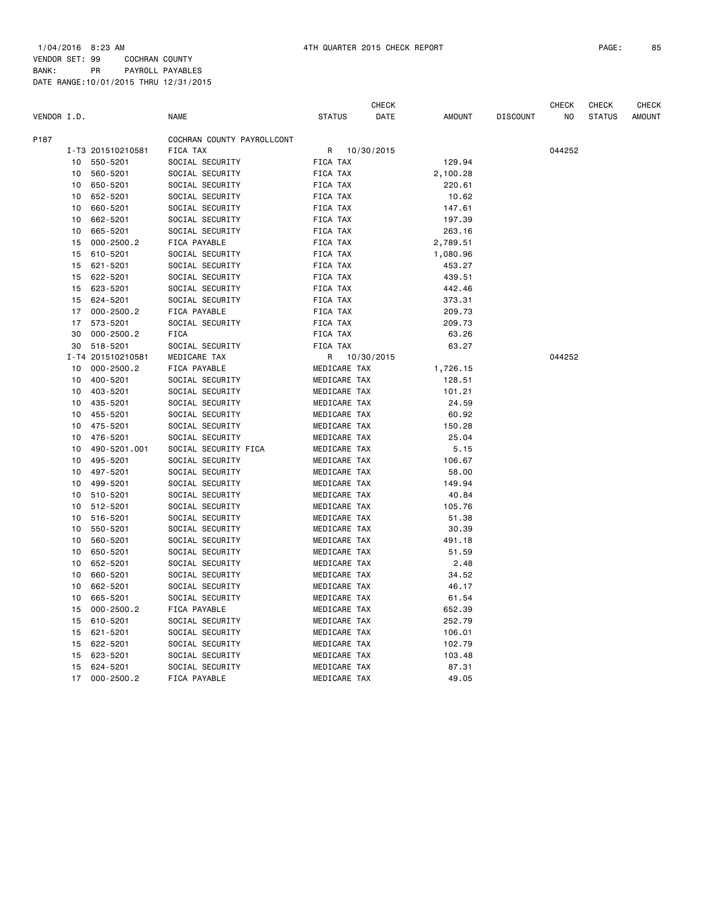|             |          |                            |                                    |                 |                              | <b>CHECK</b> |                    |                 | <b>CHECK</b>   | <b>CHECK</b>  | <b>CHECK</b>  |
|-------------|----------|----------------------------|------------------------------------|-----------------|------------------------------|--------------|--------------------|-----------------|----------------|---------------|---------------|
| VENDOR I.D. |          |                            | <b>NAME</b>                        | <b>STATUS</b>   |                              | DATE         | <b>AMOUNT</b>      | <b>DISCOUNT</b> | N <sub>O</sub> | <b>STATUS</b> | <b>AMOUNT</b> |
| P187        |          |                            | COCHRAN COUNTY PAYROLLCONT         |                 |                              |              |                    |                 |                |               |               |
|             |          | I-T3 201510210581          | FICA TAX                           | R               |                              | 10/30/2015   |                    |                 | 044252         |               |               |
|             | 10       | 550-5201                   | SOCIAL SECURITY                    | FICA TAX        |                              |              | 129.94             |                 |                |               |               |
|             | 10       | 560-5201                   | SOCIAL SECURITY                    | FICA TAX        |                              |              | 2,100.28           |                 |                |               |               |
|             | 10       | 650-5201                   | SOCIAL SECURITY                    | FICA TAX        |                              |              | 220.61             |                 |                |               |               |
|             | 10       | 652-5201                   | SOCIAL SECURITY                    | FICA TAX        |                              |              | 10.62              |                 |                |               |               |
|             | 10       | 660-5201                   | SOCIAL SECURITY                    | FICA TAX        |                              |              | 147.61             |                 |                |               |               |
|             | 10       | 662-5201                   | SOCIAL SECURITY                    | FICA TAX        |                              |              | 197.39             |                 |                |               |               |
|             | 10       | 665-5201                   | SOCIAL SECURITY                    | FICA TAX        |                              |              | 263.16             |                 |                |               |               |
|             | 15       | $000 - 2500.2$             | FICA PAYABLE                       | FICA TAX        |                              |              | 2,789.51           |                 |                |               |               |
|             | 15       | 610-5201                   | SOCIAL SECURITY                    | FICA TAX        |                              |              | 1,080.96           |                 |                |               |               |
|             | 15       | 621-5201                   | SOCIAL SECURITY                    | FICA TAX        |                              |              | 453.27             |                 |                |               |               |
|             | 15       | 622-5201                   | SOCIAL SECURITY                    | FICA TAX        |                              |              | 439.51             |                 |                |               |               |
|             | 15       | 623-5201                   | SOCIAL SECURITY                    | FICA TAX        |                              |              | 442.46             |                 |                |               |               |
|             | 15       | 624-5201                   | SOCIAL SECURITY                    | FICA TAX        |                              |              | 373.31             |                 |                |               |               |
|             | 17       | $000 - 2500.2$             | FICA PAYABLE                       | FICA TAX        |                              |              | 209.73             |                 |                |               |               |
|             | 17       | 573-5201                   | SOCIAL SECURITY                    | <b>FICA TAX</b> |                              |              | 209.73             |                 |                |               |               |
|             | 30       | $000 - 2500.2$             | <b>FICA</b>                        | FICA TAX        |                              |              | 63.26              |                 |                |               |               |
|             | 30       | 518-5201                   | SOCIAL SECURITY                    | FICA TAX        |                              |              | 63.27              |                 |                |               |               |
|             |          | I-T4 201510210581          | MEDICARE TAX                       |                 |                              | 10/30/2015   |                    |                 | 044252         |               |               |
|             | 10       | $000 - 2500.2$             | FICA PAYABLE                       | R               | MEDICARE TAX                 |              |                    |                 |                |               |               |
|             | 10       | 400-5201                   | SOCIAL SECURITY                    |                 | MEDICARE TAX                 |              | 1,726.15<br>128.51 |                 |                |               |               |
|             | 10       |                            |                                    |                 |                              |              |                    |                 |                |               |               |
|             | 10       | 403-5201                   | SOCIAL SECURITY                    |                 | MEDICARE TAX                 |              | 101.21             |                 |                |               |               |
|             |          | 435-5201<br>455-5201       | SOCIAL SECURITY                    |                 | MEDICARE TAX                 |              | 24.59              |                 |                |               |               |
|             | 10       | 475-5201                   | SOCIAL SECURITY                    |                 | MEDICARE TAX                 |              | 60.92              |                 |                |               |               |
|             | 10<br>10 | 476-5201                   | SOCIAL SECURITY<br>SOCIAL SECURITY |                 | MEDICARE TAX<br>MEDICARE TAX |              | 150.28<br>25.04    |                 |                |               |               |
|             | 10       | 490-5201.001               |                                    |                 | MEDICARE TAX                 |              | 5.15               |                 |                |               |               |
|             | 10       |                            | SOCIAL SECURITY FICA               |                 |                              |              |                    |                 |                |               |               |
|             | 10       | 495-5201<br>497-5201       | SOCIAL SECURITY<br>SOCIAL SECURITY |                 | MEDICARE TAX<br>MEDICARE TAX |              | 106.67<br>58.00    |                 |                |               |               |
|             |          |                            |                                    |                 |                              |              |                    |                 |                |               |               |
|             | 10       | 499-5201                   | SOCIAL SECURITY                    |                 | MEDICARE TAX                 |              | 149.94             |                 |                |               |               |
|             | 10<br>10 | 510-5201                   | SOCIAL SECURITY                    |                 | MEDICARE TAX                 |              | 40.84              |                 |                |               |               |
|             | 10       | 512-5201                   | SOCIAL SECURITY                    |                 | MEDICARE TAX                 |              | 105.76             |                 |                |               |               |
|             | 10       | 516-5201                   | SOCIAL SECURITY                    |                 | MEDICARE TAX                 |              | 51.38              |                 |                |               |               |
|             | 10       | 550-5201<br>560-5201       | SOCIAL SECURITY<br>SOCIAL SECURITY |                 | MEDICARE TAX<br>MEDICARE TAX |              | 30.39<br>491.18    |                 |                |               |               |
|             | 10       | 650-5201                   | SOCIAL SECURITY                    |                 | MEDICARE TAX                 |              | 51.59              |                 |                |               |               |
|             |          |                            |                                    |                 |                              |              |                    |                 |                |               |               |
|             | 10<br>10 | 652-5201<br>660-5201       | SOCIAL SECURITY<br>SOCIAL SECURITY |                 | MEDICARE TAX<br>MEDICARE TAX |              | 2.48<br>34.52      |                 |                |               |               |
|             |          |                            |                                    |                 |                              |              |                    |                 |                |               |               |
|             | 10       | 662-5201                   | SOCIAL SECURITY                    |                 | MEDICARE TAX                 |              | 46.17              |                 |                |               |               |
|             | 10<br>15 | 665-5201<br>$000 - 2500.2$ | SOCIAL SECURITY<br>FICA PAYABLE    |                 | MEDICARE TAX<br>MEDICARE TAX |              | 61.54              |                 |                |               |               |
|             | 15       | 610-5201                   | SOCIAL SECURITY                    |                 | MEDICARE TAX                 |              | 652.39<br>252.79   |                 |                |               |               |
|             | 15       | 621-5201                   |                                    |                 |                              |              |                    |                 |                |               |               |
|             | 15       |                            | SOCIAL SECURITY                    |                 | MEDICARE TAX                 |              | 106.01             |                 |                |               |               |
|             |          | 622-5201<br>623-5201       | SOCIAL SECURITY<br>SOCIAL SECURITY |                 | MEDICARE TAX<br>MEDICARE TAX |              | 102.79<br>103.48   |                 |                |               |               |
|             | 15<br>15 | 624-5201                   | SOCIAL SECURITY                    |                 | MEDICARE TAX                 |              | 87.31              |                 |                |               |               |
|             | 17       | $000 - 2500.2$             | FICA PAYABLE                       |                 | MEDICARE TAX                 |              | 49.05              |                 |                |               |               |
|             |          |                            |                                    |                 |                              |              |                    |                 |                |               |               |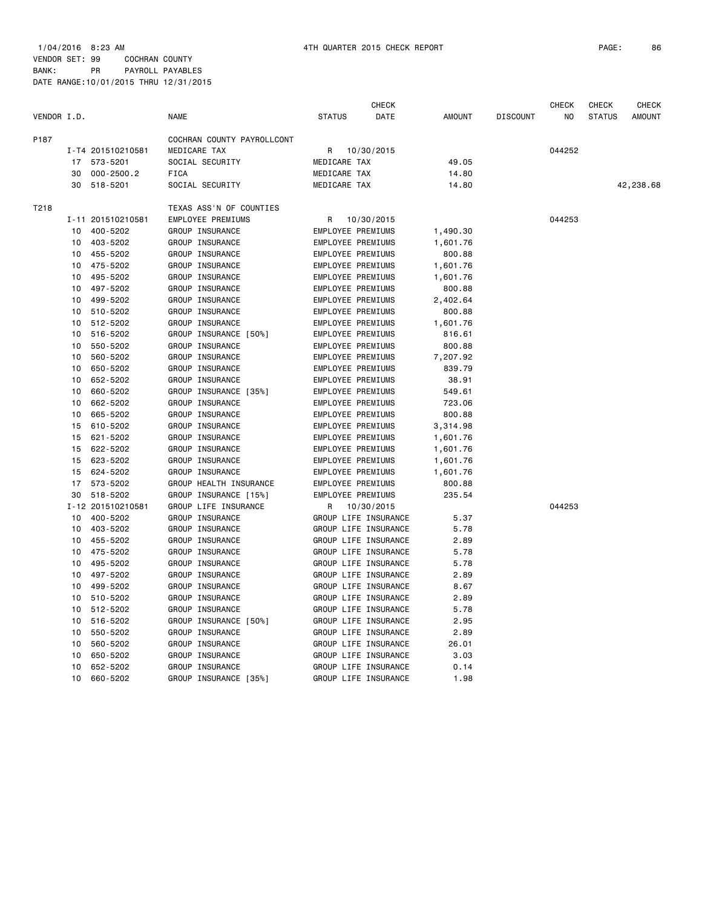1/04/2016 8:23 AM 4TH QUARTER 2015 CHECK REPORT PAGE: 86 VENDOR SET: 99 COCHRAN COUNTY

|             |    |                   |                            |                          | CHECK                |               |                 | CHECK  | CHECK         | CHECK         |
|-------------|----|-------------------|----------------------------|--------------------------|----------------------|---------------|-----------------|--------|---------------|---------------|
| VENDOR I.D. |    |                   | <b>NAME</b>                | <b>STATUS</b>            | DATE                 | <b>AMOUNT</b> | <b>DISCOUNT</b> | NO     | <b>STATUS</b> | <b>AMOUNT</b> |
| P187        |    |                   | COCHRAN COUNTY PAYROLLCONT |                          |                      |               |                 |        |               |               |
|             |    | I-T4 201510210581 | MEDICARE TAX               | R                        | 10/30/2015           |               |                 | 044252 |               |               |
|             | 17 | 573-5201          | SOCIAL SECURITY            | MEDICARE TAX             |                      | 49.05         |                 |        |               |               |
|             | 30 | $000 - 2500.2$    | <b>FICA</b>                | MEDICARE TAX             |                      | 14.80         |                 |        |               |               |
|             | 30 | 518-5201          | SOCIAL SECURITY            | MEDICARE TAX             |                      | 14.80         |                 |        |               | 42,238.68     |
| T218        |    |                   | TEXAS ASS'N OF COUNTIES    |                          |                      |               |                 |        |               |               |
|             |    | I-11 201510210581 | EMPLOYEE PREMIUMS          | R                        | 10/30/2015           |               |                 | 044253 |               |               |
|             | 10 | 400-5202          | GROUP INSURANCE            | EMPLOYEE PREMIUMS        |                      | 1,490.30      |                 |        |               |               |
|             | 10 | 403-5202          | GROUP INSURANCE            | EMPLOYEE PREMIUMS        |                      | 1,601.76      |                 |        |               |               |
|             | 10 | 455-5202          | GROUP INSURANCE            | EMPLOYEE PREMIUMS        |                      | 800.88        |                 |        |               |               |
|             | 10 | 475-5202          | GROUP INSURANCE            | EMPLOYEE PREMIUMS        |                      | 1,601.76      |                 |        |               |               |
|             | 10 | 495-5202          | GROUP INSURANCE            | EMPLOYEE PREMIUMS        |                      | 1,601.76      |                 |        |               |               |
|             | 10 | 497-5202          | GROUP INSURANCE            | EMPLOYEE PREMIUMS        |                      | 800.88        |                 |        |               |               |
|             | 10 | 499-5202          | GROUP INSURANCE            | EMPLOYEE PREMIUMS        |                      | 2,402.64      |                 |        |               |               |
|             | 10 | 510-5202          | GROUP INSURANCE            | EMPLOYEE PREMIUMS        |                      | 800.88        |                 |        |               |               |
|             | 10 | 512-5202          | GROUP INSURANCE            | EMPLOYEE PREMIUMS        |                      | 1,601.76      |                 |        |               |               |
|             | 10 | 516-5202          | GROUP INSURANCE [50%]      | EMPLOYEE PREMIUMS        |                      | 816.61        |                 |        |               |               |
|             | 10 | 550-5202          | GROUP INSURANCE            | EMPLOYEE PREMIUMS        |                      | 800.88        |                 |        |               |               |
|             | 10 | 560-5202          | GROUP INSURANCE            | EMPLOYEE PREMIUMS        |                      | 7,207.92      |                 |        |               |               |
|             | 10 | 650-5202          | GROUP INSURANCE            | EMPLOYEE PREMIUMS        |                      | 839.79        |                 |        |               |               |
|             | 10 | 652-5202          | GROUP INSURANCE            | EMPLOYEE PREMIUMS        |                      | 38.91         |                 |        |               |               |
|             | 10 | 660-5202          | GROUP INSURANCE [35%]      | EMPLOYEE PREMIUMS        |                      | 549.61        |                 |        |               |               |
|             | 10 | 662-5202          | GROUP INSURANCE            | EMPLOYEE PREMIUMS        |                      | 723.06        |                 |        |               |               |
|             | 10 | 665-5202          | GROUP INSURANCE            | EMPLOYEE PREMIUMS        |                      | 800.88        |                 |        |               |               |
|             | 15 | 610-5202          | GROUP INSURANCE            | EMPLOYEE PREMIUMS        |                      | 3,314.98      |                 |        |               |               |
|             | 15 | 621-5202          | GROUP INSURANCE            | EMPLOYEE PREMIUMS        |                      | 1,601.76      |                 |        |               |               |
|             | 15 | 622-5202          | GROUP INSURANCE            | EMPLOYEE PREMIUMS        |                      | 1,601.76      |                 |        |               |               |
|             | 15 | 623-5202          | GROUP INSURANCE            | EMPLOYEE PREMIUMS        |                      | 1,601.76      |                 |        |               |               |
|             | 15 | 624-5202          | GROUP INSURANCE            | EMPLOYEE PREMIUMS        |                      | 1,601.76      |                 |        |               |               |
|             | 17 | 573-5202          | GROUP HEALTH INSURANCE     | <b>EMPLOYEE PREMIUMS</b> |                      | 800.88        |                 |        |               |               |
|             | 30 | 518-5202          | GROUP INSURANCE [15%]      | EMPLOYEE PREMIUMS        |                      | 235.54        |                 |        |               |               |
|             |    | I-12 201510210581 | GROUP LIFE INSURANCE       | R                        | 10/30/2015           |               |                 | 044253 |               |               |
|             | 10 | 400-5202          | GROUP INSURANCE            |                          | GROUP LIFE INSURANCE | 5.37          |                 |        |               |               |
|             | 10 | 403-5202          | GROUP INSURANCE            |                          | GROUP LIFE INSURANCE | 5.78          |                 |        |               |               |
|             | 10 | 455-5202          | GROUP INSURANCE            |                          | GROUP LIFE INSURANCE | 2.89          |                 |        |               |               |
|             | 10 | 475-5202          | GROUP INSURANCE            |                          | GROUP LIFE INSURANCE | 5.78          |                 |        |               |               |
|             | 10 | 495-5202          | GROUP INSURANCE            |                          | GROUP LIFE INSURANCE | 5.78          |                 |        |               |               |
|             | 10 | 497-5202          | GROUP INSURANCE            |                          | GROUP LIFE INSURANCE | 2.89          |                 |        |               |               |
|             | 10 | 499-5202          | GROUP INSURANCE            |                          | GROUP LIFE INSURANCE | 8.67          |                 |        |               |               |
|             | 10 | 510-5202          | GROUP INSURANCE            |                          | GROUP LIFE INSURANCE | 2.89          |                 |        |               |               |
|             | 10 | 512-5202          | GROUP INSURANCE            |                          | GROUP LIFE INSURANCE | 5.78          |                 |        |               |               |
|             | 10 | 516-5202          | GROUP INSURANCE [50%]      |                          | GROUP LIFE INSURANCE | 2.95          |                 |        |               |               |
|             | 10 | 550-5202          | GROUP INSURANCE            |                          | GROUP LIFE INSURANCE | 2.89          |                 |        |               |               |
|             | 10 | 560-5202          | GROUP INSURANCE            |                          | GROUP LIFE INSURANCE | 26.01         |                 |        |               |               |
|             | 10 | 650-5202          | GROUP INSURANCE            |                          | GROUP LIFE INSURANCE | 3.03          |                 |        |               |               |
|             | 10 | 652-5202          | GROUP INSURANCE            |                          | GROUP LIFE INSURANCE | 0.14          |                 |        |               |               |
|             | 10 | 660-5202          | GROUP INSURANCE [35%]      |                          | GROUP LIFE INSURANCE | 1.98          |                 |        |               |               |
|             |    |                   |                            |                          |                      |               |                 |        |               |               |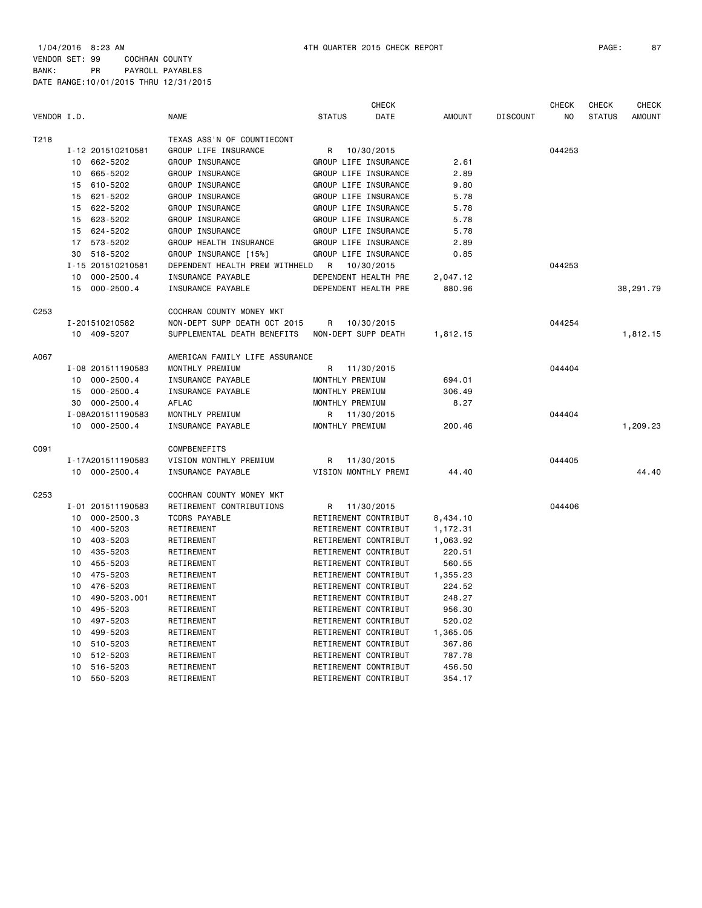1/04/2016 8:23 AM 4TH QUARTER 2015 CHECK REPORT PAGE: 87 VENDOR SET: 99 COCHRAN COUNTY BANK: PR PAYROLL PAYABLES DATE RANGE:10/01/2015 THRU 12/31/2015

|             |    |                   |                                |                 | <b>CHECK</b>         |               |                 | <b>CHECK</b> | <b>CHECK</b>  | <b>CHECK</b>  |
|-------------|----|-------------------|--------------------------------|-----------------|----------------------|---------------|-----------------|--------------|---------------|---------------|
| VENDOR I.D. |    |                   | <b>NAME</b>                    | <b>STATUS</b>   | DATE                 | <b>AMOUNT</b> | <b>DISCOUNT</b> | NO           | <b>STATUS</b> | <b>AMOUNT</b> |
| T218        |    |                   | TEXAS ASS'N OF COUNTIECONT     |                 |                      |               |                 |              |               |               |
|             |    | I-12 201510210581 | GROUP LIFE INSURANCE           | R               | 10/30/2015           |               |                 | 044253       |               |               |
|             |    | 10 662-5202       | GROUP INSURANCE                |                 | GROUP LIFE INSURANCE | 2.61          |                 |              |               |               |
|             | 10 | 665-5202          | GROUP INSURANCE                |                 | GROUP LIFE INSURANCE | 2.89          |                 |              |               |               |
|             | 15 | 610-5202          | GROUP INSURANCE                |                 | GROUP LIFE INSURANCE | 9.80          |                 |              |               |               |
|             | 15 | 621-5202          | GROUP INSURANCE                |                 | GROUP LIFE INSURANCE | 5.78          |                 |              |               |               |
|             | 15 | 622-5202          | GROUP INSURANCE                |                 | GROUP LIFE INSURANCE | 5.78          |                 |              |               |               |
|             | 15 | 623-5202          | GROUP INSURANCE                |                 | GROUP LIFE INSURANCE | 5.78          |                 |              |               |               |
|             |    | 15 624-5202       | GROUP INSURANCE                |                 | GROUP LIFE INSURANCE | 5.78          |                 |              |               |               |
|             |    | 17 573-5202       | GROUP HEALTH INSURANCE         |                 | GROUP LIFE INSURANCE | 2.89          |                 |              |               |               |
|             | 30 | 518-5202          | GROUP INSURANCE [15%]          |                 | GROUP LIFE INSURANCE | 0.85          |                 |              |               |               |
|             |    | I-15 201510210581 | DEPENDENT HEALTH PREM WITHHELD | R               | 10/30/2015           |               |                 | 044253       |               |               |
|             | 10 | $000 - 2500.4$    | INSURANCE PAYABLE              |                 | DEPENDENT HEALTH PRE | 2,047.12      |                 |              |               |               |
|             |    | 15 000-2500.4     | INSURANCE PAYABLE              |                 | DEPENDENT HEALTH PRE | 880.96        |                 |              |               | 38,291.79     |
| C253        |    |                   | COCHRAN COUNTY MONEY MKT       |                 |                      |               |                 |              |               |               |
|             |    | I-201510210582    | NON-DEPT SUPP DEATH OCT 2015   | R               | 10/30/2015           |               |                 | 044254       |               |               |
|             |    | 10 409-5207       | SUPPLEMENTAL DEATH BENEFITS    |                 | NON-DEPT SUPP DEATH  | 1,812.15      |                 |              |               | 1,812.15      |
| A067        |    |                   | AMERICAN FAMILY LIFE ASSURANCE |                 |                      |               |                 |              |               |               |
|             |    | I-08 201511190583 | MONTHLY PREMIUM                | R               | 11/30/2015           |               |                 | 044404       |               |               |
|             |    | 10 000-2500.4     | INSURANCE PAYABLE              | MONTHLY PREMIUM |                      | 694.01        |                 |              |               |               |
|             | 15 | 000-2500.4        | INSURANCE PAYABLE              | MONTHLY PREMIUM |                      | 306.49        |                 |              |               |               |
|             |    | 30 000-2500.4     | <b>AFLAC</b>                   | MONTHLY PREMIUM |                      | 8.27          |                 |              |               |               |
|             |    | I-08A201511190583 | MONTHLY PREMIUM                |                 | R 11/30/2015         |               |                 | 044404       |               |               |
|             |    | 10 000-2500.4     | INSURANCE PAYABLE              | MONTHLY PREMIUM |                      | 200.46        |                 |              |               | 1,209.23      |
| C091        |    |                   | COMPBENEFITS                   |                 |                      |               |                 |              |               |               |
|             |    | I-17A201511190583 | VISION MONTHLY PREMIUM         | R               | 11/30/2015           |               |                 | 044405       |               |               |
|             |    | 10 000-2500.4     | INSURANCE PAYABLE              |                 | VISION MONTHLY PREMI | 44.40         |                 |              |               | 44.40         |
| C253        |    |                   | COCHRAN COUNTY MONEY MKT       |                 |                      |               |                 |              |               |               |
|             |    | I-01 201511190583 | RETIREMENT CONTRIBUTIONS       | R.              | 11/30/2015           |               |                 | 044406       |               |               |
|             | 10 | 000-2500.3        | <b>TCDRS PAYABLE</b>           |                 | RETIREMENT CONTRIBUT | 8,434.10      |                 |              |               |               |
|             | 10 | 400-5203          | RETIREMENT                     |                 | RETIREMENT CONTRIBUT | 1,172.31      |                 |              |               |               |
|             | 10 | 403-5203          | RETIREMENT                     |                 | RETIREMENT CONTRIBUT | 1,063.92      |                 |              |               |               |
|             | 10 | 435-5203          | RETIREMENT                     |                 | RETIREMENT CONTRIBUT | 220.51        |                 |              |               |               |
|             | 10 | 455-5203          | RETIREMENT                     |                 | RETIREMENT CONTRIBUT | 560.55        |                 |              |               |               |
|             | 10 | 475-5203          | RETIREMENT                     |                 | RETIREMENT CONTRIBUT | 1,355.23      |                 |              |               |               |
|             | 10 | 476-5203          | RETIREMENT                     |                 | RETIREMENT CONTRIBUT | 224.52        |                 |              |               |               |
|             | 10 | 490-5203.001      | RETIREMENT                     |                 | RETIREMENT CONTRIBUT | 248.27        |                 |              |               |               |
|             | 10 | 495-5203          | RETIREMENT                     |                 | RETIREMENT CONTRIBUT | 956.30        |                 |              |               |               |
|             | 10 | 497-5203          | RETIREMENT                     |                 | RETIREMENT CONTRIBUT | 520.02        |                 |              |               |               |
|             | 10 | 499-5203          | RETIREMENT                     |                 | RETIREMENT CONTRIBUT | 1,365.05      |                 |              |               |               |
|             | 10 | 510-5203          | RETIREMENT                     |                 | RETIREMENT CONTRIBUT | 367.86        |                 |              |               |               |
|             | 10 | 512-5203          | RETIREMENT                     |                 | RETIREMENT CONTRIBUT | 787.78        |                 |              |               |               |
|             | 10 | 516-5203          | RETIREMENT                     |                 | RETIREMENT CONTRIBUT | 456.50        |                 |              |               |               |
|             | 10 | 550-5203          | RETIREMENT                     |                 | RETIREMENT CONTRIBUT | 354.17        |                 |              |               |               |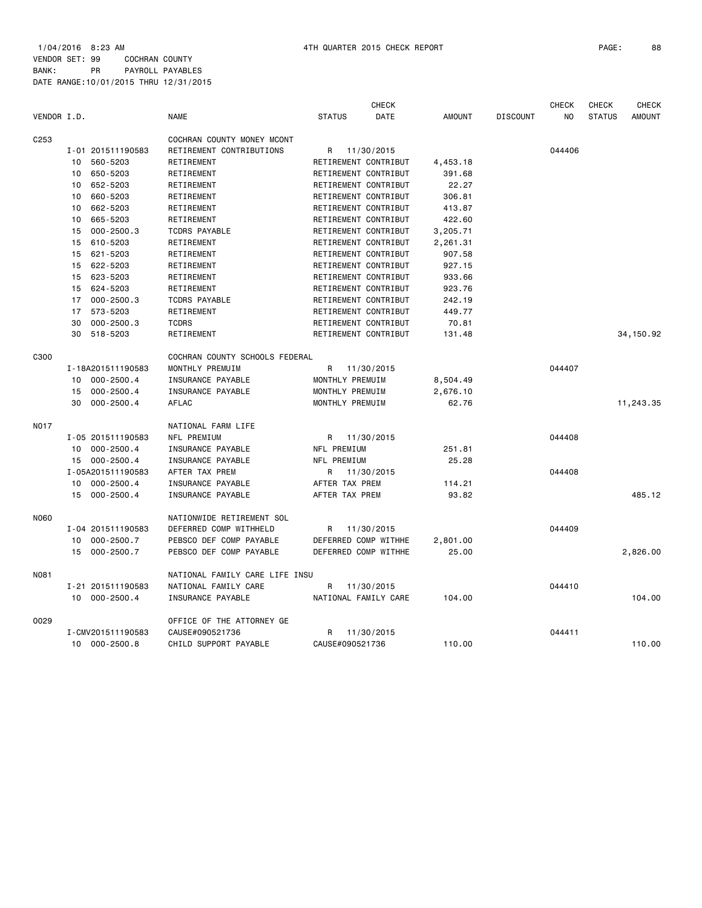1/04/2016 8:23 AM 4TH QUARTER 2015 CHECK REPORT PAGE: 88 VENDOR SET: 99 COCHRAN COUNTY BANK: PR PAYROLL PAYABLES DATE RANGE:10/01/2015 THRU 12/31/2015

|                  |                      |                                |                      | <b>CHECK</b> |               |                 | <b>CHECK</b> | <b>CHECK</b>  | <b>CHECK</b>  |
|------------------|----------------------|--------------------------------|----------------------|--------------|---------------|-----------------|--------------|---------------|---------------|
| VENDOR I.D.      |                      | <b>NAME</b>                    | <b>STATUS</b>        | <b>DATE</b>  | <b>AMOUNT</b> | <b>DISCOUNT</b> | <b>NO</b>    | <b>STATUS</b> | <b>AMOUNT</b> |
| C <sub>253</sub> |                      | COCHRAN COUNTY MONEY MCONT     |                      |              |               |                 |              |               |               |
|                  | I-01 201511190583    | RETIREMENT CONTRIBUTIONS       | R                    | 11/30/2015   |               |                 | 044406       |               |               |
|                  | 560-5203<br>10       | RETIREMENT                     | RETIREMENT CONTRIBUT |              | 4,453.18      |                 |              |               |               |
|                  | 650-5203<br>10       | RETIREMENT                     | RETIREMENT CONTRIBUT |              | 391.68        |                 |              |               |               |
|                  | 652-5203<br>10       | RETIREMENT                     | RETIREMENT CONTRIBUT |              | 22.27         |                 |              |               |               |
|                  | 660-5203<br>10       | RETIREMENT                     | RETIREMENT CONTRIBUT |              | 306.81        |                 |              |               |               |
|                  | 662-5203<br>10       | RETIREMENT                     | RETIREMENT CONTRIBUT |              | 413.87        |                 |              |               |               |
|                  | 665-5203<br>10       | RETIREMENT                     | RETIREMENT CONTRIBUT |              | 422.60        |                 |              |               |               |
|                  | $000 - 2500.3$<br>15 | <b>TCDRS PAYABLE</b>           | RETIREMENT CONTRIBUT |              | 3,205.71      |                 |              |               |               |
|                  | 610-5203<br>15       | RETIREMENT                     | RETIREMENT CONTRIBUT |              | 2,261.31      |                 |              |               |               |
|                  | 621-5203<br>15       | RETIREMENT                     | RETIREMENT CONTRIBUT |              | 907.58        |                 |              |               |               |
|                  | 15 622-5203          | RETIREMENT                     | RETIREMENT CONTRIBUT |              | 927.15        |                 |              |               |               |
|                  | 15 623-5203          | RETIREMENT                     | RETIREMENT CONTRIBUT |              | 933.66        |                 |              |               |               |
|                  | 15 624-5203          | RETIREMENT                     | RETIREMENT CONTRIBUT |              | 923.76        |                 |              |               |               |
|                  | 000-2500.3<br>17     | <b>TCDRS PAYABLE</b>           | RETIREMENT CONTRIBUT |              | 242.19        |                 |              |               |               |
|                  | 17 573-5203          | RETIREMENT                     | RETIREMENT CONTRIBUT |              | 449.77        |                 |              |               |               |
|                  | 30<br>$000 - 2500.3$ | <b>TCDRS</b>                   | RETIREMENT CONTRIBUT |              | 70.81         |                 |              |               |               |
|                  | 30 518-5203          | RETIREMENT                     | RETIREMENT CONTRIBUT |              | 131.48        |                 |              |               | 34, 150.92    |
| C300             |                      | COCHRAN COUNTY SCHOOLS FEDERAL |                      |              |               |                 |              |               |               |
|                  | I-18A201511190583    | MONTHLY PREMUIM                | R                    | 11/30/2015   |               |                 | 044407       |               |               |
|                  | $000 - 2500.4$<br>10 | INSURANCE PAYABLE              | MONTHLY PREMUIM      |              | 8,504.49      |                 |              |               |               |
|                  | $000 - 2500.4$<br>15 | INSURANCE PAYABLE              | MONTHLY PREMUIM      |              | 2,676.10      |                 |              |               |               |
|                  | 30<br>$000 - 2500.4$ | AFLAC                          | MONTHLY PREMUIM      |              | 62.76         |                 |              |               | 11,243.35     |
| N017             |                      | NATIONAL FARM LIFE             |                      |              |               |                 |              |               |               |
|                  | I-05 201511190583    | NFL PREMIUM                    | R 11/30/2015         |              |               |                 | 044408       |               |               |
|                  | 10 000-2500.4        | INSURANCE PAYABLE              | NFL PREMIUM          |              | 251.81        |                 |              |               |               |
|                  | 15 000-2500.4        | INSURANCE PAYABLE              | NFL PREMIUM          |              | 25.28         |                 |              |               |               |
|                  | I-05A201511190583    | AFTER TAX PREM                 | R                    | 11/30/2015   |               |                 | 044408       |               |               |
|                  | 10 000-2500.4        | INSURANCE PAYABLE              | AFTER TAX PREM       |              | 114.21        |                 |              |               |               |
|                  | 15 000-2500.4        | INSURANCE PAYABLE              | AFTER TAX PREM       |              | 93.82         |                 |              |               | 485.12        |
| <b>N060</b>      |                      | NATIONWIDE RETIREMENT SOL      |                      |              |               |                 |              |               |               |
|                  | I-04 201511190583    | DEFERRED COMP WITHHELD         | R                    | 11/30/2015   |               |                 | 044409       |               |               |
|                  | 000-2500.7<br>10     | PEBSCO DEF COMP PAYABLE        | DEFERRED COMP WITHHE |              | 2,801.00      |                 |              |               |               |
|                  | 000-2500.7<br>15     | PEBSCO DEF COMP PAYABLE        | DEFERRED COMP WITHHE |              | 25.00         |                 |              |               | 2,826.00      |
| N081             |                      | NATIONAL FAMILY CARE LIFE INSU |                      |              |               |                 |              |               |               |
|                  | I-21 201511190583    | NATIONAL FAMILY CARE           | R                    | 11/30/2015   |               |                 | 044410       |               |               |
|                  | 10 000-2500.4        | INSURANCE PAYABLE              | NATIONAL FAMILY CARE |              | 104.00        |                 |              |               | 104,00        |
| 0029             |                      | OFFICE OF THE ATTORNEY GE      |                      |              |               |                 |              |               |               |
|                  | I-CMV201511190583    | CAUSE#090521736                | R                    | 11/30/2015   |               |                 | 044411       |               |               |
|                  | 10 000-2500.8        | CHILD SUPPORT PAYABLE          | CAUSE#090521736      |              | 110.00        |                 |              |               | 110.00        |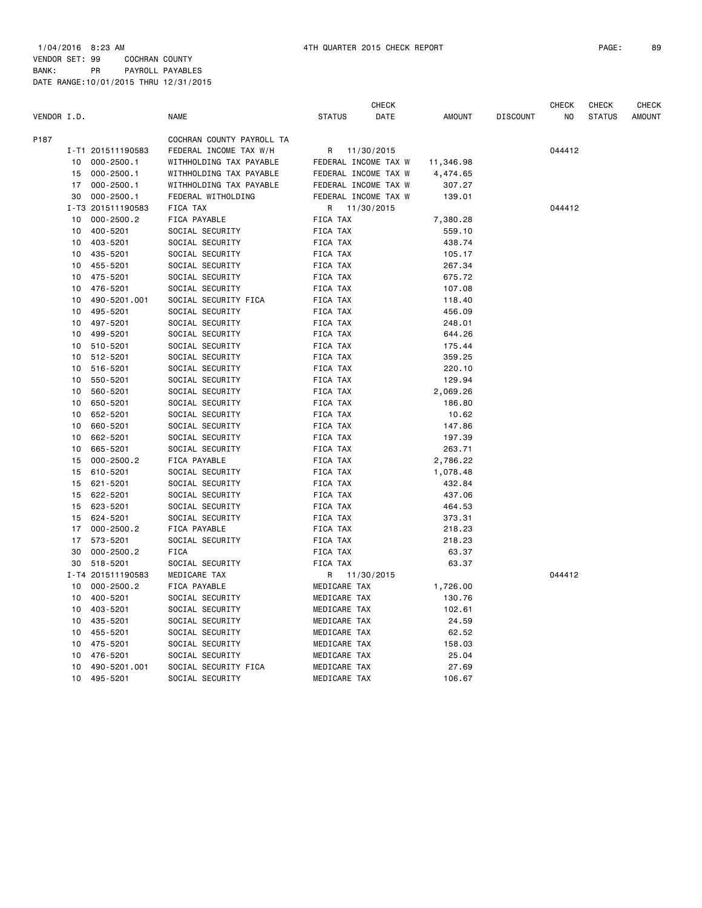1/04/2016 8:23 AM 4TH QUARTER 2015 CHECK REPORT PAGE: 89 VENDOR SET: 99 COCHRAN COUNTY BANK: PR PAYROLL PAYABLES

|             | DATE RANGE: 10/01/2015 THRU 12/31/2015 |                           |                      |              |               |                 |                |               |               |
|-------------|----------------------------------------|---------------------------|----------------------|--------------|---------------|-----------------|----------------|---------------|---------------|
|             |                                        |                           |                      | <b>CHECK</b> |               |                 | <b>CHECK</b>   | <b>CHECK</b>  | <b>CHECK</b>  |
| VENDOR I.D. |                                        | <b>NAME</b>               | <b>STATUS</b>        | <b>DATE</b>  | <b>AMOUNT</b> | <b>DISCOUNT</b> | N <sub>0</sub> | <b>STATUS</b> | <b>AMOUNT</b> |
| P187        |                                        | COCHRAN COUNTY PAYROLL TA |                      |              |               |                 |                |               |               |
|             | I-T1 201511190583                      | FEDERAL INCOME TAX W/H    | R 11/30/2015         |              |               |                 | 044412         |               |               |
| 10          | $000 - 2500.1$                         | WITHHOLDING TAX PAYABLE   | FEDERAL INCOME TAX W |              | 11,346.98     |                 |                |               |               |
| 15          | $000 - 2500.1$                         | WITHHOLDING TAX PAYABLE   | FEDERAL INCOME TAX W |              | 4,474.65      |                 |                |               |               |
| 17          | $000 - 2500.1$                         | WITHHOLDING TAX PAYABLE   | FEDERAL INCOME TAX W |              | 307.27        |                 |                |               |               |
| 30          | $000 - 2500.1$                         | FEDERAL WITHOLDING        | FEDERAL INCOME TAX W |              | 139.01        |                 |                |               |               |
|             | I-T3 201511190583                      | FICA TAX                  | R 11/30/2015         |              |               |                 | 044412         |               |               |
| 10          | $000 - 2500.2$                         | FICA PAYABLE              | FICA TAX             |              | 7,380.28      |                 |                |               |               |
| 10          | 400-5201                               | SOCIAL SECURITY           | FICA TAX             |              | 559.10        |                 |                |               |               |
| 10          | 403-5201                               | SOCIAL SECURITY           | FICA TAX             |              | 438.74        |                 |                |               |               |
| 10          | 435-5201                               | SOCIAL SECURITY           | FICA TAX             |              | 105.17        |                 |                |               |               |
| 10          | 455-5201                               | SOCIAL SECURITY           | FICA TAX             |              | 267.34        |                 |                |               |               |
| 10          | 475-5201                               | SOCIAL SECURITY           | FICA TAX             |              | 675.72        |                 |                |               |               |
| 10          | 476-5201                               | SOCIAL SECURITY           | FICA TAX             |              | 107.08        |                 |                |               |               |
| 10          | 490-5201.001                           | SOCIAL SECURITY FICA      | FICA TAX             |              | 118.40        |                 |                |               |               |
| 10          | 495-5201                               | SOCIAL SECURITY           | FICA TAX             |              | 456.09        |                 |                |               |               |
| 10          | 497-5201                               | SOCIAL SECURITY           | FICA TAX             |              | 248.01        |                 |                |               |               |
| 10          | 499-5201                               | SOCIAL SECURITY           | FICA TAX             |              | 644.26        |                 |                |               |               |
| 10          | 510-5201                               | SOCIAL SECURITY           | FICA TAX             |              | 175.44        |                 |                |               |               |
| 10          | 512-5201                               | SOCIAL SECURITY           | FICA TAX             |              | 359.25        |                 |                |               |               |
| 10          | 516-5201                               | SOCIAL SECURITY           | FICA TAX             |              | 220.10        |                 |                |               |               |
| 10          | 550-5201                               | SOCIAL SECURITY           | FICA TAX             |              | 129.94        |                 |                |               |               |
| 10          | 560-5201                               | SOCIAL SECURITY           | FICA TAX             |              | 2,069.26      |                 |                |               |               |
| 10          | 650-5201                               | SOCIAL SECURITY           | FICA TAX             |              | 186.80        |                 |                |               |               |
| 10          | 652-5201                               | SOCIAL SECURITY           | <b>FICA TAX</b>      |              | 10.62         |                 |                |               |               |

 10 660-5201 SOCIAL SECURITY FICA TAX 147.86 10 662-5201 SOCIAL SECURITY FICA TAX 197.39

 15 000-2500.2 FICA PAYABLE FICA TAX 2,786.22 15 610-5201 SOCIAL SECURITY FICA TAX 1,078.48 15 621-5201 SOCIAL SECURITY FICA TAX 432.84

 15 623-5201 SOCIAL SECURITY FICA TAX 464.53 15 624-5201 SOCIAL SECURITY FICA TAX 373.31 17 000-2500.2 FICA PAYABLE FICA TAX 218.23 17 573-5201 SOCIAL SECURITY<br>17 573-5201 SOCIAL SECURITY FICA TAX 218.23<br>18.23 FICA FICA FICA TAX 63.37 30 000-2500.2 FICA FICA TAX 63.37 30 518-5201 SOCIAL SECURITY FICA TAX 63.37

 10 000-2500.2 FICA PAYABLE MEDICARE TAX 1,726.00 10 400-5201 SOCIAL SECURITY MEDICARE TAX 130.76 10 403-5201 SOCIAL SECURITY MEDICARE TAX 102.61 10 435-5201 SOCIAL SECURITY MEDICARE TAX 24.59 10 455-5201 SOCIAL SECURITY MEDICARE TAX 62.52 10 475-5201 SOCIAL SECURITY MEDICARE TAX 158.03 10 476-5201 SOCIAL SECURITY MEDICARE TAX 25.04 10 490-5201.001 SOCIAL SECURITY FICA MEDICARE TAX 27.69 10 495-5201 SOCIAL SECURITY MEDICARE TAX 106.67

10 50 665.71 50 665.71 50 665.71 510 665.71 510 665.71 510 665.71 510 665.22<br>1,078.48 50 67.48 500 67.48 500 67.48 500 67.48 500 67.48 500 67.48 500 67.48 500 67.48 500 67.48

137.06 SOCIAL SECURITY FICA TAX

I-T4 201511190583 MEDICARE TAX R 11/30/2015 044412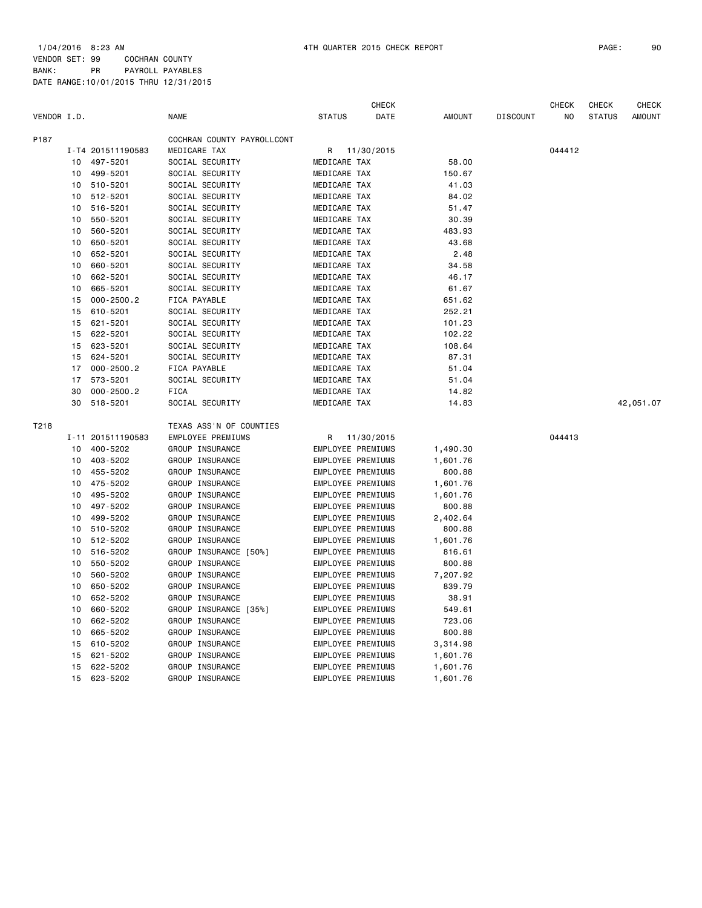1/04/2016 8:23 AM 4TH QUARTER 2015 CHECK REPORT PAGE: 90 VENDOR SET: 99 COCHRAN COUNTY BANK: PR PAYROLL PAYABLES DATE RANGE:10/01/2015 THRU 12/31/2015

|             |    |                   |                            |                          | <b>CHECK</b> |               |                 | <b>CHECK</b> | <b>CHECK</b>  | <b>CHECK</b>  |
|-------------|----|-------------------|----------------------------|--------------------------|--------------|---------------|-----------------|--------------|---------------|---------------|
| VENDOR I.D. |    |                   | <b>NAME</b>                | <b>STATUS</b>            | DATE         | <b>AMOUNT</b> | <b>DISCOUNT</b> | NO           | <b>STATUS</b> | <b>AMOUNT</b> |
| P187        |    |                   | COCHRAN COUNTY PAYROLLCONT |                          |              |               |                 |              |               |               |
|             |    | I-T4 201511190583 | MEDICARE TAX               | R                        | 11/30/2015   |               |                 | 044412       |               |               |
|             | 10 | 497-5201          | SOCIAL SECURITY            | MEDICARE TAX             |              | 58.00         |                 |              |               |               |
|             | 10 | 499-5201          | SOCIAL SECURITY            | MEDICARE TAX             |              | 150.67        |                 |              |               |               |
|             | 10 | 510-5201          | SOCIAL SECURITY            | MEDICARE TAX             |              | 41.03         |                 |              |               |               |
|             | 10 | 512-5201          | SOCIAL SECURITY            | MEDICARE TAX             |              | 84.02         |                 |              |               |               |
|             | 10 | 516-5201          | SOCIAL SECURITY            | MEDICARE TAX             |              | 51.47         |                 |              |               |               |
|             | 10 | 550-5201          | SOCIAL SECURITY            | MEDICARE TAX             |              | 30.39         |                 |              |               |               |
|             | 10 | 560-5201          | SOCIAL SECURITY            | MEDICARE TAX             |              | 483.93        |                 |              |               |               |
|             | 10 | 650-5201          | SOCIAL SECURITY            | MEDICARE TAX             |              | 43.68         |                 |              |               |               |
|             | 10 | 652-5201          | SOCIAL SECURITY            | MEDICARE TAX             |              | 2.48          |                 |              |               |               |
|             | 10 | 660-5201          | SOCIAL SECURITY            | MEDICARE TAX             |              | 34.58         |                 |              |               |               |
|             | 10 | 662-5201          | SOCIAL SECURITY            | MEDICARE TAX             |              | 46.17         |                 |              |               |               |
|             | 10 | 665-5201          | SOCIAL SECURITY            | MEDICARE TAX             |              | 61.67         |                 |              |               |               |
|             | 15 | $000 - 2500.2$    | FICA PAYABLE               | MEDICARE TAX             |              | 651.62        |                 |              |               |               |
|             | 15 | 610-5201          | SOCIAL SECURITY            | MEDICARE TAX             |              | 252.21        |                 |              |               |               |
|             | 15 | 621-5201          | SOCIAL SECURITY            | MEDICARE TAX             |              | 101.23        |                 |              |               |               |
|             | 15 | 622-5201          | SOCIAL SECURITY            | MEDICARE TAX             |              | 102.22        |                 |              |               |               |
|             | 15 | 623-5201          | SOCIAL SECURITY            | MEDICARE TAX             |              | 108.64        |                 |              |               |               |
|             | 15 | 624-5201          | SOCIAL SECURITY            | MEDICARE TAX             |              | 87.31         |                 |              |               |               |
|             | 17 | $000 - 2500.2$    | FICA PAYABLE               | MEDICARE TAX             |              | 51.04         |                 |              |               |               |
|             | 17 | 573-5201          | SOCIAL SECURITY            | MEDICARE TAX             |              | 51.04         |                 |              |               |               |
|             | 30 | $000 - 2500.2$    | <b>FICA</b>                | MEDICARE TAX             |              | 14.82         |                 |              |               |               |
|             | 30 | 518-5201          | SOCIAL SECURITY            | MEDICARE TAX             |              | 14.83         |                 |              |               | 42,051.07     |
| T218        |    |                   | TEXAS ASS'N OF COUNTIES    |                          |              |               |                 |              |               |               |
|             |    | I-11 201511190583 | EMPLOYEE PREMIUMS          | R                        | 11/30/2015   |               |                 | 044413       |               |               |
|             | 10 | 400-5202          | GROUP INSURANCE            | EMPLOYEE PREMIUMS        |              | 1,490.30      |                 |              |               |               |
|             | 10 | 403-5202          | GROUP INSURANCE            | <b>EMPLOYEE PREMIUMS</b> |              | 1,601.76      |                 |              |               |               |
|             | 10 | 455-5202          | GROUP INSURANCE            | <b>EMPLOYEE PREMIUMS</b> |              | 800.88        |                 |              |               |               |
|             | 10 | 475-5202          | GROUP INSURANCE            | EMPLOYEE PREMIUMS        |              | 1,601.76      |                 |              |               |               |
|             | 10 | 495-5202          | GROUP INSURANCE            | EMPLOYEE PREMIUMS        |              | 1,601.76      |                 |              |               |               |
|             | 10 | 497-5202          | GROUP INSURANCE            | EMPLOYEE PREMIUMS        |              | 800.88        |                 |              |               |               |
|             | 10 | 499-5202          | GROUP INSURANCE            | EMPLOYEE PREMIUMS        |              | 2,402.64      |                 |              |               |               |
|             | 10 | 510-5202          | GROUP INSURANCE            | EMPLOYEE PREMIUMS        |              | 800.88        |                 |              |               |               |
|             | 10 | 512-5202          | GROUP INSURANCE            | EMPLOYEE PREMIUMS        |              | 1,601.76      |                 |              |               |               |
|             | 10 | 516-5202          | GROUP INSURANCE [50%]      | EMPLOYEE PREMIUMS        |              | 816.61        |                 |              |               |               |
|             | 10 | 550-5202          | GROUP INSURANCE            | <b>EMPLOYEE PREMIUMS</b> |              | 800.88        |                 |              |               |               |
|             | 10 | 560-5202          | GROUP INSURANCE            | EMPLOYEE PREMIUMS        |              | 7,207.92      |                 |              |               |               |
|             | 10 | 650-5202          | GROUP INSURANCE            | EMPLOYEE PREMIUMS        |              | 839.79        |                 |              |               |               |
|             | 10 | 652-5202          | GROUP INSURANCE            | EMPLOYEE PREMIUMS        |              | 38.91         |                 |              |               |               |
|             | 10 | 660-5202          | GROUP INSURANCE [35%]      | EMPLOYEE PREMIUMS        |              | 549.61        |                 |              |               |               |
|             | 10 | 662-5202          | GROUP INSURANCE            | EMPLOYEE PREMIUMS        |              | 723.06        |                 |              |               |               |
|             | 10 | 665-5202          | GROUP INSURANCE            | EMPLOYEE PREMIUMS        |              | 800.88        |                 |              |               |               |
|             | 15 | 610-5202          | GROUP INSURANCE            | EMPLOYEE PREMIUMS        |              | 3,314.98      |                 |              |               |               |
|             | 15 | 621-5202          | GROUP INSURANCE            | EMPLOYEE PREMIUMS        |              | 1,601.76      |                 |              |               |               |

 15 622-5202 GROUP INSURANCE EMPLOYEE PREMIUMS 1,601.76 15 623-5202 GROUP INSURANCE EMPLOYEE PREMIUMS 1,601.76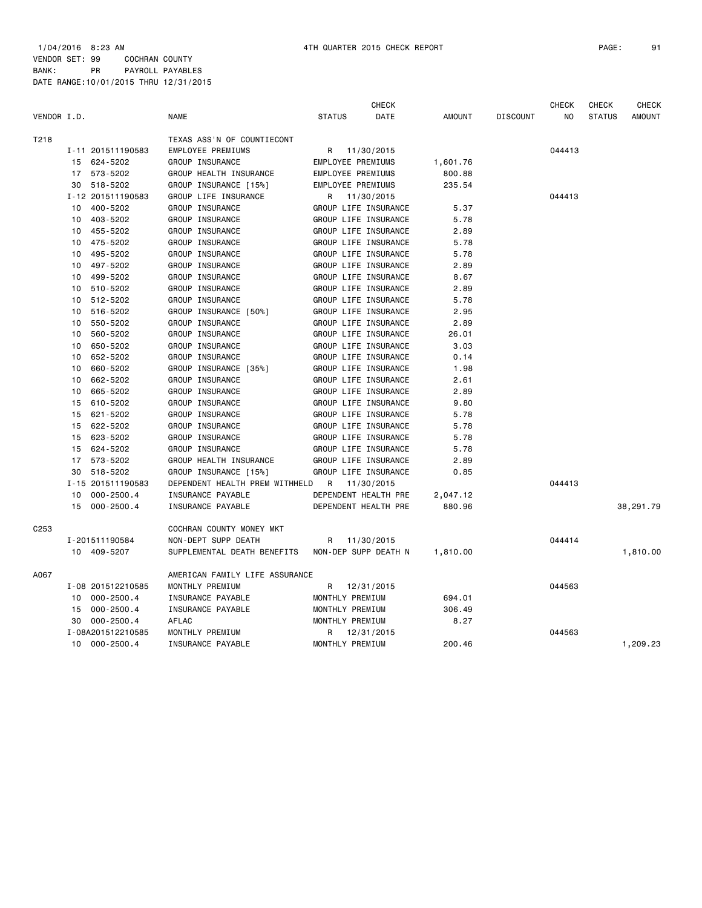|                  |                      |                                | <b>CHECK</b>          |               |                 | <b>CHECK</b> | <b>CHECK</b>  | <b>CHECK</b>  |
|------------------|----------------------|--------------------------------|-----------------------|---------------|-----------------|--------------|---------------|---------------|
| VENDOR I.D.      |                      | <b>NAME</b>                    | DATE<br><b>STATUS</b> | <b>AMOUNT</b> | <b>DISCOUNT</b> | NO.          | <b>STATUS</b> | <b>AMOUNT</b> |
| T218             |                      | TEXAS ASS'N OF COUNTIECONT     |                       |               |                 |              |               |               |
|                  | I-11 201511190583    | <b>EMPLOYEE PREMIUMS</b>       | 11/30/2015<br>R       |               |                 | 044413       |               |               |
|                  | 15 624-5202          | GROUP INSURANCE                | EMPLOYEE PREMIUMS     | 1,601.76      |                 |              |               |               |
|                  | 17 573-5202          | GROUP HEALTH INSURANCE         | EMPLOYEE PREMIUMS     | 800.88        |                 |              |               |               |
|                  | 518-5202<br>30       | GROUP INSURANCE [15%]          | EMPLOYEE PREMIUMS     | 235.54        |                 |              |               |               |
|                  | I-12 201511190583    | GROUP LIFE INSURANCE           | R<br>11/30/2015       |               |                 | 044413       |               |               |
|                  | 10 400-5202          | GROUP INSURANCE                | GROUP LIFE INSURANCE  | 5.37          |                 |              |               |               |
|                  | 403-5202<br>10       | GROUP INSURANCE                | GROUP LIFE INSURANCE  | 5.78          |                 |              |               |               |
|                  | 455-5202<br>10       | GROUP INSURANCE                | GROUP LIFE INSURANCE  | 2.89          |                 |              |               |               |
|                  | 475-5202<br>10       | GROUP INSURANCE                | GROUP LIFE INSURANCE  | 5.78          |                 |              |               |               |
|                  | 495-5202<br>10       | GROUP INSURANCE                | GROUP LIFE INSURANCE  | 5.78          |                 |              |               |               |
|                  | 497-5202<br>10       | GROUP INSURANCE                | GROUP LIFE INSURANCE  | 2.89          |                 |              |               |               |
|                  | 499-5202<br>10       | GROUP INSURANCE                | GROUP LIFE INSURANCE  | 8.67          |                 |              |               |               |
|                  | 510-5202<br>10       | GROUP INSURANCE                | GROUP LIFE INSURANCE  | 2.89          |                 |              |               |               |
|                  | 512-5202<br>10       | GROUP INSURANCE                | GROUP LIFE INSURANCE  | 5.78          |                 |              |               |               |
|                  | 516-5202<br>10       | GROUP INSURANCE [50%]          | GROUP LIFE INSURANCE  | 2.95          |                 |              |               |               |
|                  | 550-5202<br>10       | GROUP INSURANCE                | GROUP LIFE INSURANCE  | 2.89          |                 |              |               |               |
|                  | 10<br>560-5202       | GROUP INSURANCE                | GROUP LIFE INSURANCE  | 26.01         |                 |              |               |               |
|                  | 650-5202<br>10       | GROUP INSURANCE                | GROUP LIFE INSURANCE  | 3.03          |                 |              |               |               |
|                  | 652-5202<br>10       | GROUP INSURANCE                | GROUP LIFE INSURANCE  | 0.14          |                 |              |               |               |
|                  | 660-5202<br>10       | GROUP INSURANCE [35%]          | GROUP LIFE INSURANCE  | 1.98          |                 |              |               |               |
|                  | 662-5202<br>10       | GROUP INSURANCE                | GROUP LIFE INSURANCE  | 2.61          |                 |              |               |               |
|                  | 665-5202<br>10       | GROUP INSURANCE                | GROUP LIFE INSURANCE  | 2.89          |                 |              |               |               |
|                  | 610-5202<br>15       | GROUP INSURANCE                | GROUP LIFE INSURANCE  | 9.80          |                 |              |               |               |
|                  | 621-5202<br>15       | GROUP INSURANCE                | GROUP LIFE INSURANCE  | 5.78          |                 |              |               |               |
|                  | 622-5202<br>15       | GROUP INSURANCE                | GROUP LIFE INSURANCE  | 5.78          |                 |              |               |               |
|                  | 623-5202<br>15       | GROUP INSURANCE                | GROUP LIFE INSURANCE  | 5.78          |                 |              |               |               |
|                  | 624-5202<br>15       | GROUP INSURANCE                | GROUP LIFE INSURANCE  | 5.78          |                 |              |               |               |
|                  | 573-5202<br>17       | GROUP HEALTH INSURANCE         | GROUP LIFE INSURANCE  | 2.89          |                 |              |               |               |
|                  | 518-5202<br>30       | GROUP INSURANCE [15%]          | GROUP LIFE INSURANCE  | 0.85          |                 |              |               |               |
|                  | I-15 201511190583    | DEPENDENT HEALTH PREM WITHHELD | R<br>11/30/2015       |               |                 | 044413       |               |               |
|                  | $000 - 2500.4$<br>10 | INSURANCE PAYABLE              | DEPENDENT HEALTH PRE  | 2,047.12      |                 |              |               |               |
|                  | 15 000-2500.4        | INSURANCE PAYABLE              | DEPENDENT HEALTH PRE  | 880.96        |                 |              |               | 38,291.79     |
| C <sub>253</sub> |                      | COCHRAN COUNTY MONEY MKT       |                       |               |                 |              |               |               |
|                  | I-201511190584       | NON-DEPT SUPP DEATH            | 11/30/2015<br>R       |               |                 | 044414       |               |               |
|                  | 10 409-5207          | SUPPLEMENTAL DEATH BENEFITS    | NON-DEP SUPP DEATH N  | 1,810.00      |                 |              |               | 1,810.00      |
| A067             |                      | AMERICAN FAMILY LIFE ASSURANCE |                       |               |                 |              |               |               |
|                  | I-08 201512210585    | MONTHLY PREMIUM                | R<br>12/31/2015       |               |                 | 044563       |               |               |
|                  | $000 - 2500.4$<br>10 | INSURANCE PAYABLE              | MONTHLY PREMIUM       | 694.01        |                 |              |               |               |
|                  | $000 - 2500.4$<br>15 | INSURANCE PAYABLE              | MONTHLY PREMIUM       | 306.49        |                 |              |               |               |
|                  | $000 - 2500.4$<br>30 | <b>AFLAC</b>                   | MONTHLY PREMIUM       | 8.27          |                 |              |               |               |
|                  | I-08A201512210585    | MONTHLY PREMIUM                | 12/31/2015<br>R       |               |                 | 044563       |               |               |
|                  | 000-2500.4<br>10     | INSURANCE PAYABLE              | MONTHLY PREMIUM       | 200.46        |                 |              |               | 1,209.23      |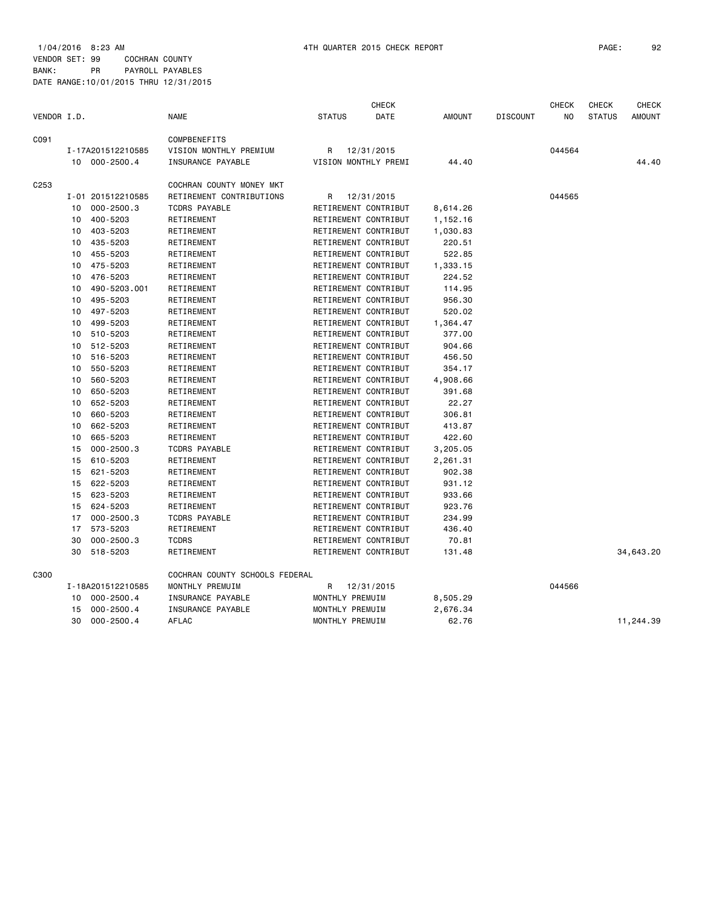|                  |    |                   |                                |                 | <b>CHECK</b>         |          |                 | <b>CHECK</b>   | <b>CHECK</b>  | <b>CHECK</b>  |
|------------------|----|-------------------|--------------------------------|-----------------|----------------------|----------|-----------------|----------------|---------------|---------------|
| VENDOR I.D.      |    |                   | <b>NAME</b>                    | <b>STATUS</b>   | <b>DATE</b>          | AMOUNT   | <b>DISCOUNT</b> | N <sub>O</sub> | <b>STATUS</b> | <b>AMOUNT</b> |
| C091             |    |                   | COMPBENEFITS                   |                 |                      |          |                 |                |               |               |
|                  |    | I-17A201512210585 | VISION MONTHLY PREMIUM         | R               | 12/31/2015           |          |                 | 044564         |               |               |
|                  |    | 10 000-2500.4     | INSURANCE PAYABLE              |                 | VISION MONTHLY PREMI | 44.40    |                 |                |               | 44.40         |
| C <sub>253</sub> |    |                   | COCHRAN COUNTY MONEY MKT       |                 |                      |          |                 |                |               |               |
|                  |    | I-01 201512210585 | RETIREMENT CONTRIBUTIONS       | R               | 12/31/2015           |          |                 | 044565         |               |               |
|                  | 10 | $000 - 2500.3$    | <b>TCDRS PAYABLE</b>           |                 | RETIREMENT CONTRIBUT | 8,614.26 |                 |                |               |               |
|                  | 10 | 400-5203          | RETIREMENT                     |                 | RETIREMENT CONTRIBUT | 1,152.16 |                 |                |               |               |
|                  | 10 | 403-5203          | RETIREMENT                     |                 | RETIREMENT CONTRIBUT | 1,030.83 |                 |                |               |               |
|                  | 10 | 435-5203          | RETIREMENT                     |                 | RETIREMENT CONTRIBUT | 220.51   |                 |                |               |               |
|                  | 10 | 455-5203          | RETIREMENT                     |                 | RETIREMENT CONTRIBUT | 522.85   |                 |                |               |               |
|                  | 10 | 475-5203          | RETIREMENT                     |                 | RETIREMENT CONTRIBUT | 1,333.15 |                 |                |               |               |
|                  | 10 | 476-5203          | RETIREMENT                     |                 | RETIREMENT CONTRIBUT | 224.52   |                 |                |               |               |
|                  | 10 | 490-5203.001      | RETIREMENT                     |                 | RETIREMENT CONTRIBUT | 114.95   |                 |                |               |               |
|                  | 10 | 495-5203          | RETIREMENT                     |                 | RETIREMENT CONTRIBUT | 956.30   |                 |                |               |               |
|                  | 10 | 497-5203          | RETIREMENT                     |                 | RETIREMENT CONTRIBUT | 520.02   |                 |                |               |               |
|                  | 10 | 499-5203          | RETIREMENT                     |                 | RETIREMENT CONTRIBUT | 1,364.47 |                 |                |               |               |
|                  | 10 | 510-5203          | RETIREMENT                     |                 | RETIREMENT CONTRIBUT | 377.00   |                 |                |               |               |
|                  | 10 | 512-5203          | RETIREMENT                     |                 | RETIREMENT CONTRIBUT | 904.66   |                 |                |               |               |
|                  | 10 | 516-5203          | RETIREMENT                     |                 | RETIREMENT CONTRIBUT | 456.50   |                 |                |               |               |
|                  | 10 | 550-5203          | RETIREMENT                     |                 | RETIREMENT CONTRIBUT | 354.17   |                 |                |               |               |
|                  | 10 | 560-5203          | RETIREMENT                     |                 | RETIREMENT CONTRIBUT | 4,908.66 |                 |                |               |               |
|                  | 10 | 650-5203          | RETIREMENT                     |                 | RETIREMENT CONTRIBUT | 391.68   |                 |                |               |               |
|                  | 10 | 652-5203          | RETIREMENT                     |                 | RETIREMENT CONTRIBUT | 22.27    |                 |                |               |               |
|                  | 10 | 660-5203          | RETIREMENT                     |                 | RETIREMENT CONTRIBUT | 306.81   |                 |                |               |               |
|                  | 10 | 662-5203          | RETIREMENT                     |                 | RETIREMENT CONTRIBUT | 413.87   |                 |                |               |               |
|                  | 10 | 665-5203          | RETIREMENT                     |                 | RETIREMENT CONTRIBUT | 422.60   |                 |                |               |               |
|                  | 15 | $000 - 2500.3$    | <b>TCDRS PAYABLE</b>           |                 | RETIREMENT CONTRIBUT | 3,205.05 |                 |                |               |               |
|                  | 15 | 610-5203          | RETIREMENT                     |                 | RETIREMENT CONTRIBUT | 2,261.31 |                 |                |               |               |
|                  | 15 | 621-5203          | RETIREMENT                     |                 | RETIREMENT CONTRIBUT | 902.38   |                 |                |               |               |
|                  | 15 | 622-5203          | RETIREMENT                     |                 | RETIREMENT CONTRIBUT | 931.12   |                 |                |               |               |
|                  | 15 | 623-5203          | RETIREMENT                     |                 | RETIREMENT CONTRIBUT | 933.66   |                 |                |               |               |
|                  | 15 | 624-5203          | RETIREMENT                     |                 | RETIREMENT CONTRIBUT | 923.76   |                 |                |               |               |
|                  | 17 | $000 - 2500.3$    | <b>TCDRS PAYABLE</b>           |                 | RETIREMENT CONTRIBUT | 234.99   |                 |                |               |               |
|                  | 17 | 573-5203          | RETIREMENT                     |                 | RETIREMENT CONTRIBUT | 436.40   |                 |                |               |               |
|                  | 30 | $000 - 2500.3$    | <b>TCDRS</b>                   |                 | RETIREMENT CONTRIBUT | 70.81    |                 |                |               |               |
|                  | 30 | 518-5203          | RETIREMENT                     |                 | RETIREMENT CONTRIBUT | 131.48   |                 |                |               | 34,643.20     |
| C300             |    |                   | COCHRAN COUNTY SCHOOLS FEDERAL |                 |                      |          |                 |                |               |               |
|                  |    | I-18A201512210585 | MONTHLY PREMUIM                | R               | 12/31/2015           |          |                 | 044566         |               |               |
|                  | 10 | $000 - 2500.4$    | INSURANCE PAYABLE              | MONTHLY PREMUIM |                      | 8,505.29 |                 |                |               |               |
|                  | 15 | $000 - 2500.4$    | INSURANCE PAYABLE              | MONTHLY PREMUIM |                      | 2,676.34 |                 |                |               |               |
|                  | 30 | $000 - 2500.4$    | AFLAC                          | MONTHLY PREMUIM |                      | 62.76    |                 |                |               | 11,244.39     |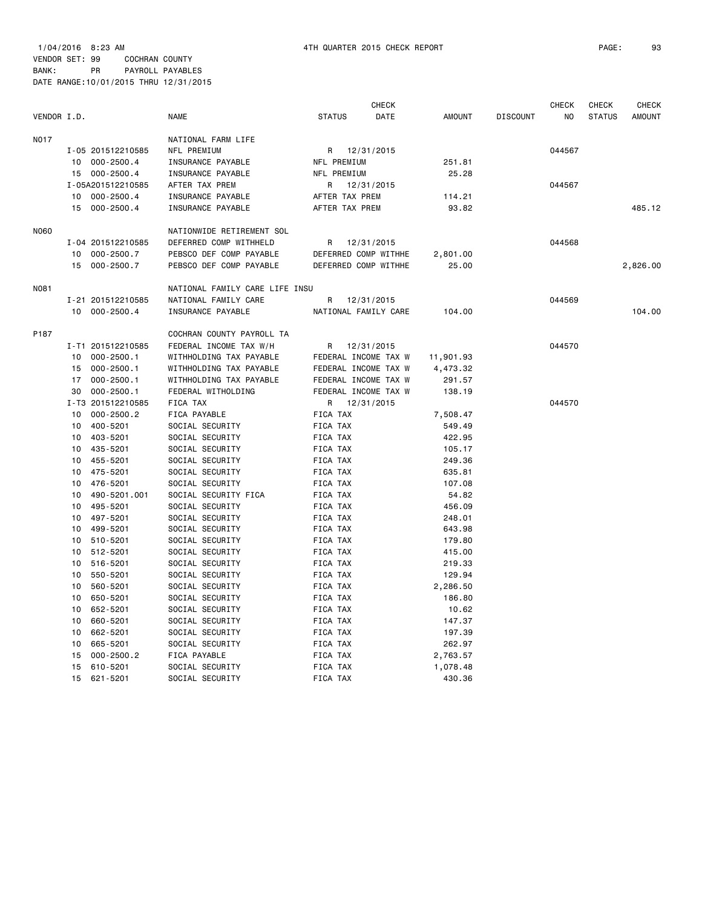1/04/2016 8:23 AM 4TH QUARTER 2015 CHECK REPORT PAGE: 93 VENDOR SET: 99 COCHRAN COUNTY BANK: PR PAYROLL PAYABLES DATE RANGE:10/01/2015 THRU 12/31/2015

| VENDOR I.D. |                            | <b>NAME</b>                        | <b>CHECK</b><br><b>STATUS</b><br>DATE | AMOUNT           | <b>DISCOUNT</b> | <b>CHECK</b><br>NO | <b>CHECK</b><br><b>STATUS</b> | CHECK<br><b>AMOUNT</b> |
|-------------|----------------------------|------------------------------------|---------------------------------------|------------------|-----------------|--------------------|-------------------------------|------------------------|
| N017        |                            | NATIONAL FARM LIFE                 |                                       |                  |                 |                    |                               |                        |
|             | I-05 201512210585          | NFL PREMIUM                        | R 12/31/2015                          |                  |                 | 044567             |                               |                        |
|             | 10 000-2500.4              | INSURANCE PAYABLE                  | NFL PREMIUM                           | 251.81           |                 |                    |                               |                        |
|             | 15 000-2500.4              | INSURANCE PAYABLE                  | NFL PREMIUM                           | 25.28            |                 |                    |                               |                        |
|             | I-05A201512210585          | AFTER TAX PREM                     | 12/31/2015<br>R                       |                  |                 | 044567             |                               |                        |
|             | 10 000-2500.4              | INSURANCE PAYABLE                  | AFTER TAX PREM                        | 114.21           |                 |                    |                               |                        |
|             | 15 000-2500.4              | INSURANCE PAYABLE                  | AFTER TAX PREM                        | 93.82            |                 |                    |                               | 485.12                 |
| N060        |                            | NATIONWIDE RETIREMENT SOL          |                                       |                  |                 |                    |                               |                        |
|             | I-04 201512210585          | DEFERRED COMP WITHHELD             | 12/31/2015<br>R                       |                  |                 | 044568             |                               |                        |
|             | 10 000-2500.7              | PEBSCO DEF COMP PAYABLE            | DEFERRED COMP WITHHE                  | 2,801.00         |                 |                    |                               |                        |
|             | 15 000-2500.7              | PEBSCO DEF COMP PAYABLE            | DEFERRED COMP WITHHE                  | 25.00            |                 |                    |                               | 2,826.00               |
| N081        |                            | NATIONAL FAMILY CARE LIFE INSU     |                                       |                  |                 |                    |                               |                        |
|             | I-21 201512210585          | NATIONAL FAMILY CARE               | R<br>12/31/2015                       |                  |                 | 044569             |                               |                        |
|             | 10 000-2500.4              | INSURANCE PAYABLE                  | NATIONAL FAMILY CARE                  | 104.00           |                 |                    |                               | 104.00                 |
| P187        |                            | COCHRAN COUNTY PAYROLL TA          |                                       |                  |                 |                    |                               |                        |
|             | I-T1 201512210585          | FEDERAL INCOME TAX W/H             | R 12/31/2015                          |                  |                 | 044570             |                               |                        |
|             | 10<br>000-2500.1           | WITHHOLDING TAX PAYABLE            | FEDERAL INCOME TAX W                  | 11,901.93        |                 |                    |                               |                        |
|             | 000-2500.1<br>15           | WITHHOLDING TAX PAYABLE            | FEDERAL INCOME TAX W                  | 4,473.32         |                 |                    |                               |                        |
|             | 17 000-2500.1              | WITHHOLDING TAX PAYABLE            | FEDERAL INCOME TAX W                  | 291.57           |                 |                    |                               |                        |
|             | 30 000-2500.1              | FEDERAL WITHOLDING                 | FEDERAL INCOME TAX W                  | 138.19           |                 |                    |                               |                        |
|             | I-T3 201512210585          | FICA TAX                           | R 12/31/2015                          |                  |                 | 044570             |                               |                        |
|             | $000 - 2500.2$<br>10       | FICA PAYABLE                       | FICA TAX                              | 7,508.47         |                 |                    |                               |                        |
|             | 400-5201<br>10             | SOCIAL SECURITY                    | FICA TAX                              | 549.49           |                 |                    |                               |                        |
|             | 10<br>403-5201             | SOCIAL SECURITY                    | FICA TAX                              | 422.95           |                 |                    |                               |                        |
|             | 435-5201<br>10             | SOCIAL SECURITY                    | FICA TAX                              | 105.17           |                 |                    |                               |                        |
|             | 455-5201<br>10             | SOCIAL SECURITY                    | FICA TAX                              | 249.36           |                 |                    |                               |                        |
|             | 475-5201<br>10             | SOCIAL SECURITY                    | FICA TAX                              | 635.81           |                 |                    |                               |                        |
|             | 476-5201<br>10             | SOCIAL SECURITY                    | FICA TAX                              | 107.08           |                 |                    |                               |                        |
|             | 490-5201.001<br>10         | SOCIAL SECURITY FICA               | <b>FICA TAX</b>                       | 54.82            |                 |                    |                               |                        |
|             | 495-5201<br>10             | SOCIAL SECURITY                    | FICA TAX                              | 456.09           |                 |                    |                               |                        |
|             | 497-5201<br>10<br>499-5201 | SOCIAL SECURITY                    | FICA TAX<br>FICA TAX                  | 248.01           |                 |                    |                               |                        |
|             | 10<br>10                   | SOCIAL SECURITY                    |                                       | 643.98           |                 |                    |                               |                        |
|             | 510-5201<br>512-5201<br>10 | SOCIAL SECURITY<br>SOCIAL SECURITY | FICA TAX<br>FICA TAX                  | 179.80<br>415.00 |                 |                    |                               |                        |
|             | 516-5201<br>10             | SOCIAL SECURITY                    | FICA TAX                              | 219.33           |                 |                    |                               |                        |
|             | 550-5201<br>10             | SOCIAL SECURITY                    | FICA TAX                              | 129.94           |                 |                    |                               |                        |
|             | 560-5201<br>10             | SOCIAL SECURITY                    | FICA TAX                              | 2,286.50         |                 |                    |                               |                        |
|             | 650-5201<br>10             | SOCIAL SECURITY                    | FICA TAX                              | 186.80           |                 |                    |                               |                        |
|             | 652-5201<br>10             | SOCIAL SECURITY                    | FICA TAX                              | 10.62            |                 |                    |                               |                        |
|             | 660-5201<br>10             | SOCIAL SECURITY                    | FICA TAX                              | 147.37           |                 |                    |                               |                        |
|             | 662-5201<br>10             | SOCIAL SECURITY                    | FICA TAX                              | 197.39           |                 |                    |                               |                        |
|             | 665-5201<br>10             | SOCIAL SECURITY                    | FICA TAX                              | 262.97           |                 |                    |                               |                        |
|             | $000 - 2500.2$<br>15       | FICA PAYABLE                       | FICA TAX                              | 2,763.57         |                 |                    |                               |                        |
|             | 610-5201<br>15             | SOCIAL SECURITY                    | FICA TAX                              | 1,078.48         |                 |                    |                               |                        |
|             | 15<br>621-5201             | SOCIAL SECURITY                    | FICA TAX                              | 430.36           |                 |                    |                               |                        |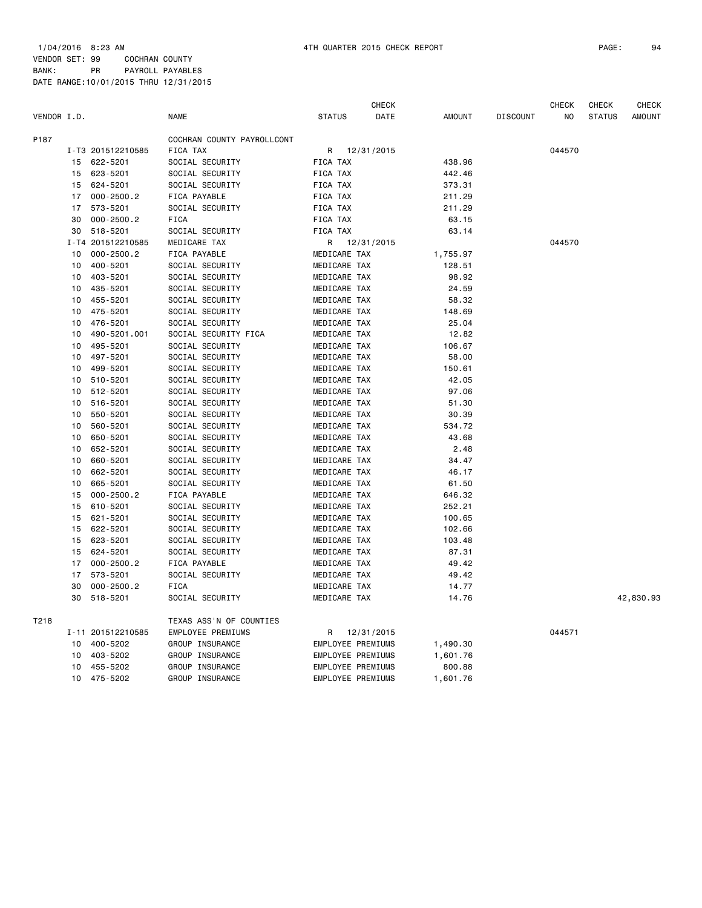1/04/2016 8:23 AM 4TH QUARTER 2015 CHECK REPORT PAGE: 94 VENDOR SET: 99 COCHRAN COUNTY

|             |    |                   |                            |                   | <b>CHECK</b> |               |                 | <b>CHECK</b> | <b>CHECK</b>  | <b>CHECK</b>  |
|-------------|----|-------------------|----------------------------|-------------------|--------------|---------------|-----------------|--------------|---------------|---------------|
| VENDOR I.D. |    |                   | <b>NAME</b>                | <b>STATUS</b>     | DATE         | <b>AMOUNT</b> | <b>DISCOUNT</b> | NO           | <b>STATUS</b> | <b>AMOUNT</b> |
| P187        |    |                   | COCHRAN COUNTY PAYROLLCONT |                   |              |               |                 |              |               |               |
|             |    | I-T3 201512210585 | FICA TAX                   | R                 | 12/31/2015   |               |                 | 044570       |               |               |
|             |    | 15 622-5201       | SOCIAL SECURITY            | FICA TAX          |              | 438.96        |                 |              |               |               |
|             | 15 | 623-5201          | SOCIAL SECURITY            | FICA TAX          |              | 442.46        |                 |              |               |               |
|             | 15 | 624-5201          | SOCIAL SECURITY            | FICA TAX          |              | 373.31        |                 |              |               |               |
|             | 17 | $000 - 2500.2$    | FICA PAYABLE               | FICA TAX          |              | 211.29        |                 |              |               |               |
|             | 17 | 573-5201          | SOCIAL SECURITY            | FICA TAX          |              | 211.29        |                 |              |               |               |
|             | 30 | $000 - 2500.2$    | <b>FICA</b>                | FICA TAX          |              | 63.15         |                 |              |               |               |
|             | 30 | 518-5201          | SOCIAL SECURITY            | FICA TAX          |              | 63.14         |                 |              |               |               |
|             |    | I-T4 201512210585 | MEDICARE TAX               | R                 | 12/31/2015   |               |                 | 044570       |               |               |
|             | 10 | $000 - 2500.2$    | FICA PAYABLE               | MEDICARE TAX      |              | 1,755.97      |                 |              |               |               |
|             | 10 | 400-5201          | SOCIAL SECURITY            | MEDICARE TAX      |              | 128.51        |                 |              |               |               |
|             | 10 | 403-5201          | SOCIAL SECURITY            | MEDICARE TAX      |              | 98.92         |                 |              |               |               |
|             | 10 | 435-5201          | SOCIAL SECURITY            | MEDICARE TAX      |              | 24.59         |                 |              |               |               |
|             | 10 | 455-5201          | SOCIAL SECURITY            | MEDICARE TAX      |              | 58.32         |                 |              |               |               |
|             | 10 | 475-5201          | SOCIAL SECURITY            | MEDICARE TAX      |              | 148.69        |                 |              |               |               |
|             | 10 | 476-5201          | SOCIAL SECURITY            | MEDICARE TAX      |              | 25.04         |                 |              |               |               |
|             | 10 | 490-5201.001      | SOCIAL SECURITY FICA       | MEDICARE TAX      |              | 12.82         |                 |              |               |               |
|             | 10 | 495-5201          | SOCIAL SECURITY            | MEDICARE TAX      |              | 106.67        |                 |              |               |               |
|             | 10 | 497-5201          | SOCIAL SECURITY            | MEDICARE TAX      |              | 58.00         |                 |              |               |               |
|             | 10 | 499-5201          | SOCIAL SECURITY            | MEDICARE TAX      |              | 150.61        |                 |              |               |               |
|             | 10 | 510-5201          | SOCIAL SECURITY            | MEDICARE TAX      |              | 42.05         |                 |              |               |               |
|             | 10 | 512-5201          | SOCIAL SECURITY            | MEDICARE TAX      |              | 97.06         |                 |              |               |               |
|             | 10 | 516-5201          | SOCIAL SECURITY            | MEDICARE TAX      |              | 51.30         |                 |              |               |               |
|             | 10 | 550-5201          | SOCIAL SECURITY            | MEDICARE TAX      |              | 30.39         |                 |              |               |               |
|             | 10 | 560-5201          | SOCIAL SECURITY            | MEDICARE TAX      |              | 534.72        |                 |              |               |               |
|             | 10 | 650-5201          | SOCIAL SECURITY            | MEDICARE TAX      |              | 43.68         |                 |              |               |               |
|             | 10 | 652-5201          | SOCIAL SECURITY            | MEDICARE TAX      |              | 2.48          |                 |              |               |               |
|             | 10 | 660-5201          | SOCIAL SECURITY            | MEDICARE TAX      |              | 34.47         |                 |              |               |               |
|             | 10 | 662-5201          | SOCIAL SECURITY            | MEDICARE TAX      |              | 46.17         |                 |              |               |               |
|             | 10 | 665-5201          | SOCIAL SECURITY            | MEDICARE TAX      |              | 61.50         |                 |              |               |               |
|             | 15 | $000 - 2500.2$    | FICA PAYABLE               | MEDICARE TAX      |              | 646.32        |                 |              |               |               |
|             | 15 | 610-5201          | SOCIAL SECURITY            | MEDICARE TAX      |              | 252.21        |                 |              |               |               |
|             | 15 | 621-5201          | SOCIAL SECURITY            | MEDICARE TAX      |              | 100.65        |                 |              |               |               |
|             | 15 | 622-5201          | SOCIAL SECURITY            | MEDICARE TAX      |              | 102.66        |                 |              |               |               |
|             | 15 | 623-5201          | SOCIAL SECURITY            | MEDICARE TAX      |              | 103.48        |                 |              |               |               |
|             | 15 | 624-5201          | SOCIAL SECURITY            | MEDICARE TAX      |              | 87.31         |                 |              |               |               |
|             | 17 | $000 - 2500.2$    | FICA PAYABLE               | MEDICARE TAX      |              | 49.42         |                 |              |               |               |
|             | 17 | 573-5201          | SOCIAL SECURITY            | MEDICARE TAX      |              | 49.42         |                 |              |               |               |
|             | 30 | $000 - 2500.2$    | <b>FICA</b>                | MEDICARE TAX      |              | 14.77         |                 |              |               |               |
|             | 30 | 518-5201          | SOCIAL SECURITY            | MEDICARE TAX      |              | 14.76         |                 |              |               | 42,830.93     |
| T218        |    |                   | TEXAS ASS'N OF COUNTIES    |                   |              |               |                 |              |               |               |
|             |    | I-11 201512210585 | EMPLOYEE PREMIUMS          | R                 | 12/31/2015   |               |                 | 044571       |               |               |
|             | 10 | 400-5202          | GROUP INSURANCE            | EMPLOYEE PREMIUMS |              | 1,490.30      |                 |              |               |               |
|             | 10 | 403-5202          | GROUP INSURANCE            | EMPLOYEE PREMIUMS |              | 1,601.76      |                 |              |               |               |
|             | 10 | 455-5202          | GROUP INSURANCE            | EMPLOYEE PREMIUMS |              | 800.88        |                 |              |               |               |
|             | 10 | 475-5202          | GROUP INSURANCE            | EMPLOYEE PREMIUMS |              | 1,601.76      |                 |              |               |               |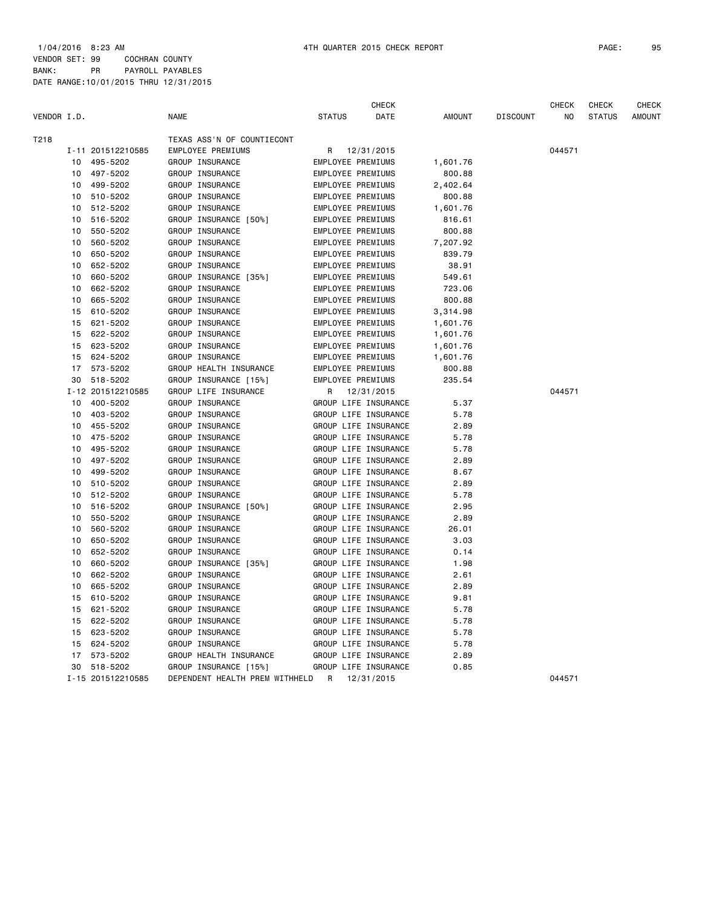|             |    |                   |                                             |                          | CHECK                |               |                 | CHECK  | CHECK         | <b>CHECK</b>  |
|-------------|----|-------------------|---------------------------------------------|--------------------------|----------------------|---------------|-----------------|--------|---------------|---------------|
| VENDOR I.D. |    |                   | <b>NAME</b>                                 | <b>STATUS</b>            | DATE                 | <b>AMOUNT</b> | <b>DISCOUNT</b> | NO     | <b>STATUS</b> | <b>AMOUNT</b> |
| T218        |    |                   | TEXAS ASS'N OF COUNTIECONT                  |                          |                      |               |                 |        |               |               |
|             |    | I-11 201512210585 | EMPLOYEE PREMIUMS                           |                          | R 12/31/2015         |               |                 | 044571 |               |               |
|             | 10 | 495-5202          | GROUP INSURANCE                             | EMPLOYEE PREMIUMS        |                      | 1,601.76      |                 |        |               |               |
|             | 10 | 497-5202          | GROUP INSURANCE                             | <b>EMPLOYEE PREMIUMS</b> |                      | 800.88        |                 |        |               |               |
|             | 10 | 499-5202          | GROUP INSURANCE                             | EMPLOYEE PREMIUMS        |                      | 2,402.64      |                 |        |               |               |
|             | 10 | 510-5202          | GROUP INSURANCE                             | EMPLOYEE PREMIUMS        |                      | 800.88        |                 |        |               |               |
|             | 10 | 512-5202          | GROUP INSURANCE                             | EMPLOYEE PREMIUMS        |                      | 1,601.76      |                 |        |               |               |
|             | 10 | 516-5202          | GROUP INSURANCE [50%]                       | EMPLOYEE PREMIUMS        |                      | 816.61        |                 |        |               |               |
|             | 10 | 550-5202          | GROUP INSURANCE                             | EMPLOYEE PREMIUMS        |                      | 800.88        |                 |        |               |               |
|             | 10 | 560-5202          | GROUP INSURANCE                             | <b>EMPLOYEE PREMIUMS</b> |                      | 7,207.92      |                 |        |               |               |
|             | 10 | 650-5202          | GROUP INSURANCE                             | EMPLOYEE PREMIUMS        |                      | 839.79        |                 |        |               |               |
|             | 10 | 652-5202          | GROUP INSURANCE                             | EMPLOYEE PREMIUMS        |                      | 38.91         |                 |        |               |               |
|             | 10 | 660-5202          | GROUP INSURANCE [35%]                       | EMPLOYEE PREMIUMS        |                      | 549.61        |                 |        |               |               |
|             | 10 | 662-5202          | GROUP INSURANCE                             | EMPLOYEE PREMIUMS        |                      | 723.06        |                 |        |               |               |
|             | 10 | 665-5202          | GROUP INSURANCE                             | EMPLOYEE PREMIUMS        |                      | 800.88        |                 |        |               |               |
|             | 15 | 610-5202          | GROUP INSURANCE                             | EMPLOYEE PREMIUMS        |                      | 3,314.98      |                 |        |               |               |
|             | 15 | 621-5202          | GROUP INSURANCE                             | EMPLOYEE PREMIUMS        |                      | 1,601.76      |                 |        |               |               |
|             | 15 | 622-5202          | GROUP INSURANCE                             | EMPLOYEE PREMIUMS        |                      | 1,601.76      |                 |        |               |               |
|             | 15 | 623-5202          | GROUP INSURANCE                             | EMPLOYEE PREMIUMS        |                      | 1,601.76      |                 |        |               |               |
|             | 15 | 624-5202          | GROUP INSURANCE                             | <b>EMPLOYEE PREMIUMS</b> |                      | 1,601.76      |                 |        |               |               |
|             | 17 | 573-5202          | GROUP HEALTH INSURANCE                      | EMPLOYEE PREMIUMS        |                      | 800.88        |                 |        |               |               |
|             | 30 | 518-5202          | GROUP INSURANCE [15%]                       | EMPLOYEE PREMIUMS        |                      | 235.54        |                 |        |               |               |
|             |    | I-12 201512210585 | GROUP LIFE INSURANCE                        |                          | R 12/31/2015         |               |                 | 044571 |               |               |
|             | 10 | 400-5202          | GROUP INSURANCE                             |                          | GROUP LIFE INSURANCE | 5.37          |                 |        |               |               |
|             | 10 | 403-5202          | GROUP INSURANCE                             |                          | GROUP LIFE INSURANCE | 5.78          |                 |        |               |               |
|             | 10 | 455-5202          | GROUP INSURANCE                             |                          | GROUP LIFE INSURANCE | 2.89          |                 |        |               |               |
|             | 10 | 475-5202          | GROUP INSURANCE                             |                          | GROUP LIFE INSURANCE | 5.78          |                 |        |               |               |
|             | 10 | 495-5202          | GROUP INSURANCE                             |                          | GROUP LIFE INSURANCE | 5.78          |                 |        |               |               |
|             | 10 | 497-5202          | GROUP INSURANCE                             |                          | GROUP LIFE INSURANCE | 2.89          |                 |        |               |               |
|             | 10 | 499-5202          | GROUP INSURANCE                             |                          | GROUP LIFE INSURANCE | 8.67          |                 |        |               |               |
|             | 10 | 510-5202          | GROUP INSURANCE                             |                          | GROUP LIFE INSURANCE | 2.89          |                 |        |               |               |
|             | 10 | 512-5202          | GROUP INSURANCE                             |                          | GROUP LIFE INSURANCE | 5.78          |                 |        |               |               |
|             | 10 | 516-5202          | GROUP INSURANCE [50%]                       |                          | GROUP LIFE INSURANCE | 2.95          |                 |        |               |               |
|             | 10 | 550-5202          | GROUP INSURANCE                             |                          | GROUP LIFE INSURANCE | 2.89          |                 |        |               |               |
|             | 10 | 560-5202          | GROUP INSURANCE                             |                          | GROUP LIFE INSURANCE | 26.01         |                 |        |               |               |
|             | 10 | 650-5202          | GROUP INSURANCE                             |                          | GROUP LIFE INSURANCE | 3.03          |                 |        |               |               |
|             | 10 | 652-5202          | GROUP INSURANCE                             |                          | GROUP LIFE INSURANCE | 0.14          |                 |        |               |               |
|             | 10 | 660-5202          | GROUP INSURANCE [35%]                       |                          | GROUP LIFE INSURANCE | 1.98          |                 |        |               |               |
|             | 10 | 662-5202          | GROUP INSURANCE                             |                          | GROUP LIFE INSURANCE | 2.61          |                 |        |               |               |
|             | 10 | 665-5202          | GROUP INSURANCE                             |                          | GROUP LIFE INSURANCE | 2.89          |                 |        |               |               |
|             | 15 | 610-5202          | GROUP INSURANCE                             |                          | GROUP LIFE INSURANCE | 9.81          |                 |        |               |               |
|             | 15 | 621-5202          | GROUP INSURANCE                             |                          | GROUP LIFE INSURANCE | 5.78          |                 |        |               |               |
|             | 15 | 622-5202          | GROUP INSURANCE                             |                          | GROUP LIFE INSURANCE | 5.78          |                 |        |               |               |
|             | 15 | 623-5202          | GROUP INSURANCE                             |                          | GROUP LIFE INSURANCE | 5.78          |                 |        |               |               |
|             | 15 | 624-5202          | GROUP INSURANCE                             |                          | GROUP LIFE INSURANCE | 5.78          |                 |        |               |               |
|             | 17 | 573-5202          | GROUP HEALTH INSURANCE                      |                          | GROUP LIFE INSURANCE | 2.89          |                 |        |               |               |
|             | 30 | 518-5202          | GROUP INSURANCE [15%]                       |                          | GROUP LIFE INSURANCE | 0.85          |                 |        |               |               |
|             |    | I-15 201512210585 | DEPENDENT HEALTH PREM WITHHELD R 12/31/2015 |                          |                      |               |                 | 044571 |               |               |
|             |    |                   |                                             |                          |                      |               |                 |        |               |               |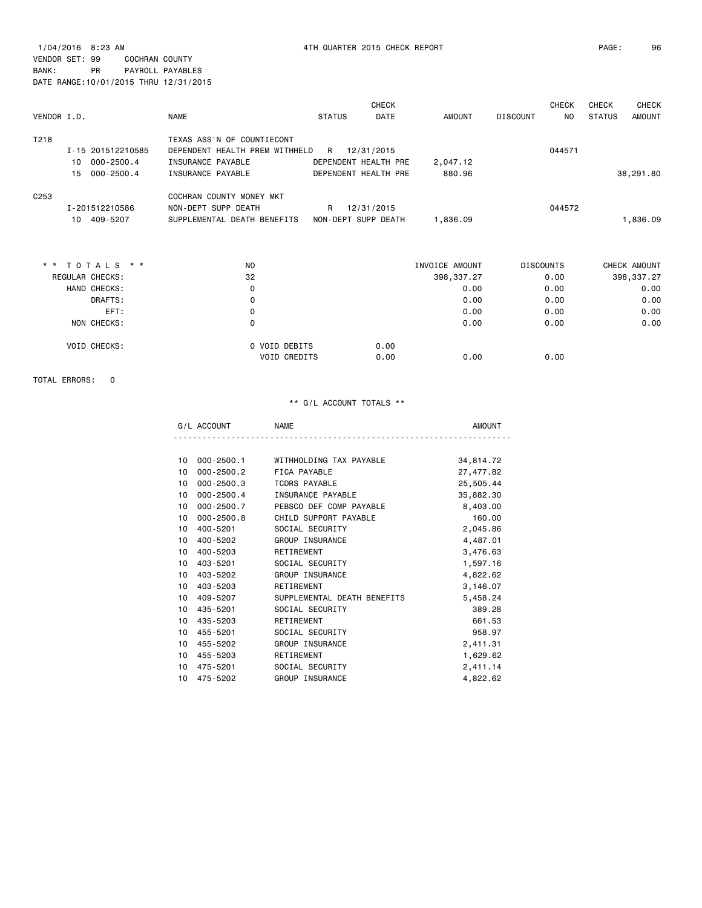1/04/2016 8:23 AM 4TH QUARTER 2015 CHECK REPORT PAGE: 96 VENDOR SET: 99 COCHRAN COUNTY BANK: PR PAYROLL PAYABLES DATE RANGE:10/01/2015 THRU 12/31/2015

| VENDOR I.D.      |    |                   | <b>NAME</b>                                                  | <b>STATUS</b> | <b>CHECK</b><br>DATE | AMOUNT         | <b>DISCOUNT</b>  | <b>CHECK</b><br>N <sub>O</sub> | <b>CHECK</b><br><b>STATUS</b> | <b>CHECK</b><br><b>AMOUNT</b> |
|------------------|----|-------------------|--------------------------------------------------------------|---------------|----------------------|----------------|------------------|--------------------------------|-------------------------------|-------------------------------|
| T218             |    | I-15 201512210585 | TEXAS ASS'N OF COUNTIECONT<br>DEPENDENT HEALTH PREM WITHHELD | R             | 12/31/2015           |                |                  | 044571                         |                               |                               |
|                  | 10 | $000 - 2500.4$    | INSURANCE PAYABLE                                            |               | DEPENDENT HEALTH PRE | 2,047.12       |                  |                                |                               |                               |
|                  | 15 | $000 - 2500.4$    | INSURANCE PAYABLE                                            |               | DEPENDENT HEALTH PRE | 880.96         |                  |                                |                               | 38,291.80                     |
| C <sub>253</sub> |    |                   | COCHRAN COUNTY MONEY MKT                                     |               |                      |                |                  |                                |                               |                               |
|                  |    | I-201512210586    | NON-DEPT SUPP DEATH                                          | R             | 12/31/2015           |                |                  | 044572                         |                               |                               |
|                  |    | 10 409-5207       | SUPPLEMENTAL DEATH BENEFITS                                  |               | NON-DEPT SUPP DEATH  | 1,836.09       |                  |                                |                               | 1,836.09                      |
|                  |    |                   |                                                              |               |                      |                |                  |                                |                               |                               |
|                  |    | * * TOTALS * *    | NO                                                           |               |                      | INVOICE AMOUNT | <b>DISCOUNTS</b> |                                |                               | CHECK AMOUNT                  |
|                  |    | REGULAR CHECKS:   | 32                                                           |               |                      | 398, 337.27    |                  | 0.00                           |                               | 398, 337.27                   |
|                  |    | HAND CHECKS:      | 0                                                            |               |                      | 0.00           |                  | 0.00                           |                               | 0.00                          |
|                  |    | DRAFTS:           | 0                                                            |               |                      | 0.00           |                  | 0.00                           |                               | 0.00                          |
|                  |    | EFT:              | 0                                                            |               |                      | 0.00           |                  | 0.00                           |                               | 0.00                          |
|                  |    | NON CHECKS:       | 0                                                            |               |                      | 0.00           |                  | 0.00                           |                               | 0.00                          |
|                  |    | VOID CHECKS:      | 0 VOID DEBITS                                                |               | 0.00                 |                |                  |                                |                               |                               |
|                  |    |                   | VOID CREDITS                                                 |               | 0.00                 | 0.00           |                  | 0.00                           |                               |                               |

TOTAL ERRORS: 0

| . . |  |
|-----|--|
|     |  |

| 10              | $000 - 2500.1$ | WITHHOLDING TAX PAYABLE     | 34,814.72 |
|-----------------|----------------|-----------------------------|-----------|
| 10              | $000 - 2500.2$ | FICA PAYABLE                | 27,477.82 |
| 10              | $000 - 2500.3$ | <b>TCDRS PAYABLE</b>        | 25,505.44 |
| 10              | $000 - 2500.4$ | INSURANCE PAYABLE           | 35,882.30 |
| 10              | 000-2500.7     | PEBSCO DEF COMP PAYABLE     | 8,403.00  |
| 10              | $000 - 2500.8$ | CHILD SUPPORT PAYABLE       | 160.00    |
| 10              | 400-5201       | SOCIAL SECURITY             | 2,045.86  |
| 10              | 400-5202       | GROUP INSURANCE             | 4,487.01  |
| 10              | 400-5203       | RETIREMENT                  | 3,476.63  |
| 10              | 403-5201       | SOCIAL SECURITY             | 1,597.16  |
| 10              | 403-5202       | GROUP INSURANCE             | 4,822.62  |
| 10              | 403-5203       | RETIREMENT                  | 3,146.07  |
| 10              | 409-5207       | SUPPLEMENTAL DEATH BENEFITS | 5,458.24  |
| 10              | 435-5201       | SOCIAL SECURITY             | 389.28    |
| 10              | 435-5203       | RETIREMENT                  | 661.53    |
| 10              | 455-5201       | SOCIAL SECURITY             | 958.97    |
| 10              | 455-5202       | GROUP INSURANCE             | 2,411.31  |
| 10 <sup>1</sup> | 455-5203       | RETIREMENT                  | 1,629.62  |
| 10              | 475-5201       | SOCIAL SECURITY             | 2,411.14  |
| 10              | 475-5202       | GROUP INSURANCE             | 4,822.62  |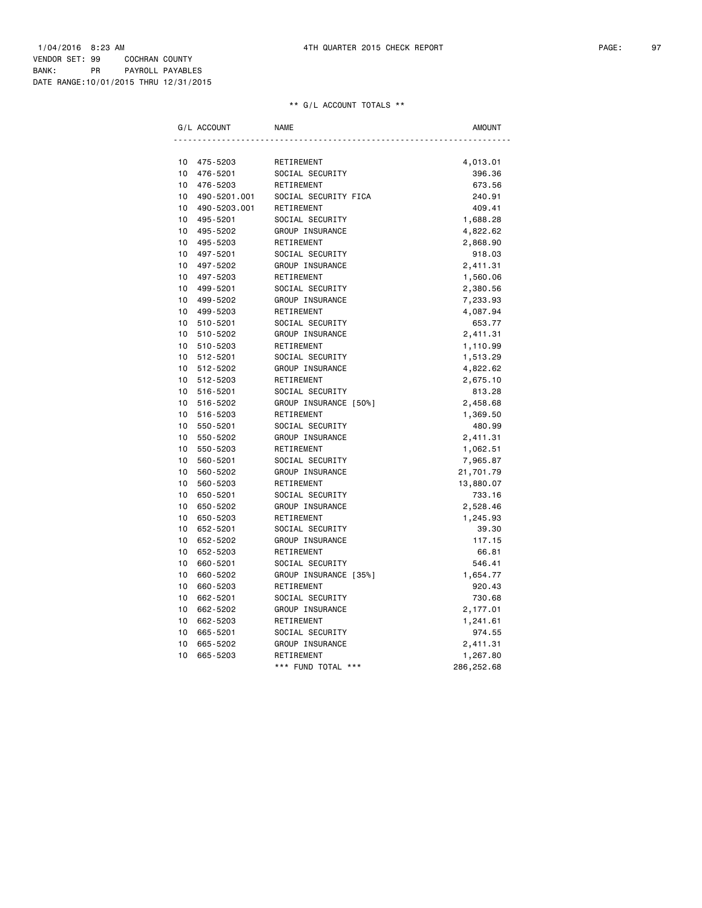|    | G/L ACCOUNT  | <b>NAME</b>           | AMOUNT     |
|----|--------------|-----------------------|------------|
|    |              |                       |            |
| 10 | 475-5203     | RETIREMENT            | 4,013.01   |
| 10 | 476-5201     | SOCIAL SECURITY       | 396.36     |
| 10 | 476-5203     | RETIREMENT            | 673.56     |
| 10 | 490-5201.001 | SOCIAL SECURITY FICA  | 240.91     |
| 10 | 490-5203.001 | RETIREMENT            | 409.41     |
| 10 | 495-5201     | SOCIAL SECURITY       | 1,688.28   |
| 10 | 495-5202     | GROUP INSURANCE       | 4,822.62   |
| 10 | 495-5203     | RETIREMENT            | 2,868.90   |
| 10 | 497-5201     | SOCIAL SECURITY       | 918.03     |
| 10 | 497-5202     | GROUP INSURANCE       | 2,411.31   |
| 10 | 497-5203     | RETIREMENT            | 1,560.06   |
| 10 | 499-5201     | SOCIAL SECURITY       | 2,380.56   |
| 10 | 499-5202     | GROUP INSURANCE       | 7,233.93   |
| 10 | 499-5203     | RETIREMENT            | 4,087.94   |
| 10 | 510-5201     | SOCIAL SECURITY       | 653.77     |
| 10 | 510-5202     | GROUP INSURANCE       | 2,411.31   |
| 10 | 510-5203     | RETIREMENT            | 1,110.99   |
| 10 | 512-5201     | SOCIAL SECURITY       | 1,513.29   |
| 10 | 512-5202     | GROUP INSURANCE       | 4,822.62   |
| 10 | 512-5203     | RETIREMENT            | 2,675.10   |
| 10 | 516-5201     | SOCIAL SECURITY       | 813.28     |
| 10 | 516-5202     | GROUP INSURANCE [50%] | 2,458.68   |
| 10 | 516-5203     | RETIREMENT            | 1,369.50   |
| 10 | 550-5201     | SOCIAL SECURITY       | 480.99     |
| 10 | 550-5202     | GROUP INSURANCE       | 2,411.31   |
| 10 | 550-5203     | RETIREMENT            | 1,062.51   |
| 10 | 560-5201     | SOCIAL SECURITY       | 7,965.87   |
| 10 | 560-5202     | GROUP INSURANCE       | 21,701.79  |
| 10 | 560-5203     | RETIREMENT            | 13,880.07  |
| 10 | 650-5201     | SOCIAL SECURITY       | 733.16     |
| 10 | 650-5202     | GROUP INSURANCE       | 2,528.46   |
| 10 | 650-5203     | RETIREMENT            | 1,245.93   |
| 10 | 652-5201     | SOCIAL SECURITY       | 39.30      |
| 10 | 652-5202     | GROUP INSURANCE       | 117.15     |
| 10 | 652-5203     | RETIREMENT            | 66.81      |
| 10 | 660-5201     | SOCIAL SECURITY       | 546.41     |
| 10 | 660-5202     | GROUP INSURANCE [35%] | 1,654.77   |
| 10 | 660-5203     | RETIREMENT            | 920.43     |
| 10 | 662-5201     | SOCIAL SECURITY       | 730.68     |
| 10 | 662-5202     | GROUP INSURANCE       | 2,177.01   |
| 10 | 662-5203     | RETIREMENT            | 1,241.61   |
| 10 | 665-5201     | SOCIAL SECURITY       | 974.55     |
| 10 | 665-5202     | GROUP INSURANCE       | 2,411.31   |
| 10 | 665-5203     | RETIREMENT            | 1,267.80   |
|    |              | *** FUND TOTAL ***    | 286,252.68 |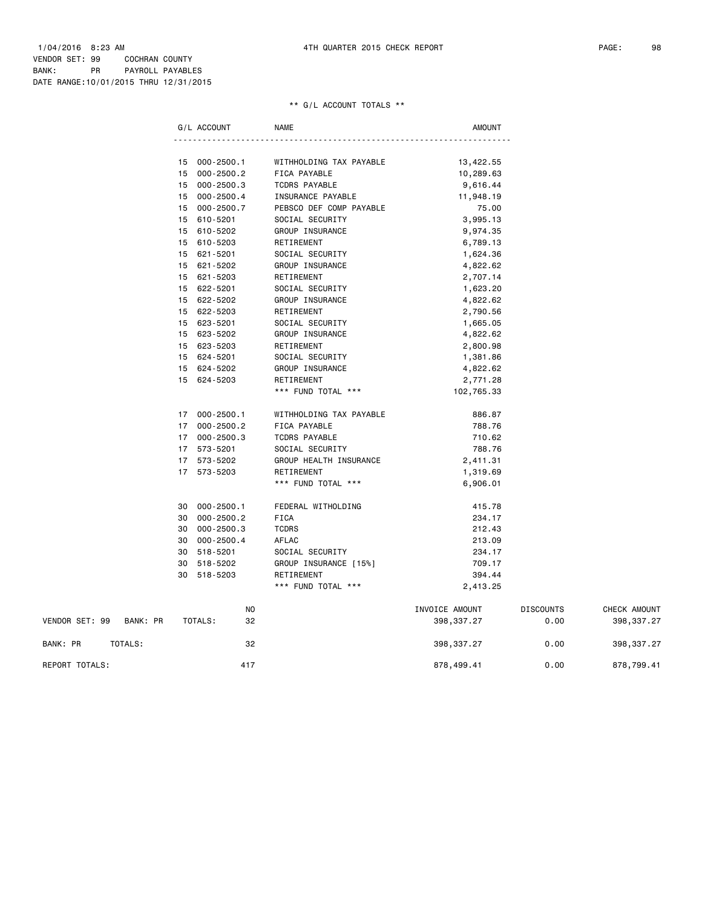|                |          |    | G/L ACCOUNT   | <b>NAME</b>             | AMOUNT         |                  |              |
|----------------|----------|----|---------------|-------------------------|----------------|------------------|--------------|
|                |          |    |               |                         |                |                  |              |
|                |          |    | 15 000-2500.1 | WITHHOLDING TAX PAYABLE | 13,422.55      |                  |              |
|                |          | 15 | 000-2500.2    | FICA PAYABLE            | 10,289.63      |                  |              |
|                |          |    | 15 000-2500.3 | <b>TCDRS PAYABLE</b>    | 9,616.44       |                  |              |
|                |          | 15 | 000-2500.4    | INSURANCE PAYABLE       | 11,948.19      |                  |              |
|                |          | 15 | 000-2500.7    | PEBSCO DEF COMP PAYABLE | 75.00          |                  |              |
|                |          | 15 | 610-5201      | SOCIAL SECURITY         | 3,995.13       |                  |              |
|                |          |    | 15 610-5202   | GROUP INSURANCE         | 9,974.35       |                  |              |
|                |          | 15 | 610-5203      | RETIREMENT              | 6,789.13       |                  |              |
|                |          | 15 | 621-5201      | SOCIAL SECURITY         | 1,624.36       |                  |              |
|                |          |    | 15 621-5202   | GROUP INSURANCE         | 4,822.62       |                  |              |
|                |          |    | 15 621-5203   | RETIREMENT              | 2,707.14       |                  |              |
|                |          |    | 15 622-5201   | SOCIAL SECURITY         | 1,623.20       |                  |              |
|                |          |    | 15 622-5202   | GROUP INSURANCE         | 4,822.62       |                  |              |
|                |          |    | 15 622-5203   | RETIREMENT              | 2,790.56       |                  |              |
|                |          |    | 15 623-5201   | SOCIAL SECURITY         | 1,665.05       |                  |              |
|                |          |    | 15 623-5202   | GROUP INSURANCE         | 4,822.62       |                  |              |
|                |          |    | 15 623-5203   | RETIREMENT              | 2,800.98       |                  |              |
|                |          |    | 15 624-5201   | SOCIAL SECURITY         | 1,381.86       |                  |              |
|                |          |    | 15 624-5202   | GROUP INSURANCE         | 4,822.62       |                  |              |
|                |          |    | 15 624-5203   | RETIREMENT              | 2,771.28       |                  |              |
|                |          |    |               | *** FUND TOTAL ***      | 102,765.33     |                  |              |
|                |          |    | 17 000-2500.1 | WITHHOLDING TAX PAYABLE | 886.87         |                  |              |
|                |          |    | 17 000-2500.2 | FICA PAYABLE            | 788.76         |                  |              |
|                |          |    | 17 000-2500.3 | <b>TCDRS PAYABLE</b>    | 710.62         |                  |              |
|                |          |    | 17 573-5201   | SOCIAL SECURITY         | 788.76         |                  |              |
|                |          |    | 17 573-5202   | GROUP HEALTH INSURANCE  | 2,411.31       |                  |              |
|                |          |    | 17 573-5203   | RETIREMENT              | 1,319.69       |                  |              |
|                |          |    |               | *** FUND TOTAL ***      | 6,906.01       |                  |              |
|                |          |    | 30 000-2500.1 | FEDERAL WITHOLDING      | 415.78         |                  |              |
|                |          | 30 | 000-2500.2    | <b>FICA</b>             | 234.17         |                  |              |
|                |          | 30 | 000-2500.3    | <b>TCDRS</b>            | 212.43         |                  |              |
|                |          | 30 | 000-2500.4    | AFLAC                   | 213.09         |                  |              |
|                |          | 30 | 518-5201      | SOCIAL SECURITY         | 234.17         |                  |              |
|                |          | 30 | 518-5202      | GROUP INSURANCE [15%]   | 709.17         |                  |              |
|                |          | 30 | 518-5203      | RETIREMENT              | 394.44         |                  |              |
|                |          |    |               | *** FUND TOTAL ***      | 2,413.25       |                  |              |
|                |          |    | ΝO            |                         | INVOICE AMOUNT | <b>DISCOUNTS</b> | CHECK AMOUNT |
| VENDOR SET: 99 | BANK: PR |    | TOTALS:<br>32 |                         | 398,337.27     | 0.00             | 398, 337.27  |
| BANK: PR       | TOTALS:  |    | 32            |                         | 398, 337.27    | 0.00             | 398, 337.27  |

REPORT TOTALS: 417 878,499.41 0.00 878,799.41